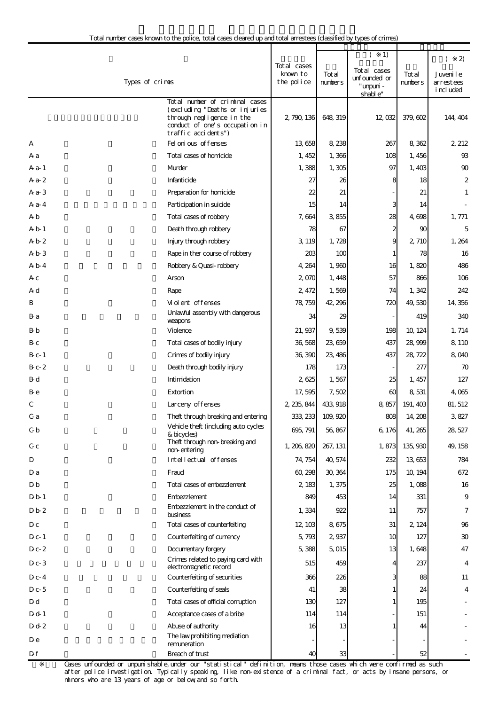|                  |                                                                                                                                                        |                                       |                   | 1)                                                   |                   | $\mathfrak{D}$<br>$\lambda$         |
|------------------|--------------------------------------------------------------------------------------------------------------------------------------------------------|---------------------------------------|-------------------|------------------------------------------------------|-------------------|-------------------------------------|
|                  | Types of crimes                                                                                                                                        | Total cases<br>known to<br>the police | Tot al<br>numbers | Total cases<br>unfounded or<br>" umpuni -<br>shable" | Tot al<br>numbers | Juvenile<br>arrestees<br>i ncl uded |
|                  | Total number of criminal cases<br>(excluding "Deaths or injuries<br>through negligence in the<br>conduct of one's occupation in<br>traffic accidents") | 2, 790, 136                           | 648, 319          | 12,032                                               | 379, 602          | 144, 404                            |
| А                | Fel oni ous offenses                                                                                                                                   | 13,658                                | 8,238             | 267                                                  | 8,362             | 2 212                               |
| A a              | Total cases of homicide                                                                                                                                | 1, 452                                | 1,366             | 108                                                  | 1,456             | 93                                  |
| $Aa-1$           | Murder                                                                                                                                                 | 1,388                                 | 1,305             | 97                                                   | 1,403             | 90                                  |
| $Aa-2$           | Infanticide                                                                                                                                            | 27                                    | 26                | 8                                                    | 18                | $\boldsymbol{2}$                    |
| $Aa-3$           | Preparation for homicide                                                                                                                               | 22                                    | 21                |                                                      | 21                | 1                                   |
| $A$ a-4          | Participation in suicide                                                                                                                               | 15                                    | 14                | 3                                                    | 14                |                                     |
| A b              | Total cases of robbery                                                                                                                                 | 7,664                                 | 3855              | 28                                                   | 4,698             | 1, 771                              |
| A b 1            | Death through robbery                                                                                                                                  | 78                                    | 67                | 2                                                    | 90                | 5                                   |
| A b 2            | Injury through robbery                                                                                                                                 | 3, 119                                | 1,728             | 9                                                    | 2, 710            | 1,264                               |
| A b 3            | Rape in ther course of robbery                                                                                                                         | 203                                   | 100               |                                                      | 78                | 16                                  |
| A b 4            | Robbery & Quasi-robbery                                                                                                                                | 4, 264                                | 1,960             | 16                                                   | 1,820             | 486                                 |
| A c              | Arson                                                                                                                                                  | 2,070                                 | 1, 448            | 57                                                   | 866               | 106                                 |
| A d              | Rape                                                                                                                                                   | 2,472                                 | 1,569             | 74                                                   | 1,342             | 242                                 |
| B                | Violent offenses                                                                                                                                       | 78, 759                               | 42, 296           | 720                                                  | 49,530            | 14, 356                             |
| B-a              | Unlawful assembly with dangerous<br>weapons                                                                                                            | 34                                    | 29                |                                                      | 419               | 340                                 |
| B-b              | Violence                                                                                                                                               | 21, 937                               | 9,539             | 198                                                  | 10, 124           | 1, 714                              |
| B-c              | Total cases of bodily injury                                                                                                                           | 36,568                                | 23,659            | 437                                                  | 28,999            | 8, 110                              |
| $B_{c-1}$        | Crimes of bodily injury                                                                                                                                | 36,390                                | 23, 486           | 437                                                  | 28, 722           | 8,040                               |
| $B_{c-}2$        | Death through bodily injury                                                                                                                            | 178                                   | 173               |                                                      | 277               | 70                                  |
| B-d              | Intimidation                                                                                                                                           | 2,625                                 | 1,567             | 25                                                   | 1, 457            | 127                                 |
| B-e              | Extortion                                                                                                                                              | 17,595                                | 7,502             | 60                                                   | 8,531             | 4,065                               |
| С                | Larceny of fenses                                                                                                                                      | 2 235, 844                            | 433, 918          | 8,857                                                | 191, 403          | 81, 512                             |
| C a              | Theft through breaking and entering                                                                                                                    |                                       | 333, 233 109, 920 | 808                                                  | 14, 208           | 3827                                |
| C b              | Vehicle theft (including auto cycles<br>& bicycles)<br>Theft through non-breaking and                                                                  | 695, 791                              | 56,867            | 6, 176                                               | 41, 265           | 28, 527                             |
| C-c              | non-entering                                                                                                                                           | 1, 206, 820                           | 267, 131          | 1,873                                                | 135, 930          | 49, 158                             |
| D                | Intellectual offenses                                                                                                                                  | 74, 754                               | 40,574            | 232                                                  | 13,653            | 784                                 |
| Da               | Fraud                                                                                                                                                  | 60, 298                               | 30, 364           | 175                                                  | 10, 194           | 672                                 |
| D <sub>b</sub>   | Total cases of embezzlement                                                                                                                            | 2 183                                 | 1, 375            | 25                                                   | 1,088             | 16                                  |
| D <sub>b</sub> 1 | Embezzlement<br>Embezzlement in the conduct of                                                                                                         | 849                                   | 453               | 14                                                   | 331               | 9                                   |
| Db2              | business                                                                                                                                               | 1,334                                 | 922               | 11                                                   | 757               | 7                                   |
| Dc               | Total cases of counterfeiting                                                                                                                          | 12, 103                               | 8 675             | 31                                                   | 2, 124            | 96                                  |
| $D_{c-1}$        | Counterfeiting of currency                                                                                                                             | 5,793                                 | 2,937             | 10                                                   | 127               | 30                                  |
| $D_{c-2}$        | Documentary forgery                                                                                                                                    | 5,388                                 | 5,015             | 13                                                   | 1,648             | 47                                  |
| $D_{c-}3$        | Crimes related to paying card with<br>electromagnetic record                                                                                           | 515                                   | 459               |                                                      | 237               | 4                                   |
| $D_{c-4}$        | Counterfeiting of securities                                                                                                                           | 366                                   | 226               |                                                      | 88                | 11                                  |
| $D_{c-5}$        | Counterfeiting of seals                                                                                                                                | 41                                    | 38                |                                                      | 24                | 4                                   |
| D d              | Total cases of official corruption                                                                                                                     | 130                                   | 127               |                                                      | 195               |                                     |
| D d 1            | Acceptance cases of a bribe                                                                                                                            | 114                                   | 114               |                                                      | 151               |                                     |
| D d 2            | Abuse of authority                                                                                                                                     | 16                                    | 13                |                                                      | 44                |                                     |
| De               | The law prohibiting mediation<br>remuneration                                                                                                          |                                       |                   |                                                      |                   |                                     |
| Df               | Breach of trust                                                                                                                                        | 40                                    | 33                |                                                      | 52                |                                     |

Cases unfounded or unpunishable,under our "statistical" definition, means those cases which were confirmed as such after police investigation. Typically speaking, like non-existence of a criminal fact, or acts by insane persons, or minors who are 13 years of age or below,and so forth.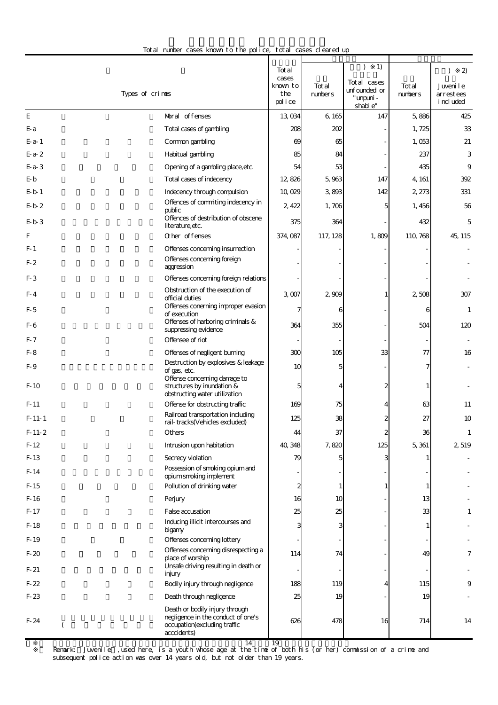| Total number cases known to the police, total cases cleared up |  |
|----------------------------------------------------------------|--|
|----------------------------------------------------------------|--|

|                  |                                                                                                                     | Tot al<br>cases<br>known to | Tot al   | 1)<br>Tot al cases<br>unfounded or | Total    | $\mathbf{2}$<br>Juveni le |
|------------------|---------------------------------------------------------------------------------------------------------------------|-----------------------------|----------|------------------------------------|----------|---------------------------|
|                  | Types of crimes                                                                                                     | the<br>police               | numbers  | " umpuni -<br>shable"              | numbers  | arrestees<br>i ncl uded   |
| E                | Moral offenses                                                                                                      | 13,034                      | 6 16 5   | 147                                | 5,886    | 425                       |
| E-a              | Total cases of gambling                                                                                             | 208                         | 202      |                                    | 1,725    | 33                        |
| $E-a-1$          | Common gambling                                                                                                     | 69                          | 65       |                                    | 1,053    | 21                        |
| $E-a-2$          | Habitual gambling                                                                                                   | 85                          | 84       |                                    | 237      | 3                         |
| $E-a-3$          | Opening of a gambling place, etc.                                                                                   | 54                          | 53       |                                    | 435      | 9                         |
| E-b              | Total cases of indecency                                                                                            | 12,826                      | 5,963    | 147                                | 4, 161   | 392                       |
| $E-b-1$          | Indecency through compulsion                                                                                        | 10,029                      | 3893     | 142                                | 2, 273   | 331                       |
| $E-b2$           | Offences of commiting indecency in<br>public                                                                        | 2,422                       | 1,706    | 5                                  | 1, 456   | 56                        |
| $E-b-3$          | Offences of destribution of obscene<br>literature, etc.                                                             | 375                         | 364      |                                    | 432      | 5                         |
| F                | Other offenses                                                                                                      | 374, 087                    | 117, 128 | 1,809                              | 110, 768 | 45, 115                   |
| $F-1$            | Offenses concerning insurrection                                                                                    |                             |          |                                    |          |                           |
| $F-2$            | Offenses concerning foreign<br>aggression                                                                           |                             |          |                                    |          |                           |
| $F-3$            | Offenses concerning foreign relations                                                                               |                             |          |                                    |          |                           |
| $F-4$            | Obstruction of the execution of<br>official duties                                                                  | 3,007                       | 2 909    |                                    | 2,508    | 307                       |
| $F-5$            | Offenses conerning improper evasion<br>of execution<br>Offenses of harboring criminals &                            |                             | 6        |                                    | 6        | $\mathbf{1}$              |
| F-6              | suppressing evidence                                                                                                | 364                         | 355      |                                    | 504      | 120                       |
| $F-7$            | Offensee of riot                                                                                                    |                             |          |                                    |          |                           |
| $F-8$            | Offenses of negligent burning                                                                                       | 300                         | 105      | 33                                 | 77       | 16                        |
| F-9              | Destruction by explosives & leakage<br>of gas, etc.<br>Offense concerning damage to                                 | 10                          | 5        |                                    |          |                           |
| $F-10$           | structures by inundation &<br>obstructing water utilization                                                         | 5                           |          | 2                                  |          |                           |
| $F-11$           | Offense for obstructing traffic                                                                                     | 169                         | 75       |                                    | 63       | 11                        |
| $F-11-1$         | Railroad transportation including<br>rail-tracks(Vehicles excluded)                                                 | 125                         | 38       |                                    | 27       | 10                        |
| $F-11-2$         | Others                                                                                                              | 44                          | 37       | z                                  | 36       | 1                         |
| $F-12$           | Intrusion upon habitation                                                                                           | 40, 348                     | 7,820    | 125                                | 5,361    | 2,519                     |
| $F-13$           | Secrecy violation<br>Possession of smoking opium and                                                                | 79                          | 5        | 3                                  |          |                           |
| $F-14$           | opium smoking implement                                                                                             |                             |          |                                    |          |                           |
| $F-15$           | Pollution of drinking water                                                                                         | 2                           | 1        |                                    |          |                           |
| $F-16$           | Perjury                                                                                                             | 16                          | 10       |                                    | 13       |                           |
| $F-17$           | False accusation                                                                                                    | 25                          | 25       |                                    | 33       | 1                         |
| $F-18$           | Inducing illicit intercourses and<br>bigany                                                                         |                             | 3        |                                    |          |                           |
| F-19             | Offenses concerning lottery<br>Offenses concerning disrespecting a                                                  |                             |          |                                    |          |                           |
| $F-20$<br>$F-21$ | place of worship<br>Unsafe driving resulting in death or                                                            | 114                         | 74       |                                    | 49       | 7                         |
|                  | injury                                                                                                              |                             |          |                                    |          |                           |
| $F-22$           | Bodily injury through negligence                                                                                    | 188                         | 119      |                                    | 115      | 9                         |
| $F-23$           | Death through negligence                                                                                            | 25                          | 19       |                                    | 19       |                           |
| $F-24$           | Death or bodily injury through<br>negligence in the conduct of one's<br>occupation(excluding traffic<br>acccidents) | 626                         | 478      | 16                                 | 714      | 14                        |

 2 Remark: Juvenile」,used here, is a youth whose age at the time of both his (or her) commission of a crime and subsequent police action was over 14 years old, but not older than 19 years.  $14 \t 19$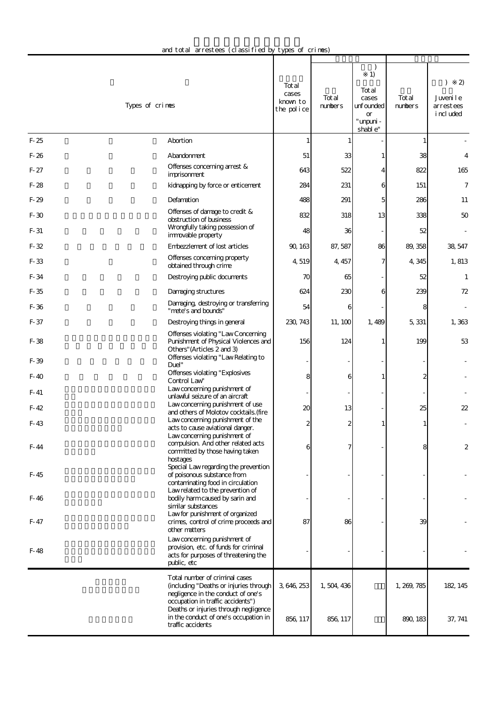| and total arrestees (classified by types of crimes) |  |  |  |
|-----------------------------------------------------|--|--|--|
|-----------------------------------------------------|--|--|--|

|        | Types of crimes                                                                                                                                       | Tot al<br>cases<br>known to<br>the police | Total<br>numbers | 1)<br>Tot al<br>cases<br>unfounded<br><b>or</b><br>" umpuni -<br>shable" | Tot al<br>numbers | 2)<br>Juveni le<br>arrestees<br>i ncl uded |
|--------|-------------------------------------------------------------------------------------------------------------------------------------------------------|-------------------------------------------|------------------|--------------------------------------------------------------------------|-------------------|--------------------------------------------|
| $F-25$ | Abortion                                                                                                                                              |                                           |                  |                                                                          |                   |                                            |
| $F-26$ | Abandonment                                                                                                                                           | 51                                        | 33               |                                                                          | 38                | $\overline{4}$                             |
| $F-27$ | Offenses concerning arrest &<br>imprisonment                                                                                                          | 643                                       | 522              | 4                                                                        | 822               | 165                                        |
| $F-28$ | kidnapping by force or enticement                                                                                                                     | 284                                       | 231              | 6                                                                        | 151               | $\boldsymbol{7}$                           |
| $F-29$ | Defamation                                                                                                                                            | 488                                       | 291              | 5                                                                        | 286               | 11                                         |
| $F-30$ | Offenses of damage to credit &<br>obstruction of business                                                                                             | 832                                       | 318              | 13                                                                       | 338               | 50                                         |
| $F-31$ | Wrongfully taking possession of<br>immovable property                                                                                                 | 48                                        | 36               |                                                                          | 52                |                                            |
| $F-32$ | Embezzlement of lost articles                                                                                                                         | 90, 163                                   | 87, 587          | 86                                                                       | 89, 358           | 38, 547                                    |
| F-33   | Offenses concerning property<br>obtained through crime                                                                                                | 4,519                                     | 4, 457           | 7                                                                        | 4,345             | 1,813                                      |
| F-34   | Destroying public documents                                                                                                                           | 70                                        | 65               |                                                                          | 52                | 1                                          |
| $F-35$ | Damaging structures                                                                                                                                   | 624                                       | 230              | 6                                                                        | 239               | 72                                         |
| $F-36$ | Damaging, destroying or transferring<br>"mete's and bounds"                                                                                           | 54                                        | 6                |                                                                          | 8                 |                                            |
| F-37   | Destroying things in general                                                                                                                          | 230, 743                                  | 11, 100          | 1,489                                                                    | 5,331             | 1,363                                      |
| $F-38$ | Offenses violating "Law Concerning<br>Punishment of Physical Violences and<br>Others" (Articles 2 and 3)                                              | 156                                       | 124              |                                                                          | 199               | 53                                         |
| $F-39$ | Offenses violating "Law Relating to<br>Duel"                                                                                                          |                                           |                  |                                                                          |                   |                                            |
| $F-40$ | Offenses violating "Explosives<br>Control Law                                                                                                         |                                           | 6                |                                                                          |                   |                                            |
| $F-41$ | Law concerning punishment of<br>unlawful seizure of an aircraft                                                                                       |                                           |                  |                                                                          |                   |                                            |
| $F-42$ | Law concerning punishment of use<br>and others of Molotov cocktails. (fire                                                                            | 20                                        | 13               |                                                                          | 25                | 22                                         |
| $F-43$ | Law concerning punishment of the                                                                                                                      |                                           | 2                |                                                                          |                   |                                            |
| F-44   | acts to cause aviational danger.<br>Law concerning punishment of<br>compulsion. And other related acts<br>committed by those having taken<br>hostages |                                           | 7                |                                                                          | 8                 | 2                                          |
| $F-45$ | Special Law regarding the prevention<br>of poisonous substance from<br>contaminating food in circulation<br>Law related to the prevention of          |                                           |                  |                                                                          |                   |                                            |
| F-46   | bodily harm caused by sarin and<br>similar substances                                                                                                 |                                           |                  |                                                                          |                   |                                            |
| F-47   | Law for punishment of organized<br>crimes, control of crime proceeds and<br>other matters                                                             | 87                                        | 86               |                                                                          | 39                |                                            |
| F-48   | Law concerning punishment of<br>provision, etc. of funds for criminal<br>acts for purposes of threatening the<br>public, etc                          |                                           |                  |                                                                          |                   |                                            |
|        | Total number of criminal cases<br>(including "Deaths or injuries through<br>negligence in the conduct of one's<br>occupation in traffic accidents")   | 3, 646, 253                               | 1,504,436        |                                                                          | 1, 269, 785       | 182, 145                                   |
|        | Deaths or injuries through negligence<br>in the conduct of one's occupation in<br>traffic accidents                                                   | 856, 117                                  | 856, 117         |                                                                          | 890, 183          | 37, 741                                    |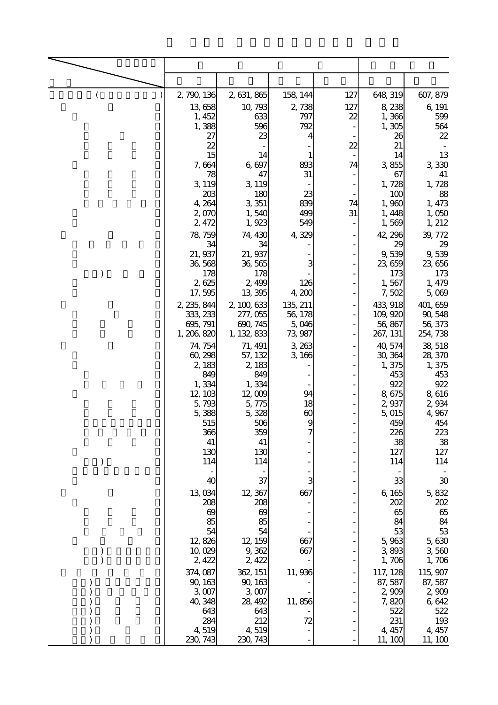| ( | 2, 790, 136          | 2, 631, 865         | 158, 144         | 127 | 648, 319            | 607, 879            |
|---|----------------------|---------------------|------------------|-----|---------------------|---------------------|
|   | 13,658               | 10, 793             | 2,738            | 127 | 8,238               | 6, 191              |
|   | 1, 452               | 633                 | 797              | 22  | 1,366               | 599                 |
|   | 1,388<br>27          | 596<br>23           | 792<br>4         |     | 1,305<br>26         | 564<br>22           |
|   | $\overline{22}$      |                     |                  | 22  | 21                  |                     |
|   | 15<br>7,664          | 14<br>6,697         | 893              | 74  | 14<br>3,855         | 13<br>3,330         |
|   | 78                   | 47                  | 31               |     | 67                  | 41                  |
|   | 3, 119               | 3, 119              |                  |     | 1,728               | 1,728               |
|   | 203<br>4, 264        | 180<br>3,351        | 23<br>839        | 74  | 100<br>1,960        | 88<br>1, 473        |
|   | 2,070                | 1,540               | 499              | 31  | 1,448               | 1,050               |
|   | 2,472                | 1,923               | 549              |     | 1,569               | 1, 212              |
|   | 78, 759<br>34        | 74, 430<br>34       | 4,329            |     | 42, 296<br>29       | 39, 772<br>29       |
|   | 21, 937              | 21, 937             |                  |     | 9,539               | 9,539               |
|   | 36,568               | 36,565              |                  |     | 23, 659             | 23,656              |
|   | 178<br>2,625         | 178<br>2,499        | 126              |     | 173<br>1,567        | 173<br>1, 479       |
|   | 17,595               | 13,395              | 4,200            |     | 7,502               | 5,069               |
|   | 2, 235, 844          | 2, 100, 633         | 135, 211         |     | 433, 918            | 401, 659            |
|   | 333, 233<br>695, 791 | 277,055<br>690, 745 | 56, 178<br>5,046 |     | 109, 920<br>56, 867 | 90, 548<br>56, 373  |
|   | 1, 206, 820          | 1, 132, 833         | 73, 987          |     | 267, 131            | 254, 738            |
|   | 74, 754              | 71, 491             | 3,263            |     | 40,574              | 38,518              |
|   | 60, 298<br>2,183     | 57, 132<br>2,183    | 3,166            |     | 30, 364<br>1,375    | 28, 370<br>1,375    |
|   | 849                  | 849                 |                  |     | 453                 | 453                 |
|   | 1,334                | 1,334<br>12,009     | 94               |     | 922                 | 922                 |
|   | 12, 103<br>5,793     | 5,775               | 18               |     | 8,675<br>2,937      | 8,616<br>2,934      |
|   | 5,388                | 5,328               | 60               |     | 5,015               | 4,967               |
|   | 515<br>366           | 506<br>359          | 9                |     | 459<br>226          | 454<br>223          |
|   | 41                   | 41                  |                  |     | 38                  | 38                  |
|   | 130<br>114           | 130                 |                  |     | 127                 | 127                 |
|   |                      | 114                 |                  |     | 114                 | 114                 |
|   | 40                   | 37                  | 3                |     | 33                  | 30                  |
|   | 13,034<br>208        | 12, 367<br>208      | 667              |     | 6, 165<br>202       | 5,832<br>202        |
|   | 69                   | 69                  |                  |     | 65                  | 65                  |
|   | 85                   | 85                  |                  |     | 84                  | 84                  |
|   | 54<br>12,826         | 54<br>12, 159       | 667              |     | 53<br>5,963         | 53<br>5,630         |
|   | 10,029               | 9,362               | 667              |     | 3,893               | 3,560               |
|   | 2,422                | 2, 422              |                  |     | 1,706               | 1,706               |
|   | 374, 087<br>90, 163  | 362, 151<br>90, 163 | 11, 936          |     | 117, 128<br>87,587  | 115, 907<br>87, 587 |
|   | 3,007                | 3,007               |                  |     | 2,909               | 2,909               |
|   | 40, 348              | 28, 492             | 11,856           |     | 7,820               | 6,642               |
|   | 643<br>284           | 643<br>212          | 72               |     | 522<br>231          | 522<br>193          |
|   | 4,519                | 4,519               |                  |     | 4, 457              | 4, 457              |
|   | 230 743              | 230, 743            |                  |     | 11, 100             | 11, 100             |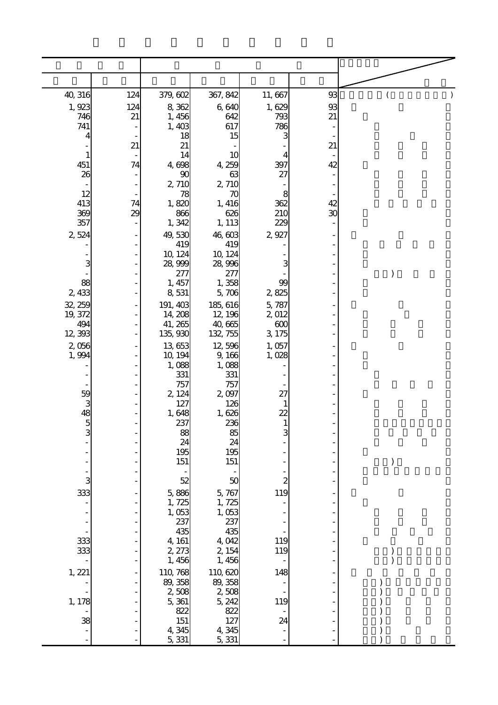| 40, 316             | 124 | 379, 602            | 367, 842           | 11, 667                  | 93 |  |
|---------------------|-----|---------------------|--------------------|--------------------------|----|--|
| 1,923               | 124 | 8,362               | 6,640              | 1,629                    | 93 |  |
| 746<br>741          | 21  | 1,456<br>1,403      | 642<br>617         | 793<br>786               | 21 |  |
| 4                   |     | 18                  | 15                 | 3                        |    |  |
|                     | 21  | 21                  |                    |                          | 21 |  |
| $\mathbf{1}$<br>451 | 74  | 14<br>4,698         | 10<br>4,259        | 4<br>397                 | 42 |  |
| 26                  |     | 90                  | 63                 | 27                       |    |  |
| 12                  |     | 2,710<br>78         | 2,710<br>70        | 8                        |    |  |
| 413                 | 74  | 1,820               | 1, 416             | 362                      | 42 |  |
| 369                 | 29  | 866                 | 626                | 210                      | 30 |  |
| 357<br>2,524        |     | 1,342<br>49,530     | 1, 113<br>46,603   | 229<br>2,927             |    |  |
|                     |     | 419                 | 419                |                          |    |  |
| 3                   |     | 10, 124             | 10, 124            |                          |    |  |
|                     |     | 28, 999<br>277      | 28,996<br>277      |                          |    |  |
| 88                  |     | 1, 457              | 1,358              | 99                       |    |  |
| 2, 433              |     | 8,531               | 5,706<br>185, 616  | 2,825                    |    |  |
| 32, 259<br>19, 372  |     | 191, 403<br>14, 208 | 12, 196            | 5,787<br>2,012           |    |  |
| 494                 |     | 41, 265             | 40,665             | 600                      |    |  |
| 12,393<br>2,056     |     | 135, 930<br>13,653  | 132, 755<br>12,596 | 3,175<br>1,057           |    |  |
| 1,994               |     | 10, 194             | 9,166              | 1,028                    |    |  |
|                     |     | 1,088               | 1,088              |                          |    |  |
|                     |     | 331<br>757          | 331<br>757         |                          |    |  |
|                     |     | 2, 124              | 2,097              | 27                       |    |  |
| 59<br>3<br>48<br>5  |     | 127<br>1,648        | 126<br>1,626       | 22                       |    |  |
|                     |     | 237                 | 236                | $\mathbf{1}$             |    |  |
| 3                   |     | 88<br>24            | 85                 | 3                        |    |  |
|                     |     | 195                 | 24<br>195          |                          |    |  |
|                     |     | 151                 | 151                |                          |    |  |
| 3                   |     | 52                  | 50                 | $\overline{\mathcal{Z}}$ |    |  |
| 333                 |     | 5,886               | 5,767              | 119                      |    |  |
|                     |     | 1,725               | 1,725              |                          |    |  |
|                     |     | 1,053<br>237        | 1,053<br>237       |                          |    |  |
|                     |     | 435                 | 435                |                          |    |  |
| 333<br>333          |     | 4, 161<br>2, 273    | 4,042<br>2, 154    | 119<br>119               |    |  |
|                     |     | 1,456               | 1,456              |                          |    |  |
| 1,221               |     | 110, 768            | 110, 620           | 148                      |    |  |
|                     |     | 89, 358<br>2508     | 89, 358<br>2,508   |                          |    |  |
| 1, 178              |     | 5,361               | 5, 242             | 119                      |    |  |
|                     |     | 822                 | 822                |                          |    |  |
| 38                  |     | 151<br>4,345        | 127<br>4,345       | 24                       |    |  |
|                     |     | 5, 331              | 5, 331             |                          |    |  |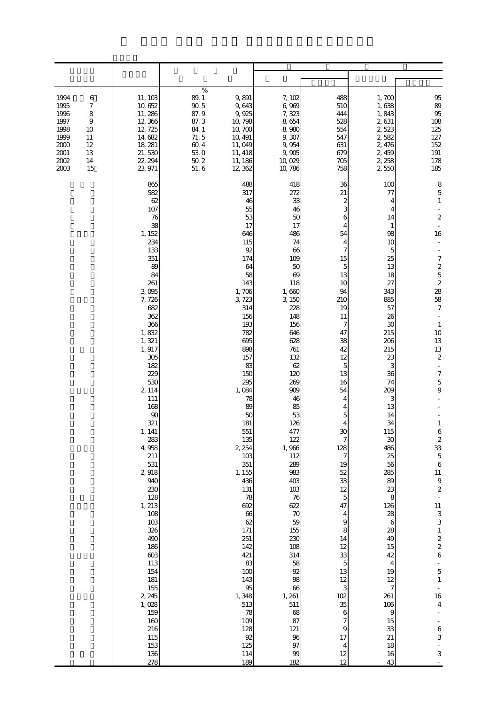| 1994<br>6<br>7<br>1995<br>1996<br>8<br>1997<br>$\overline{9}$<br>1998<br>10<br>1999<br>11<br>2000<br>12<br>2001<br>13<br>2002<br>14<br>2003<br>15 | 11, 103<br>10,652<br>11, 286<br>12,366<br>12, 725<br>14,682<br>18, 281<br>21,530<br>22, 294<br>23, 971                                                                                                                                                                                                                                                                                                                                                      | $\%$<br>89.1<br>$90\,5$<br>87.9<br>87.3<br>84 1<br>71.5<br>$60\ 4$<br>530<br>$50\ 2$<br>51.6 | 9,891<br>9,643<br>9,925<br>10, 798<br>10,700<br>10, 491<br>11,049<br>11, 418<br>11, 186<br>12, 362                                                                                                                                                                                                                                                                                                                              | 7,102<br>6,969<br>7,323<br>8,654<br>8,980<br>9,307<br>9,954<br>9,905<br>10,029<br>10, 786                                                                                                                                                                                                                                                                                                                         | 488<br>510<br>444<br>528<br>554<br>547<br>631<br>679<br>705<br>758                                                                                                                                                                                                                                                                           | 1,700<br>1,638<br>1,843<br>2,631<br>2,523<br>2,582<br>2, 476<br>2,459<br>2, 258<br>2550                                                                                                                                                                                                                                                                     | $95\,$<br>89<br>95<br>$108\,$<br>125<br>$127\,$<br>152<br>191<br>178<br>185                                                                                                                                                                                                                                                                                                                                                                                                                                                                                                                     |
|---------------------------------------------------------------------------------------------------------------------------------------------------|-------------------------------------------------------------------------------------------------------------------------------------------------------------------------------------------------------------------------------------------------------------------------------------------------------------------------------------------------------------------------------------------------------------------------------------------------------------|----------------------------------------------------------------------------------------------|---------------------------------------------------------------------------------------------------------------------------------------------------------------------------------------------------------------------------------------------------------------------------------------------------------------------------------------------------------------------------------------------------------------------------------|-------------------------------------------------------------------------------------------------------------------------------------------------------------------------------------------------------------------------------------------------------------------------------------------------------------------------------------------------------------------------------------------------------------------|----------------------------------------------------------------------------------------------------------------------------------------------------------------------------------------------------------------------------------------------------------------------------------------------------------------------------------------------|-------------------------------------------------------------------------------------------------------------------------------------------------------------------------------------------------------------------------------------------------------------------------------------------------------------------------------------------------------------|-------------------------------------------------------------------------------------------------------------------------------------------------------------------------------------------------------------------------------------------------------------------------------------------------------------------------------------------------------------------------------------------------------------------------------------------------------------------------------------------------------------------------------------------------------------------------------------------------|
|                                                                                                                                                   | 865<br>582<br>62<br>107<br>76<br>38<br>1, 152<br>234<br>133<br>351<br>89<br>84<br>261<br>3,095<br>7,726<br>682<br>362<br>366<br>1,832<br>1, 321<br>1, 917<br>305<br>182<br>229<br>530<br>2 1 1 4<br>111<br>168<br>90<br>321<br>1, 141<br>283<br>4,958<br>211<br>531<br>2,918<br>940<br>230<br>128<br>1, 213<br>108<br>$103$<br>326<br>490<br>186<br>603<br>113<br>154<br>181<br>$155\,$<br>2 2 45<br>1,028<br>159<br>160<br>216<br>115<br>153<br>136<br>278 |                                                                                              | 488<br>317<br>46<br>55<br>53<br>17<br>646<br>115<br>92<br>174<br>64<br>58<br>143<br>1,706<br>3,723<br>314<br>156<br>193<br>782<br>695<br>898<br>157<br>83<br>150<br>295<br>1,084<br>78<br>89<br>50<br>181<br>551<br>135<br>2, 254<br>103<br>351<br>1, 155<br>436<br>131<br>78<br>692<br>66<br>$62$<br>171<br>251<br>142<br>421<br>83<br>100<br>143<br>95<br>1,348<br>513<br>$78\,$<br>109<br>128<br>$92\,$<br>125<br>114<br>189 | 418<br>272<br>33<br>46<br>50<br>17<br>486<br>74<br>66<br>109<br>50<br>69<br>118<br>1,660<br>3, 150<br>228<br>148<br>156<br>646<br>628<br>761<br>132<br>62<br>120<br>269<br>909<br>46<br>85<br>53<br>126<br>477<br>122<br>1,966<br>112<br>289<br>983<br>403<br>103<br>76<br>622<br>$70$<br>59<br>155<br>230<br>108<br>314<br>58<br>92<br>98<br>66<br>1, 261<br>511<br>68<br>87<br>121<br>96<br>$97\,$<br>99<br>182 | 36<br>21<br>2<br>3<br>6<br>54<br>4<br>7<br>15<br>5<br>13<br>10<br>94<br>210<br>19<br>11<br>7<br>47<br>38<br>42<br>12<br>5<br>13<br>16<br>54<br>4<br>4<br>5<br>30<br>7<br>128<br>7<br>19<br>52<br>33<br>12<br>5<br>47<br>4<br>9<br>8<br>14<br>12<br>33<br>$\mathbf 5$<br>13<br>12<br>3<br>102<br>35<br>6<br>7<br>9<br>17<br>4<br>$12\,$<br>12 | 100<br>77<br>4<br>14<br>1<br>98<br>10<br>5<br>25<br>13<br>18<br>27<br>343<br>885<br>57<br>26<br>30<br>215<br>206<br>215<br>23<br>3<br>36<br>74<br>209<br>3<br>13<br>14<br>34<br>115<br>30<br>486<br>25<br>56<br>285<br>89<br>23<br>8<br>126<br>28<br>6<br>28<br>49<br>15<br>42<br>4<br>19<br>12<br>7<br>261<br>106<br>9<br>15<br>33<br>21<br>18<br>16<br>43 | 8<br>$\mathbf 5$<br>$\mathbf{1}$<br>$\boldsymbol{2}$<br>16<br>L.<br>$72528$<br>$383$<br>$7$<br>$\mathbf{1}$<br>$10$<br>13<br>13<br>$\boldsymbol{z}$<br>$\overline{\phantom{a}}$<br>$\boldsymbol{7}$<br>$\overline{5}$<br>9<br>$\mathbf{1}$<br>$\,6$<br>$\boldsymbol{2}$<br>$\frac{33}{5}$<br>$\overline{6}$<br>$11\,$<br>$\begin{array}{c} 9 \\ 2 \end{array}$<br>$\begin{array}{c} 11 \\ 3 \\ 3 \end{array}$<br>$\,1\,$<br>$\begin{array}{c} 2 \\ 2 \\ 6 \end{array}$<br>$\overline{5}$<br>$\,1\,$<br>16<br>$\overline{4}$<br>$\overline{\phantom{a}}$<br>$\boldsymbol{6}$<br>3<br>$\,$ 3 $\,$ |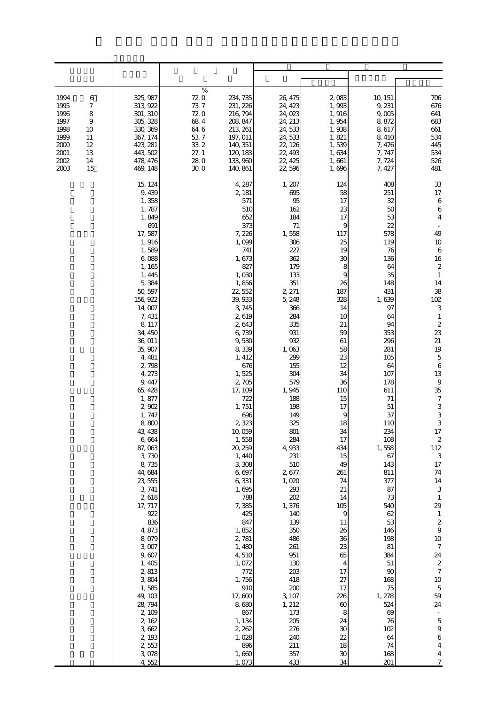| 1994<br>6<br>1995<br>7<br>1996<br>8<br>1997<br>$\overline{9}$<br>1998<br>10<br>1999<br>11<br>2000<br>12<br>2001<br>13<br>2002<br>14<br>2003<br>15 | 325, 987<br>313, 922<br>301, 310<br>305, 328<br>330, 369<br>367, 174<br>423, 281<br>443, 502<br>478, 476<br>469, 148                                                                                                                                                                                                                                                                                                                                                                                                                                                                | %<br>72.0<br>73.7<br>720<br>684<br>64 6<br>$53\ 7$<br>33.2<br>27.1<br>28.0<br>300 | 234, 735<br>231, 226<br>216, 794<br>208, 847<br>213, 261<br>197, 011<br>140, 351<br>120, 183<br>133,960<br>140, 861                                                                                                                                                                                                                                                                                                                                                                                                             | 26, 475<br>24, 423<br>24,023<br>24, 213<br>24,533<br>24, 533<br>22, 126<br>22, 493<br>22, 425<br>22,596                                                                                                                                                                                                                                                                                                                                              | 2,083<br>1,993<br>1,916<br>1,954<br>1,938<br>1,821<br>1,539<br>1,634<br>1,661<br>1,696                                                                                                                                                                                                                                                                               | 10, 151<br>9, 231<br>9,005<br>8,872<br>8,617<br>8,410<br>7,476<br>7, 747<br>7,724<br>7, 427                                                                                                                                                                                                                                                                                                               | 706<br>676<br>641<br>683<br>661<br>534<br>445<br>534<br>526<br>481                                                                                                                                                                                                                                                                                                                                                                                                                                                                                                                                                                                                           |
|---------------------------------------------------------------------------------------------------------------------------------------------------|-------------------------------------------------------------------------------------------------------------------------------------------------------------------------------------------------------------------------------------------------------------------------------------------------------------------------------------------------------------------------------------------------------------------------------------------------------------------------------------------------------------------------------------------------------------------------------------|-----------------------------------------------------------------------------------|---------------------------------------------------------------------------------------------------------------------------------------------------------------------------------------------------------------------------------------------------------------------------------------------------------------------------------------------------------------------------------------------------------------------------------------------------------------------------------------------------------------------------------|------------------------------------------------------------------------------------------------------------------------------------------------------------------------------------------------------------------------------------------------------------------------------------------------------------------------------------------------------------------------------------------------------------------------------------------------------|----------------------------------------------------------------------------------------------------------------------------------------------------------------------------------------------------------------------------------------------------------------------------------------------------------------------------------------------------------------------|-----------------------------------------------------------------------------------------------------------------------------------------------------------------------------------------------------------------------------------------------------------------------------------------------------------------------------------------------------------------------------------------------------------|------------------------------------------------------------------------------------------------------------------------------------------------------------------------------------------------------------------------------------------------------------------------------------------------------------------------------------------------------------------------------------------------------------------------------------------------------------------------------------------------------------------------------------------------------------------------------------------------------------------------------------------------------------------------------|
|                                                                                                                                                   | 15, 124<br>9,439<br>1,358<br>1,787<br>1,849<br>691<br>17,587<br>1,916<br>1,589<br>6,088<br>1, 165<br>1, 445<br>5,384<br>50, 597<br>156, 922<br>14,007<br>7, 431<br>8, 117<br>34, 450<br>36, 011<br>35, 907<br>4, 481<br>2,798<br>4, 273<br>9, 447<br>65, 428<br>1,877<br>2,902<br>1, 747<br>8,800<br>43, 438<br>6,664<br>87,063<br>3,730<br>8,735<br>44,684<br>23, 555<br>3, 741<br>2,618<br>17, 717<br>922<br>836<br>4,873<br>8,079<br>3,007<br>9,607<br>1, 405<br>2,813<br>3,804<br>1,585<br>49, 103<br>28, 794<br>2, 109<br>2, 162<br>3,662<br>2, 193<br>2,553<br>3,078<br>4,552 |                                                                                   | 4, 287<br>2, 181<br>571<br>510<br>652<br>373<br>7,226<br>1,099<br>741<br>1,673<br>827<br>1,030<br>1,856<br>22,552<br>39, 933<br>3,745<br>2,619<br>2,643<br>6,739<br>9,530<br>8,339<br>1, 412<br>676<br>1,525<br>2,705<br>17, 109<br>722<br>1,751<br>696<br>2,323<br>10,059<br>1,558<br>20, 259<br>1, 440<br>3,308<br>6,697<br>6,331<br>1,695<br>788<br>7,385<br>425<br>847<br>1,852<br>2, 781<br>1,480<br>4,510<br>1,072<br>772<br>1,756<br>910<br>17,600<br>8,680<br>867<br>1, 134<br>2, 262<br>1,028<br>896<br>1,660<br>1,073 | 1, 207<br>695<br>95<br>162<br>184<br>71<br>1,558<br>306<br>227<br>362<br>179<br>133<br>351<br>2, 271<br>5, 248<br>366<br>284<br>335<br>931<br>932<br>1,063<br>299<br>155<br>304<br>579<br>1,945<br>188<br>198<br>149<br>325<br>801<br>284<br>4,933<br>231<br>510<br>2,677<br>1,020<br>293<br>202<br>1,376<br>140<br>139<br>350<br>486<br>261<br>951<br>130<br>203<br>418<br>200<br>3, 107<br>1, 212<br>173<br>205<br>276<br>240<br>211<br>357<br>433 | 124<br>58<br>17<br>23<br>17<br>9<br>117<br>25<br>19<br>30<br>8<br>9<br>26<br>187<br>328<br>14<br>10<br>21<br>59<br>61<br>58<br>23<br>12<br>34<br>36<br>110<br>15<br>17<br>9<br>18<br>34<br>17<br>434<br>15<br>49<br>261<br>74<br>21<br>14<br>105<br>9<br>11<br>26<br>36<br>23<br>65<br>4<br>17<br>27<br>17<br>226<br>60<br>8<br>24<br>30<br>22<br>18<br>$30\,$<br>34 | 408<br>251<br>32<br>50<br>53<br>22<br>578<br>119<br>76<br>136<br>64<br>35<br>148<br>431<br>1,639<br>97<br>64<br>94<br>353<br>296<br>281<br>105<br>64<br>107<br>178<br>611<br>71<br>51<br>37<br>110<br>234<br>108<br>1,558<br>67<br>143<br>811<br>377<br>87<br>73<br>540<br>62<br>53<br>146<br>198<br>81<br>384<br>$51\,$<br>90<br>168<br>75<br>1, 278<br>524<br>69<br>76<br>102<br>64<br>74<br>168<br>201 | 33<br>$17\,$<br>$\,6$<br>$\,6$<br>$\overline{4}$<br>49<br>10<br>$\,6\,$<br>16<br>$\boldsymbol{2}$<br>$\mathbf{1}$<br>14<br>38<br>102<br>$\,$ 3 $\,$<br>$\mathbf{1}$<br>$\boldsymbol{z}$<br>23<br>21<br>19<br>$\mathbf 5$<br>$\,6\,$<br>13<br>$\,9$<br>35<br>$\boldsymbol{7}$<br>3<br>3<br>3<br>17<br>$\boldsymbol{2}$<br>112<br>$\,3$<br>$17\,$<br>$7\mspace{-1mu}4$<br>14<br>$\,3$<br>$1\,$<br>29<br>$\mathbf{1}$<br>$\boldsymbol{2}$<br>$\boldsymbol{9}$<br>$10\,$<br>$\boldsymbol{7}$<br>24<br>$\boldsymbol{2}$<br>$\boldsymbol{7}$<br>$10\,$<br>$\mathbf 5$<br>59<br>24<br>$\mathbf 5$<br>$\overline{9}$<br>$\,$ 6 $\,$<br>$\bf 4$<br>$\overline{4}$<br>$\boldsymbol{7}$ |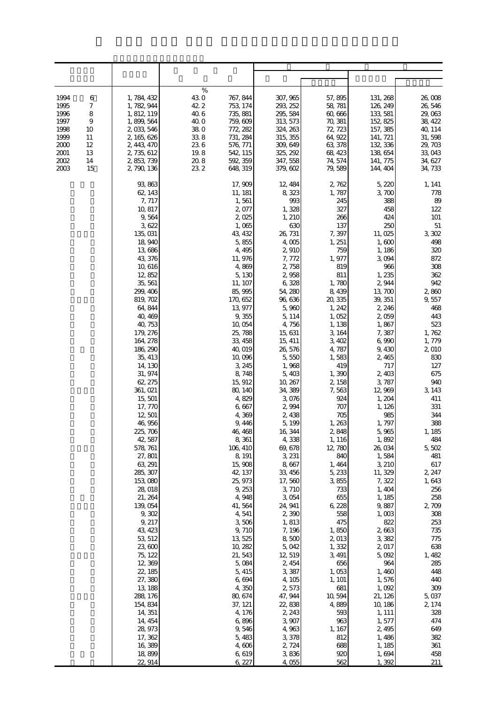| 1994<br>6<br>7<br>1995<br>1996<br>8<br>1997<br>$\overline{9}$<br>1998<br>10<br>1999<br>11<br>2000<br>12<br>2001<br>13<br>2002<br>14<br>2003<br>15 | 1, 784, 432<br>1, 782, 944<br>1, 812, 119<br>1, 899, 564<br>2,033,546<br>2, 165, 626<br>2, 443, 470<br>2, 735, 612<br>2,853,739<br>2, 790, 136                                                                                                                                                                                                                                                                                                                                                                                                                                                                                                              | %<br>43.0<br>767, 844<br>42.2<br>753, 174<br>40.6<br>735, 881<br>40. O<br>759, 609<br>38.0<br>772, 282<br>$33\;8$<br>731, 284<br>236<br>576, 771<br>19.8<br>542, 115<br>20.8<br>592, 359<br>23 2<br>648, 319                                                                                                                                                                                                                                                                                                                                                                                         | 307, 965<br>293, 252<br>295, 584<br>313, 573<br>324, 263<br>315, 355<br>309, 649<br>325, 292<br>347, 558<br>379, 602                                                                                                                                                                                                                                                                                                                                                                                                                                                             | 57,895<br>58, 781<br>60,666<br>70, 381<br>72, 723<br>64, 922<br>63, 378<br>68, 423<br>74, 574<br>79,589                                                                                                                                                                                                                                                                                                                                                                                                       | 131, 268<br>126, 249<br>133, 581<br>152, 825<br>157, 385<br>141, 721<br>132, 336<br>138, 654<br>141, 775<br>144, 404                                                                                                                                                                                                                                                                                                                                                                                                                              | 26,008<br>26,546<br>29,063<br>38, 422<br>40, 114<br>31,598<br>29, 703<br>33,043<br>34, 627<br>34, 733                                                                                                                                                                                                                                                                                                                                                           |
|---------------------------------------------------------------------------------------------------------------------------------------------------|-------------------------------------------------------------------------------------------------------------------------------------------------------------------------------------------------------------------------------------------------------------------------------------------------------------------------------------------------------------------------------------------------------------------------------------------------------------------------------------------------------------------------------------------------------------------------------------------------------------------------------------------------------------|------------------------------------------------------------------------------------------------------------------------------------------------------------------------------------------------------------------------------------------------------------------------------------------------------------------------------------------------------------------------------------------------------------------------------------------------------------------------------------------------------------------------------------------------------------------------------------------------------|----------------------------------------------------------------------------------------------------------------------------------------------------------------------------------------------------------------------------------------------------------------------------------------------------------------------------------------------------------------------------------------------------------------------------------------------------------------------------------------------------------------------------------------------------------------------------------|---------------------------------------------------------------------------------------------------------------------------------------------------------------------------------------------------------------------------------------------------------------------------------------------------------------------------------------------------------------------------------------------------------------------------------------------------------------------------------------------------------------|---------------------------------------------------------------------------------------------------------------------------------------------------------------------------------------------------------------------------------------------------------------------------------------------------------------------------------------------------------------------------------------------------------------------------------------------------------------------------------------------------------------------------------------------------|-----------------------------------------------------------------------------------------------------------------------------------------------------------------------------------------------------------------------------------------------------------------------------------------------------------------------------------------------------------------------------------------------------------------------------------------------------------------|
|                                                                                                                                                   | 93, 863<br>62, 143<br>7, 717<br>10, 817<br>9,564<br>3,622<br>135,031<br>18,940<br>13,686<br>43, 376<br>10,616<br>12,852<br>35, 561<br>299, 406<br>819, 702<br>64, 844<br>40, 469<br>40, 753<br>179, 276<br>164, 278<br>186, 290<br>35, 413<br>14, 130<br>31, 974<br>62, 275<br>361, 021<br>15, 501<br>17, 770<br>12,501<br>46,956<br>225, 706<br>42, 587<br>578, 761<br>27,801<br>63, 291<br>285, 307<br>153,080<br>28,018<br>21, 264<br>139,054<br>9,302<br>9, 217<br>43, 423<br>53, 512<br>23,600<br>75, 122<br>12,369<br>22, 185<br>27,380<br>13, 188<br>288, 176<br>154, 834<br>14, 351<br>14, 454<br>28, 973<br>17, 362<br>16,389<br>18,899<br>22, 914 | 17, 909<br>11, 181<br>1,561<br>2,077<br>2,025<br>1,065<br>43, 432<br>5,855<br>4, 495<br>11, 976<br>4,869<br>5, 130<br>11, 107<br>85, 995<br>170, 652<br>13,977<br>9,355<br>10,054<br>25,788<br>33, 458<br>40,019<br>10,096<br>3, 245<br>8,748<br>15, 912<br>80, 140<br>4,829<br>6,667<br>4,369<br>9,446<br>46, 468<br>8,361<br>106, 410<br>8, 191<br>15,908<br>42, 137<br>25, 973<br>9, 253<br>4,948<br>41,564<br>4,541<br>3,506<br>9,710<br>13, 525<br>10, 282<br>21,543<br>5,084<br>5, 415<br>6,694<br>4,350<br>80, 674<br>37, 121<br>4,176<br>6,896<br>9,546<br>5,483<br>4,606<br>6,619<br>6, 227 | 12, 484<br>8,323<br>993<br>1,328<br>1, 210<br>630<br>26, 731<br>4,005<br>2,910<br>7,772<br>2,758<br>2,958<br>6,328<br>54, 280<br>96, 636<br>5,960<br>5, 114<br>4,756<br>15, 631<br>15, 411<br>26, 576<br>5,550<br>1,968<br>5,403<br>10, 267<br>34, 389<br>3,076<br>2,994<br>2,438<br>5, 199<br>16, 344<br>4,338<br>69, 678<br>3, 231<br>8,667<br>33, 456<br>17,560<br>3,710<br>3 054<br>24, 941<br>2,390<br>1,813<br>7,196<br>8,500<br>5,042<br>12,519<br>2, 454<br>3,387<br>4,105<br>2,573<br>47, 944<br>22,838<br>2, 243<br>3,907<br>4,963<br>3,378<br>2, 724<br>3836<br>4,055 | 2,762<br>1,787<br>245<br>327<br>266<br>137<br>7,397<br>1, 251<br>759<br>1,977<br>819<br>811<br>1,780<br>8,439<br>20, 335<br>1, 242<br>1,052<br>1, 138<br>3, 164<br>3,402<br>4,787<br>1,583<br>419<br>1,390<br>2, 158<br>7,563<br>924<br>707<br>705<br>1,263<br>2,848<br>1, 116<br>12,780<br>840<br>1,464<br>5, 233<br>3,855<br>733<br>655<br>6,228<br>558<br>475<br>1,850<br>2,013<br>1,332<br>3, 491<br>656<br>1,053<br>1, 101<br>681<br>10,594<br>4,889<br>593<br>963<br>1, 167<br>812<br>688<br>920<br>562 | 5,220<br>3,700<br>388<br>458<br>424<br>250<br>11,025<br>1,600<br>1, 186<br>3,094<br>966<br>1,235<br>2,944<br>13,700<br>39, 351<br>2, 246<br>2,059<br>1,867<br>7,387<br>6,990<br>9,430<br>2,465<br>717<br>2,403<br>3,787<br>12, 969<br>1,204<br>1, 126<br>985<br>1,797<br>5,965<br>1,892<br>26,034<br>1,584<br>3, 210<br>11, 329<br>7,322<br>1,404<br>1, 185<br>9,887<br>1,003<br>822<br>2,663<br>3,382<br>2,017<br>5,092<br>964<br>1,460<br>1,576<br>1,092<br>21, 126<br>10, 186<br>1, 111<br>1,577<br>2,495<br>1,486<br>1, 185<br>1,694<br>1,392 | 1, 141<br>778<br>89<br>122<br>101<br>$51\,$<br>3,302<br>498<br>320<br>872<br>308<br>362<br>942<br>2860<br>9,557<br>468<br>443<br>523<br>1,762<br>1,779<br>2,010<br>830<br>127<br>675<br>940<br>3, 143<br>411<br>331<br>344<br>388<br>1, 185<br>484<br>5,502<br>481<br>617<br>2, 247<br>1,643<br>256<br>258<br>2,709<br>308<br>253<br>735<br>775<br>638<br>1,482<br>285<br>448<br>440<br>309<br>5,037<br>2, 174<br>328<br>474<br>649<br>382<br>361<br>458<br>211 |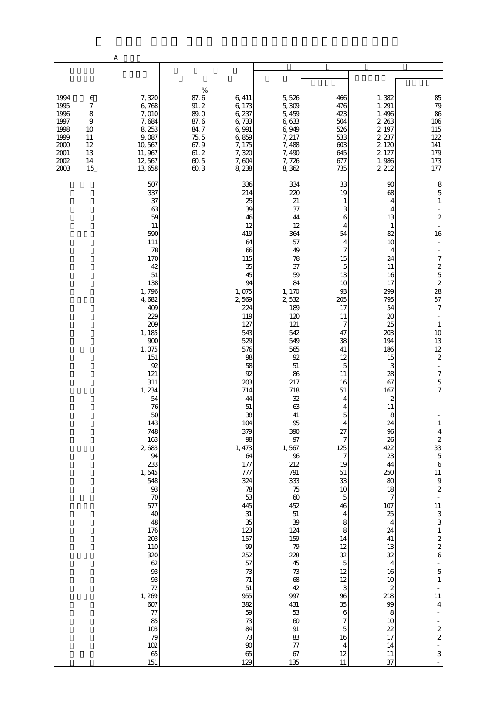|                                                                                  |                                                                                   | А                                                                                                                                                                                                                                                                                                                                                                                                                                                        |                                                                                        |                                                                                                                                                                                                                                                                                                                                                                                                                                                |                                                                                                                                                                                                                                                                                                                                                                                                                                             |                                                                                                                                                                                                                                                                                                                                                                              |                                                                                                                                                                                                                                                                                                                                                                                           |                                                                                                                                                                                                                                                                                                                                                                                                                                                                                                                                                                                                                                 |
|----------------------------------------------------------------------------------|-----------------------------------------------------------------------------------|----------------------------------------------------------------------------------------------------------------------------------------------------------------------------------------------------------------------------------------------------------------------------------------------------------------------------------------------------------------------------------------------------------------------------------------------------------|----------------------------------------------------------------------------------------|------------------------------------------------------------------------------------------------------------------------------------------------------------------------------------------------------------------------------------------------------------------------------------------------------------------------------------------------------------------------------------------------------------------------------------------------|---------------------------------------------------------------------------------------------------------------------------------------------------------------------------------------------------------------------------------------------------------------------------------------------------------------------------------------------------------------------------------------------------------------------------------------------|------------------------------------------------------------------------------------------------------------------------------------------------------------------------------------------------------------------------------------------------------------------------------------------------------------------------------------------------------------------------------|-------------------------------------------------------------------------------------------------------------------------------------------------------------------------------------------------------------------------------------------------------------------------------------------------------------------------------------------------------------------------------------------|---------------------------------------------------------------------------------------------------------------------------------------------------------------------------------------------------------------------------------------------------------------------------------------------------------------------------------------------------------------------------------------------------------------------------------------------------------------------------------------------------------------------------------------------------------------------------------------------------------------------------------|
|                                                                                  |                                                                                   |                                                                                                                                                                                                                                                                                                                                                                                                                                                          |                                                                                        |                                                                                                                                                                                                                                                                                                                                                                                                                                                |                                                                                                                                                                                                                                                                                                                                                                                                                                             |                                                                                                                                                                                                                                                                                                                                                                              |                                                                                                                                                                                                                                                                                                                                                                                           |                                                                                                                                                                                                                                                                                                                                                                                                                                                                                                                                                                                                                                 |
| 1994<br>1995<br>1996<br>1997<br>1998<br>1999<br>2000<br>2001<br>$2002\,$<br>2003 | $\,6$<br>7<br>$\,$ 8 $\,$<br>$\boldsymbol{9}$<br>10<br>11<br>12<br>13<br>14<br>15 | 7,320<br>6,768<br>7,010<br>7,684<br>8, 253<br>9,087<br>10, 567<br>11, 967<br>12, 567<br>13,658                                                                                                                                                                                                                                                                                                                                                           | $\%$<br>87.6<br>91.2<br>89.0<br>87.6<br>84.7<br>75.5<br>67.9<br>61.2<br>$60\,5$<br>603 | 6, 411<br>6,173<br>6, 237<br>6,733<br>6,991<br>6,859<br>7, 175<br>7,320<br>7,604<br>8,238                                                                                                                                                                                                                                                                                                                                                      | 5,526<br>5,309<br>5,459<br>6,633<br>6,949<br>7, 217<br>7,488<br>7,490<br>7,726<br>8,362                                                                                                                                                                                                                                                                                                                                                     | 466<br>476<br>423<br>504<br>526<br>533<br>603<br>645<br>677<br>735                                                                                                                                                                                                                                                                                                           | 1,382<br>1, 291<br>1,496<br>2, 263<br>2, 197<br>2, 237<br>2, 120<br>2, 127<br>1,986<br>2 212                                                                                                                                                                                                                                                                                              | 85<br>79<br>86<br>106<br>$115\,$<br>122<br>$141\,$<br>179<br>$17\!$<br>177                                                                                                                                                                                                                                                                                                                                                                                                                                                                                                                                                      |
|                                                                                  |                                                                                   | 507<br>337<br>37<br>63<br>59<br>11<br>590<br>111<br>78<br>170<br>42<br>$51\,$<br>138<br>1,796<br>4,682<br>409<br>229<br>209<br>1, 185<br>900<br>1,075<br>151<br>92<br>121<br>311<br>1, 234<br>54<br>76<br>50<br>143<br>748<br>163<br>2,683<br>94<br>233<br>1,645<br>548<br>$\frac{93}{70}$<br>577<br>40<br>48<br>176<br>203<br>110<br>320<br>62<br>93<br>93<br>72<br>1, 269<br>607<br>$\overline{77}$<br>85<br>103<br>$\frac{79}{102}$<br>$rac{65}{151}$ |                                                                                        | 336<br>214<br>25<br>39<br>46<br>12<br>419<br>64<br>66<br>115<br>35<br>45<br>94<br>1,075<br>2,569<br>224<br>119<br>127<br>543<br>529<br>576<br>98<br>58<br>92<br>203<br>714<br>44<br>51<br>38<br>104<br>379<br>98<br>1, 473<br>64<br>177<br>777<br>324<br>78<br>53<br>445<br>31<br>35<br>123<br>157<br>$9\hskip-2pt 9\hskip-2pt$<br>252<br>57<br>$73\,$<br>$71\,$<br>51<br>955<br>382<br>59<br>$73\,$<br>84<br>73<br>$90\,$<br>$\frac{65}{129}$ | 334<br>220<br>21<br>37<br>44<br>12<br>364<br>57<br>49<br>78<br>37<br>59<br>84<br>1, 170<br>2532<br>189<br>120<br>121<br>542<br>549<br>565<br>92<br>51<br>86<br>217<br>718<br>32<br>63<br>$41\,$<br>95<br>390<br>97<br>1,567<br>96<br>212<br>791<br>333<br>75<br>$\infty$<br>452<br>$51\,$<br>39<br>124<br>159<br>79<br>228<br>45<br>73<br>$68\,$<br>42<br>997<br>431<br>53<br>$\boldsymbol{\omega}$<br>$\, 91$<br>83<br>$77\,$<br>67<br>135 | 33<br>19<br>3<br>6<br>4<br>54<br>4<br>7<br>15<br>5<br>13<br>10<br>93<br>205<br>17<br>11<br>7<br>47<br>38<br>41<br>12<br>5<br>11<br>16<br>51<br>5<br>4<br>27<br>7<br>125<br>$\overline{7}$<br>19<br>$51\,$<br>33<br>$10$<br>$\overline{5}$<br>46<br>4<br>8<br>8<br>14<br>12<br>$\frac{32}{5}$<br>12<br>12<br>3<br>96<br>35<br>6<br>$\overline{7}$<br>5<br>16<br>4<br>12<br>11 | 90<br>68<br>4<br>13<br>1<br>82<br>10<br>4<br>24<br>11<br>16<br>17<br>299<br>795<br>54<br>20<br>25<br>203<br>194<br>186<br>15<br>3<br>28<br>67<br>167<br>2<br>11<br>8<br>24<br>96<br>26<br>422<br>23<br>44<br>250<br>80<br>18<br>7<br>107<br>25<br>$\overline{4}$<br>24<br>$41\,$<br>13<br>32<br>4<br>16<br>$10$<br>$\boldsymbol{z}$<br>218<br>99<br>8<br>10<br>22<br>17<br>14<br>11<br>37 | 8<br>$\mathbf 5$<br>$\mathbf{1}$<br>$\boldsymbol{2}$<br>16<br>$\boldsymbol{7}$<br>$\begin{array}{c} 2 \\ 5 \\ 28 \end{array}$<br>$57\,$<br>$\boldsymbol{7}$<br>$\mathbf{1}$<br>$10$<br>13<br>$12\,$<br>$\mathbf{z}$<br>÷.<br>$\boldsymbol{7}$<br>$\overline{5}$<br>$\overline{7}$<br>$\begin{array}{c} 4 \\ 2 \\ 33 \\ 5 \end{array}$<br>$\overline{6}$<br>$\begin{bmatrix} 11 \\ 9 \\ 2 \end{bmatrix}$<br>$\begin{array}{c} 11 \\ 3 \\ 3 \\ 1 \end{array}$<br>$\begin{array}{c} 2 \\ 2 \\ 6 \end{array}$<br>$\overline{5}$<br>$\,1\,$<br>11<br>$\boldsymbol{4}$<br>$\boldsymbol{z}$<br>$\overline{\mathcal{L}}$<br>$\Box$<br>3 |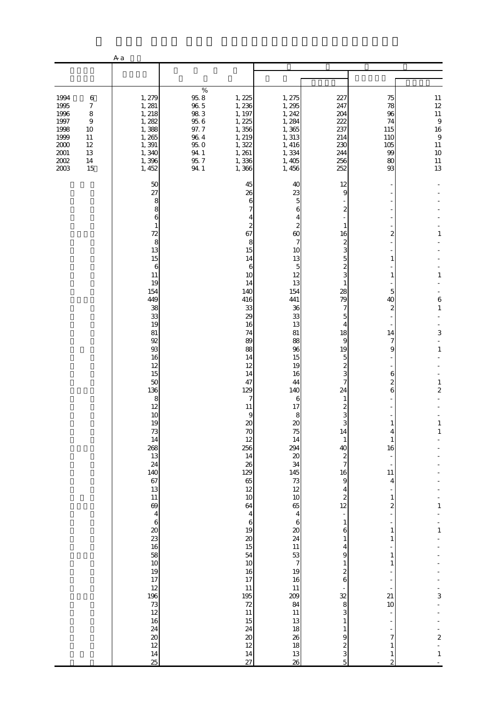|                                                                                      |                                                                                       | A a                                                                                                                                                                                                                                                                                                                                                                                                                                                           |                                                                                                  |                                                                                                                                                                                                                                                                                                                                                                                                                                          |                                                                                                                                                                                                                                                                                                                                                                                                                                               |                                                                                                                                                                                                                                                                                                                                                                                                                                                                                                |                                                                                                                                                                                                                                                                                                                |                                                                                                                                                                                              |
|--------------------------------------------------------------------------------------|---------------------------------------------------------------------------------------|---------------------------------------------------------------------------------------------------------------------------------------------------------------------------------------------------------------------------------------------------------------------------------------------------------------------------------------------------------------------------------------------------------------------------------------------------------------|--------------------------------------------------------------------------------------------------|------------------------------------------------------------------------------------------------------------------------------------------------------------------------------------------------------------------------------------------------------------------------------------------------------------------------------------------------------------------------------------------------------------------------------------------|-----------------------------------------------------------------------------------------------------------------------------------------------------------------------------------------------------------------------------------------------------------------------------------------------------------------------------------------------------------------------------------------------------------------------------------------------|------------------------------------------------------------------------------------------------------------------------------------------------------------------------------------------------------------------------------------------------------------------------------------------------------------------------------------------------------------------------------------------------------------------------------------------------------------------------------------------------|----------------------------------------------------------------------------------------------------------------------------------------------------------------------------------------------------------------------------------------------------------------------------------------------------------------|----------------------------------------------------------------------------------------------------------------------------------------------------------------------------------------------|
|                                                                                      |                                                                                       |                                                                                                                                                                                                                                                                                                                                                                                                                                                               |                                                                                                  |                                                                                                                                                                                                                                                                                                                                                                                                                                          |                                                                                                                                                                                                                                                                                                                                                                                                                                               |                                                                                                                                                                                                                                                                                                                                                                                                                                                                                                |                                                                                                                                                                                                                                                                                                                |                                                                                                                                                                                              |
| 1994<br>1995<br>1996<br>1997<br>1998<br>1999<br>2000<br>$2001\,$<br>$2002\,$<br>2003 | $\,6$<br>$\boldsymbol{7}$<br>$\,$ 8 $\,$<br>9<br>10<br>11<br>$12\,$<br>13<br>14<br>15 | 1, 279<br>1, 281<br>1, 218<br>1, 282<br>1,388<br>1,265<br>1,391<br>1,340<br>1,396<br>1, 452                                                                                                                                                                                                                                                                                                                                                                   | $\%$<br>$95.8\,$<br>$96\ 5$<br>983<br>$95\;6$<br>97.7<br>$96\ 4$<br>95.0<br>94.1<br>95.7<br>94.1 | 1, 225<br>1,236<br>1, 197<br>1, 225<br>1,356<br>1, 219<br>1,322<br>1, 261<br>1,336<br>1,366                                                                                                                                                                                                                                                                                                                                              | 1, 275<br>1, 295<br>1, 242<br>1, 284<br>1,365<br>1, 313<br>1, 416<br>1,334<br>1,405<br>1,456                                                                                                                                                                                                                                                                                                                                                  | 227<br>247<br>204<br>222<br>237<br>214<br>230<br>244<br>256<br>252                                                                                                                                                                                                                                                                                                                                                                                                                             | 75<br>78<br>96<br>74<br>115<br>110<br>105<br>99<br>80<br>93                                                                                                                                                                                                                                                    | $\begin{array}{c} 11 \\ 12 \end{array}$<br>$11\,$<br>$\overline{9}$<br>16<br>$\,9$<br>$11\,$<br>10<br>$\begin{array}{c} 11 \\ 13 \end{array}$                                                |
|                                                                                      |                                                                                       | 50<br>27<br>8<br>8<br>6<br>1<br>72<br>8<br>13<br>15<br>$\boldsymbol{6}$<br>11<br>19<br>154<br>449<br>38<br>33<br>19<br>81<br>92<br>93<br>16<br>12<br>15<br>$50\,$<br>136<br>$\,$ 8 $\,$<br>12<br>10<br>19<br>$73\,$<br>14<br>268<br>13<br>24<br>140<br>67<br>13<br>$11\,$<br>69<br>$\overline{\mathbf{4}}$<br>$\,$ 6 $\,$<br>$\infty$<br>23<br>$16\,$<br>58<br>10<br>19<br>17<br>12<br>196<br>73<br>12<br>16<br>24<br>$20\,$<br>$12 \text{ }$<br>$14\,$<br>25 |                                                                                                  | 45<br>26<br>6<br>7<br>4<br>2<br>67<br>8<br>15<br>14<br>6<br>10<br>14<br>140<br>416<br>33<br>29<br>16<br>74<br>89<br>88<br>14<br>12<br>14<br>47<br>129<br>7<br>11<br>9<br>$\infty$<br>70<br>12<br>256<br>14<br>26<br>129<br>65<br>$12 \text{ }$<br>$10$<br>64<br>$\overline{4}$<br>$\,$ 6 $\,$<br>19<br>$\boldsymbol{\chi}$<br>15<br>54<br>10<br>16<br>17<br>11<br>195<br>72<br>$11\,$<br>15<br>24<br>$20\,$<br>$12 \text{ }$<br>14<br>27 | 40<br>23<br>5<br>6<br>4<br>2<br>60<br>7<br>10<br>13<br>5<br>12<br>13<br>154<br>441<br>36<br>33<br>13<br>81<br>88<br>96<br>15<br>19<br>16<br>44<br>140<br>6<br>17<br>8<br>$\infty$<br>75<br>14<br>294<br>$\infty$<br>34<br>145<br>73<br>12<br>$10$<br>65<br>$\overline{4}$<br>$\,$ 6 $\,$<br>$\boldsymbol{\mathcal{Z}}$<br>24<br>$11\,$<br>53<br>$\boldsymbol{7}$<br>19<br>16<br>11<br>209<br>84<br>$11\,$<br>13<br>18<br>26<br>18<br>13<br>26 | 12<br>9<br>1<br>16<br>2<br>3<br>5<br>$\overline{c}$<br>3<br>1<br>28<br>79<br>7<br>5<br>4<br>18<br>9<br>19<br>5<br>2<br>3<br>7<br>24<br>1<br>2<br>3<br>3<br>14<br>$\mathbf{1}$<br>40<br>$\boldsymbol{z}$<br>$\overline{7}$<br>16<br>$\boldsymbol{9}$<br>4<br>$\overline{\mathcal{L}}$<br>12<br>$\frac{1}{2}$<br>$\mathbf{1}$<br>6<br>$\mathbf{1}$<br>4<br>9<br>$\mathbf{1}$<br>$\boldsymbol{z}$<br>6<br>32<br>8<br>3<br>$\mathbf{1}$<br>$\mathbf{1}$<br>9<br>$\overline{\mathcal{L}}$<br>3<br>5 | 2<br>1<br>1<br>5<br>40<br>$\boldsymbol{z}$<br>14<br>7<br>9<br>6<br>$\mathbf{z}$<br>6<br>1<br>1<br>16<br>$11\,$<br>4<br>$\overline{\phantom{a}}$<br>$\mathbf{1}$<br>$\overline{\mathbf{c}}$<br>$\mathbf{1}$<br>$\mathbf{1}$<br>1<br>1<br>21<br>10<br>÷<br>$\boldsymbol{7}$<br>$\mathbf{1}$<br>$\mathbf{1}$<br>2 | 1<br>$\,1\,$<br>6<br>$\mathbf{1}$<br>3<br>$\mathbf{1}$<br>$\mathbf{1}$<br>$\overline{\mathbf{c}}$<br>1<br>1<br>$\mathbf{1}$<br>$\,1\,$<br>3<br>$\boldsymbol{z}$<br>$\overline{a}$<br>$\,1\,$ |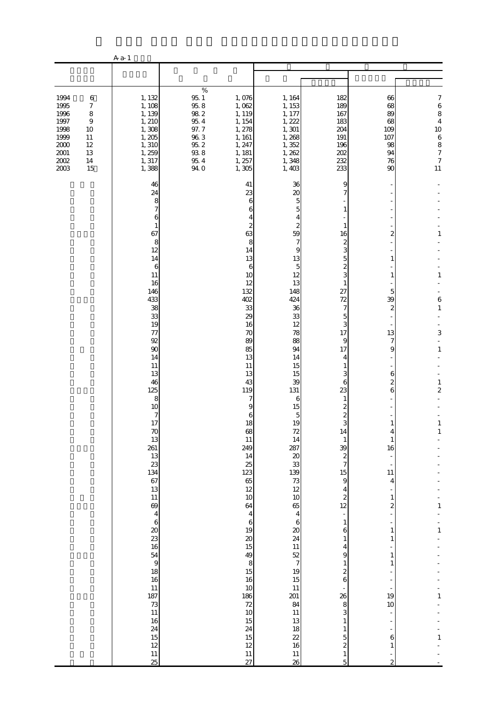|                                                                                  |                                                                                        | A a-1                                                                                                                                                                                                                                                                                                                                                                                                                                                            |                                                                                                                     |                                                                                                                                                                                                                                                                                                                                                                                                 |                                                                                                                                                                                                                                                                                                                                                                                                                                    |                                                                                                                                                                                                                                                                                                                                                                                                                                                                     |                                                                                                                                                                                                               |                                                                                                                                                             |
|----------------------------------------------------------------------------------|----------------------------------------------------------------------------------------|------------------------------------------------------------------------------------------------------------------------------------------------------------------------------------------------------------------------------------------------------------------------------------------------------------------------------------------------------------------------------------------------------------------------------------------------------------------|---------------------------------------------------------------------------------------------------------------------|-------------------------------------------------------------------------------------------------------------------------------------------------------------------------------------------------------------------------------------------------------------------------------------------------------------------------------------------------------------------------------------------------|------------------------------------------------------------------------------------------------------------------------------------------------------------------------------------------------------------------------------------------------------------------------------------------------------------------------------------------------------------------------------------------------------------------------------------|---------------------------------------------------------------------------------------------------------------------------------------------------------------------------------------------------------------------------------------------------------------------------------------------------------------------------------------------------------------------------------------------------------------------------------------------------------------------|---------------------------------------------------------------------------------------------------------------------------------------------------------------------------------------------------------------|-------------------------------------------------------------------------------------------------------------------------------------------------------------|
|                                                                                  |                                                                                        |                                                                                                                                                                                                                                                                                                                                                                                                                                                                  |                                                                                                                     |                                                                                                                                                                                                                                                                                                                                                                                                 |                                                                                                                                                                                                                                                                                                                                                                                                                                    |                                                                                                                                                                                                                                                                                                                                                                                                                                                                     |                                                                                                                                                                                                               |                                                                                                                                                             |
| 1994<br>1995<br>1996<br>1997<br>1998<br>1999<br>2000<br>2001<br>$2002\,$<br>2003 | $\,6\,$<br>$\boldsymbol{7}$<br>8<br>$\overline{9}$<br>10<br>11<br>12<br>13<br>14<br>15 | 1, 132<br>1, 108<br>1, 139<br>1, 210<br>1,308<br>1,205<br>1, 310<br>1, 259<br>1, 317<br>1,388                                                                                                                                                                                                                                                                                                                                                                    | $\%$<br>$95\,$ $1\,$<br>$95.8$<br>$98\ 2$<br>$95\ 4$<br>$97.7\,$<br>$96\ 3$<br>$95.2\,$<br>$93\ 8$<br>95.4<br>94. O | 1,076<br>1,062<br>1, 119<br>1, 154<br>1, 278<br>1, 161<br>1, 247<br>1, 181<br>1, 257<br>1,305                                                                                                                                                                                                                                                                                                   | 1, 164<br>1, 153<br>1, 177<br>1, 222<br>1, 301<br>1,268<br>1,352<br>1, 262<br>1,348<br>1,403                                                                                                                                                                                                                                                                                                                                       | 182<br>189<br>167<br>183<br>204<br>191<br>196<br>202<br>232<br>233                                                                                                                                                                                                                                                                                                                                                                                                  | 66<br>68<br>89<br>68<br>109<br>107<br>98<br>94<br>76<br>90                                                                                                                                                    | 7<br>6<br>8<br>$\overline{\mathbf{4}}$<br>10<br>$\,6$<br>8<br>$\boldsymbol{7}$<br>$\boldsymbol{7}$<br>11                                                    |
|                                                                                  |                                                                                        | 46<br>24<br>8<br>7<br>6<br>1<br>67<br>8<br>12<br>14<br>6<br>11<br>16<br>146<br>433<br>38<br>33<br>19<br>77<br>92<br>90<br>14<br>11<br>13<br>46<br>125<br>8<br>10<br>$\boldsymbol{7}$<br>17<br>70<br>13<br>261<br>13<br>23<br>134<br>67<br>13<br>$11\,$<br>69<br>$\overline{\mathbf{4}}$<br>$\,$ 6 $\,$<br>$\boldsymbol{\chi}$<br>23<br>16<br>$\begin{array}{c} 54 \\ 9 \end{array}$<br>18<br>16<br>11<br>187<br>73<br>11<br>16<br>24<br>15<br>12<br>$11\,$<br>25 |                                                                                                                     | 41<br>23<br>6<br>6<br>2<br>63<br>8<br>14<br>13<br>6<br>10<br>12<br>132<br>402<br>33<br>29<br>16<br>70<br>89<br>85<br>13<br>11<br>13<br>43<br>119<br>7<br>9<br>6<br>18<br>68<br>$11\,$<br>249<br>14<br>25<br>123<br>65<br>$12\,$<br>10<br>64<br>$\overline{4}$<br>$\boldsymbol{6}$<br>19<br>$20\,$<br>15<br>49<br>8<br>15<br>16<br>10<br>186<br>72<br>10<br>15<br>24<br>15<br>12<br>$11\,$<br>27 | 36<br>20<br>5<br>5<br>4<br>2<br>59<br>7<br>9<br>13<br>5<br>12<br>13<br>148<br>424<br>36<br>33<br>12<br>78<br>88<br>94<br>14<br>15<br>15<br>39<br>131<br>6<br>15<br>5<br>19<br>72<br>14<br>287<br>$\infty$<br>33<br>139<br>73<br>12<br>10<br>65<br>$\overline{\mathbf{4}}$<br>$\,6\,$<br>$\pmb{\mathcal{Z}}$<br>24<br>11<br>$\frac{52}{7}$<br>19<br>$15\,$<br>$11\,$<br>201<br>84<br>$11\,$<br>13<br>18<br>22<br>16<br>$11\,$<br>26 | 9<br>1<br>1<br>16<br>2<br>3<br>5<br>3<br>1<br>27<br>72<br>7<br>5<br>3<br>17<br>9<br>17<br>4<br>1<br>З<br>6<br>23<br>1<br>2<br>Q<br>14<br>$\mathbf{1}$<br>39<br>$\boldsymbol{z}$<br>$\boldsymbol{7}$<br>$15\,$<br>$\,9$<br>4<br>$\boldsymbol{z}$<br>12<br>$\overline{\phantom{a}}$<br>$1\,$<br>$\boldsymbol{6}$<br>$\mathbf{1}$<br>4<br>9<br>$\mathbf{1}$<br>$\boldsymbol{z}$<br>$\boldsymbol{6}$<br>26<br>8<br>3<br>1<br>1<br>5<br>$\boldsymbol{z}$<br>$\,1\,$<br>5 | 2<br>1<br>1<br>5<br>39<br>$\mathbf{z}$<br>13<br>7<br>9<br>6<br>2<br>6<br>1<br>16<br>$11\,$<br>4<br>$\mathbf{1}$<br>2<br>1<br>$\mathbf{1}$<br>1<br>1<br>19<br>$10$<br>$\overline{a}$<br>6<br>$\mathbf{1}$<br>2 | 1<br>$\mathbf{1}$<br>6<br>$\,1\,$<br>3<br>$\mathbf{1}$<br>$\mathbf{1}$<br>$\overline{\mathbf{c}}$<br>$\mathbf{1}$<br>1<br>1<br>$\mathbf{1}$<br>$\mathbf{1}$ |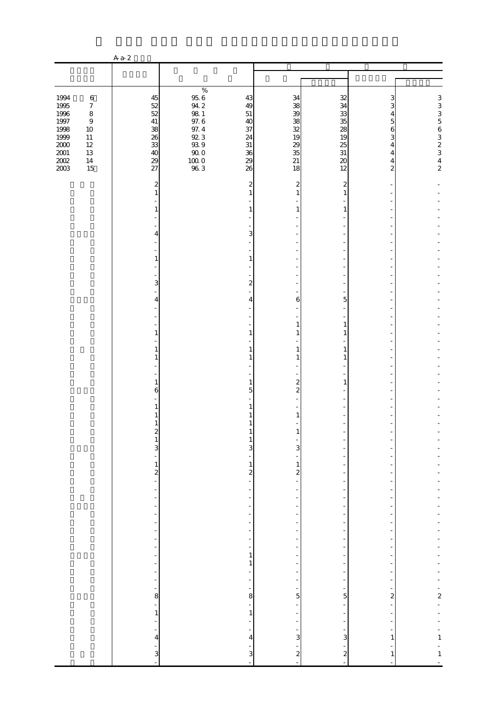|                                                              |                                                                                          | $Aa-2$                                                              |                                                                                                           |                                                                |                                            |                                            |                                 |                                               |  |  |
|--------------------------------------------------------------|------------------------------------------------------------------------------------------|---------------------------------------------------------------------|-----------------------------------------------------------------------------------------------------------|----------------------------------------------------------------|--------------------------------------------|--------------------------------------------|---------------------------------|-----------------------------------------------|--|--|
|                                                              |                                                                                          |                                                                     |                                                                                                           |                                                                |                                            |                                            |                                 |                                               |  |  |
|                                                              |                                                                                          |                                                                     |                                                                                                           |                                                                |                                            |                                            |                                 |                                               |  |  |
| 1994<br>1995<br>1996<br>$1997\,$<br>1998<br>1999<br>$2000\,$ | $\,6\,$<br>$\boldsymbol{7}$<br>$\,8\,$<br>$\boldsymbol{9}$<br>$10\,$<br>$11\,$<br>$12\,$ | 45<br>52<br>52<br>$41\,$<br>38<br>26<br>33                          | $\%$<br>$\begin{array}{c} 95.6 \\ 94.2 \end{array}$<br>$98\ 1$<br>$97.6\,$<br>$97.4\,$<br>92 3<br>$93\ 9$ | 43<br>49<br>$51\,$<br>40<br>37<br>24<br>$31\,$                 | 34<br>38<br>39<br>38<br>32<br>19<br>29     | 32<br>34<br>33<br>35<br>28<br>19<br>25     | 3<br>3<br>4<br>5<br>6<br>3<br>4 | 3335632342                                    |  |  |
| $2001\,$<br>$200\!$<br>2003                                  | $13\,$<br>$14\,$<br>15                                                                   | 40<br>29<br>27                                                      | $90\;0$<br>$\frac{10000}{963}$                                                                            | 36<br>29<br>26                                                 | 35<br>21<br>18                             | $31\,$<br>$\boldsymbol{\mathsf{20}}$<br>12 | 4<br>4<br>$\overline{a}$        |                                               |  |  |
|                                                              |                                                                                          | $\overline{\mathbf{c}}$<br>$\mathbf{1}$<br>1                        |                                                                                                           | 2<br>1<br>1                                                    | $\overline{c}$<br>$\mathbf{1}$<br>1        | 2<br>1<br>1                                |                                 |                                               |  |  |
|                                                              |                                                                                          | 4                                                                   |                                                                                                           | 3                                                              |                                            |                                            |                                 |                                               |  |  |
|                                                              |                                                                                          | 1                                                                   |                                                                                                           | 1                                                              |                                            |                                            |                                 |                                               |  |  |
|                                                              |                                                                                          | 3<br>4                                                              |                                                                                                           | $\boldsymbol{z}$<br>4                                          | 6                                          | 5                                          |                                 |                                               |  |  |
|                                                              |                                                                                          | 1                                                                   |                                                                                                           | 1                                                              | $\mathbf{1}$                               | $\mathbf{1}$<br>1                          |                                 |                                               |  |  |
|                                                              |                                                                                          | 1<br>1                                                              |                                                                                                           | -1                                                             | 1<br>1                                     | 1<br>1                                     |                                 |                                               |  |  |
|                                                              |                                                                                          | 1<br>6                                                              |                                                                                                           | 1<br>5                                                         | $\boldsymbol{z}$<br>$\overline{2}$         | 1                                          |                                 |                                               |  |  |
|                                                              |                                                                                          | 1                                                                   |                                                                                                           |                                                                | 1                                          |                                            |                                 |                                               |  |  |
|                                                              |                                                                                          | z<br>$\,$ 1 $\,$<br>3<br>۳                                          |                                                                                                           | $\mathbf{1}$<br>3                                              | 3                                          |                                            |                                 |                                               |  |  |
|                                                              |                                                                                          | $\frac{1}{2}$                                                       |                                                                                                           | $\mathbf{1}$<br>$\boldsymbol{z}$                               | $\mathbf{1}$<br>$\mathbf{z}$               |                                            |                                 |                                               |  |  |
|                                                              |                                                                                          | $\blacksquare$<br>÷,<br>-<br>$\frac{1}{2}$                          |                                                                                                           | ÷<br>-<br>÷                                                    | $\overline{\phantom{m}}$                   | ÷<br>-<br>$\overline{a}$                   |                                 |                                               |  |  |
|                                                              |                                                                                          | $\frac{1}{2}$<br>÷,<br>$\frac{1}{2}$<br>$\frac{1}{2}$               |                                                                                                           | $\overline{\phantom{0}}$<br>÷<br>$\overline{\phantom{0}}$<br>- |                                            | $\overline{a}$                             |                                 |                                               |  |  |
|                                                              |                                                                                          | $\qquad \qquad \blacksquare$<br>$\frac{1}{2}$<br>÷<br>$\frac{1}{2}$ |                                                                                                           | 1<br>$\mathbf{1}$<br>÷<br>$\frac{1}{2}$                        | $\frac{1}{2}$                              | $\frac{1}{2}$<br>$\overline{\phantom{m}}$  |                                 |                                               |  |  |
|                                                              |                                                                                          | ÷<br>8<br>÷                                                         |                                                                                                           | 8<br>$\overline{\phantom{a}}$                                  | 5                                          | 5<br>$\blacksquare$                        | $\overline{\mathbf{c}}$         | $\frac{1}{2}$                                 |  |  |
|                                                              |                                                                                          | $\,1$<br>$\overline{a}$<br>$\frac{1}{2}$<br>$\overline{\mathbf{r}}$ |                                                                                                           | $\mathbf{1}$<br>$\overline{4}$                                 | 3                                          | 3                                          | 1                               | $\begin{array}{c} -1 \\ -1 \\ -1 \end{array}$ |  |  |
|                                                              |                                                                                          | 3<br>$\overline{\phantom{a}}$                                       |                                                                                                           | 3                                                              | $\overline{\mathcal{L}}$<br>$\overline{a}$ | $\overline{\mathcal{L}}$                   | 1                               |                                               |  |  |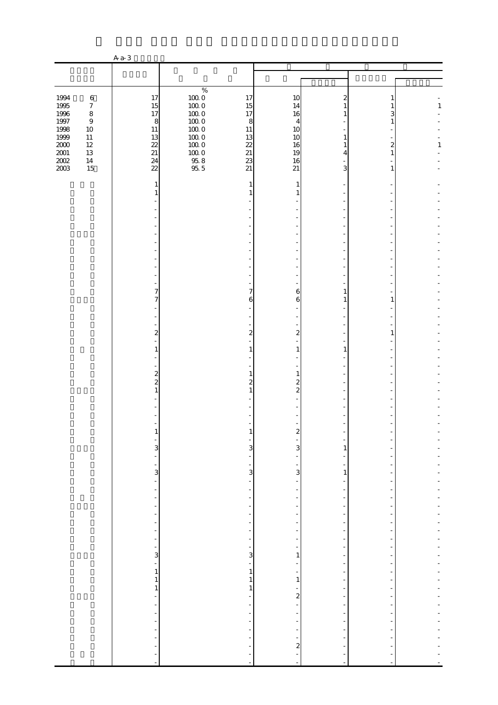|                                                  |                                               | $Aa-3$                                                          |                                                          |                                                                                  |                                                |                                                                        |                                |              |
|--------------------------------------------------|-----------------------------------------------|-----------------------------------------------------------------|----------------------------------------------------------|----------------------------------------------------------------------------------|------------------------------------------------|------------------------------------------------------------------------|--------------------------------|--------------|
|                                                  |                                               |                                                                 |                                                          |                                                                                  |                                                |                                                                        |                                |              |
|                                                  |                                               |                                                                 |                                                          |                                                                                  |                                                |                                                                        |                                |              |
| 1994<br>1995<br>1996                             | $\,6\,$<br>$\boldsymbol{7}$<br>$\,8\,$        | 17<br>15<br>17                                                  | $\%$<br>$100\;0$<br>$100\;0$<br>$100\;0$                 | 17<br>15<br>17                                                                   | 10<br>14<br>16                                 | 2<br>1<br>1                                                            | 3                              | $\mathbf{1}$ |
| $1997\,$<br>1998<br>1999<br>$2000\,$<br>$2001\,$ | $\,9$<br>$10\,$<br>$11\,$<br>$12\,$<br>$13\,$ | $\boldsymbol{8}$<br>$11\,$<br>13<br>22<br>$21\,$                | $100\;0$<br>$100\;0$<br>$100\;0$<br>$100\;0$<br>$100\;0$ | 8<br>$11\,$<br>13<br>22<br>$21\,$                                                | $\overline{4}$<br>10<br>10<br>16<br>19         | 1<br>1<br>4                                                            | 1<br>2<br>1                    | 1            |
| $200\!$<br>2003                                  | $14\,$<br>15                                  | 24<br>$\overline{22}$                                           | $\frac{95.8}{95.5}$                                      | 23<br>21                                                                         | 16<br>21                                       | 3                                                                      | 1                              |              |
|                                                  |                                               | 1<br>1                                                          |                                                          | 1<br>-1                                                                          | 1<br>1                                         |                                                                        |                                |              |
|                                                  |                                               |                                                                 |                                                          |                                                                                  |                                                |                                                                        |                                |              |
|                                                  |                                               |                                                                 |                                                          |                                                                                  |                                                |                                                                        |                                |              |
|                                                  |                                               |                                                                 |                                                          |                                                                                  |                                                |                                                                        |                                |              |
|                                                  |                                               | 7<br>7                                                          |                                                          | 7<br>6                                                                           | 6<br>6                                         | 1<br>1                                                                 | 1                              |              |
|                                                  |                                               |                                                                 |                                                          |                                                                                  |                                                |                                                                        |                                |              |
|                                                  |                                               | $\overline{\mathcal{L}}$<br>1                                   |                                                          | $\boldsymbol{z}$<br>1                                                            | $\overline{\mathcal{Z}}$<br>1                  | 1                                                                      | 1                              |              |
|                                                  |                                               | $\frac{2}{2}$                                                   |                                                          | 1<br>2                                                                           | 1<br>$\boldsymbol{z}$                          |                                                                        |                                |              |
|                                                  |                                               | 1                                                               |                                                          | 1                                                                                | $\overline{2}$                                 |                                                                        |                                |              |
|                                                  |                                               |                                                                 |                                                          | 1                                                                                | z                                              |                                                                        |                                |              |
|                                                  |                                               | 3<br>$\frac{1}{2}$                                              |                                                          | $\overline{3}$<br>-                                                              | 3                                              | 1                                                                      |                                |              |
|                                                  |                                               | $\frac{1}{\sqrt{2}}$<br>3<br>÷,                                 |                                                          | -<br>3<br>÷                                                                      | -<br>3<br>÷                                    | $\mathbf{1}$<br>$\overline{a}$                                         |                                |              |
|                                                  |                                               | $\blacksquare$<br>$\frac{1}{2}$<br>$\qquad \qquad \blacksquare$ |                                                          | $\overline{\phantom{a}}$<br>-                                                    | $\overline{\phantom{0}}$<br>-                  | $\overline{\phantom{a}}$<br>-                                          | $\overline{\phantom{m}}$       |              |
|                                                  |                                               | $\frac{1}{2}$<br>$\overline{\phantom{m}}$<br>$\frac{1}{2}$      |                                                          | $\overline{\phantom{a}}$<br>$\overline{\phantom{a}}$<br>$\overline{\phantom{m}}$ | -<br>-                                         | $\overline{\phantom{a}}$<br>$\overline{a}$<br>$\overline{a}$           | $\overline{\phantom{m}}$       |              |
|                                                  |                                               | $\overline{\phantom{a}}$<br>÷<br>3                              |                                                          | $\overline{\phantom{a}}$<br>$\overline{\phantom{a}}$<br>3                        | $\frac{1}{2}$<br>$\overline{\phantom{0}}$<br>1 | $\overline{\phantom{0}}$<br>$\overline{\phantom{m}}$<br>$\overline{a}$ |                                |              |
|                                                  |                                               | ÷,<br>$\,1$<br>$\,1$                                            |                                                          | $\frac{1}{\sqrt{2}}$<br>$\,1$<br>$\,1\,$                                         | -<br>$\frac{1}{\sqrt{2}}$<br>$\,1\,$           | $\frac{1}{2}$<br>$\overline{\phantom{m}}$<br>$\overline{\phantom{m}}$  | $\overline{\phantom{m}}$<br>÷, |              |
|                                                  |                                               | $1\,$<br>$\qquad \qquad \blacksquare$<br>$\frac{1}{2}$          |                                                          | $\mathbf{1}$<br>-<br>$\overline{\phantom{a}}$                                    | $\overline{a}$<br>÷                            | -<br>$\overline{\phantom{0}}$<br>$\frac{1}{2}$                         |                                |              |
|                                                  |                                               | ÷,<br>$\overline{\phantom{0}}$<br>$\frac{1}{2}$                 |                                                          | $\overline{\phantom{0}}$<br>$\overline{\phantom{a}}$                             | -                                              | $\overline{a}$<br>$\overline{\phantom{a}}$                             |                                |              |
|                                                  |                                               | $\qquad \qquad \blacksquare$<br>÷<br>ł,<br>$\blacksquare$       |                                                          | $\bar{a}$                                                                        | $\overline{\mathcal{L}}$<br>÷<br>÷,            |                                                                        |                                |              |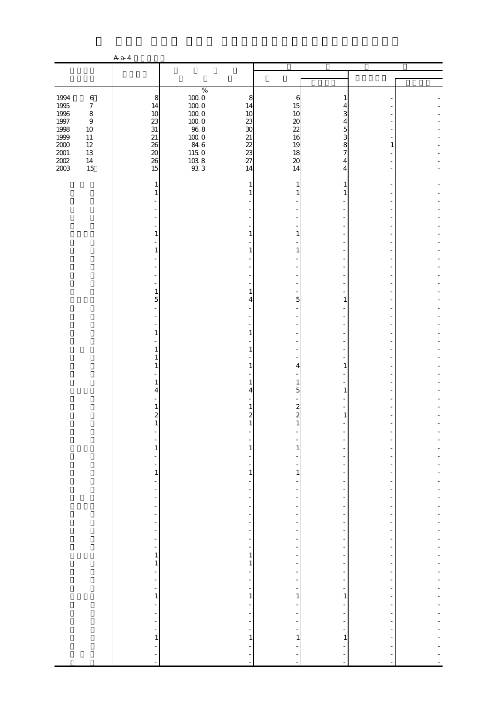|                     |                             | $A$ a-4                                   |                                              |                                                      |                                              |                                            |                          |  |
|---------------------|-----------------------------|-------------------------------------------|----------------------------------------------|------------------------------------------------------|----------------------------------------------|--------------------------------------------|--------------------------|--|
|                     |                             |                                           |                                              |                                                      |                                              |                                            |                          |  |
|                     |                             |                                           |                                              |                                                      |                                              |                                            |                          |  |
| 1994                | $\,6\,$                     | 8                                         | $\%$<br>$100\;0$                             | 8                                                    | 6                                            | 1                                          |                          |  |
| 1995                | $\boldsymbol{7}$            | 14                                        | $100\;0$                                     | 14                                                   | 15                                           | 4                                          |                          |  |
| 1996<br>$1997\,$    | $\,8\,$<br>$\boldsymbol{9}$ | 10<br>23                                  | $100\;0$<br>$100\;0$                         | 10<br>23                                             | 10<br>20                                     | 3<br>4                                     |                          |  |
| 1998                | $10\,$                      | $31\,$                                    | $96\;8$                                      | $\infty$                                             | 22                                           | 5                                          |                          |  |
| 1999                | $11\,$                      | 21                                        | $\begin{array}{c} 100.0 \\ 84.6 \end{array}$ | 21                                                   | 16                                           | 3                                          |                          |  |
| $2000\,$            | $12\,$                      | <b>26</b>                                 |                                              | 22                                                   | 19                                           | 8                                          | 1                        |  |
| $\frac{2001}{2002}$ | $13\,$<br>$14\,$            | $20\,$<br>26                              | $115\;0$                                     | 23<br>27                                             | 18<br>$20\,$                                 | 7<br>4                                     |                          |  |
| 2003                | 15                          | 15                                        | $\frac{103.8}{93.3}$                         | 14                                                   | 14                                           | 4                                          |                          |  |
|                     |                             |                                           |                                              |                                                      |                                              |                                            |                          |  |
|                     |                             | 1<br>1                                    |                                              | 1<br>-1                                              | 1<br>1                                       | 1<br>1                                     |                          |  |
|                     |                             |                                           |                                              |                                                      |                                              |                                            |                          |  |
|                     |                             |                                           |                                              |                                                      |                                              |                                            |                          |  |
|                     |                             |                                           |                                              |                                                      |                                              |                                            |                          |  |
|                     |                             | $\mathbf{1}$                              |                                              | 1                                                    | 1                                            |                                            |                          |  |
|                     |                             |                                           |                                              |                                                      |                                              |                                            |                          |  |
|                     |                             | $\mathbf{1}$                              |                                              | 1                                                    | $\mathbf{1}$                                 |                                            |                          |  |
|                     |                             |                                           |                                              |                                                      |                                              |                                            |                          |  |
|                     |                             |                                           |                                              |                                                      |                                              |                                            |                          |  |
|                     |                             |                                           |                                              |                                                      |                                              |                                            |                          |  |
|                     |                             | 1<br>5                                    |                                              | 1<br>4                                               | 5                                            | 1                                          |                          |  |
|                     |                             |                                           |                                              |                                                      |                                              |                                            |                          |  |
|                     |                             |                                           |                                              |                                                      |                                              |                                            |                          |  |
|                     |                             |                                           |                                              |                                                      |                                              |                                            |                          |  |
|                     |                             | 1                                         |                                              | 1                                                    |                                              |                                            |                          |  |
|                     |                             | 1                                         |                                              | 1                                                    |                                              |                                            |                          |  |
|                     |                             | 1                                         |                                              |                                                      |                                              |                                            |                          |  |
|                     |                             | 1                                         |                                              | 1                                                    | 4                                            | $\mathbf{1}$                               |                          |  |
|                     |                             | 1                                         |                                              | 1                                                    | 1                                            |                                            |                          |  |
|                     |                             | 4                                         |                                              | 4                                                    | 5                                            | 1                                          |                          |  |
|                     |                             |                                           |                                              |                                                      |                                              |                                            |                          |  |
|                     |                             | 1<br>$\overline{\mathcal{Z}}$             |                                              | $\mathbf{z}$                                         | $\boldsymbol{z}$<br>$\overline{\mathcal{Z}}$ | 1                                          |                          |  |
|                     |                             | $\mathbf{1}$                              |                                              |                                                      |                                              |                                            |                          |  |
|                     |                             |                                           |                                              |                                                      |                                              |                                            |                          |  |
|                     |                             | $\mathbf{1}$                              |                                              | 1                                                    | 1                                            |                                            |                          |  |
|                     |                             |                                           |                                              |                                                      |                                              |                                            |                          |  |
|                     |                             | $\frac{1}{2}$                             |                                              | $\overline{\phantom{0}}$                             |                                              |                                            |                          |  |
|                     |                             | $\,1\,$<br>÷,                             |                                              | $\mathbf{1}$<br>$\overline{\phantom{0}}$             | $\mathbf{1}$                                 | ÷<br>$\overline{a}$                        |                          |  |
|                     |                             | $\frac{1}{2}$                             |                                              | $\overline{\phantom{a}}$                             | $\overline{\phantom{m}}$                     | $\overline{\phantom{a}}$                   | $\overline{\phantom{m}}$ |  |
|                     |                             | ÷,                                        |                                              |                                                      |                                              |                                            |                          |  |
|                     |                             | -                                         |                                              | -                                                    | -                                            | $\overline{a}$                             |                          |  |
|                     |                             | $\frac{1}{2}$<br>$\overline{\phantom{m}}$ |                                              | $\overline{\phantom{a}}$<br>$\overline{\phantom{0}}$ | $\overline{\phantom{0}}$                     | $\frac{1}{2}$<br>$\overline{a}$            | $\overline{\phantom{m}}$ |  |
|                     |                             | ÷,                                        |                                              | $\frac{1}{2}$                                        |                                              | $\overline{a}$                             |                          |  |
|                     |                             | $\frac{1}{2}$                             |                                              | $\overline{\phantom{a}}$                             | $\frac{1}{2}$                                | $\overline{\phantom{0}}$                   |                          |  |
|                     |                             | $\overline{\phantom{a}}$<br>1             |                                              | $\overline{\phantom{a}}$<br>$\mathbf{1}$             | $\overline{\phantom{0}}$                     | $\overline{\phantom{a}}$<br>٠              |                          |  |
|                     |                             | $\mathbf{1}$                              |                                              | $\mathbf{1}$                                         | -                                            | -                                          |                          |  |
|                     |                             | $\frac{1}{2}$                             |                                              | -                                                    | -                                            | $\overline{\phantom{m}}$                   | $\overline{\phantom{m}}$ |  |
|                     |                             | $\frac{1}{2}$<br>$\frac{1}{2}$            |                                              | $\overline{\phantom{a}}$<br>÷                        | $\overline{\phantom{m}}$                     | $\overline{\phantom{m}}$                   | ÷,                       |  |
|                     |                             | $\mathbf{1}$                              |                                              | $\mathbf{1}$                                         | 1                                            | -<br>1                                     |                          |  |
|                     |                             | $\overline{\phantom{0}}$                  |                                              | $\overline{\phantom{a}}$                             | $\qquad \qquad \blacksquare$                 | $\overline{\phantom{m}}$                   | ٠                        |  |
|                     |                             | ÷,                                        |                                              |                                                      |                                              |                                            |                          |  |
|                     |                             | $\frac{1}{2}$<br>$\overline{\phantom{0}}$ |                                              | ÷<br>$\overline{\phantom{a}}$                        | ۰                                            | $\overline{\phantom{m}}$<br>$\overline{a}$ |                          |  |
|                     |                             | $\mathbf{1}$                              |                                              | $\mathbf{1}$                                         | 1                                            | $\mathbf{1}$                               |                          |  |
|                     |                             | ÷,                                        |                                              |                                                      |                                              |                                            |                          |  |
|                     |                             | ÷<br>$\overline{\phantom{a}}$             |                                              | $\bar{a}$                                            | ÷,<br>÷,                                     |                                            |                          |  |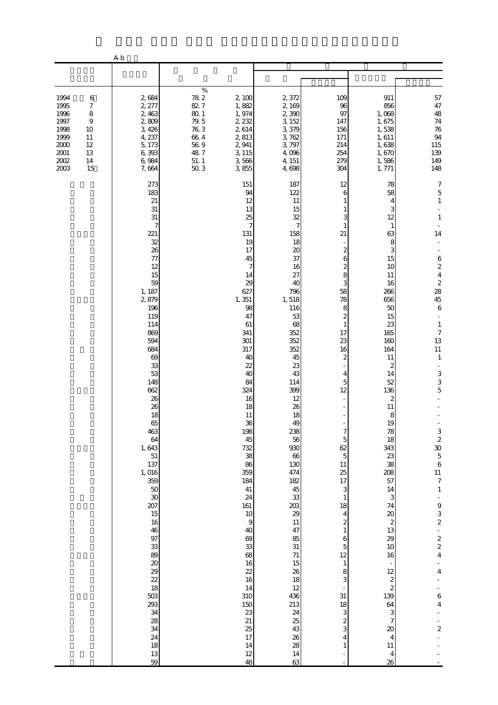|                                                                                                                                                                                      | ${\bf A}$ b                                                                                                                                                                                                                                                                                                                                                                                                     |                                                                                                          |                                                                                                                                                                                                                                                                                                                                                                                          |                                                                                                                                                                                                                                                                                                                                                                                                                          |                                                                                                                                                                                                                                                                                                                                                                                                                               |                                                                                                                                                                                                                                                                                                                                                                                                                       |                                                                                                                                                                                                                                                                                                                                                                                                                                                      |
|--------------------------------------------------------------------------------------------------------------------------------------------------------------------------------------|-----------------------------------------------------------------------------------------------------------------------------------------------------------------------------------------------------------------------------------------------------------------------------------------------------------------------------------------------------------------------------------------------------------------|----------------------------------------------------------------------------------------------------------|------------------------------------------------------------------------------------------------------------------------------------------------------------------------------------------------------------------------------------------------------------------------------------------------------------------------------------------------------------------------------------------|--------------------------------------------------------------------------------------------------------------------------------------------------------------------------------------------------------------------------------------------------------------------------------------------------------------------------------------------------------------------------------------------------------------------------|-------------------------------------------------------------------------------------------------------------------------------------------------------------------------------------------------------------------------------------------------------------------------------------------------------------------------------------------------------------------------------------------------------------------------------|-----------------------------------------------------------------------------------------------------------------------------------------------------------------------------------------------------------------------------------------------------------------------------------------------------------------------------------------------------------------------------------------------------------------------|------------------------------------------------------------------------------------------------------------------------------------------------------------------------------------------------------------------------------------------------------------------------------------------------------------------------------------------------------------------------------------------------------------------------------------------------------|
|                                                                                                                                                                                      |                                                                                                                                                                                                                                                                                                                                                                                                                 |                                                                                                          |                                                                                                                                                                                                                                                                                                                                                                                          |                                                                                                                                                                                                                                                                                                                                                                                                                          |                                                                                                                                                                                                                                                                                                                                                                                                                               |                                                                                                                                                                                                                                                                                                                                                                                                                       |                                                                                                                                                                                                                                                                                                                                                                                                                                                      |
| 1994<br>$\,6$<br>1995<br>$\boldsymbol{7}$<br>1996<br>$\,$ 8 $\,$<br>1997<br>$\boldsymbol{9}$<br>1998<br>10<br>1999<br>11<br>2000<br>12<br>$2001\,$<br>13<br>2002<br>14<br>2003<br>15 | 2,684<br>2, 277<br>2,463<br>2,809<br>3,426<br>4, 237<br>5, 173<br>6,393<br>6,984<br>7,664                                                                                                                                                                                                                                                                                                                       | $\%$<br>$78\ 2$<br>82.7<br>$80\,$ $1\,$<br>$79.5$<br>$76.3$<br>$66\ 4$<br>$56\ 9$<br>48.7<br>51.1<br>503 | 2,100<br>1,882<br>1,974<br>2, 232<br>2,614<br>2,813<br>2,941<br>3, 115<br>3,566<br>3,855                                                                                                                                                                                                                                                                                                 | 2,372<br>2,169<br>2,390<br>3, 152<br>3,379<br>3,762<br>3,797<br>4,096<br>4, 151<br>4,698                                                                                                                                                                                                                                                                                                                                 | 109<br>96<br>97<br>147<br>156<br>171<br>214<br>254<br>279<br>304                                                                                                                                                                                                                                                                                                                                                              | 911<br>856<br>1,068<br>1,675<br>1,538<br>1,611<br>1,638<br>1,670<br>1,586<br>1, 771                                                                                                                                                                                                                                                                                                                                   | 57<br>47<br>48<br>$74\,$<br>76<br>94<br>115<br>139<br>149<br>148                                                                                                                                                                                                                                                                                                                                                                                     |
|                                                                                                                                                                                      | 273<br>183<br>21<br>31<br>31<br>7<br>221<br>32<br>26<br>77<br>12<br>15<br>59<br>1, 187<br>2,879<br>196<br>119<br>114<br>869<br>594<br>684<br>69<br>33<br>53<br>148<br>662<br>26<br>26<br>18<br>65<br>463<br>64<br>1,643<br>51<br>137<br>1, 016<br>359<br>50<br>30<br>207<br>15<br>16<br>46<br>97<br>33<br>89<br>$\infty$<br>29<br>$\overline{22}$<br>18<br>503<br>293<br>34<br>28<br>34<br>24<br>18<br>13<br>59 |                                                                                                          | 151<br>94<br>12<br>13<br>25<br>7<br>131<br>19<br>17<br>45<br>7<br>14<br>29<br>627<br>1,351<br>98<br>47<br>61<br>341<br>301<br>317<br>40<br>22<br>40<br>84<br>324<br>16<br>18<br>11<br>36<br>198<br>45<br>732<br>38<br>86<br>359<br>184<br>41<br>24<br>161<br>10<br>$\,9$<br>40<br>69<br>33<br>68<br>16<br>22<br>16<br>14<br>310<br>150<br>23<br>21<br>25<br>$17\,$<br>14<br>$12\,$<br>48 | 187<br>122<br>11<br>15<br>32<br>$\overline{7}$<br>158<br>18<br>$\boldsymbol{\chi}$<br>37<br>16<br>27<br>40<br>796<br>1,518<br>116<br>53<br>68<br>352<br>352<br>352<br>45<br>23<br>43<br>114<br>399<br>12<br>26<br>18<br>49<br>238<br>56<br>930<br>66<br>130<br>474<br>182<br>45<br>33<br>203<br>29<br>$11\,$<br>47<br>85<br>$31\,$<br>71<br>15<br>26<br>18<br>12<br>436<br>213<br>24<br>25<br>43<br>26<br>28<br>14<br>63 | 12<br>6<br>3<br>1<br>21<br>$\overline{\mathcal{Z}}$<br>6<br>$\boldsymbol{z}$<br>8<br>3<br>58<br>78<br>8<br>$\boldsymbol{z}$<br>$\mathbf{1}$<br>17<br>23<br>16<br>2<br>4<br>5<br>12<br>7<br>5<br>62<br>$\overline{5}$<br>11<br>25<br>17<br>3<br>$\mathbf{1}$<br>18<br>4<br>$\boldsymbol{z}$<br>$\mathbf{1}$<br>6<br>$\overline{5}$<br>12<br>$\mathbf{1}$<br>8<br>3<br>31<br>18<br>3<br>$\overline{\mathcal{Z}}$<br>3<br>4<br>1 | 78<br>58<br>4<br>З<br>12<br>$\mathbf{1}$<br>63<br>8<br>3<br>15<br>10<br>11<br>16<br>266<br>656<br>50<br>15<br>23<br>165<br>160<br>164<br>11<br>2<br>14<br>52<br>136<br>2<br>11<br>8<br>19<br>78<br>18<br>343<br>23<br>38<br>208<br>57<br>14<br>3<br>74<br>20<br>$\boldsymbol{z}$<br>13<br>29<br>10<br>16<br>12<br>$\boldsymbol{z}$<br>$\overline{\mathcal{L}}$<br>139<br>64<br>3<br>7<br>20<br>4<br>$11\,$<br>4<br>26 | $\boldsymbol{7}$<br>$\overline{5}$<br>$\,1\,$<br>$\mathbf{1}$<br>14<br>6242856<br>$\mathbf{1}$<br>$\boldsymbol{7}$<br>13<br>$11\,$<br>$\mathbf{1}$<br>$\blacksquare$<br>3<br>3<br>5<br>$\begin{array}{c} 3 \\ 2 \\ 30 \\ 5 \end{array}$<br>$\boldsymbol{6}$<br>11<br>$\boldsymbol{7}$<br>$\,1\,$<br>$\begin{array}{c} 9 \\ 3 \\ 2 \end{array}$<br>$\begin{array}{c}\n2 \\ 2 \\ 4\n\end{array}$<br>$\overline{4}$<br>6<br>$\bf 4$<br>$\boldsymbol{2}$ |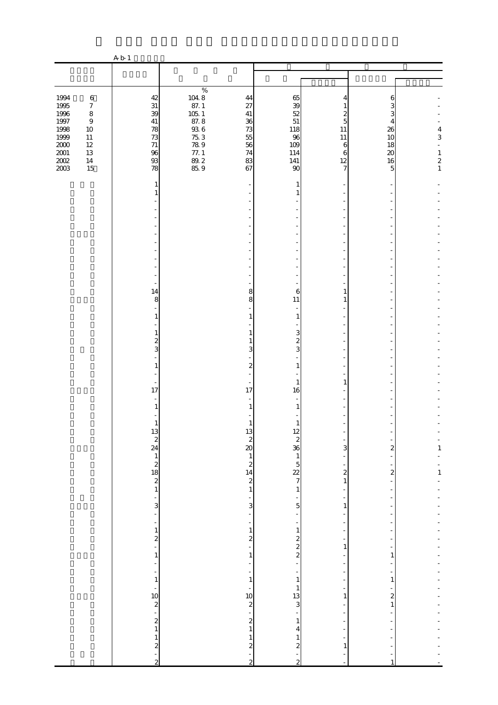|                                                                                                          |                                                                                                         | A b 1                                                                                                                     |                                                                        |                                                                                                                                                   |                                                                                       |                                                                              |                                                     |                                                        |
|----------------------------------------------------------------------------------------------------------|---------------------------------------------------------------------------------------------------------|---------------------------------------------------------------------------------------------------------------------------|------------------------------------------------------------------------|---------------------------------------------------------------------------------------------------------------------------------------------------|---------------------------------------------------------------------------------------|------------------------------------------------------------------------------|-----------------------------------------------------|--------------------------------------------------------|
|                                                                                                          |                                                                                                         |                                                                                                                           |                                                                        |                                                                                                                                                   |                                                                                       |                                                                              |                                                     |                                                        |
| 1994<br>1995<br>1996<br>$1997\,$<br>1998<br>$\frac{1500}{200}$<br>$\frac{200}{200}$<br>$\frac{200}{203}$ | $\,6\,$<br>$\boldsymbol{7}$<br>$\,8\,$<br>$\,9$<br>$10\,$<br>$11\,$<br>$12\,$<br>$13\,$<br>$14\,$<br>15 | $42\,$<br>$31\,$<br>39<br>$41\,$<br>78<br>73<br>$71\,$<br>96<br>$93$<br>78                                                | $\%$<br>104 8<br>87. 1<br>105 1 8<br>87. 93 6<br>75 78 9<br>77. 89. 85 | 44<br>27<br>$41\,$<br>36<br>73<br>55<br>56<br>$74\,$<br>83<br>67                                                                                  | 65<br>39<br>52<br>51<br>118<br>96<br>109<br>114<br>141<br>90                          | 4<br>1<br>5<br>11<br>$11\,$<br>$\boldsymbol{6}$<br>6<br>12<br>$\overline{7}$ | 6<br>3<br>3<br>4<br>26<br>10<br>18<br>20<br>16<br>5 | $\overline{\mathbf{4}}$<br>3<br>$\,1$<br>$\frac{2}{1}$ |
|                                                                                                          |                                                                                                         | 1<br>1                                                                                                                    |                                                                        |                                                                                                                                                   | 1<br>1                                                                                |                                                                              |                                                     |                                                        |
|                                                                                                          |                                                                                                         | ÷,<br>14<br>8<br>1<br>1<br>$\boldsymbol{z}$<br>3                                                                          |                                                                        | 8<br>8<br>1<br>1<br>3                                                                                                                             | 6<br>11<br>1<br>3<br>$\boldsymbol{2}$<br>3                                            | 1<br>1                                                                       |                                                     |                                                        |
|                                                                                                          |                                                                                                         | $\mathbf{1}$<br>17<br>$\mathbf{1}$<br>$\mathbf{1}$                                                                        |                                                                        | 2<br>17<br>1<br>13                                                                                                                                | $\mathbf{1}$<br>1<br>16<br>1                                                          | 1                                                                            |                                                     |                                                        |
|                                                                                                          |                                                                                                         | $\begin{array}{c}\n 13 \\  24 \\  1 \\  21 \\  1\n \end{array}$<br>$\overline{\mathbf{3}}$                                |                                                                        | $\begin{array}{c}\n2 \\ 20 \\ 1 \\ 24 \\ 1\n\end{array}$<br>÷<br>$\overline{3}$                                                                   | 12<br>$28015$<br>$727$<br>$1\,$<br>$\overline{5}$                                     | 3<br>$\overline{\mathcal{L}}$<br>$\,1\,$<br>÷<br>1                           | $\overline{\mathbf{c}}$<br>$\boldsymbol{z}$         | $\mathbf{1}$<br>$\frac{1}{1}$                          |
|                                                                                                          |                                                                                                         | ÷,<br><sup>-</sup><br>$\mathbf 1$<br>$\frac{2}{1}$<br>÷<br>$\frac{1}{\sqrt{2}}$<br>$\mathbf 1$                            |                                                                        | ÷<br>-<br>$\,1\,$<br>$\frac{2}{1}$<br>$\mathbf{1}$<br>-<br>$\,1\,$                                                                                | $\,1\,$<br>$\begin{array}{c} 2 \\ 2 \\ 2 \end{array}$<br>-<br>$\,1\,$<br>$\mathbf{1}$ | $\,1\,$<br>$\overline{a}$                                                    | 1<br>$\mathbf{1}$                                   |                                                        |
|                                                                                                          |                                                                                                         | $\frac{1}{2}$<br>$\begin{smallmatrix} 2\\1 \end{smallmatrix}$<br>$\mathbf{1}$<br>$\boldsymbol{z}$<br>÷,<br>$\overline{c}$ |                                                                        | $\begin{bmatrix} 10 \\ 2 \\ -1 \end{bmatrix}$<br>$\begin{smallmatrix}2\\1\end{smallmatrix}$<br>$\mathbf{1}$<br>$\boldsymbol{z}$<br>$\overline{c}$ | $\frac{13}{3}$<br>$\mathbf{1}$<br>4<br>1<br>$\boldsymbol{z}$<br>$\overline{c}$        | 1<br>1                                                                       | $\overline{\mathbf{c}}$<br>$\mathbf{1}$             |                                                        |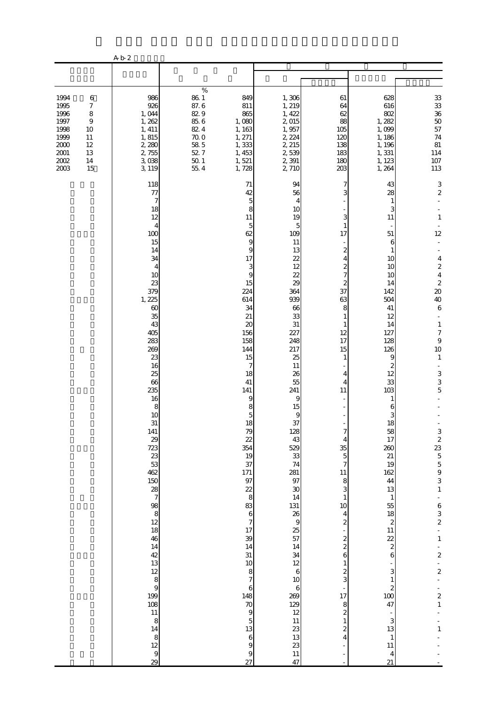|                                                                                      |                                                                                                          | A b 2                                                                                                                                                                                                                                                                                                                                                                                                                                                                                                                   |                                                                                                         |                                                                                                                                                                                                                                                                                                                                                                                                                                                         |                                                                                                                                                                                                                                                                                                                                                                                                                     |                                                                                                                                                                                                                                                                                                                                                                                                                                                                |                                                                                                                                                                                                                                                                                                                                                                                                                   |                                                                                                                                                                                                                                                                                                                                                                                                                                                                  |
|--------------------------------------------------------------------------------------|----------------------------------------------------------------------------------------------------------|-------------------------------------------------------------------------------------------------------------------------------------------------------------------------------------------------------------------------------------------------------------------------------------------------------------------------------------------------------------------------------------------------------------------------------------------------------------------------------------------------------------------------|---------------------------------------------------------------------------------------------------------|---------------------------------------------------------------------------------------------------------------------------------------------------------------------------------------------------------------------------------------------------------------------------------------------------------------------------------------------------------------------------------------------------------------------------------------------------------|---------------------------------------------------------------------------------------------------------------------------------------------------------------------------------------------------------------------------------------------------------------------------------------------------------------------------------------------------------------------------------------------------------------------|----------------------------------------------------------------------------------------------------------------------------------------------------------------------------------------------------------------------------------------------------------------------------------------------------------------------------------------------------------------------------------------------------------------------------------------------------------------|-------------------------------------------------------------------------------------------------------------------------------------------------------------------------------------------------------------------------------------------------------------------------------------------------------------------------------------------------------------------------------------------------------------------|------------------------------------------------------------------------------------------------------------------------------------------------------------------------------------------------------------------------------------------------------------------------------------------------------------------------------------------------------------------------------------------------------------------------------------------------------------------|
|                                                                                      |                                                                                                          |                                                                                                                                                                                                                                                                                                                                                                                                                                                                                                                         |                                                                                                         |                                                                                                                                                                                                                                                                                                                                                                                                                                                         |                                                                                                                                                                                                                                                                                                                                                                                                                     |                                                                                                                                                                                                                                                                                                                                                                                                                                                                |                                                                                                                                                                                                                                                                                                                                                                                                                   |                                                                                                                                                                                                                                                                                                                                                                                                                                                                  |
| 1994<br>1995<br>1996<br>1997<br>1998<br>1999<br>2000<br>$2001\,$<br>$2002\,$<br>2003 | $\,6$<br>$\boldsymbol{7}$<br>$\,$ 8 $\,$<br>$\boldsymbol{9}$<br>10<br>$11\,$<br>$12\,$<br>13<br>14<br>15 | 986<br>926<br>1,044<br>1,262<br>1, 411<br>1, 815<br>2,280<br>2,755<br>3,038<br>3, 119                                                                                                                                                                                                                                                                                                                                                                                                                                   | $\%$<br>$86\ 1$<br>87.6<br>829<br>$85\;6$<br>82.4<br>$70\;0$<br>$58\ 5$<br>52.7<br>$50\,$ $1\,$<br>55.4 | 849<br>811<br>865<br>1,080<br>1, 163<br>1, 271<br>1,333<br>1, 453<br>1,521<br>1,728                                                                                                                                                                                                                                                                                                                                                                     | 1,306<br>1, 219<br>1, 422<br>2,015<br>1,957<br>2, 224<br>2, 215<br>2,539<br>2,391<br>2,710                                                                                                                                                                                                                                                                                                                          | 61<br>64<br>62<br>88<br>105<br>120<br>138<br>183<br>180<br>203                                                                                                                                                                                                                                                                                                                                                                                                 | 628<br>616<br>802<br>1, 282<br>1,099<br>1, 186<br>1, 196<br>1,331<br>1, 123<br>1, 264                                                                                                                                                                                                                                                                                                                             | $33\,$<br>$\frac{33}{36}$<br>$50$<br>57<br>$74\,$<br>81<br>114<br>$107\,$<br>113                                                                                                                                                                                                                                                                                                                                                                                 |
|                                                                                      |                                                                                                          | 118<br>77<br>7<br>18<br>12<br>$\overline{4}$<br>100<br>15<br>14<br>34<br>4<br>10<br>23<br>379<br>1,225<br>$\infty$<br>35<br>43<br>405<br>283<br>269<br>23<br>16<br>25<br>66<br>235<br>16<br>8<br>10<br>31<br>141<br>29<br>723<br>23<br>53<br>462<br>150<br>$\frac{28}{7}$<br>$\begin{array}{c}\n 98 \\  8 \\  12\n \end{array}$<br>18<br>46<br>14<br>42<br>13<br>$\begin{array}{c}\n 12 \\  8 \\  9 \\  \hline\n 199\n \end{array}$<br>108<br>11<br>8<br>14<br>$\begin{array}{c} 8 \\ 12 \end{array}$<br>$\theta$<br>29 |                                                                                                         | 71<br>42<br>$\overline{5}$<br>8<br>11<br>5<br>62<br>9<br>9<br>17<br>3<br>9<br>15<br>224<br>614<br>34<br>21<br>20<br>156<br>158<br>144<br>15<br>7<br>18<br>$41\,$<br>141<br>9<br>8<br>5<br>18<br>79<br>22<br>354<br>19<br>37<br>171<br>97<br>22<br>$\bf8$<br>83<br>$\,$ 6 $\,$<br>$\overline{7}$<br>17<br>39<br>14<br>31<br>$10$<br>$\,$ 8 $\,$<br>$\overline{7}$<br>6<br>148<br>$70$<br>9<br>$\overline{5}$<br>13<br>$\,$ 6 $\,$<br>9<br>$\theta$<br>27 | 94<br>56<br>4<br>10<br>19<br>5<br>109<br>11<br>13<br>22<br>12<br>22<br>29<br>364<br>939<br>66<br>33<br>$31\,$<br>227<br>248<br>217<br>25<br>11<br>26<br>55<br>241<br>9<br>15<br>9<br>37<br>128<br>43<br>529<br>33<br>74<br>281<br>97<br>30<br>14<br>131<br>26<br>$\overline{9}$<br>25<br>57<br>14<br>34<br>12<br>$\,$ 6 $\,$<br>$10$<br>$\,$ 6 $\,$<br>269<br>129<br>12<br>$11\,$<br>23<br>13<br>23<br>$11\,$<br>47 | 7<br>3<br>3<br>1<br>17<br>$\boldsymbol{z}$<br>4<br>$\overline{\mathcal{Z}}$<br>$\overline{7}$<br>2<br>37<br>63<br>8<br>1<br>12<br>17<br>15<br>1<br>4<br>4<br>11<br>7<br>4<br>35<br>$\overline{5}$<br>7<br>11<br>8<br>3<br>$\mathbf{1}$<br>10<br>4<br>$\overline{\mathcal{Z}}$<br>$\overline{\mathcal{Z}}$<br>$\overline{\mathcal{Z}}$<br>6<br>$\mathbf{1}$<br>$\frac{2}{3}$<br>17<br>8<br>$\overline{\mathcal{Z}}$<br>$\,1\,$<br>$\overline{\mathcal{Z}}$<br>4 | 43<br>28<br>1<br>3<br>11<br>51<br>6<br>1<br>10<br>10<br>10<br>14<br>142<br>504<br>41<br>12<br>14<br>127<br>128<br>126<br>9<br>2<br>12<br>33<br>103<br>1<br>6<br>З<br>18<br>58<br>17<br>260<br>21<br>19<br>162<br>44<br>13<br>$\mathbf{1}$<br>55<br>18<br>$\boldsymbol{z}$<br>$11\,$<br>22<br>$\overline{\mathcal{L}}$<br>6<br>3<br>1<br>$\boldsymbol{z}$<br>100<br>47<br>3<br>13<br>$\mathbf{1}$<br>11<br>4<br>21 | $\mathbf{3}$<br>$\boldsymbol{2}$<br>$\mathbf{1}$<br>12<br>L,<br>$\overline{4}$<br>$242$<br>$20$<br>40<br>$\overline{6}$<br>÷<br>$\mathbf{1}$<br>$\boldsymbol{7}$<br>$\,9$<br>$10$<br>$\mathbf{1}$<br>3<br>3<br>5<br>$32355$<br>$555$<br>$3$<br>$\,1\,$<br>$\begin{array}{c} 6 \\ 3 \\ 2 \end{array}$<br>÷,<br>$\mathbf{1}$<br>÷<br>$\overline{a}$<br>÷,<br>$\overline{\mathcal{L}}$<br>$\overline{a}$<br>$\overline{\mathbf{c}}$<br>$\mathbf{1}$<br>$\mathbf{1}$ |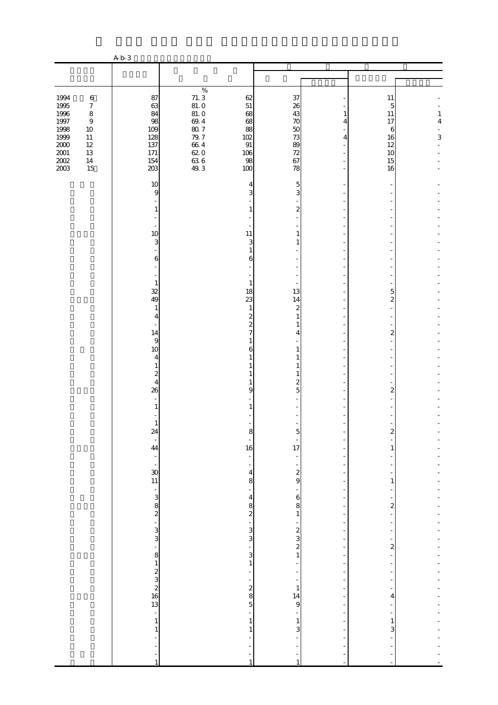|                                                                                            |                                                                                                                        | A b 3                                                                                                                                                                                                                                                                                                                                                                                          |                                                                                            |                                                                                                                                                                                                                                                                              |                                                                                                                                                                                                                                     |                          |                                                                                                                    |                         |
|--------------------------------------------------------------------------------------------|------------------------------------------------------------------------------------------------------------------------|------------------------------------------------------------------------------------------------------------------------------------------------------------------------------------------------------------------------------------------------------------------------------------------------------------------------------------------------------------------------------------------------|--------------------------------------------------------------------------------------------|------------------------------------------------------------------------------------------------------------------------------------------------------------------------------------------------------------------------------------------------------------------------------|-------------------------------------------------------------------------------------------------------------------------------------------------------------------------------------------------------------------------------------|--------------------------|--------------------------------------------------------------------------------------------------------------------|-------------------------|
|                                                                                            |                                                                                                                        |                                                                                                                                                                                                                                                                                                                                                                                                |                                                                                            |                                                                                                                                                                                                                                                                              |                                                                                                                                                                                                                                     |                          |                                                                                                                    |                         |
| 1994<br>1995<br>1996<br>1997<br>1998<br>$\frac{1999}{2000}$<br>$2001\,$<br>$200\!$<br>2003 | $\,6\,$<br>$\boldsymbol{7}$<br>$\,$ 8 $\,$<br>$\boldsymbol{9}$<br>$10\,$<br>$11\,$<br>$12\,$<br>$13\,$<br>$14\,$<br>15 | 87<br>63<br>84<br>98<br>109<br>128<br>137<br>$171\,$<br>154<br>203                                                                                                                                                                                                                                                                                                                             | $\%$<br>$71.3$<br>81.0<br>81.0<br>$69.4$<br>$79.7$<br>$66.4$<br>$62.0$<br>$63.6$<br>$49.3$ | 62<br>$51\,$<br>68<br>68<br>88<br>102<br>$91\,$<br>106<br>98<br>100                                                                                                                                                                                                          | 37<br>26<br>43<br>70<br>50<br>73<br>89<br>72<br>67<br>78                                                                                                                                                                            | 1<br>4<br>4              | 11<br>5<br>$11\,$<br>17<br>6<br>16<br>12<br>10<br>15<br>16                                                         | $\,1\,$<br>$\bf 4$<br>3 |
|                                                                                            |                                                                                                                        | 10<br>$\overline{9}$<br>$\mathbf{1}$<br>10<br>3<br>6<br>$\mathbf{1}$<br>32<br>49<br>$\mathbf{1}$<br>4<br>14<br>$\overline{9}$<br>10<br>4<br>$\mathbf{1}$<br>$\boldsymbol{z}$<br>$\overline{\mathbf{4}}$<br>26<br>$\mathbf{1}$<br>$\mathbf{1}$<br>24<br>$\overline{\phantom{a}}$<br>44<br>$\frac{1}{2}$<br>$\infty$<br>11<br>$\frac{1}{2}$ $\frac{1}{2}$<br>$\frac{3}{3}$<br>÷,<br>$\mathbf{8}$ |                                                                                            | 4<br>3<br>1<br>11<br>3<br>$\mathbf{1}$<br>6<br>1<br>18<br>23<br>$\mathbf{1}$<br>$\mathbf{z}$<br>$\overline{\mathcal{Z}}$<br>7<br>6<br>9<br>8<br>÷<br>16<br>÷,<br>$\overline{\phantom{0}}$<br>4<br>8<br>÷<br>$\overline{\mathbf{r}}$<br>$33 - 20$<br>$\frac{1}{3}$<br>$\,1\,$ | 5<br>3<br>$\boldsymbol{z}$<br>1<br>1<br>13<br>14<br>2<br>1<br>1<br>4<br>1<br>1<br>2<br>5<br>5<br>17<br>$\frac{1}{\sqrt{2}}$<br>$\frac{2}{9}$<br>$\mathbf 6$<br>8<br>$\mathbf{1}$<br>$\begin{array}{c} 2 \\ 3 \\ 2 \\ 1 \end{array}$ | ٠<br>٠<br>$\overline{a}$ | 5<br>$\overline{2}$<br>$\boldsymbol{z}$<br>2<br>2<br>1<br>1<br>$\overline{\mathbf{c}}$<br>$\overline{\mathcal{Z}}$ |                         |
|                                                                                            |                                                                                                                        | $\frac{1}{2}$<br>$\frac{2}{3}$<br>$\frac{3}{2}$<br>$\frac{3}{16}$<br>$\overline{\phantom{a}}$<br>$\mathbf{1}$<br>$\mathbf{1}$<br>1                                                                                                                                                                                                                                                             |                                                                                            | ÷,<br>200<br>÷,<br>$\,1\,$<br>1<br>-1                                                                                                                                                                                                                                        | $\mathbf{1}$<br>14<br>9<br>$\,1\,$<br>3<br>$\mathbf{1}$                                                                                                                                                                             | ÷,<br>$\overline{a}$     | 4<br>$\mathbf{1}$<br>3                                                                                             |                         |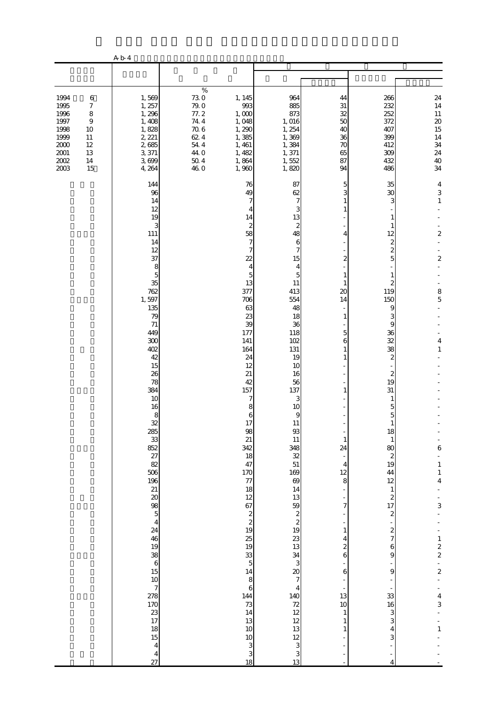|                                                                                        |                                                                                                            | A b 4                                                                                                                                                                                                                                                                                                                                                                                                                                     |                                                                                                               |                                                                                                                                                                                                                                                                                                                                                                                                                                                                                                                              |                                                                                                                                                                                                                                                                                                                                                                                                                                                                                                                                         |                                                                                                                                                                                                                           |                                                                                                                                                                                                                                                                                                                                                                                                                                                                               |                                                                                                                                                                                                                                                                                                                                                                  |
|----------------------------------------------------------------------------------------|------------------------------------------------------------------------------------------------------------|-------------------------------------------------------------------------------------------------------------------------------------------------------------------------------------------------------------------------------------------------------------------------------------------------------------------------------------------------------------------------------------------------------------------------------------------|---------------------------------------------------------------------------------------------------------------|------------------------------------------------------------------------------------------------------------------------------------------------------------------------------------------------------------------------------------------------------------------------------------------------------------------------------------------------------------------------------------------------------------------------------------------------------------------------------------------------------------------------------|-----------------------------------------------------------------------------------------------------------------------------------------------------------------------------------------------------------------------------------------------------------------------------------------------------------------------------------------------------------------------------------------------------------------------------------------------------------------------------------------------------------------------------------------|---------------------------------------------------------------------------------------------------------------------------------------------------------------------------------------------------------------------------|-------------------------------------------------------------------------------------------------------------------------------------------------------------------------------------------------------------------------------------------------------------------------------------------------------------------------------------------------------------------------------------------------------------------------------------------------------------------------------|------------------------------------------------------------------------------------------------------------------------------------------------------------------------------------------------------------------------------------------------------------------------------------------------------------------------------------------------------------------|
|                                                                                        |                                                                                                            |                                                                                                                                                                                                                                                                                                                                                                                                                                           |                                                                                                               |                                                                                                                                                                                                                                                                                                                                                                                                                                                                                                                              |                                                                                                                                                                                                                                                                                                                                                                                                                                                                                                                                         |                                                                                                                                                                                                                           |                                                                                                                                                                                                                                                                                                                                                                                                                                                                               |                                                                                                                                                                                                                                                                                                                                                                  |
| 1994<br>1995<br>1996<br>1997<br>1998<br>1999<br>$2000$<br>$2001\,$<br>$2002\,$<br>2003 | $\,6$<br>$\boldsymbol{7}$<br>$\,$ 8 $\,$<br>$\overline{9}$<br>10<br>$11\,$<br>$12\,$<br>13<br>$14\,$<br>15 | 1,569<br>1, 257<br>1,296<br>1,408<br>1,828<br>2, 221<br>2,685<br>3,371<br>3,699<br>4, 264                                                                                                                                                                                                                                                                                                                                                 | $\%$<br>$730$<br>$790$<br>77.2<br>$74\ 4$<br>$70\;6$<br>62.4<br>$54\ 4$<br>44.0<br>$50\ 4$<br>46 <sub>0</sub> | 1, 145<br>993<br>1,000<br>1,048<br>1,290<br>1,385<br>1,461<br>1, 482<br>1,864<br>1,960                                                                                                                                                                                                                                                                                                                                                                                                                                       | 964<br>885<br>873<br>1, 016<br>1, 254<br>1,369<br>1,384<br>1,371<br>1,552<br>1,820                                                                                                                                                                                                                                                                                                                                                                                                                                                      | 44<br>31<br>32<br>50<br>40<br>36<br>70<br>65<br>87<br>94                                                                                                                                                                  | 266<br>232<br>252<br>372<br>407<br>399<br>412<br>309<br>432<br>486                                                                                                                                                                                                                                                                                                                                                                                                            | 24<br>14<br>$11\,$<br>$20\,$<br>15<br>14<br>34<br>24<br>40<br>34                                                                                                                                                                                                                                                                                                 |
|                                                                                        |                                                                                                            | 144<br>96<br>14<br>12<br>19<br>3<br>111<br>14<br>12<br>37<br>8<br>$\overline{5}$<br>35<br>762<br>1,597<br>135<br>79<br>71<br>449<br>300<br>402<br>42<br>15<br>26<br>78<br>384<br>10<br>16<br>8<br>32<br>හ සු සු සු සු සු සු සු<br>$\begin{array}{c}\n 0 \\  98 \\  5 \\  4\n \end{array}$<br>24<br>46<br>$\begin{array}{c}\n19 \\ 38 \\ 6 \\ 15 \\ 10 \\ 7 \\ 278 \\ 170 \\ 23 \\ 17 \\ 18\n\end{array}$<br>$15\,$<br>$\frac{4}{4}$<br>27 |                                                                                                               | 76<br>49<br>7<br>4<br>14<br>$\boldsymbol{z}$<br>58<br>$\overline{7}$<br>7<br>22<br>4<br>5<br>13<br>377<br>706<br>63<br>23<br>39<br>177<br>141<br>164<br>24<br>12<br>21<br>42<br>157<br>7<br>8<br>6<br>17<br>$\begin{array}{c} 98 \\ 21 \end{array}$<br>342<br>18<br>47<br>170<br>$\frac{77}{18}$<br>$12$<br>$67$<br>$2$<br>$2$<br>$19$<br>$\begin{array}{c} 25 \\ 19 \end{array}$<br>$\frac{33}{5}$<br>$\frac{14}{8}$<br>$\mathbf 6$<br>144<br>73<br>14<br>13<br>$10$<br>$10$<br>$\begin{array}{c} 3 \\ 3 \\ 18 \end{array}$ | 87<br>62<br>7<br>3<br>13<br>$\overline{\mathcal{Z}}$<br>48<br>6<br>7<br>15<br>$\overline{4}$<br>$\overline{5}$<br>11<br>413<br>554<br>48<br>18<br>36<br>118<br>102<br>131<br>19<br>10<br>16<br>56<br>137<br>3<br>10<br>9<br>$11\,$<br>93<br>11<br>348<br>32<br>51<br>$\frac{169}{69}$<br>14<br>$13$ 59 $2$ $2$ $2$ $19$ $23$ $13$<br>$\frac{34}{3}$<br>$\begin{array}{c} 20 \\ 7 \end{array}$<br>$\overline{\mathbf{4}}$<br>$\frac{140}{72}$<br>$\frac{12}{12}$<br>$\frac{12}{13}$<br>$\begin{array}{c} 12 \\ 3 \\ 3 \end{array}$<br>13 | 5<br>4<br>2<br>20<br>14<br>1<br>5<br>6<br>1<br>1<br>1<br>$\mathbf{1}$<br>24<br>4<br>12<br>8<br>7<br>$\mathbf{1}$<br>$\overline{4}$<br>$\overline{\mathcal{Z}}$<br>6<br>6<br>13<br>10<br>$\mathbf{1}$<br>$\mathbf{1}$<br>1 | 35<br>30<br>З<br>1<br>1<br>12<br>$\overline{\mathcal{Z}}$<br>$\overline{\mathcal{L}}$<br>5<br>1<br>119<br>150<br>9<br>3<br>9<br>36<br>32<br>38<br>$\boldsymbol{z}$<br>$\overline{\mathcal{Z}}$<br>19<br>31<br>5<br>5<br>1<br>18<br>$\mathbf{1}$<br>80<br>$\boldsymbol{z}$<br>19<br>44<br>12<br>$\,1\,$<br>$\begin{array}{c} 2 \\ 17 \end{array}$<br>$\overline{\mathcal{L}}$<br>$\boldsymbol{z}$<br>$\overline{7}$<br>6<br>9<br>$\Theta$<br>33<br>16<br>3<br>3<br>4<br>3<br>4 | $\overline{\mathcal{A}}$<br>$\ensuremath{\mathsf{3}}$<br>$\,1\,$<br>2<br>$\mathbf{z}$<br>$\begin{array}{c} 8 \\ 5 \end{array}$<br>4<br>$\mathbf{1}$<br>$\epsilon$<br>$\begin{smallmatrix}1\\1\end{smallmatrix}$<br>$\overline{4}$<br>3<br>$\begin{array}{c} 1 \\ 2 \\ 2 \end{array}$<br>$\overline{\mathcal{L}}$<br>$\overline{\mathbf{r}}$<br>3<br>$\mathbf{1}$ |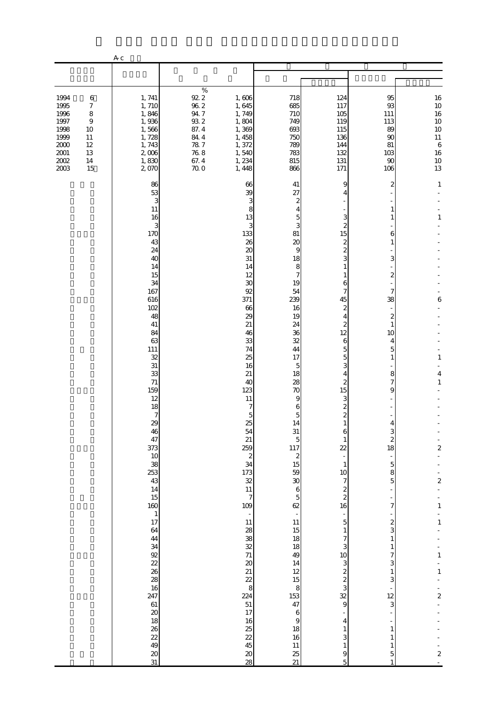|                                                                                        |                                                                                        | A c                                                                                                                                                                                                                                                                                                                                                                                                                   |                                                                                                                 |                                                                                                                                                                                                                                                                                                                                                                                                                                                            |                                                                                                                                                                                                                                                                                                                                                                                                                                                                                                                     |                                                                                                                                                                                                                                                                                                                                                                                                                                                                                                                      |                                                                                                                                                                                                                                                                                                                     |                                                                                                                                                                                                                                                            |
|----------------------------------------------------------------------------------------|----------------------------------------------------------------------------------------|-----------------------------------------------------------------------------------------------------------------------------------------------------------------------------------------------------------------------------------------------------------------------------------------------------------------------------------------------------------------------------------------------------------------------|-----------------------------------------------------------------------------------------------------------------|------------------------------------------------------------------------------------------------------------------------------------------------------------------------------------------------------------------------------------------------------------------------------------------------------------------------------------------------------------------------------------------------------------------------------------------------------------|---------------------------------------------------------------------------------------------------------------------------------------------------------------------------------------------------------------------------------------------------------------------------------------------------------------------------------------------------------------------------------------------------------------------------------------------------------------------------------------------------------------------|----------------------------------------------------------------------------------------------------------------------------------------------------------------------------------------------------------------------------------------------------------------------------------------------------------------------------------------------------------------------------------------------------------------------------------------------------------------------------------------------------------------------|---------------------------------------------------------------------------------------------------------------------------------------------------------------------------------------------------------------------------------------------------------------------------------------------------------------------|------------------------------------------------------------------------------------------------------------------------------------------------------------------------------------------------------------------------------------------------------------|
|                                                                                        |                                                                                        |                                                                                                                                                                                                                                                                                                                                                                                                                       |                                                                                                                 |                                                                                                                                                                                                                                                                                                                                                                                                                                                            |                                                                                                                                                                                                                                                                                                                                                                                                                                                                                                                     |                                                                                                                                                                                                                                                                                                                                                                                                                                                                                                                      |                                                                                                                                                                                                                                                                                                                     |                                                                                                                                                                                                                                                            |
| 1994<br>1995<br>1996<br>1997<br>1998<br>1999<br>$2000$<br>$2001\,$<br>$2002\,$<br>2003 | $\,6$<br>$\boldsymbol{7}$<br>8<br>$\boldsymbol{9}$<br>10<br>11<br>12<br>13<br>14<br>15 | 1, 741<br>1,710<br>1,846<br>1,936<br>1,566<br>1,728<br>1,743<br>2,006<br>1,830<br>2,070                                                                                                                                                                                                                                                                                                                               | $\%$<br>$92.2\,$<br>$96\ 2$<br>$94\,7$<br>$93\ 2$<br>87.4<br>84.4<br>78.7<br>$76\ 8$<br>67.4<br>70 <sub>0</sub> | 1,606<br>1,645<br>1,749<br>1,804<br>1,369<br>1, 458<br>1,372<br>1,540<br>1,234<br>1,448                                                                                                                                                                                                                                                                                                                                                                    | 718<br>685<br>710<br>749<br>693<br>750<br>789<br>783<br>815<br>866                                                                                                                                                                                                                                                                                                                                                                                                                                                  | 124<br>117<br>105<br>119<br>115<br>136<br>144<br>132<br>131<br>171                                                                                                                                                                                                                                                                                                                                                                                                                                                   | 95<br>93<br>111<br>113<br>89<br>90<br>81<br>103<br>90<br>106                                                                                                                                                                                                                                                        | 16<br>10<br>16<br>10<br>10<br>$11\,$<br>$\,$ 6 $\,$<br>16<br>$\begin{array}{c} 10 \\ 13 \end{array}$                                                                                                                                                       |
|                                                                                        |                                                                                        | 86<br>53<br>3<br>11<br>16<br>3<br>170<br>43<br>24<br>40<br>14<br>15<br>34<br>167<br>616<br>102<br>48<br>41<br>84<br>63<br>111<br>32<br>31<br>33<br>71<br>159<br>12<br>18<br>$\boldsymbol{7}$<br>29<br>46<br>47<br>373<br>$10$<br>38<br>253<br>43<br>14<br>15<br>160<br>$\,$ 1<br>17<br>64<br>44<br>34<br>92<br>22<br>26<br>28<br>16<br>247<br>$61\,$<br>$\boldsymbol{\chi}$<br>18<br>26<br>22<br>49<br>$\infty$<br>31 |                                                                                                                 | 66<br>39<br>3<br>8<br>13<br>3<br>133<br>26<br>20<br>31<br>14<br>12<br>30<br>92<br>371<br>66<br>29<br>21<br>46<br>33<br>74<br>25<br>16<br>21<br>40<br>123<br>11<br>7<br>5<br>25<br>54<br>21<br>259<br>$\frac{2}{34}$<br>$\frac{173}{32}$<br>$11\,$<br>$\overline{7}$<br>109<br>$\overline{\phantom{a}}$<br>11<br>28<br>38<br>32<br>71<br>$\boldsymbol{\alpha}$<br>21<br>22<br>8<br>224<br>$51\,$<br>17<br>16<br>25<br>22<br>45<br>$\pmb{\mathcal{X}}$<br>28 | 41<br>27<br>2<br>4<br>5<br>З<br>81<br>$\boldsymbol{\chi}$<br>9<br>18<br>8<br>$\overline{7}$<br>19<br>54<br>239<br>16<br>19<br>24<br>36<br>32<br>44<br>17<br>5<br>18<br>28<br>70<br>9<br>6<br>5<br>14<br>31<br>5<br><b>117</b><br>$\boldsymbol{z}$<br>15<br>59<br>$\overline{30}$<br>$\boldsymbol{6}$<br>$\overline{5}$<br>62<br>$\overline{\phantom{a}}$<br>11<br>$15\,$<br>18<br>18<br>49<br>14<br>12<br>15<br>$\bf8$<br>153<br>47<br>$\,$ 6 $\,$<br>$\overline{9}$<br>18<br>16<br>$11\,$<br>25<br>$\overline{21}$ | 9<br>2<br>15<br>2<br>$\overline{c}$<br>3<br>1<br>1<br>6<br>7<br>45<br>$\mathbf{z}$<br>4<br>2<br>12<br>6<br>5<br>5<br>3<br>4<br>2<br>15<br>3<br>2<br>$\overline{\mathcal{Z}}$<br>6<br>$\mathbf{1}$<br>$\overline{22}$<br>$\mathbf{1}$<br>10<br>$\boldsymbol{7}$<br>$\boldsymbol{z}$<br>$\boldsymbol{2}$<br>16<br>$\mathbf 5$<br>$\mathbf{1}$<br>7<br>3<br>10<br>3<br>$\overline{\mathcal{L}}$<br>$\overline{\mathcal{L}}$<br>3<br>32<br>$\mathbf{9}$<br>4<br>$\mathbf{1}$<br>3<br>$\mathbf{1}$<br>9<br>$\overline{5}$ | 2<br>1<br>1<br>6<br>1<br>3<br>2<br>7<br>38<br>2<br>$\mathbf{1}$<br>10<br>4<br>5<br>$\mathbf{1}$<br>8<br>7<br>9<br>З<br>2<br>18<br>$\mathbf 5$<br>$\bf8$<br>5<br>7<br>$\boldsymbol{z}$<br>3<br>$\mathbf{1}$<br>$\mathbf{1}$<br>7<br>3<br>$\mathbf{1}$<br>3<br>12<br>3<br>$\mathbf{1}$<br>1<br>$\mathbf{1}$<br>5<br>1 | $\mathbf{1}$<br>$\mathbf{1}$<br>6<br>$\mathbf{1}$<br>$\overline{\mathbf{4}}$<br>$\mathbf{1}$<br>$\overline{\mathbf{c}}$<br>$\boldsymbol{z}$<br>$\mathbf{1}$<br>$\,1\,$<br>$\mathbf{1}$<br>$\,1\,$<br>$\overline{\mathbf{c}}$<br>$\boldsymbol{2}$<br>$\sim$ |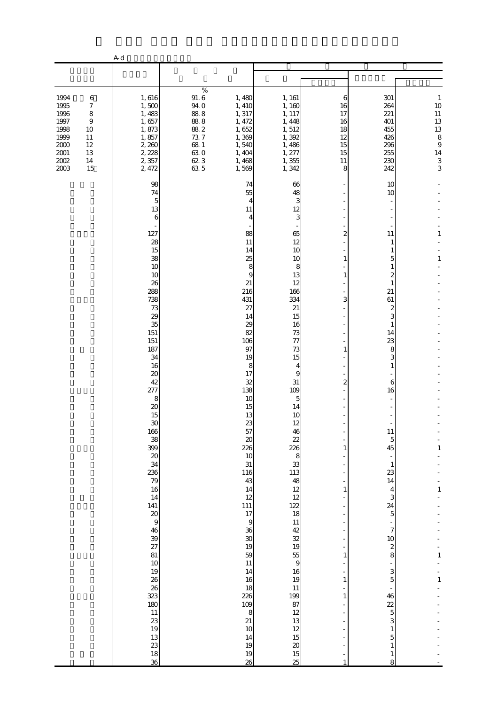|                                                                                        |                                                                                        | A d                                                                                                                                                                                                                                                                                                                                                                                                                                                                |                                                                                                      |                                                                                                                                                                                                                                                                                                                                                                                      |                                                                                                                                                                                                                                                                                                                                                                                                                        |                                                                     |                                                                                                                                                                                                                                                                                                                                          |                                                                               |
|----------------------------------------------------------------------------------------|----------------------------------------------------------------------------------------|--------------------------------------------------------------------------------------------------------------------------------------------------------------------------------------------------------------------------------------------------------------------------------------------------------------------------------------------------------------------------------------------------------------------------------------------------------------------|------------------------------------------------------------------------------------------------------|--------------------------------------------------------------------------------------------------------------------------------------------------------------------------------------------------------------------------------------------------------------------------------------------------------------------------------------------------------------------------------------|------------------------------------------------------------------------------------------------------------------------------------------------------------------------------------------------------------------------------------------------------------------------------------------------------------------------------------------------------------------------------------------------------------------------|---------------------------------------------------------------------|------------------------------------------------------------------------------------------------------------------------------------------------------------------------------------------------------------------------------------------------------------------------------------------------------------------------------------------|-------------------------------------------------------------------------------|
|                                                                                        |                                                                                        |                                                                                                                                                                                                                                                                                                                                                                                                                                                                    |                                                                                                      |                                                                                                                                                                                                                                                                                                                                                                                      |                                                                                                                                                                                                                                                                                                                                                                                                                        |                                                                     |                                                                                                                                                                                                                                                                                                                                          |                                                                               |
| 1994<br>1995<br>1996<br>1997<br>1998<br>1999<br>$2000$<br>$2001\,$<br>$2002\,$<br>2003 | $\,6$<br>$\boldsymbol{7}$<br>8<br>$\boldsymbol{9}$<br>10<br>11<br>12<br>13<br>14<br>15 | 1,616<br>1,500<br>1,483<br>1,657<br>1,873<br>1,857<br>2,260<br>2, 228<br>2,357<br>2, 472                                                                                                                                                                                                                                                                                                                                                                           | $\%$<br>$91.\,6$<br>94.0<br>$88\;8$<br>$88\;8$<br>$88\ 2$<br>$73.7\,$<br>68 1<br>630<br>62 3<br>63 5 | 1,480<br>1, 410<br>1, 317<br>1, 472<br>1,652<br>1,369<br>1,540<br>1, 404<br>1,468<br>1,569                                                                                                                                                                                                                                                                                           | 1, 161<br>1,160<br>1, 117<br>1, 448<br>1,512<br>1,392<br>1,486<br>1, 277<br>1,355<br>1,342                                                                                                                                                                                                                                                                                                                             | 6<br>16<br>17<br>16<br>18<br>12<br>15<br>15<br>11<br>8              | 301<br>264<br>221<br>401<br>455<br>426<br>296<br>255<br>230<br>242                                                                                                                                                                                                                                                                       | $\mathbf{1}$<br>10<br>$11\,$<br>13<br>13<br>8<br>$\,9$<br>14<br>$\frac{3}{3}$ |
|                                                                                        |                                                                                        | 98<br>74<br>5<br>13<br>6<br>127<br>28<br>15<br>38<br>10<br>10<br>26<br>288<br>738<br>$73\,$<br>29<br>35<br>151<br>151<br>187<br>34<br>16<br>$\boldsymbol{\chi}$<br>42<br>277<br>8<br>20<br>15<br>$\boldsymbol{\mathfrak{D}}$<br>166<br>38<br>399<br>$\boldsymbol{\mathsf{20}}$<br>34<br>236<br>79<br>16<br>14<br>141<br>$\pmb{20}$<br>$\overline{9}$<br>46<br>39<br>27<br>81<br>$10$<br>19<br>26<br>26<br>323<br>180<br>$11\,$<br>23<br>19<br>13<br>23<br>18<br>36 |                                                                                                      | 74<br>55<br>4<br>11<br>4<br>88<br>11<br>14<br>25<br>8<br>9<br>21<br>216<br>431<br>27<br>14<br>29<br>82<br>106<br>97<br>19<br>8<br>17<br>32<br>138<br>10<br>15<br>13<br>23<br>57<br>$20\,$<br>226<br>10<br>$31\,$<br>116<br>43<br>14<br>12<br>111<br>$17\,$<br>$\,9$<br>36<br>$30\,$<br>19<br>59<br>$11\,$<br>14<br>16<br>18<br>226<br>109<br>8<br>21<br>$10$<br>14<br>19<br>19<br>26 | 66<br>48<br>3<br>12<br>3<br>65<br>12<br>10<br>10<br>8<br>13<br>12<br>166<br>334<br>21<br>15<br>16<br>73<br>77<br>73<br>15<br>4<br>9<br>31<br>109<br>5<br>14<br>10<br>12<br>46<br>22<br>226<br>$\begin{array}{c} 8 \\ 33 \end{array}$<br>113<br>48<br>12<br>12<br>122<br>18<br>$11\,$<br>42<br>$\mathfrak{B}$<br>19<br>55<br>$\,9$<br>16<br>19<br>$11\,$<br>199<br>87<br>12<br>13<br>12<br>15<br>$20\,$<br>$15\,$<br>25 | 2<br>1<br>1<br>3<br>1<br>2<br>1<br>1<br>1<br>1<br>1<br>$\mathbf{1}$ | 10<br>10<br>11<br>1<br>5<br>1<br>2<br>1<br>21<br>61<br>2<br>3<br>1<br>14<br>23<br>8<br>3<br>1<br>6<br>16<br>$11\,$<br>5<br>45<br>$\mathbf{1}$<br>23<br>14<br>4<br>3<br>24<br>$\overline{5}$<br>7<br>$10$<br>$\boldsymbol{z}$<br>8<br>3<br>5<br>46<br>22<br>$\overline{5}$<br>3<br>$\mathbf{1}$<br>5<br>$\mathbf{1}$<br>$\mathbf{1}$<br>8 | 1<br>$\mathbf{1}$<br>1<br>1<br>$\mathbf{1}$<br>$\mathbf{1}$                   |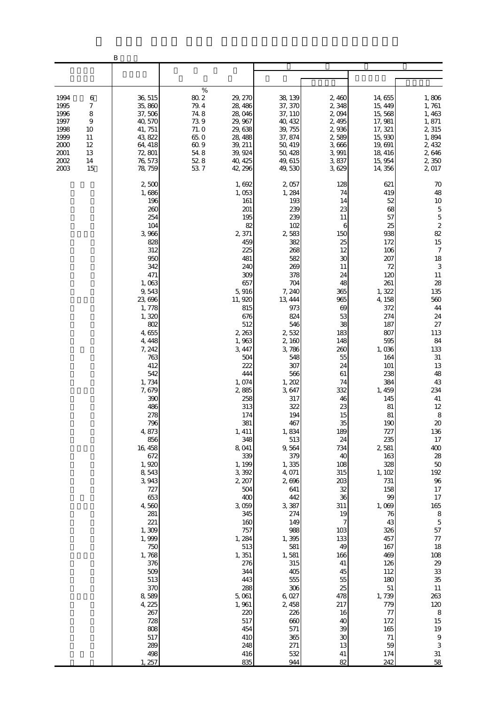|                                                                              |                                                                     | B                                                                                                                                                                                                                                                                                                                                                                                                                                                                                    |                                                                                     |                                                                                                                                                                                                                                                                                                                                                                                                                                                                       |                                                                                                                                                                                                                                                                                                                                                                                                                                                                      |                                                                                                                                                                                                                                                                                                                                                                                 |                                                                                                                                                                                                                                                                                                                                                                                                                                       |                                                                                                                                                                                                                                                                                                                                                                                                                                                                                                                    |
|------------------------------------------------------------------------------|---------------------------------------------------------------------|--------------------------------------------------------------------------------------------------------------------------------------------------------------------------------------------------------------------------------------------------------------------------------------------------------------------------------------------------------------------------------------------------------------------------------------------------------------------------------------|-------------------------------------------------------------------------------------|-----------------------------------------------------------------------------------------------------------------------------------------------------------------------------------------------------------------------------------------------------------------------------------------------------------------------------------------------------------------------------------------------------------------------------------------------------------------------|----------------------------------------------------------------------------------------------------------------------------------------------------------------------------------------------------------------------------------------------------------------------------------------------------------------------------------------------------------------------------------------------------------------------------------------------------------------------|---------------------------------------------------------------------------------------------------------------------------------------------------------------------------------------------------------------------------------------------------------------------------------------------------------------------------------------------------------------------------------|---------------------------------------------------------------------------------------------------------------------------------------------------------------------------------------------------------------------------------------------------------------------------------------------------------------------------------------------------------------------------------------------------------------------------------------|--------------------------------------------------------------------------------------------------------------------------------------------------------------------------------------------------------------------------------------------------------------------------------------------------------------------------------------------------------------------------------------------------------------------------------------------------------------------------------------------------------------------|
|                                                                              |                                                                     |                                                                                                                                                                                                                                                                                                                                                                                                                                                                                      |                                                                                     |                                                                                                                                                                                                                                                                                                                                                                                                                                                                       |                                                                                                                                                                                                                                                                                                                                                                                                                                                                      |                                                                                                                                                                                                                                                                                                                                                                                 |                                                                                                                                                                                                                                                                                                                                                                                                                                       |                                                                                                                                                                                                                                                                                                                                                                                                                                                                                                                    |
| 1994<br>1995<br>1996<br>1997<br>1998<br>1999<br>2000<br>2001<br>2002<br>2003 | 6<br>7<br>8<br>$\boldsymbol{9}$<br>10<br>11<br>12<br>13<br>14<br>15 | 36, 515<br>35,860<br>37,506<br>40, 570<br>41, 751<br>43, 822<br>64, 418<br>72, 801<br>76, 573<br>78, 759                                                                                                                                                                                                                                                                                                                                                                             | $\%$<br>$80\,2$<br>79.4<br>74.8<br>739<br>71.0<br>65.0<br>609<br>548<br>52.8<br>537 | 29, 270<br>28, 486<br>28,046<br>29, 967<br>29,638<br>28, 488<br>39, 211<br>39, 924<br>40, 425<br>42, 296                                                                                                                                                                                                                                                                                                                                                              | 38, 139<br>37, 370<br>37, 110<br>40, 432<br>39, 755<br>37, 874<br>50, 419<br>50, 428<br>49, 615<br>49,530                                                                                                                                                                                                                                                                                                                                                            | 2,460<br>2,348<br>2,094<br>2,495<br>2,936<br>2,589<br>3,666<br>3,991<br>3,837<br>3,629                                                                                                                                                                                                                                                                                          | 14,655<br>15, 449<br>15,568<br>17, 981<br>17, 321<br>15,930<br>19, 691<br>18, 416<br>15,954<br>14, 356                                                                                                                                                                                                                                                                                                                                | 1,806<br>1,761<br>1,463<br>1,871<br>2,315<br>1,894<br>2, 432<br>2,646<br>2,350<br>2,017                                                                                                                                                                                                                                                                                                                                                                                                                            |
|                                                                              |                                                                     | 2,500<br>1,686<br>196<br>260<br>254<br>104<br>3,966<br>828<br>312<br>950<br>342<br>471<br>1,063<br>9,543<br>23, 696<br>1,778<br>1,320<br>802<br>4,655<br>4, 448<br>7, 242<br>763<br>412<br>542<br>1,734<br>7, 679<br>390<br>486<br>278<br>796<br>4,873<br>856<br>16, 458<br>672<br>1,920<br>8,543<br>3,943<br>727<br>653<br>4,560<br>281<br>221<br>1,309<br>1,999<br>750<br>1,768<br>376<br>509<br>513<br>370<br>8,589<br>4, 225<br>267<br>728<br>808<br>517<br>289<br>498<br>1, 257 |                                                                                     | 1,692<br>1,053<br>161<br>201<br>195<br>82<br>2,371<br>459<br>225<br>481<br>240<br>309<br>657<br>5,916<br>11, 920<br>815<br>676<br>512<br>2,263<br>1,963<br>3, 447<br>504<br>222<br>444<br>1,074<br>2885<br>258<br>313<br>174<br>381<br>1, 411<br>348<br>8,041<br>339<br>1, 199<br>3,392<br>2, 207<br>504<br>400<br>3,059<br>345<br>160<br>757<br>1,284<br>513<br>1,351<br>276<br>344<br>443<br>288<br>5,061<br>1,961<br>220<br>517<br>454<br>410<br>248<br>416<br>835 | 2,057<br>1,284<br>193<br>239<br>239<br>102<br>2583<br>382<br>268<br>582<br>269<br>378<br>704<br>7, 240<br>13, 444<br>973<br>824<br>546<br>2,532<br>2,160<br>3,786<br>548<br>307<br>566<br>1,202<br>3,647<br>317<br>322<br>194<br>467<br>1,834<br>513<br>9,564<br>379<br>1,335<br>4,071<br>2,696<br>641<br>442<br>3,387<br>274<br>149<br>988<br>1,395<br>581<br>1,581<br>315<br>405<br>555<br>306<br>6,027<br>2, 458<br>226<br>660<br>571<br>365<br>271<br>532<br>944 | 128<br>74<br>14<br>23<br>11<br>6<br>150<br>25<br>12<br>30<br>11<br>24<br>48<br>365<br>965<br>69<br>53<br>38<br>183<br>148<br>260<br>55<br>24<br>61<br>74<br>332<br>46<br>23<br>15<br>35<br>189<br>24<br>734<br>40<br>108<br>315<br>203<br>32<br>36<br>311<br>19<br>7<br>103<br>133<br>49<br>166<br>41<br>45<br>55<br>25<br>478<br>217<br>16<br>40<br>39<br>30<br>13<br>41<br>82 | 621<br>419<br>52<br>68<br>57<br>25<br>938<br>172<br>106<br>207<br>72<br>120<br>261<br>1,322<br>4, 158<br>372<br>274<br>187<br>807<br>595<br>1,036<br>164<br>101<br>238<br>384<br>1, 459<br>145<br>81<br>81<br>190<br>727<br>235<br>2581<br>163<br>328<br>1, 102<br>731<br>158<br>99<br>1,069<br>76<br>43<br>326<br>457<br>167<br>469<br>126<br>112<br>180<br>$51\,$<br>1,739<br>779<br>77<br>172<br>165<br>$71\,$<br>59<br>174<br>242 | 70<br>48<br>$10$<br>$\frac{5}{5}$<br>$\begin{array}{c} 2 \\ 82 \end{array}$<br>15<br>$\boldsymbol{7}$<br>18<br>3<br>$11\,$<br>28<br>135<br>560<br>44<br>24<br>$27\,$<br>113<br>84<br>133<br>$31\,$<br>13<br>48<br>43<br>234<br>$41\,$<br>$12\,$<br>8<br>$20\,$<br>136<br>$17\,$<br>400<br>28<br>$50\,$<br>192<br>$9\!6$<br>17<br>$17\,$<br>165<br>$\,8\,$<br>$\mathbf 5$<br>57<br>$77\,$<br>18<br>108<br>29<br>33<br>$35\,$<br>$11\,$<br>263<br>120<br>$\,8\,$<br>15<br>19<br>$\,9$<br>$\,$ 3 $\,$<br>$31\,$<br>58 |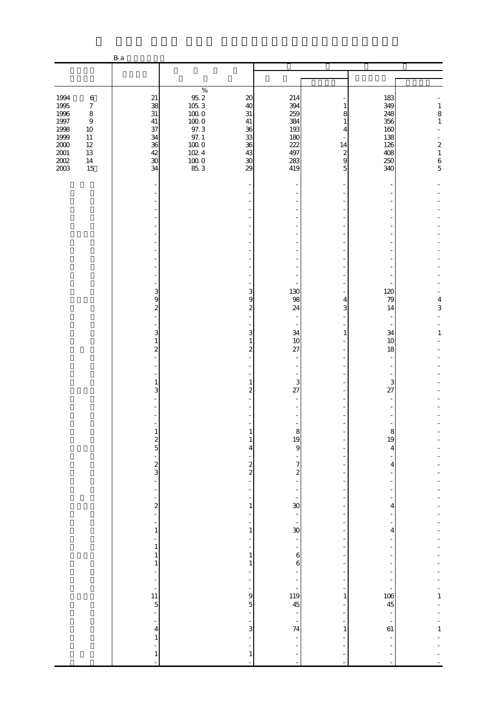|                                                                                             |                                                                                                                    | B a                                                                    |                                                                                                                      |                                                                          |                                                                        |                                                      |                                                                    |                                                                                                 |
|---------------------------------------------------------------------------------------------|--------------------------------------------------------------------------------------------------------------------|------------------------------------------------------------------------|----------------------------------------------------------------------------------------------------------------------|--------------------------------------------------------------------------|------------------------------------------------------------------------|------------------------------------------------------|--------------------------------------------------------------------|-------------------------------------------------------------------------------------------------|
|                                                                                             |                                                                                                                    |                                                                        |                                                                                                                      |                                                                          |                                                                        |                                                      |                                                                    |                                                                                                 |
|                                                                                             |                                                                                                                    |                                                                        |                                                                                                                      |                                                                          |                                                                        |                                                      |                                                                    |                                                                                                 |
| 1994<br>1995<br>1996<br>$1997\,$<br>1998<br>1999<br>$2000\,$<br>$2001\,$<br>$200\!$<br>2003 | $\,6\,$<br>$\boldsymbol{7}$<br>$\,8\,$<br>$\boldsymbol{9}$<br>$10\,$<br>$11\,$<br>$12\,$<br>$13\,$<br>$14\,$<br>15 | 21<br>38<br>$31\,$<br>$41\,$<br>37<br>34<br>36<br>42<br>$\infty$<br>34 | $\%$<br>$95.2\,$<br>$105.3$<br>$100\;0$<br>$100\;0$<br>$97.3\,$<br>97.1<br>$100\;0$<br>$102.4\,$<br>$100\;0$<br>85.3 | $20\,$<br>40<br>$31\,$<br>$41\,$<br>36<br>33<br>36<br>43<br>$30\,$<br>29 | 214<br>394<br>259<br>384<br>193<br>180<br>222<br>497<br>283<br>419     | 1<br>8<br>1<br>4<br>14<br>$\boldsymbol{z}$<br>9<br>5 | 183<br>349<br>248<br>356<br>160<br>138<br>126<br>408<br>250<br>340 | $\mathbf{1}$<br>8<br>$\,1$<br>$\overline{a}$<br>$\begin{array}{c} 2 \\ 1 \\ 6 \\ 5 \end{array}$ |
|                                                                                             |                                                                                                                    |                                                                        |                                                                                                                      |                                                                          |                                                                        |                                                      |                                                                    |                                                                                                 |
|                                                                                             |                                                                                                                    |                                                                        |                                                                                                                      |                                                                          |                                                                        |                                                      |                                                                    |                                                                                                 |
|                                                                                             |                                                                                                                    |                                                                        |                                                                                                                      |                                                                          |                                                                        |                                                      |                                                                    |                                                                                                 |
|                                                                                             |                                                                                                                    | 3<br>9<br>$\overline{\mathcal{L}}$<br>$\overline{\phantom{0}}$         |                                                                                                                      | 3<br>9<br>$\boldsymbol{z}$                                               | 130<br>98<br>24<br>$\sim$                                              | 4<br>3                                               | 120<br>79<br>14                                                    | 4<br>3                                                                                          |
|                                                                                             |                                                                                                                    | 3<br>$\mathbf{1}$<br>$\overline{\mathcal{L}}$                          |                                                                                                                      | 3<br>$\mathbf{1}$<br>$\overline{\mathcal{Z}}$                            | 34<br>10<br>27<br>$\overline{\phantom{a}}$<br>$\overline{\phantom{a}}$ | $\mathbf{1}$                                         | 34<br>10<br>18                                                     | $\mathbf{1}$                                                                                    |
|                                                                                             |                                                                                                                    | $\mathbf{1}$<br>3                                                      |                                                                                                                      | 1<br>$\overline{2}$                                                      | 3<br>27                                                                |                                                      | 3<br>27                                                            |                                                                                                 |
|                                                                                             |                                                                                                                    | $\frac{2}{5}$                                                          |                                                                                                                      | 1<br>4                                                                   | 8<br>19<br>9                                                           |                                                      | ŏ<br>19<br>4                                                       |                                                                                                 |
|                                                                                             |                                                                                                                    | $\frac{2}{3}$                                                          |                                                                                                                      | $\frac{2}{2}$                                                            | $\overline{7}$<br>$\overline{\mathcal{Z}}$                             |                                                      | 4                                                                  |                                                                                                 |
|                                                                                             |                                                                                                                    | $\overline{\mathbf{c}}$<br>1                                           |                                                                                                                      | 1<br>1                                                                   | 30<br>$\infty$                                                         |                                                      | 4<br>4                                                             |                                                                                                 |
|                                                                                             |                                                                                                                    | 1<br>1<br>1                                                            |                                                                                                                      | 1<br>1                                                                   | 6<br>6                                                                 |                                                      |                                                                    |                                                                                                 |
|                                                                                             |                                                                                                                    | f<br>11<br>$\overline{5}$<br>÷,                                        |                                                                                                                      | 9<br>5                                                                   | 119<br>45                                                              | 1                                                    | 106<br>45                                                          | 1                                                                                               |
|                                                                                             |                                                                                                                    | 4<br>1<br>$\mathbf{1}$                                                 |                                                                                                                      | 3<br>1                                                                   | $\frac{1}{74}$<br>-<br>L,                                              | 1                                                    | $\frac{1}{61}$                                                     | $\mathbf{1}$                                                                                    |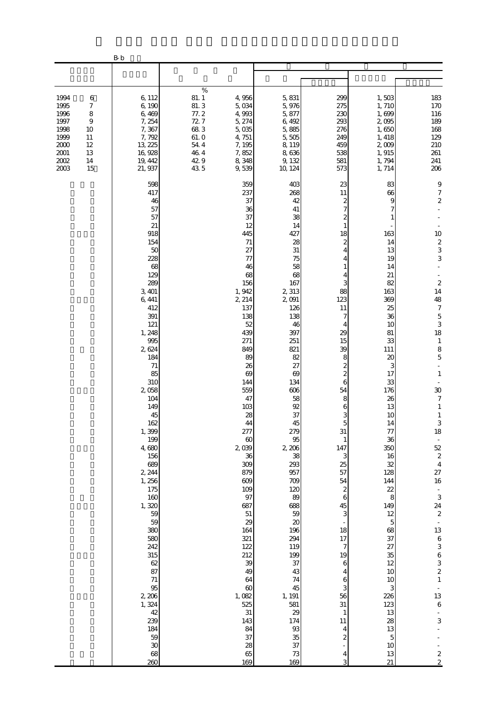|                                                                                                                                                        | $\rm B\,b$                                                                                                                                                                                                                                                                                                                                                                                                                                 |                                                                                             |                                                                                                                                                                                                                                                                                                                                                                                                                                         |                                                                                                                                                                                                                                                                                                                                                                                                                                  |                                                                                                                                                                                                                                                                                                                                                                                      |                                                                                                                                                                                                                                                                                                                                                                         |                                                                                                                                                                                                                                                                                                                                                                                                                                                                                                                                                                                                                                                        |
|--------------------------------------------------------------------------------------------------------------------------------------------------------|--------------------------------------------------------------------------------------------------------------------------------------------------------------------------------------------------------------------------------------------------------------------------------------------------------------------------------------------------------------------------------------------------------------------------------------------|---------------------------------------------------------------------------------------------|-----------------------------------------------------------------------------------------------------------------------------------------------------------------------------------------------------------------------------------------------------------------------------------------------------------------------------------------------------------------------------------------------------------------------------------------|----------------------------------------------------------------------------------------------------------------------------------------------------------------------------------------------------------------------------------------------------------------------------------------------------------------------------------------------------------------------------------------------------------------------------------|--------------------------------------------------------------------------------------------------------------------------------------------------------------------------------------------------------------------------------------------------------------------------------------------------------------------------------------------------------------------------------------|-------------------------------------------------------------------------------------------------------------------------------------------------------------------------------------------------------------------------------------------------------------------------------------------------------------------------------------------------------------------------|--------------------------------------------------------------------------------------------------------------------------------------------------------------------------------------------------------------------------------------------------------------------------------------------------------------------------------------------------------------------------------------------------------------------------------------------------------------------------------------------------------------------------------------------------------------------------------------------------------------------------------------------------------|
|                                                                                                                                                        |                                                                                                                                                                                                                                                                                                                                                                                                                                            |                                                                                             |                                                                                                                                                                                                                                                                                                                                                                                                                                         |                                                                                                                                                                                                                                                                                                                                                                                                                                  |                                                                                                                                                                                                                                                                                                                                                                                      |                                                                                                                                                                                                                                                                                                                                                                         |                                                                                                                                                                                                                                                                                                                                                                                                                                                                                                                                                                                                                                                        |
| 1994<br>$\,6$<br>1995<br>7<br>1996<br>$\,$ 8 $\,$<br>1997<br>9<br>1998<br>10<br>1999<br>11<br>2000<br>12<br>$2001\,$<br>13<br>2002<br>14<br>2003<br>15 | 6,112<br>6,190<br>6,469<br>7, 254<br>7,367<br>7,792<br>13, 225<br>16,928<br>19, 442<br>21, 937                                                                                                                                                                                                                                                                                                                                             | $\%$<br>81.1<br>81.3<br>77.2<br>72.7<br>683<br>61.0<br>$54\,$ $4\,$<br>46.4<br>42.9<br>43.5 | 4,956<br>5,034<br>4,993<br>5, 274<br>5,035<br>4,751<br>7, 195<br>7,852<br>8,348<br>9,539                                                                                                                                                                                                                                                                                                                                                | 5,831<br>5,976<br>5,877<br>6,492<br>5,885<br>5,505<br>8,119<br>8,636<br>9, 132<br>10 124                                                                                                                                                                                                                                                                                                                                         | 299<br>275<br>230<br>293<br>276<br>249<br>459<br>538<br>581<br>573                                                                                                                                                                                                                                                                                                                   | 1,503<br>1,710<br>1,699<br>2,095<br>1,650<br>1, 418<br>2,009<br>1,915<br>1,794<br>1,714                                                                                                                                                                                                                                                                                 | 183<br>$170\,$<br>116<br>189<br>168<br>129<br>210<br>261<br>241<br>206                                                                                                                                                                                                                                                                                                                                                                                                                                                                                                                                                                                 |
|                                                                                                                                                        | 598<br>417<br>46<br>57<br>57<br>21<br>918<br>154<br>50<br>228<br>68<br>129<br>289<br>3, 401<br>6,441<br>412<br>391<br>121<br>1, 248<br>995<br>2,624<br>184<br>71<br>85<br>310<br>2,058<br>104<br>149<br>45<br>162<br>1,399<br>199<br>4,680<br>156<br>689<br>2, 244<br>1, 256<br>175<br>$160\,$<br>1,320<br>59<br>59<br>380<br>580<br>242<br>315<br>62<br>87<br>$71\,$<br>95<br>2,206<br>1,324<br>42<br>239<br>184<br>59<br>30<br>68<br>260 |                                                                                             | 359<br>237<br>37<br>36<br>37<br>12<br>445<br>$71\,$<br>27<br>77<br>46<br>68<br>156<br>1, 942<br>2 214<br>137<br>138<br>52<br>439<br>271<br>849<br>89<br>26<br>69<br>144<br>559<br>47<br>103<br>28<br>44<br>277<br>$\boldsymbol{\omega}$<br>2,039<br>36<br>309<br>879<br>$609$<br>109<br>97<br>687<br>51<br>29<br>164<br>321<br>122<br>212<br>39<br>49<br>64<br>$\infty$<br>1,082<br>525<br>$31\,$<br>143<br>84<br>37<br>28<br>65<br>169 | 403<br>268<br>42<br>41<br>38<br>14<br>427<br>28<br>$31\,$<br>75<br>58<br>68<br>167<br>2 3 13<br>2091<br>126<br>138<br>46<br>397<br>251<br>821<br>82<br>27<br>69<br>134<br>606<br>58<br>92<br>37<br>45<br>279<br>95<br>2 206<br>38<br>293<br>957<br>709<br>120<br>89<br>688<br>59<br>$\boldsymbol{\chi}$<br>196<br>294<br>119<br>199<br>37<br>43<br>74<br>45<br>1, 191<br>581<br>29<br>174<br>$93\,$<br>35<br>37<br>$73\,$<br>169 | 23<br>11<br>$\boldsymbol{z}$<br>7<br>1<br>18<br>2<br>4<br>88<br>123<br>11<br>7<br>4<br>29<br>15<br>39<br>8<br>$\boldsymbol{z}$<br>$\overline{\mathcal{Z}}$<br>6<br>54<br>8<br>6<br>3<br>$\overline{5}$<br>31<br>1<br>147<br>3<br>25<br>57<br>54<br>$\boldsymbol{2}$<br>6<br>45<br>3<br>18<br>17<br>7<br>19<br>6<br>4<br>6<br>3<br>56<br>31<br>$\mathbf{1}$<br>11<br>4<br>2<br>4<br>3 | 83<br>66<br>9<br>163<br>14<br>13<br>19<br>14<br>21<br>82<br>163<br>369<br>25<br>36<br>10<br>81<br>33<br>111<br>20<br>3<br>17<br>33<br>176<br>26<br>13<br>10<br>14<br>77<br>36<br>350<br>16<br>32<br>128<br>144<br>22<br>8<br>149<br>12<br>$\mathbf 5$<br>68<br>37<br>27<br>35<br>12<br>$10$<br>10<br>3<br>226<br>123<br>13<br>28<br>13<br>$\mathbf 5$<br>10<br>13<br>21 | 9<br>$\overline{7}$<br>$\boldsymbol{z}$<br>10<br>$rac{2}{3}$<br>3<br>$\begin{array}{c} 2 \\ 14 \end{array}$<br>48<br>7<br>$\frac{5}{3}$<br>18<br>$\mathbf{1}$<br>$\begin{array}{c} 8 \\ 5 \end{array}$<br>$\mathbf{1}$<br>30<br>$\boldsymbol{7}$<br>$\mathbf{1}$<br>$\mathbf{1}$<br>$\,$ 3 $\,$<br>18<br>$\overline{\phantom{a}}$<br>52<br>$\overline{\mathcal{L}}$<br>$\overline{4}$<br>27<br>16<br>$\blacksquare$<br>3<br>24<br>$\boldsymbol{z}$<br>$\overline{\phantom{a}}$<br>$13\,$<br>$\begin{array}{c} 6 \\ 3 \end{array}$<br>$\begin{array}{c}\n63 \\ 21\n\end{array}$<br>13<br>$\overline{6}$<br>$\,$ 3 $\,$<br>$\boldsymbol{2}$<br>$\bar{z}$ |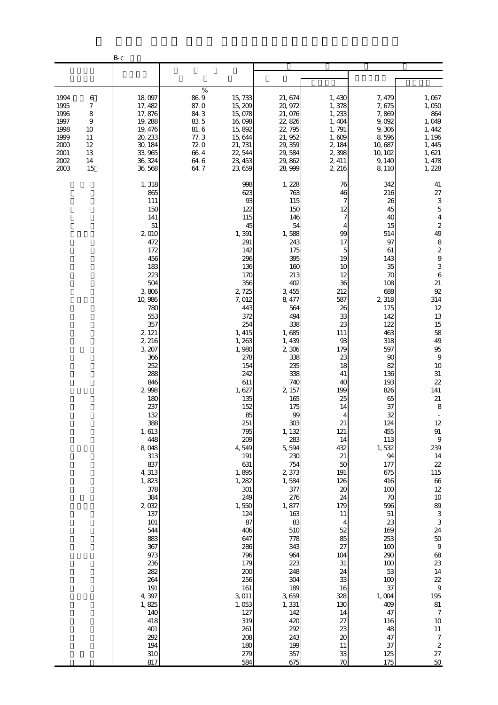|                                                                              |                                                                | $\rm B\,\rm c$                                                                                                                                                                                                                                                                                                                                                                                                                                             |                                                                                    |                                                                                                                                                                                                                                                                                                                                                                                                                                                       |                                                                                                                                                                                                                                                                                                                                                                                                                                                         |                                                                                                                                                                                                                                                                                                                                                                                    |                                                                                                                                                                                                                                                                                                                                                                                                              |                                                                                                                                                                                                                                                                                                                                                                                                                                                                                                                                                                                                                    |
|------------------------------------------------------------------------------|----------------------------------------------------------------|------------------------------------------------------------------------------------------------------------------------------------------------------------------------------------------------------------------------------------------------------------------------------------------------------------------------------------------------------------------------------------------------------------------------------------------------------------|------------------------------------------------------------------------------------|-------------------------------------------------------------------------------------------------------------------------------------------------------------------------------------------------------------------------------------------------------------------------------------------------------------------------------------------------------------------------------------------------------------------------------------------------------|---------------------------------------------------------------------------------------------------------------------------------------------------------------------------------------------------------------------------------------------------------------------------------------------------------------------------------------------------------------------------------------------------------------------------------------------------------|------------------------------------------------------------------------------------------------------------------------------------------------------------------------------------------------------------------------------------------------------------------------------------------------------------------------------------------------------------------------------------|--------------------------------------------------------------------------------------------------------------------------------------------------------------------------------------------------------------------------------------------------------------------------------------------------------------------------------------------------------------------------------------------------------------|--------------------------------------------------------------------------------------------------------------------------------------------------------------------------------------------------------------------------------------------------------------------------------------------------------------------------------------------------------------------------------------------------------------------------------------------------------------------------------------------------------------------------------------------------------------------------------------------------------------------|
|                                                                              |                                                                |                                                                                                                                                                                                                                                                                                                                                                                                                                                            |                                                                                    |                                                                                                                                                                                                                                                                                                                                                                                                                                                       |                                                                                                                                                                                                                                                                                                                                                                                                                                                         |                                                                                                                                                                                                                                                                                                                                                                                    |                                                                                                                                                                                                                                                                                                                                                                                                              |                                                                                                                                                                                                                                                                                                                                                                                                                                                                                                                                                                                                                    |
| 1994<br>1995<br>1996<br>1997<br>1998<br>1999<br>2000<br>2001<br>2002<br>2003 | 6<br>7<br>$\,$ 8 $\,$<br>9<br>10<br>11<br>12<br>13<br>14<br>15 | 18,097<br>17, 482<br>17,876<br>19, 288<br>19, 476<br>20, 233<br>30, 184<br>33,965<br>36, 324<br>36,568                                                                                                                                                                                                                                                                                                                                                     | $\%$<br>86.9<br>87.0<br>84.3<br>83 5<br>81.6<br>77.3<br>720<br>664<br>64.6<br>64.7 | 15,733<br>15, 209<br>15,078<br>16,098<br>15,892<br>15,644<br>21, 731<br>22, 544<br>23, 453<br>23, 659                                                                                                                                                                                                                                                                                                                                                 | 21, 674<br>20, 972<br>21,076<br>22,826<br>22, 795<br>21, 952<br>29, 359<br>29, 584<br>29,862<br>28, 999                                                                                                                                                                                                                                                                                                                                                 | 1,430<br>1,378<br>1,233<br>1,404<br>1,791<br>1,609<br>2, 184<br>2,398<br>2, 411<br>2, 216                                                                                                                                                                                                                                                                                          | 7, 479<br>7,675<br>7,869<br>9,092<br>9,306<br>8,596<br>10,687<br>10, 102<br>9,140<br>8,110                                                                                                                                                                                                                                                                                                                   | 1,067<br>1,050<br>864<br>1,049<br>1, 442<br>1, 196<br>1, 445<br>1,621<br>1, 478<br>1,228                                                                                                                                                                                                                                                                                                                                                                                                                                                                                                                           |
|                                                                              |                                                                | 1,318<br>865<br>111<br>150<br>141<br>51<br>2,010<br>472<br>172<br>456<br>183<br>223<br>504<br>3,806<br>10,986<br>780<br>553<br>357<br>2, 121<br>2, 216<br>3, 207<br>366<br>252<br>288<br>846<br>2,998<br>180<br>237<br>132<br>388<br>1,613<br>448<br>8,048<br>313<br>837<br>4,313<br>1,823<br>378<br>384<br>2,032<br>137<br>101<br>544<br>883<br>367<br>973<br>236<br>282<br>264<br>191<br>4,397<br>1,825<br>140<br>418<br>401<br>292<br>194<br>310<br>817 |                                                                                    | 998<br>623<br>$93\,$<br>122<br>115<br>45<br>1,391<br>291<br>142<br>296<br>136<br>170<br>356<br>2,725<br>7,012<br>443<br>372<br>254<br>1, 415<br>1,263<br>1,980<br>278<br>154<br>242<br>611<br>1,627<br>135<br>152<br>85<br>251<br>795<br>209<br>4,549<br>191<br>631<br>1,895<br>1, 282<br>301<br>249<br>1,550<br>124<br>87<br>406<br>647<br>286<br>796<br>179<br>200<br>256<br>161<br>3,011<br>1,053<br>127<br>319<br>261<br>208<br>180<br>279<br>584 | 1, 228<br>763<br>115<br>150<br>146<br>54<br>1,588<br>243<br>175<br>395<br>160<br>213<br>402<br>3,455<br>8, 477<br>564<br>494<br>338<br>1,685<br>1,439<br>2,306<br>338<br>235<br>338<br>740<br>2 157<br>165<br>175<br>99<br>303<br>1, 132<br>283<br>5,594<br>230<br>754<br>2,373<br>1,584<br>377<br>276<br>1,877<br>163<br>83<br>510<br>778<br>343<br>964<br>223<br>248<br>304<br>189<br>3,659<br>1,331<br>142<br>420<br>292<br>243<br>199<br>357<br>675 | 76<br>46<br>7<br>12<br>7<br>4<br>99<br>17<br>5<br>19<br>10<br>12<br>36<br>212<br>587<br>26<br>33<br>23<br>111<br>93<br>179<br>23<br>18<br>41<br>40<br>199<br>25<br>14<br>4<br>21<br>121<br>14<br>432<br>21<br>50<br>191<br>126<br>20<br>24<br>179<br>11<br>$\overline{4}$<br>52<br>85<br>27<br>104<br>31<br>24<br>33<br>16<br>328<br>130<br>14<br>27<br>23<br>20<br>11<br>33<br>70 | 342<br>216<br>26<br>45<br>40<br>15<br>514<br>97<br>61<br>143<br>35<br>70<br>108<br>688<br>2,318<br>175<br>142<br>122<br>463<br>318<br>597<br>90<br>82<br>136<br>193<br>826<br>65<br>37<br>32<br>124<br>455<br>113<br>1,532<br>94<br>177<br>675<br>416<br>100<br>70<br>596<br>$51\,$<br>23<br>169<br>253<br>100<br>290<br>100<br>53<br>100<br>37<br>1,004<br>409<br>47<br>116<br>48<br>47<br>37<br>125<br>175 | 41<br>27<br>$\frac{3}{5}$<br>$\overline{4}$<br>$\begin{array}{c} 2 \\ 49 \end{array}$<br>$\begin{array}{c}\n8 \\ 2 \\ 9 \\ 3\n\end{array}$<br>$\overline{6}$<br>$21\,$<br>92<br>314<br>$12 \text{ }$<br>13<br>15<br>58<br>49<br>$95\,$<br>$\,9$<br>10<br>$31\,$<br>22<br>141<br>21<br>$\,8\,$<br>$\sim$<br>12<br>$\rm 91$<br>$\,9$<br>239<br>14<br>22<br>115<br>66<br>$12\,$<br>$10\,$<br>89<br>$\,3$<br>$\,$ 3 $\,$<br>$2\!$<br>$50\,$<br>$\,9$<br>68<br>$23\,$<br>14<br>$2\!$<br>$\overline{9}$<br>195<br>$81\,$<br>$\boldsymbol{7}$<br>$10\,$<br>$11\,$<br>$\boldsymbol{7}$<br>$\boldsymbol{2}$<br>$27\,$<br>50 |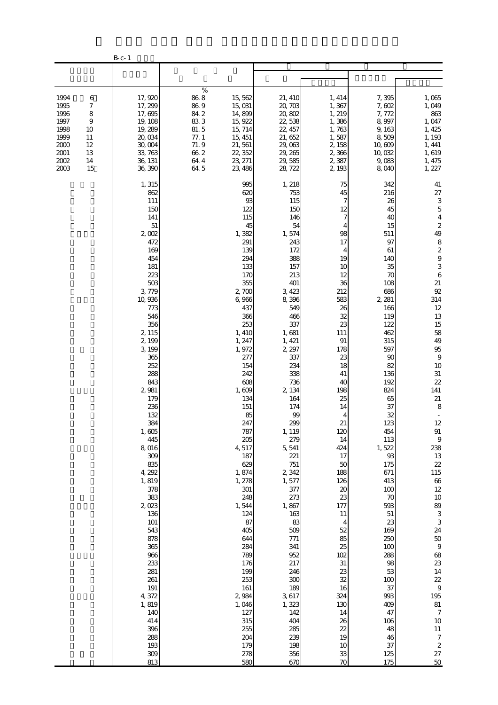|                                                                              |                                                                             | $B_{c-1}$                                                                                                                                                                                                                                                                                                                                                                                                                                                             |                                                                                       |                                                                                                                                                                                                                                                                                                                                                                                                                                                        |                                                                                                                                                                                                                                                                                                                                                                                                                                                           |                                                                                                                                                                                                                                                                                                                                                                                   |                                                                                                                                                                                                                                                                                                                                                                                                            |                                                                                                                                                                                                                                                                                                                                                                                                                                                                                                                                                                                                                                                                               |
|------------------------------------------------------------------------------|-----------------------------------------------------------------------------|-----------------------------------------------------------------------------------------------------------------------------------------------------------------------------------------------------------------------------------------------------------------------------------------------------------------------------------------------------------------------------------------------------------------------------------------------------------------------|---------------------------------------------------------------------------------------|--------------------------------------------------------------------------------------------------------------------------------------------------------------------------------------------------------------------------------------------------------------------------------------------------------------------------------------------------------------------------------------------------------------------------------------------------------|-----------------------------------------------------------------------------------------------------------------------------------------------------------------------------------------------------------------------------------------------------------------------------------------------------------------------------------------------------------------------------------------------------------------------------------------------------------|-----------------------------------------------------------------------------------------------------------------------------------------------------------------------------------------------------------------------------------------------------------------------------------------------------------------------------------------------------------------------------------|------------------------------------------------------------------------------------------------------------------------------------------------------------------------------------------------------------------------------------------------------------------------------------------------------------------------------------------------------------------------------------------------------------|-------------------------------------------------------------------------------------------------------------------------------------------------------------------------------------------------------------------------------------------------------------------------------------------------------------------------------------------------------------------------------------------------------------------------------------------------------------------------------------------------------------------------------------------------------------------------------------------------------------------------------------------------------------------------------|
|                                                                              |                                                                             |                                                                                                                                                                                                                                                                                                                                                                                                                                                                       |                                                                                       |                                                                                                                                                                                                                                                                                                                                                                                                                                                        |                                                                                                                                                                                                                                                                                                                                                                                                                                                           |                                                                                                                                                                                                                                                                                                                                                                                   |                                                                                                                                                                                                                                                                                                                                                                                                            |                                                                                                                                                                                                                                                                                                                                                                                                                                                                                                                                                                                                                                                                               |
| 1994<br>1995<br>1996<br>1997<br>1998<br>1999<br>2000<br>2001<br>2002<br>2003 | 6<br>7<br>$\,$ 8 $\,$<br>$\overline{9}$<br>10<br>11<br>12<br>13<br>14<br>15 | 17,920<br>17, 299<br>17,695<br>19, 108<br>19, 289<br>20,034<br>30,004<br>33, 763<br>36, 131<br>36, 390                                                                                                                                                                                                                                                                                                                                                                | $\%$<br>$86\ 8$<br>86.9<br>84.2<br>833<br>81.5<br>77.1<br>71.9<br>662<br>64.4<br>64.5 | 15,562<br>15,031<br>14,899<br>15, 922<br>15, 714<br>15, 451<br>21, 561<br>22, 352<br>23, 271<br>23, 486                                                                                                                                                                                                                                                                                                                                                | 21, 410<br>20, 703<br>20,802<br>22,538<br>22, 457<br>21, 652<br>29,063<br>29, 265<br>29,585<br>28, 722                                                                                                                                                                                                                                                                                                                                                    | 1, 414<br>1,367<br>1, 219<br>1,386<br>1,763<br>1,587<br>2, 158<br>2,366<br>2,387<br>2, 193                                                                                                                                                                                                                                                                                        | 7,395<br>7,602<br>7,772<br>8,997<br>9,163<br>8,509<br>10,609<br>10,032<br>9,083<br>8,040                                                                                                                                                                                                                                                                                                                   | 1,065<br>1,049<br>863<br>1,047<br>1, 425<br>1, 193<br>1, 441<br>1,619<br>1, 475<br>1, 227                                                                                                                                                                                                                                                                                                                                                                                                                                                                                                                                                                                     |
|                                                                              |                                                                             | 1,315<br>862<br>111<br>150<br>141<br>51<br>2,002<br>472<br>169<br>454<br>181<br>223<br>503<br>3, 779<br>10, 936<br>773<br>546<br>356<br>2, 115<br>2, 199<br>3, 199<br>365<br>252<br>288<br>843<br>2,981<br>179<br>236<br>132<br>384<br>1,605<br>445<br>8,016<br>309<br>835<br>4, 292<br>1,819<br>378<br>383<br>2,023<br>136<br>$101\,$<br>543<br>878<br>365<br>966<br>233<br>281<br>$261\,$<br>191<br>4,372<br>1,819<br>140<br>414<br>396<br>288<br>193<br>309<br>813 |                                                                                       | 995<br>620<br>$93\,$<br>122<br>115<br>45<br>1,382<br>291<br>139<br>294<br>133<br>170<br>355<br>2,700<br>6,966<br>437<br>366<br>253<br>1, 410<br>1, 247<br>1,972<br>277<br>154<br>242<br>608<br>1,609<br>134<br>151<br>85<br>247<br>787<br>205<br>4,517<br>187<br>629<br>1,874<br>1, 278<br>301<br>248<br>1,544<br>124<br>87<br>405<br>644<br>284<br>789<br>176<br>199<br>253<br>161<br>2 984<br>1,046<br>127<br>315<br>255<br>204<br>179<br>278<br>580 | 1,218<br>753<br>115<br>150<br>146<br>54<br>1,574<br>243<br>172<br>388<br>157<br>213<br>401<br>3, 423<br>8,396<br>549<br>466<br>337<br>1,681<br>1, 421<br>2, 297<br>337<br>234<br>338<br>736<br>2 134<br>164<br>174<br>99<br>299<br>1, 119<br>279<br>5,541<br>221<br>751<br>2,342<br>1,577<br>377<br>273<br>1,867<br>163<br>83<br>509<br>771<br>341<br>952<br>217<br>246<br>300<br>189<br>3, 617<br>1,323<br>142<br>404<br>285<br>239<br>198<br>356<br>670 | 75<br>45<br>7<br>12<br>7<br>98<br>17<br>4<br>19<br>10<br>12<br>36<br>212<br>583<br>26<br>32<br>23<br>111<br>91<br>178<br>23<br>18<br>41<br>40<br>198<br>25<br>14<br>4<br>21<br>120<br>14<br>424<br>17<br>50<br>188<br>126<br>$\boldsymbol{\chi}$<br>23<br>177<br>11<br>4<br>52<br>85<br>25<br>102<br>31<br>23<br>32<br>16<br>324<br>130<br>14<br>26<br>22<br>19<br>10<br>33<br>70 | 342<br>216<br>26<br>45<br>40<br>15<br>511<br>97<br>61<br>140<br>35<br>70<br>108<br>686<br>2, 281<br>166<br>119<br>122<br>462<br>315<br>597<br>90<br>82<br>136<br>192<br>824<br>65<br>37<br>32<br>123<br>454<br>113<br>1,522<br>93<br>175<br>671<br>413<br>100<br>70<br>593<br>$51\,$<br>23<br>169<br>250<br>100<br>288<br>98<br>53<br>100<br>37<br>993<br>409<br>47<br>106<br>48<br>46<br>37<br>125<br>175 | 41<br>$27\,$<br>$\ensuremath{\mathsf{3}}$<br>$\overline{5}$<br>$\overline{4}$<br>$\begin{array}{c} 2 \\ 49 \end{array}$<br>$\begin{array}{c} 8 \\ 2 \\ 9 \end{array}$<br>$\begin{array}{c} 3 \\ 6 \end{array}$<br>$21\,$<br>92<br>314<br>$12 \,$<br>13<br>15<br>58<br>49<br>$95\,$<br>$\,9$<br>10<br>$31\,$<br>$2\!2$<br>141<br>21<br>$\,8\,$<br>$\Box$<br>12<br>$\rm 91$<br>$\,9$<br>238<br>13<br>22<br>115<br>66<br>12<br>$10\,$<br>89<br>$\ensuremath{\mathsf{3}}$<br>3<br>24<br>$50\,$<br>$\boldsymbol{9}$<br>68<br>23<br>$14\phantom{.}$<br>22<br>$\,9$<br>195<br>$8\!1$<br>$\boldsymbol{7}$<br>$10\,$<br>$11\,$<br>$\boldsymbol{7}$<br>$\boldsymbol{2}$<br>$27\,$<br>50 |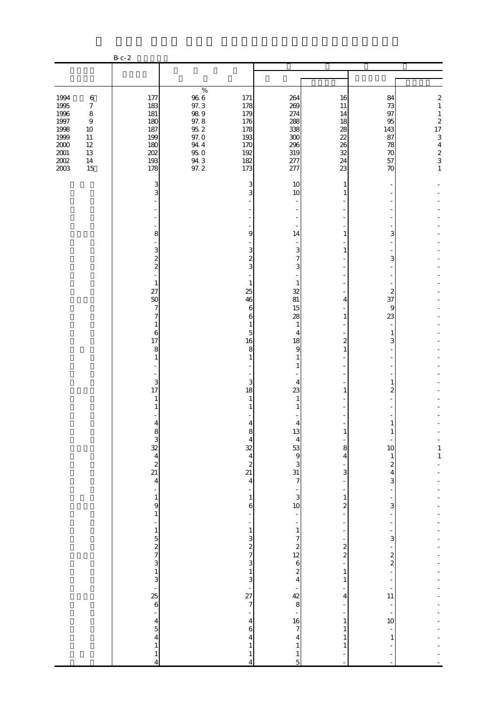|                                                                                             |                                                                                             | B c - 2                                                            |                                                                                                                                                                          |                                                                                                         |                                                          |                                                           |                                                                                                                               |
|---------------------------------------------------------------------------------------------|---------------------------------------------------------------------------------------------|--------------------------------------------------------------------|--------------------------------------------------------------------------------------------------------------------------------------------------------------------------|---------------------------------------------------------------------------------------------------------|----------------------------------------------------------|-----------------------------------------------------------|-------------------------------------------------------------------------------------------------------------------------------|
|                                                                                             |                                                                                             |                                                                    |                                                                                                                                                                          |                                                                                                         |                                                          |                                                           |                                                                                                                               |
|                                                                                             |                                                                                             |                                                                    |                                                                                                                                                                          |                                                                                                         |                                                          |                                                           |                                                                                                                               |
| 1994<br>1995<br>1996<br>$1997\,$<br>1998<br>1999<br>$2000\,$<br>$2001\,$<br>$200\!$<br>2003 | $\,6\,$<br>$\boldsymbol{7}$<br>$\,8\,$<br>$\,9$<br>10<br>11<br>$12\,$<br>13<br>$14\,$<br>15 | 177<br>183<br>181<br>180<br>187<br>199<br>180<br>202<br>193<br>178 | $\%$<br>$96\ 6$<br>171<br>97.3<br>178<br>$98\ 9$<br>179<br>$97.8$ $95.2$<br>176<br>178<br>97.0<br>193<br>94 4<br>170<br>$95\ 0$<br>192<br>$94.3$<br>$97.2$<br>182<br>173 | 264<br>269<br>274<br>288<br>338<br>300<br>296<br>319<br>277<br>277                                      | 16<br>11<br>14<br>18<br>28<br>22<br>26<br>32<br>24<br>23 | 84<br>73<br>97<br>95<br>143<br>87<br>78<br>70<br>57<br>70 | $\boldsymbol{2}$<br>$\,1\,$<br>$\mathbf{1}$<br>$\boldsymbol{z}$<br>17<br>3<br>$\begin{array}{c} 4 \\ 2 \\ 3 \\ 1 \end{array}$ |
|                                                                                             |                                                                                             | 3                                                                  |                                                                                                                                                                          | 10<br>3                                                                                                 | 1                                                        |                                                           |                                                                                                                               |
|                                                                                             |                                                                                             | 3                                                                  |                                                                                                                                                                          | 10<br>3                                                                                                 | 1                                                        |                                                           |                                                                                                                               |
|                                                                                             |                                                                                             |                                                                    |                                                                                                                                                                          |                                                                                                         |                                                          |                                                           |                                                                                                                               |
|                                                                                             |                                                                                             |                                                                    |                                                                                                                                                                          |                                                                                                         |                                                          |                                                           |                                                                                                                               |
|                                                                                             |                                                                                             | 8                                                                  |                                                                                                                                                                          | 9<br>14                                                                                                 | 1                                                        | 3                                                         |                                                                                                                               |
|                                                                                             |                                                                                             | 3<br>$\overline{\mathcal{Z}}$                                      |                                                                                                                                                                          | 3<br>3<br>$\overline{\mathcal{L}}$<br>$\overline{7}$                                                    | $\mathbf{1}$                                             | 3                                                         |                                                                                                                               |
|                                                                                             |                                                                                             | $\overline{\mathcal{L}}$                                           |                                                                                                                                                                          | 3<br>3                                                                                                  |                                                          |                                                           |                                                                                                                               |
|                                                                                             |                                                                                             | $\mathbf{1}$                                                       |                                                                                                                                                                          | 1<br>1                                                                                                  |                                                          |                                                           |                                                                                                                               |
|                                                                                             |                                                                                             | 27<br>50                                                           |                                                                                                                                                                          | 25<br>32<br>81<br>46                                                                                    | 4                                                        | $\overline{\mathbf{c}}$<br>37                             |                                                                                                                               |
|                                                                                             |                                                                                             | 7<br>7                                                             |                                                                                                                                                                          | 6<br>15<br>28<br>6                                                                                      | 1                                                        | 9<br>23                                                   |                                                                                                                               |
|                                                                                             |                                                                                             | 1<br>6                                                             |                                                                                                                                                                          | 1<br>1<br>5<br>$\overline{4}$                                                                           |                                                          | $\mathbf{1}$                                              |                                                                                                                               |
|                                                                                             |                                                                                             | 17<br>8                                                            |                                                                                                                                                                          | 16<br>18<br>8<br>9                                                                                      | $\overline{\mathcal{Z}}$<br>$\mathbf{1}$                 | 3                                                         |                                                                                                                               |
|                                                                                             |                                                                                             | $\mathbf{1}$                                                       |                                                                                                                                                                          | 1<br>1<br>$\mathbf{1}$                                                                                  |                                                          |                                                           |                                                                                                                               |
|                                                                                             |                                                                                             |                                                                    |                                                                                                                                                                          |                                                                                                         |                                                          |                                                           |                                                                                                                               |
|                                                                                             |                                                                                             | 3<br>17                                                            |                                                                                                                                                                          | 3<br>4<br>18<br>23                                                                                      | 1                                                        | 1<br>2                                                    |                                                                                                                               |
|                                                                                             |                                                                                             | $\mathbf{1}$<br>1                                                  |                                                                                                                                                                          | 1<br>1                                                                                                  |                                                          |                                                           |                                                                                                                               |
|                                                                                             |                                                                                             | $\overline{4}$                                                     |                                                                                                                                                                          | 4<br>4                                                                                                  |                                                          | 1                                                         |                                                                                                                               |
|                                                                                             |                                                                                             |                                                                    |                                                                                                                                                                          | ŏ<br>$\frac{13}{4}$<br>$\overline{\mathcal{L}}$                                                         | T                                                        | T                                                         |                                                                                                                               |
|                                                                                             |                                                                                             | 832421                                                             |                                                                                                                                                                          | $\begin{array}{c} 53 \\ 9 \end{array}$                                                                  | 8<br>4                                                   | 10<br>$\mathbf{1}$                                        | $\begin{bmatrix} 1 \\ 1 \end{bmatrix}$                                                                                        |
|                                                                                             |                                                                                             |                                                                    |                                                                                                                                                                          | $\begin{array}{c}\n 32 \\  4 \\  2 \\  21\n \end{array}$<br>$\begin{array}{c} 3 \\ 31 \\ 7 \end{array}$ | 3                                                        | $\boldsymbol{z}$<br>$\overline{\mathbf{4}}$               |                                                                                                                               |
|                                                                                             |                                                                                             |                                                                    |                                                                                                                                                                          | $\overline{4}$                                                                                          | ÷,                                                       | 3                                                         |                                                                                                                               |
|                                                                                             |                                                                                             | ÷<br>$\mathbf{1}$                                                  |                                                                                                                                                                          | ÷<br>$\ddot{\circ}$<br>$\mathbf{1}$                                                                     | $\overline{\phantom{a}}$<br>$\mathbf{1}$                 |                                                           |                                                                                                                               |
|                                                                                             |                                                                                             | 9<br>$\mathbf 1$                                                   |                                                                                                                                                                          | 10<br>6<br>$\frac{1}{\sqrt{2}}$<br>$\frac{1}{2}$                                                        | $\overline{\mathbf{c}}$<br>$\overline{\phantom{a}}$      | 3                                                         |                                                                                                                               |
|                                                                                             |                                                                                             | $\frac{1}{2}$<br>$\mathbf{1}$                                      |                                                                                                                                                                          | $\,1\,$<br>$\,1\,$                                                                                      | $\overline{\phantom{0}}$<br>$\overline{\phantom{a}}$     |                                                           |                                                                                                                               |
|                                                                                             |                                                                                             |                                                                    |                                                                                                                                                                          | $\begin{array}{c} 3 \\ 2 \\ 7 \end{array}$                                                              | $\overline{\phantom{a}}$                                 | 3                                                         |                                                                                                                               |
|                                                                                             |                                                                                             | $\frac{5}{2}$ $\frac{2}{3}$                                        |                                                                                                                                                                          | $\begin{array}{c}\n7 \\ 2 \\ 12 \\ 6 \\ 2 \\ 4\n\end{array}$<br>3                                       | $\frac{2}{2}$<br>$\frac{1}{\sqrt{2}}$                    | $\frac{2}{2}$                                             |                                                                                                                               |
|                                                                                             |                                                                                             |                                                                    |                                                                                                                                                                          | $\frac{1}{3}$                                                                                           | $\,1$                                                    |                                                           |                                                                                                                               |
|                                                                                             |                                                                                             | $\frac{1}{3}$ - 25 6                                               |                                                                                                                                                                          |                                                                                                         | $\,1\,$                                                  | $\frac{1}{11}$                                            |                                                                                                                               |
|                                                                                             |                                                                                             |                                                                    |                                                                                                                                                                          | $\frac{1}{27}$<br>$rac{1}{8}$                                                                           | 4<br>$\frac{1}{2}$                                       |                                                           |                                                                                                                               |
|                                                                                             |                                                                                             |                                                                    |                                                                                                                                                                          | $\begin{array}{c} 16 \\ 7 \end{array}$<br>$\overline{\mathcal{L}}$                                      | $\,1\,$                                                  | 10                                                        |                                                                                                                               |
|                                                                                             |                                                                                             | $\begin{array}{c} 4 \\ 4 \\ 5 \\ 4 \end{array}$                    |                                                                                                                                                                          | 6<br>4<br>4                                                                                             | 1<br>$\mathbf{1}$                                        | $\mathbf{1}$                                              |                                                                                                                               |
|                                                                                             |                                                                                             | $\mathbf{1}$                                                       |                                                                                                                                                                          | $\mathbf{1}$<br>1                                                                                       | $\mathbf{1}$                                             |                                                           |                                                                                                                               |
|                                                                                             |                                                                                             | $\mathbf{1}$<br>$\overline{4}$                                     |                                                                                                                                                                          | $\mathbf{1}$<br>$\mathbf{1}$<br>5<br>$\overline{4}$                                                     |                                                          | $\overline{a}$<br>÷,                                      |                                                                                                                               |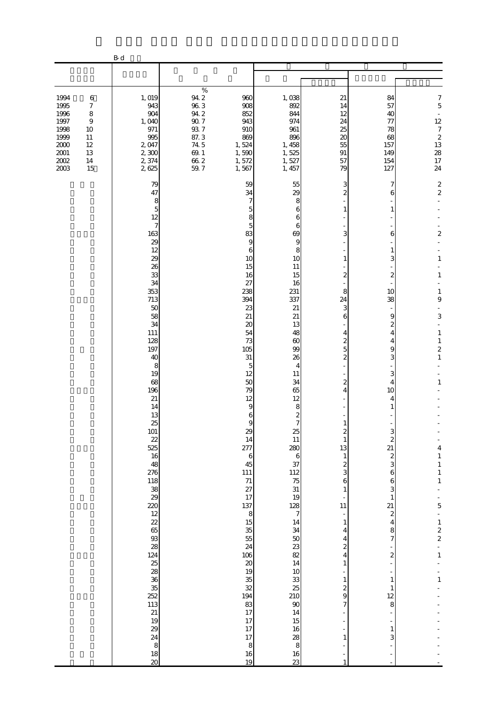|                                                                                                                                                                                          | $\mathbf B$ d                                                                                                                                                                                                                                                                                                                                                                                                                         |                                                                                                                                                                                                                 |                                                                                                                                                                                                                                                                                                                                                                                                                                                                                                                                                                                                                                                                                                                                                                                 |                                                                                                                                                                                                                                                                                                                                                                                               |                                                                                                                                                                                                                                                                                                                                                                                                                                |                                                                                                                                                                                                                                                                                                                                                     |
|------------------------------------------------------------------------------------------------------------------------------------------------------------------------------------------|---------------------------------------------------------------------------------------------------------------------------------------------------------------------------------------------------------------------------------------------------------------------------------------------------------------------------------------------------------------------------------------------------------------------------------------|-----------------------------------------------------------------------------------------------------------------------------------------------------------------------------------------------------------------|---------------------------------------------------------------------------------------------------------------------------------------------------------------------------------------------------------------------------------------------------------------------------------------------------------------------------------------------------------------------------------------------------------------------------------------------------------------------------------------------------------------------------------------------------------------------------------------------------------------------------------------------------------------------------------------------------------------------------------------------------------------------------------|-----------------------------------------------------------------------------------------------------------------------------------------------------------------------------------------------------------------------------------------------------------------------------------------------------------------------------------------------------------------------------------------------|--------------------------------------------------------------------------------------------------------------------------------------------------------------------------------------------------------------------------------------------------------------------------------------------------------------------------------------------------------------------------------------------------------------------------------|-----------------------------------------------------------------------------------------------------------------------------------------------------------------------------------------------------------------------------------------------------------------------------------------------------------------------------------------------------|
|                                                                                                                                                                                          |                                                                                                                                                                                                                                                                                                                                                                                                                                       |                                                                                                                                                                                                                 |                                                                                                                                                                                                                                                                                                                                                                                                                                                                                                                                                                                                                                                                                                                                                                                 |                                                                                                                                                                                                                                                                                                                                                                                               |                                                                                                                                                                                                                                                                                                                                                                                                                                |                                                                                                                                                                                                                                                                                                                                                     |
| 1994<br>$\,6$<br>1995<br>$\boldsymbol{7}$<br>1996<br>$\,8\,$<br>1997<br>$\boldsymbol{9}$<br>1998<br>10<br>1999<br>11<br>2000<br>$12\,$<br>$2001\,$<br>13<br>$2002\,$<br>14<br>2003<br>15 | 1, 019<br>943<br>904<br>1,040<br>971<br>995<br>2,047<br>2,300<br>2,374<br>2,625                                                                                                                                                                                                                                                                                                                                                       | $\%$<br>$94.2\,$<br>960<br>$\begin{array}{c} 96.3 \\ 94.2 \end{array}$<br>908<br>852<br>$90\,7$<br>943<br>$93\ 7$<br>910<br>87.3<br>869<br>74 5<br>1,524<br>$69.1\,$<br>1,590<br>66.2<br>1,572<br>59.7<br>1,567 | 1,038<br>892<br>844<br>974<br>961<br>896<br>1, 458<br>1,525<br>1,527<br>1, 457                                                                                                                                                                                                                                                                                                                                                                                                                                                                                                                                                                                                                                                                                                  | 21<br>14<br>12<br>24<br>25<br>20<br>55<br>91<br>57<br>79                                                                                                                                                                                                                                                                                                                                      | 84<br>57<br>40<br>77<br>78<br>68<br>157<br>149<br>154<br>127                                                                                                                                                                                                                                                                                                                                                                   | $\overline{7}$<br>$\overline{5}$<br>$\Box$<br>12<br>$\boldsymbol{7}$<br>$\frac{2}{13}$<br>$\begin{array}{c} 28 \\ 17 \end{array}$<br>24                                                                                                                                                                                                             |
|                                                                                                                                                                                          | 79<br>47<br>8<br>5<br>12<br>$\overline{7}$<br>163<br>29<br>12<br>29<br>26<br>33<br>34<br>353<br>713<br>$50$<br>58<br>34<br>111<br>128<br>197<br>40<br>8<br>19<br>68<br>196<br>21<br>14<br>13<br>25<br>101<br>22<br>525<br>16<br>48<br>276<br>$\begin{array}{c} 118 \\ 38 \\ 29 \end{array}$<br>220<br>$\frac{12}{22}$<br>65<br>$93$<br>28<br>124<br>25<br>28<br>36<br>35<br>252<br>113<br>21<br>19<br>29<br>24<br>8<br>18<br>$\infty$ | 27<br>238<br>394<br>23<br>21<br>105<br>31<br>277<br>45<br>111<br>$\frac{71}{27}$<br>17<br>137<br>106<br>35<br>194<br>83                                                                                         | 59<br>55<br>34<br>29<br>7<br>8<br>6<br>5<br>8<br>6<br>5<br>6<br>83<br>69<br>9<br>9<br>6<br>8<br>10<br>10<br>15<br>11<br>16<br>15<br>16<br>231<br>337<br>21<br>21<br>20<br>13<br>54<br>48<br>73<br>60<br>99<br>26<br>5<br>4<br>12<br>11<br>50<br>34<br>79<br>65<br>12<br>12<br>9<br>8<br>$rac{2}{7}$<br>6<br>9<br>29<br>25<br>11<br>14<br>280<br>$\boldsymbol{6}$<br>$\,$ 6 $\,$<br>37<br>112<br>$\begin{array}{c} 75 \\ 31 \end{array}$<br>19<br>128<br>8<br>$\overline{7}$<br>15<br>14<br>35<br>34<br>55<br>$\begin{array}{c} 50 \\ 23 \end{array}$<br>24<br>82<br>$20\,$<br>14<br>19<br>$10$<br>$\begin{array}{c} 33 \\ 25 \end{array}$<br>$\overline{32}$<br>210<br>$90\,$<br>17<br>14<br>17<br>15<br>17<br>16<br>17<br>28<br>$\,8\,$<br>$\,$ 8 $\,$<br>16<br>16<br>19<br>23 | 3<br>$\overline{c}$<br>1<br>3<br>1<br>2<br>8<br>24<br>3<br>6<br>4<br>2<br>5<br>$\overline{c}$<br>2<br>4<br>1<br>$\boldsymbol{z}$<br>$\mathbf{1}$<br>13<br>$\mathbf{1}$<br>$\overline{\mathcal{Z}}$<br>3<br>6<br>$\mathbf{1}$<br>11<br>$\mathbf{1}$<br>4<br>4<br>$\overline{\mathcal{Z}}$<br>4<br>$\mathbf{1}$<br>$\mathbf{1}$<br>$\boldsymbol{z}$<br>9<br>$\overline{7}$<br>1<br>$\mathbf{1}$ | 7<br>6<br>1<br>6<br>1<br>3<br>$\mathbf{z}$<br>10<br>38<br>9<br>2<br>4<br>4<br>9<br>3<br>3<br>4<br>10<br>4<br>1<br>З<br>$\boldsymbol{z}$<br>21<br>$\boldsymbol{z}$<br>3<br>$\,$ 6 $\,$<br>$\,$ 6 $\,$<br>3<br>$\mathbf{1}$<br>21<br>$\boldsymbol{z}$<br>$\overline{4}$<br>8<br>$\overline{7}$<br>$\overline{\mathbf{c}}$<br>$\frac{1}{2}$<br>$\mathbf{1}$<br>$\mathbf{1}$<br>12<br>8<br>÷<br>$\mathbf{1}$<br>3<br>$\frac{1}{2}$ | $\overline{\mathbf{c}}$<br>$\overline{c}$<br>$\overline{c}$<br>$\mathbf{1}$<br>$\mathbf{1}$<br>1<br>9<br>$\,$ 3 $\,$<br>$\mathbf{1}$<br>$\,1\,$<br>$\boldsymbol{2}$<br>$\,1\,$<br>$\mathbf{1}$<br>4<br>$\,1\,$<br>$\begin{smallmatrix}1\\1\end{smallmatrix}$<br>$\,1$<br>5<br>$\begin{array}{c} 1 \\ 2 \\ 2 \end{array}$<br>$\mathbf{1}$<br>$\,1\,$ |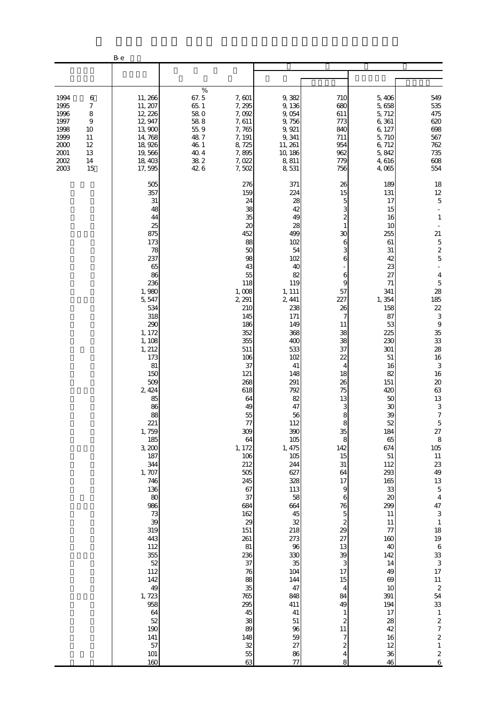|                                                                                  |                                                                   | B-e                                                                                                                                                                                                                                                                                                                                                                                                                                    |                                                                                              |                                                                                                                                                                                                                                                                                                                                                                                                                                       |                                                                                                                                                                                                                                                                                                                                                                                                                |                                                                                                                                                                                                                                                                                                                                                                                                                                                                    |                                                                                                                                                                                                                                                                                                                                                                                                                 |                                                                                                                                                                                                                                                                                                                                                                                                                                                                                                                                                                                                                                                                                                                                      |
|----------------------------------------------------------------------------------|-------------------------------------------------------------------|----------------------------------------------------------------------------------------------------------------------------------------------------------------------------------------------------------------------------------------------------------------------------------------------------------------------------------------------------------------------------------------------------------------------------------------|----------------------------------------------------------------------------------------------|---------------------------------------------------------------------------------------------------------------------------------------------------------------------------------------------------------------------------------------------------------------------------------------------------------------------------------------------------------------------------------------------------------------------------------------|----------------------------------------------------------------------------------------------------------------------------------------------------------------------------------------------------------------------------------------------------------------------------------------------------------------------------------------------------------------------------------------------------------------|--------------------------------------------------------------------------------------------------------------------------------------------------------------------------------------------------------------------------------------------------------------------------------------------------------------------------------------------------------------------------------------------------------------------------------------------------------------------|-----------------------------------------------------------------------------------------------------------------------------------------------------------------------------------------------------------------------------------------------------------------------------------------------------------------------------------------------------------------------------------------------------------------|--------------------------------------------------------------------------------------------------------------------------------------------------------------------------------------------------------------------------------------------------------------------------------------------------------------------------------------------------------------------------------------------------------------------------------------------------------------------------------------------------------------------------------------------------------------------------------------------------------------------------------------------------------------------------------------------------------------------------------------|
|                                                                                  |                                                                   |                                                                                                                                                                                                                                                                                                                                                                                                                                        |                                                                                              |                                                                                                                                                                                                                                                                                                                                                                                                                                       |                                                                                                                                                                                                                                                                                                                                                                                                                |                                                                                                                                                                                                                                                                                                                                                                                                                                                                    |                                                                                                                                                                                                                                                                                                                                                                                                                 |                                                                                                                                                                                                                                                                                                                                                                                                                                                                                                                                                                                                                                                                                                                                      |
| 1994<br>1995<br>1996<br>1997<br>1998<br>1999<br>2000<br>$2001\,$<br>2002<br>2003 | 6<br>7<br>8<br>$\overline{9}$<br>10<br>11<br>12<br>13<br>14<br>15 | 11, 266<br>11, 207<br>12, 226<br>12, 947<br>13,900<br>14,768<br>18,926<br>19,566<br>18,403<br>17,595                                                                                                                                                                                                                                                                                                                                   | $\%$<br>67.5<br>65.1<br>58.0<br>$58\ 8$<br>$55\,9$<br>487<br>46 1<br>$40\,4$<br>38 2<br>42 6 | 7,601<br>7,295<br>7,092<br>7,611<br>7,765<br>7, 191<br>8,725<br>7,895<br>7,022<br>7,502                                                                                                                                                                                                                                                                                                                                               | 9,382<br>9,136<br>9,054<br>9,756<br>9, 921<br>9,341<br>11, 261<br>10, 186<br>8,811<br>8,531                                                                                                                                                                                                                                                                                                                    | 710<br>680<br>611<br>773<br>840<br>711<br>954<br>962<br>779<br>756                                                                                                                                                                                                                                                                                                                                                                                                 | 5,406<br>5,658<br>5, 712<br>6,361<br>6, 127<br>5,710<br>6,712<br>5,842<br>4,616<br>4,065                                                                                                                                                                                                                                                                                                                        | 549<br>535<br>475<br>620<br>698<br>567<br>762<br>735<br>$608$<br>554                                                                                                                                                                                                                                                                                                                                                                                                                                                                                                                                                                                                                                                                 |
|                                                                                  |                                                                   | 505<br>357<br>31<br>48<br>44<br>25<br>875<br>173<br>78<br>237<br>65<br>86<br>236<br>1,980<br>5,547<br>534<br>318<br>290<br>1, 172<br>1, 108<br>1, 212<br>173<br>81<br>150<br>509<br>2, 424<br>85<br>86<br>88<br>221<br>1,759<br>185<br>3,200<br>187<br>344<br>1,707<br>746<br>136<br>80<br>986<br>73<br>39<br>319<br>443<br>112<br>355<br>52<br>112<br>142<br>49<br>1,723<br>958<br>64<br>52<br>190<br>$141\,$<br>57<br>$101\,$<br>160 |                                                                                              | 276<br>159<br>24<br>38<br>35<br>20<br>452<br>88<br>50<br>98<br>43<br>55<br>118<br>1,008<br>2, 291<br>210<br>145<br>186<br>352<br>355<br>511<br>106<br>37<br>121<br>268<br>618<br>64<br>49<br>55<br>77<br>309<br>64<br>1, 172<br>106<br>212<br>$505$<br>245<br>67<br>37<br>684<br>162<br>29<br>151<br>261<br>81<br>236<br>37<br>76<br>88<br>35<br>765<br>295<br>45<br>38<br>89<br>148<br>$\begin{array}{c} 32 \\ 55 \\ 63 \end{array}$ | 371<br>224<br>28<br>42<br>49<br>28<br>499<br>102<br>54<br>102<br>40<br>82<br>119<br>1, 111<br>2, 441<br>238<br>171<br>149<br>368<br>400<br>533<br>102<br>41<br>148<br>291<br>792<br>82<br>47<br>56<br>112<br>390<br>105<br>1, 475<br>105<br>244<br>627<br>328<br>113<br>58<br>664<br>45<br>32<br>218<br>273<br>96<br>330<br>35<br>104<br>144<br>47<br>848<br>411<br>41<br>$51\,$<br>96<br>59<br>27<br>86<br>77 | 26<br>15<br>5<br>3<br>$\overline{c}$<br>1<br>30<br>6<br>3<br>6<br>6<br>9<br>57<br>227<br>26<br>7<br>11<br>38<br>38<br>37<br>22<br>4<br>18<br>26<br>75<br>13<br>3<br>8<br>8<br>35<br>8<br>142<br>15<br>$31\,$<br>64<br>17<br>$\boldsymbol{9}$<br>6<br>76<br>$\overline{5}$<br>$\boldsymbol{z}$<br>29<br>27<br>13<br>39<br>3<br>17<br>15<br>$\overline{\mathbf{4}}$<br>84<br>49<br>$\mathbf{1}$<br>$\boldsymbol{2}$<br>11<br>7<br>$\overline{\mathcal{Z}}$<br>4<br>8 | 189<br>131<br>17<br>15<br>16<br>10<br>255<br>61<br>31<br>42<br>23<br>27<br>71<br>341<br>1,354<br>158<br>87<br>53<br>225<br>230<br>301<br>$51\,$<br>16<br>82<br>151<br>420<br>50<br>30<br>39<br>52<br>184<br>65<br>674<br>$51\,$<br>112<br>293<br>165<br>33<br>$20\,$<br>299<br>$11\,$<br>$11\,$<br>77<br>160<br>40<br>142<br>14<br>49<br>$69$<br>10<br>391<br>194<br>17<br>28<br>$42\,$<br>16<br>12<br>36<br>46 | 18<br>$12\,$<br>$\mathbf 5$<br>$\mathbf{1}$<br>21<br>$\overline{5}$<br>$\frac{2}{5}$<br>$\overline{4}$<br>$\mathbf 5$<br>28<br>185<br>$2\!2$<br>3<br>$\,9$<br>35<br>33<br>${\bf 28}$<br>16<br>$\,3$<br>16<br>$20\,$<br>63<br>13<br>$\mathbf{3}$<br>$\overline{7}$<br>$\mathbf 5$<br>$\begin{array}{c} 27 \\ 8 \\ 105 \end{array}$<br>$11\,$<br>$23\,$<br>49<br>$\begin{array}{c} 13 \\ 5 \end{array}$<br>$\overline{4}$<br>47<br>$\ensuremath{\mathsf{3}}$<br>$\,$ 1<br>18<br>$19$ 6<br>33<br>3<br>3<br>$17\,$<br>$11\,$<br>$\begin{array}{c}\n2 \\ 54\n\end{array}$<br>33<br>$\,1\,$<br>$\boldsymbol{z}$<br>$\begin{array}{c} 7 \end{array}$<br>$\begin{smallmatrix}2\\1\end{smallmatrix}$<br>$\begin{array}{c} 2 \\ 6 \end{array}$ |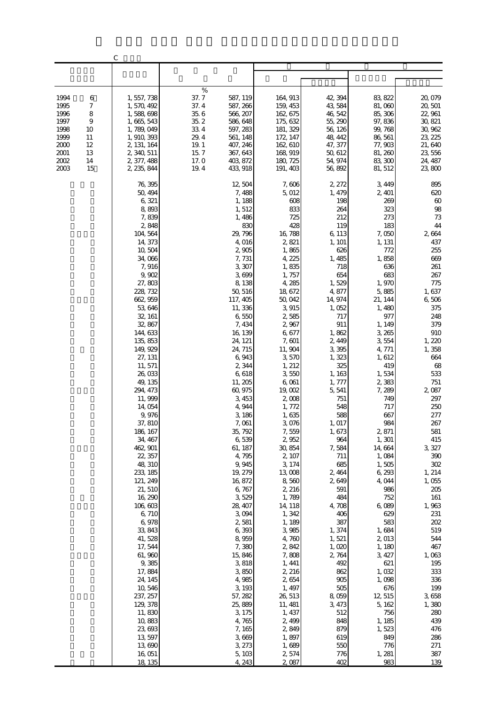|              |                     | $\mathcal{C}$              |                                          |                      |                    |                   |                    |
|--------------|---------------------|----------------------------|------------------------------------------|----------------------|--------------------|-------------------|--------------------|
|              |                     |                            |                                          |                      |                    |                   |                    |
|              |                     |                            |                                          |                      |                    |                   |                    |
| 1994         | 6                   | 1, 557, 738                | $\%$<br>37.7<br>587, 119                 | 164, 913             | 42, 394            | 83, 822           | 20,079             |
| 1995         | 7                   | 1, 570, 492                | 37.4<br>587, 266                         | 159, 453             | 43,584             | 81,060            | 20, 501            |
| 1996<br>1997 | 8<br>$\overline{9}$ | 1,588,698<br>1, 665, 543   | 35.6<br>566, 207<br>$35.2\,$<br>586, 648 | 162, 675<br>175, 632 | 46, 542<br>55, 290 | 85, 306<br>97,836 | 22, 961<br>30, 821 |
| 1998         | 10                  | 1, 789, 049                | 33 4<br>597, 283                         | 181, 329             | 56, 126            | 99, 768           | 30, 962            |
| 1999         | 11                  | 1, 910, 393                | 29.4<br>561, 148                         | 172, 147             | 48, 442            | 86, 561           | 23, 225            |
| 2000<br>2001 | 12<br>13            | 2, 131, 164<br>2, 340, 511 | $19.1\,$<br>407, 246<br>15.7<br>367, 643 | 162, 610<br>168, 919 | 47, 377<br>50, 612 | 77,903<br>81, 260 | 21,640<br>23, 556  |
| 2002         | 14                  | 2, 377, 488                | 17. O<br>403, 872                        | 180, 725             | 54, 974            | 83, 300           | 24, 487            |
| 2003         | 15                  | 2, 235, 844                | 19.4<br>433, 918                         | 191, 403             | 56,892             | 81, 512           | 23,800             |
|              |                     | 76, 395                    | 12,504                                   | 7,606                | 2, 272             | 3, 449            | 895                |
|              |                     | 50, 494<br>6,321           | 7,488                                    | 5,012                | 1, 479<br>198      | 2, 401            | 620<br>$60\,$      |
|              |                     | 8,893                      | 1, 188<br>1,512                          | 608<br>833           | 264                | 269<br>323        | $98\,$             |
|              |                     | 7,839                      | 1,486                                    | 725                  | 212                | 273               | $7\!$              |
|              |                     | 2,848                      | 830                                      | 428                  | 119                | 183               | 44                 |
|              |                     | 104, 564<br>14, 373        | 29, 796<br>4,016                         | 16, 788<br>2,821     | 6, 113<br>1, 101   | 7,050<br>1, 131   | 2,664<br>437       |
|              |                     | 10,504                     | 2,905                                    | 1,865                | 626                | 772               | 255                |
|              |                     | 34,066                     | 7,731                                    | 4, 225               | 1,485              | 1,858             | 669<br>261         |
|              |                     | 7,916<br>9,902             | 3,307<br>3,699                           | 1,835<br>1,757       | 718<br>654         | 636<br>683        | 267                |
|              |                     | 27,803                     | 8,138                                    | 4,285                | 1,529              | 1,970             | 775                |
|              |                     | 228, 732                   | 50, 516                                  | 18, 672              | 4,877<br>14, 974   | 5,885<br>21, 144  | 1,637              |
|              |                     | 662, 959<br>53, 646        | 117, 405<br>11, 336                      | 50,042<br>3,915      | 1,052              | 1,480             | 6,506<br>375       |
|              |                     | 32, 161                    | 6,550                                    | 2,585                | 717                | 977               | 248                |
|              |                     | 32,867<br>144, 633         | 7, 434                                   | 2,967                | 911                | 1, 149<br>3,265   | 379<br>910         |
|              |                     | 135, 853                   | 16, 139<br>24, 121                       | 6,677<br>7,601       | 1,862<br>2, 449    | 3554              | 1,220              |
|              |                     | 149, 929                   | 24, 715                                  | 11, 904              | 3,395              | 4, 771            | 1,358              |
|              |                     | 27, 131<br>11, 571         | 6,943<br>2,344                           | 3,570<br>1, 212      | 1,323<br>325       | 1,612<br>419      | 664<br>68          |
|              |                     | 26,033                     | 6,618                                    | 3,550                | 1,163              | 1,534             | 533                |
|              |                     | 49, 135                    | 11, 205                                  | 6,061                | 1, 777             | 2,383             | 751                |
|              |                     | 294, 473<br>11,999         | 60,975<br>3,453                          | 19,002<br>2,008      | 5,541<br>751       | 7, 289<br>749     | 2,087<br>297       |
|              |                     | 14,054                     | 4,944                                    | 1,772                | 548                | 717               | 250                |
|              |                     | 9,976                      | 3,186                                    | 1,635                | 588                | 667               | 277                |
|              |                     | 37, 810<br>186, 167        | 7,061<br>35, 792                         | 3,076<br>7,559       | 1, 017<br>1,673    | 984<br>2,871      | 267<br>581         |
|              |                     | 34, 467                    | 6,539                                    | 2,952                | 964                | 1, 301            | 415                |
|              |                     | 462, 901                   | 61, 187                                  | 30, 854              | 7,584              | 14,664            | 3, 327             |
|              |                     | 22, 357<br>48, 310         | 4,795<br>9,945                           | 2, 107<br>3, 174     | 711<br>685         | 1,084<br>1,505    | 390<br>$302\,$     |
|              |                     | 233, 185                   | 19, 279                                  | 13,008               | 2,464              | 6,293             | 1, 214             |
|              |                     | 121, 249                   | 16,872                                   | 8,560                | 2,649              | 4,044             | 1,055              |
|              |                     | 21, 510<br>16, 290         | 6,767<br>3,529                           | 2, 216<br>1,789      | 591<br>484         | 986<br>752        | 205<br>161         |
|              |                     | 106,603                    | 28, 407                                  | 14, 118              | 4,708              | 6,089             | 1,963              |
|              |                     | 6,710                      | 3 094                                    | 1,342                | 406                | 629               | 231                |
|              |                     | 6,978<br>33, 843           | 2,581<br>6,393                           | 1,189<br>3,985       | 387<br>1,374       | 583<br>1,684      | 202<br>519         |
|              |                     | 41, 528                    | 8,959                                    | 4,760                | 1,521              | 2,013             | 544                |
|              |                     | 17, 544                    | 7,380                                    | 2,842                | 1,020              | 1, 180            | 467                |
|              |                     | 61,960<br>9,385            | 15,846<br>3,818                          | 7,808<br>1, 441      | 2,764<br>492       | 3, 427<br>621     | 1,063<br>195       |
|              |                     | 17,884                     | 3,850                                    | 2, 216               | 862                | 1,032             | 333                |
|              |                     | 24, 145                    | 4,985                                    | 2,654                | 905                | 1,098             | 336                |
|              |                     | 10, 546<br>237, 257        | 3, 193<br>57, 282                        | 1, 497<br>26,513     | 505<br>8,059       | 676<br>12,515     | 199<br>3,658       |
|              |                     | 129, 378                   | 25,889                                   | 11, 481              | 3, 473             | 5, 162            | 1,380              |
|              |                     | 11,830                     | 3, 175                                   | 1, 437               | 512                | 756               | 280                |
|              |                     | 10,883<br>23,693           | 4,765<br>7, 165                          | 2,499<br>2,849       | 848<br>879         | 1, 185<br>1,523   | 439<br>476         |
|              |                     | 13, 597                    | 3,669                                    | 1,897                | 619                | 849               | 286                |
|              |                     | 13,690                     | 3, 273                                   | 1,689                | 550                | 776               | 271                |
|              |                     | 16,051<br>18, 135          | 5, 103<br>4, 243                         | 2,574<br>2,087       | 776<br>402         | 1, 281<br>983     | 387<br>139         |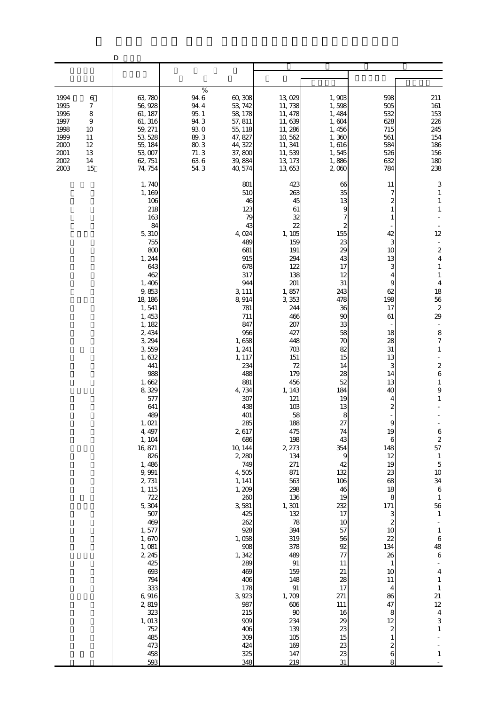|                                                                              |                                                                             | D                                                                                                                                                                                                                                                                                                                                                                                                                                                                                                        |                                                                                                                                                                                                   |                                                                                                                                                                                                                                                                                                                                                                                                                                                                                                                                                                                                                                                                                                                                                    |                                                                                                                                                                                                                                                                                                                                                                                      |                                                                                                                                                                                                                                                                                                                                                               |                                                                                                                                                                                                                                                                                                                                                                                                                                                                                                                                                                                                                                                                                     |
|------------------------------------------------------------------------------|-----------------------------------------------------------------------------|----------------------------------------------------------------------------------------------------------------------------------------------------------------------------------------------------------------------------------------------------------------------------------------------------------------------------------------------------------------------------------------------------------------------------------------------------------------------------------------------------------|---------------------------------------------------------------------------------------------------------------------------------------------------------------------------------------------------|----------------------------------------------------------------------------------------------------------------------------------------------------------------------------------------------------------------------------------------------------------------------------------------------------------------------------------------------------------------------------------------------------------------------------------------------------------------------------------------------------------------------------------------------------------------------------------------------------------------------------------------------------------------------------------------------------------------------------------------------------|--------------------------------------------------------------------------------------------------------------------------------------------------------------------------------------------------------------------------------------------------------------------------------------------------------------------------------------------------------------------------------------|---------------------------------------------------------------------------------------------------------------------------------------------------------------------------------------------------------------------------------------------------------------------------------------------------------------------------------------------------------------|-------------------------------------------------------------------------------------------------------------------------------------------------------------------------------------------------------------------------------------------------------------------------------------------------------------------------------------------------------------------------------------------------------------------------------------------------------------------------------------------------------------------------------------------------------------------------------------------------------------------------------------------------------------------------------------|
|                                                                              |                                                                             |                                                                                                                                                                                                                                                                                                                                                                                                                                                                                                          |                                                                                                                                                                                                   |                                                                                                                                                                                                                                                                                                                                                                                                                                                                                                                                                                                                                                                                                                                                                    |                                                                                                                                                                                                                                                                                                                                                                                      |                                                                                                                                                                                                                                                                                                                                                               |                                                                                                                                                                                                                                                                                                                                                                                                                                                                                                                                                                                                                                                                                     |
|                                                                              |                                                                             |                                                                                                                                                                                                                                                                                                                                                                                                                                                                                                          |                                                                                                                                                                                                   |                                                                                                                                                                                                                                                                                                                                                                                                                                                                                                                                                                                                                                                                                                                                                    |                                                                                                                                                                                                                                                                                                                                                                                      |                                                                                                                                                                                                                                                                                                                                                               |                                                                                                                                                                                                                                                                                                                                                                                                                                                                                                                                                                                                                                                                                     |
| 1994<br>1995<br>1996<br>1997<br>1998<br>1999<br>2000<br>2001<br>2002<br>2003 | 6<br>7<br>$\,$ 8 $\,$<br>$\overline{9}$<br>10<br>11<br>12<br>13<br>14<br>15 | 63,780<br>56, 928<br>61, 187<br>61, 316<br>59, 271<br>53, 528<br>55, 184<br>53,007<br>62, 751<br>74, 754                                                                                                                                                                                                                                                                                                                                                                                                 | $\%$<br>94.6<br>60,308<br>94.4<br>53, 742<br>95.1<br>58, 178<br>94.3<br>57, 811<br>930<br>55, 118<br>89.3<br>47, 827<br>$80\,3$<br>44, 322<br>71.3<br>37,800<br>636<br>39, 884<br>54.3<br>40, 574 | 13,029<br>11,738<br>11, 478<br>11,639<br>11, 286<br>10,562<br>11, 341<br>11,539<br>13, 173<br>13, 653                                                                                                                                                                                                                                                                                                                                                                                                                                                                                                                                                                                                                                              | 1,903<br>1,598<br>1,484<br>1,604<br>1,456<br>1,360<br>1,616<br>1,545<br>1,886<br>2000                                                                                                                                                                                                                                                                                                | 598<br>505<br>532<br>628<br>715<br>561<br>584<br>526<br>632<br>784                                                                                                                                                                                                                                                                                            | 211<br>$161\,$<br>153<br>226<br>245<br>154<br>186<br>156<br>180<br>238                                                                                                                                                                                                                                                                                                                                                                                                                                                                                                                                                                                                              |
|                                                                              |                                                                             | 1,740<br>1, 169<br>106<br>218<br>163<br>84<br>5,310<br>755<br>800<br>1, 244<br>643<br>462<br>1,406<br>9,853<br>18, 186<br>1,541<br>1, 453<br>1, 182<br>2, 434<br>3, 294<br>3,559<br>1,632<br>441<br>988<br>1,662<br>8,329<br>577<br>641<br>489<br>1,021<br>4, 497<br>1, 104<br>16, 871<br>826<br>1,486<br>9,991<br>2, 731<br>1, 115<br>722<br>5,304<br>507<br>469<br>1,577<br>1,670<br>1,081<br>2, 245<br>425<br>693<br>794<br>333<br>6,916<br>2,819<br>323<br>1, 013<br>752<br>485<br>473<br>458<br>593 | 4,024<br>3, 111<br>8,914<br>1,658<br>1, 241<br>1, 117<br>4,734<br>2,617<br>10, 144<br>2,280<br>4,505<br>1, 141<br>1, 209<br>3,581<br>1,058<br>1,342<br>3, 923                                     | 801<br>423<br>510<br>263<br>46<br>45<br>123<br>61<br>79<br>32<br>22<br>43<br>1,105<br>489<br>159<br>681<br>191<br>915<br>294<br>122<br>678<br>138<br>317<br>944<br>201<br>1,857<br>3,353<br>781<br>244<br>466<br>711<br>847<br>207<br>956<br>427<br>448<br>703<br>151<br>234<br>72<br>488<br>179<br>881<br>456<br>1, 143<br>307<br>121<br>438<br>103<br>401<br>58<br>285<br>188<br>475<br>198<br>686<br>2, 273<br>134<br>749<br>271<br>871<br>563<br>298<br>260<br>136<br>1,301<br>425<br>132<br>262<br>78<br>928<br>394<br>319<br>378<br>908<br>489<br>289<br>91<br>469<br>159<br>406<br>148<br>178<br>$\rm 91$<br>1,709<br>987<br>$606$<br>215<br>$90\,$<br>234<br>909<br>139<br>406<br>309<br>$105\,$<br>424<br>169<br>325<br>147<br>348<br>219 | 66<br>35<br>13<br>9<br>7<br>$\boldsymbol{z}$<br>155<br>23<br>29<br>43<br>17<br>12<br>31<br>243<br>478<br>36<br>90<br>33<br>58<br>70<br>82<br>15<br>14<br>28<br>52<br>184<br>19<br>13<br>8<br>27<br>74<br>43<br>354<br>9<br>42<br>132<br>106<br>46<br>19<br>232<br>17<br>10<br>57<br>56<br>$92$<br>77<br>11<br>21<br>28<br>17<br>271<br>111<br>16<br>29<br>23<br>15<br>23<br>23<br>31 | 11<br>7<br>2<br>42<br>3<br>10<br>13<br>3<br>9<br>62<br>198<br>17<br>61<br>18<br>28<br>31<br>13<br>3<br>14<br>13<br>40<br>4<br>2<br>9<br>19<br>6<br>148<br>12<br>19<br>23<br>68<br>18<br>8<br>171<br>3<br>$\boldsymbol{z}$<br>10<br>22<br>134<br>26<br>$\mathbf{1}$<br>10<br>11<br>4<br>86<br>47<br>8<br>12<br>2<br>$\mathbf{1}$<br>$\boldsymbol{z}$<br>6<br>8 | 3<br>$\mathbf{1}$<br>$\mathbf{1}$<br>$\mathbf{1}$<br>12<br>$\overline{\phantom{a}}$<br>$\boldsymbol{2}$<br>$\overline{\mathbf{4}}$<br>$\mathbf{1}$<br>$\mathbf{1}$<br>$\overline{4}$<br>18<br>56<br>$\boldsymbol{z}$<br>29<br>8<br>$\boldsymbol{7}$<br>$\mathbf{1}$<br>$\boldsymbol{z}$<br>$\overline{6}$<br>$\mathbf{1}$<br>9<br>$\,1\,$<br>$\,$ 6 $\,$<br>$\frac{2}{57}$<br>$\,1\,$<br>$\mathbf 5$<br>$10$<br>$3\!4$<br>$\,6\,$<br>$\mathbf{1}$<br>56<br>$1\,$<br>$\frac{1}{2}$<br>$\,1\,$<br>$\,$ 6 $\,$<br>48<br>$\boldsymbol{6}$<br>$\overline{4}$<br>$\,1\,$<br>$\mathbf{1}$<br>21<br>$12\,$<br>$\boldsymbol{4}$<br>$\ensuremath{\mathsf{3}}$<br>$\mathbf{1}$<br>$\mathbf{1}$ |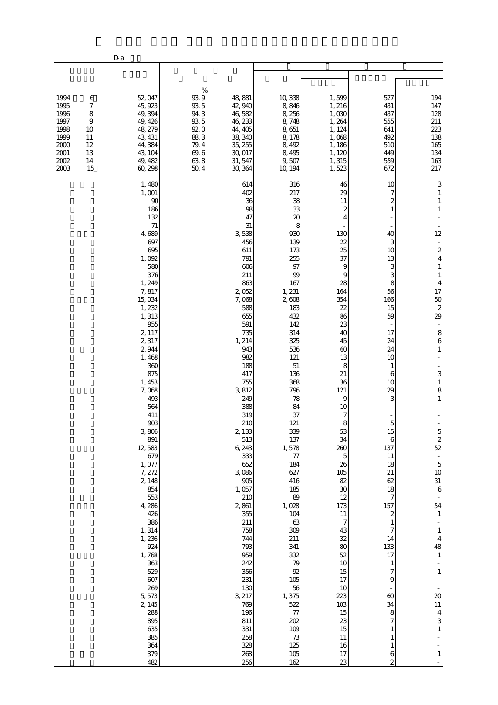|                                                                                                                                                   | D a                                                                                                                                                                                                                                                                                                                                                                                                                                                                                       |                                                                                                    |                                                                                                                                                                                                                                                                                                                                                                                                                                                 |                                                                                                                                                                                                                                                                                                                                                                                                                      |                                                                                                                                                                                                                                                                                                                                                                     |                                                                                                                                                                                                                                                                                                       |                                                                                                                                                                                                                                                                                                                                                                                                                                                                                                                                                                                                       |
|---------------------------------------------------------------------------------------------------------------------------------------------------|-------------------------------------------------------------------------------------------------------------------------------------------------------------------------------------------------------------------------------------------------------------------------------------------------------------------------------------------------------------------------------------------------------------------------------------------------------------------------------------------|----------------------------------------------------------------------------------------------------|-------------------------------------------------------------------------------------------------------------------------------------------------------------------------------------------------------------------------------------------------------------------------------------------------------------------------------------------------------------------------------------------------------------------------------------------------|----------------------------------------------------------------------------------------------------------------------------------------------------------------------------------------------------------------------------------------------------------------------------------------------------------------------------------------------------------------------------------------------------------------------|---------------------------------------------------------------------------------------------------------------------------------------------------------------------------------------------------------------------------------------------------------------------------------------------------------------------------------------------------------------------|-------------------------------------------------------------------------------------------------------------------------------------------------------------------------------------------------------------------------------------------------------------------------------------------------------|-------------------------------------------------------------------------------------------------------------------------------------------------------------------------------------------------------------------------------------------------------------------------------------------------------------------------------------------------------------------------------------------------------------------------------------------------------------------------------------------------------------------------------------------------------------------------------------------------------|
|                                                                                                                                                   |                                                                                                                                                                                                                                                                                                                                                                                                                                                                                           |                                                                                                    |                                                                                                                                                                                                                                                                                                                                                                                                                                                 |                                                                                                                                                                                                                                                                                                                                                                                                                      |                                                                                                                                                                                                                                                                                                                                                                     |                                                                                                                                                                                                                                                                                                       |                                                                                                                                                                                                                                                                                                                                                                                                                                                                                                                                                                                                       |
| 1994<br>6<br>1995<br>7<br>1996<br>8<br>1997<br>$\overline{9}$<br>1998<br>10<br>1999<br>11<br>2000<br>12<br>2001<br>13<br>2002<br>14<br>2003<br>15 | 52, 047<br>45, 923<br>49, 394<br>49, 426<br>48, 279<br>43, 431<br>44,384<br>43, 104<br>49, 482<br>60,298                                                                                                                                                                                                                                                                                                                                                                                  | $\%$<br>$93\ 9$<br>$93\,5$<br>94.3<br>$93\,5$<br>920<br>883<br>$79.4\,$<br>$69.6\,$<br>638<br>50.4 | 48, 881<br>42, 940<br>46,582<br>46, 233<br>44, 405<br>38, 340<br>35, 255<br>30, 017<br>31, 547<br>30, 364                                                                                                                                                                                                                                                                                                                                       | 10,338<br>8,846<br>8,256<br>8,748<br>8,651<br>8,178<br>8,492<br>8,495<br>9,507<br>10, 194                                                                                                                                                                                                                                                                                                                            | 1,599<br>1, 216<br>1,030<br>1,264<br>1, 124<br>1,068<br>1, 186<br>1, 120<br>1, 315<br>1,523                                                                                                                                                                                                                                                                         | 527<br>431<br>437<br>555<br>641<br>492<br>510<br>449<br>559<br>672                                                                                                                                                                                                                                    | 194<br>147<br>128<br>211<br>223<br>138<br>165<br>134<br>163<br>217                                                                                                                                                                                                                                                                                                                                                                                                                                                                                                                                    |
|                                                                                                                                                   | 1,480<br>1, 001<br>90<br>186<br>132<br>71<br>4,689<br>697<br>695<br>1,092<br>580<br>376<br>1, 249<br>7,817<br>15,034<br>1, 232<br>1, 313<br>955<br>2, 117<br>2,317<br>2,944<br>1,468<br>360<br>875<br>1, 453<br>7,068<br>493<br>564<br>411<br>$903$<br>3,806<br>891<br>12,583<br>679<br>1,077<br>7, 272<br>2, 148<br>854<br>553<br>4,286<br>426<br>386<br>1, 314<br>1,236<br>924<br>1,768<br>363<br>529<br>607<br>269<br>5,573<br>2, 145<br>288<br>895<br>635<br>385<br>364<br>379<br>482 |                                                                                                    | 614<br>402<br>36<br>98<br>47<br>31<br>3,538<br>456<br>611<br>791<br>606<br>211<br>863<br>2,052<br>7,068<br>588<br>655<br>591<br>735<br>1, 214<br>943<br>982<br>188<br>417<br>755<br>3,812<br>249<br>388<br>319<br>210<br>2, 133<br>513<br>6, 243<br>333<br>652<br>3,086<br>905<br>1,057<br>210<br>2,861<br>355<br>211<br>758<br>744<br>793<br>959<br>242<br>356<br>231<br>130<br>3, 217<br>769<br>196<br>811<br>331<br>258<br>328<br>268<br>256 | 316<br>217<br>38<br>33<br>20<br>8<br>930<br>139<br>173<br>255<br>97<br>99<br>167<br>1, 231<br>2,608<br>183<br>432<br>142<br>314<br>325<br>536<br>121<br>51<br>136<br>368<br>796<br>78<br>84<br>37<br>121<br>339<br>137<br>1,578<br>77<br>184<br>627<br>416<br>185<br>89<br>1,028<br>104<br>63<br>309<br>211<br>341<br>332<br>79<br>92<br>105<br>56<br>1,375<br>522<br>77<br>202<br>109<br>$7\!$<br>125<br>105<br>162 | 46<br>29<br>11<br>2<br>130<br>22<br>25<br>37<br>9<br>9<br>28<br>164<br>354<br>22<br>86<br>23<br>40<br>45<br>60<br>13<br>8<br>21<br>36<br>121<br>9<br>10<br>7<br>8<br>53<br>34<br>260<br>5<br>26<br>105<br>82<br>30<br>12<br>173<br>$11\,$<br>$\overline{7}$<br>43<br>32<br>80<br>52<br>10<br>15<br>17<br>10<br>223<br>103<br>15<br>23<br>15<br>11<br>16<br>17<br>23 | 10<br>2<br>40<br>3<br>10<br>13<br>З<br>3<br>8<br>56<br>166<br>15<br>59<br>17<br>24<br>24<br>10<br>1<br>6<br>10<br>29<br>3<br>$\mathbf{5}$<br>15<br>6<br>137<br>11<br>18<br>21<br>62<br>18<br>7<br>157<br>$\boldsymbol{z}$<br>1<br>7<br>14<br>133<br>17<br>1<br>7<br>9<br>60<br>34<br>8<br>7<br>6<br>2 | 3<br>$\mathbf{1}$<br>$\mathbf{1}$<br>$\mathbf{1}$<br>12<br>$\overline{\phantom{a}}$<br>$\boldsymbol{z}$<br>$\overline{\mathbf{4}}$<br>$\mathbf{1}$<br>$\mathbf{1}$<br>$\overline{4}$<br>17<br>50<br>$\boldsymbol{z}$<br>29<br>8<br>$\,$ 6 $\,$<br>$\mathbf{1}$<br>3<br>$\,1\,$<br>8<br>$\mathbf{1}$<br>$\mathbf 5$<br>$\overline{\mathcal{L}}$<br>52<br>÷<br>$\mathbf 5$<br>$10\,$<br>$31\,$<br>$\,6$<br>54<br>$1\,$<br>$\mathbf{1}$<br>$\overline{\mathbf{4}}$<br>48<br>$\mathbf{1}$<br>$\,1\,$<br>$\infty$<br>$11\,$<br>$\overline{4}$<br>$\ensuremath{\mathsf{3}}$<br>$\mathbf{1}$<br>$\mathbf{1}$ |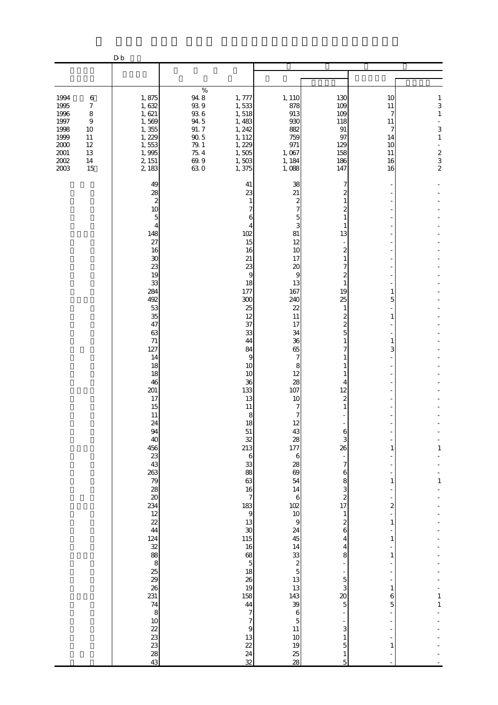|                                                                                                                      |                                                                | ${\bf D}$ ${\bf b}$                                                                                                                                                                                                                                                                                                                                                                                                                             |                                                                                                       |                                                                                                                                                                                                                                                                                                                                                                                                                                             |                                                                                                                                                                                                                                                                                                                                                                                                                                                          |                                                                                                                                                                                                                                                                                                                                                        |                                                                    |                                                                                                           |
|----------------------------------------------------------------------------------------------------------------------|----------------------------------------------------------------|-------------------------------------------------------------------------------------------------------------------------------------------------------------------------------------------------------------------------------------------------------------------------------------------------------------------------------------------------------------------------------------------------------------------------------------------------|-------------------------------------------------------------------------------------------------------|---------------------------------------------------------------------------------------------------------------------------------------------------------------------------------------------------------------------------------------------------------------------------------------------------------------------------------------------------------------------------------------------------------------------------------------------|----------------------------------------------------------------------------------------------------------------------------------------------------------------------------------------------------------------------------------------------------------------------------------------------------------------------------------------------------------------------------------------------------------------------------------------------------------|--------------------------------------------------------------------------------------------------------------------------------------------------------------------------------------------------------------------------------------------------------------------------------------------------------------------------------------------------------|--------------------------------------------------------------------|-----------------------------------------------------------------------------------------------------------|
|                                                                                                                      |                                                                |                                                                                                                                                                                                                                                                                                                                                                                                                                                 |                                                                                                       |                                                                                                                                                                                                                                                                                                                                                                                                                                             |                                                                                                                                                                                                                                                                                                                                                                                                                                                          |                                                                                                                                                                                                                                                                                                                                                        |                                                                    |                                                                                                           |
| 1994<br>1995<br>1996<br>1997<br>1998<br>1999<br>11<br>$2000\,$<br>$12\,$<br>$2001\,$<br>13<br>$2002\,$<br>14<br>2003 | $\,6$<br>$\boldsymbol{7}$<br>8<br>$\boldsymbol{9}$<br>10<br>15 | 1,875<br>1,632<br>1,621<br>1,569<br>1,355<br>1,229<br>1,553<br>1,995<br>2, 151<br>2,183                                                                                                                                                                                                                                                                                                                                                         | $\%$<br>94.8<br>$93\,9$<br>$93\ 6$<br>94.5<br>91.7<br>$90\,5$<br>$79\!\!.$ $1$<br>75.4<br>69.9<br>630 | 1, 777<br>1,533<br>1,518<br>1,483<br>1, 242<br>1, 112<br>1, 229<br>1,505<br>1,503<br>1,375                                                                                                                                                                                                                                                                                                                                                  | 1, 110<br>878<br>913<br>930<br>882<br>759<br>971<br>1,067<br>1, 184<br>1,088                                                                                                                                                                                                                                                                                                                                                                             | 130<br>109<br>109<br>118<br>$\, 91$<br>97<br>129<br>158<br>186<br>147                                                                                                                                                                                                                                                                                  | 10<br>11<br>7<br>11<br>7<br>14<br>10<br>11<br>16<br>16             | $\mathbf{1}$<br>3<br>$\mathbf{1}$<br>$\overline{\phantom{0}}$<br>3<br>$\mathbf{1}$<br>÷,<br>$\frac{2}{3}$ |
|                                                                                                                      |                                                                | 49<br>28<br>$\boldsymbol{2}$<br>10<br>5<br>4<br>148<br>27<br>16<br>$30\,$<br>23<br>19<br>33<br>284<br>492<br>53<br>35<br>47<br>63<br>$71\,$<br>127<br>14<br>18<br>18<br>46<br>201<br>17<br>15<br>11<br>24<br>94<br>40<br>456<br>23<br>43<br>263<br>79<br>28<br>$\infty$<br>234<br>12<br>22<br>44<br>124<br>$\frac{32}{88}$<br>8<br>$\frac{25}{29}$<br>26<br>231<br>74<br>8<br>$10$<br>22<br>23<br>$\begin{array}{c} 23 \\ 28 \end{array}$<br>43 |                                                                                                       | 41<br>23<br>1<br>6<br>4<br>102<br>15<br>16<br>21<br>23<br>9<br>18<br>177<br>300<br>25<br>12<br>37<br>33<br>44<br>84<br>9<br>10<br>10<br>36<br>133<br>13<br>11<br>8<br>18<br>51<br>32<br>213<br>$\,$ 6 $\,$<br>33<br>88<br>63<br>16<br>$\overline{7}$<br>183<br>$\overline{9}$<br>13<br>30<br>115<br>16<br>68<br>$\overline{5}$<br>18<br>26<br>19<br>158<br>44<br>$\overline{7}$<br>$\overline{7}$<br>$\overline{9}$<br>13<br>22<br>24<br>32 | 38<br>21<br>2<br>7<br>5<br>3<br>81<br>12<br>10<br>17<br>20<br>9<br>13<br>167<br>240<br>22<br>11<br>17<br>34<br>36<br>65<br>7<br>8<br>12<br>28<br>107<br>10<br>7<br>7<br>12<br>43<br>28<br>177<br>$\boldsymbol{6}$<br>28<br>69<br>54<br>14<br>$\boldsymbol{6}$<br>102<br>10<br>$\overline{9}$<br>24<br>45<br>14<br>33<br>$\boldsymbol{z}$<br>$\overline{5}$<br>13<br>13<br>143<br>39<br>$\,$ 6 $\,$<br>$\overline{5}$<br>$11\,$<br>$10$<br>19<br>25<br>28 | 7<br>2<br>13<br>2<br>7<br>2<br>$\mathbf{1}$<br>19<br>25<br>1<br>2<br>2<br>5<br>1<br>4<br>12<br>2<br>1<br>6<br>3<br>26<br>÷,<br>7<br>6<br>8<br>3<br>$\overline{\mathcal{L}}$<br>17<br>$\mathbf{1}$<br>$\boldsymbol{z}$<br>6<br>4<br>4<br>8<br>÷<br>$\overline{5}$<br>3<br>20<br>$\overline{5}$<br>3<br>$\mathbf{1}$<br>$\mathbf 5$<br>$\mathbf{1}$<br>5 | 1<br>5<br>1<br>3<br>1<br>1<br>2<br>1<br>1<br>1<br>1<br>6<br>5<br>1 | 1<br>$\,1\,$<br>1<br>$\mathbf 1$                                                                          |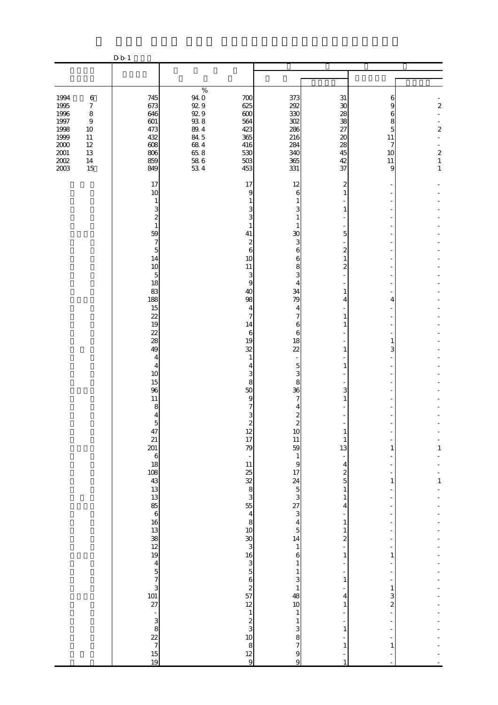|                                                                                         |                                                                                                                | D b 1                                                                                                                                                                                                                                                                                                                                                                                                                                                                                |                                                                                                       |                                                                                                                                                                                                                                                                                                                                                                                                                                                      |                                                                                                                                                                                                                                                                                                                                                                                                                                                                                                |                                                                                                                                                                                                                                                        |                                                             |                                                                            |
|-----------------------------------------------------------------------------------------|----------------------------------------------------------------------------------------------------------------|--------------------------------------------------------------------------------------------------------------------------------------------------------------------------------------------------------------------------------------------------------------------------------------------------------------------------------------------------------------------------------------------------------------------------------------------------------------------------------------|-------------------------------------------------------------------------------------------------------|------------------------------------------------------------------------------------------------------------------------------------------------------------------------------------------------------------------------------------------------------------------------------------------------------------------------------------------------------------------------------------------------------------------------------------------------------|------------------------------------------------------------------------------------------------------------------------------------------------------------------------------------------------------------------------------------------------------------------------------------------------------------------------------------------------------------------------------------------------------------------------------------------------------------------------------------------------|--------------------------------------------------------------------------------------------------------------------------------------------------------------------------------------------------------------------------------------------------------|-------------------------------------------------------------|----------------------------------------------------------------------------|
|                                                                                         |                                                                                                                |                                                                                                                                                                                                                                                                                                                                                                                                                                                                                      |                                                                                                       |                                                                                                                                                                                                                                                                                                                                                                                                                                                      |                                                                                                                                                                                                                                                                                                                                                                                                                                                                                                |                                                                                                                                                                                                                                                        |                                                             |                                                                            |
|                                                                                         |                                                                                                                |                                                                                                                                                                                                                                                                                                                                                                                                                                                                                      |                                                                                                       |                                                                                                                                                                                                                                                                                                                                                                                                                                                      |                                                                                                                                                                                                                                                                                                                                                                                                                                                                                                |                                                                                                                                                                                                                                                        |                                                             |                                                                            |
| 1994<br>1995<br>1996<br>1997<br>1998<br>1999<br>$2000\,$<br>$2001\,$<br>$200\!$<br>2003 | $\,6\,$<br>$\boldsymbol{7}$<br>$\,8\,$<br>$\boldsymbol{9}$<br>$10\,$<br>$11\,$<br>$12\,$<br>13<br>$14\,$<br>15 | 745<br>673<br>646<br>601<br>473<br>432<br>608<br>806<br>859<br>849                                                                                                                                                                                                                                                                                                                                                                                                                   | $\%$<br>94.0<br>$92\,9$<br>929<br>$93\ 8$<br>$8\!\,4$<br>84 5<br>$68\ 4$<br>65.8<br>$\frac{58}{53}$ 6 | 700<br>625<br>600<br>564<br>423<br>365<br>416<br>530<br>$503\,$<br>453                                                                                                                                                                                                                                                                                                                                                                               | 373<br>292<br>330<br>302<br>286<br>216<br>284<br>340<br>365<br>331                                                                                                                                                                                                                                                                                                                                                                                                                             | 31<br>$30\,$<br>28<br>38<br>27<br>$\boldsymbol{\chi}$<br>28<br>45<br>42<br>37                                                                                                                                                                          | 6<br>9<br>6<br>8<br>5<br>11<br>7<br>10<br>11<br>9           | $\overline{\mathcal{L}}$<br>$\overline{\mathcal{L}}$<br>$\frac{2}{1}$<br>1 |
|                                                                                         |                                                                                                                | 17<br>10<br>1<br>3<br>$\overline{\mathcal{Z}}$<br>$\mathbf{1}$<br>59<br>$\overline{7}$<br>5<br>14<br>10<br>5<br>18<br>83<br>188<br>15<br>22<br>19<br>22<br>28<br>49<br>4<br>$\overline{4}$<br>10<br>15<br>96<br>11<br>8<br>4<br>$\overline{5}$<br>47<br>21<br>201<br>$\boldsymbol{6}$<br>18<br>108<br>$\begin{array}{c}\n 43 \\  13 \\  13 \\  86 \\  6\n 16 \\  13 \\  38\n 12\n 19\n \end{array}$<br>$\frac{4}{5}$<br>$\frac{7}{27}$<br>$\frac{3}{27}$<br>$\overline{\phantom{a}}$ |                                                                                                       | 17<br>9<br>1<br>3<br>1<br>41<br>$\mathbf{z}$<br>6<br>10<br>11<br>3<br>9<br>40<br>98<br>$\overline{4}$<br>7<br>14<br>6<br>19<br>32<br>$\mathbf{1}$<br>4<br>3<br>8<br>50<br>9<br>7<br>$\mathbf{z}$<br>$\begin{array}{c} 12 \\ 17 \end{array}$<br>79<br>÷,<br>11<br>25<br>32<br>8<br>3<br>55<br>$\overline{4}$<br>8<br>10<br>$\overline{30}$<br>3<br>16<br>3<br>$\overline{5}$<br>6<br>$\boldsymbol{z}$<br>57<br>12<br>$\,1\,$<br>$\boldsymbol{z}$<br>3 | 12<br>6<br>1<br>3<br>1<br>1<br>30<br>3<br>6<br>6<br>8<br>3<br>4<br>34<br>79<br>4<br>7<br>6<br>6<br>18<br>22<br>5<br>3<br>8<br>36<br>7<br>4<br>$\boldsymbol{z}$<br>$\overline{c}$<br>10<br>11<br>59<br>$\mathbf{1}$<br>9<br>17<br>$\begin{array}{c} 24 \\ 5 \\ 3 \end{array}$<br>$\begin{bmatrix} 27 \\ 3 \end{bmatrix}$<br>$\overline{4}$<br>$\overline{5}$<br>14<br>$\mathbf{1}$<br>6<br>$\mathbf{1}$<br>$\mathbf{1}$<br>3<br>$\mathbf{1}$<br>48<br>$10$<br>$\mathbf{1}$<br>$\mathbf{1}$<br>3 | 2<br>1<br>5<br>$\boldsymbol{z}$<br>1<br>$\mathbf{z}$<br>1<br>4<br>1<br>1<br>1<br>1<br>3<br>1<br>13<br>$\overline{a}$<br>4<br>$\boldsymbol{z}$<br>$\overline{5}$<br>$\mathbf{1}$<br>1<br>4<br>1<br>1<br>$\boldsymbol{z}$<br>L,<br>1<br>1<br>4<br>1<br>1 | 4<br>3<br>1<br>1<br>1<br>1<br>3<br>$\overline{\mathcal{Z}}$ | 1<br>$\mathbf{1}$                                                          |
|                                                                                         |                                                                                                                | $\begin{array}{c}\n3 \\ \times 7 \\ \hline\n15\n\end{array}$<br>19                                                                                                                                                                                                                                                                                                                                                                                                                   |                                                                                                       | 10 <sup>1</sup><br>8<br>12<br>$\overline{9}$                                                                                                                                                                                                                                                                                                                                                                                                         | $\,$ 8 $\,$<br>7<br>9<br>$\overline{9}$                                                                                                                                                                                                                                                                                                                                                                                                                                                        | 1<br>$\mathbf{1}$                                                                                                                                                                                                                                      | 1                                                           |                                                                            |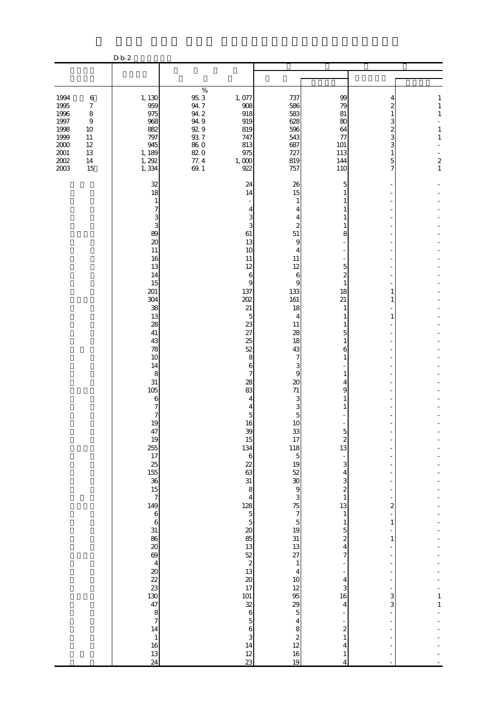|                                                                                          |                                                                                             | D b 2                                                                                                                                                                                                                                                                                                                                                                                                                     |                                                                                                        |                                                                                                                                                                                                                                                                                                                                                                                                                                                                 |                                                                                                                                                                                                                                                                                                                                                                                                                                                                  |                                                                                                                                                                                                                                                                                                                                                                                                                                                            |                                                                                                                                                                             |                                                                                                |
|------------------------------------------------------------------------------------------|---------------------------------------------------------------------------------------------|---------------------------------------------------------------------------------------------------------------------------------------------------------------------------------------------------------------------------------------------------------------------------------------------------------------------------------------------------------------------------------------------------------------------------|--------------------------------------------------------------------------------------------------------|-----------------------------------------------------------------------------------------------------------------------------------------------------------------------------------------------------------------------------------------------------------------------------------------------------------------------------------------------------------------------------------------------------------------------------------------------------------------|------------------------------------------------------------------------------------------------------------------------------------------------------------------------------------------------------------------------------------------------------------------------------------------------------------------------------------------------------------------------------------------------------------------------------------------------------------------|------------------------------------------------------------------------------------------------------------------------------------------------------------------------------------------------------------------------------------------------------------------------------------------------------------------------------------------------------------------------------------------------------------------------------------------------------------|-----------------------------------------------------------------------------------------------------------------------------------------------------------------------------|------------------------------------------------------------------------------------------------|
|                                                                                          |                                                                                             |                                                                                                                                                                                                                                                                                                                                                                                                                           |                                                                                                        |                                                                                                                                                                                                                                                                                                                                                                                                                                                                 |                                                                                                                                                                                                                                                                                                                                                                                                                                                                  |                                                                                                                                                                                                                                                                                                                                                                                                                                                            |                                                                                                                                                                             |                                                                                                |
|                                                                                          |                                                                                             |                                                                                                                                                                                                                                                                                                                                                                                                                           |                                                                                                        |                                                                                                                                                                                                                                                                                                                                                                                                                                                                 |                                                                                                                                                                                                                                                                                                                                                                                                                                                                  |                                                                                                                                                                                                                                                                                                                                                                                                                                                            |                                                                                                                                                                             |                                                                                                |
| 1994<br>1995<br>1996<br>1997<br>1998<br>1999<br>$2000\,$<br>$2001\,$<br>$2002\,$<br>2003 | $\,6\,$<br>$\boldsymbol{7}$<br>$\,8\,$<br>$\,9$<br>10<br>11<br>$12\,$<br>13<br>$14\,$<br>15 | 1, 130<br>959<br>975<br>968<br>882<br>797<br>945<br>1, 189<br>1, 292<br>1,334                                                                                                                                                                                                                                                                                                                                             | $\%$<br>$95.3\,$<br>$94\,7$<br>$94\ 2$<br>94.9<br>$92\,9$<br>$93\ 7$<br>$86\ 0$<br>820<br>77.4<br>69.1 | 1,077<br>908<br>918<br>919<br>819<br>747<br>813<br>975<br>1,000<br>922                                                                                                                                                                                                                                                                                                                                                                                          | 737<br>586<br>583<br>628<br>596<br>543<br>687<br>727<br>819<br>757                                                                                                                                                                                                                                                                                                                                                                                               | 99<br>79<br>81<br>80<br>64<br>77<br>101<br>113<br>144<br>110                                                                                                                                                                                                                                                                                                                                                                                               | 2<br>1<br>3<br>2<br>3<br>3<br>1<br>5<br>7                                                                                                                                   | 1<br>$1\,$<br>$\mathbf{1}$<br>$\mathbf{1}$<br>$\mathbf{1}$<br>$\boldsymbol{z}$<br>$\mathbf{1}$ |
|                                                                                          |                                                                                             | 32<br>18<br>1<br>7<br>3<br>3<br>89<br>$\infty$<br>11<br>16<br>13<br>14<br>15<br>201<br>304<br>38<br>13<br>28<br>41<br>43<br>78<br>10<br>14<br>8<br>$31\,$<br>105<br>6<br>7<br>7<br>19<br>47<br>19<br>255<br>17<br>$\frac{25}{155}$<br>$\frac{36}{15}$<br>149<br>6<br>28<br>30<br>30<br>$\frac{69}{4}$<br>$\begin{array}{c}\n 36 \\  288 \\  37\n \end{array}$<br>14<br>$\begin{array}{c} 1 \\ 16 \end{array}$<br>13<br>24 |                                                                                                        | 24<br>14<br>3<br>3<br>61<br>13<br>10<br>11<br>12<br>6<br>9<br>137<br>202<br>21<br>5<br>23<br>27<br>25<br>52<br>8<br>6<br>7<br>28<br>83<br>4<br>5<br>16<br>39<br>15<br>134<br>$\mathbf 6$<br>22<br>63<br>31<br>8<br>$\overline{4}$<br>128<br>$\begin{array}{c} 5 \\ 13 \end{array}$<br>$\begin{array}{c} 52 \\ 23 \\ 20 \end{array}$<br>17<br>$\begin{bmatrix} 101 \\ 32 \\ 6 \end{bmatrix}$<br>$\overline{5}$<br>$\boldsymbol{6}$<br>3<br>14<br>$\frac{12}{23}$ | 26<br>15<br>1<br>4<br>4<br>2<br>51<br>9<br>4<br>11<br>12<br>6<br>9<br>133<br>161<br>18<br>4<br>11<br>28<br>18<br>43<br>7<br>3<br>9<br>$\infty$<br>71<br>3<br>3<br>5<br>10<br>$\frac{33}{17}$<br>118<br>$\overline{5}$<br>$19$<br>$52$<br>$30$<br>$9$<br>3<br>$\frac{75}{7}$<br>$\frac{5}{19}$<br>$\frac{13}{27}$<br>$\,1\,$<br>$\overline{4}$<br>$\frac{10}{12}$<br>$\frac{95}{29}$<br>$\overline{4}$<br>8<br>$\begin{array}{c} 2 \\ 12 \end{array}$<br>16<br>19 | 5<br>1<br>1<br>8<br>5<br>$\overline{c}$<br>1<br>18<br>21<br>1<br>1<br>1<br>5<br>1<br>6<br>1<br>1<br>4<br>9<br>C<br>$\begin{array}{c} 2 \\ 13 \end{array}$<br>$\overline{\phantom{0}}$<br>3<br>4<br>3<br>$\overline{\mathcal{Z}}$<br>$\mathbf 1$<br>13<br>$\mathbf{1}$<br>$\mathbf{1}$<br>5<br>$\overline{\mathcal{Z}}$<br>$\overline{4}$<br>7<br>$\overline{4}$<br>3<br>16<br>$\overline{4}$<br>$\boldsymbol{z}$<br>$\mathbf{1}$<br>4<br>$\mathbf{1}$<br>4 | 1<br>1<br>1<br>$\overline{\phantom{a}}$<br>2<br>÷<br>$\mathbf{1}$<br>$\mathbf{1}$<br>3<br>3<br>$\blacksquare$<br>$\overline{\phantom{a}}$<br>$\overline{\phantom{0}}$<br>L, | $\mathbf{1}$<br>$\,1\,$                                                                        |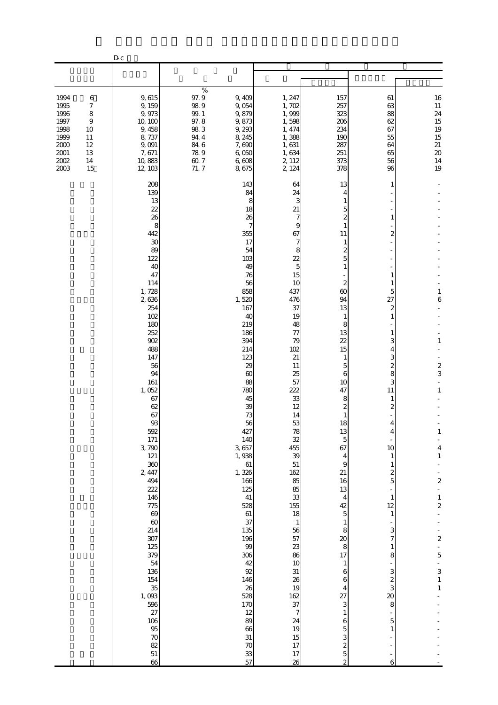|                                                                                  |                                                                       | $D_{c}$                                                                                                                                                                                                                                                                                                                                                                                                                |                                                                                     |                                                                                                                                                                                                                                                                                                                                                                                                                                          |                                                                                                                                                                                                                                                                                                                                                                                                  |                                                                                                                                                                                                                                                                                                                                                                                                                         |                                                                                                                                                                                                                                                            |                                                                                                                                                                                                     |
|----------------------------------------------------------------------------------|-----------------------------------------------------------------------|------------------------------------------------------------------------------------------------------------------------------------------------------------------------------------------------------------------------------------------------------------------------------------------------------------------------------------------------------------------------------------------------------------------------|-------------------------------------------------------------------------------------|------------------------------------------------------------------------------------------------------------------------------------------------------------------------------------------------------------------------------------------------------------------------------------------------------------------------------------------------------------------------------------------------------------------------------------------|--------------------------------------------------------------------------------------------------------------------------------------------------------------------------------------------------------------------------------------------------------------------------------------------------------------------------------------------------------------------------------------------------|-------------------------------------------------------------------------------------------------------------------------------------------------------------------------------------------------------------------------------------------------------------------------------------------------------------------------------------------------------------------------------------------------------------------------|------------------------------------------------------------------------------------------------------------------------------------------------------------------------------------------------------------------------------------------------------------|-----------------------------------------------------------------------------------------------------------------------------------------------------------------------------------------------------|
|                                                                                  |                                                                       |                                                                                                                                                                                                                                                                                                                                                                                                                        |                                                                                     |                                                                                                                                                                                                                                                                                                                                                                                                                                          |                                                                                                                                                                                                                                                                                                                                                                                                  |                                                                                                                                                                                                                                                                                                                                                                                                                         |                                                                                                                                                                                                                                                            |                                                                                                                                                                                                     |
| 1994<br>1995<br>1996<br>1997<br>1998<br>1999<br>2000<br>$2001\,$<br>2002<br>2003 | $\,6$<br>7<br>8<br>$\overline{9}$<br>10<br>11<br>12<br>13<br>14<br>15 | 9,615<br>9,159<br>9,973<br>10, 100<br>9, 458<br>8,737<br>9,091<br>7,671<br>10,883<br>12, 103                                                                                                                                                                                                                                                                                                                           | $\%$<br>97.9<br>98.9<br>99.1<br>97.8<br>983<br>94.4<br>84.6<br>78.9<br>60.7<br>71.7 | 9,409<br>9,054<br>9,879<br>9,873<br>9,293<br>8, 245<br>7,690<br>6,050<br>6,608<br>8,675                                                                                                                                                                                                                                                                                                                                                  | 1, 247<br>1,702<br>1,999<br>1,598<br>1, 474<br>1,388<br>1,631<br>1,634<br>2, 112<br>2, 124                                                                                                                                                                                                                                                                                                       | 157<br>257<br>323<br>206<br>234<br>190<br>287<br>251<br>373<br>378                                                                                                                                                                                                                                                                                                                                                      | 61<br>63<br>88<br>62<br>67<br>55<br>64<br>65<br>56<br>96                                                                                                                                                                                                   | 16<br>$11\,$<br>24<br>15<br>19<br>15<br>$21\,$<br>$20\,$<br>$\begin{array}{c} 14 \\ 19 \end{array}$                                                                                                 |
|                                                                                  |                                                                       | 208<br>139<br>13<br>22<br>26<br>8<br>442<br>30<br>89<br>122<br>40<br>47<br>114<br>1,728<br>2636<br>254<br>102<br>180<br>252<br>902<br>488<br>147<br>56<br>94<br>161<br>1,052<br>67<br>62<br>67<br>$93$<br>592<br>171<br>3,790<br>121<br>360<br>2, 447<br>494<br>222<br>146<br>775<br>69<br>$\infty$<br>214<br>307<br>125<br>379<br>54<br>136<br>154<br>35<br>1,093<br>596<br>27<br>106<br>95<br>$70$<br>82<br>51<br>66 |                                                                                     | 143<br>84<br>8<br>18<br>26<br>7<br>355<br>17<br>54<br>103<br>49<br>76<br>56<br>858<br>1,520<br>167<br>40<br>219<br>186<br>394<br>214<br>123<br>29<br>$\infty$<br>88<br>780<br>45<br>39<br>73<br>56<br>427<br>140<br>3,657<br>1,938<br>$61\,$<br>1,326<br>166<br>125<br>41<br>528<br>$61\,$<br>37<br>135<br>$196\,$<br>99<br>306<br>42<br>92<br>146<br>26<br>528<br>$170\,$<br>12<br>89<br>66<br>$31\,$<br>$\boldsymbol{\pi}$<br>33<br>57 | 64<br>24<br>3<br>21<br>7<br>9<br>67<br>7<br>8<br>22<br>5<br>15<br>10<br>437<br>476<br>37<br>19<br>48<br>77<br>79<br>102<br>21<br>11<br>25<br>57<br>222<br>33<br>12<br>14<br>53<br>78<br>32<br>455<br>39<br>$51\,$<br>162<br>85<br>85<br>33<br>155<br>18<br>$\mathbf{1}$<br>56<br>57<br>23<br>86<br>10<br>31<br>26<br>19<br>162<br>37<br>$\boldsymbol{7}$<br>24<br>19<br>15<br>$17\,$<br>17<br>26 | 13<br>4<br>5<br>2<br>11<br>1<br>2<br>5<br>2<br>60<br>94<br>13<br>1<br>8<br>13<br>22<br>15<br>1<br>5<br>6<br>10<br>47<br>8<br>2<br>1<br>18<br>13<br>$\overline{5}$<br>67<br>4<br>9<br>21<br>16<br>13<br>4<br>42<br>$\overline{5}$<br>$\mathbf{1}$<br>8<br>$\boldsymbol{\alpha}$<br>8<br>17<br>$\mathbf{1}$<br>6<br>6<br>4<br>27<br>3<br>1<br>6<br>5<br>3<br>$\overline{\mathcal{Z}}$<br>$\overline{5}$<br>$\overline{c}$ | 1<br>1<br>2<br>1<br>5<br>27<br>$\boldsymbol{z}$<br>$\mathbf{1}$<br>1<br>З<br>4<br>3<br>$\overline{\mathcal{Z}}$<br>8<br>3<br>11<br>2<br>10<br>1<br>1<br>2<br>5<br>1<br>12<br>1<br>3<br>7<br>1<br>8<br>3<br>$\boldsymbol{z}$<br>3<br>20<br>8<br>5<br>1<br>6 | 1<br>6<br>$\mathbf{1}$<br>$rac{2}{3}$<br>$\overline{a}$<br>$\mathbf{1}$<br>$\mathbf{1}$<br>4<br>$\mathbf{1}$<br>$\boldsymbol{2}$<br>$\frac{1}{2}$<br>$\boldsymbol{2}$<br>5<br>3<br>$\,1\,$<br>$1\,$ |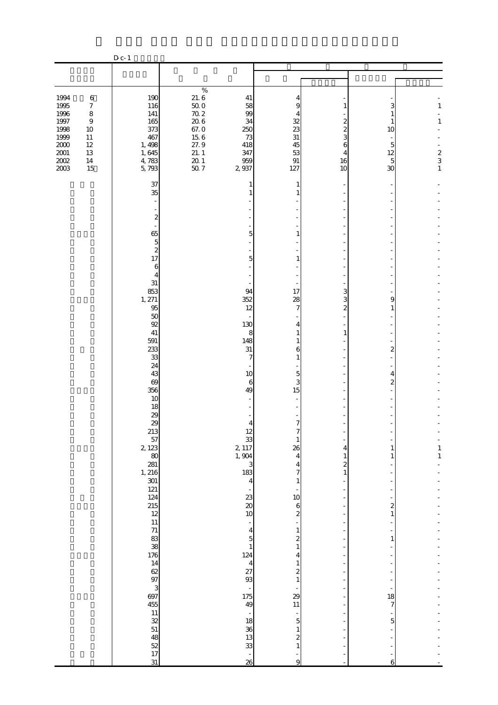|                                                                                              |                                                                                                              | $D_{c-1}$                                                                                                                                                                                                                                                                                                                                                                                                                                                   |                                                                                           |                                                                                                                                                                                                                                                                                                                                                          |                                                                                                                                                                                                                                                                                                     |                                                                  |                                                                             |                                                                            |
|----------------------------------------------------------------------------------------------|--------------------------------------------------------------------------------------------------------------|-------------------------------------------------------------------------------------------------------------------------------------------------------------------------------------------------------------------------------------------------------------------------------------------------------------------------------------------------------------------------------------------------------------------------------------------------------------|-------------------------------------------------------------------------------------------|----------------------------------------------------------------------------------------------------------------------------------------------------------------------------------------------------------------------------------------------------------------------------------------------------------------------------------------------------------|-----------------------------------------------------------------------------------------------------------------------------------------------------------------------------------------------------------------------------------------------------------------------------------------------------|------------------------------------------------------------------|-----------------------------------------------------------------------------|----------------------------------------------------------------------------|
|                                                                                              |                                                                                                              |                                                                                                                                                                                                                                                                                                                                                                                                                                                             |                                                                                           |                                                                                                                                                                                                                                                                                                                                                          |                                                                                                                                                                                                                                                                                                     |                                                                  |                                                                             |                                                                            |
|                                                                                              |                                                                                                              |                                                                                                                                                                                                                                                                                                                                                                                                                                                             |                                                                                           |                                                                                                                                                                                                                                                                                                                                                          |                                                                                                                                                                                                                                                                                                     |                                                                  |                                                                             |                                                                            |
| 1994<br>1995<br>1996<br>$1997\,$<br>1998<br>1999<br>$2000\,$<br>$2001\,$<br>$2002\,$<br>2003 | $\,6$<br>$\boldsymbol{7}$<br>$\,8\,$<br>$\boldsymbol{9}$<br>$10\,$<br>$11\,$<br>$12\,$<br>13<br>$14\,$<br>15 | 190<br>116<br>141<br>165<br>373<br>467<br>1, 498<br>1,645<br>4,783<br>5,793                                                                                                                                                                                                                                                                                                                                                                                 | $\%$<br>21.6<br>50.0<br>70.2<br>20.6<br>67.0<br>15.6<br>27.9<br>21.1<br>$\frac{20}{50}$ 1 | 41<br>58<br>99<br>34<br>250<br>73<br>418<br>347<br>959<br>2 937                                                                                                                                                                                                                                                                                          | 4<br>9<br>32<br>23<br>31<br>45<br>53<br>$\,91$<br>127                                                                                                                                                                                                                                               | 1<br>2<br>2<br>3<br>6<br>16<br>10                                | З<br>10<br>5<br>12<br>5<br>30                                               | $\mathbf{1}$<br>$\mathbf{1}$<br>$\begin{array}{c} 2 \\ 3 \\ 1 \end{array}$ |
|                                                                                              |                                                                                                              | 37<br>35<br>$\overline{\mathcal{Z}}$<br>65<br>$\overline{5}$<br>$\boldsymbol{z}$<br>17<br>$\boldsymbol{6}$<br>$\overline{4}$<br>31<br>853<br>1,271<br>95<br>50<br>92<br>41<br>591<br>233<br>33<br>24<br>43<br>$\Theta$<br>356<br>10<br>18<br>$\frac{29}{29}$<br>213<br>57<br>2 1 2 3<br>80<br>281<br>1, 216<br>301<br>121<br>124<br>215<br>12<br>11<br>71<br>83<br>38<br>176<br>14<br>62<br>97<br>3<br>697<br>455<br>11<br>32<br>51<br>48<br>52<br>17<br>31 |                                                                                           | 1<br>5<br>5<br>94<br>352<br>12<br>130<br>8<br>148<br>31<br>$\overline{7}$<br>10<br>$\boldsymbol{6}$<br>49<br>$\overline{4}$<br>12<br>$\begin{array}{c} 33 \\ 2,117 \end{array}$<br>1,904<br>3<br>183<br>$\overline{4}$<br>23<br>$\infty$<br>10<br>4<br>5<br>$\mathbf{1}$<br>124<br>$\overline{4}$<br>27<br>93<br>175<br>49<br>18<br>36<br>13<br>33<br>26 | 1<br>1<br>1<br>17<br>28<br>7<br>4<br>1<br>1<br>6<br>1<br>5<br>3<br>15<br>$\overline{7}$<br>26<br>4<br>4<br>7<br>10<br>6<br>$\boldsymbol{2}$<br>1<br>$\overline{\mathcal{Z}}$<br>1<br>4<br>$\boldsymbol{z}$<br>1<br>29<br>11<br>$\overline{5}$<br>$\boldsymbol{z}$<br>$\mathbf{1}$<br>$\overline{9}$ | 3<br>3<br>$\overline{c}$<br>1<br>4<br>1<br>$\boldsymbol{z}$<br>1 | 9<br>1<br>$\overline{c}$<br>4<br>2<br>1<br>2<br>1<br>1<br>18<br>7<br>5<br>6 | 1<br>$\mathbf{1}$                                                          |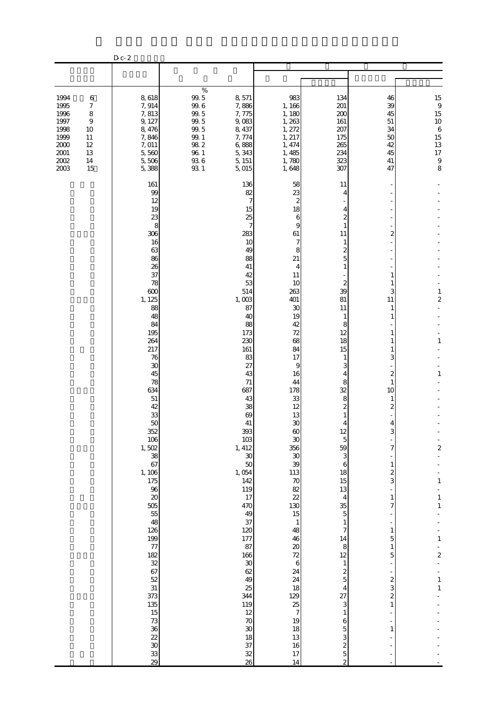|                                                                                    |                                                                             | $D$ c- $2\,$                                                                                                                                                                                                                                                                                                                                                                                                        |                                                                                                           |                                                                                                                                                                                                                                                                                                                                                                                                                             |                                                                                                                                                                                                                                                                                                                                                                                                 |                                                                                                                                                                                                                                                                                                                                                                                                                                                                               |                                                                                                                                                                                                                                                                                       |                                                                                                                                                                                                |
|------------------------------------------------------------------------------------|-----------------------------------------------------------------------------|---------------------------------------------------------------------------------------------------------------------------------------------------------------------------------------------------------------------------------------------------------------------------------------------------------------------------------------------------------------------------------------------------------------------|-----------------------------------------------------------------------------------------------------------|-----------------------------------------------------------------------------------------------------------------------------------------------------------------------------------------------------------------------------------------------------------------------------------------------------------------------------------------------------------------------------------------------------------------------------|-------------------------------------------------------------------------------------------------------------------------------------------------------------------------------------------------------------------------------------------------------------------------------------------------------------------------------------------------------------------------------------------------|-------------------------------------------------------------------------------------------------------------------------------------------------------------------------------------------------------------------------------------------------------------------------------------------------------------------------------------------------------------------------------------------------------------------------------------------------------------------------------|---------------------------------------------------------------------------------------------------------------------------------------------------------------------------------------------------------------------------------------------------------------------------------------|------------------------------------------------------------------------------------------------------------------------------------------------------------------------------------------------|
|                                                                                    |                                                                             |                                                                                                                                                                                                                                                                                                                                                                                                                     |                                                                                                           |                                                                                                                                                                                                                                                                                                                                                                                                                             |                                                                                                                                                                                                                                                                                                                                                                                                 |                                                                                                                                                                                                                                                                                                                                                                                                                                                                               |                                                                                                                                                                                                                                                                                       |                                                                                                                                                                                                |
| 1994<br>1995<br>1996<br>1997<br>1998<br>1999<br>$2000$<br>2001<br>$2002\,$<br>2003 | $\,6$<br>$\boldsymbol{7}$<br>8<br>9<br>10<br>11<br>$12\,$<br>13<br>14<br>15 | 8,618<br>7,914<br>7,813<br>9, 127<br>8,476<br>7,846<br>7,011<br>5,560<br>5,506<br>5,388                                                                                                                                                                                                                                                                                                                             | $\%$<br>$99.5$<br>$99.6\,$<br>$99.5$<br>$99.5\,$<br>99.5<br>99.1<br>$98\ 2$<br>$96\ 1$<br>$93\ 6$<br>93 1 | 8,571<br>7,886<br>7,775<br>9,083<br>8,437<br>7,774<br>6,888<br>5,343<br>5, 151<br>5,015                                                                                                                                                                                                                                                                                                                                     | 983<br>1, 166<br>1, 180<br>1, 263<br>1, 272<br>1, 217<br>1, 474<br>1,485<br>1,780<br>1,648                                                                                                                                                                                                                                                                                                      | 134<br>201<br>200<br>161<br>207<br>175<br>265<br>234<br>323<br>307                                                                                                                                                                                                                                                                                                                                                                                                            | 46<br>39<br>45<br>51<br>34<br>50<br>42<br>45<br>41<br>47                                                                                                                                                                                                                              | 15<br>$\frac{9}{15}$<br>$10$<br>$\sqrt{6}$<br>$\begin{array}{c} 15 \\ 13 \end{array}$<br>$17\,$<br>$\boldsymbol{9}$<br>8                                                                       |
|                                                                                    |                                                                             | 161<br>99<br>12<br>19<br>23<br>8<br>306<br>16<br>63<br>86<br>26<br>37<br>78<br>600<br>1, 125<br>88<br>48<br>84<br>195<br>264<br>217<br>76<br>$30\,$<br>45<br>78<br>634<br>51<br>42<br>33<br>50<br>352<br>106<br>1,502<br>38<br>67<br>1, 106<br>175<br>96<br>$\infty$<br>505<br>55<br>48<br>126<br>199<br>77<br>182<br>32<br>67<br>52<br>31<br>373<br>135<br>$15\,$<br>73<br>36<br>22<br>$\overline{30}$<br>33<br>29 |                                                                                                           | 136<br>82<br>7<br>15<br>25<br>7<br>283<br>10<br>49<br>88<br>41<br>42<br>53<br>514<br>1,003<br>87<br>40<br>88<br>173<br>230<br>161<br>83<br>27<br>43<br>71<br>687<br>43<br>38<br>69<br>41<br>393<br>$103\,$<br>1, 412<br>$30\,$<br>$50$<br>1,054<br>142<br>119<br>$17\,$<br>47 <sub>O</sub><br>49<br>37<br>120<br>177<br>87<br>166<br>$30\,$<br>62<br>49<br>25<br>344<br>119<br>12<br>$70$<br>30<br>18<br>37<br>$32\,$<br>26 | 58<br>23<br>2<br>18<br>6<br>9<br>61<br>7<br>8<br>21<br>4<br>11<br>10<br>263<br>401<br>30<br>19<br>42<br>72<br>68<br>84<br>17<br>9<br>16<br>44<br>178<br>33<br>12<br>13<br>30<br>$\infty$<br>30<br>356<br>$30\,$<br>39<br>113<br>$70$<br>82<br>22<br>130<br>15<br>$\mathbf{1}$<br>48<br>46<br>$20\,$<br>72<br>$\,6$<br>24<br>24<br>18<br>129<br>25<br>$\tau$<br>19<br>18<br>13<br>16<br>17<br>14 | 11<br>4<br>4<br>1<br>11<br>1<br>2<br>5<br>1<br>2<br>39<br>81<br>11<br>1<br>8<br>12<br>18<br>15<br>1<br>3<br>4<br>8<br>32<br>8<br>2<br>1<br>12<br>$\overline{5}$<br>59<br>3<br>6<br>18<br>15<br>13<br>$\overline{4}$<br>35<br>$\mathbf 5$<br>$\mathbf{1}$<br>7<br>14<br>8<br>12<br>$\mathbf{1}$<br>$\boldsymbol{z}$<br>$\overline{5}$<br>$\overline{4}$<br>27<br>3<br>$\mathbf{1}$<br>6<br>$\overline{5}$<br>3<br>$\overline{\mathcal{L}}$<br>$\overline{5}$<br>$\overline{c}$ | 2<br>1<br>1<br>3<br>11<br>1<br>1<br>1<br>1<br>1<br>3<br>2<br>1<br>10<br>1<br>2<br>З<br>7<br>$\mathbf{1}$<br>$\overline{\mathcal{Z}}$<br>3<br>$\mathbf{1}$<br>7<br>$\,1$<br>5<br>$\mathbf{1}$<br>5<br>$\boldsymbol{z}$<br>3<br>$\overline{\mathbf{c}}$<br>$\mathbf{1}$<br>$\mathbf{1}$ | $\mathbf{1}$<br>$\overline{\mathbf{c}}$<br>$\mathbf{1}$<br>$\mathbf{1}$<br>$\overline{\mathbf{c}}$<br>$\mathbf{1}$<br>$\,1\,$<br>1<br>$\,1\,$<br>$\overline{\mathbf{c}}$<br>$\,1\,$<br>$\,1\,$ |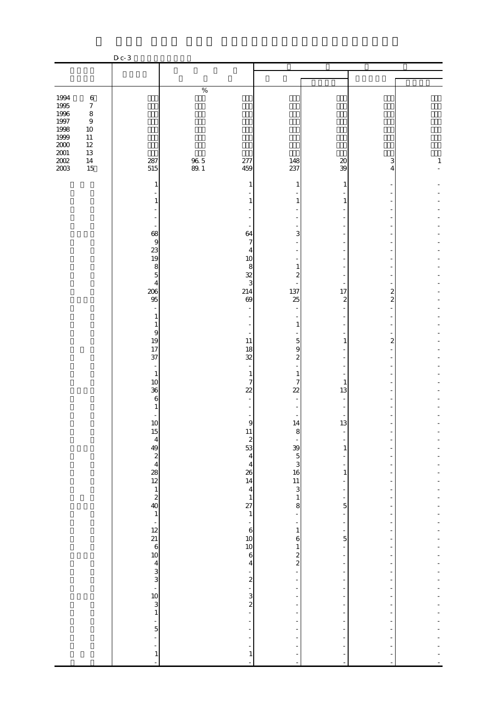|                                                          |                                                                                                        | $D c-3$                                                                                                                |              |                                                                                                                   |                                     |                                                      |                                                      |              |
|----------------------------------------------------------|--------------------------------------------------------------------------------------------------------|------------------------------------------------------------------------------------------------------------------------|--------------|-------------------------------------------------------------------------------------------------------------------|-------------------------------------|------------------------------------------------------|------------------------------------------------------|--------------|
|                                                          |                                                                                                        |                                                                                                                        |              |                                                                                                                   |                                     |                                                      |                                                      |              |
|                                                          |                                                                                                        |                                                                                                                        |              |                                                                                                                   |                                     |                                                      |                                                      |              |
| 1994<br>1995<br>1996<br>1997<br>1998<br>1999<br>$2000\,$ | $\,6\,$<br>$\boldsymbol{7}$<br>$\,$ 8 $\,$<br>$\boldsymbol{9}$<br>$10\,$<br>$11\,$<br>$12\,$<br>$13\,$ |                                                                                                                        | $\%$         |                                                                                                                   |                                     |                                                      |                                                      |              |
| $\frac{2001}{2002}$                                      | $14\,$<br>15                                                                                           | 287<br>515                                                                                                             | 96.5<br>89.1 | 277<br>459                                                                                                        | 148<br>237                          | $\pmb{\mathcal{Z}}$<br>39                            | 3<br>4                                               | $\mathbf{1}$ |
|                                                          |                                                                                                        | 1                                                                                                                      |              | 1                                                                                                                 | 1                                   | 1                                                    |                                                      |              |
|                                                          |                                                                                                        | 1                                                                                                                      |              | 1                                                                                                                 | $\mathbf{1}$                        | 1                                                    |                                                      |              |
|                                                          |                                                                                                        |                                                                                                                        |              |                                                                                                                   | ۰                                   |                                                      | $\overline{\phantom{m}}$                             |              |
|                                                          |                                                                                                        | 68                                                                                                                     |              | 64                                                                                                                | 3                                   |                                                      |                                                      |              |
|                                                          |                                                                                                        | 9<br>23                                                                                                                |              | $\boldsymbol{7}$<br>$\overline{4}$                                                                                | L,<br>Ξ                             |                                                      | ÷,                                                   |              |
|                                                          |                                                                                                        | 19<br>8                                                                                                                |              | 10<br>8                                                                                                           | $\blacksquare$<br>$\mathbf{1}$      |                                                      | ÷,                                                   |              |
|                                                          |                                                                                                        | $\overline{5}$<br>$\overline{4}$                                                                                       |              | $\frac{32}{3}$                                                                                                    | $\overline{\mathcal{L}}$            | ÷,                                                   | ÷,                                                   |              |
|                                                          |                                                                                                        | 206<br>95                                                                                                              |              | 214<br>69                                                                                                         | 137<br>25                           | 17<br>$\overline{\mathbf{c}}$                        | $\frac{2}{2}$                                        |              |
|                                                          |                                                                                                        | 1                                                                                                                      |              | L,                                                                                                                |                                     |                                                      | L,                                                   |              |
|                                                          |                                                                                                        | $\mathbf{1}$<br>$\overline{9}$                                                                                         |              | L,<br>$\blacksquare$                                                                                              | $\mathbf{1}$                        |                                                      | ÷,<br>$\overline{\phantom{a}}$                       |              |
|                                                          |                                                                                                        | 19<br>17                                                                                                               |              | $11\,$<br>18                                                                                                      | $\overline{5}$<br>9                 | 1                                                    | $\overline{\mathcal{L}}$                             |              |
|                                                          |                                                                                                        | 37                                                                                                                     |              | 32                                                                                                                | $\overline{\mathbf{c}}$             | ä,                                                   | $\overline{\phantom{a}}$                             |              |
|                                                          |                                                                                                        | $\sim$<br>$\mathbf{1}$                                                                                                 |              | $\bar{\phantom{a}}$<br>$\mathbf{1}$                                                                               | ÷,<br>$\mathbf{1}$                  |                                                      |                                                      |              |
|                                                          |                                                                                                        | 10<br>36                                                                                                               |              | $\overline{7}$<br>$\overline{22}$                                                                                 | $\boldsymbol{7}$<br>$\overline{22}$ | $\mathbf{1}$<br>13                                   |                                                      |              |
|                                                          |                                                                                                        | 6<br>$\mathbf{1}$                                                                                                      |              | $\overline{\phantom{a}}$                                                                                          | $\overline{\phantom{a}}$            | $\sim$                                               | $\overline{\phantom{a}}$                             |              |
|                                                          |                                                                                                        | 10                                                                                                                     |              | $\overline{9}$                                                                                                    | 14                                  | 13                                                   | $\overline{\phantom{m}}$                             |              |
|                                                          |                                                                                                        | 15<br>4<br>4<br>2<br>4<br>2<br>4<br>2<br>4<br>2<br>4<br>2<br>1<br>2<br>2<br>2<br>1<br>2<br>1<br>2<br>2<br>1<br>2<br>12 |              | $\begin{array}{c} 11 \\ 2 \\ 53 \\ 4 \end{array}$                                                                 | 8                                   | $\frac{1}{1}$                                        | ÷                                                    |              |
|                                                          |                                                                                                        |                                                                                                                        |              |                                                                                                                   |                                     | $\overline{\phantom{0}}$                             | ÷<br>$\overline{a}$                                  |              |
|                                                          |                                                                                                        |                                                                                                                        |              | $\begin{array}{c}\n 4 \\  26 \\  14 \\  4 \\  1 \\  7 \\  1 \\  -6 \\  10 \\  6 \\  10 \\  6 \\  4\n \end{array}$ |                                     | $\overline{\phantom{0}}$<br>$\,1\,$                  | ÷<br>$\frac{1}{2}$                                   |              |
|                                                          |                                                                                                        |                                                                                                                        |              |                                                                                                                   |                                     | $\frac{1}{2}$<br>$\frac{1}{2}$                       | $\overline{\phantom{a}}$<br>$\frac{1}{2}$            |              |
|                                                          |                                                                                                        |                                                                                                                        |              |                                                                                                                   |                                     | $\frac{1}{5}$                                        | $\overline{\phantom{0}}$<br>-                        |              |
|                                                          |                                                                                                        |                                                                                                                        |              |                                                                                                                   | $\frac{1}{1}$                       | ÷,<br>$\overline{\phantom{a}}$                       | ÷<br>÷                                               |              |
|                                                          |                                                                                                        |                                                                                                                        |              |                                                                                                                   |                                     | $\frac{1}{5}$                                        | ÷<br>$\overline{\phantom{0}}$                        |              |
|                                                          |                                                                                                        |                                                                                                                        |              |                                                                                                                   |                                     |                                                      | ÷                                                    |              |
|                                                          |                                                                                                        |                                                                                                                        |              |                                                                                                                   | 6122                                | ÷,<br>÷,                                             | -<br>$\frac{1}{2}$                                   |              |
|                                                          |                                                                                                        |                                                                                                                        |              |                                                                                                                   |                                     | ÷,<br>÷                                              | ÷<br>÷                                               |              |
|                                                          |                                                                                                        | $12$<br>$21$<br>$6$<br>$10$<br>$4$<br>$3$<br>$3$<br>$1$<br>$5$                                                         |              |                                                                                                                   | $\frac{1}{1}$                       | $\overline{\phantom{a}}$<br>$\overline{\phantom{a}}$ | $\overline{\phantom{0}}$<br>$\overline{a}$           |              |
|                                                          |                                                                                                        |                                                                                                                        |              |                                                                                                                   | ÷<br>f,                             | $\qquad \qquad \blacksquare$<br>÷                    | $\overline{\phantom{m}}$<br>$\overline{\phantom{0}}$ |              |
|                                                          |                                                                                                        |                                                                                                                        |              |                                                                                                                   | $\overline{a}$<br>÷                 | ÷<br>÷                                               | ÷<br>$\blacksquare$                                  |              |
|                                                          |                                                                                                        | ÷                                                                                                                      |              | $\begin{bmatrix} 1 \\ 1 \end{bmatrix}$                                                                            | $\frac{1}{2}$                       | Ĩ,<br>÷,                                             | ÷                                                    |              |
|                                                          |                                                                                                        | $\mathbf{1}$<br>L,                                                                                                     |              | L,                                                                                                                | $\overline{a}$                      | ÷<br>L,                                              | ÷<br>L,                                              |              |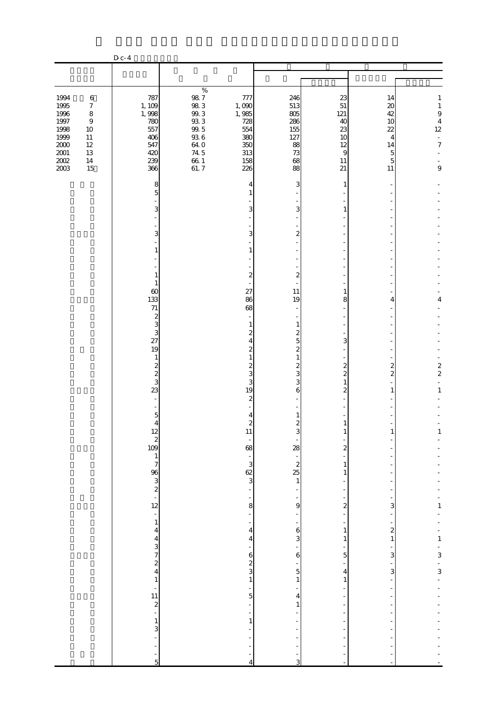|                                                                                             |                                                                                                                    | D c- 4                                                                  |                                                                                                         |                                                                        |                                                                                        |                                                                           |                                                                    |                                                                                                                        |
|---------------------------------------------------------------------------------------------|--------------------------------------------------------------------------------------------------------------------|-------------------------------------------------------------------------|---------------------------------------------------------------------------------------------------------|------------------------------------------------------------------------|----------------------------------------------------------------------------------------|---------------------------------------------------------------------------|--------------------------------------------------------------------|------------------------------------------------------------------------------------------------------------------------|
|                                                                                             |                                                                                                                    |                                                                         |                                                                                                         |                                                                        |                                                                                        |                                                                           |                                                                    |                                                                                                                        |
|                                                                                             |                                                                                                                    |                                                                         | $\%$                                                                                                    |                                                                        |                                                                                        |                                                                           |                                                                    |                                                                                                                        |
| 1994<br>1995<br>1996<br>$1997\,$<br>1998<br>1999<br>$2000\,$<br>$2001\,$<br>$200\!$<br>2003 | $\,6\,$<br>$\boldsymbol{7}$<br>$\,8\,$<br>$\boldsymbol{9}$<br>$10\,$<br>$11\,$<br>$12\,$<br>$13\,$<br>$14\,$<br>15 | 787<br>1, 109<br>1,998<br>780<br>557<br>406<br>547<br>420<br>239<br>366 | $98\ 7$<br>98.3<br>$99.3\,$<br>$93\ 3$<br>99.5<br>$93\ 6$<br><b>64 O</b><br>74 5<br>$\frac{66}{61}$ . 7 | 777<br>1,000<br>1,985<br>728<br>554<br>380<br>350<br>313<br>158<br>226 | 246<br>513<br>805<br>286<br>155<br>127<br>88<br>73<br>68<br>88                         | 23<br>$51\,$<br>121<br>40<br>23<br>10<br>12<br>$\overline{9}$<br>11<br>21 | 14<br>20<br>42<br>10<br>22<br>4<br>14<br>5<br>$\overline{5}$<br>11 | $\mathbf{1}$<br>$\mathbf{1}$<br>$\boldsymbol{9}$<br>$\overline{4}$<br>$12 \text{ }$<br>$\Box$<br>$\boldsymbol{7}$<br>9 |
|                                                                                             |                                                                                                                    | 8<br>5                                                                  |                                                                                                         | 4<br>1                                                                 | 3                                                                                      | 1                                                                         |                                                                    |                                                                                                                        |
|                                                                                             |                                                                                                                    | 3                                                                       |                                                                                                         | 3                                                                      | 3                                                                                      | 1                                                                         |                                                                    |                                                                                                                        |
|                                                                                             |                                                                                                                    | 3<br>1                                                                  |                                                                                                         | 3<br>$\mathbf{1}$                                                      | $\overline{\mathbf{c}}$                                                                |                                                                           |                                                                    |                                                                                                                        |
|                                                                                             |                                                                                                                    | 1<br>1                                                                  |                                                                                                         | $\overline{\mathcal{L}}$                                               | $\overline{\phantom{a}}$<br>$\boldsymbol{z}$                                           |                                                                           |                                                                    |                                                                                                                        |
|                                                                                             |                                                                                                                    | $\omega$<br>133<br>$71\,$                                               |                                                                                                         | 27<br>86<br>68<br>$\overline{\phantom{a}}$                             | 11<br>19                                                                               | 1<br>8                                                                    | 4                                                                  | 4                                                                                                                      |
|                                                                                             |                                                                                                                    | $\boldsymbol{z}$<br>3<br>3<br>27                                        |                                                                                                         | 1<br>$\mathbf{z}$<br>$\overline{4}$                                    | $\overline{\phantom{a}}$<br>$\mathbf{1}$<br>$\overline{\mathcal{L}}$<br>$\overline{5}$ | 3                                                                         |                                                                    |                                                                                                                        |
|                                                                                             |                                                                                                                    | 19<br>$\mathbf{1}$<br>$\boldsymbol{z}$<br>$\frac{2}{3}$                 |                                                                                                         | $\boldsymbol{z}$<br>$\mathbf{1}$<br>$\overline{\mathcal{Z}}$<br>3      | $\overline{\mathcal{L}}$<br>$\,1\,$<br>$\frac{2}{3}$                                   | $\boldsymbol{z}$<br>$\overline{\mathcal{Z}}$                              | $\boldsymbol{z}$<br>$\overline{\mathcal{L}}$                       | $\begin{array}{c} 2 \\ 2 \end{array}$                                                                                  |
|                                                                                             |                                                                                                                    | 23                                                                      |                                                                                                         | 3<br>19<br>$\overline{\mathcal{Z}}$                                    | 3<br>6                                                                                 | 1<br>$\overline{2}$                                                       | 1                                                                  | $\mathbf{1}$                                                                                                           |
|                                                                                             |                                                                                                                    | $\overline{5}$<br>$\overline{4}$                                        |                                                                                                         | 4<br>$\overline{\mathcal{L}}$<br>11                                    | 1<br>$\overline{\mathcal{Z}}$                                                          | 1                                                                         |                                                                    | Ţ                                                                                                                      |
|                                                                                             |                                                                                                                    |                                                                         |                                                                                                         | 68                                                                     | $28 - 25$<br>$25$<br>$1$                                                               | $\overline{\mathbf{c}}$<br>1                                              |                                                                    |                                                                                                                        |
|                                                                                             |                                                                                                                    | $\frac{12}{2}$<br>109<br>109<br>3<br>2<br>3<br>2<br>3<br>2<br>12        |                                                                                                         | $rac{3}{62}$<br>$\overline{a}$                                         |                                                                                        | 1                                                                         |                                                                    |                                                                                                                        |
|                                                                                             |                                                                                                                    | $\blacksquare$<br>$\mathbf{1}$                                          |                                                                                                         | 8<br>÷,<br>$\overline{\phantom{0}}$                                    | 9                                                                                      | $\overline{\mathbf{c}}$                                                   | 3                                                                  | $\mathbf{1}$                                                                                                           |
|                                                                                             |                                                                                                                    | $\overline{\mathbf{4}}$<br>$\overline{\mathbf{4}}$                      |                                                                                                         | $\overline{\mathbf{4}}$<br>$\overline{4}$                              | $\mathbf{6}$<br>3                                                                      | $\mathbf{1}$<br>1                                                         | $\boldsymbol{z}$<br>$\mathbf{1}$                                   |                                                                                                                        |
|                                                                                             |                                                                                                                    | $\frac{3}{4}$<br>$\mathbf{1}$                                           |                                                                                                         | 6<br>$rac{2}{3}$<br>$\mathbf{1}$                                       | 6<br>$\overline{5}$<br>$\,1\,$                                                         | 5<br>$\overline{4}$<br>$\mathbf{1}$                                       | 3<br>3                                                             | $-1$ $-3$ $-3$ $-$                                                                                                     |
|                                                                                             |                                                                                                                    | $\frac{1}{11}$<br>$\frac{2}{1}$                                         |                                                                                                         | 5                                                                      | 4<br>$\mathbf{1}$                                                                      |                                                                           |                                                                    |                                                                                                                        |
|                                                                                             |                                                                                                                    | $\mathbf{1}$<br>3                                                       |                                                                                                         | $\mathbf{1}$                                                           |                                                                                        |                                                                           |                                                                    |                                                                                                                        |
|                                                                                             |                                                                                                                    | 5                                                                       |                                                                                                         | $\overline{A}$                                                         | 3                                                                                      |                                                                           |                                                                    |                                                                                                                        |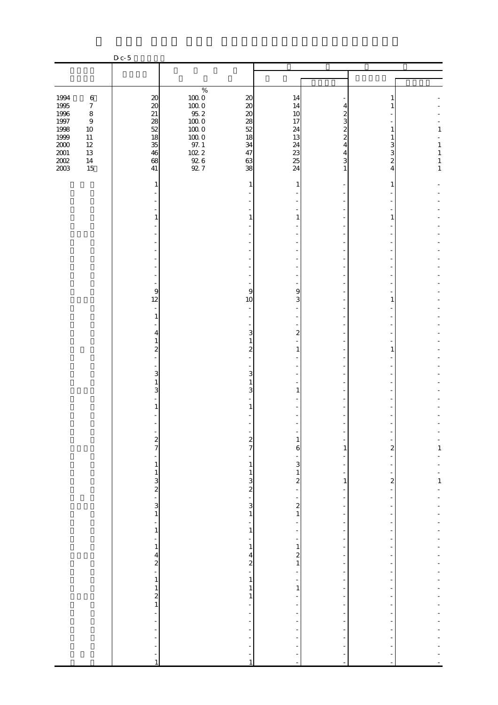|                                                                          |                                                                                                    | $D_{c-5}$                                                                |                                                                                                        |                                                                         |                                                  |                                                         |                               |                            |
|--------------------------------------------------------------------------|----------------------------------------------------------------------------------------------------|--------------------------------------------------------------------------|--------------------------------------------------------------------------------------------------------|-------------------------------------------------------------------------|--------------------------------------------------|---------------------------------------------------------|-------------------------------|----------------------------|
|                                                                          |                                                                                                    |                                                                          |                                                                                                        |                                                                         |                                                  |                                                         |                               |                            |
|                                                                          |                                                                                                    |                                                                          |                                                                                                        |                                                                         |                                                  |                                                         |                               |                            |
| 1994<br>1995<br>1996<br>$1997\,$<br>1998<br>1999<br>$2000\,$<br>$2001\,$ | $\,6\,$<br>$\boldsymbol{7}$<br>$\,8\,$<br>$\boldsymbol{9}$<br>$10\,$<br>$11\,$<br>$12\,$<br>$13\,$ | $20\,$<br>$\boldsymbol{\mathsf{20}}$<br>21<br>28<br>52<br>18<br>35<br>46 | $\%$<br>$100\;0$<br>$100\;0$<br>$95.2\,$<br>$100\;0$<br>$100\;0$<br>$100\;0$<br>$97. \;1$<br>$102.2\,$ | $20\,$<br>$20\,$<br>$\boldsymbol{\chi}$<br>28<br>$52$<br>18<br>34<br>47 | 14<br>14<br>10<br>17<br>24<br>13<br>24<br>23     | 4<br>2<br>3<br>2<br>$\mathbf{z}$<br>$\overline{4}$<br>4 | 1<br>1<br>3<br>3              | $\mathbf{1}$<br>1<br>$\,1$ |
| $200\!$<br>2003                                                          | $14\,$<br>15                                                                                       | 68<br>41                                                                 | $\frac{92}{92}$ 6                                                                                      | 63<br>38                                                                | 25<br>24                                         | 3<br>1                                                  | $\overline{\mathcal{Z}}$<br>4 | $\,1$<br>$\mathbf{1}$      |
|                                                                          |                                                                                                    | 1                                                                        |                                                                                                        | 1                                                                       | 1                                                |                                                         | 1                             |                            |
|                                                                          |                                                                                                    | $\mathbf{1}$                                                             |                                                                                                        | $\mathbf{1}$                                                            | 1                                                |                                                         | 1                             |                            |
|                                                                          |                                                                                                    |                                                                          |                                                                                                        |                                                                         |                                                  |                                                         |                               |                            |
|                                                                          |                                                                                                    |                                                                          |                                                                                                        |                                                                         |                                                  |                                                         |                               |                            |
|                                                                          |                                                                                                    |                                                                          |                                                                                                        |                                                                         |                                                  |                                                         |                               |                            |
|                                                                          |                                                                                                    | 9<br>12<br>$\overline{\phantom{a}}$                                      |                                                                                                        | 9<br>10                                                                 | 9<br>3                                           |                                                         | 1                             |                            |
|                                                                          |                                                                                                    | $\mathbf{1}$<br>4                                                        |                                                                                                        | 3                                                                       | $\overline{\mathcal{Z}}$                         |                                                         |                               |                            |
|                                                                          |                                                                                                    | 1<br>$\overline{\mathcal{Z}}$                                            |                                                                                                        | $\mathbf{1}$<br>$\overline{\mathcal{Z}}$                                | 1                                                |                                                         | 1                             |                            |
|                                                                          |                                                                                                    | 3                                                                        |                                                                                                        | 3                                                                       |                                                  |                                                         |                               |                            |
|                                                                          |                                                                                                    | $1\,$<br>3                                                               |                                                                                                        | 1<br>3                                                                  | 1                                                |                                                         |                               |                            |
|                                                                          |                                                                                                    | 1                                                                        |                                                                                                        |                                                                         |                                                  |                                                         |                               |                            |
|                                                                          |                                                                                                    | $\frac{2}{7}$                                                            |                                                                                                        | $\frac{2}{7}$                                                           | 1<br>6                                           | 1                                                       | $\overline{\mathbf{c}}$       | $\frac{1}{1}$              |
|                                                                          |                                                                                                    | -<br>$\mathbf{1}$                                                        |                                                                                                        | $\mathbf{1}$<br>$\mathbf{1}$                                            | $\mathbf{3}$<br>$\,1\,$                          | ÷                                                       |                               | $\overline{a}$<br>÷        |
|                                                                          |                                                                                                    | $\frac{1}{2}$ 3                                                          |                                                                                                        | $\frac{3}{2}$                                                           | $\mathbf{z}$<br>÷,                               | $\,1$<br>÷                                              | $\overline{\mathbf{c}}$       | $\frac{1}{1}$              |
|                                                                          |                                                                                                    | $\frac{3}{1}$                                                            |                                                                                                        | 3<br>$\,1\,$                                                            | $\begin{bmatrix} 2 \\ 1 \end{bmatrix}$           | -<br>$\frac{1}{2}$                                      |                               |                            |
|                                                                          |                                                                                                    | ÷<br>$\,1$<br>$\frac{1}{2}$                                              |                                                                                                        | ÷<br>$1\,$<br>-                                                         | $\frac{1}{2}$                                    | $\overline{a}$<br>$\overline{a}$<br>÷                   |                               |                            |
|                                                                          |                                                                                                    | $\mathbf{1}$<br>$\frac{4}{2}$                                            |                                                                                                        | $\,1$<br>$\overline{\mathcal{L}}$                                       | $\mathbf{1}$<br>$\overline{a}$<br>$\,1\,$        | $\overline{\phantom{m}}$<br>-                           |                               |                            |
|                                                                          |                                                                                                    | $\,1$                                                                    |                                                                                                        | $\frac{2}{1}$<br>$\,1\,$                                                | $\frac{1}{\sqrt{2}}$<br>$\overline{\phantom{0}}$ | $\overline{\phantom{m}}$<br>$\overline{\phantom{m}}$    |                               |                            |
|                                                                          |                                                                                                    | $\mathbf{1}$<br>$\frac{2}{1}$                                            |                                                                                                        | $\mathbf{1}$<br>1<br>$\overline{\phantom{m}}$                           | $\,1\,$<br>$\overline{\phantom{0}}$              | $\overline{a}$<br>$\overline{\phantom{m}}$              |                               |                            |
|                                                                          |                                                                                                    | $\blacksquare$<br>$\blacksquare$<br>$\frac{1}{2}$                        |                                                                                                        | $\frac{1}{2}$<br>$\overline{\phantom{0}}$                               |                                                  |                                                         |                               |                            |
|                                                                          |                                                                                                    | ÷<br>÷                                                                   |                                                                                                        |                                                                         |                                                  |                                                         |                               |                            |
|                                                                          |                                                                                                    | $\mathbf{1}$                                                             |                                                                                                        | $\mathbf{1}$                                                            | $\overline{a}$                                   |                                                         |                               |                            |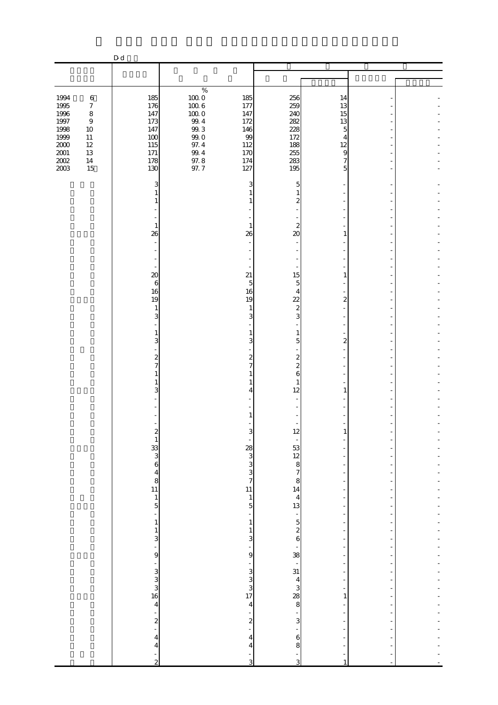|                                      |                                        | D d                                                  |                                              |                                                 |                                                                         |                                                      |                      |  |
|--------------------------------------|----------------------------------------|------------------------------------------------------|----------------------------------------------|-------------------------------------------------|-------------------------------------------------------------------------|------------------------------------------------------|----------------------|--|
|                                      |                                        |                                                      |                                              |                                                 |                                                                         |                                                      |                      |  |
|                                      |                                        |                                                      |                                              |                                                 |                                                                         |                                                      |                      |  |
| 1994<br>1995<br>1996                 | $\,6\,$<br>$\boldsymbol{7}$<br>$\,8\,$ | 185<br>176<br>147                                    | $\%$<br>$100\;0$<br>$100\;6$<br>$100\;0$     | 185<br>177<br>147                               | 256<br>259<br>240                                                       | 14<br>13<br>15                                       |                      |  |
| $1997\,$<br>1998<br>1999<br>$2000\,$ | $\boldsymbol{9}$<br>10<br>11<br>$12\,$ | 173<br>147<br>100<br>115                             | $99.4\,$<br>$99.3\,$<br>$99.0\,$<br>$97.4\,$ | 172<br>146<br>99<br>112                         | 282<br>228<br>172<br>188                                                | 13<br>5<br>4<br>12                                   |                      |  |
| $2001\,$<br>$200\!$<br>2003          | 13<br>$14\,$<br>15                     | 171<br>178<br>130<br>3                               | $99\,4$<br>$97.8\,$<br>97.7                  | 170<br>174<br>127<br>3                          | 255<br>283<br>195<br>5                                                  | 9<br>7<br>5                                          |                      |  |
|                                      |                                        | $\mathbf{1}$<br>1                                    |                                              |                                                 | 1<br>$\boldsymbol{z}$                                                   |                                                      |                      |  |
|                                      |                                        | $\mathbf{1}$<br>26                                   |                                              | 1<br>26                                         | $\boldsymbol{z}$<br>$\infty$                                            | 1                                                    |                      |  |
|                                      |                                        | $\boldsymbol{\chi}$<br>$\boldsymbol{6}$              |                                              | 21<br>5                                         | 15<br>5                                                                 | 1                                                    |                      |  |
|                                      |                                        | 16<br>19<br>1<br>3                                   |                                              | 16<br>19<br>1<br>3                              | 4<br>22<br>$\boldsymbol{z}$<br>3                                        | 2                                                    |                      |  |
|                                      |                                        | 1<br>3                                               |                                              | 3                                               | $\mathbf{1}$<br>5                                                       | $\mathbf{z}$                                         |                      |  |
|                                      |                                        | $\boldsymbol{z}$<br>$\overline{7}$<br>1<br>1<br>3    |                                              | 2<br>4                                          | $\boldsymbol{2}$<br>$\overline{\mathcal{Z}}$<br>6<br>$\mathbf{1}$<br>12 | 1                                                    |                      |  |
|                                      |                                        |                                                      |                                              |                                                 |                                                                         |                                                      |                      |  |
|                                      |                                        | $\begin{array}{c}\n2 \\ 1 \\ 3 \\ 6\n\end{array}$    |                                              |                                                 | 12                                                                      | T                                                    |                      |  |
|                                      |                                        | $\begin{array}{c} 4 \\ 8 \\ 11 \end{array}$          |                                              | 28<br>3<br>3<br>3<br>7<br>11                    | $\frac{53}{12}$ $\frac{12}{8}$ $\frac{7}{8}$ $\frac{8}{14}$             | $\overline{\phantom{a}}$<br>$\overline{\phantom{a}}$ |                      |  |
|                                      |                                        | $\mathbf{1}$<br>5<br>$\frac{1}{\sqrt{2}}$<br>$\,1\,$ |                                              | $\,1\,$<br>5<br>$\frac{1}{2}$<br>$\mathbf{1}$   | $\overline{\mathbf{4}}$<br>13                                           | ÷<br>$\overline{a}$<br>$\overline{\phantom{a}}$      |                      |  |
|                                      |                                        | $\mathbf{1}$<br>3<br>-<br>9                          |                                              | $\mathbf{1}$<br>3<br>÷<br>9                     | $\begin{bmatrix} 5 \\ 2 \\ 6 \end{bmatrix}$                             | $\overline{a}$<br>$\overline{\phantom{a}}$           |                      |  |
|                                      |                                        | .<br>30 ن 30<br>16                                   |                                              | $\begin{array}{c} 3 \\ 3 \\ 3 \\ 1 \end{array}$ | $-38$<br>$-31$<br>$-31$<br>$-33$<br>$-8$<br>$-8$                        | -<br>$\overline{a}$                                  |                      |  |
|                                      |                                        | $\overline{4}$<br>$\frac{1}{2}$                      |                                              | $\overline{4}$<br>$\boldsymbol{z}$              | 3                                                                       | 1<br>$\overline{a}$                                  |                      |  |
|                                      |                                        | $\overline{\mathcal{A}}$<br>$\overline{4}$           |                                              | $\overline{4}$<br>$\overline{4}$                | $\mathbf{6}$<br>8                                                       |                                                      |                      |  |
|                                      |                                        | ÷,<br>$\overline{c}$                                 |                                              | ÷<br>3                                          | 3                                                                       | $\overline{1}$                                       | $\overline{a}$<br>÷, |  |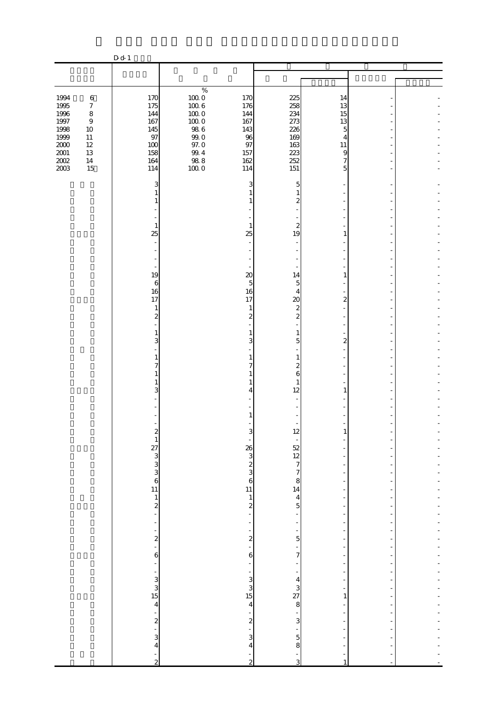| 1994<br>1995<br>1996                 | $\,6\,$<br>$\boldsymbol{7}$<br>$\,8\,$         | 170<br>175<br>144                           | $\%$<br>$\begin{array}{c} 100.0 \\ 100.6 \end{array}$<br>$100\;0$ | 170<br>176<br>144                                   | 225<br>258<br>234                                      | 14<br>13<br>15                                                   |                |  |
|--------------------------------------|------------------------------------------------|---------------------------------------------|-------------------------------------------------------------------|-----------------------------------------------------|--------------------------------------------------------|------------------------------------------------------------------|----------------|--|
| $1997\,$<br>1998<br>1999<br>$2000\,$ | $\boldsymbol{9}$<br>$10\,$<br>$11\,$<br>$12\,$ | 167<br>145<br>97<br>100                     | $100\;0$<br>$98\ 6$<br>$99.0\,$<br>$97.0\,$                       | 167<br>143<br>96<br>97                              | 273<br>226<br>169<br>163                               | 13<br>5<br>$\overline{4}$<br>$11\,$                              |                |  |
| $2001\,$<br>$200\!$<br>2003          | $13\,$<br>$14\,$<br>15                         | 158<br>164<br>114                           | $9\!.4$<br>$\frac{98.8}{100.0}$                                   | 157<br>162<br>114                                   | 223<br>252<br>151                                      | $\overline{9}$<br>$\overline{7}$<br>5                            |                |  |
|                                      |                                                | 3                                           |                                                                   | 3                                                   | 5<br>$\mathbf{1}$<br>$\boldsymbol{z}$                  |                                                                  |                |  |
|                                      |                                                | $\mathbf{1}$<br>25                          |                                                                   | $\mathbf{1}$<br>25                                  | $\boldsymbol{z}$<br>19                                 | 1                                                                |                |  |
|                                      |                                                |                                             |                                                                   |                                                     |                                                        |                                                                  |                |  |
|                                      |                                                | 19<br>$\,6$<br>16<br>17                     |                                                                   | $\boldsymbol{\chi}$<br>5<br>16<br>17                | 14<br>$\overline{5}$<br>4<br>20                        | 1<br>$\overline{2}$                                              |                |  |
|                                      |                                                | $\mathbf{1}$<br>$\overline{\mathcal{Z}}$    |                                                                   | $\mathbf{1}$<br>$\boldsymbol{z}$                    | $\boldsymbol{z}$<br>$\overline{\mathcal{L}}$           |                                                                  |                |  |
|                                      |                                                | 3<br>1                                      |                                                                   | 3<br>1                                              | $\mathbf{1}$<br>5<br>$\mathbf{1}$                      | $\boldsymbol{z}$                                                 |                |  |
|                                      |                                                | 7<br>3                                      |                                                                   | 7<br>4                                              | $\boldsymbol{z}$<br>6<br>$\mathbf{1}$<br>12            | 1                                                                |                |  |
|                                      |                                                |                                             |                                                                   |                                                     |                                                        |                                                                  |                |  |
|                                      |                                                |                                             |                                                                   | 3                                                   | 12                                                     | T                                                                |                |  |
|                                      |                                                | $2\frac{2}{1}$<br>2 3 3 3 3 3 4 5 1 1 2 -   |                                                                   | $26$<br>$3$<br>$3$<br>$3$<br>$3$<br>$5$<br>$11$     | $-52$ $12$ $7$ $7$ $8$ $14$ $4$ 5                      | $\qquad \qquad \blacksquare$<br>÷,                               |                |  |
|                                      |                                                |                                             |                                                                   | $\mathbf{1}$<br>$\frac{2}{1}$                       |                                                        | $\overline{\phantom{a}}$<br>$\overline{a}$                       |                |  |
|                                      |                                                | -                                           |                                                                   | ÷<br>$\frac{1}{2}$                                  | $\overline{\phantom{0}}$<br>÷,<br>$\frac{1}{5}$        | $\overline{\phantom{0}}$<br>-<br>$\overline{a}$<br>$\frac{1}{2}$ |                |  |
|                                      |                                                | $2 - 2 - 6$<br>÷                            |                                                                   | $\ddot{\mathbf{6}}$<br>÷                            | $\frac{1}{7}$                                          | $\overline{\phantom{0}}$<br>$\overline{\phantom{0}}$             |                |  |
|                                      |                                                | $\begin{array}{c}\n1 \\ 4\n\end{array}$     |                                                                   | $\begin{array}{c} 1 \ \ 3 \ \ 3 \ \ 15 \end{array}$ | $\begin{array}{c}\n 4 \\  3 \\  8\n \end{array}$       | $\overline{a}$<br>$\overline{\phantom{0}}$<br>-<br>1             |                |  |
|                                      |                                                |                                             |                                                                   | $\overline{4}$<br>$\frac{1}{2}$                     | $\frac{1}{3}$                                          | $\overline{\phantom{0}}$<br>$\frac{1}{2}$                        |                |  |
|                                      |                                                | $\sim$ 2 $\sim$ 3 4 $\sim$<br>$\frac{1}{2}$ |                                                                   | 3<br>$\overline{\mathbf{4}}$<br>$\frac{1}{2}$       | $\begin{array}{c} 5 \\ 8 \end{array}$<br>$\frac{1}{3}$ | f<br>$\,1\,$                                                     | $\overline{a}$ |  |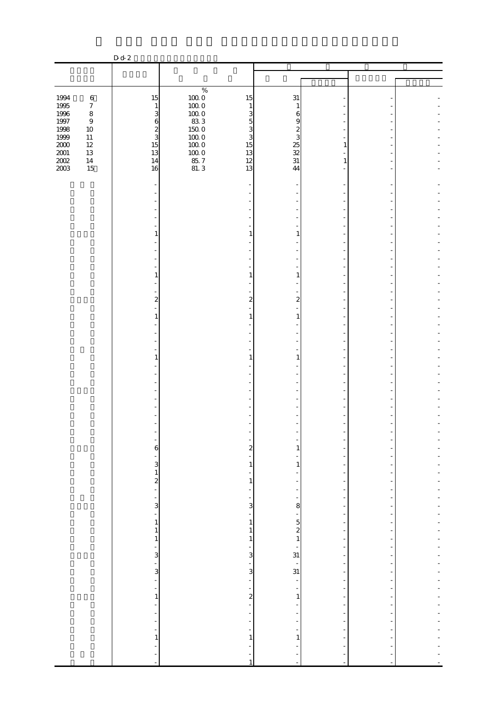|                      |                             | D d 2                                          |                                               |                                          |                                                     |                                                      |        |  |
|----------------------|-----------------------------|------------------------------------------------|-----------------------------------------------|------------------------------------------|-----------------------------------------------------|------------------------------------------------------|--------|--|
|                      |                             |                                                |                                               |                                          |                                                     |                                                      |        |  |
|                      |                             |                                                |                                               |                                          |                                                     |                                                      |        |  |
|                      |                             |                                                | $\%$                                          |                                          |                                                     |                                                      |        |  |
| 1994                 | $\,6\,$                     | 15                                             | $\begin{array}{c} 100.0 \\ 100.0 \end{array}$ | 15                                       | 31                                                  |                                                      |        |  |
| 1995<br>$1996\,$     | $\boldsymbol{7}$<br>$\,8\,$ | $\mathbf{1}$<br>3                              | $100\;0$                                      | $\mathbf{1}$<br>3                        | 1<br>6                                              |                                                      |        |  |
| $1997\,$             | $\boldsymbol{9}$            | $\mathbf{6}$                                   | 833                                           | 5                                        | 9                                                   |                                                      |        |  |
| 1998                 | $10\,$                      | $\frac{2}{3}$                                  | $150\;0$                                      | 3                                        | $\boldsymbol{z}$                                    |                                                      |        |  |
| 1999                 | $11\,$                      |                                                | 1000                                          | 3                                        | 3                                                   |                                                      |        |  |
| $2000\,$<br>$2001\,$ | $12\,$<br>13                | 15<br>13                                       | $100\;0$                                      | 15<br>13                                 |                                                     | 1                                                    |        |  |
| $200\!$              | $14\,$                      | 14                                             | $100\;0$                                      | 12                                       | $\begin{array}{c}\n 25 \\  32 \\  31\n \end{array}$ | 1                                                    |        |  |
| 2003                 | 15                          | 16                                             | 85.7<br>81.3                                  | 13                                       | 44                                                  |                                                      |        |  |
|                      |                             |                                                |                                               |                                          |                                                     |                                                      |        |  |
|                      |                             |                                                |                                               |                                          |                                                     |                                                      |        |  |
|                      |                             |                                                |                                               |                                          |                                                     |                                                      |        |  |
|                      |                             |                                                |                                               |                                          |                                                     |                                                      |        |  |
|                      |                             |                                                |                                               |                                          |                                                     |                                                      |        |  |
|                      |                             |                                                |                                               |                                          |                                                     |                                                      |        |  |
|                      |                             | $\mathbf{1}$                                   |                                               | 1                                        | 1                                                   |                                                      |        |  |
|                      |                             |                                                |                                               |                                          |                                                     |                                                      |        |  |
|                      |                             |                                                |                                               |                                          |                                                     |                                                      |        |  |
|                      |                             |                                                |                                               |                                          |                                                     |                                                      |        |  |
|                      |                             | $\mathbf{1}$                                   |                                               |                                          | 1                                                   |                                                      |        |  |
|                      |                             |                                                |                                               |                                          |                                                     |                                                      |        |  |
|                      |                             | $\overline{2}$                                 |                                               | 2                                        | 2                                                   |                                                      |        |  |
|                      |                             |                                                |                                               |                                          |                                                     |                                                      |        |  |
|                      |                             | 1                                              |                                               |                                          | 1                                                   |                                                      |        |  |
|                      |                             |                                                |                                               |                                          |                                                     |                                                      |        |  |
|                      |                             |                                                |                                               |                                          |                                                     |                                                      |        |  |
|                      |                             |                                                |                                               |                                          |                                                     |                                                      |        |  |
|                      |                             | 1                                              |                                               |                                          | 1                                                   |                                                      |        |  |
|                      |                             |                                                |                                               |                                          |                                                     |                                                      |        |  |
|                      |                             |                                                |                                               |                                          |                                                     |                                                      |        |  |
|                      |                             |                                                |                                               |                                          |                                                     |                                                      |        |  |
|                      |                             |                                                |                                               |                                          |                                                     |                                                      |        |  |
|                      |                             |                                                |                                               |                                          |                                                     |                                                      |        |  |
|                      |                             |                                                |                                               |                                          |                                                     |                                                      |        |  |
|                      |                             |                                                |                                               |                                          |                                                     |                                                      |        |  |
|                      |                             |                                                |                                               |                                          |                                                     |                                                      |        |  |
|                      |                             | 6                                              |                                               | $\overline{\mathbf{c}}$                  | 1                                                   |                                                      |        |  |
|                      |                             | f                                              |                                               |                                          |                                                     |                                                      |        |  |
|                      |                             | 3                                              |                                               | $\mathbf{1}$                             | 1                                                   |                                                      |        |  |
|                      |                             | $\frac{1}{2}$                                  |                                               |                                          |                                                     | $\overline{a}$                                       |        |  |
|                      |                             | $\Box$                                         |                                               | $\mathbf{1}$<br>$\overline{\phantom{a}}$ |                                                     | ÷<br>$\overline{\phantom{a}}$                        |        |  |
|                      |                             |                                                |                                               |                                          |                                                     |                                                      |        |  |
|                      |                             | 3                                              |                                               | 3                                        | 8                                                   | $\overline{a}$                                       |        |  |
|                      |                             | $\overline{\phantom{a}}$                       |                                               | $\overline{\phantom{m}}$                 | -                                                   | $\overline{\phantom{a}}$                             |        |  |
|                      |                             | $\,1\,$<br>$\,1\,$                             |                                               | $\mathbf{1}$<br>$\mathbf{1}$             | $\frac{5}{2}$                                       | $\overline{\phantom{a}}$<br>$\overline{\phantom{a}}$ |        |  |
|                      |                             | $\,1\,$                                        |                                               | $\mathbf{1}$                             | $\,1\,$                                             | $\overline{\phantom{a}}$                             |        |  |
|                      |                             | $\overline{\phantom{0}}$                       |                                               |                                          |                                                     | $\overline{\phantom{a}}$                             |        |  |
|                      |                             | 3                                              |                                               | $\mathsf{a}$                             | $\frac{1}{31}$                                      | $\overline{a}$                                       |        |  |
|                      |                             | $\frac{1}{3}$                                  |                                               | $\overline{\phantom{a}}$                 | $\frac{1}{31}$                                      | $\overline{\phantom{a}}$                             |        |  |
|                      |                             | ÷                                              |                                               | $\mathbf{3}$                             |                                                     | $\overline{\phantom{a}}$<br>$\overline{\phantom{a}}$ |        |  |
|                      |                             | -                                              |                                               |                                          |                                                     |                                                      |        |  |
|                      |                             | $\mathbf{1}$                                   |                                               | $\overline{a}$                           | 1                                                   | $\overline{a}$                                       |        |  |
|                      |                             | $\overline{\phantom{a}}$                       |                                               | $\blacksquare$                           |                                                     | $\overline{\phantom{a}}$                             |        |  |
|                      |                             | $\overline{\phantom{0}}$                       |                                               |                                          |                                                     |                                                      |        |  |
|                      |                             | $\blacksquare$<br>$\qquad \qquad \blacksquare$ |                                               |                                          |                                                     | $\overline{a}$<br>$\overline{\phantom{a}}$           |        |  |
|                      |                             | $\mathbf{1}$                                   |                                               | 1                                        | 1                                                   |                                                      |        |  |
|                      |                             |                                                |                                               |                                          |                                                     |                                                      |        |  |
|                      |                             | ÷                                              |                                               |                                          |                                                     |                                                      |        |  |
|                      |                             | ÷,                                             |                                               | 1                                        | ÷,                                                  | $\sim$                                               | $\sim$ |  |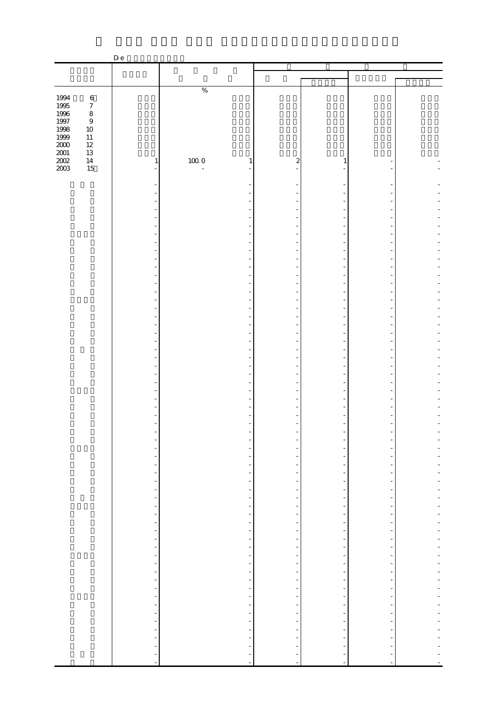|                  |                  | D e                                          |                                                  |                                |                                             |                                |  |
|------------------|------------------|----------------------------------------------|--------------------------------------------------|--------------------------------|---------------------------------------------|--------------------------------|--|
|                  |                  |                                              |                                                  |                                |                                             |                                |  |
|                  |                  |                                              |                                                  |                                |                                             |                                |  |
|                  |                  |                                              | $\%$                                             |                                |                                             |                                |  |
| 1994             | $\,6\,$          |                                              |                                                  |                                |                                             |                                |  |
| 1995<br>1996     | $\boldsymbol{7}$ |                                              |                                                  |                                |                                             |                                |  |
|                  | $\,8\,$          |                                              |                                                  |                                |                                             |                                |  |
| $1997\,$<br>1998 | $\boldsymbol{9}$ |                                              |                                                  |                                |                                             |                                |  |
| 1999             | $10\,$<br>$11\,$ |                                              |                                                  |                                |                                             |                                |  |
| $2000\,$         | $12\,$           |                                              |                                                  |                                |                                             |                                |  |
| $2001\,$         | $13\,$           |                                              |                                                  |                                |                                             |                                |  |
| $200\!$          | $14\,$           | $\mathbf{1}$                                 | $100\;0$<br>$\mathbf{1}$                         | $\boldsymbol{z}$               | 1                                           |                                |  |
| $2003\,$         | 15               | -                                            | $\blacksquare$                                   |                                |                                             |                                |  |
|                  |                  |                                              |                                                  |                                |                                             |                                |  |
|                  |                  |                                              |                                                  |                                |                                             |                                |  |
|                  |                  |                                              |                                                  |                                |                                             |                                |  |
|                  |                  |                                              |                                                  |                                |                                             |                                |  |
|                  |                  |                                              |                                                  |                                |                                             |                                |  |
|                  |                  |                                              |                                                  |                                |                                             |                                |  |
|                  |                  |                                              |                                                  |                                |                                             |                                |  |
|                  |                  |                                              |                                                  |                                |                                             |                                |  |
|                  |                  |                                              |                                                  |                                |                                             |                                |  |
|                  |                  |                                              |                                                  |                                |                                             |                                |  |
|                  |                  |                                              |                                                  |                                |                                             |                                |  |
|                  |                  |                                              |                                                  |                                |                                             |                                |  |
|                  |                  |                                              |                                                  |                                |                                             |                                |  |
|                  |                  |                                              |                                                  |                                |                                             |                                |  |
|                  |                  |                                              |                                                  |                                |                                             |                                |  |
|                  |                  |                                              |                                                  |                                |                                             |                                |  |
|                  |                  |                                              |                                                  |                                |                                             |                                |  |
|                  |                  |                                              |                                                  |                                |                                             |                                |  |
|                  |                  |                                              |                                                  |                                |                                             |                                |  |
|                  |                  |                                              |                                                  |                                |                                             |                                |  |
|                  |                  |                                              |                                                  |                                |                                             |                                |  |
|                  |                  |                                              |                                                  |                                |                                             |                                |  |
|                  |                  |                                              |                                                  |                                |                                             |                                |  |
|                  |                  |                                              |                                                  |                                |                                             |                                |  |
|                  |                  |                                              |                                                  |                                |                                             |                                |  |
|                  |                  |                                              |                                                  |                                |                                             |                                |  |
|                  |                  |                                              |                                                  |                                |                                             |                                |  |
|                  |                  |                                              |                                                  |                                |                                             |                                |  |
|                  |                  |                                              |                                                  |                                |                                             |                                |  |
|                  |                  | ۰                                            | -                                                |                                | $\qquad \qquad \blacksquare$                |                                |  |
|                  |                  | ۳                                            | $\overline{\phantom{0}}$                         |                                | -                                           |                                |  |
|                  |                  | $\blacksquare$                               | $\overline{\phantom{a}}$                         | -                              | ÷                                           | $\overline{\phantom{0}}$       |  |
|                  |                  | $\blacksquare$                               |                                                  | ÷                              |                                             | $\frac{1}{2}$                  |  |
|                  |                  | $\overline{\phantom{a}}$                     | $\frac{1}{2}$                                    | $\frac{1}{2}$                  | $\frac{1}{2}$                               | $\frac{1}{2}$                  |  |
|                  |                  | $\blacksquare$<br>$\blacksquare$             | $\overline{\phantom{a}}$                         | ÷<br>$\frac{1}{2}$             |                                             | $\frac{1}{2}$<br>-             |  |
|                  |                  | $\overline{\phantom{a}}$                     |                                                  | $\qquad \qquad \blacksquare$   |                                             | -                              |  |
|                  |                  | $\sim$                                       | $\frac{1}{2}$                                    | ÷                              | $\frac{1}{2}$                               | $\frac{1}{2}$                  |  |
|                  |                  | $\blacksquare$                               | $\frac{1}{\sqrt{2}}$                             | $\overline{\phantom{0}}$       | $\overline{\phantom{0}}$                    | -                              |  |
|                  |                  | $\overline{\phantom{a}}$                     | $\frac{1}{2}$                                    | $\frac{1}{2}$                  |                                             | $\frac{1}{2}$                  |  |
|                  |                  | $\blacksquare$                               |                                                  | $\overline{\phantom{0}}$       | $\frac{1}{2}$                               | $\frac{1}{2}$                  |  |
|                  |                  | $\blacksquare$                               | $\blacksquare$                                   | $\frac{1}{2}$                  | ÷,                                          | $\frac{1}{2}$                  |  |
|                  |                  | $\overline{\phantom{a}}$                     | $\overline{\phantom{0}}$<br>$\frac{1}{\sqrt{2}}$ | -                              | $\begin{bmatrix} 1 \\ 1 \\ 1 \end{bmatrix}$ | $\qquad \qquad \blacksquare$   |  |
|                  |                  | $\overline{\phantom{a}}$                     |                                                  | ÷                              |                                             | $\frac{1}{2}$                  |  |
|                  |                  | $\overline{\phantom{a}}$<br>$\equiv$         | $\frac{1}{2}$                                    | $\frac{1}{2}$<br>$\frac{1}{2}$ |                                             | $\frac{1}{2}$<br>$\frac{1}{2}$ |  |
|                  |                  | $\overline{\phantom{a}}$                     |                                                  | $\frac{1}{2}$                  |                                             | -                              |  |
|                  |                  | $\overline{\phantom{a}}$                     | $\frac{1}{2}$                                    | $\qquad \qquad \blacksquare$   |                                             | -                              |  |
|                  |                  | $\blacksquare$                               |                                                  | ÷                              |                                             | $\frac{1}{2}$                  |  |
|                  |                  | $\blacksquare$                               | ÷,                                               | $\frac{1}{2}$                  |                                             | -                              |  |
|                  |                  | $\blacksquare$                               | $\frac{1}{2}$                                    | ÷                              |                                             | $\frac{1}{2}$                  |  |
|                  |                  | $\overline{\phantom{a}}$                     |                                                  | ÷                              |                                             | $\frac{1}{2}$                  |  |
|                  |                  | $\blacksquare$                               | $\overline{\phantom{0}}$                         |                                | ÷,                                          | $\overline{\phantom{0}}$       |  |
|                  |                  | $\frac{1}{2}$                                | $\overline{\phantom{a}}$                         | ÷                              |                                             |                                |  |
|                  |                  | $\frac{1}{2}$<br>$\mathcal{L}_{\mathcal{A}}$ | $\frac{1}{2}$                                    | $\frac{1}{2}$                  | $\begin{bmatrix} 1 \\ 1 \\ 1 \end{bmatrix}$ | $\frac{1}{2}$                  |  |
|                  |                  |                                              |                                                  |                                |                                             |                                |  |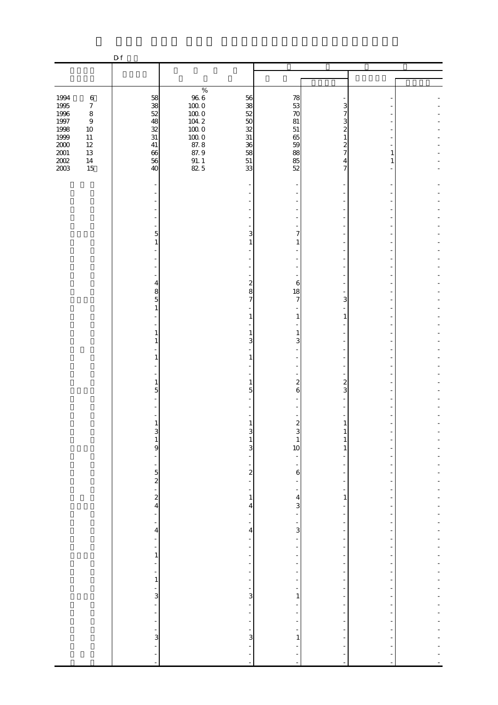|                                      |                                                | D f                                                         |                                              |                                                                        |                                                                                         |                                                                                  |                                                              |                                     |
|--------------------------------------|------------------------------------------------|-------------------------------------------------------------|----------------------------------------------|------------------------------------------------------------------------|-----------------------------------------------------------------------------------------|----------------------------------------------------------------------------------|--------------------------------------------------------------|-------------------------------------|
|                                      |                                                |                                                             |                                              |                                                                        |                                                                                         |                                                                                  |                                                              |                                     |
|                                      |                                                |                                                             |                                              |                                                                        |                                                                                         |                                                                                  |                                                              |                                     |
| 1994<br>1995<br>1996                 | $\,6\,$<br>$\boldsymbol{7}$<br>$\,8\,$         | 58<br>$\frac{38}{52}$                                       | $\%$<br>$966$<br>$1000$<br>$1000$            | 56<br>38<br>52                                                         | 78<br>53<br>70                                                                          | 3<br>7                                                                           |                                                              |                                     |
| $1997\,$<br>1998<br>1999<br>$2000\,$ | $\boldsymbol{9}$<br>$10\,$<br>$11\,$<br>$12\,$ | 48<br>32<br>31<br>$41\,$                                    | $104\ 2$<br>$100\;0$<br>$\frac{10000}{87.8}$ | 50<br>32<br>31<br>36                                                   | 81<br>51<br>65<br>59                                                                    | 3<br>2<br>1<br>2                                                                 |                                                              |                                     |
| $\frac{2001}{2002}$<br>2003          | $13\,$<br>$14\,$<br>15                         | 66<br>56<br>40                                              | 87.9<br>$\frac{91.1}{82.5}$                  | 58<br>51<br>33                                                         | 88<br>85<br>52                                                                          | 7<br>4<br>7                                                                      | 1<br>1                                                       |                                     |
|                                      |                                                | $\overline{\phantom{a}}$                                    |                                              |                                                                        |                                                                                         |                                                                                  |                                                              |                                     |
|                                      |                                                |                                                             |                                              |                                                                        |                                                                                         |                                                                                  |                                                              |                                     |
|                                      |                                                | 5                                                           |                                              | 3                                                                      | 7                                                                                       |                                                                                  |                                                              |                                     |
|                                      |                                                | $\mathbf{1}$                                                |                                              | 1                                                                      | 1                                                                                       |                                                                                  |                                                              |                                     |
|                                      |                                                |                                                             |                                              |                                                                        |                                                                                         |                                                                                  |                                                              |                                     |
|                                      |                                                | 4<br>8<br>5                                                 |                                              | $\boldsymbol{z}$<br>8<br>$\overline{7}$                                | 6<br>18<br>7                                                                            | 3                                                                                |                                                              |                                     |
|                                      |                                                | $\mathbf{1}$                                                |                                              | 1                                                                      | 1                                                                                       | 1                                                                                |                                                              |                                     |
|                                      |                                                | 1                                                           |                                              | 1<br>3                                                                 | 1<br>3                                                                                  |                                                                                  |                                                              |                                     |
|                                      |                                                | 1                                                           |                                              | 1                                                                      |                                                                                         |                                                                                  |                                                              |                                     |
|                                      |                                                | 1<br>5                                                      |                                              | 1<br>5                                                                 | $\boldsymbol{z}$<br>6                                                                   | $\mathbf{z}$<br>3                                                                |                                                              |                                     |
|                                      |                                                |                                                             |                                              |                                                                        |                                                                                         |                                                                                  |                                                              |                                     |
|                                      |                                                | $\mathbf{1}$                                                |                                              | 1<br>$\mathbf{3}$                                                      | $\mathbf{z}$<br>$\mathbf{3}$                                                            | 1<br>$\mathbf{1}$                                                                |                                                              |                                     |
|                                      |                                                | $\begin{array}{c} 3 \\ 1 \\ 9 \end{array}$<br>$\frac{1}{2}$ |                                              | $1\,$<br>$\overline{\mathbf{3}}$<br>$\frac{1}{2}$                      | $\mathbf{1}$<br>10                                                                      | $\mathbf{1}$<br>1<br>$\overline{a}$                                              | $\overline{\phantom{a}}$                                     |                                     |
|                                      |                                                | ۳                                                           |                                              | -<br>$\frac{2}{1}$                                                     | -<br>$\mathbf 6$                                                                        | $\overline{\phantom{0}}$                                                         | $\overline{\phantom{m}}$                                     | $\overline{a}$                      |
|                                      |                                                | $52 - 2$                                                    |                                              | $\overline{\phantom{0}}$<br>$\,1$                                      | $\qquad \qquad \blacksquare$<br>$\qquad \qquad \blacksquare$<br>$\overline{\mathbf{4}}$ | $\overline{\phantom{a}}$<br>$\overline{\phantom{0}}$<br>$\mathbf{1}$             | $\frac{1}{2}$<br>$\overline{\phantom{0}}$<br>÷,              | L,<br>-<br>÷,                       |
|                                      |                                                | $\frac{1}{\sqrt{2}}$<br>$\blacksquare$                      |                                              | 4<br>$\overline{\phantom{0}}$<br>$\overline{\phantom{a}}$              | 3<br>÷                                                                                  | $\overline{\phantom{0}}$<br>$\overline{\phantom{0}}$<br>$\overline{\phantom{a}}$ | $\overline{a}$<br>$\overline{a}$<br>$\overline{\phantom{m}}$ | ÷<br>$\overline{a}$<br>÷            |
|                                      |                                                | $\overline{\mathbf{4}}$<br>÷,                               |                                              | $\overline{4}$<br>$\overline{\phantom{a}}$<br>$\overline{\phantom{a}}$ | $\frac{1}{3}$<br>÷,<br>$\overline{\phantom{a}}$                                         | -<br>$\overline{\phantom{0}}$<br>$\overline{\phantom{a}}$                        | $\overline{a}$<br>÷<br>$\frac{1}{2}$                         | $\overline{a}$<br>$\overline{a}$    |
|                                      |                                                | $\overline{\phantom{a}}$<br>$\mathbf{1}$<br>÷,              |                                              | f<br>$\overline{\phantom{a}}$                                          | -<br>-                                                                                  | ÷<br>$\overline{\phantom{0}}$                                                    | $\frac{1}{2}$                                                | ÷<br>$\overline{\phantom{0}}$<br>l, |
|                                      |                                                | $\frac{1}{1}$                                               |                                              | $\frac{1}{\sqrt{2}}$<br>f<br>$\frac{1}{\sqrt{2}}$                      | $\overline{\phantom{a}}$<br>Ĩ,<br>f                                                     | $\overline{\phantom{a}}$<br>÷<br>-                                               | $\overline{\phantom{a}}$<br>÷                                | -<br>÷<br>l,                        |
|                                      |                                                | $\frac{1}{3}$<br>f<br>÷,                                    |                                              | $\overline{3}$<br>÷<br>$\overline{\phantom{0}}$                        | $\mathbf{1}$<br>-<br>÷                                                                  | $\overline{a}$<br>$\frac{1}{2}$<br>÷                                             | $\overline{a}$                                               | $\overline{a}$<br>-<br>÷            |
|                                      |                                                | $\frac{1}{\sqrt{2}}$<br>$\frac{1}{3}$                       |                                              | $\frac{1}{\sqrt{2}}$<br>$\frac{1}{3}$                                  | ÷<br>$\overline{\phantom{0}}$                                                           | $\overline{\phantom{a}}$<br>-                                                    |                                                              | ÷,<br>÷                             |
|                                      |                                                | $\overline{a}$<br>$\overline{\phantom{0}}$                  |                                              | $\overline{\phantom{0}}$<br>÷                                          | $\,1\,$                                                                                 | $\overline{a}$                                                                   |                                                              | ÷,                                  |
|                                      |                                                |                                                             |                                              |                                                                        | Ē,                                                                                      |                                                                                  |                                                              |                                     |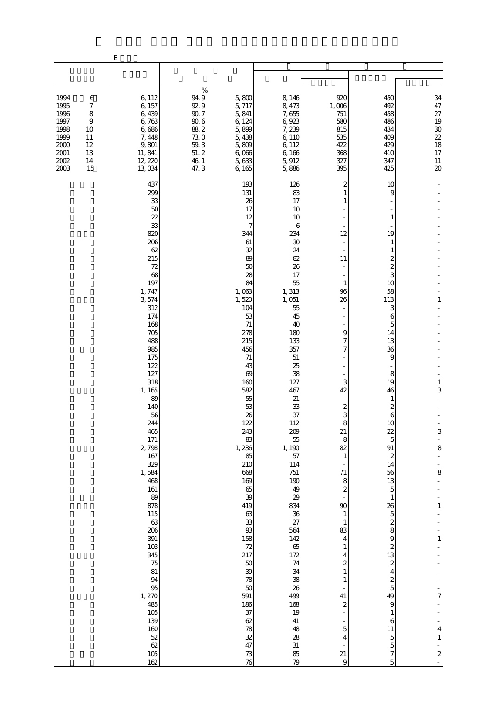|                                                                                  |                                                      | $\mathbf E$                                                                                                                                                                                                                                                                                                                                                                                                                    |                                                                                                 |                                                                                                                                                                                                                                                                                                                                                                                                                        |                                                                                                                                                                                                                                                                                                                                                                                               |                                                                                                                                                                                                                                                                                                                                                                                                        |                                                                                                                                                                                                                                                                                                                                                                                                                                          |                                                                                                                                    |
|----------------------------------------------------------------------------------|------------------------------------------------------|--------------------------------------------------------------------------------------------------------------------------------------------------------------------------------------------------------------------------------------------------------------------------------------------------------------------------------------------------------------------------------------------------------------------------------|-------------------------------------------------------------------------------------------------|------------------------------------------------------------------------------------------------------------------------------------------------------------------------------------------------------------------------------------------------------------------------------------------------------------------------------------------------------------------------------------------------------------------------|-----------------------------------------------------------------------------------------------------------------------------------------------------------------------------------------------------------------------------------------------------------------------------------------------------------------------------------------------------------------------------------------------|--------------------------------------------------------------------------------------------------------------------------------------------------------------------------------------------------------------------------------------------------------------------------------------------------------------------------------------------------------------------------------------------------------|------------------------------------------------------------------------------------------------------------------------------------------------------------------------------------------------------------------------------------------------------------------------------------------------------------------------------------------------------------------------------------------------------------------------------------------|------------------------------------------------------------------------------------------------------------------------------------|
|                                                                                  |                                                      |                                                                                                                                                                                                                                                                                                                                                                                                                                |                                                                                                 |                                                                                                                                                                                                                                                                                                                                                                                                                        |                                                                                                                                                                                                                                                                                                                                                                                               |                                                                                                                                                                                                                                                                                                                                                                                                        |                                                                                                                                                                                                                                                                                                                                                                                                                                          |                                                                                                                                    |
| 1994<br>1995<br>1996<br>1997<br>1998<br>1999<br>2000<br>2001<br>$2002\,$<br>2003 | 6<br>7<br>8<br>9<br>10<br>11<br>12<br>13<br>14<br>15 | 6,112<br>6,157<br>6,439<br>6,763<br>6,686<br>7,448<br>9,801<br>11, 841<br>12, 220<br>13,034                                                                                                                                                                                                                                                                                                                                    | $\%$<br>94.9<br>92.9<br>$90.7\,$<br>$90\;6$<br>88.2<br>73.0<br>$59.3\,$<br>51.2<br>46.1<br>47.3 | 5,800<br>5, 717<br>5,841<br>6, 124<br>5,899<br>5,438<br>5,809<br>6,066<br>5,633<br>6, 165                                                                                                                                                                                                                                                                                                                              | 8,146<br>8,473<br>7,655<br>6,923<br>7, 239<br>6,110<br>6, 112<br>6,166<br>5, 912<br>5,886                                                                                                                                                                                                                                                                                                     | 920<br>1,006<br>751<br>580<br>815<br>535<br>422<br>368<br>327<br>395                                                                                                                                                                                                                                                                                                                                   | 450<br>492<br>458<br>486<br>434<br>409<br>429<br>410<br>347<br>425                                                                                                                                                                                                                                                                                                                                                                       | 34<br>$47\,$<br>27<br>19<br>$30\,$<br>$\begin{array}{c} 22 \\ 18 \end{array}$<br>$17\,$<br>$11\,$<br>$\infty$                      |
|                                                                                  |                                                      | 437<br>299<br>33<br>50<br>22<br>33<br>820<br>206<br>62<br>215<br>72<br>68<br>197<br>1, 747<br>3,574<br>312<br>174<br>168<br>705<br>488<br>985<br>175<br>122<br>127<br>318<br>1, 165<br>89<br>140<br>56<br>244<br>465<br>171<br>2,798<br>167<br>329<br>1,584<br>468<br>161<br>89<br>878<br>115<br>63<br>206<br>391<br>103<br>345<br>75<br>81<br>94<br>95<br>1, 270<br>485<br>105<br>139<br>160<br>$\frac{52}{62}$<br>105<br>162 |                                                                                                 | 193<br>131<br>26<br>17<br>12<br>7<br>344<br>61<br>32<br>89<br>50<br>28<br>84<br>1,063<br>1,520<br>104<br>53<br>$71\,$<br>278<br>215<br>456<br>71<br>43<br>69<br>160<br>582<br>55<br>53<br>26<br>122<br>243<br>83<br>1, 236<br>85<br>210<br>668<br>169<br>65<br>39<br>419<br>63<br>33<br>$93$<br>158<br>72<br>217<br>$50\,$<br>$3\hskip-2pt 9$<br>78<br>50<br>591<br>186<br>37<br>$62$<br>78<br>32<br>47<br>$7\!$<br>76 | 126<br>83<br>17<br>10<br>10<br>6<br>234<br>30<br>24<br>82<br>26<br>17<br>55<br>1,313<br>1,051<br>55<br>45<br>40<br>180<br>133<br>357<br>51<br>25<br>38<br>127<br>467<br>21<br>33<br>37<br>112<br>209<br>55<br>1, 190<br>57<br>114<br>751<br>190<br>49<br>29<br>834<br>36<br>27<br>564<br>142<br>65<br>172<br>74<br>34<br>38<br>26<br>499<br>168<br>19<br>$41\,$<br>48<br>28<br>31<br>85<br>79 | 2<br>12<br>11<br>1<br>96<br>26<br>9<br>7<br>$\overline{7}$<br>3<br>42<br>$\boldsymbol{2}$<br>3<br>8<br>21<br>$\,$ 8 $\,$<br>82<br>$\mathbf{1}$<br>71<br>$\,$ 8 $\,$<br>$\boldsymbol{z}$<br>$\infty$<br>$\mathbf{1}$<br>$\mathbf{1}$<br>83<br>4<br>$\mathbf{1}$<br>4<br>2<br>$\mathbf{1}$<br>1<br>$\qquad \qquad \blacksquare$<br>41<br>$\boldsymbol{z}$<br>$\overline{5}$<br>$\overline{4}$<br>21<br>9 | 10<br>g<br>1<br>19<br>1<br>1<br>2<br>$\overline{c}$<br>3<br>10<br>58<br>113<br>3<br>6<br>5<br>14<br>13<br>36<br>9<br>8<br>19<br>46<br>1<br>2<br>6<br>1 <sub>O</sub><br>22<br>5<br>91<br>2<br>14<br>56<br>13<br>5<br>$\mathbf{1}$<br>26<br>$\overline{5}$<br>$\boldsymbol{z}$<br>8<br>$\boldsymbol{9}$<br>$\boldsymbol{z}$<br>13<br>$\overline{\mathcal{Z}}$<br>4<br>$\boldsymbol{z}$<br>5<br>49<br>9<br>1<br>6<br>11<br>5<br>5<br>7<br>5 | 1<br>$\,1$<br>3<br>$\,$ 3 $\,$<br>$\overline{\phantom{a}}$<br>8<br>8<br>1<br>$\mathbf{1}$<br>7<br>4<br>$\,1\,$<br>$\boldsymbol{z}$ |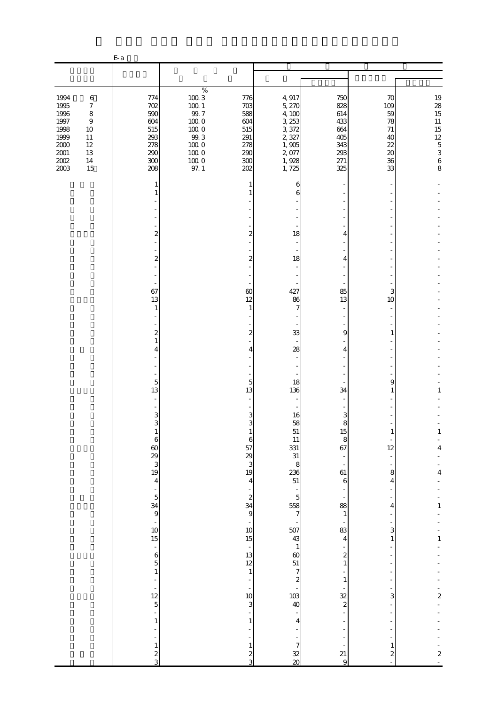|                                                                                         |                                                                                                      | $E-a$                                                                                                                                                                                                                                                                                                                                                  |                                                                                                                             |                                                                                                                                                                                                                                                                                              |                                                                                                                                                                                                                                                                                                                           |                                                                                                                                                                       |                                                           |                                                                             |
|-----------------------------------------------------------------------------------------|------------------------------------------------------------------------------------------------------|--------------------------------------------------------------------------------------------------------------------------------------------------------------------------------------------------------------------------------------------------------------------------------------------------------------------------------------------------------|-----------------------------------------------------------------------------------------------------------------------------|----------------------------------------------------------------------------------------------------------------------------------------------------------------------------------------------------------------------------------------------------------------------------------------------|---------------------------------------------------------------------------------------------------------------------------------------------------------------------------------------------------------------------------------------------------------------------------------------------------------------------------|-----------------------------------------------------------------------------------------------------------------------------------------------------------------------|-----------------------------------------------------------|-----------------------------------------------------------------------------|
|                                                                                         |                                                                                                      |                                                                                                                                                                                                                                                                                                                                                        |                                                                                                                             |                                                                                                                                                                                                                                                                                              |                                                                                                                                                                                                                                                                                                                           |                                                                                                                                                                       |                                                           |                                                                             |
| 1994<br>1995<br>1996<br>1997<br>1998<br>1999<br>$2000\,$<br>$2001\,$<br>$200\!$<br>2003 | $\,6\,$<br>$\boldsymbol{7}$<br>$\,8\,$<br>$\boldsymbol{9}$<br>$10$<br>11<br>$12\,$<br>13<br>14<br>15 | 774<br>702<br>590<br>604<br>515<br>293<br>278<br>290<br>300<br>208                                                                                                                                                                                                                                                                                     | $\%$<br>$100\ 3$<br>$100\,$ $1$<br>$99.7\,$<br>$100\;0$<br>$100\;0$<br>$99.3\,$<br>$100\;0$<br>$100\;0$<br>$100\;0$<br>97.1 | 776<br>703<br>588<br>604<br>515<br>291<br>278<br>290<br>300<br>202                                                                                                                                                                                                                           | 4,917<br>5, 270<br>4,100<br>3, 253<br>3,372<br>2,327<br>1,905<br>2,077<br>1,928<br>1,725                                                                                                                                                                                                                                  | 750<br>828<br>614<br>433<br>664<br>405<br>343<br>293<br>271<br>325                                                                                                    | 70<br>109<br>59<br>78<br>71<br>40<br>22<br>20<br>36<br>33 | $19$ 28 $15$ $11$ $15$ $12$ $5$ $3$ $6$ 8                                   |
|                                                                                         |                                                                                                      | 1<br>2<br>$\mathbf{z}$<br>67<br>13<br>$\mathbf{1}$<br>$\mathbf{z}$<br>$\mathbf{1}$<br>4<br>$\overline{5}$<br>13<br>3<br>$\mathbf{Q}$<br>6<br>$rac{60}{29}$<br>$rac{3}{19}$<br>$\overline{4}$<br>$\frac{1}{5}$<br>$\frac{34}{9}$<br>$\frac{1}{10}$<br>$15\,$<br>$\overline{\phantom{a}}$<br>6 <sub>5</sub><br>$\mathbf{1}$<br>÷,<br>$\frac{12}{5}$<br>1 |                                                                                                                             | 1<br>2<br>$\overline{c}$<br>60<br>12<br>1<br>2<br>4<br>5<br>13<br>3<br>$\mathbf{Q}$<br>1<br>6<br>57<br>29<br>3<br>19<br>$\overline{4}$<br>$\boldsymbol{z}$<br>34<br>$\overline{9}$<br>÷<br>10<br>$15\,$<br>$\overline{\phantom{a}}$<br>13<br>12<br>$\mathbf{1}$<br>$\bar{a}$<br>10<br>3<br>1 | 6<br>6<br>18<br>18<br>427<br>86<br>7<br>33<br>28<br>18<br>136<br>16<br>58<br>ᆬ<br>51<br>$11\,$<br>$\begin{array}{c} 331 \\ 31 \end{array}$<br>8<br>$\begin{array}{c} 236 \\ 51 \end{array}$<br>5<br>558<br>7<br>$507$<br>43<br>$\mathbf{1}$<br>$\omega$<br>$51\,$<br>$\overline{7}$<br>$\boldsymbol{z}$<br>103<br>40<br>4 | 4<br>4<br>85<br>13<br>9<br>4<br>34<br>3<br>Ω<br>15<br>$\,8\,$<br>67<br>61<br>$\,6$<br>88<br>$\mathbf{1}$<br>83<br>4<br>2<br>$\mathbf{1}$<br>1<br>32<br>$\overline{c}$ | 3<br>10<br>9<br>1<br>12<br>8<br>4<br>4<br>3<br>1<br>3     | 1<br>$\mathbf{1}$<br>4<br>4<br>1<br>$\mathbf{1}$<br>$\overline{\mathbf{c}}$ |
|                                                                                         |                                                                                                      | 1<br>$rac{2}{3}$                                                                                                                                                                                                                                                                                                                                       |                                                                                                                             | 1<br>$\boldsymbol{z}$<br>3                                                                                                                                                                                                                                                                   | $\boldsymbol{7}$<br>32<br>$\infty$                                                                                                                                                                                                                                                                                        | 21<br>9                                                                                                                                                               | 2                                                         | $\boldsymbol{z}$                                                            |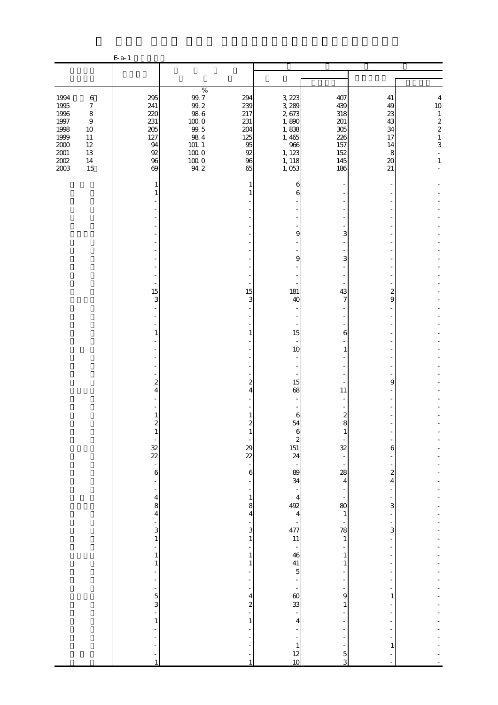|                              |                             | $E-a-1$                      |                                                          |                       |                          |                    |                   |                                           |
|------------------------------|-----------------------------|------------------------------|----------------------------------------------------------|-----------------------|--------------------------|--------------------|-------------------|-------------------------------------------|
|                              |                             |                              |                                                          |                       |                          |                    |                   |                                           |
| 1994                         | $\,6\,$                     | 295                          | $\%$<br>$9\!.7$                                          | 294                   | 3,223                    | 407                | 41                | $\frac{4}{10}$                            |
| 1995<br>1996                 | $\boldsymbol{7}$<br>$\,8\,$ | 241<br>220                   | $\begin{array}{c} 99.2 \\ 98.6 \end{array}$              | 239<br>217            | 3, 289<br>2,673          | 439<br>318         | 49<br>23          |                                           |
| $1997\,$<br>1998             | $\boldsymbol{9}$<br>$10\,$  | 231<br>205                   | $100\;0$<br>$99.5$                                       | 231<br>204            | 1,890<br>1,838           | 201<br>305         | 43<br>34          | $\frac{1}{2}$ $\frac{2}{1}$ $\frac{1}{3}$ |
| 1999<br>$2000\,$             | $11\,$<br>$12\,$            | 127<br>94                    | $98\ 4$<br>$\begin{array}{c} 101.1 \\ 100.0 \end{array}$ | 125<br>95             | 1,465<br>$966$<br>1, 123 | 226<br>157         | 17<br>14          |                                           |
| $2001\,$<br>$2002\,$<br>2003 | $13\,$<br>$14\,$<br>15      | 92<br>96<br>69               | $\frac{10000}{94.2}$                                     | 92<br>96<br>65        | 1, 118<br>1,053          | 152<br>145<br>186  | 8<br>$20\,$<br>21 | $\blacksquare$<br>$\,1$                   |
|                              |                             | 1<br>1                       |                                                          | 1<br>1                | 6<br>6                   |                    |                   |                                           |
|                              |                             |                              |                                                          |                       |                          |                    |                   |                                           |
|                              |                             |                              |                                                          |                       |                          |                    |                   |                                           |
|                              |                             |                              |                                                          |                       | 9                        | 3                  |                   |                                           |
|                              |                             |                              |                                                          |                       |                          |                    |                   |                                           |
|                              |                             |                              |                                                          |                       | 9                        | 3                  |                   |                                           |
|                              |                             |                              |                                                          |                       |                          |                    |                   |                                           |
|                              |                             | 15<br>3                      |                                                          | 15<br>3               | 181<br>40                | 43<br>7            | 2<br>9            |                                           |
|                              |                             |                              |                                                          |                       |                          |                    |                   |                                           |
|                              |                             | 1                            |                                                          | 1                     | 15                       | 6                  |                   |                                           |
|                              |                             |                              |                                                          |                       | 10                       | 1                  |                   |                                           |
|                              |                             |                              |                                                          |                       |                          |                    |                   |                                           |
|                              |                             | 2                            |                                                          | 2                     | 15                       |                    | 9                 |                                           |
|                              |                             | 4                            |                                                          | 4                     | 68                       | 11                 |                   |                                           |
|                              |                             |                              |                                                          |                       |                          |                    |                   |                                           |
|                              |                             | 1<br>$\overline{c}$          |                                                          | 1<br>$\overline{2}$   | 6<br>54                  | 2<br>8             |                   |                                           |
|                              |                             | 1                            |                                                          | 1                     | 6<br>$\boldsymbol{z}$    | 1                  |                   |                                           |
|                              |                             | $\frac{32}{22}$              |                                                          | 29<br>$\overline{22}$ | $\frac{151}{24}$         | 32                 | 6                 |                                           |
|                              |                             | $\,$ 6 $\,$                  |                                                          | 6                     | 89                       | 28                 | 2                 |                                           |
|                              |                             |                              |                                                          |                       | 34                       | 4                  | 4                 |                                           |
|                              |                             | $\overline{\mathbf{4}}$<br>8 |                                                          | 1<br>8                | 4<br>492                 | 80                 | 3                 |                                           |
|                              |                             | $\overline{4}$               |                                                          | 4                     | 4                        | $\mathbf{1}$       |                   |                                           |
|                              |                             | 3<br>$\mathbf{1}$            |                                                          | 3<br>$\mathbf{1}$     | 477<br>$11\,$            | 78<br>$\mathbf{1}$ | 3                 |                                           |
|                              |                             | 1                            |                                                          | 1                     | 46                       | 1                  |                   |                                           |
|                              |                             | 1                            |                                                          | 1                     | $41\,$<br>$\mathbf{5}$   | 1                  |                   |                                           |
|                              |                             |                              |                                                          |                       |                          |                    |                   |                                           |
|                              |                             | 5                            |                                                          | 4                     | $\omega$                 | 9                  | 1                 |                                           |
|                              |                             | 3                            |                                                          | $\boldsymbol{z}$      | 33                       | 1                  |                   |                                           |
|                              |                             | 1                            |                                                          | 1                     | 4                        |                    |                   |                                           |
|                              |                             |                              |                                                          |                       | $\mathbf{1}$             |                    | 1                 |                                           |
|                              |                             | $\mathbf{1}$                 |                                                          | $\mathbf{1}$          | 12<br>10                 | 5<br>3             |                   |                                           |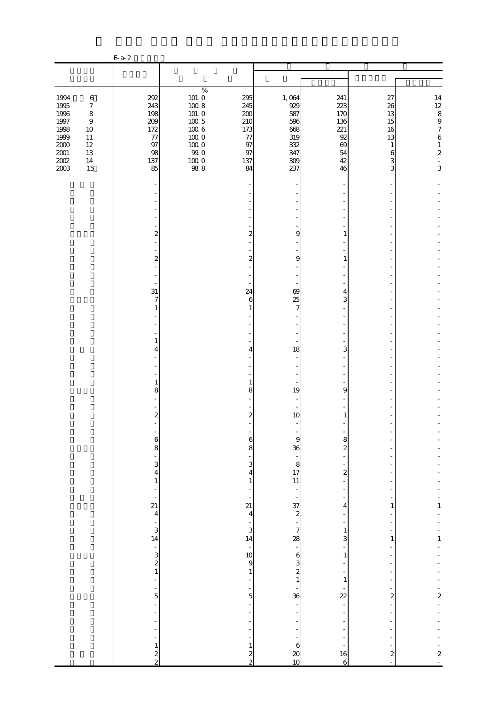|                                                                                             |                                                                                                            | $E-a-2$                                                          |                                                                                                         |                                                                  |                                                                      |                                                                   |                                                      |                                                                                                                                                      |
|---------------------------------------------------------------------------------------------|------------------------------------------------------------------------------------------------------------|------------------------------------------------------------------|---------------------------------------------------------------------------------------------------------|------------------------------------------------------------------|----------------------------------------------------------------------|-------------------------------------------------------------------|------------------------------------------------------|------------------------------------------------------------------------------------------------------------------------------------------------------|
|                                                                                             |                                                                                                            |                                                                  |                                                                                                         |                                                                  |                                                                      |                                                                   |                                                      |                                                                                                                                                      |
|                                                                                             |                                                                                                            |                                                                  | $\%$                                                                                                    |                                                                  |                                                                      |                                                                   |                                                      |                                                                                                                                                      |
| 1994<br>1995<br>1996<br>$1997\,$<br>1998<br>1999<br>$2000\,$<br>$2001\,$<br>$200\!$<br>2003 | $\,6\,$<br>$\boldsymbol{7}$<br>$\,8\,$<br>$\boldsymbol{9}$<br>10<br>$11\,$<br>$12\,$<br>13<br>$14\,$<br>15 | 292<br>243<br>198<br>209<br>172<br>$77$<br>97<br>98<br>137<br>85 | $101.0$<br>100.8<br>$101.0$<br>$100\ 5$<br>$100\ 6$<br>$100\;0$<br>$100\;0$<br>99.0<br>$100\;0$<br>98.8 | 295<br>245<br>200<br>210<br>173<br>$77$<br>97<br>97<br>137<br>84 | 1,064<br>929<br>587<br>596<br>668<br>319<br>332<br>347<br>309<br>237 | 241<br>223<br>170<br>136<br>221<br>92<br>69<br>54<br>$42\,$<br>46 | 27<br>26<br>13<br>15<br>16<br>13<br>1<br>6<br>3<br>3 | $\begin{array}{c} 14 \\ 12 \\ 8 \\ 9 \end{array}$<br>$\boldsymbol{7}$<br>$\,$ 6 $\,$<br>$\,1\,$<br>$\boldsymbol{z}$<br>$\overline{\phantom{a}}$<br>3 |
|                                                                                             |                                                                                                            |                                                                  |                                                                                                         |                                                                  |                                                                      |                                                                   |                                                      |                                                                                                                                                      |
|                                                                                             |                                                                                                            |                                                                  |                                                                                                         |                                                                  |                                                                      |                                                                   |                                                      |                                                                                                                                                      |
|                                                                                             |                                                                                                            |                                                                  |                                                                                                         |                                                                  |                                                                      |                                                                   |                                                      |                                                                                                                                                      |
|                                                                                             |                                                                                                            | $\overline{\mathbf{c}}$                                          |                                                                                                         | 2                                                                | 9                                                                    | 1                                                                 |                                                      |                                                                                                                                                      |
|                                                                                             |                                                                                                            | $\overline{\mathcal{L}}$                                         |                                                                                                         | $\boldsymbol{z}$                                                 | 9                                                                    | 1                                                                 |                                                      |                                                                                                                                                      |
|                                                                                             |                                                                                                            |                                                                  |                                                                                                         |                                                                  |                                                                      |                                                                   |                                                      |                                                                                                                                                      |
|                                                                                             |                                                                                                            | 31                                                               |                                                                                                         | 24                                                               | 69                                                                   | 4                                                                 |                                                      |                                                                                                                                                      |
|                                                                                             |                                                                                                            | $\overline{7}$<br>$\mathbf{1}$                                   |                                                                                                         | 6                                                                | 25<br>7                                                              | 3                                                                 |                                                      |                                                                                                                                                      |
|                                                                                             |                                                                                                            |                                                                  |                                                                                                         |                                                                  |                                                                      |                                                                   |                                                      |                                                                                                                                                      |
|                                                                                             |                                                                                                            |                                                                  |                                                                                                         |                                                                  |                                                                      |                                                                   |                                                      |                                                                                                                                                      |
|                                                                                             |                                                                                                            | $\mathbf{1}$<br>4                                                |                                                                                                         | 4                                                                | 18                                                                   | 3                                                                 |                                                      |                                                                                                                                                      |
|                                                                                             |                                                                                                            |                                                                  |                                                                                                         |                                                                  | $\overline{\phantom{a}}$                                             |                                                                   |                                                      |                                                                                                                                                      |
|                                                                                             |                                                                                                            | $\mathbf{1}$                                                     |                                                                                                         | 1                                                                |                                                                      |                                                                   |                                                      |                                                                                                                                                      |
|                                                                                             |                                                                                                            | 8                                                                |                                                                                                         | 8                                                                | 19                                                                   | 9                                                                 |                                                      |                                                                                                                                                      |
|                                                                                             |                                                                                                            | $\overline{\mathcal{L}}$                                         |                                                                                                         | $\boldsymbol{z}$                                                 | 10                                                                   | 1                                                                 |                                                      |                                                                                                                                                      |
|                                                                                             |                                                                                                            |                                                                  |                                                                                                         |                                                                  |                                                                      |                                                                   |                                                      |                                                                                                                                                      |
|                                                                                             |                                                                                                            | $\boldsymbol{6}$<br>8                                            |                                                                                                         | $\boldsymbol{6}$<br>8                                            | $\theta$<br>36                                                       | 8<br>$\overline{\mathbf{c}}$                                      |                                                      |                                                                                                                                                      |
|                                                                                             |                                                                                                            | $\frac{1}{3}$                                                    |                                                                                                         | 3                                                                |                                                                      |                                                                   |                                                      |                                                                                                                                                      |
|                                                                                             |                                                                                                            | $\overline{4}$                                                   |                                                                                                         | 4                                                                | $-8$<br>17<br>11                                                     | $\boldsymbol{z}$                                                  |                                                      |                                                                                                                                                      |
|                                                                                             |                                                                                                            | $\mathbf{1}$<br>÷,                                               |                                                                                                         | $\mathbf{1}$                                                     |                                                                      | $\overline{\phantom{a}}$                                          |                                                      |                                                                                                                                                      |
|                                                                                             |                                                                                                            | ÷<br>21                                                          |                                                                                                         | $\overline{21}$                                                  | $rac{37}{2}$<br>$rac{1}{7}$                                          | 4                                                                 | 1                                                    | $\mathbf{1}$                                                                                                                                         |
|                                                                                             |                                                                                                            | $\overline{4}$                                                   |                                                                                                         | $\overline{4}$<br>÷,                                             |                                                                      | $\overline{a}$<br>$\overline{\phantom{a}}$                        |                                                      |                                                                                                                                                      |
|                                                                                             |                                                                                                            | $\frac{1}{3}$<br>14                                              |                                                                                                         | 3<br>14                                                          |                                                                      | $\,1\,$<br>3                                                      | $\mathbf{1}$                                         | $\mathbf{1}$                                                                                                                                         |
|                                                                                             |                                                                                                            |                                                                  |                                                                                                         | $\frac{1}{9}$                                                    | $\frac{28}{1}$                                                       | ÷<br>$\mathbf{1}$                                                 |                                                      |                                                                                                                                                      |
|                                                                                             |                                                                                                            | $\begin{array}{c}\n1 \\ 2 \\ 1\n\end{array}$                     |                                                                                                         | $\,1\,$                                                          | $\begin{array}{c}\n6 \\ 3 \\ 2 \\ 1\n\end{array}$                    | ÷<br>$\overline{\phantom{a}}$                                     |                                                      |                                                                                                                                                      |
|                                                                                             |                                                                                                            | ÷,                                                               |                                                                                                         |                                                                  |                                                                      | $\mathbf 1$                                                       |                                                      |                                                                                                                                                      |
|                                                                                             |                                                                                                            | $\frac{1}{5}$                                                    |                                                                                                         | 5                                                                | $\frac{1}{36}$                                                       | $\overline{22}$                                                   | $\overline{\mathbf{c}}$                              | $\frac{1}{2}$                                                                                                                                        |
|                                                                                             |                                                                                                            | ÷,                                                               |                                                                                                         | $\frac{1}{2}$                                                    |                                                                      | $\overline{\phantom{a}}$                                          |                                                      |                                                                                                                                                      |
|                                                                                             |                                                                                                            | ÷,<br>÷,                                                         |                                                                                                         |                                                                  |                                                                      | $\overline{\phantom{a}}$                                          |                                                      |                                                                                                                                                      |
|                                                                                             |                                                                                                            | $\overline{\phantom{0}}$<br>$\,1\,$                              |                                                                                                         | $\mathbf{1}$                                                     |                                                                      | $\overline{a}$                                                    |                                                      |                                                                                                                                                      |
|                                                                                             |                                                                                                            | $\frac{2}{2}$                                                    |                                                                                                         | $\frac{2}{2}$                                                    | $\begin{array}{c}\n6 \\ 20 \\ 10\n\end{array}$                       | 16<br>$\sqrt{6}$                                                  | $\boldsymbol{z}$<br>$\Box$                           | $\frac{1}{2}$                                                                                                                                        |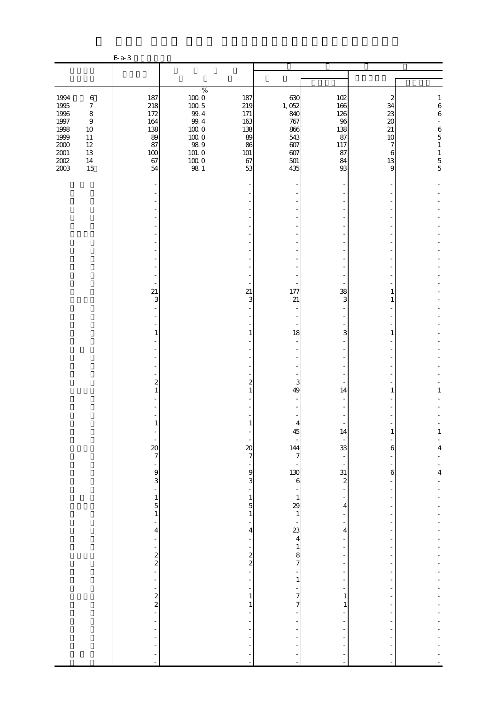|                                                                                             |                                                                                                                | $E-a-3$                                                        |                                                                                                                                         |                                                                |                                                                          |                                                               |                                                                           |                                                                                                               |
|---------------------------------------------------------------------------------------------|----------------------------------------------------------------------------------------------------------------|----------------------------------------------------------------|-----------------------------------------------------------------------------------------------------------------------------------------|----------------------------------------------------------------|--------------------------------------------------------------------------|---------------------------------------------------------------|---------------------------------------------------------------------------|---------------------------------------------------------------------------------------------------------------|
|                                                                                             |                                                                                                                |                                                                |                                                                                                                                         |                                                                |                                                                          |                                                               |                                                                           |                                                                                                               |
|                                                                                             |                                                                                                                |                                                                |                                                                                                                                         |                                                                |                                                                          |                                                               |                                                                           |                                                                                                               |
| 1994<br>1995<br>1996<br>$1997\,$<br>1998<br>1999<br>$2000\,$<br>$2001\,$<br>$200\!$<br>2003 | $\,6\,$<br>$\boldsymbol{7}$<br>$\,8\,$<br>$\boldsymbol{9}$<br>10<br>$11\,$<br>$12\,$<br>$13\,$<br>$14\,$<br>15 | 187<br>218<br>172<br>164<br>138<br>89<br>87<br>100<br>67<br>54 | $\%$<br>$\begin{array}{c} 100.0 \\ 100.5 \end{array}$<br>$99.4\,$<br>$99.4\,$<br>1000<br>1000<br>$98\ 9$<br>101.0<br>$\frac{100}{98}$ 1 | 187<br>219<br>171<br>163<br>138<br>89<br>86<br>101<br>67<br>53 | 630<br>1,052<br>840<br>767<br>866<br>543<br>607<br>607<br>$501\,$<br>435 | 102<br>166<br>126<br>96<br>138<br>87<br>117<br>87<br>84<br>93 | $\boldsymbol{z}$<br>34<br>23<br>$\infty$<br>21<br>10<br>7<br>6<br>13<br>9 | $\mathbf{1}$<br>$^6$ 6 $\,$<br>$\equiv$<br>$\,$ 6 $\,$<br>$\overline{5}$<br>$\,1\,$<br>$\,1$<br>$\frac{5}{5}$ |
|                                                                                             |                                                                                                                |                                                                |                                                                                                                                         |                                                                |                                                                          |                                                               |                                                                           |                                                                                                               |
|                                                                                             |                                                                                                                |                                                                |                                                                                                                                         |                                                                |                                                                          |                                                               |                                                                           |                                                                                                               |
|                                                                                             |                                                                                                                |                                                                |                                                                                                                                         |                                                                |                                                                          |                                                               |                                                                           |                                                                                                               |
|                                                                                             |                                                                                                                |                                                                |                                                                                                                                         |                                                                |                                                                          |                                                               |                                                                           |                                                                                                               |
|                                                                                             |                                                                                                                |                                                                |                                                                                                                                         |                                                                |                                                                          |                                                               |                                                                           |                                                                                                               |
|                                                                                             |                                                                                                                |                                                                |                                                                                                                                         |                                                                |                                                                          |                                                               |                                                                           |                                                                                                               |
|                                                                                             |                                                                                                                |                                                                |                                                                                                                                         |                                                                |                                                                          |                                                               |                                                                           |                                                                                                               |
|                                                                                             |                                                                                                                | $\overline{\phantom{a}}$<br>21                                 |                                                                                                                                         | 21                                                             | 177                                                                      | 38                                                            | 1                                                                         |                                                                                                               |
|                                                                                             |                                                                                                                | 3                                                              |                                                                                                                                         | 3                                                              | 21                                                                       | 3                                                             | 1                                                                         |                                                                                                               |
|                                                                                             |                                                                                                                |                                                                |                                                                                                                                         |                                                                |                                                                          |                                                               |                                                                           |                                                                                                               |
|                                                                                             |                                                                                                                | 1                                                              |                                                                                                                                         | 1                                                              | 18                                                                       | 3                                                             | 1                                                                         |                                                                                                               |
|                                                                                             |                                                                                                                |                                                                |                                                                                                                                         |                                                                |                                                                          |                                                               |                                                                           |                                                                                                               |
|                                                                                             |                                                                                                                |                                                                |                                                                                                                                         |                                                                |                                                                          |                                                               |                                                                           |                                                                                                               |
|                                                                                             |                                                                                                                |                                                                |                                                                                                                                         |                                                                |                                                                          |                                                               |                                                                           |                                                                                                               |
|                                                                                             |                                                                                                                | $\boldsymbol{z}$<br>$\mathbf{1}$                               |                                                                                                                                         | $\boldsymbol{z}$<br>1                                          | 3<br>49                                                                  | 14                                                            | 1                                                                         | 1                                                                                                             |
|                                                                                             |                                                                                                                |                                                                |                                                                                                                                         |                                                                |                                                                          |                                                               |                                                                           |                                                                                                               |
|                                                                                             |                                                                                                                | $\mathbf{1}$                                                   |                                                                                                                                         | 1                                                              | 4                                                                        |                                                               |                                                                           |                                                                                                               |
|                                                                                             |                                                                                                                |                                                                |                                                                                                                                         |                                                                | 45                                                                       | $^{14}$                                                       |                                                                           |                                                                                                               |
|                                                                                             |                                                                                                                | $\frac{20}{7}$                                                 |                                                                                                                                         | 20<br>$\overline{7}$                                           | 144                                                                      | 33                                                            | 6                                                                         | 4                                                                                                             |
|                                                                                             |                                                                                                                | $\frac{9}{3}$                                                  |                                                                                                                                         | 9<br>3                                                         | 130<br>$\mathbf 6$                                                       | $\frac{31}{2}$                                                | 6                                                                         | $\overline{\mathbf{4}}$                                                                                       |
|                                                                                             |                                                                                                                |                                                                |                                                                                                                                         |                                                                |                                                                          |                                                               |                                                                           |                                                                                                               |
|                                                                                             |                                                                                                                | $\mathbf{1}$<br>5                                              |                                                                                                                                         | $\mathbf{1}$<br>5                                              | $\mathbf{1}$<br>29                                                       | 4                                                             |                                                                           |                                                                                                               |
|                                                                                             |                                                                                                                | $\mathbf{1}$                                                   |                                                                                                                                         | $\mathbf{1}$                                                   | $\mathbf{1}$                                                             |                                                               |                                                                           |                                                                                                               |
|                                                                                             |                                                                                                                | $\overline{4}$                                                 |                                                                                                                                         | 4                                                              | 23                                                                       | 4                                                             |                                                                           |                                                                                                               |
|                                                                                             |                                                                                                                |                                                                |                                                                                                                                         |                                                                | $\overline{\mathbf{4}}$<br>$\mathbf{1}$                                  |                                                               |                                                                           |                                                                                                               |
|                                                                                             |                                                                                                                | $\frac{2}{2}$                                                  |                                                                                                                                         | $\frac{2}{2}$                                                  | 8<br>$\overline{\phantom{a}}$                                            |                                                               |                                                                           |                                                                                                               |
|                                                                                             |                                                                                                                |                                                                |                                                                                                                                         |                                                                | 1                                                                        |                                                               |                                                                           |                                                                                                               |
|                                                                                             |                                                                                                                |                                                                |                                                                                                                                         |                                                                |                                                                          |                                                               |                                                                           |                                                                                                               |
|                                                                                             |                                                                                                                | $\frac{2}{2}$                                                  |                                                                                                                                         | 1<br>1                                                         | 7<br>7                                                                   | 1<br>1                                                        |                                                                           |                                                                                                               |
|                                                                                             |                                                                                                                |                                                                |                                                                                                                                         |                                                                |                                                                          |                                                               |                                                                           |                                                                                                               |
|                                                                                             |                                                                                                                |                                                                |                                                                                                                                         |                                                                |                                                                          |                                                               |                                                                           |                                                                                                               |
|                                                                                             |                                                                                                                |                                                                |                                                                                                                                         |                                                                |                                                                          |                                                               |                                                                           |                                                                                                               |
|                                                                                             |                                                                                                                |                                                                |                                                                                                                                         |                                                                | L,                                                                       |                                                               |                                                                           |                                                                                                               |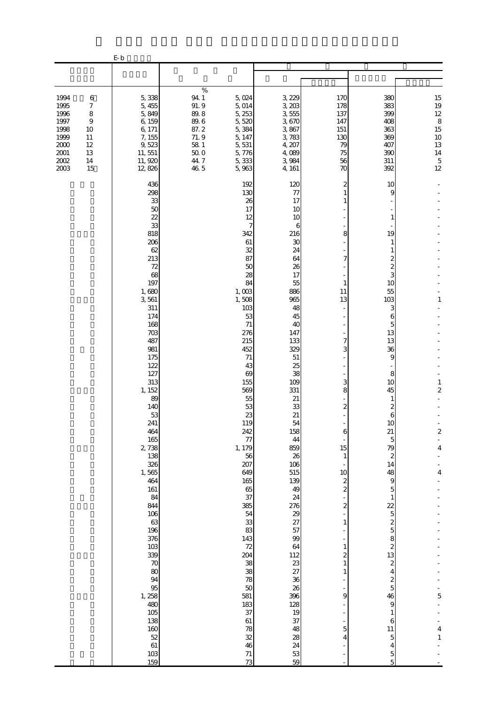|                                                                                      |                                                                                 | $\mathbf{E} \cdot \mathbf{b}$                                                                                                                                                                                                                                                                                                                                                                                         |                                                                                                     |                                                                                                                                                                                                                                                                                                                                                                                                                       |                                                                                                                                                                                                                                                                                                                                                                                     |                                                                                                                                                                                                                      |                                                                                                                                                                                                                                                                                                                                                                                                                                            |                                                                                                             |
|--------------------------------------------------------------------------------------|---------------------------------------------------------------------------------|-----------------------------------------------------------------------------------------------------------------------------------------------------------------------------------------------------------------------------------------------------------------------------------------------------------------------------------------------------------------------------------------------------------------------|-----------------------------------------------------------------------------------------------------|-----------------------------------------------------------------------------------------------------------------------------------------------------------------------------------------------------------------------------------------------------------------------------------------------------------------------------------------------------------------------------------------------------------------------|-------------------------------------------------------------------------------------------------------------------------------------------------------------------------------------------------------------------------------------------------------------------------------------------------------------------------------------------------------------------------------------|----------------------------------------------------------------------------------------------------------------------------------------------------------------------------------------------------------------------|--------------------------------------------------------------------------------------------------------------------------------------------------------------------------------------------------------------------------------------------------------------------------------------------------------------------------------------------------------------------------------------------------------------------------------------------|-------------------------------------------------------------------------------------------------------------|
|                                                                                      |                                                                                 |                                                                                                                                                                                                                                                                                                                                                                                                                       |                                                                                                     |                                                                                                                                                                                                                                                                                                                                                                                                                       |                                                                                                                                                                                                                                                                                                                                                                                     |                                                                                                                                                                                                                      |                                                                                                                                                                                                                                                                                                                                                                                                                                            |                                                                                                             |
| 1994<br>1995<br>1996<br>1997<br>1998<br>1999<br>2000<br>$2001\,$<br>$2002\,$<br>2003 | $\,6$<br>7<br>$\,$ 8 $\,$<br>$\overline{9}$<br>10<br>11<br>12<br>13<br>14<br>15 | 5,338<br>5,455<br>5,849<br>6,159<br>6, 171<br>7, 155<br>9,523<br>11, 551<br>11,920<br>12,826                                                                                                                                                                                                                                                                                                                          | $\%$<br>94 1<br>91.9<br>89.8<br>$89.6\,$<br>87.2<br>71.9<br>$58\,$ $1\,$<br>$50\;0$<br>44.7<br>46 5 | 5,024<br>5, 014<br>5, 253<br>5,520<br>5,384<br>5, 147<br>5, 531<br>5,776<br>5,333<br>5,963                                                                                                                                                                                                                                                                                                                            | 3, 229<br>3, 203<br>3,555<br>3,670<br>3,867<br>3,783<br>4, 207<br>4,089<br>3,984<br>4, 161                                                                                                                                                                                                                                                                                          | 170<br>178<br>137<br>147<br>151<br>130<br>79<br>75<br>56<br>70                                                                                                                                                       | 380<br>383<br>399<br>408<br>363<br>369<br>407<br>390<br>311<br>392                                                                                                                                                                                                                                                                                                                                                                         | $\begin{array}{c} 15 \\ 19 \\ 12 \end{array}$<br>$\,$ 8 $\,$<br>15<br>$10$<br>13<br>14<br>$\mathbf 5$<br>12 |
|                                                                                      |                                                                                 | 436<br>298<br>33<br>50<br>22<br>33<br>818<br>206<br>62<br>213<br>72<br>68<br>197<br>1,680<br>3,561<br>311<br>174<br>168<br>703<br>487<br>981<br>175<br>122<br>127<br>313<br>1, 152<br>89<br>140<br>53<br>241<br>464<br>165<br>2,738<br>138<br>326<br>1,565<br>464<br>161<br>84<br>844<br>106<br>63<br>196<br>376<br>103<br>339<br>70<br>80<br>94<br>95<br>1,258<br>480<br>105<br>138<br>160<br>52<br>61<br>103<br>159 |                                                                                                     | 192<br>130<br>26<br>17<br>12<br>7<br>342<br>61<br>32<br>87<br>50<br>28<br>84<br>1,003<br>1,508<br>103<br>53<br>71<br>276<br>215<br>452<br>71<br>43<br>69<br>155<br>569<br>55<br>53<br>23<br>119<br>242<br>77<br>1, 179<br>56<br>207<br>649<br>165<br>65<br>37<br>385<br>54<br>33<br>83<br>143<br>72<br>204<br>38<br>38<br>78<br>50<br>581<br>183<br>37<br>61<br>78<br>$\overline{\text{32}}$<br>46<br>$\frac{71}{73}$ | 120<br>77<br>17<br>10<br>10<br>6<br>216<br>30<br>24<br>64<br>26<br>17<br>55<br>886<br>965<br>48<br>45<br>40<br>147<br>133<br>329<br>$51\,$<br>25<br>38<br>109<br>331<br>21<br>33<br>21<br>54<br>158<br>44<br>859<br>26<br>106<br>515<br>139<br>49<br>24<br>276<br>29<br>27<br>57<br>99<br>64<br>112<br>23<br>27<br>36<br>26<br>396<br>128<br>19<br>37<br>48<br>28<br>24<br>53<br>59 | 2<br>8<br>7<br>1<br>11<br>13<br>7<br>3<br>3<br>8<br>2<br>6<br>15<br>$\mathbf{1}$<br>10<br>$\boldsymbol{z}$<br>$\overline{\mathcal{Z}}$<br>2<br>1<br>1<br>$\overline{\mathbf{c}}$<br>$\mathbf{1}$<br>1<br>9<br>5<br>4 | 10<br>9<br>1<br>19<br>1<br>1<br>2<br>2<br>3<br>10<br>55<br>103<br>З<br>6<br>5<br>13<br>13<br>36<br>9<br>8<br>10<br>45<br>1<br>2<br>6<br>10<br>21<br>5<br>79<br>2<br>14<br>48<br>9<br>5<br>$\mathbf{1}$<br>$\overline{2}$<br>$\overline{5}$<br>$\frac{2}{5}$<br>8<br>$\boldsymbol{z}$<br>13<br>$\boldsymbol{2}$<br>$\overline{4}$<br>$\overline{\mathcal{Z}}$<br>$\overline{5}$<br>46<br>9<br>1<br>6<br>11<br>$\overline{5}$<br>4<br>5<br>5 | 1<br>$\mathbf{1}$<br>2<br>$\boldsymbol{z}$<br>$\overline{a}$<br>4<br>4<br>5<br>4<br>$\,1\,$                 |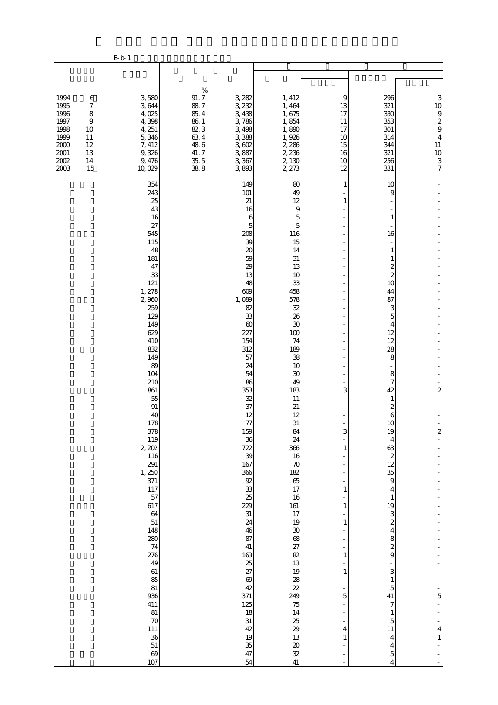|                                                                                          |                                                                    | $\rm E$ b- 1                                                                                                                                                                                                                                                                                                                                                                                                                 |                                                                                                   |                                                                                                                                                                                                                                                                                                                                                                                                                   |                                                                                                                                                                                                                                                                                                                                                                                                           |                                                                                                |                                                                                                                                                                                                                                                                                                                                                                                                                                                                                   |                                                                                                        |
|------------------------------------------------------------------------------------------|--------------------------------------------------------------------|------------------------------------------------------------------------------------------------------------------------------------------------------------------------------------------------------------------------------------------------------------------------------------------------------------------------------------------------------------------------------------------------------------------------------|---------------------------------------------------------------------------------------------------|-------------------------------------------------------------------------------------------------------------------------------------------------------------------------------------------------------------------------------------------------------------------------------------------------------------------------------------------------------------------------------------------------------------------|-----------------------------------------------------------------------------------------------------------------------------------------------------------------------------------------------------------------------------------------------------------------------------------------------------------------------------------------------------------------------------------------------------------|------------------------------------------------------------------------------------------------|-----------------------------------------------------------------------------------------------------------------------------------------------------------------------------------------------------------------------------------------------------------------------------------------------------------------------------------------------------------------------------------------------------------------------------------------------------------------------------------|--------------------------------------------------------------------------------------------------------|
|                                                                                          |                                                                    |                                                                                                                                                                                                                                                                                                                                                                                                                              |                                                                                                   |                                                                                                                                                                                                                                                                                                                                                                                                                   |                                                                                                                                                                                                                                                                                                                                                                                                           |                                                                                                |                                                                                                                                                                                                                                                                                                                                                                                                                                                                                   |                                                                                                        |
| 1994<br>1995<br>1996<br>1997<br>1998<br>1999<br>$2000\,$<br>$2001\,$<br>$2002\,$<br>2003 | $\,6$<br>7<br>$\,$ 8 $\,$<br>9<br>10<br>11<br>12<br>13<br>14<br>15 | 3,580<br>3644<br>4,025<br>4,398<br>4, 251<br>5,346<br>7, 412<br>9,326<br>9,476<br>10,029                                                                                                                                                                                                                                                                                                                                     | $\%$<br>91.7<br>88.7<br>$85.4\,$<br>$86\ 1$<br>823<br>634<br>$48\ 6$<br>41.7<br>$\frac{35}{38}$ 5 | 3, 282<br>3, 232<br>3,438<br>3,786<br>3,498<br>3,388<br>3,602<br>3,887<br>3,367<br>3,893                                                                                                                                                                                                                                                                                                                          | 1, 412<br>1,464<br>1,675<br>1,854<br>1,890<br>1,926<br>2, 286<br>2, 236<br>2, 130<br>2, 273                                                                                                                                                                                                                                                                                                               | 9<br>13<br>17<br>11<br>17<br>10<br>15<br>16<br>10<br>12                                        | 296<br>321<br>330<br>353<br>$301\,$<br>314<br>344<br>321<br>256<br>331                                                                                                                                                                                                                                                                                                                                                                                                            | 3<br>10<br>$\begin{array}{c} 9 \\ 2 \\ 9 \end{array}$<br>$\overline{4}$<br>11<br>$10$<br>$\frac{3}{7}$ |
|                                                                                          |                                                                    | 354<br>243<br>25<br>43<br>16<br>27<br>545<br>115<br>48<br>181<br>47<br>33<br>121<br>1, 278<br>2,960<br>259<br>129<br>149<br>629<br>410<br>832<br>149<br>89<br>104<br>210<br>861<br>55<br>91<br>40<br>178<br>378<br>119<br>2, 202<br>116<br>291<br>1, 250<br>371<br>117<br>57<br>617<br>64<br>51<br>148<br>280<br>74<br>276<br>49<br>61<br>85<br>81<br>936<br>411<br>81<br>$\boldsymbol{\pi}$<br>111<br>36<br>51<br>69<br>107 |                                                                                                   | 149<br>101<br>21<br>16<br>6<br>5<br>208<br>39<br>$\boldsymbol{\chi}$<br>59<br>29<br>13<br>48<br>609<br>1,089<br>82<br>33<br>$\infty$<br>227<br>154<br>312<br>57<br>24<br>54<br>86<br>353<br>32<br>37<br>12<br>77<br>159<br>36<br>722<br>39<br>167<br>366<br>92<br>$\frac{33}{25}$<br>229<br>31<br>24<br>46<br>87<br>41<br>163<br>25<br>27<br>69<br>42<br>371<br>125<br>18<br>$31\,$<br>42<br>19<br>35<br>47<br>54 | 80<br>49<br>12<br>9<br>5<br>5<br>116<br>15<br>14<br>31<br>13<br>10<br>33<br>458<br>578<br>32<br>26<br>30<br>100<br>74<br>189<br>38<br>10<br>30<br>49<br>183<br>11<br>21<br>12<br>31<br>84<br>24<br>366<br>16<br>70<br>182<br>65<br>17<br>16<br>161<br>17<br>19<br>$30\,$<br>68<br>27<br>82<br>13<br>19<br>28<br>$\overline{22}$<br>249<br>75<br>14<br>25<br>29<br>13<br>$\boldsymbol{\alpha}$<br>32<br>41 | 1<br>1<br>3<br>3<br>1<br>$\mathbf{1}$<br>1<br>$\mathbf{1}$<br>1<br>$\mathbf{1}$<br>5<br>4<br>1 | 10<br>9<br>1<br>16<br>1<br>1<br>2<br>$\overline{\mathcal{Z}}$<br>10<br>44<br>87<br>3<br>5<br>4<br>12<br>12<br>28<br>8<br>8<br>7<br>42<br>1<br>2<br>6<br>10<br>19<br>4<br>63<br>$\boldsymbol{z}$<br>12<br>35<br>$\overline{9}$<br>4<br>$\mathbf{1}$<br>19<br>3<br>$\boldsymbol{z}$<br>$\overline{\mathbf{4}}$<br>8<br>$\overline{\mathcal{L}}$<br>9<br>3<br>$\mathbf{1}$<br>$\overline{5}$<br>41<br>7<br>$\mathbf{1}$<br>$\overline{5}$<br>$11\,$<br>4<br>4<br>$\overline{5}$<br>4 | $\overline{\mathbf{c}}$<br>$\boldsymbol{2}$<br>5<br>$\overline{\mathbf{4}}$<br>$\,1\,$                 |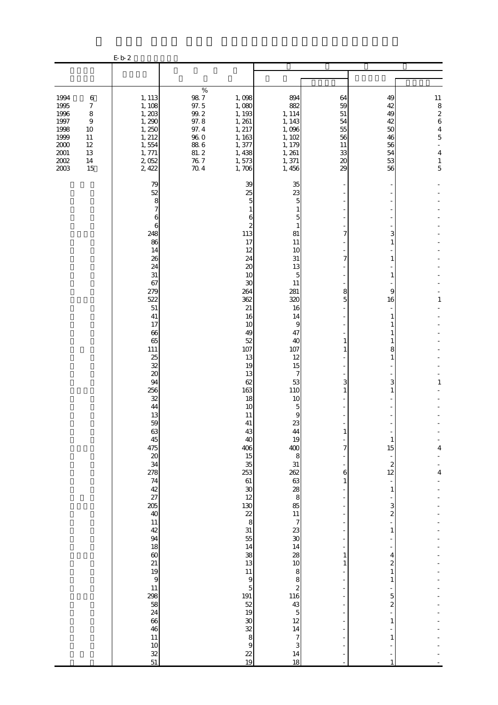|                                                                                                                                                                               | $\rm E\,b\,2$                                                                                                                                                                                                                                                                                                                                                                                                                 |                                                                                                                                                                                                                                                                                                                                                                                                                                                                                                    |                                                                                                                                                                                                                                                                                                                                                                                                                               |                                                                                          |                                                                                                                                                                                                                                                                                                                                                                                    |                                                                                                                                        |
|-------------------------------------------------------------------------------------------------------------------------------------------------------------------------------|-------------------------------------------------------------------------------------------------------------------------------------------------------------------------------------------------------------------------------------------------------------------------------------------------------------------------------------------------------------------------------------------------------------------------------|----------------------------------------------------------------------------------------------------------------------------------------------------------------------------------------------------------------------------------------------------------------------------------------------------------------------------------------------------------------------------------------------------------------------------------------------------------------------------------------------------|-------------------------------------------------------------------------------------------------------------------------------------------------------------------------------------------------------------------------------------------------------------------------------------------------------------------------------------------------------------------------------------------------------------------------------|------------------------------------------------------------------------------------------|------------------------------------------------------------------------------------------------------------------------------------------------------------------------------------------------------------------------------------------------------------------------------------------------------------------------------------------------------------------------------------|----------------------------------------------------------------------------------------------------------------------------------------|
|                                                                                                                                                                               |                                                                                                                                                                                                                                                                                                                                                                                                                               |                                                                                                                                                                                                                                                                                                                                                                                                                                                                                                    |                                                                                                                                                                                                                                                                                                                                                                                                                               |                                                                                          |                                                                                                                                                                                                                                                                                                                                                                                    |                                                                                                                                        |
| 1994<br>$\,6$<br>1995<br>$\boldsymbol{7}$<br>1996<br>$\,$ 8 $\,$<br>1997<br>9<br>1998<br>10<br>1999<br>11<br>$2000\,$<br>12<br>$2001\,$<br>13<br>$2002\,$<br>14<br>2003<br>15 | 1, 113<br>1, 108<br>1,203<br>1,290<br>1,250<br>1, 212<br>1,554<br>1, 771<br>2,052<br>2,422                                                                                                                                                                                                                                                                                                                                    | $\%$<br>$98\ 7$<br>1,098<br>$97.5\,$<br>1,080<br>$99.2\,$<br>1, 193<br>97.8<br>1, 261<br>97.4<br>1, 217<br>$96\ 0$<br>1,163<br>$88\;6$<br>1,377<br>81.2<br>1,438<br>76.7<br>1,573<br>704<br>1,706                                                                                                                                                                                                                                                                                                  | 894<br>882<br>1, 114<br>1, 143<br>1,096<br>1, 102<br>1, 179<br>1, 261<br>1,371<br>1,456                                                                                                                                                                                                                                                                                                                                       | 64<br>59<br>51<br>54<br>55<br>56<br>11<br>33<br>20<br>29                                 | 49<br>42<br>49<br>42<br>50<br>46<br>56<br>54<br>53<br>56                                                                                                                                                                                                                                                                                                                           | $\begin{array}{c}\n11 \\ 8 \\ 2 \\ 6\n\end{array}$<br>$\overline{4}$<br>$\overline{5}$<br>$\overline{\mathbf{4}}$<br>$\mathbf{1}$<br>5 |
|                                                                                                                                                                               | 79<br>52<br>8<br>7<br>6<br>6<br>248<br>86<br>14<br>26<br>24<br>31<br>67<br>279<br>522<br>51<br>$41\,$<br>17<br>66<br>65<br>111<br>25<br>32<br>20<br>94<br>256<br>32<br>44<br>13<br>59<br>63<br>45<br>475<br>$\boldsymbol{\alpha}$<br>34<br>278<br>74<br>$\frac{42}{27}$<br>205<br>40<br>$11\,$<br>42<br>94<br>18<br>$\omega$<br>21<br>19<br>$\overline{9}$<br>11<br>298<br>58<br>24<br>66<br>46<br>$11\,$<br>$10$<br>32<br>51 | 39<br>25<br>5<br>1<br>6<br>$\boldsymbol{z}$<br>113<br>17<br>12<br>24<br>20<br>10<br>30<br>264<br>362<br>21<br>16<br>10<br>49<br>52<br>107<br>13<br>19<br>13<br>62<br>163<br>18<br>10<br>11<br>$41\,$<br>43<br>40<br>406<br>15<br>35<br>253<br>$61\,$<br>$\boldsymbol{30}$<br>12<br>130<br>$rac{22}{8}$<br>31<br>55<br>14<br>38<br>13<br>$11\,$<br>$\boldsymbol{9}$<br>$\overline{5}$<br>191<br>52<br>19<br>$\boldsymbol{\mathcal{X}}$<br>$\overline{32}$<br>8<br>$\overline{9}$<br>$\frac{22}{19}$ | 35<br>23<br>5<br>1<br>5<br>1<br>81<br>11<br>10<br>31<br>13<br>5<br>11<br>281<br>320<br>16<br>14<br>9<br>47<br>40<br>107<br>12<br>15<br>7<br>53<br>110<br>10<br>5<br>9<br>23<br>44<br>19<br>400<br>8<br>31<br>262<br>88 00 88<br>11<br>$\overline{7}$<br>23<br>$\overline{30}$<br>14<br>28<br>10<br>8<br>$\begin{array}{c} 8 \\ 2 \end{array}$<br>116<br>43<br>$\overline{5}$<br>12<br>14<br>$\boldsymbol{7}$<br>3<br>14<br>18 | 7<br>7<br>8<br>5<br>3<br>1<br>1<br>7<br>$\mathbf 6$<br>$\mathbf{1}$<br>1<br>$\mathbf{1}$ | 3<br>1<br>1<br>1<br>9<br>16<br>1<br>8<br>1<br>3<br>1<br>$\mathbf{1}$<br>15<br>$\overline{\phantom{a}}$<br>$\boldsymbol{z}$<br>12<br>$\overline{\phantom{a}}$<br>$\mathbf{1}$<br>3<br>$\overline{\mathcal{L}}$<br>÷,<br>$\mathbf{1}$<br>4<br>$\boldsymbol{2}$<br>$\mathbf{1}$<br>$\mathbf{1}$<br>5<br>$\overline{\mathcal{L}}$<br>$\mathbf{1}$<br>$\mathbf{1}$<br>÷<br>$\mathbf{1}$ | 1<br>$\mathbf{1}$<br>4<br>$\overline{4}$                                                                                               |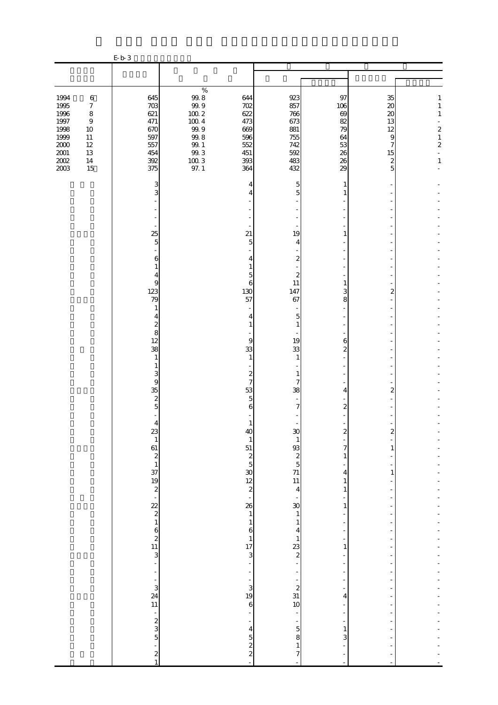|                                                                                     |                                                                                                      | E b 3                                                       |                                                                                                                                 |                                                             |                                                             |                                                     |                                                                                                                             |                                                                                                               |
|-------------------------------------------------------------------------------------|------------------------------------------------------------------------------------------------------|-------------------------------------------------------------|---------------------------------------------------------------------------------------------------------------------------------|-------------------------------------------------------------|-------------------------------------------------------------|-----------------------------------------------------|-----------------------------------------------------------------------------------------------------------------------------|---------------------------------------------------------------------------------------------------------------|
|                                                                                     |                                                                                                      |                                                             |                                                                                                                                 |                                                             |                                                             |                                                     |                                                                                                                             |                                                                                                               |
|                                                                                     |                                                                                                      |                                                             |                                                                                                                                 |                                                             |                                                             |                                                     |                                                                                                                             |                                                                                                               |
| 1994<br>1995<br>1996<br>$1997\,$<br>1998<br>1999<br>$2000\,$<br>$2001\,$<br>$200\!$ | $\,6\,$<br>$\boldsymbol{7}$<br>$\,8\,$<br>$\boldsymbol{9}$<br>10<br>$11\,$<br>$12\,$<br>13<br>$14\,$ | 645<br>703<br>621<br>471<br>670<br>597<br>557<br>454<br>392 | $\%$<br>$\frac{99.8}{99.9}$<br>$100\ 2$<br>$100\ 4$<br>$99\,9$<br>$99.8$<br>$99\!\!.$ $1\!\!$<br>$99.3$<br>$\frac{100}{97}$ . 1 | 644<br>702<br>622<br>473<br>669<br>596<br>552<br>451<br>393 | 923<br>857<br>766<br>673<br>881<br>755<br>742<br>592<br>483 | 97<br>106<br>69<br>82<br>79<br>64<br>53<br>26<br>26 | 35<br>$\boldsymbol{\mathsf{20}}$<br>$\boldsymbol{\mathsf{20}}$<br>13<br>12<br>$\overline{9}$<br>7<br>15<br>$\boldsymbol{z}$ | 1<br>$1\,$<br>$\mathbf{1}$<br>$\overline{a}$<br>$\boldsymbol{z}$<br>$\,1\,$<br>$\overline{c}$<br>$\mathbf{1}$ |
| 2003                                                                                | 15                                                                                                   | 375                                                         |                                                                                                                                 | 364                                                         | 432                                                         | 29                                                  | 5                                                                                                                           |                                                                                                               |
|                                                                                     |                                                                                                      | 3<br>3                                                      |                                                                                                                                 | 4<br>4                                                      | 5<br>5                                                      | 1<br>1                                              |                                                                                                                             |                                                                                                               |
|                                                                                     |                                                                                                      |                                                             |                                                                                                                                 |                                                             |                                                             |                                                     |                                                                                                                             |                                                                                                               |
|                                                                                     |                                                                                                      | 25<br>$\overline{5}$                                        |                                                                                                                                 | 21<br>5                                                     | 19<br>4                                                     | 1                                                   |                                                                                                                             |                                                                                                               |
|                                                                                     |                                                                                                      | 6<br>1                                                      |                                                                                                                                 | 4                                                           | $\boldsymbol{z}$                                            |                                                     |                                                                                                                             |                                                                                                               |
|                                                                                     |                                                                                                      | 4<br>9                                                      |                                                                                                                                 | 5<br>6                                                      | 2<br>11                                                     | 1                                                   |                                                                                                                             |                                                                                                               |
|                                                                                     |                                                                                                      | 123<br>79<br>1                                              |                                                                                                                                 | 130<br>57                                                   | 147<br>67                                                   | 3<br>8                                              | 2                                                                                                                           |                                                                                                               |
|                                                                                     |                                                                                                      | 4<br>$\boldsymbol{z}$                                       |                                                                                                                                 | 4<br>1                                                      | $\overline{5}$<br>$\mathbf{1}$                              |                                                     |                                                                                                                             |                                                                                                               |
|                                                                                     |                                                                                                      | 8<br>12                                                     |                                                                                                                                 | 9                                                           | 19                                                          | 6                                                   |                                                                                                                             |                                                                                                               |
|                                                                                     |                                                                                                      | 38                                                          |                                                                                                                                 | 33                                                          | 33                                                          | $\overline{\mathcal{Z}}$                            |                                                                                                                             |                                                                                                               |
|                                                                                     |                                                                                                      | $\mathbf{1}$<br>$\mathbf{1}$                                |                                                                                                                                 | 1                                                           | 1                                                           |                                                     |                                                                                                                             |                                                                                                               |
|                                                                                     |                                                                                                      | 3<br>$\overline{9}$                                         |                                                                                                                                 | $\boldsymbol{z}$<br>7                                       | 1<br>7                                                      |                                                     |                                                                                                                             |                                                                                                               |
|                                                                                     |                                                                                                      | 35<br>$\boldsymbol{z}$                                      |                                                                                                                                 | 53<br>5                                                     | 38                                                          | 4                                                   | 2                                                                                                                           |                                                                                                               |
|                                                                                     |                                                                                                      | $\overline{5}$                                              |                                                                                                                                 | 6                                                           | 7                                                           | $\overline{\mathcal{Z}}$                            |                                                                                                                             |                                                                                                               |
|                                                                                     |                                                                                                      | 4                                                           |                                                                                                                                 |                                                             |                                                             |                                                     |                                                                                                                             |                                                                                                               |
|                                                                                     |                                                                                                      | 23                                                          |                                                                                                                                 | 44<br>$\mathbf{1}$                                          | 3U<br>$\,1\,$                                               | Z                                                   |                                                                                                                             |                                                                                                               |
|                                                                                     |                                                                                                      |                                                             |                                                                                                                                 | 51                                                          |                                                             | 7<br>1                                              | 1                                                                                                                           |                                                                                                               |
|                                                                                     |                                                                                                      |                                                             |                                                                                                                                 |                                                             | $\frac{93}{11}$ $\frac{7}{11}$ $\frac{11}{4}$               | 4                                                   | 1                                                                                                                           |                                                                                                               |
|                                                                                     |                                                                                                      | $\frac{1}{61}$ $\frac{2}{37}$ $\frac{1}{19}$ $\frac{2}{2}$  |                                                                                                                                 | $\begin{array}{c}\n2 \\ 30 \\ 2\n\end{array}$               |                                                             | $\mathbf{1}$<br>$\mathbf{1}$                        |                                                                                                                             |                                                                                                               |
|                                                                                     |                                                                                                      |                                                             |                                                                                                                                 | 26                                                          |                                                             | 1                                                   |                                                                                                                             |                                                                                                               |
|                                                                                     |                                                                                                      |                                                             |                                                                                                                                 | $\,1\,$<br>$\,1\,$                                          | $\frac{30}{1}$<br>$\mathbf{1}$                              | ÷<br>÷                                              |                                                                                                                             |                                                                                                               |
|                                                                                     |                                                                                                      |                                                             |                                                                                                                                 | $\boldsymbol{6}$                                            | 4                                                           |                                                     |                                                                                                                             |                                                                                                               |
|                                                                                     |                                                                                                      | $222$<br>$162$<br>$11$<br>$3$                               |                                                                                                                                 | $\begin{array}{c} 1 \\ 17 \end{array}$                      | $\mathbf{1}$<br>$\frac{23}{2}$                              | $\,1$                                               |                                                                                                                             |                                                                                                               |
|                                                                                     |                                                                                                      | ÷,                                                          |                                                                                                                                 | 3<br>÷,                                                     |                                                             | $\overline{\phantom{a}}$                            |                                                                                                                             |                                                                                                               |
|                                                                                     |                                                                                                      | ÷,                                                          |                                                                                                                                 | -<br>÷                                                      |                                                             | $\overline{\phantom{a}}$                            |                                                                                                                             |                                                                                                               |
|                                                                                     |                                                                                                      | $\frac{3}{24}$<br>11                                        |                                                                                                                                 | $\begin{array}{c} 3 \\ 19 \end{array}$                      | $\frac{1}{2}$<br>31<br>10                                   | 4                                                   |                                                                                                                             |                                                                                                               |
|                                                                                     |                                                                                                      |                                                             |                                                                                                                                 | $\boldsymbol{6}$                                            |                                                             | $\overline{\phantom{0}}$                            |                                                                                                                             |                                                                                                               |
|                                                                                     |                                                                                                      | $\frac{1}{5}$ as $\frac{1}{5}$                              |                                                                                                                                 |                                                             | $\overline{\phantom{a}}$<br>$\frac{1}{5}$                   | $\frac{1}{2}$                                       |                                                                                                                             |                                                                                                               |
|                                                                                     |                                                                                                      |                                                             |                                                                                                                                 | $\overline{\mathbf{4}}$                                     | 8                                                           | $\mathbf{1}$<br>3                                   |                                                                                                                             |                                                                                                               |
|                                                                                     |                                                                                                      | $\frac{1}{2}$                                               |                                                                                                                                 | $\frac{5}{2}$                                               | $\mathbf{1}$<br>$\overline{7}$                              | $\overline{\phantom{0}}$                            | $\overline{a}$                                                                                                              |                                                                                                               |
|                                                                                     |                                                                                                      |                                                             |                                                                                                                                 | $\overline{a}$                                              | $\overline{\phantom{a}}$                                    |                                                     |                                                                                                                             |                                                                                                               |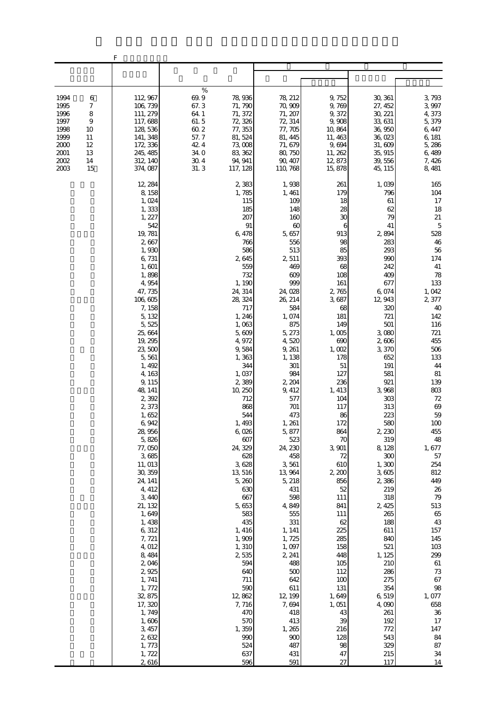|                                                                                                                                      | F                                                                                                                                                                                                                                                                                                                                                                                                                                                                                                                                                                               |                                                                                                                                                                                                                                                                                                                                                                                                                                                                                                   |                                                                                                                                                                                                                                                                                                                                                                                                                                                                                                  |                                                                                                                                                                                                                                                                                                                                                                                                                              |                                                                                                                                                                                                                                                                                                                                                                                                                                                           |                                                                                                                                                                                                                                                                                                                                                                                                                                                   |
|--------------------------------------------------------------------------------------------------------------------------------------|---------------------------------------------------------------------------------------------------------------------------------------------------------------------------------------------------------------------------------------------------------------------------------------------------------------------------------------------------------------------------------------------------------------------------------------------------------------------------------------------------------------------------------------------------------------------------------|---------------------------------------------------------------------------------------------------------------------------------------------------------------------------------------------------------------------------------------------------------------------------------------------------------------------------------------------------------------------------------------------------------------------------------------------------------------------------------------------------|--------------------------------------------------------------------------------------------------------------------------------------------------------------------------------------------------------------------------------------------------------------------------------------------------------------------------------------------------------------------------------------------------------------------------------------------------------------------------------------------------|------------------------------------------------------------------------------------------------------------------------------------------------------------------------------------------------------------------------------------------------------------------------------------------------------------------------------------------------------------------------------------------------------------------------------|-----------------------------------------------------------------------------------------------------------------------------------------------------------------------------------------------------------------------------------------------------------------------------------------------------------------------------------------------------------------------------------------------------------------------------------------------------------|---------------------------------------------------------------------------------------------------------------------------------------------------------------------------------------------------------------------------------------------------------------------------------------------------------------------------------------------------------------------------------------------------------------------------------------------------|
|                                                                                                                                      |                                                                                                                                                                                                                                                                                                                                                                                                                                                                                                                                                                                 |                                                                                                                                                                                                                                                                                                                                                                                                                                                                                                   |                                                                                                                                                                                                                                                                                                                                                                                                                                                                                                  |                                                                                                                                                                                                                                                                                                                                                                                                                              |                                                                                                                                                                                                                                                                                                                                                                                                                                                           |                                                                                                                                                                                                                                                                                                                                                                                                                                                   |
| 1994<br>6<br>1995<br>7<br>8<br>1996<br>1997<br>9<br>1998<br>10<br>1999<br>11<br>2000<br>12<br>2001<br>13<br>2002<br>14<br>2003<br>15 | 112, 967<br>106, 739<br>111, 279<br>117,688<br>128, 536<br>141, 348<br>172, 336<br>245, 485<br>312, 140<br>374, 087                                                                                                                                                                                                                                                                                                                                                                                                                                                             | $\%$<br>69.9<br>78,936<br>67.3<br>71, 790<br>64 1<br>71, 372<br>61.5<br>72, 326<br>60.2<br>77, 353<br>57.7<br>81, 524<br>$42\;4$<br>73,008<br>34.0<br>83, 362<br>$30.4\,$<br>94, 941<br>31.3<br>117, 128                                                                                                                                                                                                                                                                                          | 78, 212<br>70,909<br>71, 207<br>72, 314<br>77, 705<br>81, 445<br>71, 679<br>80, 750<br>90, 407<br>110, 768                                                                                                                                                                                                                                                                                                                                                                                       | 9,752<br>9,769<br>9,372<br>9,908<br>10,864<br>11, 463<br>9,694<br>11, 262<br>12,873<br>15,878                                                                                                                                                                                                                                                                                                                                | 30, 361<br>27, 452<br>30, 221<br>33, 631<br>36,950<br>36,023<br>31,609<br>35, 915<br>39, 556<br>45, 115                                                                                                                                                                                                                                                                                                                                                   | 3,793<br>3,997<br>4,373<br>5,379<br>6,447<br>6, 181<br>5,286<br>6,489<br>7,426<br>8,481                                                                                                                                                                                                                                                                                                                                                           |
|                                                                                                                                      | 12, 284<br>8,158<br>1,024<br>1,333<br>1, 227<br>542<br>19,781<br>2,667<br>1,930<br>6,731<br>1,601<br>1,898<br>4,954<br>47, 735<br>106,605<br>7,158<br>5, 132<br>5,525<br>25,664<br>19, 295<br>23,500<br>5,561<br>1, 492<br>4,163<br>9, 115<br>48, 141<br>2,392<br>2,373<br>1,652<br>6,942<br>28,956<br>5,826<br>77,050<br>3,685<br>11, 013<br>30, 359<br>24, 141<br>4, 412<br>3,440<br>21, 132<br>1,649<br>1, 438<br>6,312<br>7, 721<br>4,012<br>8,484<br>2,046<br>2,925<br>1, 741<br>1,772<br>32, 875<br>17,320<br>1,749<br>1,606<br>3,457<br>2,632<br>1,773<br>1,722<br>2,616 | 2,383<br>1,785<br>115<br>185<br>207<br>91<br>6,478<br>766<br>586<br>2,645<br>559<br>732<br>1, 190<br>24, 314<br>28, 324<br>717<br>1,246<br>1,063<br>5,609<br>4,972<br>9,584<br>1,363<br>344<br>1,037<br>2,389<br>10, 250<br>712<br>868<br>544<br>1,493<br>6,026<br>607<br>24, 329<br>628<br>3,628<br>13, 516<br>5,260<br>630<br>667<br>5,653<br>583<br>435<br>1, 416<br>1,909<br>1,310<br>2535<br>594<br>640<br>711<br>590<br>12,862<br>7, 716<br>470<br>570<br>1,359<br>990<br>524<br>637<br>596 | 1,938<br>1, 461<br>109<br>148<br>160<br>60<br>5,657<br>556<br>513<br>2,511<br>469<br>609<br>999<br>24,028<br>26, 214<br>584<br>1,074<br>875<br>5, 273<br>4,520<br>9, 261<br>1, 138<br>301<br>984<br>2, 204<br>9, 412<br>577<br>701<br>473<br>1, 261<br>5,877<br>523<br>24, 230<br>458<br>3,561<br>13,964<br>5, 218<br>431<br>598<br>4,849<br>555<br>331<br>1, 141<br>1,725<br>1,097<br>2, 241<br>488<br>500<br>642<br>611<br>12, 199<br>7,694<br>418<br>413<br>1,265<br>900<br>487<br>431<br>591 | 261<br>179<br>18<br>28<br>30<br>6<br>913<br>98<br>85<br>393<br>68<br>108<br>161<br>2,765<br>3,687<br>68<br>181<br>149<br>1,005<br>690<br>1,002<br>178<br>$51\,$<br>127<br>236<br>1, 413<br>104<br>117<br>86<br>172<br>864<br>70<br>3,901<br>72<br>610<br>2,200<br>856<br>52<br>111<br>841<br>111<br>62<br>225<br>285<br>158<br>448<br>105<br>112<br>100<br>131<br>1,649<br>1,051<br>43<br>39<br>216<br>128<br>98<br>47<br>27 | 1,039<br>796<br>61<br>62<br>79<br>41<br>2894<br>283<br>293<br>990<br>242<br>409<br>677<br>6,074<br>12, 943<br>320<br>721<br>501<br>3,080<br>2,606<br>3,370<br>652<br>191<br>581<br>921<br>3,968<br>303<br>313<br>223<br>580<br>2,230<br>319<br>8,128<br>300<br>1,300<br>3,605<br>2,386<br>219<br>318<br>2,425<br>265<br>188<br>611<br>840<br>521<br>1, 125<br>210<br>286<br>275<br>354<br>6,519<br>4,090<br>261<br>192<br>772<br>543<br>329<br>215<br>117 | 165<br>104<br>17<br>18<br>$21\,$<br>$\mathbf 5$<br>528<br>46<br>$5\!6$<br>174<br>$41\,$<br>$78\,$<br>133<br>1,042<br>2,377<br>40<br>142<br>116<br>721<br>455<br>506<br>133<br>44<br>$81\,$<br>139<br>803<br>$72\,$<br>$69\,$<br>59<br>100<br>455<br>48<br>1, 677<br>57<br>254<br>812<br>449<br>26<br>79<br>513<br>65<br>43<br>157<br>145<br>103<br>299<br>$61\,$<br>73<br>67<br>98<br>1,077<br>658<br>$36\,$<br>17<br>147<br>84<br>87<br>34<br>14 |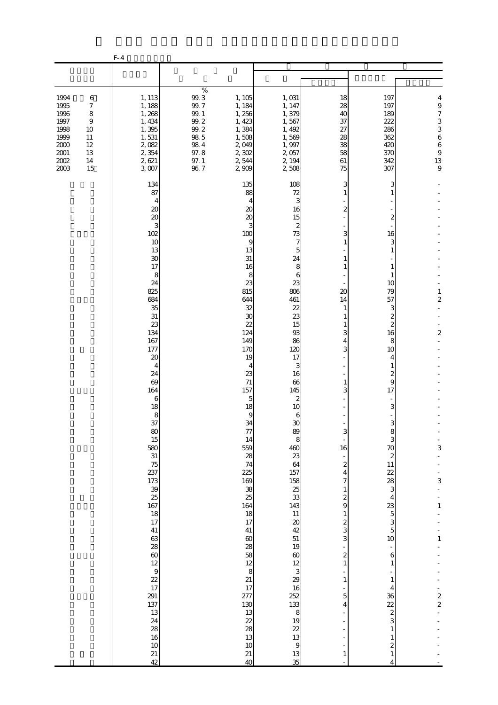|                                                                                          |                                                                         | $F-4$                                                                                                                                                                                                                                                                                                                                                                                                                                  |                                                                                                             |                                                                                                                                                                                                                                                                                                                                                                       |                                                                                                                                                                                                                                                                                                                                                                                                                                                                                                                                          |                                                                                                                                                                                                                                                                                                      |                                                                                                                                                                                                                                                                                                                                                                                                                                                                                |                                                                                                               |
|------------------------------------------------------------------------------------------|-------------------------------------------------------------------------|----------------------------------------------------------------------------------------------------------------------------------------------------------------------------------------------------------------------------------------------------------------------------------------------------------------------------------------------------------------------------------------------------------------------------------------|-------------------------------------------------------------------------------------------------------------|-----------------------------------------------------------------------------------------------------------------------------------------------------------------------------------------------------------------------------------------------------------------------------------------------------------------------------------------------------------------------|------------------------------------------------------------------------------------------------------------------------------------------------------------------------------------------------------------------------------------------------------------------------------------------------------------------------------------------------------------------------------------------------------------------------------------------------------------------------------------------------------------------------------------------|------------------------------------------------------------------------------------------------------------------------------------------------------------------------------------------------------------------------------------------------------------------------------------------------------|--------------------------------------------------------------------------------------------------------------------------------------------------------------------------------------------------------------------------------------------------------------------------------------------------------------------------------------------------------------------------------------------------------------------------------------------------------------------------------|---------------------------------------------------------------------------------------------------------------|
|                                                                                          |                                                                         |                                                                                                                                                                                                                                                                                                                                                                                                                                        |                                                                                                             |                                                                                                                                                                                                                                                                                                                                                                       |                                                                                                                                                                                                                                                                                                                                                                                                                                                                                                                                          |                                                                                                                                                                                                                                                                                                      |                                                                                                                                                                                                                                                                                                                                                                                                                                                                                |                                                                                                               |
| 1994<br>1995<br>1996<br>1997<br>1998<br>1999<br>$2000\,$<br>$2001\,$<br>$2002\,$<br>2003 | $\,6$<br>7<br>8<br>$\boldsymbol{9}$<br>10<br>11<br>12<br>13<br>14<br>15 | 1, 113<br>1, 188<br>1,268<br>1, 434<br>1,395<br>1,531<br>2,082<br>2,354<br>2,621<br>3,007                                                                                                                                                                                                                                                                                                                                              | $\%$<br>99.3<br>99.7<br>$99.1\,$<br>$99.2\,$<br>$99.2\,$<br>$98\ 5$<br>$98\ 4$<br>97.8<br>$97. \;1$<br>96.7 | 1, 105<br>1, 184<br>1,256<br>1, 423<br>1,384<br>1,508<br>2,049<br>2,302<br>2,544<br>2,909                                                                                                                                                                                                                                                                             | 1,031<br>1, 147<br>1,379<br>1,567<br>1, 492<br>1,569<br>1,997<br>2,057<br>2, 194<br>2,508                                                                                                                                                                                                                                                                                                                                                                                                                                                | 18<br>28<br>40<br>37<br>27<br>28<br>38<br>58<br>61<br>75                                                                                                                                                                                                                                             | 197<br>197<br>189<br>222<br>286<br>362<br>420<br>370<br>342<br>307                                                                                                                                                                                                                                                                                                                                                                                                             | 4<br>$\theta$<br>$\begin{array}{c} 7 \\ 3 \\ 3 \\ 6 \end{array}$<br>$\boldsymbol{6}$<br>$\frac{9}{13}$        |
|                                                                                          |                                                                         | 134<br>87<br>4<br>20<br>20<br>3<br>102<br>10<br>13<br>30<br>17<br>8<br>24<br>825<br>684<br>35<br>31<br>23<br>134<br>167<br>177<br>20<br>4<br>24<br>69<br>164<br>6<br>18<br>8<br>37<br>80<br>15<br>580<br>31<br>$\frac{75}{237}$<br>$173$<br>$39$<br>$25$<br>$167$<br>$18$<br>$17$<br>41<br>63<br>28<br>$rac{60}{12}$<br>$\begin{array}{c}\n9 \\ 22 \\ 17\n\end{array}$<br>$\frac{291}{137}$<br>24<br>28<br>16<br>10<br>$\frac{21}{42}$ |                                                                                                             | 135<br>88<br>20<br>20<br>3<br>100<br>9<br>13<br>31<br>16<br>8<br>23<br>815<br>644<br>32<br>30<br>22<br>124<br>149<br>170<br>19<br>4<br>23<br>71<br>157<br>5<br>18<br>9<br>34<br>77<br>14<br>559<br>28<br>74<br>225<br>169<br>38<br>25<br>164<br>18<br>17<br>41<br>$\infty$<br>28<br>58<br>12<br>8<br>21<br>17<br>277<br>130<br>13<br>22<br>28<br>13<br>10<br>21<br>40 | 108<br>72<br>3<br>16<br>15<br>2<br>73<br>7<br>5<br>24<br>8<br>6<br>23<br>806<br>461<br>22<br>23<br>15<br>93<br>86<br>120<br>17<br>3<br>16<br>66<br>145<br>$\boldsymbol{z}$<br>10<br>6<br>30<br>89<br>8<br>$\frac{460}{23}$<br>64<br>157<br>$\begin{array}{c} 158 \\ 25 \\ 33 \end{array}$<br>143<br>11<br>$\boldsymbol{\mathfrak{D}}$<br>42<br>51<br>19<br>$\omega$<br>12<br>3<br>29<br>16<br>$\begin{array}{c}\n 252 \\  133 \\  8\n \end{array}$<br>$\begin{array}{c} 19 \\ 22 \\ 13 \end{array}$<br>$\overline{9}$<br>$\frac{13}{35}$ | 3<br>1<br>2<br>3<br>1<br>1<br>1<br>20<br>14<br>1<br>-1<br>3<br>4<br>3<br>1<br>3<br>3<br>16<br>$\boldsymbol{z}$<br>4<br>7<br>$\mathbf{1}$<br>$\boldsymbol{z}$<br>9<br>$\mathbf{1}$<br>$\boldsymbol{z}$<br>3<br>3<br>$\overline{\mathbf{c}}$<br>$\mathbf{1}$<br>$\mathbf{1}$<br>5<br>4<br>$\mathbf{1}$ | 3<br>2<br>16<br>3<br>1<br>1<br>1<br>10<br>79<br>57<br>З<br>2<br>2<br>16<br>8<br>10<br>4<br>1<br>2<br>9<br>17<br>3<br>R<br>8<br>3<br>70<br>$\boldsymbol{z}$<br>$11\,$<br>$\begin{array}{c} 22 \\ 28 \\ 3 \end{array}$<br>$\overline{4}$<br>$\begin{bmatrix} 23 \\ 5 \end{bmatrix}$<br>3<br>$\overline{5}$<br>10<br>6<br>$\mathbf{1}$<br>$\mathbf{1}$<br>4<br>36<br>22<br>$\boldsymbol{z}$<br>3<br>$\mathbf{1}$<br>$\mathbf{1}$<br>$\overline{\mathcal{Z}}$<br>$\mathbf{1}$<br>4 | $\mathbf{1}$<br>$\overline{\mathbf{c}}$<br>$\mathbf{z}$<br>3<br>3<br>$\mathbf{1}$<br>$\,1\,$<br>$\frac{2}{2}$ |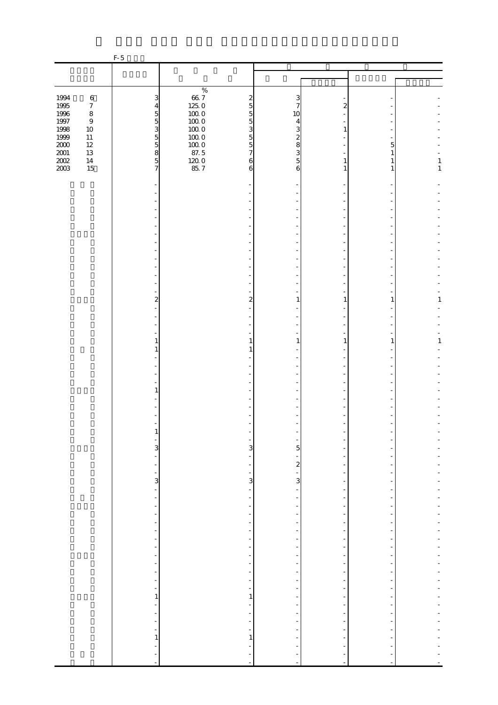|                  |                  | $F-5$                                                    |                                                      |                               |                                                      |                |              |
|------------------|------------------|----------------------------------------------------------|------------------------------------------------------|-------------------------------|------------------------------------------------------|----------------|--------------|
|                  |                  |                                                          |                                                      |                               |                                                      |                |              |
|                  |                  |                                                          |                                                      |                               |                                                      |                |              |
|                  |                  |                                                          | $\%$                                                 |                               |                                                      |                |              |
| 1994             | $\,6\,$          | 3                                                        | $66\ 7$<br>$\boldsymbol{z}$                          | 3                             |                                                      |                |              |
| $1995\,$         | $\boldsymbol{7}$ | $\overline{4}$                                           | 125.0<br>$\overline{5}$                              | 7                             | 2                                                    |                |              |
| $1996\,$         | $\,8\,$          | $\overline{5}$                                           | $100\;0$<br>$\overline{5}$<br>$100\;0$               | 10                            |                                                      |                |              |
| $1997\,$<br>1998 | $\,9$<br>$10\,$  | $\overline{5}$<br>3                                      | $\overline{5}$<br>$100\;0$<br>3                      | 4<br>3                        | 1                                                    |                |              |
| 1999             | $11\,$           |                                                          | $100\;0$<br>$\overline{5}$                           | 2                             |                                                      |                |              |
| $2000\,$         | $12\,$           | $\begin{array}{c} 5 \\ 5 \\ 8 \end{array}$               | $100\;0$<br>$\overline{5}$                           | 8                             |                                                      | 5              |              |
| $2001\,$         | $13\,$           |                                                          | 87.5<br>$\overline{7}$                               | 3                             |                                                      | 1              |              |
| $200\!$          | $14\,$           |                                                          | $\frac{120}{85}$ 7<br>$\boldsymbol{6}$               | $\overline{5}$                | 1                                                    |                | $\mathbf{1}$ |
| 2003             | 15               | $\overline{7}$                                           | 6                                                    | 6                             | 1                                                    | 1              | $\mathbf{1}$ |
|                  |                  |                                                          |                                                      |                               |                                                      |                |              |
|                  |                  |                                                          |                                                      |                               |                                                      |                |              |
|                  |                  |                                                          |                                                      |                               |                                                      |                |              |
|                  |                  |                                                          |                                                      |                               |                                                      |                |              |
|                  |                  |                                                          |                                                      |                               |                                                      |                |              |
|                  |                  |                                                          |                                                      |                               |                                                      |                |              |
|                  |                  |                                                          |                                                      |                               |                                                      |                |              |
|                  |                  |                                                          |                                                      |                               |                                                      |                |              |
|                  |                  |                                                          |                                                      |                               |                                                      |                |              |
|                  |                  |                                                          |                                                      |                               |                                                      |                |              |
|                  |                  |                                                          |                                                      |                               |                                                      |                |              |
|                  |                  |                                                          |                                                      |                               |                                                      |                |              |
|                  |                  |                                                          |                                                      |                               |                                                      |                |              |
|                  |                  | $\overline{\mathbf{c}}$                                  |                                                      | 2<br>1                        | 1                                                    | 1              | 1            |
|                  |                  |                                                          |                                                      |                               |                                                      |                |              |
|                  |                  |                                                          |                                                      |                               |                                                      |                |              |
|                  |                  |                                                          |                                                      |                               |                                                      |                |              |
|                  |                  | 1                                                        | 1                                                    | 1                             | 1                                                    | 1              | $\,1\,$      |
|                  |                  | 1                                                        |                                                      |                               |                                                      |                |              |
|                  |                  |                                                          |                                                      |                               |                                                      |                |              |
|                  |                  |                                                          |                                                      |                               |                                                      |                |              |
|                  |                  |                                                          |                                                      |                               |                                                      |                |              |
|                  |                  | 1                                                        |                                                      |                               |                                                      |                |              |
|                  |                  |                                                          |                                                      |                               |                                                      |                |              |
|                  |                  |                                                          |                                                      |                               |                                                      |                |              |
|                  |                  |                                                          |                                                      |                               |                                                      |                |              |
|                  |                  |                                                          |                                                      |                               |                                                      |                |              |
|                  |                  |                                                          |                                                      |                               |                                                      |                |              |
|                  |                  |                                                          |                                                      |                               |                                                      |                |              |
|                  |                  | $\overline{3}$<br>$\frac{1}{2}$                          |                                                      | $\overline{3}$<br>5           |                                                      |                |              |
|                  |                  | $\overline{\phantom{0}}$                                 | $\overline{a}$<br>$\overline{\phantom{0}}$           | -<br>$\boldsymbol{z}$         |                                                      |                |              |
|                  |                  | ÷,                                                       | ÷,                                                   | $\overline{\phantom{0}}$      | $\overline{\phantom{m}}$                             |                |              |
|                  |                  | $\mathbf{3}$                                             |                                                      | 3<br>$\mathbf{3}$             | $\overline{\phantom{m}}$                             |                |              |
|                  |                  | $\blacksquare$                                           | $\overline{\phantom{a}}$                             | $\overline{\phantom{0}}$      | $\overline{\phantom{a}}$                             | $\overline{a}$ |              |
|                  |                  | $\overline{\phantom{0}}$                                 | $\overline{\phantom{0}}$                             |                               |                                                      |                |              |
|                  |                  | -                                                        | ÷                                                    | -                             | -                                                    |                |              |
|                  |                  | $\blacksquare$<br>$\frac{1}{2}$                          | $\overline{\phantom{a}}$<br>$\overline{\phantom{0}}$ | -<br>÷                        | $\overline{\phantom{m}}$<br>$\overline{\phantom{m}}$ | $\overline{a}$ |              |
|                  |                  | $\frac{1}{2}$                                            | $\overline{\phantom{a}}$                             |                               | $\overline{\phantom{a}}$                             |                |              |
|                  |                  | $\overline{\phantom{a}}$                                 | $\overline{\phantom{a}}$                             | $\frac{1}{2}$                 | $\frac{1}{2}$                                        |                |              |
|                  |                  | $\overline{\phantom{a}}$                                 | $\overline{\phantom{a}}$                             | -                             | $\overline{\phantom{m}}$                             |                |              |
|                  |                  | $\qquad \qquad \blacksquare$                             | -                                                    |                               | ÷                                                    |                |              |
|                  |                  | $\overline{\phantom{0}}$                                 | $\overline{\phantom{a}}$                             | ÷                             | $\frac{1}{2}$                                        | -              |              |
|                  |                  | $\overline{\phantom{a}}$                                 | $\overline{\phantom{0}}$                             | -                             | $\overline{\phantom{m}}$                             | ۰<br>÷         |              |
|                  |                  | $\overline{\phantom{0}}$<br>$\qquad \qquad \blacksquare$ | $\overline{\phantom{a}}$<br>$\frac{1}{\sqrt{2}}$     | $\frac{1}{2}$                 | $\overline{\phantom{m}}$<br>$\overline{\phantom{m}}$ |                |              |
|                  |                  | 1                                                        | 1                                                    | $\overline{a}$                | $\overline{a}$                                       |                |              |
|                  |                  | $\blacksquare$                                           | $\overline{\phantom{a}}$                             | $\overline{\phantom{m}}$      | $\overline{\phantom{a}}$                             | $\overline{a}$ |              |
|                  |                  | $\overline{\phantom{0}}$                                 | -                                                    |                               |                                                      |                |              |
|                  |                  | $\frac{1}{2}$                                            | $\overline{\phantom{a}}$                             | -                             | $\overline{\phantom{m}}$                             |                |              |
|                  |                  | $\blacksquare$                                           | $\overline{\phantom{a}}$                             | -                             | $\overline{\phantom{a}}$                             |                |              |
|                  |                  | $\,1$                                                    | $\,1\,$                                              |                               |                                                      |                |              |
|                  |                  | $\blacksquare$<br>÷                                      |                                                      |                               |                                                      |                |              |
|                  |                  | $\blacksquare$                                           | $\overline{a}$                                       | ÷<br>$\overline{\phantom{a}}$ | $\blacksquare$                                       |                |              |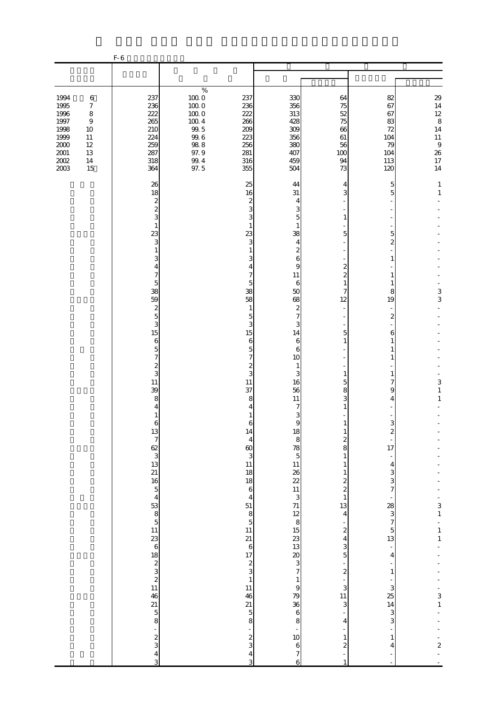|                                                                                                                                                                                                             | $F-6$                                                              |                                                                                                                                                                                                                                              |                                                                                                                                                                                                                                                                                                                                                                                                                                                                                                                                              |                                                                                                                                                                                                                                                                                                  |                                                                                                                                                                                                                                                                                                                                                                                                                                                                                                                                      |                                                                                                                                                                                                                                                                                                                                                                                                                                                                        |                                                                                                                                                                                                                                        |
|-------------------------------------------------------------------------------------------------------------------------------------------------------------------------------------------------------------|--------------------------------------------------------------------|----------------------------------------------------------------------------------------------------------------------------------------------------------------------------------------------------------------------------------------------|----------------------------------------------------------------------------------------------------------------------------------------------------------------------------------------------------------------------------------------------------------------------------------------------------------------------------------------------------------------------------------------------------------------------------------------------------------------------------------------------------------------------------------------------|--------------------------------------------------------------------------------------------------------------------------------------------------------------------------------------------------------------------------------------------------------------------------------------------------|--------------------------------------------------------------------------------------------------------------------------------------------------------------------------------------------------------------------------------------------------------------------------------------------------------------------------------------------------------------------------------------------------------------------------------------------------------------------------------------------------------------------------------------|------------------------------------------------------------------------------------------------------------------------------------------------------------------------------------------------------------------------------------------------------------------------------------------------------------------------------------------------------------------------------------------------------------------------------------------------------------------------|----------------------------------------------------------------------------------------------------------------------------------------------------------------------------------------------------------------------------------------|
|                                                                                                                                                                                                             |                                                                    |                                                                                                                                                                                                                                              |                                                                                                                                                                                                                                                                                                                                                                                                                                                                                                                                              |                                                                                                                                                                                                                                                                                                  |                                                                                                                                                                                                                                                                                                                                                                                                                                                                                                                                      |                                                                                                                                                                                                                                                                                                                                                                                                                                                                        |                                                                                                                                                                                                                                        |
| 1994<br>$\boldsymbol{6}$<br>1995<br>$\boldsymbol{7}$<br>1996<br>$\,8\,$<br>1997<br>$\boldsymbol{9}$<br>1998<br>10<br>1999<br>11<br>$2000\,$<br>$12\,$<br>$2001\,$<br>13<br>$2002\,$<br>$14\,$<br>2003<br>15 | 237<br>236<br>222<br>265<br>210<br>224<br>259<br>287<br>318<br>364 | $\%$<br>$100\;0$<br>$100\;0$<br>$100\;0$<br>$100\ 4$<br>$99.5$<br>$99.6$<br>$98\ 8$<br>97.9<br>99.4<br>97.5                                                                                                                                  | 237<br>236<br>222<br>266<br>209<br>223<br>256<br>281<br>316<br>355                                                                                                                                                                                                                                                                                                                                                                                                                                                                           | 330<br>356<br>313<br>428<br>309<br>356<br>380<br>407<br>459<br>504                                                                                                                                                                                                                               | 64<br>75<br>52<br>75<br>66<br>61<br>56<br>100<br>94<br>73                                                                                                                                                                                                                                                                                                                                                                                                                                                                            | 82<br>67<br>67<br>83<br>72<br>104<br>79<br>104<br>113<br>120                                                                                                                                                                                                                                                                                                                                                                                                           | $29$<br>$14$<br>$12$<br>$\,8\,$<br>14<br>$11\,$<br>$\boldsymbol{9}$<br>26<br>$17\,$<br>14                                                                                                                                              |
|                                                                                                                                                                                                             | 26<br>18<br>23<br>38<br>59<br>15<br>11<br>39                       | $\boldsymbol{z}$<br>$\overline{\mathcal{Z}}$<br>3<br>1<br>3<br>$\mathbf{1}$<br>3<br>4<br>7<br>5<br>$\overline{\mathcal{Z}}$<br>$\overline{5}$<br>3<br>6<br>5<br>7<br>$\overline{\mathcal{Z}}$<br>3<br>8<br>4<br>1<br>6<br>21 5 8 $-$ 2 3 4 3 | 25<br>16<br>$\boldsymbol{z}$<br>3<br>3<br>1<br>23<br>3<br>$\mathbf{1}$<br>3<br>4<br>7<br>5<br>38<br>58<br>$\mathbf{1}$<br>$\overline{5}$<br>3<br>15<br>6<br>5<br>7<br>$\boldsymbol{z}$<br>3<br>11<br>37<br>8<br>4<br>1<br>6<br>14<br>$\begin{array}{c}\n4 \\ 60 \\ 3\n\end{array}$<br>11<br>18<br>$\begin{array}{c} 18 \\ 6 \end{array}$<br>$\overline{4}$<br>$\begin{array}{c} 51 \\ 8 \\ 5 \\ 11 \end{array}$<br>21<br>$617$<br>$23$<br>$1$<br>$11$<br>46<br>$\begin{array}{c} 21 \\ 5 \\ 8 \end{array}$<br>$\frac{1}{2}$<br>$\frac{4}{3}$ | 44<br>31<br>4<br>3<br>5<br>1<br>38<br>$\overline{4}$<br>$\boldsymbol{z}$<br>6<br>9<br>11<br>6<br>50<br>68<br>$\boldsymbol{z}$<br>$\overline{7}$<br>3<br>14<br>6<br>6<br>10<br>1<br>3<br>16<br>56<br>11<br>7<br>3<br>9<br>$\begin{array}{c}\n19 \\ 79 \\ 86 \\ 68 \\ -106 \\ 7\n\end{array}$<br>6 | 4<br>3<br>1<br>5<br>$\boldsymbol{z}$<br>$\overline{\mathcal{Z}}$<br>$\mathbf{1}$<br>7<br>12<br>5<br>$\mathbf{1}$<br>1<br>5<br>8<br>3<br>1<br>$\mathbf{1}$<br>$\frac{2}{8}$<br>$\mathbf{1}$<br>$1\,$<br>$\mathbf{1}$<br>$\begin{array}{c} 2 \\ 2 \\ 1 \end{array}$<br>$\frac{13}{4}$<br>$\frac{1}{\sqrt{2}}$<br>$\overline{\mathcal{L}}$<br>$\overline{\mathbf{4}}$<br>$\frac{3}{5}$<br>$\overline{\mathcal{L}}$<br>$\frac{1}{3}$<br>11<br>3<br>$\overline{4}$<br>$\mathbf{1}$<br>$\overline{\mathcal{L}}$<br>$\overline{a}$<br>$1\,$ | 5<br>5<br>5<br>$\overline{c}$<br>1<br>1<br>1<br>8<br>19<br>$\boldsymbol{z}$<br>6<br>1<br>1<br>1<br>7<br>9<br>4<br>3<br>$\boldsymbol{z}$<br>$\frac{1}{17}$<br>$\overline{4}$<br>$\frac{3}{7}$<br>$\begin{array}{c}\n 28 \\  3 \\  7\n \end{array}$<br>$\begin{array}{c} 5 \\ 13 \end{array}$<br>$\overline{\phantom{a}}$<br>$\overline{\mathbf{r}}$<br>$\mathbf{1}$<br>$\begin{array}{c}\n3 \\ 14\n\end{array}$<br>$\frac{3}{3}$<br>$\mathbf{1}$<br>$\overline{4}$<br>÷ | $\mathbf{1}$<br>$\mathbf{1}$<br>3<br>3<br>$\,$ 3 $\,$<br>$\mathbf{1}$<br>$\mathbf{1}$<br>$\begin{array}{c} 3 \\ 1 \end{array}$<br>$\begin{array}{c} 1 \\ 1 \\ 1 \end{array}$<br>$\begin{array}{c} 3 \\ 1 \end{array}$<br>$\frac{1}{2}$ |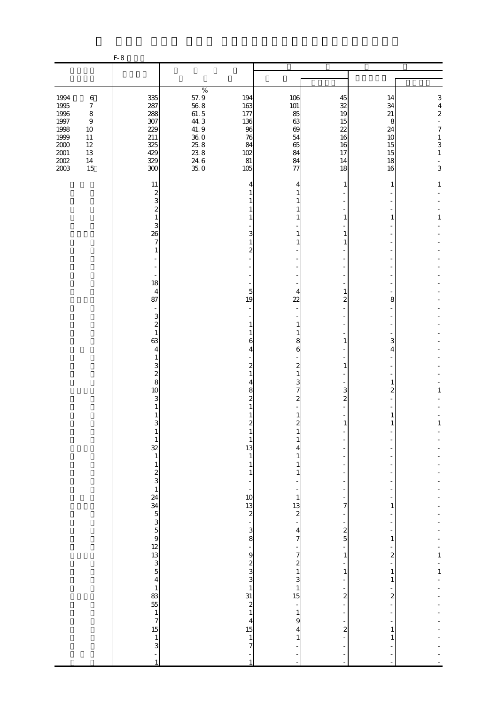|                                                                                             |                                                                                                                  | $F-8$                                                                                                                                                                                                                                                                                                           |                                                                                                 |                                                                                                                                                                                                                                                       |                                                                                                                                                                                 |                                                                                                                                  |                                                         |                                                                                                                    |
|---------------------------------------------------------------------------------------------|------------------------------------------------------------------------------------------------------------------|-----------------------------------------------------------------------------------------------------------------------------------------------------------------------------------------------------------------------------------------------------------------------------------------------------------------|-------------------------------------------------------------------------------------------------|-------------------------------------------------------------------------------------------------------------------------------------------------------------------------------------------------------------------------------------------------------|---------------------------------------------------------------------------------------------------------------------------------------------------------------------------------|----------------------------------------------------------------------------------------------------------------------------------|---------------------------------------------------------|--------------------------------------------------------------------------------------------------------------------|
|                                                                                             |                                                                                                                  |                                                                                                                                                                                                                                                                                                                 |                                                                                                 |                                                                                                                                                                                                                                                       |                                                                                                                                                                                 |                                                                                                                                  |                                                         |                                                                                                                    |
| 1994<br>1995<br>1996<br>$1997\,$<br>1998<br>1999<br>$2000\,$<br>$2001\,$<br>$200\!$<br>2003 | $\,6$<br>$\boldsymbol{7}$<br>$\,8\,$<br>$\boldsymbol{9}$<br>$10\,$<br>$11\,$<br>$12\,$<br>$13\,$<br>$14\,$<br>15 | 335<br>287<br>288<br>307<br>229<br>211<br>325<br>429<br>329<br>300                                                                                                                                                                                                                                              | $\%$<br>$\frac{57.9}{56.8}$<br>$61.\,\,5$<br>44.3<br>41.9<br>$\frac{360}{258}$<br>$246$<br>35.0 | 194<br>163<br>177<br>136<br>96<br>76<br>84<br>102<br>81<br>105                                                                                                                                                                                        | 106<br>101<br>85<br>63<br>69<br>54<br>65<br>84<br>84<br>77                                                                                                                      | 45<br>32<br>19<br>15<br>22<br>16<br>16<br>17<br>14<br>18                                                                         | 14<br>34<br>21<br>8<br>24<br>10<br>15<br>15<br>18<br>16 | 3<br>$\overline{4}$<br>$\overline{\mathcal{L}}$<br>$\frac{1}{2}$<br>$\boldsymbol{7}$<br>$\,1$<br>3<br>$\,1\,$<br>3 |
|                                                                                             |                                                                                                                  | 11<br>$\boldsymbol{z}$<br>3<br>$\overline{\mathcal{Z}}$<br>$\mathbf{1}$<br>3<br>26<br>$\boldsymbol{7}$<br>$\mathbf{1}$<br>$\overline{a}$<br>18<br>4<br>87<br>$\overline{\phantom{a}}$                                                                                                                           |                                                                                                 | 4<br>3<br>$\mathbf{1}$<br>$\mathbf{z}$<br>5<br>19                                                                                                                                                                                                     | 4<br>1<br>1<br>1<br>1<br>1<br>4<br>$\overline{22}$                                                                                                                              | 1<br>1<br>1<br>1<br>1<br>2                                                                                                       | 1<br>1<br>8                                             | $\mathbf{1}$<br>$\mathbf{1}$                                                                                       |
|                                                                                             |                                                                                                                  | 3<br>$\overline{\mathcal{L}}$<br>$1\,$<br>63<br>4<br>1<br>3<br>$\overline{\mathcal{L}}$<br>8<br>10<br>3<br>1<br>1<br>$\overline{3}$<br>$\mathbf{1}$<br>$\frac{32}{1}$                                                                                                                                           |                                                                                                 | 1<br>6<br>4<br>$\boldsymbol{z}$<br>1<br>4<br>8<br>2<br>$\boldsymbol{2}$<br>$\mathbf{1}$<br>13<br>$\mathbf{1}$                                                                                                                                         | 1<br>1<br>8<br>6<br>$\boldsymbol{z}$<br>$\mathbf{1}$<br>3<br>7<br>2<br>1<br>$\mathbf{z}$<br>1<br>4<br>1                                                                         | 1<br>1<br>3<br>2<br>1                                                                                                            | 3<br>4<br>1<br>2<br>1<br>1                              | 1<br>$\,1$                                                                                                         |
|                                                                                             |                                                                                                                  | $\,1\,$<br>$\begin{array}{c} 2 \\ 3 \\ 1 \end{array}$<br>24<br>$34$<br>$5$<br>$3$<br>$5$<br>$5$<br>$9$<br>$12$<br>$3$<br>$5$<br>$5$<br>$4$<br>$1$<br>$3$<br>$5$<br>$5$<br>$4$<br>$1$<br>$3$<br>$5$<br>$4$<br>$1$<br>$3$<br>$5$<br>$4$<br>$1$<br>$3$<br>$5$<br>$4$<br>$1$<br>$3$<br>$5$<br>$4$<br>$1$<br>$3$<br> |                                                                                                 | $\mathbf{1}$<br>$\mathbf{1}$<br>$\overline{\phantom{0}}$<br>10<br>13<br>$\overline{\mathcal{L}}$<br>÷,<br>$\mathbf{3}$<br>$\bf{8}$<br>÷<br>9<br>$\begin{array}{c}\n2 \\ 3 \\ 3 \\ 1 \\ \end{array}$<br>$\frac{2}{1}$<br>$\overline{\mathbf{4}}$<br>15 | 1<br>1<br>$\mathbf{1}$<br>13<br>$\boldsymbol{z}$<br>4<br>$\overline{\phantom{a}}$<br>7<br>$\boldsymbol{z}$<br>$\,1\,$<br>3<br>$\mathbf{1}$<br>15<br>÷<br>$\mathbf{1}$<br>9<br>4 | 7<br>$\overline{a}$<br>$\boldsymbol{z}$<br>$\overline{5}$<br>1<br>$\,1\,$<br>$\overline{\mathbf{c}}$<br>$\overline{\mathcal{Z}}$ | 1<br>1<br>2<br>$\mathbf{1}$<br>1<br>2<br>1              | $\mathbf{1}$<br>$\mathbf 1$                                                                                        |
|                                                                                             |                                                                                                                  | $\begin{array}{c} 15 \\ 1 \\ 3 \end{array}$                                                                                                                                                                                                                                                                     |                                                                                                 | $\,1\,$<br>7                                                                                                                                                                                                                                          | 1<br>Ē,                                                                                                                                                                         |                                                                                                                                  |                                                         |                                                                                                                    |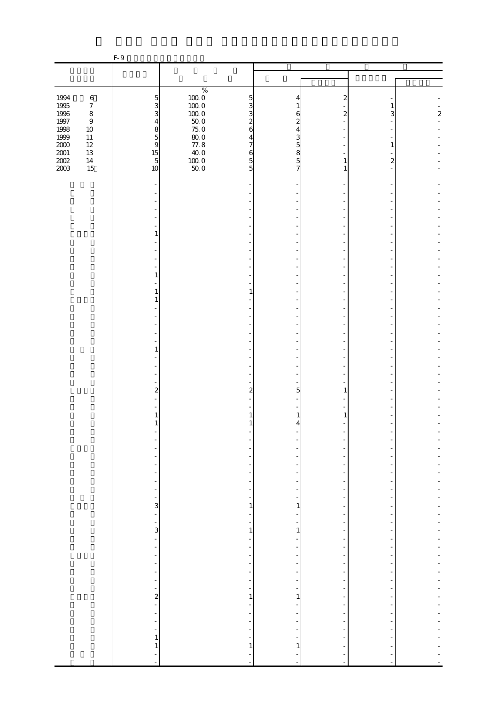|                                            |                            | F-9                                        |                                      |                               |                                            |                                                      |              |                  |
|--------------------------------------------|----------------------------|--------------------------------------------|--------------------------------------|-------------------------------|--------------------------------------------|------------------------------------------------------|--------------|------------------|
|                                            |                            |                                            |                                      |                               |                                            |                                                      |              |                  |
|                                            |                            |                                            |                                      |                               |                                            |                                                      |              |                  |
|                                            |                            |                                            | $\%$                                 |                               |                                            |                                                      |              |                  |
| 1994                                       | $\,6\,$                    | $\overline{5}$                             | $1000$<br>$1000$<br>$1000$<br>$500$  | 5                             | 4                                          | $\mathbf{z}$                                         |              |                  |
| 1995<br>1996                               | $\boldsymbol{7}$           | $\overline{3}$                             |                                      | 3                             | 1                                          |                                                      |              |                  |
|                                            | $\,8\,$                    | 3                                          |                                      | 3                             | 6                                          | $\mathbf{z}$                                         | 3            | $\boldsymbol{z}$ |
| 1997<br>1998                               | $\boldsymbol{9}$<br>$10\,$ | $\overline{4}$                             |                                      | $\overline{c}$<br>6           | $\overline{c}$                             |                                                      |              |                  |
|                                            | $11\,$                     | $\begin{array}{c} 8 \\ 5 \\ 9 \end{array}$ | $75.0$<br>$80.0$<br>$77.8$<br>$40.0$ | 4                             | 4<br>3                                     |                                                      |              |                  |
| $\frac{1999}{2000}$<br>$\frac{2001}{2002}$ | $12\,$                     |                                            |                                      | 7                             |                                            |                                                      |              |                  |
|                                            | $13\,$                     |                                            |                                      | 6                             | $\begin{array}{c} 5 \\ 8 \\ 5 \end{array}$ |                                                      |              |                  |
|                                            | $14\,$                     | $\frac{15}{5}$                             | 10000                                | $\overline{5}$                |                                            | 1                                                    | $\mathbf{z}$ |                  |
|                                            | 15                         | 10                                         |                                      | 5                             | $\overline{7}$                             | 1                                                    |              |                  |
|                                            |                            |                                            |                                      |                               |                                            |                                                      |              |                  |
|                                            |                            |                                            |                                      |                               |                                            |                                                      |              |                  |
|                                            |                            |                                            |                                      |                               |                                            |                                                      |              |                  |
|                                            |                            |                                            |                                      |                               |                                            |                                                      |              |                  |
|                                            |                            |                                            |                                      |                               |                                            |                                                      |              |                  |
|                                            |                            |                                            |                                      |                               |                                            |                                                      |              |                  |
|                                            |                            | 1                                          |                                      |                               |                                            |                                                      |              |                  |
|                                            |                            |                                            |                                      |                               |                                            |                                                      |              |                  |
|                                            |                            |                                            |                                      |                               |                                            |                                                      |              |                  |
|                                            |                            |                                            |                                      |                               |                                            |                                                      |              |                  |
|                                            |                            | $\mathbf{1}$                               |                                      |                               |                                            |                                                      |              |                  |
|                                            |                            |                                            |                                      |                               |                                            |                                                      |              |                  |
|                                            |                            | 1                                          |                                      | 1                             |                                            |                                                      |              |                  |
|                                            |                            | 1                                          |                                      |                               |                                            |                                                      |              |                  |
|                                            |                            |                                            |                                      |                               |                                            |                                                      |              |                  |
|                                            |                            |                                            |                                      |                               |                                            |                                                      |              |                  |
|                                            |                            |                                            |                                      |                               |                                            |                                                      |              |                  |
|                                            |                            |                                            |                                      |                               |                                            |                                                      |              |                  |
|                                            |                            |                                            |                                      |                               |                                            |                                                      |              |                  |
|                                            |                            | 1                                          |                                      |                               |                                            |                                                      |              |                  |
|                                            |                            |                                            |                                      |                               |                                            |                                                      |              |                  |
|                                            |                            |                                            |                                      |                               |                                            |                                                      |              |                  |
|                                            |                            |                                            |                                      |                               |                                            |                                                      |              |                  |
|                                            |                            | $\overline{\mathbf{c}}$                    |                                      | 2                             | 5                                          | 1                                                    |              |                  |
|                                            |                            |                                            |                                      |                               |                                            |                                                      |              |                  |
|                                            |                            |                                            |                                      |                               |                                            |                                                      |              |                  |
|                                            |                            | 1                                          |                                      |                               | 1<br>4                                     |                                                      |              |                  |
|                                            |                            |                                            |                                      |                               |                                            |                                                      |              |                  |
|                                            |                            |                                            |                                      |                               |                                            |                                                      |              |                  |
|                                            |                            |                                            |                                      |                               |                                            |                                                      |              |                  |
|                                            |                            |                                            |                                      |                               |                                            |                                                      |              |                  |
|                                            |                            |                                            |                                      |                               |                                            |                                                      |              |                  |
|                                            |                            | ÷                                          |                                      | $\overline{a}$                |                                            | ł,                                                   |              |                  |
|                                            |                            | $\frac{1}{2}$                              |                                      | $\overline{\phantom{a}}$      |                                            | $\overline{\phantom{a}}$                             |              |                  |
|                                            |                            |                                            |                                      | $\overline{\phantom{a}}$      | $\overline{\phantom{a}}$                   | $\overline{\phantom{a}}$                             |              |                  |
|                                            |                            | $\frac{1}{3}$                              |                                      | 1                             | 1                                          | $\overline{\phantom{a}}$                             |              |                  |
|                                            |                            | ÷                                          |                                      |                               |                                            | $\overline{a}$                                       |              |                  |
|                                            |                            |                                            |                                      |                               |                                            | $\overline{a}$                                       |              |                  |
|                                            |                            | $\frac{1}{3}$                              |                                      | $\mathbf{1}$                  | $1\vert$                                   | $\overline{\phantom{m}}$                             |              |                  |
|                                            |                            |                                            |                                      | $\overline{\phantom{a}}$      |                                            | $\overline{\phantom{a}}$                             |              |                  |
|                                            |                            | ÷,                                         |                                      | $\overline{\phantom{a}}$      |                                            | $\overline{\phantom{m}}$                             |              |                  |
|                                            |                            | $\overline{\phantom{a}}$                   |                                      |                               |                                            | $\overline{\phantom{a}}$                             |              |                  |
|                                            |                            | $\frac{1}{\sqrt{2}}$                       |                                      | $\overline{\phantom{0}}$      |                                            | $\overline{\phantom{a}}$<br>$\overline{\phantom{a}}$ |              |                  |
|                                            |                            | $\ddot{\phantom{0}}$<br>÷,                 |                                      | ÷<br>$\overline{\phantom{a}}$ | ÷<br>$\overline{\phantom{a}}$              | $\overline{\phantom{a}}$                             |              |                  |
|                                            |                            |                                            |                                      | ÷,                            |                                            | ÷                                                    |              |                  |
|                                            |                            | $\frac{1}{2}$                              |                                      | 1                             | $\mathbf{1}$                               | $\overline{a}$                                       |              |                  |
|                                            |                            |                                            |                                      | $\overline{\phantom{a}}$      | $\qquad \qquad \blacksquare$               | $\overline{\phantom{a}}$                             |              |                  |
|                                            |                            | $\overline{a}$                             |                                      |                               |                                            |                                                      |              |                  |
|                                            |                            | $\frac{1}{1}$                              |                                      | $\overline{\phantom{a}}$      |                                            | $\overline{\phantom{m}}$                             |              |                  |
|                                            |                            |                                            |                                      | $\overline{\phantom{a}}$      |                                            | $\overline{\phantom{m}}$                             |              |                  |
|                                            |                            | $\mathbf 1$                                |                                      | 1                             | 1                                          |                                                      |              |                  |
|                                            |                            | $\mathbf{1}$                               |                                      |                               |                                            |                                                      |              |                  |
|                                            |                            | $\overline{a}$                             |                                      | $\sim$                        | $\Box$                                     |                                                      |              |                  |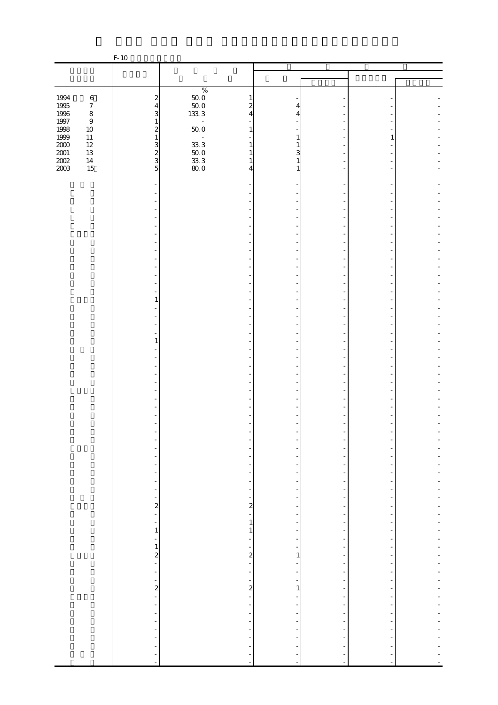|                              |                  | $F-10$                                     |                                                                 |                          |                                                      |                          |  |
|------------------------------|------------------|--------------------------------------------|-----------------------------------------------------------------|--------------------------|------------------------------------------------------|--------------------------|--|
|                              |                  |                                            |                                                                 |                          |                                                      |                          |  |
|                              |                  |                                            |                                                                 |                          |                                                      |                          |  |
|                              |                  |                                            | $\%$                                                            |                          |                                                      |                          |  |
| 1994                         | $\,6\,$          | $\boldsymbol{z}$                           | 1                                                               |                          |                                                      |                          |  |
| 1995<br>1996<br>1997         | $\boldsymbol{7}$ | $\overline{4}$                             | $\begin{array}{c} 50.0 \\ 50.0 \end{array}$<br>$\boldsymbol{z}$ | 4                        |                                                      |                          |  |
|                              | $\,8\,$          | 3                                          | $133\ 3$<br>4                                                   | 4                        |                                                      |                          |  |
|                              | $\boldsymbol{9}$ | $\mathbf{1}$                               | $\Box$                                                          |                          |                                                      |                          |  |
| 1998<br>1999                 | $10\,$           | $\overline{\mathbf{c}}$                    | $50\;0$<br>$\mathbf{1}$                                         |                          |                                                      |                          |  |
|                              | $11\,$<br>$12\,$ | $\,1\,$                                    | $\bar{\phantom{a}}$<br>$33\;3$<br>1                             | 1<br>1                   |                                                      |                          |  |
| 2000<br>2001<br>2002<br>2003 | $13\,$           | $\frac{3}{2}$                              | $50\;0$<br>1                                                    | 3                        |                                                      |                          |  |
|                              | $14\,$           |                                            | $\mathbf{1}$                                                    | 1                        |                                                      |                          |  |
|                              | 15               | 5                                          | $\frac{33}{33}$ 3<br>4                                          | 1                        |                                                      |                          |  |
|                              |                  |                                            |                                                                 |                          |                                                      |                          |  |
|                              |                  |                                            |                                                                 |                          |                                                      |                          |  |
|                              |                  |                                            |                                                                 |                          |                                                      |                          |  |
|                              |                  |                                            |                                                                 |                          |                                                      |                          |  |
|                              |                  |                                            |                                                                 |                          |                                                      |                          |  |
|                              |                  |                                            |                                                                 |                          |                                                      |                          |  |
|                              |                  |                                            |                                                                 |                          |                                                      |                          |  |
|                              |                  |                                            |                                                                 |                          |                                                      |                          |  |
|                              |                  |                                            |                                                                 |                          |                                                      |                          |  |
|                              |                  |                                            |                                                                 |                          |                                                      |                          |  |
|                              |                  |                                            |                                                                 |                          |                                                      |                          |  |
|                              |                  |                                            |                                                                 |                          |                                                      |                          |  |
|                              |                  |                                            |                                                                 |                          |                                                      |                          |  |
|                              |                  |                                            |                                                                 |                          |                                                      |                          |  |
|                              |                  | 1                                          |                                                                 |                          |                                                      |                          |  |
|                              |                  |                                            |                                                                 |                          |                                                      |                          |  |
|                              |                  |                                            |                                                                 |                          |                                                      |                          |  |
|                              |                  |                                            |                                                                 |                          |                                                      |                          |  |
|                              |                  | 1                                          |                                                                 |                          |                                                      |                          |  |
|                              |                  |                                            |                                                                 |                          |                                                      |                          |  |
|                              |                  |                                            |                                                                 |                          |                                                      |                          |  |
|                              |                  |                                            |                                                                 |                          |                                                      |                          |  |
|                              |                  |                                            |                                                                 |                          |                                                      |                          |  |
|                              |                  |                                            |                                                                 |                          |                                                      |                          |  |
|                              |                  |                                            |                                                                 |                          |                                                      |                          |  |
|                              |                  |                                            |                                                                 |                          |                                                      |                          |  |
|                              |                  |                                            |                                                                 |                          |                                                      |                          |  |
|                              |                  |                                            |                                                                 |                          |                                                      |                          |  |
|                              |                  |                                            |                                                                 |                          |                                                      |                          |  |
|                              |                  |                                            |                                                                 |                          |                                                      |                          |  |
|                              |                  |                                            |                                                                 |                          |                                                      |                          |  |
|                              |                  |                                            |                                                                 |                          |                                                      |                          |  |
|                              |                  | $\overline{\phantom{a}}$                   | $\overline{a}$                                                  |                          |                                                      |                          |  |
|                              |                  | $\frac{1}{2}$                              | $\overline{\phantom{a}}$                                        |                          | $\overline{\phantom{m}}$                             |                          |  |
|                              |                  | $\overline{\phantom{a}}$                   | Ĩ,                                                              | Ξ                        | $\overline{\phantom{a}}$                             |                          |  |
|                              |                  | $\frac{1}{2}$                              | $\overline{\phantom{a}}$                                        | $\frac{1}{2}$            | $\overline{\phantom{a}}$                             |                          |  |
|                              |                  | ÷,                                         | $\overline{\phantom{a}}$                                        |                          | Ξ                                                    |                          |  |
|                              |                  | $\frac{2}{1}$                              | $\frac{2}{1}$                                                   | -<br>$\frac{1}{2}$       | $\overline{\phantom{a}}$<br>$\overline{\phantom{m}}$ |                          |  |
|                              |                  | $\overline{\phantom{a}}$                   | $\,1\,$                                                         |                          |                                                      |                          |  |
|                              |                  | $\,1\,$                                    | $\mathbf{1}$                                                    | ÷                        | $\frac{1}{2}$                                        |                          |  |
|                              |                  | $\frac{1}{2}$                              | $\overline{\phantom{a}}$                                        | ÷                        | $\overline{\phantom{m}}$                             | $\overline{a}$           |  |
|                              |                  | $\,1\,$                                    | ÷,                                                              |                          | $\overline{\phantom{m}}$                             |                          |  |
|                              |                  | $\frac{2}{1}$                              | $\frac{2}{1}$                                                   | 1                        | $\overline{a}$                                       |                          |  |
|                              |                  |                                            |                                                                 |                          | $\overline{\phantom{m}}$                             |                          |  |
|                              |                  | $\blacksquare$                             | ÷,                                                              | $\overline{\phantom{0}}$ | $\overline{\phantom{m}}$                             |                          |  |
|                              |                  | $\frac{1}{\sqrt{2}}$                       | $\frac{1}{\sqrt{2}}$                                            |                          | $\overline{a}$                                       |                          |  |
|                              |                  | $\frac{2}{1}$                              | $\mathbf{z}$                                                    | $\mathbf{1}$             | $\frac{1}{2}$                                        |                          |  |
|                              |                  |                                            | $\overline{\phantom{a}}$                                        | -                        | $\overline{a}$                                       |                          |  |
|                              |                  | $\blacksquare$<br>$\overline{\phantom{a}}$ | $\overline{\phantom{a}}$                                        | $\frac{1}{2}$            | $\overline{\phantom{a}}$<br>$\overline{\phantom{m}}$ | $\overline{\phantom{a}}$ |  |
|                              |                  | $\blacksquare$                             | ÷,<br>$\overline{\phantom{a}}$                                  |                          | $\frac{1}{2}$                                        |                          |  |
|                              |                  | $\blacksquare$                             | $\overline{\phantom{a}}$                                        | $\frac{1}{2}$            | $\overline{\phantom{a}}$                             |                          |  |
|                              |                  | $\blacksquare$                             |                                                                 |                          |                                                      |                          |  |
|                              |                  | ÷                                          |                                                                 |                          |                                                      |                          |  |
|                              |                  | ÷                                          |                                                                 | ÷                        |                                                      |                          |  |
|                              |                  | $\blacksquare$                             | ÷,                                                              | ÷                        | $\overline{\phantom{a}}$                             |                          |  |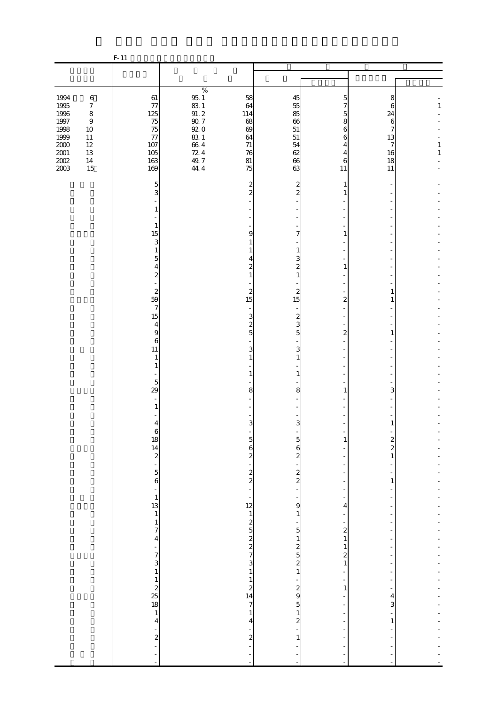|                     |                             | $F-11$                                               |                                                     |                                                        |                                            |                               |                        |         |
|---------------------|-----------------------------|------------------------------------------------------|-----------------------------------------------------|--------------------------------------------------------|--------------------------------------------|-------------------------------|------------------------|---------|
|                     |                             |                                                      |                                                     |                                                        |                                            |                               |                        |         |
| 1994                | $\,6\,$                     | $61\,$                                               | $\%$                                                | 58                                                     | 45                                         | 5                             | 8                      |         |
| 1995<br>1996        | $\boldsymbol{7}$<br>$\,8\,$ | $77$<br>125                                          | $\begin{array}{c} 95.1 \\ 83.1 \\ 91.2 \end{array}$ | 64<br>114                                              | 55<br>85                                   | 7<br>5                        | $\boldsymbol{6}$<br>24 | $1\,$   |
| 1997<br>1998        | $\boldsymbol{9}$<br>$10\,$  | 75<br>75                                             | $\frac{90}{92}$ 7                                   | 68<br>$69$                                             | 66<br>51                                   | 8<br>6                        | $\sqrt{6}$<br>7        |         |
| 1999<br>$2000\,$    | $11\,$<br>$12\,$            | $77$<br>107                                          | $83\ 1$                                             | 64<br>$71\,$                                           | $51\,$<br>54                               | 6<br>4                        | 13<br>7                | $\,1\,$ |
| $\frac{2001}{2002}$ | $13\,$<br>$14\,$            | 105<br>163                                           | $664$<br>$724$<br>$49.7$                            | 76<br>$81\,$                                           | 62<br>66                                   | 4<br>$\boldsymbol{6}$         | 16<br>18               | $\,1\,$ |
|                     | 15                          | 169                                                  | 44.4                                                | 75                                                     | 63                                         | 11                            | 11                     |         |
|                     |                             | 5<br>3                                               |                                                     | $\overline{\mathbf{c}}$<br>$\overline{c}$              | $\overline{\mathbf{c}}$<br>$\overline{c}$  | 1                             |                        |         |
|                     |                             | 1                                                    |                                                     |                                                        |                                            |                               |                        |         |
|                     |                             |                                                      |                                                     |                                                        |                                            |                               |                        |         |
|                     |                             | $\mathbf{1}$<br>15                                   |                                                     | 9                                                      | 7                                          | 1                             |                        |         |
|                     |                             | 3<br>$\mathbf{1}$                                    |                                                     |                                                        | 1                                          |                               |                        |         |
|                     |                             | 5<br>4                                               |                                                     | 2                                                      | 3<br>$\boldsymbol{z}$                      | 1                             |                        |         |
|                     |                             | 2                                                    |                                                     | 1                                                      | $\mathbf{1}$                               |                               |                        |         |
|                     |                             | $\overline{\mathbf{c}}$<br>59                        |                                                     | $\overline{\mathbf{c}}$<br>15                          | $\overline{a}$<br>15                       | 2                             | 1<br>1                 |         |
|                     |                             | $\boldsymbol{7}$<br>15                               |                                                     | 3                                                      | $\boldsymbol{z}$                           |                               |                        |         |
|                     |                             | $\overline{4}$                                       |                                                     | $\overline{\mathbf{c}}$<br>5                           | 3<br>5                                     |                               |                        |         |
|                     |                             | 9<br>6                                               |                                                     |                                                        |                                            | $\boldsymbol{z}$              |                        |         |
|                     |                             | 11<br>$\mathbf{1}$                                   |                                                     | 3                                                      | 3<br>1                                     |                               |                        |         |
|                     |                             | 1                                                    |                                                     | 1                                                      | $\mathbf{1}$                               |                               |                        |         |
|                     |                             | $\mathbf 5$<br>29                                    |                                                     | 8                                                      | 8                                          | 1                             | 3                      |         |
|                     |                             | $\mathbf{1}$                                         |                                                     |                                                        |                                            |                               |                        |         |
|                     |                             | $\overline{4}$                                       |                                                     | 3                                                      | 3                                          |                               |                        |         |
|                     |                             | $\boldsymbol{6}$<br>18                               |                                                     | $\overline{5}$                                         | $\overline{5}$                             | 1                             |                        |         |
|                     |                             |                                                      |                                                     | 6                                                      | 6                                          |                               | $\frac{2}{2}$          |         |
|                     |                             | $\begin{array}{c} 14 \\ 2 \\ 5 \\ 6 \end{array}$     |                                                     | $\overline{\mathcal{L}}$<br>÷                          | $\mathbf{z}$<br>$\overline{a}$             |                               |                        |         |
|                     |                             |                                                      |                                                     | $\frac{2}{2}$                                          | $\frac{2}{2}$                              |                               | 1                      |         |
|                     |                             |                                                      |                                                     | ÷,<br>÷                                                | $\blacksquare$<br>$\overline{\phantom{a}}$ | ł,<br>÷,                      |                        |         |
|                     |                             | $\begin{array}{c} 1 \\ 1 \\ 1 \\ 1 \\ 7 \end{array}$ |                                                     | 12                                                     | 9<br>$\mathbf{1}$                          | 4<br>$\overline{a}$           |                        |         |
|                     |                             |                                                      |                                                     | $\begin{array}{c}\n1 \\ 2 \\ 7\n\end{array}$           | $\frac{1}{2}$<br>$\overline{5}$            | ÷<br>$\boldsymbol{z}$         |                        |         |
|                     |                             |                                                      |                                                     |                                                        | $\,1$                                      | $\mathbf{1}$<br>$\mathbf{1}$  |                        |         |
|                     |                             | $\frac{4}{7}$                                        |                                                     | 3                                                      | $\frac{2}{2}$                              | $\overline{\mathbf{c}}$       |                        |         |
|                     |                             |                                                      |                                                     | $1\,$                                                  | $\,1$                                      | $\mathbf{1}$<br>÷             |                        |         |
|                     |                             |                                                      |                                                     | $\mathbf{1}$<br>$\begin{array}{c} 2 \\ 14 \end{array}$ | ÷,<br>$\frac{2}{9}$                        | $\overline{\phantom{a}}$<br>1 | ۰                      |         |
|                     |                             | $\frac{1}{4}$<br>$\frac{1}{4}$<br>$\frac{1}{4}$      |                                                     | $\overline{7}$                                         | $\overline{5}$                             | ÷<br>ł,                       | 4<br>З                 |         |
|                     |                             |                                                      |                                                     | $\mathbf{1}$<br>4                                      | $\mathbf{1}$<br>$\boldsymbol{z}$           | ÷,                            | 1                      |         |
|                     |                             | $\frac{1}{2}$                                        |                                                     | $\overline{\mathcal{L}}$                               | $\,1\,$                                    | ÷,                            |                        |         |
|                     |                             | $\overline{a}$                                       |                                                     |                                                        |                                            |                               |                        |         |
|                     |                             | ł,                                                   |                                                     |                                                        |                                            |                               |                        |         |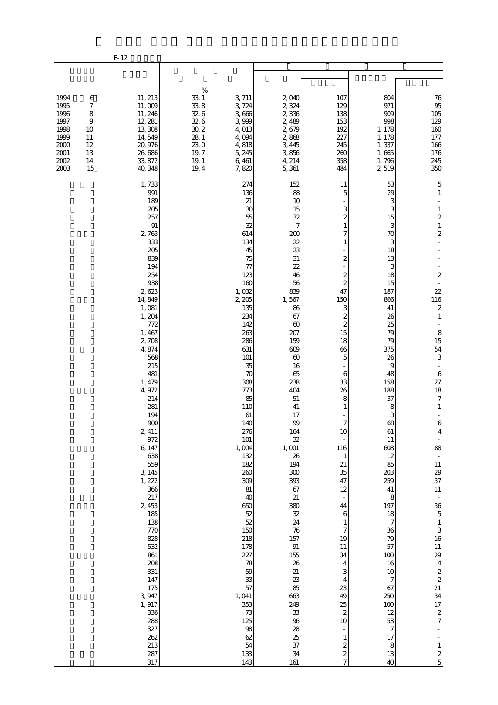|                                                                              |                                                                                   | $F-12$                                                                                                                                                                                                                                                                                                                                                                                                                                                                        |                                                                                               |                                                                                                                                                                                                                                                                                                                                                                                                            |                                                                                                                                                                                                                                                                                                                                                                                            |                                                                                                                                                                                                                                                                                                                                                                                                                                                                                                                                                                   |                                                                                                                                                                                                                                                                                                                                                                                                                  |                                                                                                                                                                                                                                                                                                                                                                                                                                                                                                                                                                                                                   |
|------------------------------------------------------------------------------|-----------------------------------------------------------------------------------|-------------------------------------------------------------------------------------------------------------------------------------------------------------------------------------------------------------------------------------------------------------------------------------------------------------------------------------------------------------------------------------------------------------------------------------------------------------------------------|-----------------------------------------------------------------------------------------------|------------------------------------------------------------------------------------------------------------------------------------------------------------------------------------------------------------------------------------------------------------------------------------------------------------------------------------------------------------------------------------------------------------|--------------------------------------------------------------------------------------------------------------------------------------------------------------------------------------------------------------------------------------------------------------------------------------------------------------------------------------------------------------------------------------------|-------------------------------------------------------------------------------------------------------------------------------------------------------------------------------------------------------------------------------------------------------------------------------------------------------------------------------------------------------------------------------------------------------------------------------------------------------------------------------------------------------------------------------------------------------------------|------------------------------------------------------------------------------------------------------------------------------------------------------------------------------------------------------------------------------------------------------------------------------------------------------------------------------------------------------------------------------------------------------------------|-------------------------------------------------------------------------------------------------------------------------------------------------------------------------------------------------------------------------------------------------------------------------------------------------------------------------------------------------------------------------------------------------------------------------------------------------------------------------------------------------------------------------------------------------------------------------------------------------------------------|
|                                                                              |                                                                                   |                                                                                                                                                                                                                                                                                                                                                                                                                                                                               |                                                                                               |                                                                                                                                                                                                                                                                                                                                                                                                            |                                                                                                                                                                                                                                                                                                                                                                                            |                                                                                                                                                                                                                                                                                                                                                                                                                                                                                                                                                                   |                                                                                                                                                                                                                                                                                                                                                                                                                  |                                                                                                                                                                                                                                                                                                                                                                                                                                                                                                                                                                                                                   |
| 1994<br>1995<br>1996<br>1997<br>1998<br>1999<br>2000<br>2001<br>2002<br>2003 | 6<br>$\boldsymbol{7}$<br>$\,$ 8 $\,$<br>9<br>10<br>11<br>$12\,$<br>13<br>14<br>15 | 11, 213<br>11,009<br>11, 246<br>12, 281<br>13,308<br>14,549<br>20,976<br>26,686<br>33, 872<br>40, 348                                                                                                                                                                                                                                                                                                                                                                         | $\%$<br>$33\ 1$<br>33.8<br>32.6<br>32.6<br>$30\,2$<br>28 1<br>230<br>19.7<br>$19.1\,$<br>19.4 | 3, 711<br>3, 724<br>3,666<br>3,999<br>4,013<br>4,094<br>4,818<br>5, 245<br>6,461<br>7,820                                                                                                                                                                                                                                                                                                                  | 2,040<br>2,324<br>2,336<br>2,489<br>2,679<br>2,868<br>3, 445<br>3,856<br>4, 214<br>5,361                                                                                                                                                                                                                                                                                                   | 107<br>129<br>138<br>153<br>192<br>227<br>245<br>260<br>358<br>484                                                                                                                                                                                                                                                                                                                                                                                                                                                                                                | 804<br>971<br>909<br>998<br>1, 178<br>1, 178<br>1,337<br>1,665<br>1,796<br>2519                                                                                                                                                                                                                                                                                                                                  | $76\,$<br>95<br>105<br>129<br>160<br>$177\,$<br>166<br>176<br>245<br>350                                                                                                                                                                                                                                                                                                                                                                                                                                                                                                                                          |
|                                                                              |                                                                                   | 1,733<br>991<br>189<br>205<br>257<br>$\, 91$<br>2,763<br>333<br>205<br>839<br>194<br>254<br>938<br>2,623<br>14, 849<br>1,081<br>1, 204<br>772<br>1, 467<br>2,708<br>4,874<br>568<br>215<br>481<br>1, 479<br>4,972<br>214<br>281<br>194<br>900<br>2, 411<br>972<br>6, 147<br>638<br>559<br>3, 145<br>1, 222<br>366<br>217<br>2, 453<br>185<br>138<br>770<br>828<br>532<br>861<br>208<br>331<br>147<br>175<br>3, 947<br>1, 917<br>336<br>288<br>327<br>262<br>213<br>287<br>317 |                                                                                               | 274<br>136<br>21<br>30<br>55<br>32<br>614<br>134<br>45<br>75<br>77<br>123<br>160<br>1,032<br>2 205<br>135<br>234<br>142<br>263<br>286<br>631<br>101<br>35<br>70<br>308<br>773<br>85<br>110<br>61<br>140<br>276<br>101<br>1,004<br>132<br>182<br>260<br>309<br>81<br>40<br>650<br>52<br>52<br>150<br>218<br>178<br>227<br>78<br>59<br>33<br>57<br>1,041<br>353<br>73<br>125<br>98<br>62<br>54<br>133<br>143 | 152<br>88<br>10<br>15<br>32<br>7<br>200<br>22<br>23<br>31<br>22<br>46<br>56<br>839<br>1,567<br>86<br>67<br>60<br>207<br>159<br>609<br>60<br>16<br>65<br>238<br>404<br>51<br>41<br>17<br>99<br>164<br>32<br>1,001<br>26<br>194<br>300<br>393<br>67<br>21<br>380<br>32<br>24<br>76<br>157<br>$\, 91$<br>155<br>26<br>21<br>23<br>85<br>663<br>249<br>33<br>96<br>28<br>25<br>37<br>34<br>161 | 11<br>5<br>3<br>$\overline{c}$<br>7<br>1<br>$\overline{\mathcal{Z}}$<br>$\overline{\mathcal{Z}}$<br>$\overline{\mathcal{Z}}$<br>47<br>150<br>3<br>$\overline{\mathcal{Z}}$<br>$\overline{\mathcal{Z}}$<br>15<br>18<br>66<br>5<br>6<br>33<br>26<br>8<br>1<br>$\overline{7}$<br>10<br>116<br>$\mathbf{1}$<br>21<br>35<br>47<br>12<br>44<br>6<br>$\mathbf{1}$<br>$\overline{7}$<br>19<br>$11\,$<br>34<br>4<br>3<br>$\overline{4}$<br>23<br>49<br>25<br>$\overline{\mathcal{L}}$<br>10<br>$\blacksquare$<br>$\mathbf{1}$<br>$\overline{\mathcal{Z}}$<br>$\frac{2}{7}$ | 53<br>29<br>3<br>3<br>15<br>3<br>70<br>3<br>18<br>13<br>3<br>18<br>15<br>187<br>866<br>41<br>26<br>25<br>79<br>79<br>375<br>26<br>9<br>48<br>158<br>188<br>37<br>8<br>3<br>68<br>61<br>11<br>608<br>12<br>85<br>203<br>259<br>41<br>8<br>197<br>18<br>$\boldsymbol{7}$<br>36<br>79<br>57<br>100<br>16<br>10<br>$\boldsymbol{7}$<br>67<br>250<br>100<br>12<br>53<br>$\boldsymbol{7}$<br>17<br>$\,8\,$<br>13<br>40 | 5<br>$\mathbf{1}$<br>$\,$ 1 $\,$<br>$\overline{\mathcal{L}}$<br>$\,1\,$<br>$\overline{\mathbf{c}}$<br>$\boldsymbol{2}$<br>$22\,$<br>116<br>$\boldsymbol{2}$<br>$\mathbf{1}$<br>8<br>15<br>${\bf 54}$<br>$\,3$<br>$\,6\,$<br>$27\,$<br>18<br>$\boldsymbol{7}$<br>$\mathbf{1}$<br>$\,$ 6 $\,$<br>$\overline{4}$<br>88<br>$\bar{\phantom{a}}$<br>$11\,$<br>29<br>37<br>$11\,$<br>$\overline{\phantom{a}}$<br>$\frac{36}{5}$<br>$\,1\,$<br>$\frac{3}{16}$<br>11<br>$\frac{29}{4}$<br>$\frac{2}{2}$<br>$\frac{21}{34}$<br>$\begin{array}{c} 17 \\ 2 \\ 7 \end{array}$<br>$\,1\,$<br>$\boldsymbol{2}$<br>$\overline{5}$ |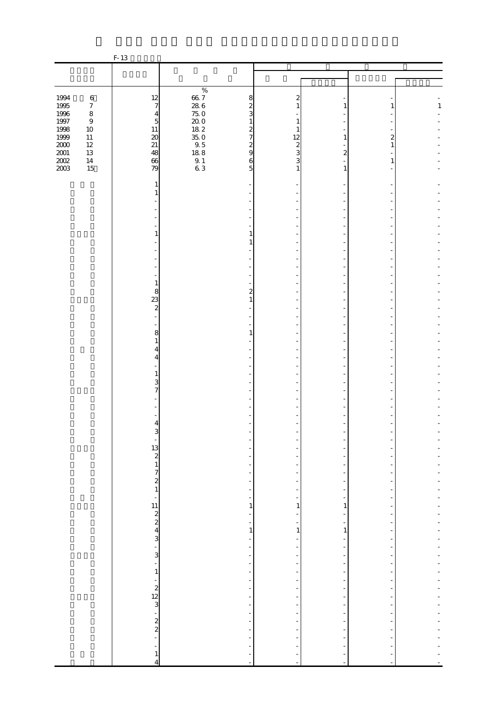|                                            |                             | $F-13$                                                      |                                                                           |                                                |                                                      |   |              |
|--------------------------------------------|-----------------------------|-------------------------------------------------------------|---------------------------------------------------------------------------|------------------------------------------------|------------------------------------------------------|---|--------------|
|                                            |                             |                                                             |                                                                           |                                                |                                                      |   |              |
|                                            |                             |                                                             |                                                                           |                                                |                                                      |   |              |
|                                            |                             |                                                             | $\%$                                                                      |                                                |                                                      |   |              |
| 1994                                       | $\,6\,$                     | 12                                                          | $66.7686$ $66.76800$ $66.8600$ $66.8600$ $66.8600$ $66.860$ $66.860$<br>8 | 2                                              |                                                      |   |              |
|                                            | $\boldsymbol{7}$<br>$\,8\,$ | $\overline{7}$<br>4                                         | $\boldsymbol{z}$<br>3                                                     | $\mathbf{1}$                                   | 1                                                    | 1 | $\mathbf{1}$ |
| 1995<br>1996<br>1997<br>1998               | $\boldsymbol{9}$            | $\overline{5}$                                              | 1                                                                         | 1                                              |                                                      |   |              |
|                                            | $10\,$                      |                                                             | $\overline{\mathcal{L}}$                                                  |                                                |                                                      |   |              |
| $\frac{1999}{2000}$<br>$\frac{2001}{2002}$ | $11\,$                      | $\begin{array}{c} 11 \\ 20 \\ 21 \\ 48 \end{array}$         | $\overline{7}$                                                            | 12                                             | 1                                                    | 2 |              |
|                                            | $12\,$                      |                                                             | $\frac{2}{9}$                                                             | $\frac{2}{3}$                                  |                                                      | 1 |              |
|                                            | $13\,$<br>$14\,$            |                                                             | $\mathbf 6$                                                               | 3                                              | $\overline{c}$                                       | 1 |              |
|                                            | 15                          | 66<br>79                                                    | 5                                                                         | 1                                              | 1                                                    |   |              |
|                                            |                             |                                                             |                                                                           |                                                |                                                      |   |              |
|                                            |                             | 1                                                           |                                                                           |                                                |                                                      |   |              |
|                                            |                             |                                                             |                                                                           |                                                |                                                      |   |              |
|                                            |                             |                                                             |                                                                           |                                                |                                                      |   |              |
|                                            |                             |                                                             |                                                                           |                                                |                                                      |   |              |
|                                            |                             |                                                             |                                                                           |                                                |                                                      |   |              |
|                                            |                             | 1                                                           | 1                                                                         |                                                |                                                      |   |              |
|                                            |                             |                                                             | $\mathbf{1}$                                                              |                                                |                                                      |   |              |
|                                            |                             |                                                             |                                                                           |                                                |                                                      |   |              |
|                                            |                             |                                                             |                                                                           |                                                |                                                      |   |              |
|                                            |                             |                                                             |                                                                           |                                                |                                                      |   |              |
|                                            |                             | 1                                                           |                                                                           |                                                |                                                      |   |              |
|                                            |                             | 8                                                           | $\overline{\mathbf{c}}$                                                   |                                                |                                                      |   |              |
|                                            |                             | $\frac{23}{2}$                                              | $\mathbf{1}$                                                              |                                                |                                                      |   |              |
|                                            |                             |                                                             |                                                                           |                                                |                                                      |   |              |
|                                            |                             |                                                             |                                                                           |                                                |                                                      |   |              |
|                                            |                             | 8                                                           | $\mathbf{1}$                                                              |                                                |                                                      |   |              |
|                                            |                             | 1                                                           |                                                                           |                                                |                                                      |   |              |
|                                            |                             | 4                                                           |                                                                           |                                                |                                                      |   |              |
|                                            |                             | 4                                                           |                                                                           |                                                |                                                      |   |              |
|                                            |                             | 1                                                           |                                                                           |                                                |                                                      |   |              |
|                                            |                             | 3                                                           |                                                                           |                                                |                                                      |   |              |
|                                            |                             | 7                                                           |                                                                           |                                                |                                                      |   |              |
|                                            |                             |                                                             |                                                                           |                                                |                                                      |   |              |
|                                            |                             |                                                             |                                                                           |                                                |                                                      |   |              |
|                                            |                             | 4                                                           |                                                                           |                                                |                                                      |   |              |
|                                            |                             | 3                                                           |                                                                           |                                                |                                                      |   |              |
|                                            |                             |                                                             |                                                                           |                                                |                                                      |   |              |
|                                            |                             |                                                             |                                                                           |                                                |                                                      |   |              |
|                                            |                             |                                                             | $\overline{\phantom{a}}$<br>$\blacksquare$                                |                                                |                                                      |   |              |
|                                            |                             |                                                             | $\overline{\phantom{a}}$                                                  | -                                              | ÷,                                                   |   |              |
|                                            |                             | $\begin{bmatrix} 13 \\ 2 \\ 1 \\ 7 \\ 2 \\ 1 \end{bmatrix}$ | $\overline{\phantom{a}}$                                                  | $\overline{\phantom{0}}$                       | $\overline{a}$                                       |   |              |
|                                            |                             |                                                             | $\blacksquare$                                                            | $\overline{\phantom{0}}$                       | $\overline{\phantom{a}}$                             |   |              |
|                                            |                             | $\frac{11}{2}$ $\frac{2}{4}$ $\frac{4}{3}$ $\frac{1}{3}$    | ÷                                                                         |                                                |                                                      |   |              |
|                                            |                             |                                                             | 1                                                                         | 1<br>-                                         | 1                                                    |   |              |
|                                            |                             |                                                             | $\overline{\phantom{a}}$<br>$\overline{\phantom{a}}$                      | -                                              | $\overline{\phantom{0}}$<br>$\frac{1}{2}$            |   |              |
|                                            |                             |                                                             | $1\,$                                                                     | $\mathbf{1}$                                   | $\mathbf{1}$                                         |   |              |
|                                            |                             |                                                             | $\overline{\phantom{a}}$                                                  | $\overline{\phantom{0}}$                       | $\frac{1}{2}$                                        |   |              |
|                                            |                             |                                                             | $\overline{\phantom{a}}$                                                  | $\overline{\phantom{0}}$                       | $\overline{\phantom{m}}$                             |   |              |
|                                            |                             |                                                             | $\overline{\phantom{a}}$                                                  | ÷,                                             | ÷                                                    |   |              |
|                                            |                             | $\mathbf{1}$                                                | $\overline{\phantom{a}}$<br>$\overline{\phantom{a}}$                      | $\overline{\phantom{0}}$<br>$\overline{a}$     | $\frac{1}{2}$<br>$\overline{\phantom{0}}$            |   |              |
|                                            |                             |                                                             | $\overline{\phantom{a}}$                                                  | $\overline{\phantom{0}}$                       | $\overline{\phantom{a}}$                             |   |              |
|                                            |                             | $-2$<br>$-2$<br>$-2$<br>$-2$<br>$-2$                        | $\overline{\phantom{a}}$                                                  |                                                | -                                                    |   |              |
|                                            |                             |                                                             | $\overline{\phantom{a}}$                                                  | $\overline{\phantom{0}}$                       | $\overline{a}$                                       | ۰ |              |
|                                            |                             |                                                             | $\overline{\phantom{a}}$                                                  | $\frac{1}{2}$                                  | $\overline{\phantom{a}}$                             |   |              |
|                                            |                             |                                                             | ÷                                                                         |                                                |                                                      |   |              |
|                                            |                             |                                                             | $\overline{\phantom{a}}$<br>$\overline{\phantom{a}}$                      | $\overline{a}$<br>$\qquad \qquad \blacksquare$ | $\overline{\phantom{m}}$<br>$\overline{\phantom{a}}$ |   |              |
|                                            |                             |                                                             | ÷                                                                         |                                                |                                                      |   |              |
|                                            |                             | ÷                                                           | ÷,                                                                        |                                                |                                                      |   |              |
|                                            |                             | $\mathbf{1}$                                                | ÷                                                                         | ÷                                              |                                                      |   |              |
|                                            |                             | $\overline{4}$                                              | $\sim$                                                                    | $\overline{\phantom{a}}$                       | $\sim$                                               |   |              |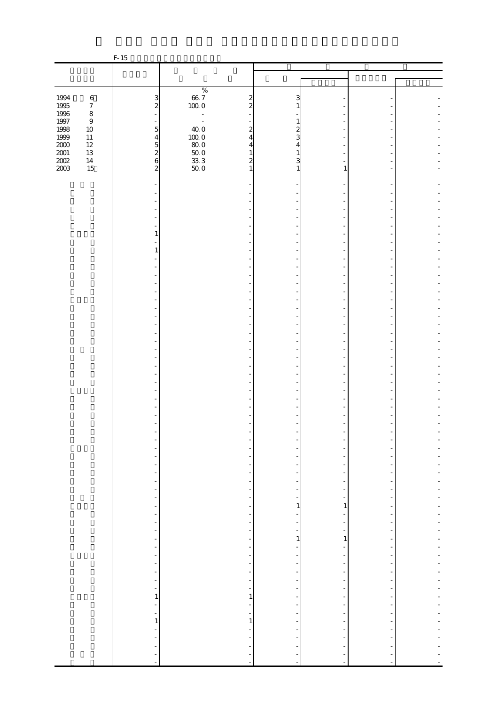|                              |                  | $F-15$                                     |                                                                         |                               |                                            |  |
|------------------------------|------------------|--------------------------------------------|-------------------------------------------------------------------------|-------------------------------|--------------------------------------------|--|
|                              |                  |                                            |                                                                         |                               |                                            |  |
|                              |                  |                                            |                                                                         |                               |                                            |  |
|                              |                  |                                            | $\%$                                                                    |                               |                                            |  |
| 1994                         | $\,6\,$          | 3                                          | $\boldsymbol{z}$                                                        | 3                             |                                            |  |
| 1995                         | $\boldsymbol{7}$ | $\overline{\mathbf{c}}$                    | $\begin{matrix} 66.7 \\ 100.0 \end{matrix}$<br>$\overline{\mathcal{L}}$ | 1                             |                                            |  |
| 1996                         | $\,8\,$          |                                            | $\overline{\phantom{a}}$                                                |                               |                                            |  |
| $1997\,$                     | $\,9$            |                                            | $\overline{\phantom{a}}$                                                | 1                             |                                            |  |
| 1998<br>1999                 | $10\,$<br>$11\,$ | $\overline{5}$<br>$\overline{4}$           | 40.0<br>$\boldsymbol{2}$<br>$\overline{4}$                              | $\overline{\mathcal{Z}}$<br>3 |                                            |  |
|                              | $12\,$           |                                            | $\frac{10000}{800}$<br>4                                                | 4                             |                                            |  |
| 2000<br>2001<br>2002<br>2003 | $13\,$           | $\begin{array}{c} 5 \\ 2 \\ 6 \end{array}$ | $50\;0$<br>$\mathbf{1}$                                                 | 1                             |                                            |  |
|                              | $14\,$           |                                            | $\frac{33}{50}$ 3<br>$\boldsymbol{z}$                                   | 3                             |                                            |  |
|                              | 15               | $\overline{\mathbf{c}}$                    | $\mathbf{1}$                                                            | 1                             | 1                                          |  |
|                              |                  |                                            |                                                                         |                               |                                            |  |
|                              |                  |                                            |                                                                         |                               |                                            |  |
|                              |                  |                                            |                                                                         |                               |                                            |  |
|                              |                  |                                            |                                                                         |                               |                                            |  |
|                              |                  |                                            |                                                                         |                               |                                            |  |
|                              |                  |                                            |                                                                         |                               |                                            |  |
|                              |                  | 1                                          |                                                                         |                               |                                            |  |
|                              |                  |                                            |                                                                         |                               |                                            |  |
|                              |                  | 1                                          |                                                                         |                               |                                            |  |
|                              |                  |                                            |                                                                         |                               |                                            |  |
|                              |                  |                                            |                                                                         |                               |                                            |  |
|                              |                  |                                            |                                                                         |                               |                                            |  |
|                              |                  |                                            |                                                                         |                               |                                            |  |
|                              |                  |                                            |                                                                         |                               |                                            |  |
|                              |                  |                                            |                                                                         |                               |                                            |  |
|                              |                  |                                            |                                                                         |                               |                                            |  |
|                              |                  |                                            |                                                                         |                               |                                            |  |
|                              |                  |                                            |                                                                         |                               |                                            |  |
|                              |                  |                                            |                                                                         |                               |                                            |  |
|                              |                  |                                            |                                                                         |                               |                                            |  |
|                              |                  |                                            |                                                                         |                               |                                            |  |
|                              |                  |                                            |                                                                         |                               |                                            |  |
|                              |                  |                                            |                                                                         |                               |                                            |  |
|                              |                  |                                            |                                                                         |                               |                                            |  |
|                              |                  |                                            |                                                                         |                               |                                            |  |
|                              |                  |                                            |                                                                         |                               |                                            |  |
|                              |                  |                                            |                                                                         |                               |                                            |  |
|                              |                  |                                            |                                                                         |                               |                                            |  |
|                              |                  |                                            |                                                                         |                               |                                            |  |
|                              |                  |                                            |                                                                         |                               |                                            |  |
|                              |                  |                                            |                                                                         |                               |                                            |  |
|                              |                  |                                            |                                                                         |                               |                                            |  |
|                              |                  | $\frac{1}{2}$                              | -                                                                       |                               |                                            |  |
|                              |                  | $\overline{\phantom{0}}$                   | $\overline{\phantom{0}}$                                                |                               |                                            |  |
|                              |                  | -                                          | $\frac{1}{\sqrt{2}}$                                                    |                               |                                            |  |
|                              |                  | $\frac{1}{2}$                              | $\overline{\phantom{a}}$                                                | $\frac{1}{2}$                 | $\overline{\phantom{m}}$                   |  |
|                              |                  | $\frac{1}{2}$<br>$\overline{\phantom{a}}$  | -<br>-                                                                  | 1                             | 1                                          |  |
|                              |                  | $\frac{1}{2}$                              | $\overline{\phantom{a}}$                                                |                               | $\overline{\phantom{a}}$                   |  |
|                              |                  | $\frac{1}{2}$                              |                                                                         |                               |                                            |  |
|                              |                  | $\qquad \qquad \blacksquare$               | -                                                                       | ÷                             | $\frac{1}{2}$                              |  |
|                              |                  | $\overline{\phantom{a}}$                   | $\overline{\phantom{a}}$                                                | $\,1\,$                       | $1\,$                                      |  |
|                              |                  | $\frac{1}{2}$                              | $\overline{\phantom{a}}$                                                |                               | ÷                                          |  |
|                              |                  | $\qquad \qquad \blacksquare$               | Ξ.                                                                      |                               | ۰                                          |  |
|                              |                  | $\blacksquare$                             | $\overline{\phantom{a}}$                                                |                               |                                            |  |
|                              |                  | $\frac{1}{2}$                              | $\overline{\phantom{a}}$                                                |                               | $\overline{\phantom{m}}$                   |  |
|                              |                  | $\overline{\phantom{0}}$                   | $\blacksquare$                                                          |                               |                                            |  |
|                              |                  | $\frac{1}{\sqrt{2}}$                       | $\frac{1}{\sqrt{2}}$                                                    |                               | $\overline{\phantom{m}}$                   |  |
|                              |                  | $\mathbf{1}$                               | $\mathbf{1}$                                                            |                               | $\overline{a}$<br>$\overline{\phantom{m}}$ |  |
|                              |                  | $\blacksquare$<br>۳                        | $\overline{\phantom{a}}$<br>$\frac{1}{\sqrt{2}}$                        |                               | $\overline{a}$                             |  |
|                              |                  | $\,1\,$                                    | $\,1\,$                                                                 |                               | $\overline{\phantom{m}}$                   |  |
|                              |                  | $\blacksquare$                             | $\frac{1}{2}$                                                           | $\overline{a}$                | ÷,                                         |  |
|                              |                  | ÷,                                         |                                                                         |                               |                                            |  |
|                              |                  | $\blacksquare$                             |                                                                         |                               |                                            |  |
|                              |                  | ÷                                          |                                                                         |                               |                                            |  |
|                              |                  | $\blacksquare$                             | ÷,                                                                      | ÷                             | $\overline{\phantom{a}}$                   |  |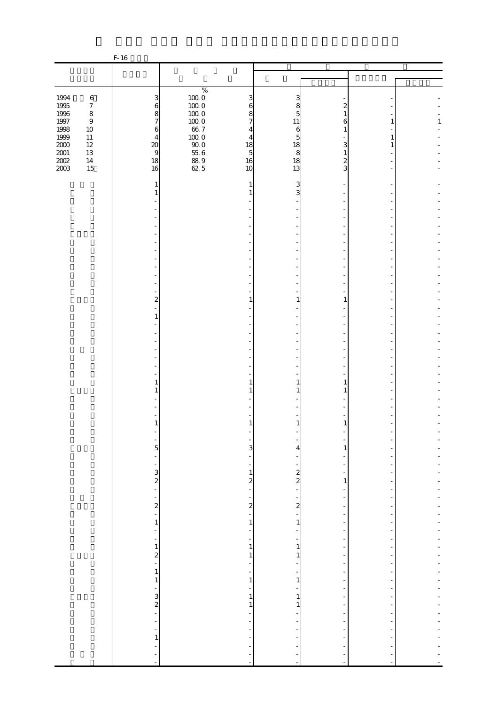|                     |                            | $F-16$                         |                     |                                     |                               |                                           |                          |              |
|---------------------|----------------------------|--------------------------------|---------------------|-------------------------------------|-------------------------------|-------------------------------------------|--------------------------|--------------|
|                     |                            |                                |                     |                                     |                               |                                           |                          |              |
|                     |                            |                                |                     |                                     |                               |                                           |                          |              |
|                     |                            |                                | $\%$                |                                     |                               |                                           |                          |              |
| 1994                | $\,6\,$                    | 3                              | $100\;0$            | 3                                   | 3                             |                                           |                          |              |
| 1995                | $\boldsymbol{7}$           | $\mathbf 6$                    | $100\;0$            | 6                                   | 8                             | 2                                         |                          |              |
| 1996                | $\,8\,$                    | 8                              | $100\;0$            | 8                                   | 5                             | 1                                         |                          |              |
| $1997\,$<br>1998    | $\boldsymbol{9}$<br>$10\,$ | $\boldsymbol{7}$               | $100\;0$<br>$66\ 7$ | $\overline{7}$                      | 11<br>6                       | Е<br>1                                    | 1                        | $\mathbf{1}$ |
| 1999                | $11\,$                     | $\mathbf{6}$<br>$\overline{4}$ | $100\;0$            | 4<br>$\overline{4}$                 | 5                             |                                           | 1                        |              |
| $2000\,$            | $12\,$                     | $\infty$                       | $90\;0$             | 18                                  | 18                            | 3                                         |                          |              |
|                     | $13\,$                     | $\overline{9}$                 | $55\;6$             | $\overline{5}$                      | 8                             | 1                                         |                          |              |
| $\frac{2001}{2002}$ | $14\,$                     | 18                             | $\frac{88.9}{62.5}$ | 16                                  | 18                            | 2                                         |                          |              |
| 2003                | 15                         | 16                             |                     | 10                                  | 13                            | 3                                         |                          |              |
|                     |                            |                                |                     |                                     |                               |                                           |                          |              |
|                     |                            | 1                              |                     | 1                                   | 3<br>3                        |                                           |                          |              |
|                     |                            | 1                              |                     |                                     |                               |                                           |                          |              |
|                     |                            |                                |                     |                                     |                               |                                           |                          |              |
|                     |                            |                                |                     |                                     |                               |                                           |                          |              |
|                     |                            |                                |                     |                                     |                               |                                           |                          |              |
|                     |                            |                                |                     |                                     |                               |                                           |                          |              |
|                     |                            |                                |                     |                                     |                               |                                           |                          |              |
|                     |                            |                                |                     |                                     |                               |                                           |                          |              |
|                     |                            |                                |                     |                                     |                               |                                           |                          |              |
|                     |                            |                                |                     |                                     |                               |                                           |                          |              |
|                     |                            |                                |                     |                                     |                               |                                           |                          |              |
|                     |                            |                                |                     |                                     |                               |                                           |                          |              |
|                     |                            | $\overline{a}$                 |                     | 1                                   | 1                             | 1                                         |                          |              |
|                     |                            |                                |                     |                                     |                               |                                           |                          |              |
|                     |                            | 1                              |                     |                                     |                               |                                           |                          |              |
|                     |                            |                                |                     |                                     |                               |                                           |                          |              |
|                     |                            |                                |                     |                                     |                               |                                           |                          |              |
|                     |                            |                                |                     |                                     |                               |                                           |                          |              |
|                     |                            |                                |                     |                                     |                               |                                           |                          |              |
|                     |                            |                                |                     |                                     |                               |                                           |                          |              |
|                     |                            |                                |                     |                                     |                               |                                           |                          |              |
|                     |                            | 1                              |                     | 1                                   | 1                             | 1                                         |                          |              |
|                     |                            | 1                              |                     | 1                                   | 1                             | 1                                         |                          |              |
|                     |                            |                                |                     |                                     |                               |                                           |                          |              |
|                     |                            |                                |                     |                                     |                               |                                           |                          |              |
|                     |                            | $\mathbf{1}$                   |                     |                                     |                               | 1                                         |                          |              |
|                     |                            |                                |                     |                                     |                               |                                           |                          |              |
|                     |                            |                                |                     |                                     |                               |                                           |                          |              |
|                     |                            | 5                              |                     | $\overline{3}$                      | 4                             | 1                                         |                          |              |
|                     |                            | $\frac{1}{2}$                  |                     | $\overline{a}$                      |                               |                                           |                          |              |
|                     |                            | $\qquad \qquad \blacksquare$   |                     | $\frac{1}{2}$                       | ÷                             |                                           |                          |              |
|                     |                            | $\frac{3}{2}$                  |                     | $\,1\,$                             | $\frac{2}{2}$                 | $\overline{\phantom{a}}$                  |                          |              |
|                     |                            | $\mathbb{Z}^2$                 |                     | $\boldsymbol{z}$                    |                               | $\,1$                                     |                          |              |
|                     |                            | $\qquad \qquad \blacksquare$   |                     | $\overline{\phantom{a}}$<br>-       | ÷                             | $\overline{\phantom{a}}$                  | $\overline{\phantom{m}}$ |              |
|                     |                            | $\overline{\mathbf{c}}$        |                     | $\overline{a}$                      | $\overline{\mathbf{c}}$       | -                                         |                          |              |
|                     |                            | ÷,                             |                     | ÷                                   | -                             | $\frac{1}{2}$                             | $\overline{\phantom{m}}$ |              |
|                     |                            | $\,1\,$                        |                     | $\,1\,$                             | $\,1\,$                       | $\overline{\phantom{m}}$                  |                          |              |
|                     |                            | $\blacksquare$                 |                     | -                                   |                               | $\overline{\phantom{m}}$                  |                          |              |
|                     |                            | $\blacksquare$                 |                     | $\overline{\phantom{a}}$            | ÷                             | $\overline{\phantom{m}}$                  |                          |              |
|                     |                            | $\,1$                          |                     | $\,1\,$                             | $\,1$                         | $\overline{\phantom{m}}$                  |                          |              |
|                     |                            | $\overline{\mathbf{c}}$<br>Ê,  |                     | 1                                   | 1                             | $\overline{\phantom{a}}$                  |                          |              |
|                     |                            | $\,1\,$                        |                     | $\frac{1}{\sqrt{2}}$                | $\overline{\phantom{0}}$      | $\frac{1}{2}$<br>$\overline{\phantom{m}}$ | -<br>۰                   |              |
|                     |                            | $\,1\,$                        |                     | $\overline{\phantom{a}}$<br>$\,1\,$ | ÷<br>$\,1\,$                  | $\overline{\phantom{m}}$                  | ÷,                       |              |
|                     |                            | $\frac{1}{2}$                  |                     | $\frac{1}{\sqrt{2}}$                | ÷                             | $\overline{\phantom{m}}$                  |                          |              |
|                     |                            |                                |                     | 1                                   | 1                             | $\overline{a}$                            |                          |              |
|                     |                            | $\frac{3}{2}$                  |                     | $\,1\,$                             | $\mathbf{1}$                  | $\overline{\phantom{a}}$                  | $\overline{a}$           |              |
|                     |                            |                                |                     | ÷                                   |                               |                                           |                          |              |
|                     |                            | $\overline{\phantom{a}}$       |                     | $\overline{\phantom{0}}$            |                               | $\overline{a}$                            |                          |              |
|                     |                            | $\blacksquare$                 |                     | $\overline{\phantom{a}}$            | ۰                             | $\overline{\phantom{a}}$                  |                          |              |
|                     |                            | $\,1\,$                        |                     | $\frac{1}{2}$                       |                               |                                           |                          |              |
|                     |                            | ÷,<br>÷                        |                     |                                     |                               |                                           |                          |              |
|                     |                            | $\blacksquare$                 |                     | $\overline{a}$                      | f<br>$\overline{\phantom{a}}$ | $\blacksquare$                            |                          |              |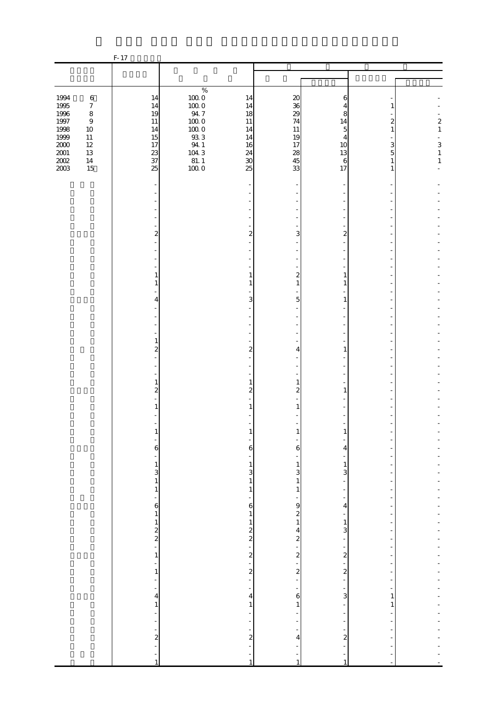|                                                                                     |                                                                                                              | F-17                                                   |                                                                                            |                                                        |                                                        |                                                                     |                                                               |                                                    |
|-------------------------------------------------------------------------------------|--------------------------------------------------------------------------------------------------------------|--------------------------------------------------------|--------------------------------------------------------------------------------------------|--------------------------------------------------------|--------------------------------------------------------|---------------------------------------------------------------------|---------------------------------------------------------------|----------------------------------------------------|
|                                                                                     |                                                                                                              |                                                        |                                                                                            |                                                        |                                                        |                                                                     |                                                               |                                                    |
|                                                                                     |                                                                                                              |                                                        |                                                                                            |                                                        |                                                        |                                                                     |                                                               |                                                    |
| 1994<br>1995<br>1996<br>$1997\,$<br>1998<br>1999<br>$2000\,$<br>$2001\,$<br>$200\!$ | $\,6\,$<br>$\boldsymbol{7}$<br>$\,8\,$<br>$\boldsymbol{9}$<br>$10\,$<br>$11\,$<br>$12\,$<br>$13\,$<br>$14\,$ | 14<br>14<br>19<br>$11\,$<br>14<br>15<br>17<br>23<br>37 | $\%$<br>$100\;0$<br>$100\;0$<br>94.7<br>$100\;0$<br>$100\;0$<br>933<br>94 1<br>$104\,$ $3$ | 14<br>14<br>18<br>11<br>14<br>14<br>16<br>24<br>$30\,$ | 20<br>36<br>29<br>74<br>$11\,$<br>19<br>17<br>28<br>45 | 6<br>4<br>8<br>14<br>5<br>$\overline{4}$<br>10<br>13<br>$\,$ 6 $\,$ | 1<br>2<br>$\mathbf{1}$<br>3<br>$\overline{5}$<br>$\mathbf{1}$ | $\boldsymbol{z}$<br>$\,1$<br>3<br>$\,1\,$<br>$\,1$ |
| 2003                                                                                | 15                                                                                                           | 25                                                     | $\frac{81.1}{100.0}$                                                                       | 25                                                     | 33                                                     | 17                                                                  | 1                                                             |                                                    |
|                                                                                     |                                                                                                              |                                                        |                                                                                            |                                                        |                                                        |                                                                     |                                                               |                                                    |
|                                                                                     |                                                                                                              |                                                        |                                                                                            |                                                        |                                                        |                                                                     |                                                               |                                                    |
|                                                                                     |                                                                                                              |                                                        |                                                                                            |                                                        |                                                        |                                                                     |                                                               |                                                    |
|                                                                                     |                                                                                                              | 2                                                      |                                                                                            | $\overline{a}$                                         | 3                                                      | $\overline{2}$                                                      |                                                               |                                                    |
|                                                                                     |                                                                                                              |                                                        |                                                                                            |                                                        |                                                        |                                                                     |                                                               |                                                    |
|                                                                                     |                                                                                                              |                                                        |                                                                                            |                                                        |                                                        |                                                                     |                                                               |                                                    |
|                                                                                     |                                                                                                              | 1                                                      |                                                                                            | 1                                                      | $\boldsymbol{z}$                                       | 1                                                                   |                                                               |                                                    |
|                                                                                     |                                                                                                              | 1                                                      |                                                                                            | 1                                                      | $\mathbf{1}$                                           | 1                                                                   |                                                               |                                                    |
|                                                                                     |                                                                                                              | 4                                                      |                                                                                            | 3                                                      | 5                                                      | 1                                                                   |                                                               |                                                    |
|                                                                                     |                                                                                                              |                                                        |                                                                                            |                                                        |                                                        |                                                                     |                                                               |                                                    |
|                                                                                     |                                                                                                              |                                                        |                                                                                            |                                                        |                                                        |                                                                     |                                                               |                                                    |
|                                                                                     |                                                                                                              | $\mathbf{1}$<br>$\overline{\mathcal{L}}$               |                                                                                            | $\overline{\mathcal{Z}}$                               | 4                                                      | 1                                                                   |                                                               |                                                    |
|                                                                                     |                                                                                                              |                                                        |                                                                                            |                                                        |                                                        |                                                                     |                                                               |                                                    |
|                                                                                     |                                                                                                              |                                                        |                                                                                            |                                                        |                                                        |                                                                     |                                                               |                                                    |
|                                                                                     |                                                                                                              | $\mathbf{1}$<br>$\overline{\mathbf{c}}$                |                                                                                            | 1<br>2                                                 | 1<br>2                                                 | 1                                                                   |                                                               |                                                    |
|                                                                                     |                                                                                                              | 1                                                      |                                                                                            |                                                        |                                                        |                                                                     |                                                               |                                                    |
|                                                                                     |                                                                                                              |                                                        |                                                                                            |                                                        |                                                        |                                                                     |                                                               |                                                    |
|                                                                                     |                                                                                                              |                                                        |                                                                                            | T                                                      |                                                        |                                                                     |                                                               |                                                    |
|                                                                                     |                                                                                                              | 6                                                      |                                                                                            | $\epsilon$                                             | 6                                                      | 4                                                                   |                                                               |                                                    |
|                                                                                     |                                                                                                              | ۳<br>$\mathbf{1}$                                      |                                                                                            | ÷<br>$\,1$                                             | $\mathbf{1}$                                           | ۰<br>$\mathbf{1}$                                                   |                                                               |                                                    |
|                                                                                     |                                                                                                              | 3<br>$\,$ 1 $\,$                                       |                                                                                            | $\mathbf{3}$<br>$\,1$                                  | $\mathbf{3}$<br>$\,1$                                  | 3<br>$\overline{\phantom{0}}$                                       |                                                               |                                                    |
|                                                                                     |                                                                                                              | $\,$ 1 $\,$                                            |                                                                                            | $\,1$                                                  | $\,1$                                                  | $\overline{\phantom{a}}$                                            | $\overline{\phantom{m}}$                                      |                                                    |
|                                                                                     |                                                                                                              | ÷<br>6                                                 |                                                                                            | $\epsilon$                                             | 9                                                      | 4                                                                   |                                                               |                                                    |
|                                                                                     |                                                                                                              | $\mathbf{1}$                                           |                                                                                            | $\,1$                                                  | $\begin{matrix} 2 \\ 1 \end{matrix}$                   | ÷<br>$\,1$                                                          | $\overline{\phantom{m}}$                                      |                                                    |
|                                                                                     |                                                                                                              | $\frac{1}{2}$                                          |                                                                                            | $\frac{1}{2}$<br>2 $\frac{1}{2}$                       | $\overline{a}$                                         | 3                                                                   |                                                               |                                                    |
|                                                                                     |                                                                                                              |                                                        |                                                                                            |                                                        | $\begin{array}{c} 2 \\ -2 \end{array}$                 | ÷<br>-                                                              |                                                               |                                                    |
|                                                                                     |                                                                                                              | $\mathbf{1}$<br>۳                                      |                                                                                            | ÷,                                                     | ÷                                                      | $\overline{\mathbf{c}}$<br>÷,                                       |                                                               |                                                    |
|                                                                                     |                                                                                                              | $\,1\,$<br>$\frac{1}{2}$                               |                                                                                            | $\frac{2}{1}$                                          | $\frac{2}{1}$                                          | $\boldsymbol{z}$<br>÷,                                              | $\frac{1}{2}$<br>÷,                                           |                                                    |
|                                                                                     |                                                                                                              | $\frac{1}{2}$                                          |                                                                                            | ÷                                                      | $\overline{\phantom{a}}$                               | ÷,                                                                  |                                                               |                                                    |
|                                                                                     |                                                                                                              | 4<br>$\,1\,$                                           |                                                                                            | 4<br>$\,1\,$                                           | $\epsilon$<br>$\,1\,$                                  | 3<br>÷                                                              | 1<br>$\mathbf{1}$                                             |                                                    |
|                                                                                     |                                                                                                              | $\frac{1}{2}$<br>$\frac{1}{2}$                         |                                                                                            | ÷<br>÷                                                 |                                                        | ÷<br>$\frac{1}{2}$                                                  |                                                               |                                                    |
|                                                                                     |                                                                                                              | $\overline{\phantom{0}}$                               |                                                                                            | -                                                      | Ξ                                                      | -<br>$\overline{\mathcal{L}}$                                       |                                                               |                                                    |
|                                                                                     |                                                                                                              | $\overline{\mathcal{L}}$<br>÷,                         |                                                                                            | $\boldsymbol{z}$                                       | 4                                                      |                                                                     |                                                               |                                                    |
|                                                                                     |                                                                                                              | $\overline{\phantom{0}}$<br>$\mathbf{1}$               |                                                                                            | $\mathbf{1}$                                           | 1                                                      | 1                                                                   |                                                               |                                                    |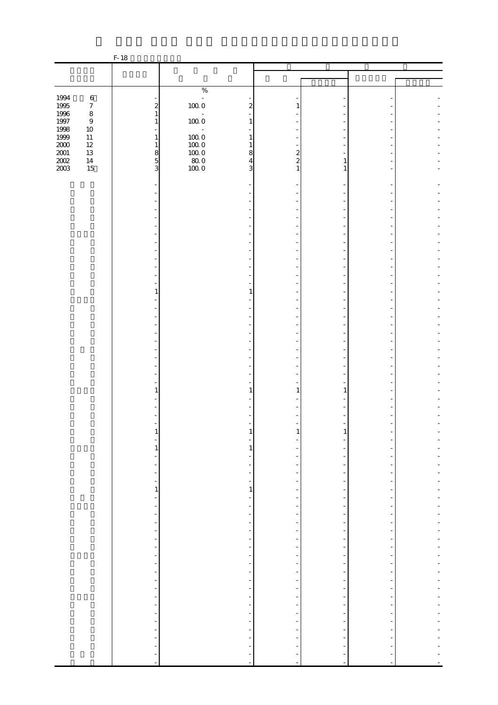|                   |                            | $F-18$                                               |                                              |                                                      |                     |                                                      |  |
|-------------------|----------------------------|------------------------------------------------------|----------------------------------------------|------------------------------------------------------|---------------------|------------------------------------------------------|--|
|                   |                            |                                                      |                                              |                                                      |                     |                                                      |  |
|                   |                            |                                                      |                                              |                                                      |                     |                                                      |  |
|                   |                            |                                                      | $\%$                                         |                                                      |                     |                                                      |  |
| 1994              | $\,6\,$                    |                                                      | $\mathbb{Z}$                                 |                                                      |                     |                                                      |  |
| $1995\,$          | $\boldsymbol{7}$           | $\overline{\mathcal{L}}$                             | $100\;0$                                     | $\overline{\mathcal{Z}}$                             |                     |                                                      |  |
| 1996              | $\,8\,$                    | $\mathbf{1}$                                         | $\bar{\phantom{a}}$                          |                                                      |                     |                                                      |  |
| 1997<br>1998      | $\boldsymbol{9}$<br>$10\,$ | $\mathbf{1}$                                         | $100\;0$<br>$\bar{\phantom{a}}$              | 1                                                    |                     |                                                      |  |
| 1999              | $11\,$                     | $\mathbf{1}$                                         | $100\;0$                                     | 1                                                    |                     |                                                      |  |
| $\frac{200}{200}$ | $12\,$                     | $\mathbf{1}$                                         | $100\;0$                                     | 1                                                    |                     |                                                      |  |
|                   | 13                         | $\frac{8}{5}$                                        | $100\;0$                                     | 8                                                    | $\boldsymbol{z}$    |                                                      |  |
|                   | $14\,$                     |                                                      | $\begin{array}{c} 80.0 \\ 100.0 \end{array}$ | $\overline{4}$<br>3                                  | $\overline{c}$<br>1 | 1                                                    |  |
| $2003\,$          | 15                         | 3                                                    |                                              |                                                      |                     | 1                                                    |  |
|                   |                            |                                                      |                                              |                                                      |                     |                                                      |  |
|                   |                            |                                                      |                                              |                                                      |                     |                                                      |  |
|                   |                            |                                                      |                                              |                                                      |                     |                                                      |  |
|                   |                            |                                                      |                                              |                                                      |                     |                                                      |  |
|                   |                            |                                                      |                                              |                                                      |                     |                                                      |  |
|                   |                            |                                                      |                                              |                                                      |                     |                                                      |  |
|                   |                            |                                                      |                                              |                                                      |                     |                                                      |  |
|                   |                            |                                                      |                                              |                                                      |                     |                                                      |  |
|                   |                            |                                                      |                                              |                                                      |                     |                                                      |  |
|                   |                            |                                                      |                                              |                                                      |                     |                                                      |  |
|                   |                            |                                                      |                                              |                                                      |                     |                                                      |  |
|                   |                            | 1                                                    |                                              | 1                                                    |                     |                                                      |  |
|                   |                            |                                                      |                                              |                                                      |                     |                                                      |  |
|                   |                            |                                                      |                                              |                                                      |                     |                                                      |  |
|                   |                            |                                                      |                                              |                                                      |                     |                                                      |  |
|                   |                            |                                                      |                                              |                                                      |                     |                                                      |  |
|                   |                            |                                                      |                                              |                                                      |                     |                                                      |  |
|                   |                            |                                                      |                                              |                                                      |                     |                                                      |  |
|                   |                            |                                                      |                                              |                                                      |                     |                                                      |  |
|                   |                            |                                                      |                                              |                                                      |                     |                                                      |  |
|                   |                            |                                                      |                                              |                                                      |                     |                                                      |  |
|                   |                            |                                                      |                                              |                                                      |                     |                                                      |  |
|                   |                            | $\mathbf{1}$                                         |                                              | 1                                                    | 1                   | 1                                                    |  |
|                   |                            |                                                      |                                              |                                                      |                     |                                                      |  |
|                   |                            |                                                      |                                              |                                                      |                     |                                                      |  |
|                   |                            |                                                      |                                              |                                                      |                     |                                                      |  |
|                   |                            |                                                      |                                              |                                                      |                     | T                                                    |  |
|                   |                            |                                                      |                                              |                                                      |                     |                                                      |  |
|                   |                            | $\mathbf{1}$                                         |                                              | 1                                                    |                     |                                                      |  |
|                   |                            | $\overline{\phantom{a}}$                             |                                              |                                                      |                     | $\overline{\phantom{a}}$                             |  |
|                   |                            | $\overline{\phantom{a}}$                             |                                              | $\overline{\phantom{a}}$                             |                     | $\overline{\phantom{a}}$                             |  |
|                   |                            | $\overline{\phantom{a}}$                             |                                              | $\overline{\phantom{a}}$                             |                     | $\overline{\phantom{a}}$                             |  |
|                   |                            | $\,1\,$                                              |                                              | $\mathbf{1}$                                         |                     | $\overline{a}$                                       |  |
|                   |                            | $\overline{\phantom{a}}$                             |                                              | $\overline{\phantom{a}}$                             |                     | $\overline{\phantom{a}}$                             |  |
|                   |                            | $\overline{\phantom{a}}$<br>$\overline{\phantom{a}}$ |                                              | -<br>$\overline{\phantom{a}}$                        |                     | $\overline{a}$<br>$\overline{\phantom{a}}$           |  |
|                   |                            | $\overline{\phantom{a}}$                             |                                              | $\overline{\phantom{a}}$                             |                     | $\overline{\phantom{a}}$                             |  |
|                   |                            | $\overline{\phantom{a}}$                             |                                              | $\overline{\phantom{a}}$                             |                     | $\overline{\phantom{a}}$                             |  |
|                   |                            | $\overline{\phantom{a}}$                             |                                              | $\overline{\phantom{a}}$                             |                     | $\overline{\phantom{a}}$                             |  |
|                   |                            | ÷                                                    |                                              |                                                      |                     |                                                      |  |
|                   |                            | $\overline{\phantom{0}}$                             |                                              | Ξ,                                                   |                     | $\overline{a}$                                       |  |
|                   |                            | $\overline{\phantom{a}}$<br>$\overline{\phantom{a}}$ |                                              | $\overline{\phantom{a}}$                             |                     | $\overline{\phantom{a}}$<br>$\overline{\phantom{a}}$ |  |
|                   |                            | $\overline{\phantom{a}}$                             |                                              |                                                      |                     | ÷,                                                   |  |
|                   |                            | $\overline{\phantom{a}}$                             |                                              | $\overline{\phantom{a}}$                             |                     | $\overline{\phantom{a}}$                             |  |
|                   |                            | $\overline{\phantom{a}}$                             |                                              | $\overline{\phantom{a}}$                             |                     | $\overline{\phantom{a}}$                             |  |
|                   |                            | $\overline{\phantom{a}}$                             |                                              |                                                      |                     | $\overline{\phantom{a}}$                             |  |
|                   |                            | $\overline{\phantom{a}}$                             |                                              | $\overline{\phantom{a}}$                             |                     | $\overline{\phantom{a}}$                             |  |
|                   |                            | $\overline{\phantom{a}}$<br>$\overline{\phantom{a}}$ |                                              | $\overline{\phantom{a}}$<br>$\overline{\phantom{a}}$ |                     | $\overline{\phantom{a}}$<br>$\overline{\phantom{a}}$ |  |
|                   |                            | $\blacksquare$                                       |                                              |                                                      |                     |                                                      |  |
|                   |                            |                                                      |                                              |                                                      |                     |                                                      |  |
|                   |                            | ÷,                                                   |                                              |                                                      |                     |                                                      |  |
|                   |                            |                                                      |                                              |                                                      |                     |                                                      |  |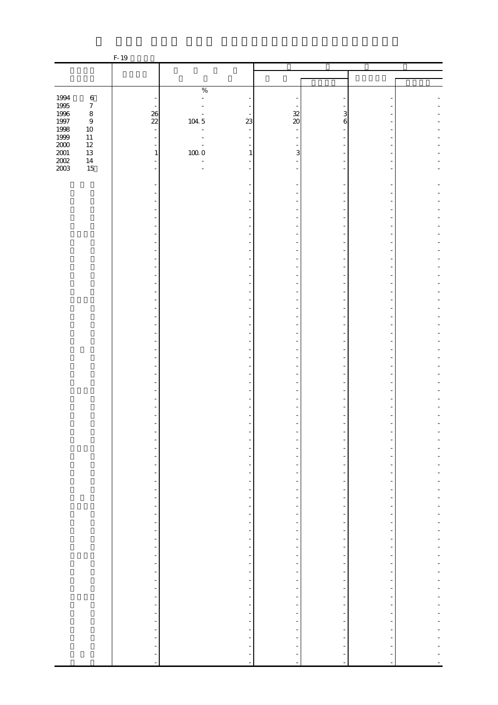|                                                                              |                            | F-19                                          |                     |                                                  |                                                      |                                                      |                                                      |                          |
|------------------------------------------------------------------------------|----------------------------|-----------------------------------------------|---------------------|--------------------------------------------------|------------------------------------------------------|------------------------------------------------------|------------------------------------------------------|--------------------------|
|                                                                              |                            |                                               |                     |                                                  |                                                      |                                                      |                                                      |                          |
|                                                                              |                            |                                               |                     |                                                  |                                                      |                                                      |                                                      |                          |
|                                                                              |                            |                                               | $\%$                |                                                  |                                                      |                                                      |                                                      |                          |
|                                                                              | $\,6\,$                    |                                               | $\overline{a}$      |                                                  |                                                      |                                                      |                                                      |                          |
|                                                                              | $\boldsymbol{7}$           |                                               |                     |                                                  |                                                      |                                                      |                                                      |                          |
|                                                                              | $\,8\,$                    | $\frac{26}{22}$                               |                     | 23                                               | $\frac{32}{20}$                                      | 3                                                    |                                                      |                          |
|                                                                              | $\boldsymbol{9}$<br>$10\,$ | $\Box$                                        | 104.5               |                                                  |                                                      | 6                                                    |                                                      |                          |
|                                                                              | $11\,$                     | $\overline{a}$                                |                     |                                                  |                                                      |                                                      |                                                      |                          |
|                                                                              | $12\,$                     |                                               |                     |                                                  |                                                      |                                                      |                                                      |                          |
|                                                                              | 13                         | $\,1\,$                                       | $100\;0$            | $\mathbf{1}$                                     | 3                                                    |                                                      |                                                      |                          |
| 1994<br>1995<br>1996<br>1997<br>1998<br>1999<br>2000<br>2000<br>2002<br>2002 | $14\,$<br>15               |                                               | Ξ<br>$\overline{a}$ |                                                  |                                                      |                                                      |                                                      |                          |
|                                                                              |                            |                                               |                     |                                                  |                                                      |                                                      |                                                      |                          |
|                                                                              |                            |                                               |                     |                                                  |                                                      |                                                      |                                                      |                          |
|                                                                              |                            |                                               |                     |                                                  |                                                      |                                                      |                                                      |                          |
|                                                                              |                            |                                               |                     |                                                  |                                                      |                                                      |                                                      |                          |
|                                                                              |                            |                                               |                     |                                                  |                                                      |                                                      |                                                      |                          |
|                                                                              |                            |                                               |                     |                                                  |                                                      |                                                      |                                                      |                          |
|                                                                              |                            |                                               |                     |                                                  |                                                      |                                                      |                                                      |                          |
|                                                                              |                            |                                               |                     |                                                  |                                                      |                                                      |                                                      |                          |
|                                                                              |                            |                                               |                     |                                                  |                                                      |                                                      |                                                      |                          |
|                                                                              |                            |                                               |                     |                                                  |                                                      |                                                      |                                                      |                          |
|                                                                              |                            |                                               |                     |                                                  |                                                      |                                                      |                                                      |                          |
|                                                                              |                            |                                               |                     |                                                  |                                                      |                                                      |                                                      |                          |
|                                                                              |                            |                                               |                     |                                                  |                                                      |                                                      |                                                      |                          |
|                                                                              |                            |                                               |                     |                                                  |                                                      |                                                      |                                                      |                          |
|                                                                              |                            |                                               |                     |                                                  |                                                      |                                                      |                                                      |                          |
|                                                                              |                            |                                               |                     |                                                  |                                                      |                                                      |                                                      |                          |
|                                                                              |                            |                                               |                     |                                                  |                                                      |                                                      |                                                      |                          |
|                                                                              |                            |                                               |                     |                                                  |                                                      |                                                      |                                                      |                          |
|                                                                              |                            |                                               |                     |                                                  |                                                      |                                                      |                                                      |                          |
|                                                                              |                            |                                               |                     |                                                  |                                                      |                                                      |                                                      |                          |
|                                                                              |                            |                                               |                     |                                                  |                                                      |                                                      |                                                      |                          |
|                                                                              |                            |                                               |                     |                                                  |                                                      |                                                      |                                                      |                          |
|                                                                              |                            |                                               |                     |                                                  |                                                      |                                                      |                                                      |                          |
|                                                                              |                            |                                               |                     |                                                  |                                                      |                                                      |                                                      |                          |
|                                                                              |                            |                                               |                     |                                                  |                                                      |                                                      |                                                      |                          |
|                                                                              |                            |                                               |                     |                                                  |                                                      |                                                      |                                                      |                          |
|                                                                              |                            |                                               |                     |                                                  |                                                      |                                                      |                                                      |                          |
|                                                                              |                            |                                               |                     |                                                  |                                                      |                                                      |                                                      |                          |
|                                                                              |                            | -                                             |                     | -                                                | -                                                    | $\overline{\phantom{a}}$                             | -                                                    |                          |
|                                                                              |                            | $\overline{\phantom{0}}$                      |                     | $\overline{\phantom{0}}$                         |                                                      | $\overline{\phantom{a}}$                             |                                                      |                          |
|                                                                              |                            | $\overline{\phantom{0}}$                      |                     | $\overline{\phantom{a}}$                         | $\frac{1}{2}$                                        | $\overline{\phantom{a}}$                             | $\overline{\phantom{a}}$                             |                          |
|                                                                              |                            | ÷                                             |                     | $\overline{\phantom{0}}$                         | $\overline{\phantom{a}}$                             | $\overline{\phantom{a}}$                             | $\overline{\phantom{a}}$                             |                          |
|                                                                              |                            | $\frac{1}{2}$                                 |                     | $\overline{\phantom{a}}$                         | $\overline{\phantom{0}}$                             | $\overline{\phantom{a}}$                             | $\overline{\phantom{a}}$                             |                          |
|                                                                              |                            | $\qquad \qquad \blacksquare$<br>$\frac{1}{2}$ |                     | $\overline{\phantom{a}}$<br>$\frac{1}{2}$        | $\frac{1}{2}$<br>$\overline{\phantom{0}}$            | $\overline{\phantom{a}}$<br>$\overline{\phantom{a}}$ | $\overline{\phantom{a}}$<br>$\overline{\phantom{a}}$ | Ĭ.                       |
|                                                                              |                            | $\overline{\phantom{a}}$                      |                     | Ĩ,                                               | Ξ                                                    | $\qquad \qquad \blacksquare$                         | -                                                    | -                        |
|                                                                              |                            | ÷,                                            |                     | f                                                | $\overline{\phantom{a}}$                             | $\overline{\phantom{a}}$                             | $\overline{\phantom{a}}$                             |                          |
|                                                                              |                            |                                               |                     | Ť,                                               | Ť,                                                   | Ĩ,                                                   | $\overline{a}$                                       |                          |
|                                                                              |                            | $\frac{1}{2}$                                 |                     | $\ddot{\phantom{0}}$                             | f                                                    | $\frac{1}{\sqrt{2}}$                                 | $\overline{a}$                                       |                          |
|                                                                              |                            |                                               |                     | $\blacksquare$                                   | $\frac{1}{2}$                                        | $\overline{\phantom{a}}$                             | $\blacksquare$                                       | $\overline{a}$           |
|                                                                              |                            | f                                             |                     | f<br>÷,                                          | $\overline{\phantom{0}}$<br>$\overline{\phantom{a}}$ | $\overline{\phantom{a}}$<br>$\overline{\phantom{a}}$ | $\overline{\phantom{a}}$<br>Ξ,                       | $\overline{a}$           |
|                                                                              |                            | $\overline{\phantom{a}}$<br>f                 |                     | ÷,                                               | $\overline{\phantom{a}}$                             | $\overline{\phantom{a}}$                             | $\overline{\phantom{a}}$                             |                          |
|                                                                              |                            | $\overline{\phantom{0}}$                      |                     | f                                                | $\overline{\phantom{0}}$                             | $\overline{\phantom{a}}$                             | $\overline{\phantom{a}}$                             |                          |
|                                                                              |                            | $\overline{\phantom{0}}$                      |                     | ÷,                                               | $\frac{1}{\sqrt{2}}$                                 | $\overline{\phantom{a}}$                             | $\overline{\phantom{a}}$                             |                          |
|                                                                              |                            | $\overline{\phantom{0}}$                      |                     | $\overline{\phantom{a}}$                         | $\overline{\phantom{a}}$                             | $\overline{\phantom{a}}$                             | $\overline{\phantom{a}}$                             | $\overline{\phantom{a}}$ |
|                                                                              |                            | $\overline{\phantom{a}}$                      |                     | $\overline{\phantom{a}}$                         | $\overline{\phantom{a}}$                             | $\blacksquare$                                       | $\overline{\phantom{a}}$                             | ÷                        |
|                                                                              |                            | $\overline{\phantom{0}}$                      |                     | $\overline{\phantom{a}}$<br>$\frac{1}{\sqrt{2}}$ | $\frac{1}{2}$<br>f                                   | $\overline{\phantom{a}}$<br>$\frac{1}{\sqrt{2}}$     | $\overline{\phantom{a}}$<br>$\overline{\phantom{a}}$ | Ĭ.                       |
|                                                                              |                            | $\frac{1}{2}$                                 |                     | $\frac{1}{2}$                                    | $\frac{1}{\sqrt{2}}$                                 | $\overline{\phantom{0}}$                             | $\overline{\phantom{a}}$                             |                          |
|                                                                              |                            | ÷,                                            |                     | $\overline{\phantom{a}}$                         | ÷                                                    | $\overline{\phantom{a}}$                             |                                                      |                          |
|                                                                              |                            | f                                             |                     | ÷,                                               | f                                                    | ÷,                                                   |                                                      |                          |
|                                                                              |                            | $\overline{a}$                                |                     | ÷,                                               | <sup>-</sup>                                         | $\overline{a}$                                       |                                                      |                          |
|                                                                              |                            | ÷<br>$\overline{a}$                           |                     | $\frac{1}{\sqrt{2}}$<br>$\blacksquare$           | $\frac{1}{2}$                                        | $\overline{\phantom{a}}$<br>$\Box$                   | ÷<br>$\blacksquare$                                  |                          |
|                                                                              |                            |                                               |                     |                                                  |                                                      |                                                      |                                                      |                          |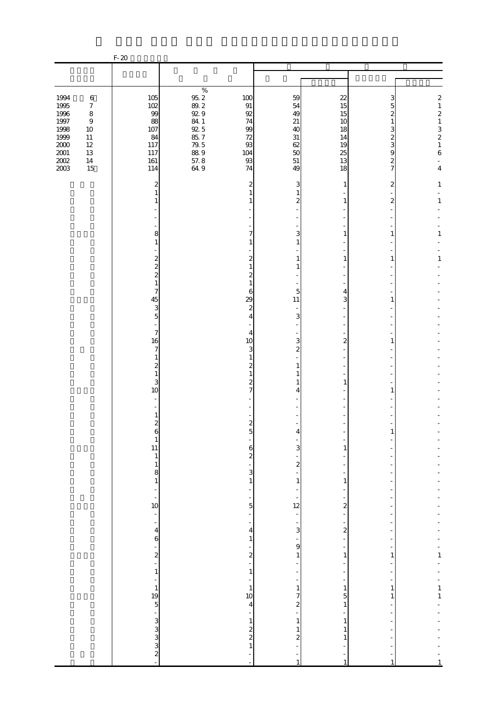|                                                                                             |                                                                                                                    | $F-20$                                                                                        |                                                                                                     |                                                                                               |                                                                                                   |                                                                                          |                                                                                                              |                                                                                                                      |
|---------------------------------------------------------------------------------------------|--------------------------------------------------------------------------------------------------------------------|-----------------------------------------------------------------------------------------------|-----------------------------------------------------------------------------------------------------|-----------------------------------------------------------------------------------------------|---------------------------------------------------------------------------------------------------|------------------------------------------------------------------------------------------|--------------------------------------------------------------------------------------------------------------|----------------------------------------------------------------------------------------------------------------------|
|                                                                                             |                                                                                                                    |                                                                                               |                                                                                                     |                                                                                               |                                                                                                   |                                                                                          |                                                                                                              |                                                                                                                      |
|                                                                                             |                                                                                                                    |                                                                                               |                                                                                                     |                                                                                               |                                                                                                   |                                                                                          |                                                                                                              |                                                                                                                      |
| 1994<br>1995<br>1996<br>$1997\,$<br>1998<br>1999<br>$2000\,$<br>$2001\,$<br>$200\!$<br>2003 | $\,6\,$<br>$\boldsymbol{7}$<br>$\,8\,$<br>$\boldsymbol{9}$<br>$10\,$<br>$11\,$<br>$12\,$<br>$13\,$<br>$14\,$<br>15 | 105<br>102<br>99<br>88<br>107<br>84<br>117<br>117<br>$161\,$<br>114                           | $\%$<br>$95.2\,$<br>$89.2\,$<br>92.9<br>84.1<br>92.5<br>85.7<br>$79.5\,$<br>$88\;9$<br>57.8<br>64.9 | 100<br>$\, 91$<br>92<br>74<br>$9\hskip-2pt 9\hskip-2pt$<br>72<br>93<br>104<br>$93\,$<br>74    | 59<br>54<br>49<br>21<br>40<br>31<br>62<br>50<br>$51\,$<br>49                                      | 22<br>15<br>15<br>10<br>18<br>14<br>19<br>25<br>13<br>18                                 | 3<br>5<br>2<br>$\mathbf{1}$<br>3<br>$\boldsymbol{z}$<br>3<br>$\overline{9}$<br>$\overline{\mathcal{L}}$<br>7 | $\boldsymbol{z}$<br>$\,1\,$<br>$\boldsymbol{z}$<br>$\,1$<br>$\begin{array}{c} 3 \\ 2 \\ 1 \end{array}$<br>$\,6$<br>4 |
|                                                                                             |                                                                                                                    | 2<br>$\mathbf{1}$<br>1                                                                        |                                                                                                     | 2<br>1<br>1                                                                                   | 3<br>$\mathbf{1}$<br>$\boldsymbol{z}$                                                             | 1<br>1                                                                                   | 2<br>$\mathbf{z}$                                                                                            | $\mathbf{1}$<br>$\mathbf{1}$                                                                                         |
|                                                                                             |                                                                                                                    | 8<br>$\mathbf{1}$<br>$\boldsymbol{z}$<br>$\overline{\mathcal{L}}$<br>$\overline{\mathcal{L}}$ |                                                                                                     | 7<br>1<br>2<br>$\mathbf{1}$<br>$\mathbf{z}$                                                   | 3<br>$\mathbf{1}$<br>1<br>1                                                                       | 1<br>1                                                                                   | 1<br>1                                                                                                       | 1<br>$\mathbf{1}$                                                                                                    |
|                                                                                             |                                                                                                                    | $\mathbf{1}$<br>7<br>45<br>3<br>$\overline{5}$                                                |                                                                                                     | $\mathbf{1}$<br>6<br>29<br>$\boldsymbol{z}$<br>4                                              | 5<br>11<br>3                                                                                      | 4<br>3                                                                                   | 1                                                                                                            |                                                                                                                      |
|                                                                                             |                                                                                                                    | $\overline{7}$<br>16<br>7<br>$\mathbf{1}$<br>$\overline{\mathcal{Z}}$<br>$\mathbf{1}$         |                                                                                                     | 4<br>10<br>3<br>1<br>2                                                                        | 3<br>$\boldsymbol{z}$<br>$\mathbf{1}$<br>1                                                        | $\overline{\mathcal{Z}}$                                                                 | 1                                                                                                            |                                                                                                                      |
|                                                                                             |                                                                                                                    | 3<br>10<br>$\mathbf{1}$<br>$\overline{\mathcal{L}}$                                           |                                                                                                     | $\boldsymbol{z}$<br>7<br>$\boldsymbol{z}$                                                     | 1<br>4                                                                                            | 1                                                                                        | 1                                                                                                            |                                                                                                                      |
|                                                                                             |                                                                                                                    | 6<br>$\mathbf{1}$<br>11<br>$\mathbf{1}$<br>$\,1\,$<br>$\begin{array}{c} 8 \\ 1 \end{array}$   |                                                                                                     | 5<br>$\frac{6}{2}$<br>$\overline{3}$                                                          | 3<br>$\mathbf{z}$                                                                                 | 1                                                                                        |                                                                                                              |                                                                                                                      |
|                                                                                             |                                                                                                                    | ÷<br>÷<br>10<br>÷<br>$\overline{\phantom{a}}$                                                 |                                                                                                     | $\,1\,$<br>$\overline{a}$<br>$\overline{5}$<br>÷<br>÷                                         | $1\,$<br>12<br>÷<br>$\frac{1}{3}$                                                                 | $\mathbf{1}$<br>$\overline{\mathbf{c}}$<br>÷                                             |                                                                                                              |                                                                                                                      |
|                                                                                             |                                                                                                                    | $\overline{\mathbf{r}}$<br>6<br>$\frac{1}{2}$<br>$\mathbf{1}$                                 |                                                                                                     | $\overline{\mathbf{4}}$<br>$\mathbf{1}$<br>$\overline{\mathbf{c}}$<br>$\overline{a}$<br>$1\,$ | ÷<br>$\mathbf{9}$<br>1                                                                            | $\boldsymbol{z}$<br>÷<br>1                                                               | 1                                                                                                            | $\frac{1}{1}$                                                                                                        |
|                                                                                             |                                                                                                                    | ÷<br>$\mathbf{1}$<br>$\frac{19}{5}$<br>$\sim$ 2 $\mu$ 3 $\mu$ 3 $\mu$                         |                                                                                                     | $\,1\,$<br>10<br>$\overline{4}$<br>$\,1\,$<br>$\frac{2}{2}$                                   | $\mathbf{1}$<br>7<br>$\overline{\mathcal{Z}}$<br>$\mathbf{1}$<br>$\mathbf{1}$<br>$\boldsymbol{z}$ | $\overline{a}$<br>$\mathbf{1}$<br>5<br>$\mathbf{1}$<br>$\mathbf{1}$<br>$\mathbf{1}$<br>1 | $\mathbf{1}$<br>1                                                                                            | $\frac{1}{1}$                                                                                                        |
|                                                                                             |                                                                                                                    |                                                                                               |                                                                                                     | $\mathbf{1}$                                                                                  | $\mathbf{1}$                                                                                      | 1                                                                                        |                                                                                                              |                                                                                                                      |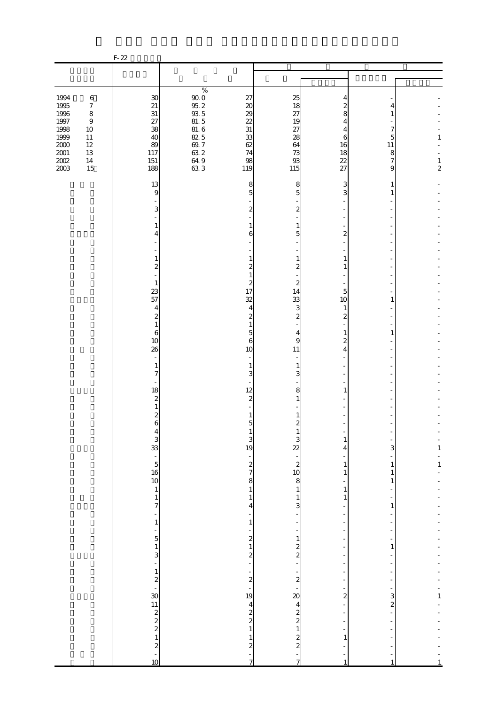|                                                                                                                 |                                                                                                                | $F-22$                                                                                                                                                                                                                            |                                                                                                                                             |                                                                                                                               |                                                                                                                       |                                                                                                                                                               |                                                   |                                |
|-----------------------------------------------------------------------------------------------------------------|----------------------------------------------------------------------------------------------------------------|-----------------------------------------------------------------------------------------------------------------------------------------------------------------------------------------------------------------------------------|---------------------------------------------------------------------------------------------------------------------------------------------|-------------------------------------------------------------------------------------------------------------------------------|-----------------------------------------------------------------------------------------------------------------------|---------------------------------------------------------------------------------------------------------------------------------------------------------------|---------------------------------------------------|--------------------------------|
|                                                                                                                 |                                                                                                                |                                                                                                                                                                                                                                   |                                                                                                                                             |                                                                                                                               |                                                                                                                       |                                                                                                                                                               |                                                   |                                |
| 1994<br>1995<br>1996<br>1997<br>1998<br>1999<br>$2000\,$<br>$\begin{array}{c} 2001 \\ 2002 \end{array}$<br>2003 | $\,6\,$<br>$\boldsymbol{7}$<br>$\,8\,$<br>$\boldsymbol{9}$<br>$10\,$<br>$11\,$<br>$12\,$<br>$13\,$<br>14<br>15 | $30\,$<br>21<br>$31\,$<br>27<br>38<br>40<br>89<br>117<br>151<br>188                                                                                                                                                               | $\%$<br>$\begin{array}{c} 90.0 \\ 95.2 \end{array}$<br>$\frac{93}{81}$ . 5<br>$\frac{81.6}{82.5}$<br>$69.7\,$<br>$63.2$<br>$64.9$<br>$63.3$ | 27<br>20<br>29<br>22<br>$31\,$<br>33<br>62<br>74<br>98<br>119                                                                 | 25<br>18<br>27<br>19<br>27<br>28<br>64<br>73<br>$93$<br>115                                                           | 4<br>2<br>8<br>4<br>4<br>6<br>16<br>18<br>22<br>27                                                                                                            | 4<br>7<br>5<br>11<br>8<br>7<br>9                  | 1<br>$\frac{1}{2}$             |
|                                                                                                                 |                                                                                                                | 13<br>9<br>3<br>1<br>4<br>1<br>2<br>$\mathbf{1}$                                                                                                                                                                                  |                                                                                                                                             | 8<br>5<br>2<br>1<br>6<br>1<br>2<br>1<br>2                                                                                     | 8<br>5<br>$\boldsymbol{z}$<br>1<br>5<br>1<br>2<br>$\mathbf{z}$                                                        | 3<br>3<br>$\overline{2}$<br>1                                                                                                                                 | 1<br>1                                            |                                |
|                                                                                                                 |                                                                                                                | 23<br>57<br>$\overline{4}$<br>$\overline{\mathcal{Z}}$<br>$\mathbf{1}$<br>6<br>10<br>26<br>$\overline{a}$<br>$\mathbf{1}$<br>7                                                                                                    |                                                                                                                                             | 17<br>32<br>4<br>2<br>1<br>5<br>6<br>10<br>1<br>3                                                                             | 14<br>33<br>3<br>$\boldsymbol{z}$<br>4<br>9<br>11<br>1<br>3                                                           | 5<br>10<br>1<br>$\mathbf{z}$<br>$\mathbf{z}$<br>4                                                                                                             | 1                                                 |                                |
|                                                                                                                 |                                                                                                                | 18<br>$\overline{\mathcal{Z}}$<br>$\mathbf{1}$<br>$\overline{\mathcal{Z}}$<br>6<br>$4$<br>3<br>3<br>3<br>5<br>5<br>5<br>4<br>3<br>4<br>5<br>1<br>6<br>1<br>9<br>1<br>1<br><br><br>5<br><br><br>5<br><br><br>5<br><br>10<br><br>10 |                                                                                                                                             | 12<br>$\mathbf{z}$<br>1<br>5<br>$\mathbf{1}$<br>3<br>19<br>$rac{2}{7}$<br>8<br>$1\,$                                          | 8<br>1<br>1<br>2<br>$\mathbf{1}$<br>3<br>$\overline{2}$<br>$\begin{bmatrix} 2 \\ 2 \\ 10 \end{bmatrix}$<br>8<br>$1\,$ | 1<br>$\mathbf{1}$<br>4<br>$\mathbf{1}$<br>$\mathbf{1}$<br>÷,<br>$\mathbf{1}$                                                                                  | 3<br>$\mathbf{1}$<br>$\mathbf{1}$<br>$\mathbf{1}$ | $\mathbf{1}$<br>$\mathbf{1}$   |
|                                                                                                                 |                                                                                                                | $\frac{1}{7}$<br>-<br>$\,1\,$<br>-                                                                                                                                                                                                |                                                                                                                                             | $\mathbf{1}$<br>4<br>$\mathbf{1}$<br>$\frac{2}{1}$<br>$\overline{\mathbf{c}}$<br>÷<br>$\begin{array}{c} 2 \\ -19 \end{array}$ | $\mathbf{1}$<br>3<br>$\mathbf{1}$<br>$\frac{2}{2}$<br>-<br>$\frac{2}{1}$                                              | $\mathbf{1}$<br>$\overline{\phantom{a}}$<br>÷,<br>÷,<br>$\overline{a}$<br>$\overline{a}$<br>÷,<br>$\overline{a}$<br>÷<br>$\overline{a}$<br>÷<br>$\frac{1}{2}$ | 1<br>$\mathbf{1}$                                 |                                |
|                                                                                                                 |                                                                                                                |                                                                                                                                                                                                                                   |                                                                                                                                             | $\overline{\mathbf{4}}$<br>$\frac{2}{2}$<br>$\,1\,$<br>$\,1\,$<br>$\boldsymbol{z}$<br>7                                       | 20<br>4<br>2<br>2<br>2<br>2<br>2<br>2<br>7                                                                            | $\overline{a}$<br>÷<br>$\overline{a}$<br>$\overline{a}$<br>$\mathbf{1}$<br>-                                                                                  | $\frac{3}{2}$                                     | $\mathbf{1}$<br>$\overline{1}$ |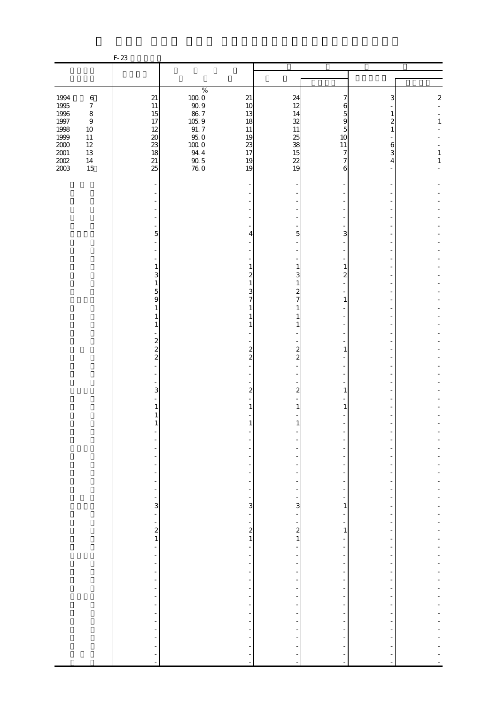|                                         |                                        | $F-23$                                                            |                                                                              |                                                          |                                            |                    |             |                   |
|-----------------------------------------|----------------------------------------|-------------------------------------------------------------------|------------------------------------------------------------------------------|----------------------------------------------------------|--------------------------------------------|--------------------|-------------|-------------------|
|                                         |                                        |                                                                   |                                                                              |                                                          |                                            |                    |             |                   |
|                                         |                                        |                                                                   |                                                                              |                                                          |                                            |                    |             |                   |
| 1994<br>1995<br>1996                    | $\,6\,$<br>$\boldsymbol{7}$<br>$\,8\,$ | $21\,$<br>$11\,$<br>15                                            | $\%$<br>$\begin{smallmatrix} 100 & 0 \\ 90 & 9 \end{smallmatrix}$<br>$86\ 7$ | 21<br>10<br>13                                           | 24<br>12<br>14                             | 7<br>6             | 3           | $\boldsymbol{z}$  |
| $1997\,$<br>1998<br>1999                | $\boldsymbol{9}$<br>$10\,$<br>$11\,$   | 17<br>12<br>$20\,$                                                | $\frac{105.9}{91.7}$<br>950                                                  | 18<br>$11\,$<br>19                                       | 32<br>11<br>25                             | 5<br>9<br>5<br>10  | 2<br>1      | $\mathbf{1}$      |
| $2000\,$<br>$2001\,$<br>$200\!$<br>2003 | $12\,$<br>$13\,$<br>$14\,$<br>15       | 23<br>18<br>$21\,$<br>25                                          | $100\;0$<br>$94\ 4$<br>$\frac{90}{76}$ 0                                     | 23<br>17<br>19<br>19                                     | 38<br>15<br>22<br>19                       | 11<br>7<br>7<br>6  | 6<br>3<br>4 | 1<br>$\mathbf{1}$ |
|                                         |                                        |                                                                   |                                                                              |                                                          |                                            |                    |             |                   |
|                                         |                                        |                                                                   |                                                                              |                                                          |                                            |                    |             |                   |
|                                         |                                        | 5                                                                 |                                                                              | 4                                                        | 5                                          | 3                  |             |                   |
|                                         |                                        | 1                                                                 |                                                                              | 1                                                        | $\mathbf{1}$                               | 1                  |             |                   |
|                                         |                                        | 3<br>$\mathbf{1}$<br>5                                            |                                                                              | 2<br>1<br>3                                              | 3<br>$\mathbf{1}$<br>2                     | $\mathbf{z}$       |             |                   |
|                                         |                                        | 9<br>1<br>1                                                       |                                                                              | 7<br>1<br>1                                              | 7<br>$\mathbf{1}$<br>$\mathbf{1}$          | 1                  |             |                   |
|                                         |                                        | 1<br>$\boldsymbol{z}$                                             |                                                                              | 1                                                        | $\mathbf{1}$                               |                    |             |                   |
|                                         |                                        | $\overline{\mathcal{L}}$<br>$\overline{c}$                        |                                                                              | $\mathbf{z}$<br>$\overline{c}$                           | $\overline{\mathcal{Z}}$<br>$\overline{c}$ | 1                  |             |                   |
|                                         |                                        | 3                                                                 |                                                                              | 2                                                        | 2                                          | 1                  |             |                   |
|                                         |                                        |                                                                   |                                                                              | 1                                                        | 1                                          | 1                  |             |                   |
|                                         |                                        |                                                                   |                                                                              | 1                                                        | $\mathbf{1}$                               |                    |             |                   |
|                                         |                                        |                                                                   |                                                                              |                                                          |                                            |                    |             |                   |
|                                         |                                        | $\frac{1}{2}$<br>$\overline{\phantom{a}}$                         |                                                                              | $\overline{\phantom{a}}$                                 |                                            | ٠                  |             |                   |
|                                         |                                        | 3<br>$\frac{1}{2}$                                                |                                                                              | 3<br>$\frac{1}{2}$                                       | 3                                          | 1<br>÷             |             |                   |
|                                         |                                        | $\overline{\phantom{0}}$<br>$\begin{array}{c} 2 \\ 1 \end{array}$ |                                                                              | $\frac{1}{\sqrt{2}}$<br>$\boldsymbol{z}$<br>$\mathbf{1}$ | $\boldsymbol{z}$<br>$\mathbf{1}$           | ÷,<br>$\mathbf{1}$ |             |                   |
|                                         |                                        | ÷,<br>$\frac{1}{2}$                                               |                                                                              | ÷,                                                       |                                            | ٠                  |             |                   |
|                                         |                                        | $\frac{1}{2}$<br>$\frac{1}{2}$<br>÷,                              |                                                                              | $\overline{a}$<br>$\overline{\phantom{a}}$               |                                            | ÷,<br>÷,           |             |                   |
|                                         |                                        | $\overline{a}$<br>$\overline{\phantom{a}}$                        |                                                                              | $\overline{a}$<br>$\overline{\phantom{a}}$               |                                            | ٠<br>÷,            |             |                   |
|                                         |                                        | $\overline{\phantom{m}}$                                          |                                                                              |                                                          |                                            |                    |             |                   |
|                                         |                                        | $\blacksquare$                                                    |                                                                              | $\sim$                                                   | ÷,                                         |                    |             |                   |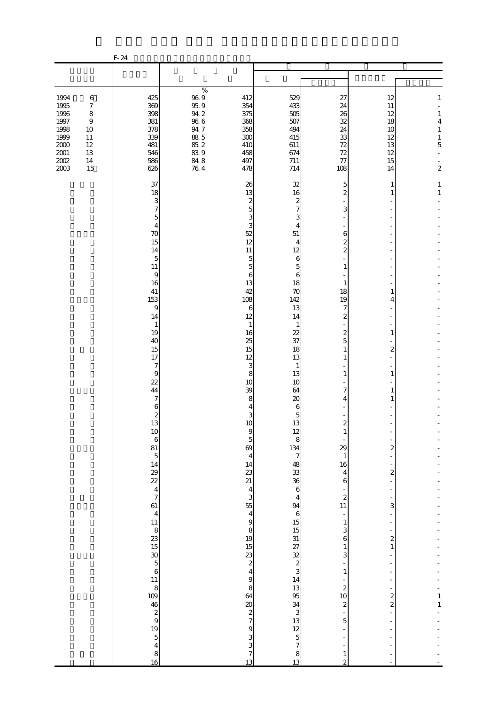|                                                                                         |                                                                                                  | $F-24$                                                                                                                                                                                                                                                                                                                                                     |                                                                                                                                                                                                                                                                                                                                                              |                                                                                                                                                                                                                                                                                                                                                                                                                                                                                                                                                                                                                                                                                                                            |                                                                                                                                                                                                                                                                                                                                                                                                                                                                                                                                                       |                                                                                                                                                                                                            |                                                                                                              |
|-----------------------------------------------------------------------------------------|--------------------------------------------------------------------------------------------------|------------------------------------------------------------------------------------------------------------------------------------------------------------------------------------------------------------------------------------------------------------------------------------------------------------------------------------------------------------|--------------------------------------------------------------------------------------------------------------------------------------------------------------------------------------------------------------------------------------------------------------------------------------------------------------------------------------------------------------|----------------------------------------------------------------------------------------------------------------------------------------------------------------------------------------------------------------------------------------------------------------------------------------------------------------------------------------------------------------------------------------------------------------------------------------------------------------------------------------------------------------------------------------------------------------------------------------------------------------------------------------------------------------------------------------------------------------------------|-------------------------------------------------------------------------------------------------------------------------------------------------------------------------------------------------------------------------------------------------------------------------------------------------------------------------------------------------------------------------------------------------------------------------------------------------------------------------------------------------------------------------------------------------------|------------------------------------------------------------------------------------------------------------------------------------------------------------------------------------------------------------|--------------------------------------------------------------------------------------------------------------|
|                                                                                         |                                                                                                  |                                                                                                                                                                                                                                                                                                                                                            |                                                                                                                                                                                                                                                                                                                                                              |                                                                                                                                                                                                                                                                                                                                                                                                                                                                                                                                                                                                                                                                                                                            |                                                                                                                                                                                                                                                                                                                                                                                                                                                                                                                                                       |                                                                                                                                                                                                            |                                                                                                              |
|                                                                                         |                                                                                                  |                                                                                                                                                                                                                                                                                                                                                            |                                                                                                                                                                                                                                                                                                                                                              |                                                                                                                                                                                                                                                                                                                                                                                                                                                                                                                                                                                                                                                                                                                            |                                                                                                                                                                                                                                                                                                                                                                                                                                                                                                                                                       |                                                                                                                                                                                                            |                                                                                                              |
| 1994<br>1995<br>1996<br>1997<br>1998<br>1999<br>$2000\,$<br>$2001\,$<br>$200\!$<br>2003 | $\,6\,$<br>$\boldsymbol{7}$<br>8<br>$\boldsymbol{9}$<br>10<br>11<br>$12\,$<br>13<br>$14\,$<br>15 | 425<br>369<br>398<br>381<br>378<br>339<br>481<br>546<br>586<br>626                                                                                                                                                                                                                                                                                         | %<br>$96\ 9$<br>412<br>95.9<br>354<br>$94.2\,$<br>375<br>$96\ 6$<br>368<br>$94\,7$<br>358<br>$88\ 5$<br>300<br>85.2<br>410<br>839<br>458<br>84.8<br>76.4<br>497<br>478                                                                                                                                                                                       | 529<br>433<br>505<br>507<br>494<br>415<br>611<br>674<br>711<br>714                                                                                                                                                                                                                                                                                                                                                                                                                                                                                                                                                                                                                                                         | 27<br>24<br>26<br>32<br>24<br>33<br>72<br>72<br>77<br>108                                                                                                                                                                                                                                                                                                                                                                                                                                                                                             | 12<br>11<br>12<br>18<br>10<br>12<br>13<br>12<br>15<br>14                                                                                                                                                   | $\mathbf{1}$<br>$\mathbf{1}$<br>$\overline{4}$<br>$\mathbf{1}$<br>$\mathbf{1}$<br>$\mathbf 5$<br>$\mathbf 2$ |
|                                                                                         |                                                                                                  | 37<br>18<br>3<br>$\overline{7}$<br>$\overline{5}$<br>$\overline{4}$<br>70<br>15<br>14<br>5<br>11<br>9<br>16<br>41<br>153<br>9<br>14<br>$\mathbf{1}$<br>19<br>40<br>15<br>17<br>7<br>$\boldsymbol{9}$<br>22<br>44<br>7<br>6<br>$\begin{array}{c} 2 \\ 13 \end{array}$<br>$10$<br>$\frac{6}{81}$<br>$\frac{5}{14}$<br>$\frac{29}{22}$<br>$\frac{4}{7}$<br>61 | 26<br>13<br>52<br>12<br>11<br>13<br>42<br>108<br>12<br>16<br>25<br>15<br>12<br>10<br>39<br>10<br>$\frac{5}{69}$<br>$\begin{array}{c} 14 \\ 23 \\ 21 \end{array}$<br>55<br>$\frac{8}{19}$<br>$\begin{array}{c} 23 \\ 2 \\ 4 \\ 9 \end{array}$<br>64<br>$\begin{array}{c}\n20 \\ 2 \\ 7\n\end{array}$<br>$\begin{array}{c} 9 \\ 3 \\ 3 \\ 7 \\ 13 \end{array}$ | 32<br>16<br>$\boldsymbol{z}$<br>$\boldsymbol{z}$<br>$\overline{7}$<br>5<br>3<br>3<br>3<br>$\overline{4}$<br>51<br>$\overline{4}$<br>12<br>$\overline{5}$<br>6<br>$\overline{5}$<br>5<br>6<br>6<br>18<br>70<br>142<br>13<br>6<br>14<br>$\mathbf{1}$<br>$\mathbf{1}$<br>22<br>37<br>18<br>13<br>3<br>$\mathbf{1}$<br>8<br>13<br>10<br>64<br>20<br>8<br>6<br>4<br>3<br>5<br>13<br>$\begin{array}{c}\n 12 \\  8 \\  134\n \end{array}$<br>9<br>$\begin{array}{c} \n7 \n\end{array}$<br>$\overline{4}$<br>$48$<br>$38$<br>$6$<br>$\overline{\mathbf{4}}$<br>3<br>$\overline{\mathbf{4}}$<br>J 7 3 4 5 5 5 6 5 6 7 8 9 5 6 5 6 9 6 7<br>$\overline{\mathbf{4}}$<br>$\overline{9}$<br>8<br>$\begin{array}{c} 8 \\ 13 \end{array}$ | 5<br>$\overline{c}$<br>3<br>6<br>$\boldsymbol{z}$<br>$\overline{\mathcal{L}}$<br>1<br>1<br>18<br>19<br>7<br>$\boldsymbol{z}$<br>$\boldsymbol{2}$<br>$\overline{5}$<br>1<br>$\mathbf{1}$<br>1<br>7<br>$\overline{4}$<br>$\boldsymbol{z}$<br>$\mathbf{1}$<br>29<br>$\,1\,$<br>16<br>$\overline{4}$<br>$\,$ 6 $\,$<br>$\overline{\mathcal{L}}$<br>11<br>$\overline{\phantom{a}}$<br>$\mathbf{1}$<br>3<br>$\boldsymbol{6}$<br>$\mathbf 1$<br>3<br>$\,1$<br>$\boldsymbol{z}$<br>10<br>$\boldsymbol{z}$<br>$\overline{5}$<br>$\mathbf{1}$<br>$\overline{2}$ | 1<br>1<br>1<br>4<br>1<br>$\boldsymbol{z}$<br>1<br>1<br>1<br>$\overline{\mathbf{c}}$<br>$\boldsymbol{z}$<br>3<br>$\boldsymbol{z}$<br>$\,1\,$<br>$\frac{2}{2}$<br>$\overline{\phantom{0}}$<br>$\overline{a}$ | $\mathbf{1}$<br>$\,1\,$<br>$\mathbf{1}$<br>$\,1\,$                                                           |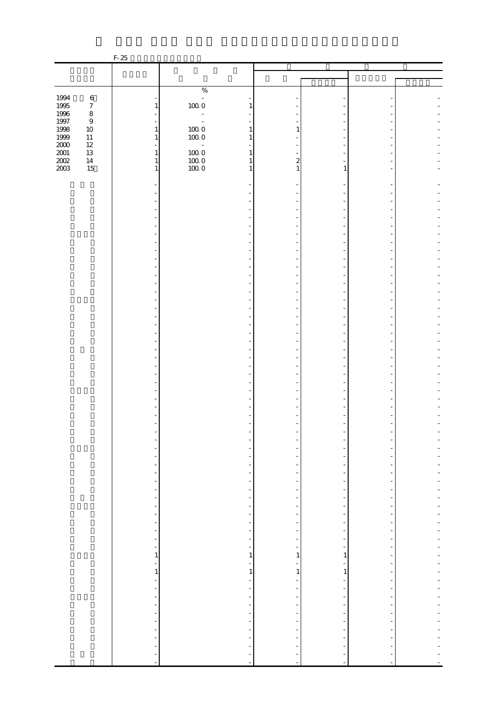|                   |                  | $F-25$                                               |                                                      |                               |                                                      |  |
|-------------------|------------------|------------------------------------------------------|------------------------------------------------------|-------------------------------|------------------------------------------------------|--|
|                   |                  |                                                      |                                                      |                               |                                                      |  |
|                   |                  |                                                      |                                                      |                               |                                                      |  |
|                   |                  |                                                      | $\%$                                                 |                               |                                                      |  |
| 1994              | $\,6\,$          |                                                      | $\Box$                                               |                               |                                                      |  |
| 1995              | $\boldsymbol{7}$ | $\mathbf{1}$                                         | $100\;0$<br>1                                        |                               |                                                      |  |
| 1996<br>1997      | $\,8\,$<br>$\,9$ |                                                      | $\equiv$                                             |                               |                                                      |  |
|                   | $10\,$           | $\mathbf{1}$                                         | $100\;0$<br>$\mathbf{1}$                             | 1                             |                                                      |  |
| 1998<br>1999      | $11\,$           | $\mathbf{1}$                                         | $100\;0$<br>$\mathbf{1}$                             |                               |                                                      |  |
| $\frac{200}{200}$ | $12\,$           | $\equiv$                                             | $\mathcal{L}_{\mathcal{A}}$                          |                               |                                                      |  |
|                   | $13\,$<br>$14\,$ | $\mathbf{1}$<br>$\mathbf{1}$                         | $100\;0$<br>$\mathbf{1}$<br>$\mathbf{1}$             | $\boldsymbol{z}$              |                                                      |  |
| 2003              | $15\,$           | $\mathbf{1}$                                         | $\frac{100}{100}$ 0<br>$\mathbf{1}$                  | 1                             | 1                                                    |  |
|                   |                  |                                                      |                                                      |                               |                                                      |  |
|                   |                  |                                                      |                                                      |                               |                                                      |  |
|                   |                  |                                                      |                                                      |                               |                                                      |  |
|                   |                  |                                                      |                                                      |                               |                                                      |  |
|                   |                  |                                                      |                                                      |                               |                                                      |  |
|                   |                  |                                                      |                                                      |                               |                                                      |  |
|                   |                  |                                                      |                                                      |                               |                                                      |  |
|                   |                  |                                                      |                                                      |                               |                                                      |  |
|                   |                  |                                                      |                                                      |                               |                                                      |  |
|                   |                  |                                                      |                                                      |                               |                                                      |  |
|                   |                  |                                                      |                                                      |                               |                                                      |  |
|                   |                  |                                                      |                                                      |                               |                                                      |  |
|                   |                  |                                                      |                                                      |                               |                                                      |  |
|                   |                  |                                                      |                                                      |                               |                                                      |  |
|                   |                  |                                                      |                                                      |                               |                                                      |  |
|                   |                  |                                                      |                                                      |                               |                                                      |  |
|                   |                  |                                                      |                                                      |                               |                                                      |  |
|                   |                  |                                                      |                                                      |                               |                                                      |  |
|                   |                  |                                                      |                                                      |                               |                                                      |  |
|                   |                  |                                                      |                                                      |                               |                                                      |  |
|                   |                  |                                                      |                                                      |                               |                                                      |  |
|                   |                  |                                                      |                                                      |                               |                                                      |  |
|                   |                  |                                                      |                                                      |                               |                                                      |  |
|                   |                  |                                                      |                                                      |                               |                                                      |  |
|                   |                  |                                                      |                                                      |                               |                                                      |  |
|                   |                  |                                                      |                                                      |                               |                                                      |  |
|                   |                  |                                                      |                                                      |                               |                                                      |  |
|                   |                  |                                                      |                                                      |                               |                                                      |  |
|                   |                  | $\qquad \qquad \blacksquare$                         |                                                      |                               |                                                      |  |
|                   |                  | $\frac{1}{2}$                                        | -                                                    |                               |                                                      |  |
|                   |                  | $\qquad \qquad \blacksquare$                         | $\overline{\phantom{0}}$                             |                               | $\overline{a}$                                       |  |
|                   |                  | $\overline{\phantom{a}}$                             | $\overline{\phantom{a}}$                             | Ξ                             | $\overline{a}$                                       |  |
|                   |                  | $\overline{\phantom{0}}$                             | $\overline{\phantom{a}}$                             | $\frac{1}{2}$                 | $\overline{\phantom{m}}$                             |  |
|                   |                  | $\qquad \qquad \blacksquare$                         | $\overline{\phantom{a}}$                             |                               | ÷                                                    |  |
|                   |                  | $\qquad \qquad \blacksquare$<br>$\equiv$             | $\overline{\phantom{0}}$<br>$\overline{\phantom{a}}$ | -<br>$\overline{\phantom{m}}$ | $\overline{a}$<br>$\overline{\phantom{m}}$           |  |
|                   |                  | $\overline{\phantom{0}}$                             | $\overline{\phantom{0}}$                             |                               |                                                      |  |
|                   |                  | $\frac{1}{2}$                                        | $\overline{\phantom{a}}$                             |                               | $\frac{1}{2}$                                        |  |
|                   |                  | $\frac{1}{\sqrt{2}}$                                 | $\overline{\phantom{a}}$                             | -                             | $\overline{\phantom{m}}$                             |  |
|                   |                  | $\frac{1}{\sqrt{2}}$<br>$\mathbf{1}$                 | ÷,<br>$\mathbf{1}$                                   | 1                             | $\frac{1}{2}$<br>$\mathbf{1}$                        |  |
|                   |                  | $\frac{1}{\sqrt{2}}$                                 | $\overline{\phantom{a}}$                             | $\overline{\phantom{0}}$      | $\frac{1}{2}$                                        |  |
|                   |                  | $\,1\,$                                              | $\,1\,$                                              | $1\vert$                      | $\,1$                                                |  |
|                   |                  | $\blacksquare$                                       |                                                      |                               |                                                      |  |
|                   |                  | $\overline{\phantom{a}}$                             | $\overline{\phantom{a}}$                             | $\overline{\phantom{0}}$      | $\frac{1}{2}$                                        |  |
|                   |                  | Ť,                                                   | Ξ.                                                   | Ξ,                            | $\overline{a}$                                       |  |
|                   |                  | $\overline{\phantom{a}}$<br>$\overline{\phantom{a}}$ | $\overline{\phantom{a}}$                             |                               | $\overline{\phantom{m}}$<br>$\overline{\phantom{m}}$ |  |
|                   |                  | $\overline{\phantom{a}}$                             | f<br>$\overline{\phantom{a}}$                        |                               | $\frac{1}{2}$                                        |  |
|                   |                  | $\blacksquare$                                       | $\overline{\phantom{a}}$                             | $\overline{\phantom{m}}$      | $\overline{\phantom{a}}$                             |  |
|                   |                  | $\qquad \qquad \blacksquare$                         |                                                      |                               |                                                      |  |
|                   |                  | $\overline{a}$                                       |                                                      |                               |                                                      |  |
|                   |                  | ÷<br>$\blacksquare$                                  | $\overline{a}$                                       | ÷                             | $\overline{\phantom{a}}$                             |  |
|                   |                  |                                                      |                                                      |                               |                                                      |  |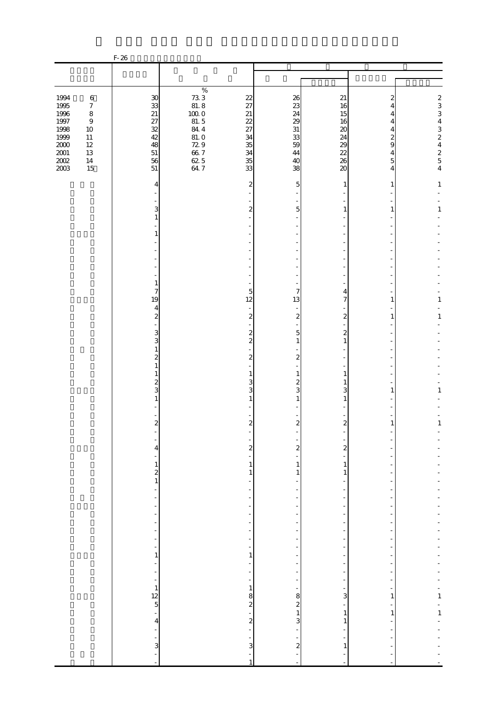|                                                                                                                            |                                                                                                                    | $F-26$                                                                  |                                                                                                |                                                                  |                                                          |                                                                                       |                                                                                                                  |                                |
|----------------------------------------------------------------------------------------------------------------------------|--------------------------------------------------------------------------------------------------------------------|-------------------------------------------------------------------------|------------------------------------------------------------------------------------------------|------------------------------------------------------------------|----------------------------------------------------------|---------------------------------------------------------------------------------------|------------------------------------------------------------------------------------------------------------------|--------------------------------|
|                                                                                                                            |                                                                                                                    |                                                                         |                                                                                                |                                                                  |                                                          |                                                                                       |                                                                                                                  |                                |
|                                                                                                                            |                                                                                                                    |                                                                         |                                                                                                |                                                                  |                                                          |                                                                                       |                                                                                                                  |                                |
| 1994<br>$\begin{array}{c} 1995 \\ 1996 \end{array}$<br>$1997\,$<br>1998<br>1999<br>$2000\,$<br>$2001\,$<br>$200\!$<br>2003 | $\,6\,$<br>$\boldsymbol{7}$<br>$\,8\,$<br>$\boldsymbol{9}$<br>$10\,$<br>$11\,$<br>$12\,$<br>$13\,$<br>$14\,$<br>15 | $30\,$<br>33<br>21<br>$\frac{27}{32}$<br>42<br>48<br>$51\,$<br>56<br>51 | $\%$<br>$73.3$<br>81.8<br>100.0<br>81.5<br>84.4<br>$81.0$<br>72.9<br>66.7<br>$\frac{62}{64}$ 5 | 22<br>27<br>21<br>22<br>27<br>34<br>35<br>34<br>35<br>33         | 26<br>23<br>24<br>29<br>31<br>33<br>59<br>44<br>40<br>38 | 21<br>16<br>15<br>16<br>$\boldsymbol{\chi}$<br>24<br>29<br>22<br>26<br>$\infty$       | 2<br>4<br>4<br>$\overline{4}$<br>4<br>$\boldsymbol{z}$<br>$\mathbf{9}$<br>$\overline{4}$<br>$5\overline{a}$<br>4 | 2334324254                     |
|                                                                                                                            |                                                                                                                    | 4                                                                       |                                                                                                | $\overline{2}$                                                   | 5                                                        | 1                                                                                     | 1                                                                                                                | $\mathbf{1}$                   |
|                                                                                                                            |                                                                                                                    | 3<br>$\mathbf{1}$                                                       |                                                                                                | $\boldsymbol{z}$                                                 | 5                                                        | 1                                                                                     | 1                                                                                                                | $\,1\,$                        |
|                                                                                                                            |                                                                                                                    | 1                                                                       |                                                                                                |                                                                  |                                                          |                                                                                       |                                                                                                                  |                                |
|                                                                                                                            |                                                                                                                    | $1\,$                                                                   |                                                                                                |                                                                  |                                                          |                                                                                       |                                                                                                                  |                                |
|                                                                                                                            |                                                                                                                    | 7<br>19<br>$\overline{\mathbf{4}}$                                      |                                                                                                | 5<br>12                                                          | 7<br>13                                                  | 4<br>7                                                                                | 1                                                                                                                | 1                              |
|                                                                                                                            |                                                                                                                    | $\overline{\mathbf{c}}$<br>3<br>3                                       |                                                                                                | $\boldsymbol{z}$<br>$\boldsymbol{z}$<br>$\overline{\mathcal{Z}}$ | $\boldsymbol{z}$<br>$\mathbf{5}$<br>$\mathbf{1}$         | $\boldsymbol{z}$<br>$\boldsymbol{z}$<br>$\mathbf{1}$                                  | 1                                                                                                                | $\,1\,$                        |
|                                                                                                                            |                                                                                                                    | $\mathbf{1}$<br>$\overline{\mathcal{Z}}$<br>$\mathbf{1}$<br>1           |                                                                                                | $\boldsymbol{z}$<br>1                                            | $\boldsymbol{z}$<br>$\mathbf{1}$                         | 1                                                                                     |                                                                                                                  |                                |
|                                                                                                                            |                                                                                                                    | $\overline{\mathcal{Z}}$<br>3<br>1                                      |                                                                                                | 3<br>3                                                           | $\boldsymbol{z}$<br>3<br>1                               | 1<br>3<br>1                                                                           | 1                                                                                                                | 1                              |
|                                                                                                                            |                                                                                                                    | $\overline{\mathbf{c}}$                                                 |                                                                                                | $\mathbf{z}$                                                     | $\overline{\mathbf{c}}$                                  | $\boldsymbol{2}$                                                                      | 1                                                                                                                | $\,1$                          |
|                                                                                                                            |                                                                                                                    | 4                                                                       |                                                                                                | $\overline{\mathbf{c}}$<br>$\mathbf{1}$                          | $\overline{\mathbf{c}}$<br>$\mathbf{1}$                  | $\overline{\mathbf{c}}$<br>$\mathbf{1}$                                               |                                                                                                                  |                                |
|                                                                                                                            |                                                                                                                    | $\frac{1}{2}$<br>$\frac{1}{2}$<br>-                                     |                                                                                                | 1<br>$\overline{\phantom{a}}$                                    | $\mathbf{1}$<br>$\overline{\phantom{a}}$                 | 1<br>$\overline{\phantom{m}}$                                                         |                                                                                                                  |                                |
|                                                                                                                            |                                                                                                                    | Ē,<br>-<br>-                                                            |                                                                                                | -                                                                |                                                          | $\overline{a}$<br>$\overline{\phantom{0}}$<br>ł,                                      |                                                                                                                  |                                |
|                                                                                                                            |                                                                                                                    | f<br>÷<br>$\frac{1}{1}$                                                 |                                                                                                | $\overline{\phantom{a}}$<br>$\overline{a}$<br>$\mathbf{1}$       | $\overline{\phantom{a}}$<br>$\overline{\phantom{0}}$     | ÷<br>$\overline{\phantom{0}}$<br>$\overline{\phantom{m}}$<br>$\overline{\phantom{a}}$ |                                                                                                                  |                                |
|                                                                                                                            |                                                                                                                    | ÷<br>$\frac{1}{2}$                                                      |                                                                                                | $\overline{a}$<br>-<br>$\overline{\phantom{a}}$                  | -                                                        | ÷,<br>$\overline{\phantom{0}}$<br>$\overline{\phantom{0}}$                            |                                                                                                                  |                                |
|                                                                                                                            |                                                                                                                    | $\mathbf 1$<br>$\frac{12}{5}$<br>$\overline{a}$                         |                                                                                                | $\mathbf{1}$<br>8<br>$\boldsymbol{z}$                            | 8<br>$\overline{\mathcal{Z}}$<br>$\mathbf{1}$            | f<br>3<br>÷<br>$\mathbf{1}$                                                           | 1<br>1                                                                                                           | $\frac{1}{1}$<br>$\frac{1}{1}$ |
|                                                                                                                            |                                                                                                                    | $\overline{\mathbf{4}}$<br>÷<br>3                                       |                                                                                                | $\boldsymbol{z}$<br>3                                            | 3<br>$\boldsymbol{z}$                                    | $\mathbf{1}$<br>÷,<br>1                                                               |                                                                                                                  |                                |
|                                                                                                                            |                                                                                                                    |                                                                         |                                                                                                | 1                                                                | $\blacksquare$                                           |                                                                                       |                                                                                                                  |                                |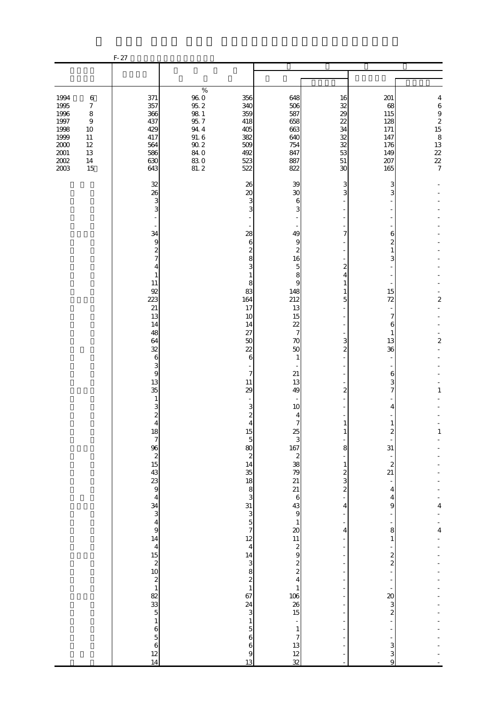|                                                                                          |                                                                                                        | $F-27$                                                                                                                                                                                                                                                                                                                                                                                                                                                                        |                                                                                                                             |                                                                                                                                                                                                                                                                                                                                                                        |                                                                                                                                                                                                                                                                                                                                                            |                                                                                                                                                                                           |                                                                                                                                                                                                                                                                                                                              |                                                                                                      |
|------------------------------------------------------------------------------------------|--------------------------------------------------------------------------------------------------------|-------------------------------------------------------------------------------------------------------------------------------------------------------------------------------------------------------------------------------------------------------------------------------------------------------------------------------------------------------------------------------------------------------------------------------------------------------------------------------|-----------------------------------------------------------------------------------------------------------------------------|------------------------------------------------------------------------------------------------------------------------------------------------------------------------------------------------------------------------------------------------------------------------------------------------------------------------------------------------------------------------|------------------------------------------------------------------------------------------------------------------------------------------------------------------------------------------------------------------------------------------------------------------------------------------------------------------------------------------------------------|-------------------------------------------------------------------------------------------------------------------------------------------------------------------------------------------|------------------------------------------------------------------------------------------------------------------------------------------------------------------------------------------------------------------------------------------------------------------------------------------------------------------------------|------------------------------------------------------------------------------------------------------|
|                                                                                          |                                                                                                        |                                                                                                                                                                                                                                                                                                                                                                                                                                                                               |                                                                                                                             |                                                                                                                                                                                                                                                                                                                                                                        |                                                                                                                                                                                                                                                                                                                                                            |                                                                                                                                                                                           |                                                                                                                                                                                                                                                                                                                              |                                                                                                      |
| 1994<br>1995<br>1996<br>1997<br>1998<br>1999<br>$2000\,$<br>$2001\,$<br>$2002\,$<br>2003 | $\,6\,$<br>$\boldsymbol{7}$<br>$\,8\,$<br>$\boldsymbol{9}$<br>10<br>11<br>$12\,$<br>13<br>$14\,$<br>15 | 371<br>357<br>366<br>437<br>429<br>417<br>564<br>586<br>630<br>643                                                                                                                                                                                                                                                                                                                                                                                                            | $\%$<br>$\begin{array}{c} 96.0 \\ 95.2 \end{array}$<br>$98\ 1$<br>95.7<br>94.4<br>$91.6$<br>$90.2$<br>$84.0$<br>830<br>81.2 | 356<br>340<br>359<br>418<br>405<br>382<br>509<br>492<br>523<br>522                                                                                                                                                                                                                                                                                                     | 648<br>506<br>587<br>658<br>663<br>640<br>754<br>847<br>887<br>822                                                                                                                                                                                                                                                                                         | 16<br>32<br>29<br>22<br>34<br>32<br>32<br>53<br>$51\,$<br>30                                                                                                                              | 201<br>68<br>115<br>128<br>171<br>147<br>176<br>149<br>207<br>165                                                                                                                                                                                                                                                            | 4<br>$\boldsymbol{6}$<br>$\begin{array}{c} 9 \\ 2 \\ 15 \end{array}$<br>$813$<br>$22$<br>$22$<br>$7$ |
|                                                                                          |                                                                                                        | 32<br>26<br>3<br>3<br>34<br>$\overline{9}$<br>$\boldsymbol{z}$<br>$\overline{7}$<br>4<br>$\mathbf{1}$<br>11<br>92<br>223<br>21<br>13<br>14<br>48<br>64<br>32<br>6<br>3<br>$\overline{9}$<br>13<br>35<br>$\mathbf{1}$<br>3<br>$\boldsymbol{z}$<br>$\overline{4}$<br>1878251543394<br>$\begin{array}{c}\n 34 \\  3 \\  4 \\  9\n \end{array}$<br>$\begin{array}{c}\n14 \\ 14 \\ 15 \\ 21 \\ 02\n\end{array}$<br>$\,1$<br>$\begin{array}{c} 6 \\ 5 \\ 6 \\ 12 \end{array}$<br>14 |                                                                                                                             | 26<br>$\boldsymbol{\chi}$<br>3<br>3<br>28<br>6<br>2<br>8<br>3<br>1<br>8<br>83<br>164<br>17<br>10<br>14<br>27<br>50<br>22<br>6<br>7<br>11<br>29<br>3<br>2<br>$\overline{4}$<br>$15\,$<br>$\overline{5}$<br>80<br>$\boldsymbol{z}$<br>14<br>35<br>$\frac{18}{7}$ $\frac{8}{3}$ $\frac{3}{3}$ $\frac{3}{5}$ $\frac{3}{7}$<br>$\,1$<br>$\overline{5}$<br>6<br>6<br>9<br>13 | 39<br>30<br>6<br>3<br>49<br>9<br>$\boldsymbol{z}$<br>16<br>5<br>8<br>9<br>148<br>212<br>13<br>15<br>22<br>$\overline{7}$<br>70<br>50<br>1<br>21<br>13<br>49<br>10<br>4<br>$\overline{7}$<br>$\frac{25}{3}$<br>167 2 38 79 21 21 6 43 9 1 20 1 1 2 9 2 2 4<br>$\frac{1}{106}$<br>$\frac{26}{15}$<br>÷,<br>$\mathbf{1}$<br>$\overline{7}$<br>$\frac{13}{12}$ | 3<br>3<br>7<br>$\mathbf{z}$<br>4<br>$\mathbf{1}$<br>1<br>5<br>3<br>$\overline{c}$<br>2<br>1<br>1<br>8<br>$\mathbf{1}$<br>$\frac{2}{3}$<br>$\overline{\mathcal{L}}$<br>4<br>$\overline{4}$ | 3<br>3<br>6<br>$\overline{c}$<br>$\mathbf{1}$<br>3<br>15<br>72<br>7<br>6<br>$\mathbf{1}$<br>13<br>36<br>6<br>3<br>7<br>4<br>$\mathbf{1}$<br>2<br>31<br>$\begin{array}{c} 2 \\ 21 \end{array}$<br>$\overline{4}$<br>4<br>9<br>8<br>$\mathbf{1}$<br>$\frac{2}{2}$<br>$\frac{20}{3}$<br>$\overline{\mathcal{L}}$<br>3<br>3<br>9 | $\overline{\mathbf{c}}$<br>$\boldsymbol{2}$<br>1<br>$\mathbf{1}$<br>4<br>$\overline{\mathbf{4}}$     |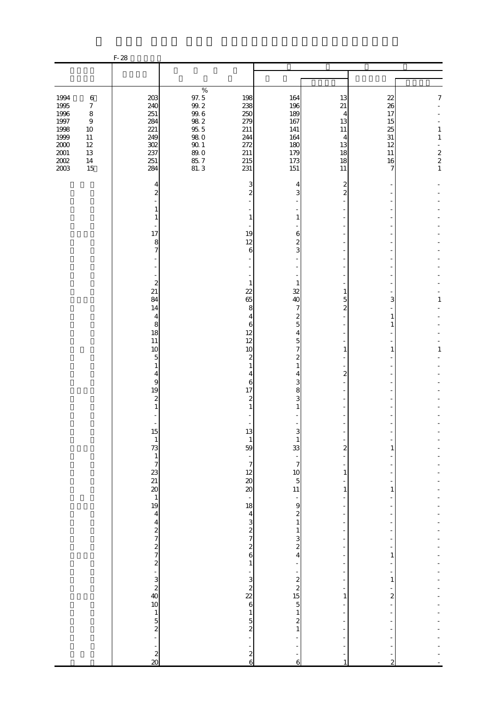|                                                                                             |                                                                                                 | $F-28$                                                                    |                                                                                                         |                                                                    |                                                                    |                                                                     |                                                         |                                                                                                |
|---------------------------------------------------------------------------------------------|-------------------------------------------------------------------------------------------------|---------------------------------------------------------------------------|---------------------------------------------------------------------------------------------------------|--------------------------------------------------------------------|--------------------------------------------------------------------|---------------------------------------------------------------------|---------------------------------------------------------|------------------------------------------------------------------------------------------------|
|                                                                                             |                                                                                                 |                                                                           |                                                                                                         |                                                                    |                                                                    |                                                                     |                                                         |                                                                                                |
|                                                                                             |                                                                                                 |                                                                           |                                                                                                         |                                                                    |                                                                    |                                                                     |                                                         |                                                                                                |
| 1994<br>1995<br>1996<br>$1997\,$<br>1998<br>1999<br>$2000\,$<br>$2001\,$<br>$200\!$<br>2003 | $\,6\,$<br>$\boldsymbol{7}$<br>$\,8\,$<br>$\,9$<br>10<br>$11\,$<br>$12\,$<br>13<br>$14\,$<br>15 | 203<br>240<br>251<br>284<br>221<br>249<br>302<br>237<br>251<br>284        | $\%$<br>97.5<br>99.2<br>$99.6\,$<br>$98\ 2$<br>$95\ 5$<br><b>980</b><br>$90\,1$<br>89.0<br>85.7<br>81.3 | 198<br>238<br>250<br>279<br>211<br>244<br>272<br>211<br>215<br>231 | 164<br>196<br>189<br>167<br>141<br>164<br>180<br>179<br>173<br>151 | 13<br>21<br>4<br>13<br>11<br>$\overline{4}$<br>13<br>18<br>18<br>11 | 22<br>26<br>17<br>15<br>25<br>31<br>12<br>11<br>16<br>7 | $\boldsymbol{7}$<br>$\mathbf{1}$<br>$\mathbf{1}$<br>$\begin{array}{c} 2 \\ 2 \\ 1 \end{array}$ |
|                                                                                             |                                                                                                 | 4<br>$\overline{\mathcal{Z}}$                                             |                                                                                                         | 3<br>2                                                             | 4<br>3                                                             | 2<br>$\overline{c}$                                                 |                                                         |                                                                                                |
|                                                                                             |                                                                                                 | $\mathbf{1}$<br>$\mathbf{1}$                                              |                                                                                                         | 1                                                                  | $\mathbf{1}$                                                       |                                                                     |                                                         |                                                                                                |
|                                                                                             |                                                                                                 | 17<br>8<br>$\overline{7}$                                                 |                                                                                                         | 19<br>12<br>$\boldsymbol{6}$                                       | 6<br>$\overline{\mathcal{Z}}$<br>3                                 |                                                                     |                                                         |                                                                                                |
|                                                                                             |                                                                                                 |                                                                           |                                                                                                         |                                                                    |                                                                    |                                                                     |                                                         |                                                                                                |
|                                                                                             |                                                                                                 | $\boldsymbol{z}$<br>21<br>84<br>14                                        |                                                                                                         | 1<br>$\overline{22}$<br>65<br>8                                    | 1<br>32<br>40<br>7                                                 | 1<br>5<br>$\mathbf{z}$                                              | 3                                                       | 1                                                                                              |
|                                                                                             |                                                                                                 | 4<br>8<br>18                                                              |                                                                                                         | $\overline{4}$<br>6<br>12                                          | $\boldsymbol{z}$<br>5<br>4                                         |                                                                     | 1<br>1                                                  |                                                                                                |
|                                                                                             |                                                                                                 | 11<br>10<br>5<br>$\mathbf{1}$                                             |                                                                                                         | 12<br>10<br>$\boldsymbol{z}$<br>1                                  | 5<br>$\overline{7}$<br>$\overline{\mathcal{Z}}$<br>$\mathbf{1}$    | 1                                                                   | 1                                                       | $\mathbf{1}$                                                                                   |
|                                                                                             |                                                                                                 | 4<br>$\overline{9}$<br>19                                                 |                                                                                                         | 4<br>6<br>17                                                       | 4<br>3<br>8                                                        | $\overline{\mathcal{Z}}$                                            |                                                         |                                                                                                |
|                                                                                             |                                                                                                 | $\boldsymbol{z}$<br>$\mathbf{1}$                                          |                                                                                                         | 2                                                                  | 3<br>1                                                             |                                                                     |                                                         |                                                                                                |
|                                                                                             |                                                                                                 |                                                                           |                                                                                                         | 13<br>$\mathbf{1}$<br>59                                           | $\mathbf{1}$<br>33                                                 | $\overline{\mathbf{c}}$                                             | 1                                                       |                                                                                                |
|                                                                                             |                                                                                                 |                                                                           |                                                                                                         | $\overline{\phantom{a}}$<br>$\overline{7}$<br>$\frac{12}{20}$      | $\frac{1}{7}$<br>$\begin{array}{c} 10 \\ 5 \\ 11 \end{array}$      | $\mathbf{1}$                                                        |                                                         |                                                                                                |
|                                                                                             |                                                                                                 |                                                                           |                                                                                                         | ÷<br>18                                                            | $\overline{\phantom{0}}$<br>9                                      | $\,1\,$<br>٠                                                        | 1                                                       |                                                                                                |
|                                                                                             |                                                                                                 |                                                                           |                                                                                                         | $4$ a a a $2$ a $7$                                                | $\begin{smallmatrix} 2\\1 \end{smallmatrix}$<br>$\mathbf{1}$<br>3  | $\overline{\phantom{a}}$                                            |                                                         |                                                                                                |
|                                                                                             |                                                                                                 |                                                                           |                                                                                                         | $\mathbf{1}$                                                       | $\overline{\mathcal{L}}$<br>4                                      | $\overline{\phantom{a}}$                                            | 1                                                       |                                                                                                |
|                                                                                             |                                                                                                 | 5 – 12 – 23 23 24 24 24 25 – 27 26 27 27 27 27 27 27 27 27 27 28 28 29 20 |                                                                                                         | $\frac{3}{2}$<br>$\frac{2}{6}$                                     | $\frac{2}{2}$<br>15<br>5                                           | 1                                                                   | $\mathbf{1}$<br>$\overline{c}$                          |                                                                                                |
|                                                                                             |                                                                                                 | $\begin{array}{c} 1 \\ 5 \\ 2 \end{array}$                                |                                                                                                         | $\,1\,$<br>$\frac{5}{2}$                                           | $\mathbf{1}$<br>$\overline{\mathcal{Z}}$                           | $\overline{\phantom{a}}$                                            |                                                         |                                                                                                |
|                                                                                             |                                                                                                 | $\overline{a}$                                                            |                                                                                                         | $\boldsymbol{z}$                                                   | $\mathbf{1}$                                                       |                                                                     |                                                         |                                                                                                |
|                                                                                             |                                                                                                 | $\frac{2}{20}$                                                            |                                                                                                         | 6                                                                  | 6                                                                  |                                                                     | 2                                                       |                                                                                                |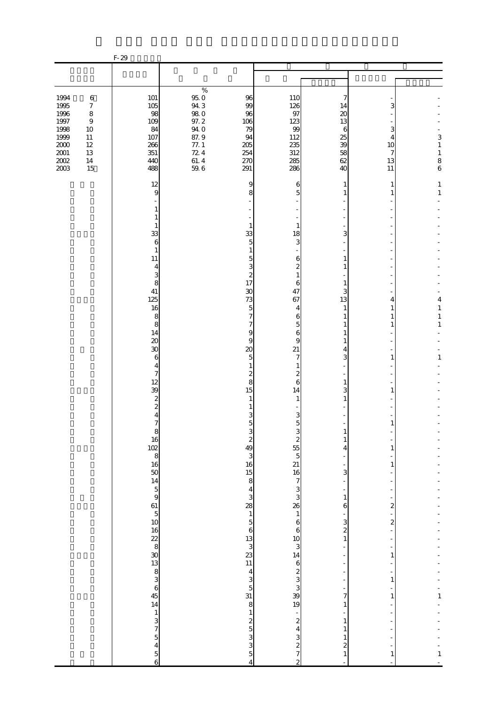|                                                                                          |                                                                                           | $F-29$                                                                                                                                                                                                                                                                                                                                                                                                                                                                         |                                                                                                    |                                                                                                                                                                                                                                                                                                                                                                                                                              |                                                                                                                                                                                                                                                                                                                                                                                    |                                                                                                                                                                                                                                                                                                                              |                                                                                                                                                                                                            |                                                                                                                         |
|------------------------------------------------------------------------------------------|-------------------------------------------------------------------------------------------|--------------------------------------------------------------------------------------------------------------------------------------------------------------------------------------------------------------------------------------------------------------------------------------------------------------------------------------------------------------------------------------------------------------------------------------------------------------------------------|----------------------------------------------------------------------------------------------------|------------------------------------------------------------------------------------------------------------------------------------------------------------------------------------------------------------------------------------------------------------------------------------------------------------------------------------------------------------------------------------------------------------------------------|------------------------------------------------------------------------------------------------------------------------------------------------------------------------------------------------------------------------------------------------------------------------------------------------------------------------------------------------------------------------------------|------------------------------------------------------------------------------------------------------------------------------------------------------------------------------------------------------------------------------------------------------------------------------------------------------------------------------|------------------------------------------------------------------------------------------------------------------------------------------------------------------------------------------------------------|-------------------------------------------------------------------------------------------------------------------------|
|                                                                                          |                                                                                           |                                                                                                                                                                                                                                                                                                                                                                                                                                                                                |                                                                                                    |                                                                                                                                                                                                                                                                                                                                                                                                                              |                                                                                                                                                                                                                                                                                                                                                                                    |                                                                                                                                                                                                                                                                                                                              |                                                                                                                                                                                                            |                                                                                                                         |
| 1994<br>1995<br>1996<br>1997<br>1998<br>1999<br>$2000\,$<br>$2001\,$<br>$2002\,$<br>2003 | $\,6\,$<br>$\boldsymbol{7}$<br>$\,8\,$<br>$\,9$<br>$10$<br>11<br>12<br>$13\,$<br>14<br>15 | 101<br>$105$<br>98<br>109<br>84<br>107<br>266<br>351<br>440<br>488                                                                                                                                                                                                                                                                                                                                                                                                             | $\%$<br>$95.0\,$<br>94.3<br><b>980</b><br>97.2<br>94.0<br>87.9<br>$77. \;1$<br>724<br>61.4<br>59.6 | 96<br>99<br>96<br>106<br>79<br>94<br>205<br>254<br>270<br>291                                                                                                                                                                                                                                                                                                                                                                | 110<br>126<br>97<br>123<br>99<br>112<br>235<br>312<br>285<br>286                                                                                                                                                                                                                                                                                                                   | 7<br>14<br>20<br>13<br>6<br>25<br>39<br>58<br>62<br>40                                                                                                                                                                                                                                                                       | 3<br>3<br>4<br>10<br>7<br>13<br>11                                                                                                                                                                         | 3<br>$\mathbf{1}$<br>$\mathbf{1}$<br>8<br>$\ddot{\mathbf{6}}$                                                           |
|                                                                                          |                                                                                           | 12<br>9<br>1<br>1<br>$\mathbf{1}$<br>33<br>$\,$ 6 $\,$<br>$\mathbf{1}$<br>11<br>4<br>3<br>8<br>41<br>125<br>16<br>8<br>8<br>14<br>$\infty$<br>$\boldsymbol{\mathcal{X}}$<br>6<br>4<br>7<br>12<br>39<br>$\boldsymbol{z}$<br>$\boldsymbol{z}$<br>4<br>$\boldsymbol{7}$<br>$\begin{array}{c} 8 \\ 16 \end{array}$<br>$\begin{array}{c}\n 102 \\  8 \\  16 \\  50 \\  14 \\  5 \\  9\n \end{array}$<br>$\begin{array}{c}\n61 \\ 5 \\ 10\n\end{array}$<br>$\frac{1}{3}$ 3 7 5 4 5 6 |                                                                                                    | 9<br>8<br>1<br>33<br>5<br>1<br>5<br>3<br>$\overline{\mathcal{Z}}$<br>17<br>30<br>73<br>5<br>7<br>7<br>9<br>9<br>20<br>5<br>1<br>2<br>8<br>15<br>1<br>3<br>5<br>$\begin{array}{c} 3 \\ 2 \\ 49 \end{array}$<br>$\begin{array}{c} 3 \\ 16 \end{array}$<br>$\frac{15}{8}$<br>$4$ 3<br>28<br>1 5 6<br>13<br>3<br>23<br>11<br>$\begin{array}{c} 4 \\ 3 \\ 5 \\ 31 \end{array}$<br>8<br>$\frac{1}{3}$ and as a s<br>$\overline{4}$ | 6<br>5<br>1<br>18<br>3<br>6<br>2<br>1<br>6<br>47<br>67<br>4<br>6<br>5<br>6<br>9<br>21<br>7<br>2<br>6<br>14<br>1<br>3<br>$\mathbf 5$<br>3<br>$\overline{\mathcal{L}}$<br>55 5 21 16 7 3 3 26 1<br>$\begin{array}{c} 6 \\ 6 \end{array}$<br>$\begin{array}{c} 10 \\ 3 \\ 14 \end{array}$<br>6<br>2<br>3<br>3<br>3<br>9<br>1<br>9<br>$\frac{1}{2}$<br>$\frac{3}{2}$<br>$\overline{c}$ | 1<br>1<br>3<br>1<br>1<br>1<br>3<br>13<br>1<br>1<br>4<br>3<br>1<br>3<br>1<br>$\mathbf{1}$<br>$\mathbf{1}$<br>4<br>3<br>÷,<br>$\,1\,$<br>6<br>$\overline{\phantom{a}}$<br>3<br>$\overline{\mathcal{L}}$<br>$\,1\,$<br>$\overline{7}$<br>$\,1\,$<br>$\,1\,$<br>$\mathbf{1}$<br>$\mathbf{1}$<br>$\boldsymbol{z}$<br>$\mathbf{1}$ | 1<br>1<br>4<br>1<br>1<br>1<br>1<br>1<br>1<br>$\mathbf{1}$<br>$\mathbf{1}$<br>$\overline{\mathbf{c}}$<br>$\overline{\mathcal{L}}$<br>$\qquad \qquad \blacksquare$<br>1<br>$\mathbf{1}$<br>$\mathbf{1}$<br>1 | 1<br>$\,1\,$<br>4<br>$\,1\,$<br>$\,1$<br>$\mathbf{1}$<br>1<br>$\frac{1}{1}$<br>$\mathbf{1}$<br>$\overline{\phantom{a}}$ |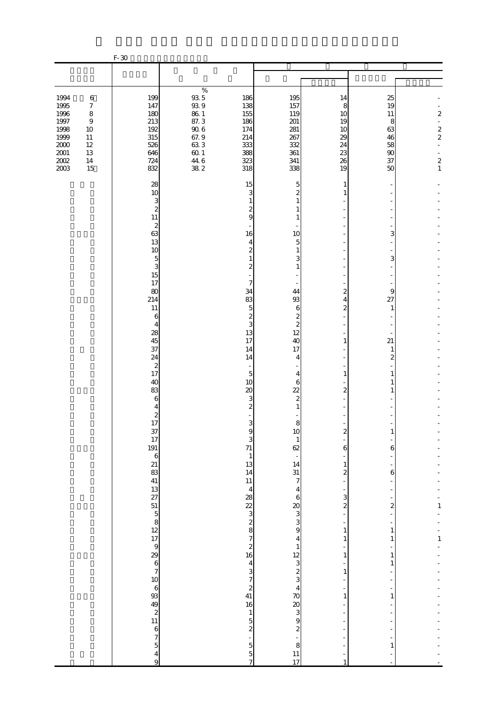| $\%$<br>$93\,5$<br>1994<br>$\,6\,$<br>199<br>186<br>195<br>25<br>14<br>$93\ 9$<br>1995<br>147<br>157<br>$\boldsymbol{7}$<br>138<br>8<br>19<br>1996<br>8<br>$86\ 1$<br>180<br>155<br>119<br>10<br>11<br>1997<br>87.3<br>$\,9$<br>213<br>186<br>201<br>8<br>19<br>$\frac{1}{2}$<br>$90\;6$<br>1998<br>192<br>281<br>10<br>174<br>63<br>10<br>67.9<br>1999<br>315<br>214<br>267<br>11<br>29<br>46<br>$2000\,$<br>633<br>$12\,$<br>526<br>333<br>332<br>24<br>58<br>$2001\,$<br>$60\,1$<br>13<br>646<br>388<br>361<br>23<br>90<br>$\overline{a}$<br>$\frac{44}{38}$ 6<br>$200\!$<br>323<br>724<br>341<br>26<br>$14\,$<br>37<br>2003<br>15<br>832<br>318<br>338<br>19<br>50<br>15<br>28<br>5<br>1<br>10<br>3<br>$\overline{c}$<br>3<br>1<br>1<br>$\overline{\mathcal{Z}}$<br>2<br>1<br>11<br>9<br>1<br>$\boldsymbol{z}$<br>63<br>16<br>10<br>3<br>13<br>5<br>4<br>10<br>2<br>1<br>5<br>3<br>З<br>1<br>3<br>$\overline{c}$<br>$\mathbf{1}$<br>15<br>17<br>7<br>80<br>34<br>44<br>2<br>9<br>214<br>83<br>93<br>4<br>27<br>$\boldsymbol{z}$<br>11<br>5<br>6<br>1<br>$\boldsymbol{z}$<br>$\boldsymbol{z}$<br>6<br>3<br>$\boldsymbol{z}$<br>4<br>12<br>28<br>13<br>45<br>17<br>21<br>40<br>1<br>37<br>17<br>14<br>1<br>24<br>2<br>14<br>4<br>$\boldsymbol{z}$<br>17<br>5<br>4<br>1<br>1<br>40<br>10<br>6<br>1<br>83<br>$\infty$<br>22<br>$\overline{a}$<br>1<br>6<br>3<br>2<br>$\boldsymbol{z}$<br>4<br>1<br>$\overline{\mathcal{Z}}$ | $F-30$ |   |   |  |                                                                                       |
|-----------------------------------------------------------------------------------------------------------------------------------------------------------------------------------------------------------------------------------------------------------------------------------------------------------------------------------------------------------------------------------------------------------------------------------------------------------------------------------------------------------------------------------------------------------------------------------------------------------------------------------------------------------------------------------------------------------------------------------------------------------------------------------------------------------------------------------------------------------------------------------------------------------------------------------------------------------------------------------------------------------------------------------------------------------------------------------------------------------------------------------------------------------------------------------------------------------------------------------------------------------------------------------------------------------------------------------------------------------------------------------------------------------------------------|--------|---|---|--|---------------------------------------------------------------------------------------|
|                                                                                                                                                                                                                                                                                                                                                                                                                                                                                                                                                                                                                                                                                                                                                                                                                                                                                                                                                                                                                                                                                                                                                                                                                                                                                                                                                                                                                             |        |   |   |  |                                                                                       |
|                                                                                                                                                                                                                                                                                                                                                                                                                                                                                                                                                                                                                                                                                                                                                                                                                                                                                                                                                                                                                                                                                                                                                                                                                                                                                                                                                                                                                             |        |   |   |  |                                                                                       |
|                                                                                                                                                                                                                                                                                                                                                                                                                                                                                                                                                                                                                                                                                                                                                                                                                                                                                                                                                                                                                                                                                                                                                                                                                                                                                                                                                                                                                             |        |   |   |  | $\overline{\mathcal{Z}}$<br>$\frac{2}{2}$<br>$\overline{\mathcal{L}}$<br>$\mathbf{1}$ |
| $\frac{37}{17}$<br>191<br>10<br>S<br>z<br>3<br>$\mathbf{1}$<br>71<br>62<br>6<br>6<br>っしょうにゅうしょう めっぱい にゅうひょう 2010 とう<br>$\mathbf{1}$<br>$\overline{\phantom{a}}$<br>13<br>$\begin{array}{c} 14 \\ 31 \end{array}$<br>$\mathbf{1}$<br>14<br>$\overline{\mathcal{L}}$<br>6<br>11<br>$\overline{7}$<br>÷<br>$\overline{4}$<br>$\overline{4}$<br>÷<br>3<br>28<br>$\boldsymbol{6}$<br>$\overline{\mathbf{c}}$<br>$\frac{22}{3}$<br>8<br>$\frac{20}{3}$<br>$\overline{\mathbf{c}}$<br>f<br>÷<br>$\,1\,$<br>$\mathbf{1}$<br>$\overline{7}$<br>$\overline{4}$<br>$\mathbf{1}$<br>$\mathbf{1}$<br>$\begin{array}{c}\n2 \\ 16\n\end{array}$<br>$\mathbf{1}$<br>÷<br>$\begin{array}{c}\n 12 \\  23 \\  4\n \end{array}$<br>1<br>1<br>$\overline{\mathbf{4}}$<br>1<br>3<br>$\,1\,$<br>$\overline{7}$<br>÷<br>$\boldsymbol{z}$<br>÷<br>41<br>$\frac{70}{20}$<br>1<br>1<br>16<br>$\blacksquare$<br>$\mathbf{1}$<br>$\overline{5}$<br>$\overline{\mathcal{L}}$<br>$\overline{\mathcal{Z}}$<br>8<br>$\overline{5}$<br>1                                                                                                                                                                                                                                                                                                                                                                                                                      | 17     | 3 | 8 |  | 1<br>$\,1\,$                                                                          |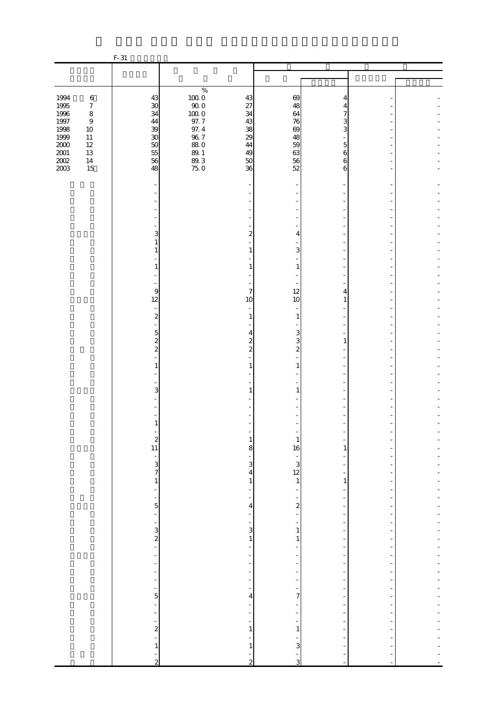|                              |                                       | $F-31$                                   |                                              |                                                                                  |                                                           |                                                                                  |                |  |
|------------------------------|---------------------------------------|------------------------------------------|----------------------------------------------|----------------------------------------------------------------------------------|-----------------------------------------------------------|----------------------------------------------------------------------------------|----------------|--|
|                              |                                       |                                          |                                              |                                                                                  |                                                           |                                                                                  |                |  |
|                              |                                       |                                          |                                              |                                                                                  |                                                           |                                                                                  |                |  |
| 1994<br>1995                 | $\,6\,$<br>$\boldsymbol{7}$           | 43<br>$\infty$                           | $\%$<br>$100\;0$<br>$90\;0$                  | 43<br>27                                                                         | 69<br>48                                                  | 4<br>4                                                                           |                |  |
| 1996<br>$1997\,$<br>1998     | $\,8\,$<br>$\boldsymbol{9}$<br>$10\,$ | 34<br>44<br>39                           | $100\;0$<br>97.7                             | 34<br>43<br>38                                                                   | 64<br>76<br>69                                            | 7<br>3<br>3                                                                      |                |  |
| 1999<br>$2000\,$<br>$2001\,$ | $11\,$<br>$12\,$<br>13                | 30<br>50<br>55                           | $\frac{97.4}{96.7}$<br><b>880</b><br>$8\!.1$ | 29<br>44<br>49                                                                   | 48<br>59<br>63                                            | 5<br>6                                                                           |                |  |
| $200\!$<br>2003              | $14\,$<br>15                          | 56<br>48                                 | 89.3<br>75.0                                 | 50<br>36                                                                         | 56<br>52                                                  | $\boldsymbol{6}$<br>6                                                            |                |  |
|                              |                                       |                                          |                                              |                                                                                  |                                                           |                                                                                  |                |  |
|                              |                                       |                                          |                                              |                                                                                  |                                                           |                                                                                  |                |  |
|                              |                                       | 3<br>1<br>1                              |                                              | $\overline{\mathbf{c}}$<br>$\mathbf{1}$                                          | 4<br>3                                                    |                                                                                  |                |  |
|                              |                                       | 1                                        |                                              | $\mathbf{1}$                                                                     | $\mathbf{1}$                                              |                                                                                  |                |  |
|                              |                                       | 9<br>12                                  |                                              | 7<br>10<br>$\overline{\phantom{a}}$                                              | 12<br>10                                                  | $\overline{4}$<br>$\mathbf{1}$                                                   |                |  |
|                              |                                       | $\boldsymbol{z}$<br>$\overline{5}$       |                                              | $\mathbf{1}$<br>$\overline{4}$                                                   | $\mathbf{1}$<br>3                                         |                                                                                  |                |  |
|                              |                                       | $\mathbf{z}$<br>$\overline{\mathcal{L}}$ |                                              | $\overline{\mathcal{Z}}$<br>$\overline{\mathcal{L}}$                             | 3<br>$\overline{\mathcal{L}}$                             | $\mathbf{1}$                                                                     |                |  |
|                              |                                       | $\mathbf{1}$                             |                                              | $\mathbf{1}$                                                                     | $\mathbf{1}$                                              |                                                                                  |                |  |
|                              |                                       | 3                                        |                                              | $\mathbf{1}$                                                                     | 1                                                         |                                                                                  |                |  |
|                              |                                       | $\mathbf{1}$                             |                                              |                                                                                  |                                                           |                                                                                  |                |  |
|                              |                                       | $\begin{array}{c} 2 \\ 11 \end{array}$   |                                              | $\mathbf{1}$<br>8<br>÷                                                           | $\mathbf{1}$<br>16                                        | $\mathbf{1}$<br>۰                                                                |                |  |
|                              |                                       | $\frac{1}{3}$<br>$\mathbf{1}$            |                                              | 3<br>$\overline{\mathbf{4}}$<br>$\,$ 1 $\,$                                      | $\begin{bmatrix} 1 \\ 3 \\ 12 \\ 1 \end{bmatrix}$         | ÷<br>-<br>$\,1\,$                                                                |                |  |
|                              |                                       | ÷,<br>÷<br>$\overline{5}$                |                                              | $\blacksquare$<br>÷<br>4                                                         | $\overline{a}$<br>$\overline{a}$                          | $\overline{\phantom{a}}$<br>÷<br>$\overline{a}$                                  | $\overline{a}$ |  |
|                              |                                       | ÷                                        |                                              | Ĩ,<br>$\frac{1}{3}$                                                              | $\frac{1}{\sqrt{2}}$<br>$\overline{\phantom{0}}$<br>$\,1$ | $\overline{\phantom{0}}$<br>÷<br>÷                                               |                |  |
|                              |                                       | $\frac{1}{2}$ $\frac{1}{2}$<br>-         |                                              | $\mathbf 1$<br>$\frac{1}{2}$<br>$\qquad \qquad \blacksquare$                     | $\mathbf{1}$                                              | $\overline{\phantom{a}}$<br>$\overline{\phantom{a}}$<br>$\overline{\phantom{0}}$ |                |  |
|                              |                                       | ÷<br>÷<br>÷                              |                                              | $\overline{\phantom{a}}$<br>$\overline{\phantom{0}}$<br>$\overline{\phantom{a}}$ | $\overline{\phantom{m}}$<br>$\overline{\phantom{0}}$<br>÷ | -<br>÷<br>$\overline{\phantom{a}}$                                               | ÷<br>÷,        |  |
|                              |                                       | f<br>$\overline{5}$<br>÷,                |                                              | $\overline{\phantom{a}}$<br>$\overline{\mathbf{r}}$<br>$\overline{\phantom{a}}$  | $\overline{\phantom{0}}$<br>7<br>$\overline{\phantom{m}}$ | f<br>$\overline{a}$<br>$\overline{\phantom{a}}$                                  |                |  |
|                              |                                       | ÷<br>$\frac{1}{2}$                       |                                              | $\overline{\phantom{a}}$<br>÷<br>$\,1\,$                                         | ÷<br>$\,1\,$                                              | ÷<br>÷<br>÷                                                                      |                |  |
|                              |                                       | $\overline{a}$<br>$\mathbf{1}$           |                                              | $\mathbf{1}$                                                                     | 3<br>f                                                    | $\overline{a}$                                                                   |                |  |
|                              |                                       | $\overline{c}$                           |                                              | $\overline{2}$                                                                   | $\overline{3}$                                            | L,                                                                               |                |  |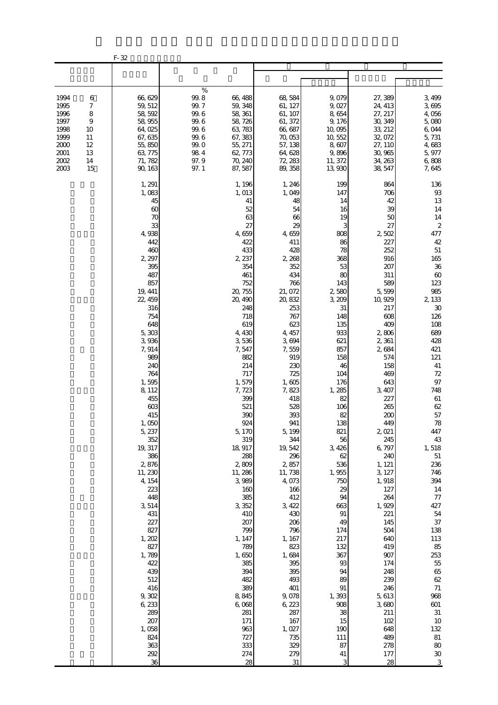|                                                                              |                                                                                    | F-32                                                                                                                                                                                                                                                                                                                                                                                                                                                                            |                                                                                                                                                                                                                                                                                                                                                                                                                                                                             |                                                                                                                                                                                                                                                                                                                                                                                                                                                                                |                                                                                                                                                                                                                                                                                                                                                                                                               |                                                                                                                                                                                                                                                                                                                                                                                                                                                          |                                                                                                                                                                                                                                                                                                                                                                                                                                                                                                       |
|------------------------------------------------------------------------------|------------------------------------------------------------------------------------|---------------------------------------------------------------------------------------------------------------------------------------------------------------------------------------------------------------------------------------------------------------------------------------------------------------------------------------------------------------------------------------------------------------------------------------------------------------------------------|-----------------------------------------------------------------------------------------------------------------------------------------------------------------------------------------------------------------------------------------------------------------------------------------------------------------------------------------------------------------------------------------------------------------------------------------------------------------------------|--------------------------------------------------------------------------------------------------------------------------------------------------------------------------------------------------------------------------------------------------------------------------------------------------------------------------------------------------------------------------------------------------------------------------------------------------------------------------------|---------------------------------------------------------------------------------------------------------------------------------------------------------------------------------------------------------------------------------------------------------------------------------------------------------------------------------------------------------------------------------------------------------------|----------------------------------------------------------------------------------------------------------------------------------------------------------------------------------------------------------------------------------------------------------------------------------------------------------------------------------------------------------------------------------------------------------------------------------------------------------|-------------------------------------------------------------------------------------------------------------------------------------------------------------------------------------------------------------------------------------------------------------------------------------------------------------------------------------------------------------------------------------------------------------------------------------------------------------------------------------------------------|
|                                                                              |                                                                                    |                                                                                                                                                                                                                                                                                                                                                                                                                                                                                 |                                                                                                                                                                                                                                                                                                                                                                                                                                                                             |                                                                                                                                                                                                                                                                                                                                                                                                                                                                                |                                                                                                                                                                                                                                                                                                                                                                                                               |                                                                                                                                                                                                                                                                                                                                                                                                                                                          |                                                                                                                                                                                                                                                                                                                                                                                                                                                                                                       |
| 1994<br>1995<br>1996<br>1997<br>1998<br>1999<br>2000<br>2001<br>2002<br>2003 | 6<br>$\boldsymbol{7}$<br>8<br>$\boldsymbol{9}$<br>10<br>11<br>12<br>13<br>14<br>15 | 66,629<br>59, 512<br>58, 592<br>58, 955<br>64,025<br>67, 635<br>55,850<br>63, 775<br>71, 782<br>90, 163                                                                                                                                                                                                                                                                                                                                                                         | $\%$<br>$99.8$<br>66,488<br>99.7<br>59, 348<br>$99.6$<br>58, 361<br>$99.6$<br>58, 726<br>$99.6$<br>63, 783<br>99.6<br>67, 383<br>99.0<br>55, 271<br>$98\ 4$<br>62, 773<br>97.9<br>70, 240<br>97.1<br>87,587                                                                                                                                                                                                                                                                 | 68,584<br>61, 127<br>61, 107<br>61, 372<br>66, 687<br>70,053<br>57, 138<br>64, 628<br>72, 283<br>89, 358                                                                                                                                                                                                                                                                                                                                                                       | 9,079<br>9,027<br>8,654<br>9,176<br>10,095<br>10, 552<br>8,607<br>9,896<br>11, 372<br>13,930                                                                                                                                                                                                                                                                                                                  | 27,389<br>24, 413<br>27, 217<br>30, 349<br>33, 212<br>32,072<br>27, 110<br>30,965<br>34, 263<br>38, 547                                                                                                                                                                                                                                                                                                                                                  | 3,499<br>3,695<br>4,056<br>5,080<br>6,044<br>5,731<br>4,683<br>5,977<br>6,808<br>7,645                                                                                                                                                                                                                                                                                                                                                                                                                |
|                                                                              |                                                                                    | 1, 291<br>1,083<br>45<br>60<br>70<br>33<br>4,938<br>442<br>460<br>2, 297<br>395<br>487<br>857<br>19, 441<br>22, 459<br>316<br>754<br>648<br>5,303<br>3,936<br>7,914<br>989<br>240<br>764<br>1,595<br>8,112<br>455<br>603<br>415<br>1,050<br>5, 237<br>352<br>19, 317<br>386<br>2,876<br>11, 230<br>4, 154<br>223<br>448<br>3,514<br>431<br>227<br>827<br>1, 202<br>827<br>1,789<br>422<br>439<br>512<br>416<br>9,302<br>6,233<br>289<br>207<br>1,058<br>824<br>363<br>292<br>36 | 1, 196<br>1, 013<br>41<br>52<br>63<br>27<br>4,659<br>422<br>433<br>2, 237<br>354<br>461<br>752<br>20, 755<br>20, 490<br>248<br>718<br>619<br>4,430<br>3,536<br>7,547<br>882<br>214<br>717<br>1,579<br>7, 723<br>399<br>521<br>390<br>924<br>5,170<br>319<br>18, 917<br>288<br>2,809<br>11, 286<br>3,989<br>160<br>385<br>3,352<br>410<br>207<br>799<br>1, 147<br>789<br>1,650<br>385<br>394<br>482<br>389<br>8,845<br>6,068<br>281<br>171<br>963<br>727<br>333<br>274<br>28 | 1, 246<br>1,049<br>48<br>54<br>66<br>29<br>4,659<br>411<br>428<br>2 2 6 8<br>352<br>434<br>766<br>21,072<br>20, 832<br>253<br>767<br>623<br>4, 457<br>3,694<br>7,559<br>919<br>230<br>725<br>1,605<br>7,823<br>418<br>528<br>393<br>941<br>5, 199<br>344<br>19, 542<br>296<br>2,857<br>11,738<br>4,073<br>166<br>412<br>3, 422<br>430<br>206<br>796<br>1, 167<br>823<br>1,684<br>395<br>395<br>493<br>401<br>9,078<br>6, 223<br>287<br>167<br>1,027<br>735<br>329<br>279<br>31 | 199<br>147<br>14<br>16<br>19<br>3<br>808<br>86<br>78<br>368<br>53<br>80<br>143<br>2580<br>3,209<br>31<br>148<br>135<br>933<br>621<br>857<br>158<br>46<br>104<br>176<br>1,285<br>82<br>106<br>82<br>138<br>821<br>56<br>3,426<br>62<br>536<br>1,955<br>750<br>29<br>94<br>663<br>91<br>49<br>174<br>217<br>132<br>367<br>$93$<br>94<br>89<br>$91\,$<br>1,393<br>908<br>38<br>15<br>190<br>111<br>87<br>41<br>3 | 864<br>706<br>42<br>39<br>50<br>27<br>2,502<br>227<br>252<br>916<br>207<br>311<br>589<br>5,599<br>10, 929<br>217<br>608<br>409<br>2,806<br>2,361<br>2,684<br>574<br>158<br>469<br>643<br>3, 407<br>227<br>265<br>200<br>449<br>2,021<br>245<br>6,797<br>240<br>1, 121<br>3, 127<br>1,918<br>127<br>264<br>1, 929<br>221<br>145<br>504<br>640<br>419<br>907<br>174<br>248<br>239<br>246<br>5,613<br>3,680<br>211<br>102<br>648<br>489<br>278<br>177<br>28 | 136<br>$9\!\!3$<br>13<br>14<br>14<br>$\boldsymbol{z}$<br>477<br>42<br>$51\,$<br>165<br>36<br>$60\,$<br>123<br>985<br>2, 133<br>$30\,$<br>126<br>108<br>689<br>428<br>421<br>121<br>$41\,$<br>$72\,$<br>$97\,$<br>748<br>$61\,$<br>$62\,$<br>57<br>78<br>447<br>43<br>1,518<br>$51\,$<br>236<br>746<br>394<br>14<br>$77\,$<br>427<br>54<br>$37\,$<br>138<br>113<br>85<br>253<br>$5\!$<br>65<br>$62\,$<br>$71\,$<br>968<br>$601$<br>$31\,$<br>10<br>$132\,$<br>$8\!1$<br>80<br>$3\!0$<br>$\overline{3}$ |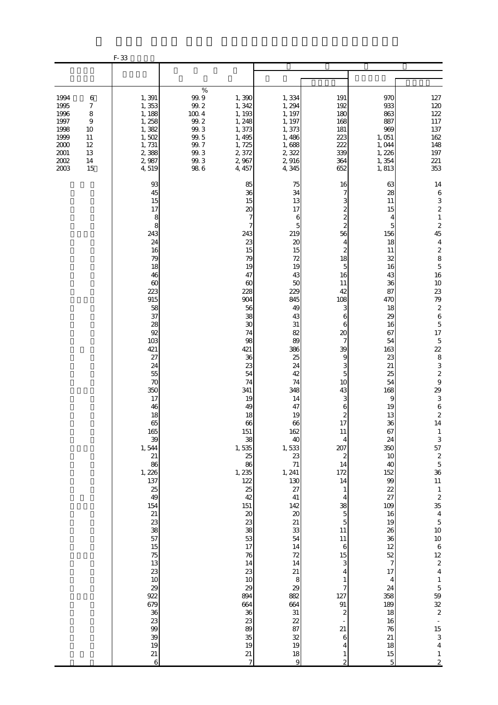|                                                                                  |                                                                               | F-33                                                                                                                                                                                                                                                                                                                                                                                              |                                                                                                        |                                                                                                                                                                                                                                                                                                                                                                                                         |                                                                                                                                                                                                                                                                                                                                                                                                          |                                                                                                                                                                                                                                                                                                                                                                                                                                                                                                                      |                                                                                                                                                                                                                                                                                                                                                                                    |                                                                                                                                                                                                                                                                                                                                                                                                                                                                                                                                                                                                                                                                                                                                            |
|----------------------------------------------------------------------------------|-------------------------------------------------------------------------------|---------------------------------------------------------------------------------------------------------------------------------------------------------------------------------------------------------------------------------------------------------------------------------------------------------------------------------------------------------------------------------------------------|--------------------------------------------------------------------------------------------------------|---------------------------------------------------------------------------------------------------------------------------------------------------------------------------------------------------------------------------------------------------------------------------------------------------------------------------------------------------------------------------------------------------------|----------------------------------------------------------------------------------------------------------------------------------------------------------------------------------------------------------------------------------------------------------------------------------------------------------------------------------------------------------------------------------------------------------|----------------------------------------------------------------------------------------------------------------------------------------------------------------------------------------------------------------------------------------------------------------------------------------------------------------------------------------------------------------------------------------------------------------------------------------------------------------------------------------------------------------------|------------------------------------------------------------------------------------------------------------------------------------------------------------------------------------------------------------------------------------------------------------------------------------------------------------------------------------------------------------------------------------|--------------------------------------------------------------------------------------------------------------------------------------------------------------------------------------------------------------------------------------------------------------------------------------------------------------------------------------------------------------------------------------------------------------------------------------------------------------------------------------------------------------------------------------------------------------------------------------------------------------------------------------------------------------------------------------------------------------------------------------------|
|                                                                                  |                                                                               |                                                                                                                                                                                                                                                                                                                                                                                                   |                                                                                                        |                                                                                                                                                                                                                                                                                                                                                                                                         |                                                                                                                                                                                                                                                                                                                                                                                                          |                                                                                                                                                                                                                                                                                                                                                                                                                                                                                                                      |                                                                                                                                                                                                                                                                                                                                                                                    |                                                                                                                                                                                                                                                                                                                                                                                                                                                                                                                                                                                                                                                                                                                                            |
| 1994<br>1995<br>1996<br>1997<br>1998<br>1999<br>2000<br>$2001\,$<br>2002<br>2003 | 6<br>7<br>$\,$ 8 $\,$<br>$\boldsymbol{9}$<br>10<br>11<br>12<br>13<br>14<br>15 | 1,391<br>1,353<br>1, 188<br>1, 258<br>1,382<br>1,502<br>1,731<br>2,388<br>2,987<br>4,519                                                                                                                                                                                                                                                                                                          | $\%$<br>99.9<br>$99.2\,$<br>100.4<br>$99.2\,$<br>99.3<br>$99\!\!.$ $5$<br>99.7<br>99.3<br>99.3<br>98.6 | 1,390<br>1,342<br>1, 193<br>1, 248<br>1,373<br>1,495<br>1,725<br>2,372<br>2,967<br>4, 457                                                                                                                                                                                                                                                                                                               | 1,334<br>1,294<br>1, 197<br>1, 197<br>1,373<br>1,486<br>1,688<br>2,322<br>2,916<br>4,345                                                                                                                                                                                                                                                                                                                 | 191<br>192<br>180<br>168<br>181<br>223<br>222<br>339<br>364<br>652                                                                                                                                                                                                                                                                                                                                                                                                                                                   | 970<br>933<br>863<br>887<br>969<br>1,051<br>1,044<br>1,226<br>1,354<br>1,813                                                                                                                                                                                                                                                                                                       | $127\,$<br>120<br>122<br>$117\,$<br>137<br>162<br>148<br>$197\,$<br>221<br>353                                                                                                                                                                                                                                                                                                                                                                                                                                                                                                                                                                                                                                                             |
|                                                                                  |                                                                               | 93<br>45<br>15<br>17<br>8<br>8<br>243<br>24<br>16<br>79<br>18<br>46<br>$\infty$<br>223<br>915<br>58<br>37<br>28<br>92<br>103<br>421<br>27<br>24<br>55<br>70<br>350<br>17<br>46<br>18<br>65<br>165<br>39<br>1,544<br>21<br>86<br>1, 226<br>137<br>25<br>49<br>154<br>21<br>23<br>38<br>57<br>$15\,$<br>75<br>13<br>23<br>10<br>29<br>922<br>679<br>36<br>23<br>99<br>39<br>19<br>21<br>$\mathbf 6$ |                                                                                                        | 85<br>36<br>15<br>20<br>7<br>7<br>243<br>23<br>15<br>79<br>19<br>47<br>60<br>228<br>904<br>56<br>38<br>30<br>74<br>98<br>421<br>36<br>23<br>54<br>74<br>341<br>19<br>49<br>18<br>$66\,$<br>151<br>38<br>1,535<br>25<br>86<br>1, 235<br>122<br>25<br>42<br>151<br>$20\,$<br>23<br>38<br>53<br>17<br>76<br>14<br>23<br>10<br>29<br>894<br>664<br>$3\!6$<br>23<br>89<br>35<br>19<br>21<br>$\boldsymbol{7}$ | 75<br>34<br>13<br>17<br>6<br>5<br>219<br>20<br>15<br>72<br>19<br>43<br>50<br>229<br>845<br>49<br>43<br>31<br>82<br>89<br>386<br>25<br>24<br>42<br>74<br>348<br>14<br>47<br>19<br>66<br>162<br>40<br>1,533<br>23<br>$71\,$<br>1, 241<br>130<br>27<br>$41\,$<br>142<br>$\pmb{\mathcal{X}}$<br>21<br>33<br>54<br>14<br>72<br>14<br>$21\,$<br>8<br>29<br>882<br>664<br>31<br>22<br>87<br>32<br>19<br>18<br>9 | 16<br>7<br>3<br>$\overline{\mathcal{Z}}$<br>$\overline{\mathcal{Z}}$<br>$\overline{\mathcal{Z}}$<br>56<br>4<br>$\boldsymbol{z}$<br>18<br>$\overline{5}$<br>16<br>11<br>42<br>108<br>3<br>6<br>6<br>20<br>7<br>39<br>9<br>3<br>5<br>10<br>43<br>3<br>6<br>$\overline{\mathcal{Z}}$<br>17<br>11<br>4<br>207<br>2<br>14<br>172<br>14<br>1<br>4<br>38<br>$\overline{5}$<br>5<br>11<br>$11\,$<br>6<br>15<br>3<br>4<br>1<br>7<br>127<br>91<br>$\boldsymbol{z}$<br>21<br>6<br>4<br>$\mathbf{1}$<br>$\overline{\mathcal{Z}}$ | 63<br>28<br>11<br>15<br>4<br>5<br>156<br>18<br>11<br>32<br>16<br>43<br>36<br>87<br>470<br>18<br>29<br>16<br>67<br>54<br>163<br>23<br>21<br>25<br>54<br>168<br>9<br>19<br>13<br>36<br>67<br>24<br>350<br>10<br>40<br>152<br>99<br>22<br>27<br>109<br>16<br>19<br>26<br>36<br>12<br>52<br>$\overline{7}$<br>17<br>4<br>24<br>358<br>189<br>18<br>16<br>76<br>21<br>18<br>$15\,$<br>5 | 14<br>$\,6\,$<br>$\frac{3}{2}$<br>$\,1\,$<br>$\begin{array}{c} 2 \\ 45 \end{array}$<br>$\overline{\mathbf{4}}$<br>$\begin{array}{c} 2 \\ 8 \\ 5 \end{array}$<br>16<br>$10$<br>23<br>79<br>$\begin{array}{c} 2 \\ 6 \end{array}$<br>$\overline{5}$<br>17<br>$\overline{5}$<br>22 8 3 3 2 9<br>29<br>$\mathbf{3}$<br>$\begin{array}{c} 6 \\ 2 \end{array}$<br>14<br>$\frac{1}{3}$<br>57<br>$\begin{array}{c} 2 \\ 5 \end{array}$<br>36<br>$11\,$<br>$\mathbf{1}$<br>$\boldsymbol{2}$<br>35<br>$\overline{4}$<br>$\mathbf 5$<br>10<br>$10\,$<br>$\overline{6}$<br>12<br>$\overline{\mathbf{c}}$<br>$\overline{\mathbf{4}}$<br>$\,1\,$<br>$\frac{5}{32}$<br>$\Box$<br>15<br>$\mathbf{3}$<br>$\boldsymbol{4}$<br>$\mathbf{1}$<br>$\overline{c}$ |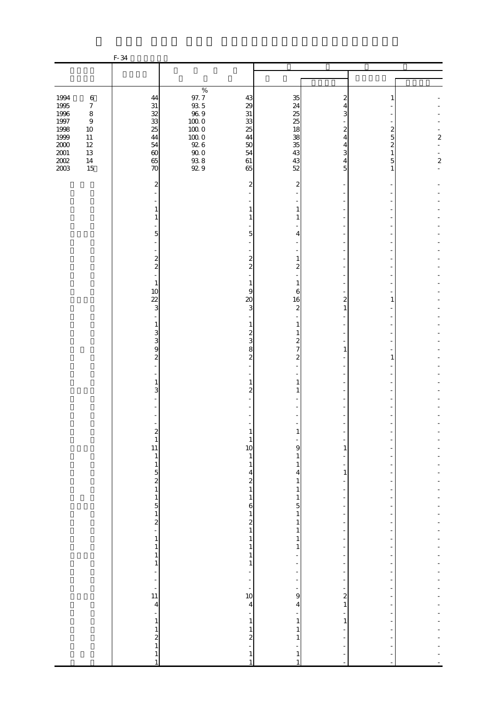|                                                  |                                                                                | F-34                                                      |                                                                      |                                                           |                                               |                                            |                                                    |                  |
|--------------------------------------------------|--------------------------------------------------------------------------------|-----------------------------------------------------------|----------------------------------------------------------------------|-----------------------------------------------------------|-----------------------------------------------|--------------------------------------------|----------------------------------------------------|------------------|
|                                                  |                                                                                |                                                           |                                                                      |                                                           |                                               |                                            |                                                    |                  |
|                                                  |                                                                                |                                                           |                                                                      |                                                           |                                               |                                            |                                                    |                  |
| 1994<br>1995<br>1996<br>$1997\,$<br>1998<br>1999 | $\,6\,$<br>$\boldsymbol{7}$<br>$\,8\,$<br>$\boldsymbol{9}$<br>$10\,$<br>$11\,$ | 44<br>$3\mathbf{1}$<br>32<br>33<br>25<br>44               | $\%$<br>97.7<br>$\frac{93}{96}$ 5<br>$100\;0$<br>$10000$<br>$100\;0$ | 43<br>29<br>31<br>33<br>25<br>44                          | 35<br>24<br>25<br>25<br>18<br>38              | 2<br>4<br>3<br>2<br>$\overline{4}$         | 1<br>$\overline{\mathcal{Z}}$<br>5                 | $\boldsymbol{z}$ |
| $2000\,$<br>$2001\,$<br>$200\!$<br>2003          | $12\,$<br>$13\,$<br>$14\,$<br>15                                               | 54<br>$\infty$<br>65<br>70                                | $92\ 6$<br>$90\;0$<br>$\frac{93.8}{92.9}$                            | $50\,$<br>54<br>$61\,$<br>65                              | 35<br>43<br>43<br>52                          | 4<br>3<br>4<br>5                           | $\overline{\mathcal{Z}}$<br>$\mathbf{1}$<br>5<br>1 | $\boldsymbol{z}$ |
|                                                  |                                                                                | $\overline{\mathbf{c}}$                                   |                                                                      | 2                                                         | $\overline{c}$                                |                                            |                                                    |                  |
|                                                  |                                                                                | 1<br>1                                                    |                                                                      | 1<br>1                                                    | 1<br>1                                        |                                            |                                                    |                  |
|                                                  |                                                                                | L,<br>5<br>L,                                             |                                                                      | 5                                                         | 4                                             |                                            |                                                    |                  |
|                                                  |                                                                                | ÷<br>$\overline{\mathcal{L}}$<br>$\overline{\mathcal{L}}$ |                                                                      | $\boldsymbol{z}$<br>$\boldsymbol{z}$                      | $\mathbf{1}$<br>$\boldsymbol{z}$              |                                            |                                                    |                  |
|                                                  |                                                                                | ÷,<br>$1\,$<br>10                                         |                                                                      | 1<br>9                                                    | 1<br>6                                        |                                            |                                                    |                  |
|                                                  |                                                                                | $\overline{22}$<br>3<br>ä,                                |                                                                      | $\infty$<br>3                                             | 16<br>$\mathbf{z}$                            | 2<br>$\mathbf{1}$                          | 1                                                  |                  |
|                                                  |                                                                                | $\mathbf{1}$<br>3<br>3                                    |                                                                      | 1<br>$\overline{\mathcal{Z}}$<br>3                        | $\mathbf{1}$<br>1<br>$\overline{\mathcal{Z}}$ |                                            |                                                    |                  |
|                                                  |                                                                                | 9<br>$\overline{\mathcal{L}}$                             |                                                                      | 8<br>$\boldsymbol{z}$                                     | $\overline{7}$<br>$\boldsymbol{z}$            | 1                                          | 1                                                  |                  |
|                                                  |                                                                                | $\mathbf{1}$<br>3                                         |                                                                      | 1<br>2                                                    | $\mathbf{1}$<br>1                             |                                            |                                                    |                  |
|                                                  |                                                                                |                                                           |                                                                      |                                                           |                                               |                                            |                                                    |                  |
|                                                  |                                                                                | $\mathbf{1}$                                              |                                                                      | 1                                                         |                                               |                                            |                                                    |                  |
|                                                  |                                                                                | 11<br>$\,1\,$<br>$\mathbf{1}$                             |                                                                      | 10<br>$\mathbf{1}$<br>$\mathbf{1}$                        | 9<br>1<br>1                                   | 1                                          |                                                    |                  |
|                                                  |                                                                                | $\begin{array}{c} 5 \\ 2 \\ 1 \end{array}$                |                                                                      | 4<br>$\begin{smallmatrix}2\\1\end{smallmatrix}$           | 4<br>1<br>1                                   | $\mathbf{1}$<br>÷,                         |                                                    |                  |
|                                                  |                                                                                | $\mathbf{1}$<br>$\frac{5}{1}$                             |                                                                      | $\mathbf{1}$<br>6<br>$\mathbf 1$                          | $\mathbf{1}$<br>5<br>$\,1\,$                  | ÷,<br>$\overline{a}$                       |                                                    |                  |
|                                                  |                                                                                | $\overline{\mathbf{c}}$<br>÷,<br>$\mathbf{1}$             |                                                                      | $\boldsymbol{z}$<br>$\,1\,$<br>$\mathbf{1}$               | $\mathbf{1}$<br>$\mathbf{1}$<br>$\mathbf{1}$  | $\overline{a}$<br>$\overline{a}$           |                                                    |                  |
|                                                  |                                                                                | $\,1\,$<br>$\mathbf{1}$<br>$\mathbf{1}$                   |                                                                      | $\,1\,$<br>1<br>$\mathbf{1}$                              | 1                                             | $\overline{a}$                             |                                                    |                  |
|                                                  |                                                                                | $\frac{1}{2}$<br>÷<br>÷                                   |                                                                      | $\overline{\phantom{0}}$<br>$\overline{\phantom{0}}$<br>÷ | $\frac{1}{2}$                                 | $\overline{a}$<br>$\overline{\phantom{a}}$ |                                                    |                  |
|                                                  |                                                                                | 11<br>$\overline{\mathbf{4}}$<br>÷                        |                                                                      | 10<br>4                                                   | 9<br>4                                        | $\overline{\mathbf{c}}$<br>$\,1$           |                                                    |                  |
|                                                  |                                                                                | $\,1\,$<br>$\mathbf{1}$<br>$\boldsymbol{z}$               |                                                                      | $\,1\,$<br>$\,1\,$<br>$\overline{\mathcal{L}}$            | 1<br>1<br>1                                   | $\mathbf{1}$                               |                                                    |                  |
|                                                  |                                                                                | $1\,$<br>$\mathbf{1}$                                     |                                                                      | 1                                                         | 1<br>1                                        |                                            |                                                    |                  |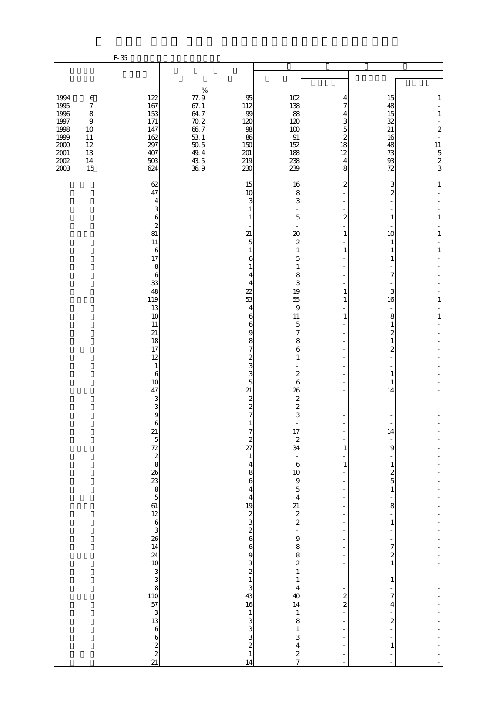|                                                                                              |                                                                                                            | $F-35$                                                               |                                                                                                                                                          |                                                                |                                                                  |                                                  |                                                          |                                                                                                                                               |
|----------------------------------------------------------------------------------------------|------------------------------------------------------------------------------------------------------------|----------------------------------------------------------------------|----------------------------------------------------------------------------------------------------------------------------------------------------------|----------------------------------------------------------------|------------------------------------------------------------------|--------------------------------------------------|----------------------------------------------------------|-----------------------------------------------------------------------------------------------------------------------------------------------|
|                                                                                              |                                                                                                            |                                                                      |                                                                                                                                                          |                                                                |                                                                  |                                                  |                                                          |                                                                                                                                               |
|                                                                                              |                                                                                                            |                                                                      |                                                                                                                                                          |                                                                |                                                                  |                                                  |                                                          |                                                                                                                                               |
| 1994<br>1995<br>1996<br>$1997\,$<br>1998<br>1999<br>$2000\,$<br>$2001\,$<br>$2002\,$<br>2003 | $\,6\,$<br>$\boldsymbol{7}$<br>$\,8\,$<br>$\boldsymbol{9}$<br>10<br>11<br>$12\,$<br>$13\,$<br>$14\,$<br>15 | 122<br>167<br>153<br>171<br>147<br>162<br>297<br>407<br>$503$<br>624 | $\%$<br>77.9<br>67.1<br>$64\,7$<br>$\begin{array}{c} 70.2 \\ 66.7 \end{array}$<br>$\begin{array}{c} 53 \\ 50 \\ 5 \end{array}$<br>49.4<br>$435$<br>$369$ | 95<br>112<br>99<br>120<br>98<br>86<br>150<br>201<br>219<br>230 | 102<br>138<br>88<br>120<br>100<br>91<br>152<br>188<br>238<br>239 | 4<br>7<br>4<br>3<br>5<br>2<br>18<br>12<br>4<br>8 | 15<br>48<br>15<br>32<br>21<br>16<br>48<br>73<br>93<br>72 | $\mathbf{1}$<br>$\mathbf{1}$<br>$\overline{a}$<br>$\boldsymbol{z}$<br>$\bar{\phantom{a}}$<br>$\begin{array}{c} 11 \\ 5 \\ 2 \\ 3 \end{array}$ |
|                                                                                              |                                                                                                            | 62                                                                   |                                                                                                                                                          | 15                                                             | 16                                                               | 2                                                | 3                                                        | $\mathbf{1}$                                                                                                                                  |
|                                                                                              |                                                                                                            | 47<br>4                                                              |                                                                                                                                                          | 10<br>3                                                        | 8<br>3                                                           |                                                  | $\overline{c}$                                           |                                                                                                                                               |
|                                                                                              |                                                                                                            | 3                                                                    |                                                                                                                                                          | 1                                                              |                                                                  |                                                  |                                                          |                                                                                                                                               |
|                                                                                              |                                                                                                            | 6<br>$\boldsymbol{z}$                                                |                                                                                                                                                          | 1                                                              | 5                                                                | 2                                                | 1                                                        | $\mathbf{1}$                                                                                                                                  |
|                                                                                              |                                                                                                            | 81<br>11                                                             |                                                                                                                                                          | 21<br>5                                                        | $\infty$<br>$\overline{\mathcal{Z}}$                             | 1                                                | 10<br>1                                                  | 1                                                                                                                                             |
|                                                                                              |                                                                                                            | $\boldsymbol{6}$<br>17                                               |                                                                                                                                                          | 1<br>6                                                         | $\mathbf{1}$<br>5                                                | 1                                                | 1<br>1                                                   | $\mathbf{1}$                                                                                                                                  |
|                                                                                              |                                                                                                            | 8<br>6                                                               |                                                                                                                                                          | 1<br>4                                                         | $\mathbf{1}$<br>8                                                |                                                  | 7                                                        |                                                                                                                                               |
|                                                                                              |                                                                                                            | 33<br>48                                                             |                                                                                                                                                          | 4<br>22                                                        | 3<br>19                                                          | 1                                                | 3                                                        |                                                                                                                                               |
|                                                                                              |                                                                                                            | 119                                                                  |                                                                                                                                                          | 53                                                             | 55                                                               | 1                                                | 16                                                       | 1                                                                                                                                             |
|                                                                                              |                                                                                                            | 13<br>10                                                             |                                                                                                                                                          | $\overline{4}$<br>6                                            | 9<br>11                                                          | 1                                                | 8                                                        | $\mathbf{1}$                                                                                                                                  |
|                                                                                              |                                                                                                            | 11<br>21                                                             |                                                                                                                                                          | 6<br>9                                                         | 5<br>7                                                           |                                                  | 1<br>$\overline{c}$                                      |                                                                                                                                               |
|                                                                                              |                                                                                                            | 18<br>17                                                             |                                                                                                                                                          | 8<br>7                                                         | 8<br>6                                                           |                                                  | $\mathbf{1}$<br>$\overline{c}$                           |                                                                                                                                               |
|                                                                                              |                                                                                                            | 12<br>$\mathbf{1}$                                                   |                                                                                                                                                          | $\mathbf{z}$<br>3                                              | $\mathbf{1}$                                                     |                                                  |                                                          |                                                                                                                                               |
|                                                                                              |                                                                                                            | 6                                                                    |                                                                                                                                                          | 3                                                              | $\boldsymbol{z}$                                                 |                                                  | 1                                                        |                                                                                                                                               |
|                                                                                              |                                                                                                            | 10<br>47                                                             |                                                                                                                                                          | 5<br>$\overline{21}$                                           | 6<br>26                                                          |                                                  | 1<br>14                                                  |                                                                                                                                               |
|                                                                                              |                                                                                                            | 3<br>3                                                               |                                                                                                                                                          | $\boldsymbol{z}$<br>$\overline{\mathcal{Z}}$                   | $\boldsymbol{z}$<br>$\overline{\mathcal{L}}$                     |                                                  |                                                          |                                                                                                                                               |
|                                                                                              |                                                                                                            | 9<br>6                                                               |                                                                                                                                                          | 7                                                              | 3                                                                |                                                  |                                                          |                                                                                                                                               |
|                                                                                              |                                                                                                            | 21<br>$\overline{5}$                                                 |                                                                                                                                                          |                                                                | $\frac{1}{2}$<br>$\boldsymbol{z}$                                |                                                  | 14                                                       |                                                                                                                                               |
|                                                                                              |                                                                                                            |                                                                      |                                                                                                                                                          | $\frac{2}{27}$                                                 | 34                                                               | 1                                                | 9                                                        |                                                                                                                                               |
|                                                                                              |                                                                                                            |                                                                      |                                                                                                                                                          | $\mathbf{1}$<br>$\overline{\mathbf{4}}$                        | f<br>$\mathbf{6}$                                                | $\mathbf{1}$                                     | $\mathbf{1}$                                             |                                                                                                                                               |
|                                                                                              |                                                                                                            |                                                                      |                                                                                                                                                          | 8<br>$\boldsymbol{6}$                                          | 10<br>$\overline{9}$                                             |                                                  | $\boldsymbol{z}$<br>5                                    |                                                                                                                                               |
|                                                                                              |                                                                                                            |                                                                      |                                                                                                                                                          | 4<br>4                                                         | $\overline{5}$<br>$\overline{\mathcal{L}}$                       |                                                  | 1                                                        |                                                                                                                                               |
|                                                                                              |                                                                                                            |                                                                      |                                                                                                                                                          |                                                                | $\begin{array}{c} 21 \\ 2 \\ 2 \end{array}$                      |                                                  | 8                                                        |                                                                                                                                               |
|                                                                                              |                                                                                                            |                                                                      |                                                                                                                                                          | $\frac{19}{2}$<br>$\frac{2}{3}$<br>$\frac{3}{6}$               |                                                                  |                                                  | 1                                                        |                                                                                                                                               |
|                                                                                              |                                                                                                            |                                                                      |                                                                                                                                                          |                                                                | $\overline{9}$                                                   |                                                  |                                                          |                                                                                                                                               |
|                                                                                              |                                                                                                            |                                                                      |                                                                                                                                                          | $\mathbf{6}$<br>9                                              | 8<br>8                                                           |                                                  | 7<br>$\overline{\mathbf{c}}$                             |                                                                                                                                               |
|                                                                                              |                                                                                                            |                                                                      |                                                                                                                                                          | $\begin{array}{c} 3 \\ 2 \\ 1 \end{array}$                     | $\boldsymbol{z}$<br>$\,1\,$                                      |                                                  | $\mathbf{1}$                                             |                                                                                                                                               |
|                                                                                              |                                                                                                            |                                                                      |                                                                                                                                                          | 3                                                              | $\mathbf{1}$<br>4                                                |                                                  | 1                                                        |                                                                                                                                               |
|                                                                                              |                                                                                                            |                                                                      |                                                                                                                                                          | 43<br>16                                                       | 40<br>14                                                         | $\frac{2}{2}$                                    | 7<br>4                                                   |                                                                                                                                               |
|                                                                                              |                                                                                                            |                                                                      |                                                                                                                                                          | $\mathbf{1}$                                                   | $\mathbf{1}$                                                     |                                                  | 2                                                        |                                                                                                                                               |
|                                                                                              |                                                                                                            |                                                                      |                                                                                                                                                          | 3<br>$\frac{3}{3}$                                             | 8<br>1                                                           |                                                  |                                                          |                                                                                                                                               |
|                                                                                              |                                                                                                            | $622$<br>$21$                                                        |                                                                                                                                                          | $\overline{\mathcal{L}}$                                       | 3<br>4                                                           |                                                  | 1                                                        |                                                                                                                                               |
|                                                                                              |                                                                                                            |                                                                      |                                                                                                                                                          | $\mathbf{1}$<br>14                                             | $\frac{2}{7}$                                                    |                                                  |                                                          |                                                                                                                                               |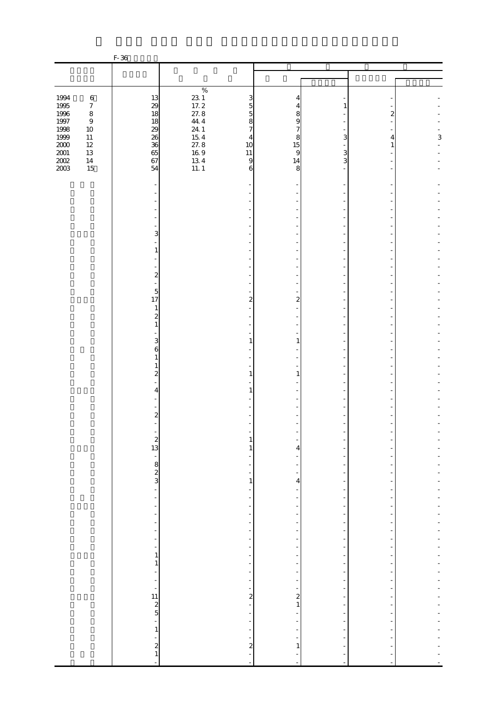|                                        |                  | F-36                                        |                                                                      |                          |                |                          |        |             |
|----------------------------------------|------------------|---------------------------------------------|----------------------------------------------------------------------|--------------------------|----------------|--------------------------|--------|-------------|
|                                        |                  |                                             |                                                                      |                          |                |                          |        |             |
|                                        |                  |                                             |                                                                      |                          |                |                          |        |             |
|                                        |                  |                                             | $\%$                                                                 |                          |                |                          |        |             |
| 1994                                   | $\,6\,$          | 13                                          | $\begin{bmatrix} 23 & 1 \\ 17 & 2 \\ 27 & 8 \\ 11 & 1 \end{bmatrix}$ | 3                        | 4              |                          |        |             |
| 1995<br>1996                           | $\boldsymbol{7}$ | 29                                          |                                                                      | 5                        | 4              | 1                        |        |             |
|                                        | $\,8\,$          | 18                                          |                                                                      | 5                        | 8              |                          | 2      |             |
| $1997\,$                               | $\,9$            | 18                                          | 44.4                                                                 | 8                        | 9              |                          |        |             |
| 1998                                   | $10\,$           | 29                                          | 24.1                                                                 | $\overline{7}$           | 7              |                          |        |             |
| $1999\,$                               | $11\,$<br>$12\,$ | 26<br>36                                    | $\frac{15}{27}$ . 8                                                  | 4<br>10                  | 8<br>15        | 3                        | 4<br>1 | $\,$ 3 $\,$ |
| $\frac{200}{200}$<br>$\frac{200}{200}$ | $13\,$           | 65                                          |                                                                      | $11\,$                   | 9              | 3                        |        |             |
|                                        | $14\,$           | 67                                          | $\frac{169}{134}$<br>13 4<br>11 1                                    | $\overline{9}$           | 14             | 3                        |        |             |
|                                        | 15               | 54                                          |                                                                      | 6                        | 8              |                          |        |             |
|                                        |                  |                                             |                                                                      |                          |                |                          |        |             |
|                                        |                  |                                             |                                                                      |                          |                |                          |        |             |
|                                        |                  |                                             |                                                                      |                          |                |                          |        |             |
|                                        |                  |                                             |                                                                      |                          |                |                          |        |             |
|                                        |                  |                                             |                                                                      |                          |                |                          |        |             |
|                                        |                  |                                             |                                                                      |                          |                |                          |        |             |
|                                        |                  | 3                                           |                                                                      |                          |                |                          |        |             |
|                                        |                  |                                             |                                                                      |                          |                |                          |        |             |
|                                        |                  | 1                                           |                                                                      |                          |                |                          |        |             |
|                                        |                  |                                             |                                                                      |                          |                |                          |        |             |
|                                        |                  |                                             |                                                                      |                          |                |                          |        |             |
|                                        |                  | $\overline{\mathcal{Z}}$                    |                                                                      |                          |                |                          |        |             |
|                                        |                  |                                             |                                                                      |                          |                |                          |        |             |
|                                        |                  | 5                                           |                                                                      |                          |                |                          |        |             |
|                                        |                  | 17                                          |                                                                      | 2                        | 2              |                          |        |             |
|                                        |                  | $\mathbf{1}$<br>$\overline{\mathcal{Z}}$    |                                                                      |                          |                |                          |        |             |
|                                        |                  | $\mathbf{1}$                                |                                                                      |                          |                |                          |        |             |
|                                        |                  |                                             |                                                                      |                          |                |                          |        |             |
|                                        |                  | 3                                           |                                                                      | 1                        | 1              |                          |        |             |
|                                        |                  | 6                                           |                                                                      |                          |                |                          |        |             |
|                                        |                  | 1                                           |                                                                      |                          |                |                          |        |             |
|                                        |                  | $\mathbf{1}$                                |                                                                      |                          |                |                          |        |             |
|                                        |                  | $\boldsymbol{z}$                            |                                                                      | 1                        | 1              |                          |        |             |
|                                        |                  |                                             |                                                                      |                          |                |                          |        |             |
|                                        |                  | 4                                           |                                                                      | 1                        |                |                          |        |             |
|                                        |                  |                                             |                                                                      |                          |                |                          |        |             |
|                                        |                  | $\overline{\mathcal{Z}}$                    |                                                                      |                          |                |                          |        |             |
|                                        |                  |                                             |                                                                      |                          |                |                          |        |             |
|                                        |                  |                                             |                                                                      |                          |                |                          |        |             |
|                                        |                  |                                             |                                                                      | $\mathbf{1}$             |                |                          |        |             |
|                                        |                  | $\begin{array}{c} 2 \\ 13 \end{array}$      |                                                                      | 1                        | 4              |                          |        |             |
|                                        |                  |                                             |                                                                      |                          |                |                          |        |             |
|                                        |                  | $\frac{1}{3}$ 8 $\frac{1}{3}$               |                                                                      |                          |                |                          |        |             |
|                                        |                  |                                             |                                                                      |                          |                |                          |        |             |
|                                        |                  |                                             |                                                                      | $\mathbf{1}$             | 4              |                          |        |             |
|                                        |                  | $\frac{1}{2}$                               |                                                                      | ÷,                       |                | $\overline{\phantom{a}}$ |        |             |
|                                        |                  | ÷,                                          |                                                                      |                          |                |                          |        |             |
|                                        |                  | -<br>$\frac{1}{2}$                          |                                                                      | ÷,<br>$\frac{1}{2}$      |                | ÷<br>$\overline{a}$      |        |             |
|                                        |                  | ÷                                           |                                                                      | $\overline{\phantom{0}}$ |                |                          |        |             |
|                                        |                  | ÷,                                          |                                                                      | $\frac{1}{2}$            |                |                          |        |             |
|                                        |                  | $\overline{\phantom{0}}$                    |                                                                      | $\frac{1}{2}$            |                |                          |        |             |
|                                        |                  | $\overline{\phantom{0}}$                    |                                                                      | $\overline{\phantom{0}}$ |                | ٠                        |        |             |
|                                        |                  | 1                                           |                                                                      | Ξ                        |                | ٠                        |        |             |
|                                        |                  | $\mathbf{1}$                                |                                                                      | $\overline{\phantom{0}}$ |                | $\overline{a}$           |        |             |
|                                        |                  | $\frac{1}{2}$                               |                                                                      | $\overline{\phantom{a}}$ |                | ۰                        |        |             |
|                                        |                  | $\overline{\phantom{m}}$                    |                                                                      | $\overline{\phantom{a}}$ | $\overline{a}$ | $\overline{\phantom{a}}$ |        |             |
|                                        |                  | f                                           |                                                                      | ÷                        | $\overline{a}$ |                          |        |             |
|                                        |                  | $\begin{array}{c} 11 \\ 2 \\ 5 \end{array}$ |                                                                      | $\frac{2}{1}$            | $\mathbf{1}$   | $\overline{\phantom{a}}$ |        |             |
|                                        |                  |                                             |                                                                      |                          |                |                          |        |             |
|                                        |                  | ÷,                                          |                                                                      | $\frac{1}{2}$            |                |                          |        |             |
|                                        |                  | $\,1\,$                                     |                                                                      | -                        |                |                          |        |             |
|                                        |                  | $\overline{\phantom{0}}$                    |                                                                      | ÷                        |                |                          |        |             |
|                                        |                  | $\overline{\mathcal{L}}$                    |                                                                      | $\boldsymbol{z}$         | $\mathbf{1}$   |                          |        |             |
|                                        |                  | $\mathbf{1}$                                |                                                                      | ÷                        |                |                          |        |             |
|                                        |                  | L,                                          |                                                                      | ÷,                       | i,             |                          |        |             |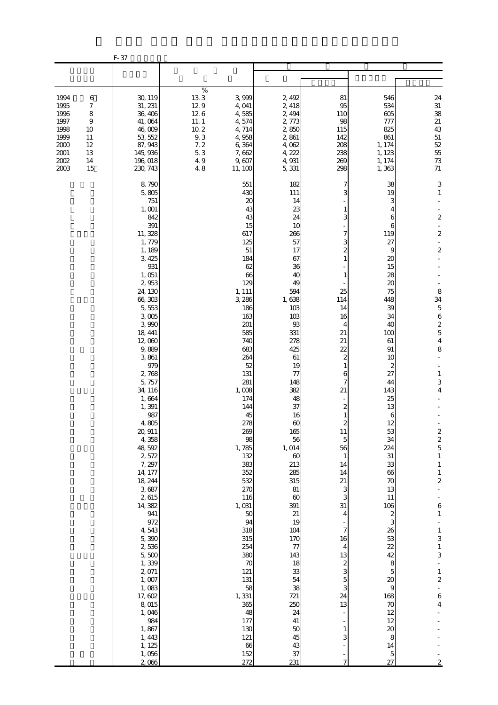|                                                                                  |                                                                                   | F-37                                                                                                                                                                                                                                                                                                                                                                                                                                                                                                                                                      |                                                                                      |                                                                                                                                                                                                                                                                                                                                                                                                                                          |                                                                                                                                                                                                                                                                                                                                                                                                                                          |                                                                                                                                                                                                                                                                                                                                                                                                       |                                                                                                                                                                                                                                                                                                                                                                                                                                     |                                                                                                                                                                                                                                                                                                                                                                                                                                                                                                                                                  |
|----------------------------------------------------------------------------------|-----------------------------------------------------------------------------------|-----------------------------------------------------------------------------------------------------------------------------------------------------------------------------------------------------------------------------------------------------------------------------------------------------------------------------------------------------------------------------------------------------------------------------------------------------------------------------------------------------------------------------------------------------------|--------------------------------------------------------------------------------------|------------------------------------------------------------------------------------------------------------------------------------------------------------------------------------------------------------------------------------------------------------------------------------------------------------------------------------------------------------------------------------------------------------------------------------------|------------------------------------------------------------------------------------------------------------------------------------------------------------------------------------------------------------------------------------------------------------------------------------------------------------------------------------------------------------------------------------------------------------------------------------------|-------------------------------------------------------------------------------------------------------------------------------------------------------------------------------------------------------------------------------------------------------------------------------------------------------------------------------------------------------------------------------------------------------|-------------------------------------------------------------------------------------------------------------------------------------------------------------------------------------------------------------------------------------------------------------------------------------------------------------------------------------------------------------------------------------------------------------------------------------|--------------------------------------------------------------------------------------------------------------------------------------------------------------------------------------------------------------------------------------------------------------------------------------------------------------------------------------------------------------------------------------------------------------------------------------------------------------------------------------------------------------------------------------------------|
|                                                                                  |                                                                                   |                                                                                                                                                                                                                                                                                                                                                                                                                                                                                                                                                           |                                                                                      |                                                                                                                                                                                                                                                                                                                                                                                                                                          |                                                                                                                                                                                                                                                                                                                                                                                                                                          |                                                                                                                                                                                                                                                                                                                                                                                                       |                                                                                                                                                                                                                                                                                                                                                                                                                                     |                                                                                                                                                                                                                                                                                                                                                                                                                                                                                                                                                  |
| 1994<br>1995<br>1996<br>1997<br>1998<br>1999<br>2000<br>2001<br>$2002\,$<br>2003 | 6<br>$\boldsymbol{7}$<br>$\,$ 8 $\,$<br>9<br>10<br>11<br>$12\,$<br>13<br>14<br>15 | 30, 119<br>31, 231<br>36, 406<br>41,064<br>46,009<br>53, 552<br>87, 943<br>145, 936<br>196, 018<br>230, 743                                                                                                                                                                                                                                                                                                                                                                                                                                               | $\%$<br>133<br>129<br>126<br>$11.1$<br>$10.2\,$<br>$9\,3$<br>7.2<br>5.3<br>49<br>4.8 | 3,999<br>4,041<br>4,585<br>4,574<br>4,714<br>4,958<br>6,364<br>7,662<br>9,607<br>11, 100                                                                                                                                                                                                                                                                                                                                                 | 2, 492<br>2, 418<br>2, 494<br>2,773<br>2,850<br>2,861<br>4,062<br>4, 222<br>4,931<br>5,331                                                                                                                                                                                                                                                                                                                                               | 81<br>95<br>110<br>98<br>115<br>142<br>208<br>238<br>269<br>298                                                                                                                                                                                                                                                                                                                                       | 546<br>534<br>605<br>777<br>825<br>861<br>1, 174<br>1, 123<br>1, 174<br>1,363                                                                                                                                                                                                                                                                                                                                                       | $24\,$<br>$31\,$<br>38<br>$21\,$<br>43<br>$51\,$<br>$52\,$<br>55<br>$7\!3$<br>${\bf 71}$                                                                                                                                                                                                                                                                                                                                                                                                                                                         |
|                                                                                  |                                                                                   | 8,790<br>5,805<br>751<br>1, 001<br>842<br>391<br>11, 328<br>1,779<br>1, 189<br>3,425<br>931<br>1,051<br>2,953<br>24, 130<br>66,303<br>5,553<br>$3,005$<br>3,990<br>18, 441<br>12,000<br>9,889<br>3,861<br>979<br>2,768<br>5,757<br>34, 116<br>1,664<br>1,391<br>987<br>4,805<br>20, 911<br>4,358<br>48,592<br>2,572<br>7, 297<br>14, 177<br>18, 244<br>3,687<br>2,615<br>14,382<br>941<br>972<br>4,543<br>5,390<br>2,536<br>5,500<br>1,339<br>2,071<br>$1,007$<br>1,083<br>17,602<br>8,015<br>1,046<br>984<br>1,867<br>1, 443<br>1, 125<br>1,056<br>2,066 |                                                                                      | 551<br>430<br>$\boldsymbol{\chi}$<br>43<br>43<br>15<br>617<br>125<br>51<br>184<br>62<br>66<br>129<br>1, 111<br>3, 286<br>186<br>163<br>201<br>585<br>740<br>683<br>264<br>52<br>131<br>281<br>1,008<br>174<br>144<br>45<br>278<br>269<br>98<br>1,785<br>132<br>383<br>352<br>532<br>270<br>116<br>1,031<br>50<br>94<br>318<br>315<br>254<br>380<br>70<br>121<br>131<br>58<br>1,331<br>365<br>48<br>177<br>130<br>121<br>66<br>152<br>272 | 182<br>111<br>14<br>23<br>24<br>10<br>266<br>57<br>17<br>67<br>36<br>40<br>49<br>594<br>1,638<br>103<br>103<br>93<br>331<br>278<br>425<br>61<br>19<br>77<br>148<br>382<br>48<br>37<br>16<br>$\infty$<br>165<br>56<br>1,014<br>$\boldsymbol{\omega}$<br>213<br>285<br>315<br>81<br>$\boldsymbol{\omega}$<br>391<br>21<br>19<br>104<br>170<br>77<br>143<br>18<br>33<br>54<br>38<br>721<br>250<br>24<br>41<br>$50$<br>45<br>43<br>37<br>231 | 7<br>1<br>3<br>7<br>3<br>$\overline{\mathcal{Z}}$<br>1<br>1<br>25<br>114<br>14<br>16<br>4<br>21<br>21<br>22<br>$\mathbf{z}$<br>$\mathbf{1}$<br>6<br>7<br>21<br>$\overline{\mathcal{Z}}$<br>1<br>$\overline{c}$<br>11<br>5<br>56<br>$\mathbf{1}$<br>14<br>14<br>21<br>3<br>3<br>31<br>4<br>7<br>16<br>4<br>13<br>$\begin{array}{c} 2 \\ 3 \\ 5 \\ 3 \end{array}$<br>24<br>13<br>$\mathbf{1}$<br>3<br>7 | 38<br>19<br>З<br>4<br>6<br>6<br>119<br>27<br>9<br>20<br>15<br>28<br>20<br>75<br>448<br>39<br>34<br>40<br>100<br>61<br>91<br>10<br>2<br>27<br>44<br>143<br>25<br>13<br>6<br>12<br>53<br>34<br>224<br>31<br>33<br>66<br>70<br>13<br>$11\,$<br>106<br>$\overline{\mathcal{Z}}$<br>3<br>26<br>53<br>22<br>42<br>8<br>5<br>$\boldsymbol{\chi}$<br>$\overline{9}$<br>168<br>$70$<br>12<br>12<br>$\boldsymbol{\chi}$<br>8<br>14<br>5<br>27 | $\ensuremath{\mathsf{3}}$<br>$\mathbf{1}$<br>$\boldsymbol{2}$<br>$\overline{\phantom{a}}$<br>$\overline{\mathbf{c}}$<br>$\Box$<br>$\boldsymbol{2}$<br>8<br>34<br>$\overline{5}$<br>$\boldsymbol{6}$<br>$\begin{array}{c} 2 \\ 5 \\ 4 \end{array}$<br>8<br>$\mathbf{1}$<br>$\,3$<br>4<br>$\begin{array}{c} 2 \\ 2 \\ 5 \end{array}$<br>$\,1\,$<br>$\,1\,$<br>$\,1\,$<br>$\boldsymbol{2}$<br>$\epsilon$<br>$\,1\,$<br>$\begin{array}{c} 1 \\ 3 \\ 1 \\ 3 \end{array}$<br>$\frac{1}{2}$<br>$\boldsymbol{6}$<br>$\boldsymbol{4}$<br>$\boldsymbol{2}$ |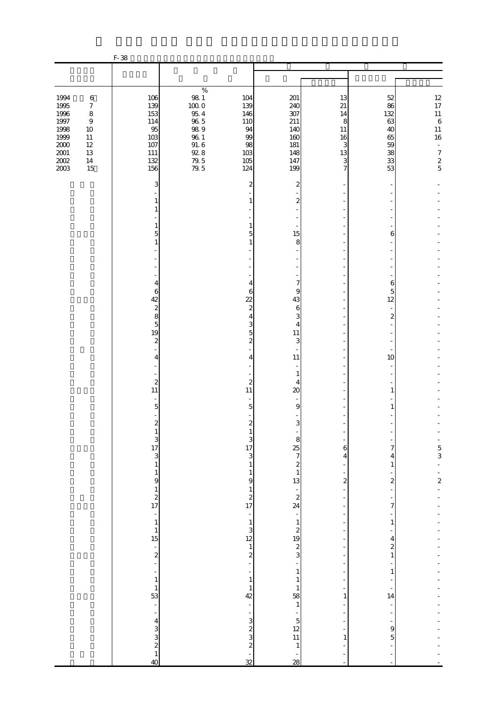|                                                                                              |                                                                                                        | F-38                                                              |                                                                                                     |                                                                 |                                                                    |                                                      |                                                           |                                                                                                                                                                        |
|----------------------------------------------------------------------------------------------|--------------------------------------------------------------------------------------------------------|-------------------------------------------------------------------|-----------------------------------------------------------------------------------------------------|-----------------------------------------------------------------|--------------------------------------------------------------------|------------------------------------------------------|-----------------------------------------------------------|------------------------------------------------------------------------------------------------------------------------------------------------------------------------|
|                                                                                              |                                                                                                        |                                                                   |                                                                                                     |                                                                 |                                                                    |                                                      |                                                           |                                                                                                                                                                        |
|                                                                                              |                                                                                                        |                                                                   | $\%$                                                                                                |                                                                 |                                                                    |                                                      |                                                           |                                                                                                                                                                        |
| 1994<br>1995<br>1996<br>$1997\,$<br>1998<br>1999<br>$2000\,$<br>$2001\,$<br>$2002\,$<br>2003 | $\,6\,$<br>$\boldsymbol{7}$<br>$\,8\,$<br>$\boldsymbol{9}$<br>10<br>11<br>$12\,$<br>13<br>$14\,$<br>15 | 106<br>139<br>153<br>114<br>95<br>103<br>107<br>111<br>132<br>156 | $98\ 1$<br>1000<br>$95\ 4$<br>$96\ 5$<br>$98\ 9$<br>$96\ 1$<br>$91.\,6$<br>$92.8\,$<br>79.5<br>79.5 | 104<br>139<br>146<br>110<br>94<br>99<br>98<br>103<br>105<br>124 | 201<br>240<br>307<br>211<br>140<br>160<br>181<br>148<br>147<br>199 | 13<br>21<br>14<br>8<br>11<br>16<br>3<br>13<br>3<br>7 | 52<br>86<br>132<br>63<br>40<br>65<br>59<br>38<br>33<br>53 | $\begin{array}{c} 12 \\ 17 \end{array}$<br>$\begin{array}{c} 11 \\ 6 \end{array}$<br>$11\,$<br>16<br>$\bar{\phantom{a}}$<br>$\begin{array}{c} 7 \\ 2 \\ 5 \end{array}$ |
|                                                                                              |                                                                                                        | 3                                                                 |                                                                                                     | 2                                                               | 2                                                                  |                                                      |                                                           |                                                                                                                                                                        |
|                                                                                              |                                                                                                        | 1<br>1                                                            |                                                                                                     |                                                                 | $\boldsymbol{z}$                                                   |                                                      |                                                           |                                                                                                                                                                        |
|                                                                                              |                                                                                                        | $\mathbf{1}$                                                      |                                                                                                     |                                                                 |                                                                    |                                                      |                                                           |                                                                                                                                                                        |
|                                                                                              |                                                                                                        | 5<br>$\mathbf{1}$                                                 |                                                                                                     | 5                                                               | 15<br>8                                                            |                                                      | 6                                                         |                                                                                                                                                                        |
|                                                                                              |                                                                                                        |                                                                   |                                                                                                     |                                                                 |                                                                    |                                                      |                                                           |                                                                                                                                                                        |
|                                                                                              |                                                                                                        |                                                                   |                                                                                                     |                                                                 |                                                                    |                                                      |                                                           |                                                                                                                                                                        |
|                                                                                              |                                                                                                        | 4<br>6                                                            |                                                                                                     | 4<br>6                                                          | $\overline{7}$<br>9                                                |                                                      | 6<br>5                                                    |                                                                                                                                                                        |
|                                                                                              |                                                                                                        | 42<br>$\overline{\mathcal{L}}$                                    |                                                                                                     | $\overline{22}$<br>$\boldsymbol{z}$                             | 43<br>6                                                            |                                                      | 12                                                        |                                                                                                                                                                        |
|                                                                                              |                                                                                                        | 8<br>$\overline{5}$                                               |                                                                                                     | 4<br>3                                                          | 3<br>4                                                             |                                                      | $\boldsymbol{z}$                                          |                                                                                                                                                                        |
|                                                                                              |                                                                                                        | 19<br>$\boldsymbol{z}$                                            |                                                                                                     | 5<br>2                                                          | 11<br>3                                                            |                                                      |                                                           |                                                                                                                                                                        |
|                                                                                              |                                                                                                        | 4                                                                 |                                                                                                     | 4                                                               | 11                                                                 |                                                      | 10                                                        |                                                                                                                                                                        |
|                                                                                              |                                                                                                        |                                                                   |                                                                                                     |                                                                 | 1                                                                  |                                                      |                                                           |                                                                                                                                                                        |
|                                                                                              |                                                                                                        | $\boldsymbol{z}$<br>11                                            |                                                                                                     | $\boldsymbol{z}$<br>11                                          | 4<br>20                                                            |                                                      | 1                                                         |                                                                                                                                                                        |
|                                                                                              |                                                                                                        | $\overline{5}$                                                    |                                                                                                     | 5                                                               | $\overline{9}$                                                     |                                                      | 1                                                         |                                                                                                                                                                        |
|                                                                                              |                                                                                                        | $\overline{\mathcal{L}}$                                          |                                                                                                     | $\boldsymbol{2}$                                                | 3                                                                  |                                                      |                                                           |                                                                                                                                                                        |
|                                                                                              |                                                                                                        | T                                                                 |                                                                                                     | $\begin{array}{c} 3 \\ 17 \\ 3 \end{array}$                     | $\sim$ 88 $\infty$                                                 | 6                                                    | 7                                                         |                                                                                                                                                                        |
|                                                                                              |                                                                                                        | $\begin{array}{c}\n3 \\ 13 \\ 1\n\end{array}$                     |                                                                                                     | $\mathbf{1}$                                                    |                                                                    | 4                                                    | 4<br>$\mathbf{1}$                                         | $\frac{1}{5}$                                                                                                                                                          |
|                                                                                              |                                                                                                        |                                                                   |                                                                                                     | $\mathbf{1}$<br>$\theta$                                        | $24$<br>$24$                                                       | -<br>$\overline{\mathcal{L}}$                        | $\boldsymbol{z}$                                          | $\frac{1}{2}$                                                                                                                                                          |
|                                                                                              |                                                                                                        | $\begin{bmatrix} 1 \\ 9 \\ 1 \\ 2 \\ 17 \end{bmatrix}$            |                                                                                                     | $\mathbf{1}$                                                    |                                                                    | ÷,                                                   |                                                           |                                                                                                                                                                        |
|                                                                                              |                                                                                                        |                                                                   |                                                                                                     | $\begin{array}{c} 2 \\ 17 \end{array}$<br>÷                     |                                                                    | ÷<br>$\overline{a}$                                  | 7                                                         |                                                                                                                                                                        |
|                                                                                              |                                                                                                        | $\begin{array}{c} 1 \\ 1 \\ 1 \\ 15 \end{array}$                  |                                                                                                     |                                                                 |                                                                    | $\overline{\phantom{a}}$                             | $\mathbf{1}$                                              |                                                                                                                                                                        |
|                                                                                              |                                                                                                        |                                                                   |                                                                                                     | $\frac{1}{2}$<br>2<br>2<br>-                                    | $\begin{array}{c} 1 \\ 2 \\ 3 \end{array}$                         |                                                      | 4<br>$\boldsymbol{z}$                                     |                                                                                                                                                                        |
|                                                                                              |                                                                                                        | $\frac{1}{2}$                                                     |                                                                                                     |                                                                 |                                                                    |                                                      | $\mathbf{1}$                                              |                                                                                                                                                                        |
|                                                                                              |                                                                                                        | $\frac{1}{1}$                                                     |                                                                                                     | -<br>$\,1\,$                                                    | $\,1$<br>$\mathbf{1}$                                              |                                                      | $\mathbf{1}$                                              |                                                                                                                                                                        |
|                                                                                              |                                                                                                        | $\begin{array}{c} 1 \\ 53 \end{array}$                            |                                                                                                     | $\mathbf{1}$<br>42                                              | $\mathbf{1}$<br>58                                                 | 1                                                    | 14                                                        |                                                                                                                                                                        |
|                                                                                              |                                                                                                        | $\bar{\phantom{a}}$<br>$\overline{\phantom{0}}$                   |                                                                                                     |                                                                 | $\,1\,$                                                            | ÷                                                    |                                                           |                                                                                                                                                                        |
|                                                                                              |                                                                                                        |                                                                   |                                                                                                     | 3                                                               | $\begin{array}{c} 5 \\ 12 \\ 11 \end{array}$                       |                                                      | $\theta$                                                  |                                                                                                                                                                        |
|                                                                                              |                                                                                                        | $4$ 3 3 2 1 4 0 4 0                                               |                                                                                                     | $\begin{array}{c} 2 \\ 3 \\ 2 \end{array}$                      | 1                                                                  | 1                                                    | $\overline{5}$                                            |                                                                                                                                                                        |
|                                                                                              |                                                                                                        |                                                                   |                                                                                                     | ÷,<br>$\overline{\mathcal{Z}}$                                  | 28                                                                 | ÷,                                                   | $\overline{a}$<br>÷,                                      |                                                                                                                                                                        |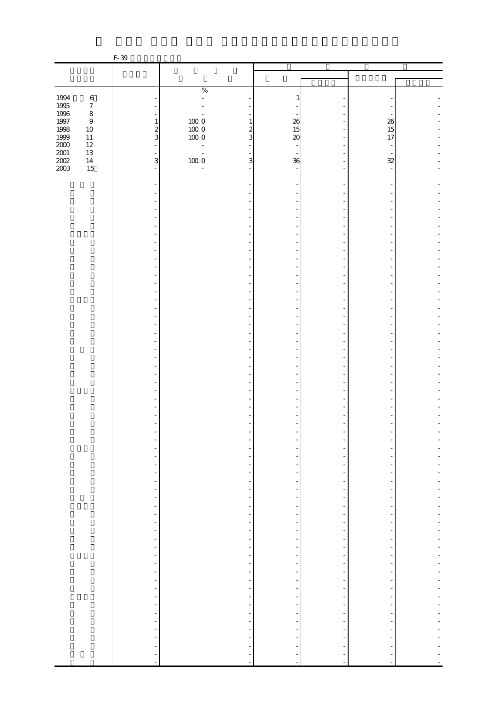|              |                  | F-39                                                 |                                                        |                                                      |                           |                                                      |                          |  |
|--------------|------------------|------------------------------------------------------|--------------------------------------------------------|------------------------------------------------------|---------------------------|------------------------------------------------------|--------------------------|--|
|              |                  |                                                      |                                                        |                                                      |                           |                                                      |                          |  |
|              |                  |                                                      |                                                        |                                                      |                           |                                                      |                          |  |
|              |                  |                                                      | $\%$                                                   |                                                      |                           |                                                      |                          |  |
| 1994         | $\,6\,$          |                                                      | $\bar{\phantom{a}}$                                    |                                                      | 1                         |                                                      |                          |  |
| 1995<br>1996 | $\boldsymbol{7}$ |                                                      |                                                        |                                                      |                           |                                                      |                          |  |
|              | $\,8\,$          |                                                      |                                                        |                                                      |                           |                                                      |                          |  |
| $1997\,$     | $\boldsymbol{9}$ | $\,1\,$                                              | $\begin{array}{c} 100.0 \\ 100.0 \\ 100.0 \end{array}$ | 1                                                    | 26                        |                                                      | 26                       |  |
| 1998<br>1999 | $10\,$<br>$11\,$ | $rac{2}{3}$                                          |                                                        | $\boldsymbol{z}$<br>3                                | 15<br>$\boldsymbol{\chi}$ |                                                      | 15<br>17                 |  |
| $2000\,$     | $12\,$           | ÷,                                                   |                                                        |                                                      | $\overline{\phantom{a}}$  |                                                      | $\overline{\phantom{a}}$ |  |
| $2001\,$     | $13\,$           | $\equiv$                                             | $\overline{\phantom{a}}$                               |                                                      | $\sim$                    |                                                      |                          |  |
| $200\!$      | $14\,$           | 3                                                    | 1000                                                   | 3                                                    | 36                        |                                                      | 32                       |  |
| 2003         | 15               | $\overline{a}$                                       | $\overline{a}$                                         |                                                      |                           |                                                      |                          |  |
|              |                  |                                                      |                                                        |                                                      |                           |                                                      |                          |  |
|              |                  |                                                      |                                                        |                                                      |                           |                                                      |                          |  |
|              |                  |                                                      |                                                        |                                                      |                           |                                                      |                          |  |
|              |                  |                                                      |                                                        |                                                      |                           |                                                      |                          |  |
|              |                  |                                                      |                                                        |                                                      |                           |                                                      |                          |  |
|              |                  |                                                      |                                                        |                                                      |                           |                                                      |                          |  |
|              |                  |                                                      |                                                        |                                                      |                           |                                                      |                          |  |
|              |                  |                                                      |                                                        |                                                      |                           |                                                      |                          |  |
|              |                  |                                                      |                                                        |                                                      |                           |                                                      |                          |  |
|              |                  |                                                      |                                                        |                                                      |                           |                                                      |                          |  |
|              |                  |                                                      |                                                        |                                                      |                           |                                                      |                          |  |
|              |                  |                                                      |                                                        |                                                      |                           |                                                      |                          |  |
|              |                  |                                                      |                                                        |                                                      |                           |                                                      |                          |  |
|              |                  |                                                      |                                                        |                                                      |                           |                                                      |                          |  |
|              |                  |                                                      |                                                        |                                                      |                           |                                                      |                          |  |
|              |                  |                                                      |                                                        |                                                      |                           |                                                      |                          |  |
|              |                  |                                                      |                                                        |                                                      |                           |                                                      |                          |  |
|              |                  |                                                      |                                                        |                                                      |                           |                                                      |                          |  |
|              |                  |                                                      |                                                        |                                                      |                           |                                                      |                          |  |
|              |                  |                                                      |                                                        |                                                      |                           |                                                      |                          |  |
|              |                  |                                                      |                                                        |                                                      |                           |                                                      |                          |  |
|              |                  |                                                      |                                                        |                                                      |                           |                                                      |                          |  |
|              |                  |                                                      |                                                        |                                                      |                           |                                                      |                          |  |
|              |                  |                                                      |                                                        |                                                      |                           |                                                      |                          |  |
|              |                  |                                                      |                                                        |                                                      |                           |                                                      |                          |  |
|              |                  |                                                      |                                                        |                                                      |                           |                                                      |                          |  |
|              |                  |                                                      |                                                        |                                                      |                           |                                                      |                          |  |
|              |                  |                                                      |                                                        |                                                      |                           |                                                      |                          |  |
|              |                  |                                                      |                                                        |                                                      |                           |                                                      |                          |  |
|              |                  |                                                      |                                                        |                                                      |                           |                                                      |                          |  |
|              |                  |                                                      |                                                        |                                                      |                           |                                                      |                          |  |
|              |                  |                                                      |                                                        |                                                      |                           |                                                      |                          |  |
|              |                  | $\blacksquare$                                       |                                                        |                                                      |                           |                                                      |                          |  |
|              |                  | $\overline{\phantom{a}}$                             |                                                        | $\overline{\phantom{a}}$                             |                           | $\overline{\phantom{a}}$                             | -                        |  |
|              |                  | $\overline{\phantom{a}}$<br>$\overline{\phantom{a}}$ |                                                        | $\overline{\phantom{a}}$<br>$\overline{\phantom{a}}$ | $\overline{a}$            | $\overline{\phantom{a}}$<br>$\overline{\phantom{a}}$ | $\overline{\phantom{a}}$ |  |
|              |                  | $\qquad \qquad \blacksquare$                         |                                                        |                                                      |                           |                                                      |                          |  |
|              |                  | $\overline{\phantom{m}}$                             |                                                        | $\overline{\phantom{a}}$                             |                           | -                                                    | -                        |  |
|              |                  | $\overline{\phantom{a}}$                             |                                                        | $\overline{\phantom{a}}$                             | -                         | $\overline{\phantom{a}}$                             | $\frac{1}{2}$            |  |
|              |                  | $\overline{\phantom{a}}$                             |                                                        | $\overline{\phantom{a}}$                             |                           | $\overline{\phantom{a}}$                             | $\frac{1}{2}$            |  |
|              |                  | $\overline{\phantom{a}}$                             |                                                        | $\overline{\phantom{a}}$                             |                           | $\overline{\phantom{a}}$                             | ÷,                       |  |
|              |                  | $\overline{\phantom{a}}$                             |                                                        | $\overline{\phantom{a}}$                             |                           | $\overline{\phantom{a}}$                             | $\blacksquare$           |  |
|              |                  | $\overline{\phantom{a}}$                             |                                                        | $\overline{\phantom{a}}$                             |                           | $\overline{\phantom{a}}$                             | $\overline{\phantom{0}}$ |  |
|              |                  | $\qquad \qquad \blacksquare$                         |                                                        |                                                      |                           | $\overline{a}$                                       |                          |  |
|              |                  | $\overline{\phantom{a}}$                             |                                                        | $\overline{\phantom{a}}$                             |                           | $\overline{\phantom{a}}$                             | $\overline{\phantom{0}}$ |  |
|              |                  | ÷,<br>$\overline{\phantom{a}}$                       |                                                        | ÷,<br>$\overline{\phantom{a}}$                       |                           | $\overline{\phantom{a}}$<br>$\overline{\phantom{a}}$ | ٠                        |  |
|              |                  |                                                      |                                                        | ÷                                                    |                           | $\overline{\phantom{a}}$                             |                          |  |
|              |                  | f                                                    |                                                        | $\overline{\phantom{a}}$                             |                           | $\overline{\phantom{a}}$                             | -                        |  |
|              |                  | $\overline{\phantom{a}}$<br>$\overline{\phantom{a}}$ |                                                        | $\overline{\phantom{a}}$                             |                           | $\overline{\phantom{a}}$                             | $\overline{a}$           |  |
|              |                  | $\overline{\phantom{a}}$                             |                                                        | $\overline{\phantom{0}}$                             |                           | ÷                                                    |                          |  |
|              |                  | ÷                                                    |                                                        | $\overline{\phantom{a}}$                             |                           | $\overline{\phantom{a}}$                             |                          |  |
|              |                  | $\overline{\phantom{a}}$                             |                                                        | $\overline{\phantom{a}}$                             |                           | $\overline{\phantom{a}}$                             | $\overline{a}$           |  |
|              |                  | $\overline{\phantom{0}}$                             |                                                        |                                                      |                           | $\overline{\phantom{a}}$                             |                          |  |
|              |                  | $\blacksquare$                                       |                                                        |                                                      |                           |                                                      |                          |  |
|              |                  | ÷                                                    |                                                        |                                                      |                           |                                                      |                          |  |
|              |                  | $\Box$                                               |                                                        | $\overline{\phantom{a}}$                             | $\ddot{\phantom{1}}$      | $\sim$                                               | $\overline{\phantom{a}}$ |  |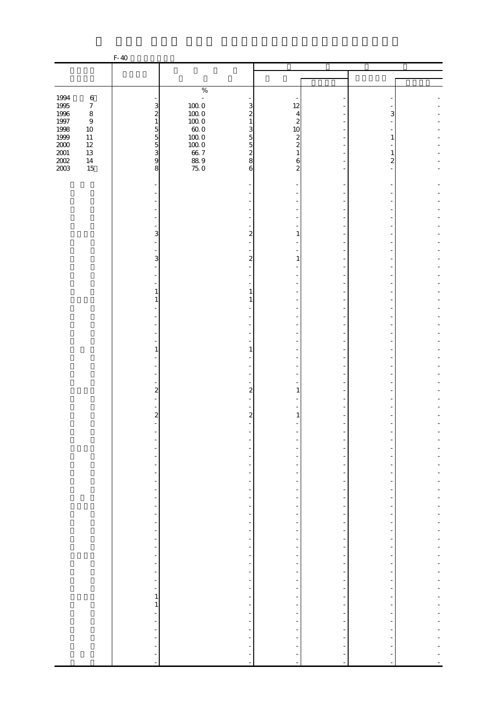|                  |                            | F-40                                       |                                               |                               |                          |                          |   |  |
|------------------|----------------------------|--------------------------------------------|-----------------------------------------------|-------------------------------|--------------------------|--------------------------|---|--|
|                  |                            |                                            |                                               |                               |                          |                          |   |  |
|                  |                            |                                            |                                               |                               |                          |                          |   |  |
|                  |                            |                                            | $\%$                                          |                               |                          |                          |   |  |
| 1994             | $\,6\,$                    |                                            | ÷,                                            |                               |                          |                          |   |  |
| 1995<br>1996     | $\boldsymbol{7}$           | 3                                          | $\begin{array}{c} 10000 \\ 10000 \end{array}$ | 3                             | 12                       |                          |   |  |
|                  | $\,8\,$                    | $\overline{\mathbf{c}}$                    |                                               | $\boldsymbol{z}$              | 4                        |                          | 3 |  |
| $1997\,$<br>1998 | $\boldsymbol{9}$<br>$10\,$ | $\,1\,$                                    | $100\ 0$<br>$60.0$                            | $\mathbf{1}$<br>3             | $\overline{c}$<br>10     |                          |   |  |
| 1999             | $11\,$                     | 5<br>5<br>5<br>5<br>9                      | $100\;0$                                      | $\overline{5}$                | $\boldsymbol{z}$         |                          | 1 |  |
| $2000\,$         | $12\,$                     |                                            | $100\;0$                                      | $\overline{5}$                | $\overline{c}$           |                          |   |  |
| $2001\,$         | $13\,$                     |                                            | $66\,7$                                       | $\boldsymbol{z}$              | 1                        |                          | 1 |  |
| $200\!$          | $14\,$                     |                                            | $889$<br>75.0                                 | 8                             | 6                        |                          | 2 |  |
| 2003             | 15                         | 8                                          |                                               | 6                             | 2                        |                          |   |  |
|                  |                            |                                            |                                               |                               |                          |                          |   |  |
|                  |                            |                                            |                                               |                               |                          |                          |   |  |
|                  |                            |                                            |                                               |                               |                          |                          |   |  |
|                  |                            |                                            |                                               |                               |                          |                          |   |  |
|                  |                            |                                            |                                               |                               |                          |                          |   |  |
|                  |                            |                                            |                                               |                               |                          |                          |   |  |
|                  |                            | 3                                          |                                               | $\overline{c}$                | 1                        |                          |   |  |
|                  |                            | L,                                         |                                               |                               |                          |                          |   |  |
|                  |                            | ÷,                                         |                                               |                               |                          |                          |   |  |
|                  |                            | 3                                          |                                               | $\boldsymbol{z}$              | 1                        |                          |   |  |
|                  |                            |                                            |                                               |                               |                          |                          |   |  |
|                  |                            |                                            |                                               |                               |                          |                          |   |  |
|                  |                            | 1                                          |                                               | 1                             |                          |                          |   |  |
|                  |                            | 1                                          |                                               | 1                             |                          |                          |   |  |
|                  |                            |                                            |                                               |                               |                          |                          |   |  |
|                  |                            |                                            |                                               |                               |                          |                          |   |  |
|                  |                            |                                            |                                               |                               |                          |                          |   |  |
|                  |                            |                                            |                                               |                               |                          |                          |   |  |
|                  |                            |                                            |                                               |                               |                          |                          |   |  |
|                  |                            | 1                                          |                                               | $\mathbf{1}$                  |                          |                          |   |  |
|                  |                            |                                            |                                               |                               |                          |                          |   |  |
|                  |                            |                                            |                                               |                               |                          |                          |   |  |
|                  |                            |                                            |                                               |                               |                          |                          |   |  |
|                  |                            | $\overline{\mathbf{c}}$                    |                                               | $\overline{2}$                | 1                        |                          |   |  |
|                  |                            |                                            |                                               |                               |                          |                          |   |  |
|                  |                            |                                            |                                               |                               |                          |                          |   |  |
|                  |                            | $\boldsymbol{z}$                           |                                               | $\mathbf{z}$                  | 1                        |                          |   |  |
|                  |                            |                                            |                                               |                               |                          |                          |   |  |
|                  |                            |                                            |                                               |                               |                          |                          |   |  |
|                  |                            |                                            |                                               |                               |                          |                          |   |  |
|                  |                            |                                            |                                               |                               |                          |                          |   |  |
|                  |                            |                                            |                                               |                               |                          |                          |   |  |
|                  |                            | $\overline{\phantom{0}}$                   |                                               | $\overline{\phantom{0}}$      |                          |                          |   |  |
|                  |                            | $\overline{\phantom{0}}$                   |                                               | $\frac{1}{2}$                 |                          |                          |   |  |
|                  |                            | $\frac{1}{2}$                              |                                               | $\overline{\phantom{a}}$      |                          | $\overline{a}$           |   |  |
|                  |                            | $\overline{\phantom{0}}$                   |                                               |                               |                          |                          |   |  |
|                  |                            | $\overline{\phantom{a}}$<br>$\blacksquare$ |                                               | -<br>$\overline{\phantom{a}}$ |                          | $\overline{\phantom{a}}$ |   |  |
|                  |                            | $\frac{1}{2}$                              |                                               | $\overline{\phantom{0}}$      |                          |                          |   |  |
|                  |                            | $\frac{1}{2}$                              |                                               | ÷                             |                          |                          |   |  |
|                  |                            | $\blacksquare$                             |                                               | $\overline{\phantom{a}}$      |                          |                          |   |  |
|                  |                            | $\overline{\phantom{0}}$                   |                                               | $\frac{1}{2}$                 |                          |                          |   |  |
|                  |                            | $\qquad \qquad \blacksquare$               |                                               | -                             |                          |                          |   |  |
|                  |                            | $\overline{\phantom{0}}$                   |                                               | $\frac{1}{2}$                 |                          | $\overline{\phantom{m}}$ |   |  |
|                  |                            | $\blacksquare$                             |                                               | $\frac{1}{\sqrt{2}}$          |                          | $\overline{a}$           |   |  |
|                  |                            | $\overline{\phantom{a}}$                   |                                               | $\overline{\phantom{a}}$      |                          | $\overline{\phantom{a}}$ |   |  |
|                  |                            | $\overline{\phantom{a}}$                   |                                               | $\overline{\phantom{0}}$      |                          |                          |   |  |
|                  |                            | $\mathbf{1}$<br>$\,1$                      |                                               | -<br>$\overline{\phantom{a}}$ |                          | $\overline{\phantom{a}}$ |   |  |
|                  |                            | $\frac{1}{2}$                              |                                               |                               |                          |                          |   |  |
|                  |                            | $\overline{\phantom{a}}$                   |                                               | $\overline{\phantom{a}}$      |                          |                          |   |  |
|                  |                            | $\blacksquare$                             |                                               | $\overline{\phantom{a}}$      |                          |                          |   |  |
|                  |                            | $\overline{\phantom{m}}$                   |                                               |                               |                          |                          |   |  |
|                  |                            | ÷,                                         |                                               |                               |                          |                          |   |  |
|                  |                            |                                            |                                               |                               |                          |                          |   |  |
|                  |                            | $\overline{\phantom{a}}$                   |                                               | $\overline{a}$                | $\overline{\phantom{a}}$ | $\blacksquare$           |   |  |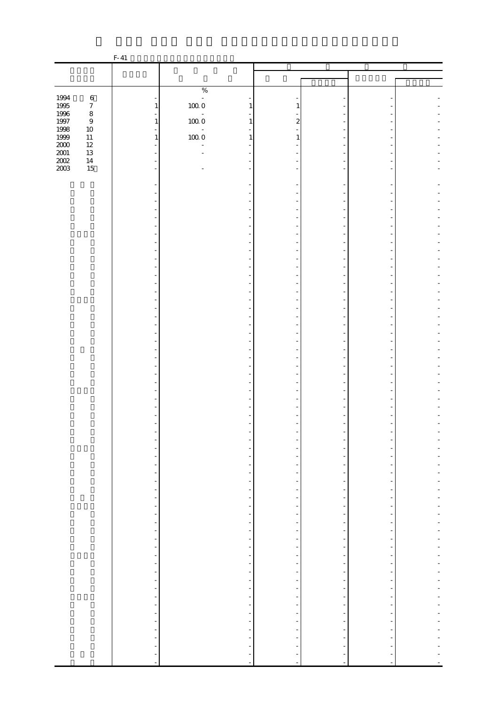|                    |                  | $F-41$                                                       |                                 |                                                      |                               |                                           |                |  |
|--------------------|------------------|--------------------------------------------------------------|---------------------------------|------------------------------------------------------|-------------------------------|-------------------------------------------|----------------|--|
|                    |                  |                                                              |                                 |                                                      |                               |                                           |                |  |
|                    |                  |                                                              |                                 |                                                      |                               |                                           |                |  |
|                    |                  |                                                              | $\%$                            |                                                      |                               |                                           |                |  |
| 1994               | $\,6\,$          |                                                              | $\mathbb{Z}$                    |                                                      |                               |                                           |                |  |
| 1995<br>1996       | $\boldsymbol{7}$ | $\mathbf{1}$                                                 | $100\;0$                        | 1                                                    | 1                             |                                           |                |  |
|                    | $\,8\,$<br>$\,9$ | $\mathbf{1}$                                                 | $\bar{\phantom{a}}$<br>$100\ 0$ | $\mathbf{1}$                                         | $\mathbf{z}$                  |                                           |                |  |
| 1997<br>1998       | $10\,$           | $\blacksquare$                                               | $\overline{\phantom{a}}$        |                                                      |                               |                                           |                |  |
| $1999\,$           | $11\,$           | $\mathbf{1}$                                                 | $100\;0$                        | 1                                                    | 1                             |                                           |                |  |
|                    | $12\,$           | L.                                                           |                                 |                                                      |                               |                                           |                |  |
| $\frac{200}{2001}$ | $13\,$<br>$14\,$ |                                                              |                                 |                                                      |                               |                                           |                |  |
| 2003               | $15\,$           | $\overline{a}$                                               |                                 | ٠                                                    |                               |                                           |                |  |
|                    |                  |                                                              |                                 |                                                      |                               |                                           |                |  |
|                    |                  |                                                              |                                 |                                                      |                               |                                           |                |  |
|                    |                  |                                                              |                                 |                                                      |                               |                                           |                |  |
|                    |                  |                                                              |                                 |                                                      |                               |                                           |                |  |
|                    |                  |                                                              |                                 |                                                      |                               |                                           |                |  |
|                    |                  |                                                              |                                 |                                                      |                               |                                           |                |  |
|                    |                  |                                                              |                                 |                                                      |                               |                                           |                |  |
|                    |                  |                                                              |                                 |                                                      |                               |                                           |                |  |
|                    |                  |                                                              |                                 |                                                      |                               |                                           |                |  |
|                    |                  |                                                              |                                 |                                                      |                               |                                           |                |  |
|                    |                  |                                                              |                                 |                                                      |                               |                                           |                |  |
|                    |                  |                                                              |                                 |                                                      |                               |                                           |                |  |
|                    |                  |                                                              |                                 |                                                      |                               |                                           |                |  |
|                    |                  |                                                              |                                 |                                                      |                               |                                           |                |  |
|                    |                  |                                                              |                                 |                                                      |                               |                                           |                |  |
|                    |                  |                                                              |                                 |                                                      |                               |                                           |                |  |
|                    |                  |                                                              |                                 |                                                      |                               |                                           |                |  |
|                    |                  |                                                              |                                 |                                                      |                               |                                           |                |  |
|                    |                  |                                                              |                                 |                                                      |                               |                                           |                |  |
|                    |                  |                                                              |                                 |                                                      |                               |                                           |                |  |
|                    |                  |                                                              |                                 |                                                      |                               |                                           |                |  |
|                    |                  |                                                              |                                 |                                                      |                               |                                           |                |  |
|                    |                  |                                                              |                                 |                                                      |                               |                                           |                |  |
|                    |                  |                                                              |                                 |                                                      |                               |                                           |                |  |
|                    |                  |                                                              |                                 |                                                      |                               |                                           |                |  |
|                    |                  |                                                              |                                 |                                                      |                               |                                           |                |  |
|                    |                  | -                                                            |                                 |                                                      |                               |                                           |                |  |
|                    |                  | $\overline{\phantom{m}}$                                     |                                 |                                                      |                               |                                           |                |  |
|                    |                  | $\frac{1}{2}$                                                |                                 | $\overline{\phantom{a}}$                             |                               | $\overline{a}$                            |                |  |
|                    |                  | $\blacksquare$                                               |                                 | $\overline{\phantom{a}}$                             | $\frac{1}{2}$                 | $\overline{a}$                            |                |  |
|                    |                  | $\overline{\phantom{a}}$<br>$\frac{1}{2}$                    |                                 | $\overline{\phantom{a}}$<br>÷                        | -                             | $\overline{\phantom{m}}$                  |                |  |
|                    |                  | $\overline{\phantom{a}}$                                     |                                 | $\overline{\phantom{a}}$                             | -                             | $\frac{1}{2}$                             |                |  |
|                    |                  | ÷,                                                           |                                 | $\overline{\phantom{a}}$                             | Ξ,                            | $\overline{a}$                            | -              |  |
|                    |                  | $\overline{\phantom{a}}$                                     |                                 | $\overline{\phantom{a}}$                             | $\frac{1}{2}$                 | $\overline{\phantom{m}}$                  |                |  |
|                    |                  | $\frac{1}{\sqrt{2}}$<br>$\overline{\phantom{a}}$             |                                 | $\overline{\phantom{a}}$<br>$\overline{\phantom{a}}$ | $\overline{\phantom{0}}$      | $\overline{\phantom{m}}$<br>$\frac{1}{2}$ | ÷              |  |
|                    |                  | $\overline{\phantom{a}}$                                     |                                 | $\overline{\phantom{a}}$                             | $\frac{1}{2}$                 | $\frac{1}{2}$                             |                |  |
|                    |                  | $\overline{\phantom{a}}$                                     |                                 | $\overline{\phantom{0}}$                             |                               |                                           |                |  |
|                    |                  | $\overline{\phantom{0}}$                                     |                                 | -                                                    | -                             | -                                         |                |  |
|                    |                  | $\frac{1}{\sqrt{2}}$<br>$\blacksquare$                       |                                 | $\overline{\phantom{0}}$<br>f                        | -<br>$\overline{\phantom{0}}$ | $\overline{\phantom{m}}$<br>$\frac{1}{2}$ | $\overline{a}$ |  |
|                    |                  | $\frac{1}{\sqrt{2}}$                                         |                                 | $\overline{\phantom{a}}$                             | ÷                             | $\frac{1}{2}$                             |                |  |
|                    |                  | $\blacksquare$                                               |                                 | $\overline{\phantom{a}}$                             | $\overline{\phantom{0}}$      | $\frac{1}{2}$                             | $\overline{a}$ |  |
|                    |                  | ÷,                                                           |                                 | ÷,                                                   | Ξ                             | $\overline{a}$                            |                |  |
|                    |                  | $\blacksquare$                                               |                                 | $\overline{\phantom{a}}$<br>$\frac{1}{2}$            | $\overline{\phantom{0}}$      | $\frac{1}{2}$<br>$\overline{\phantom{a}}$ |                |  |
|                    |                  | $\frac{1}{2}$                                                |                                 | $\overline{\phantom{a}}$                             | $\overline{\phantom{0}}$      | $\overline{\phantom{m}}$                  |                |  |
|                    |                  | $\qquad \qquad \blacksquare$                                 |                                 | $\overline{\phantom{a}}$                             | -                             | $\overline{\phantom{m}}$                  |                |  |
|                    |                  | $\qquad \qquad \blacksquare$                                 |                                 | -                                                    |                               |                                           |                |  |
|                    |                  | $\qquad \qquad \blacksquare$<br>$\qquad \qquad \blacksquare$ |                                 |                                                      |                               |                                           |                |  |
|                    |                  | ÷,                                                           |                                 |                                                      | ÷,                            |                                           |                |  |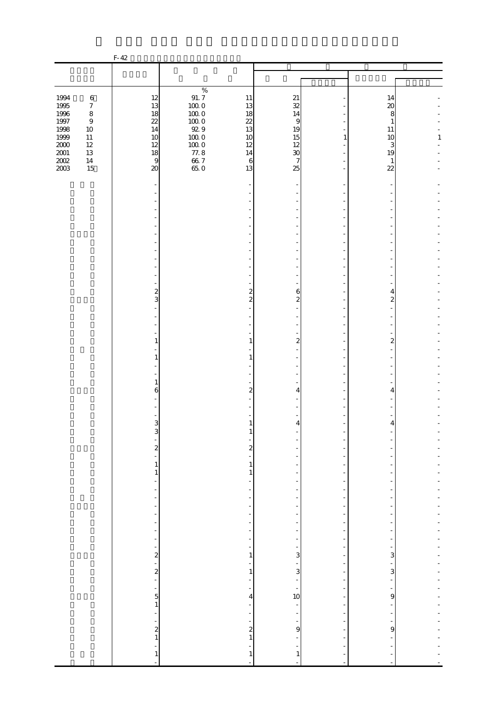|                                         |                                                 | $F-42$                                    |                                      |                                                              |                                                      |                                                                                  |                    |              |
|-----------------------------------------|-------------------------------------------------|-------------------------------------------|--------------------------------------|--------------------------------------------------------------|------------------------------------------------------|----------------------------------------------------------------------------------|--------------------|--------------|
|                                         |                                                 |                                           |                                      |                                                              |                                                      |                                                                                  |                    |              |
|                                         |                                                 |                                           |                                      |                                                              |                                                      |                                                                                  |                    |              |
| 1994<br>1995                            | $\,6\,$<br>$\boldsymbol{7}$                     | 12<br>13                                  | $\%$<br>$91.7\,$<br>$10000$          | $11\,$<br>13                                                 | 21<br>32                                             |                                                                                  | 14<br>20           |              |
| 1996<br>$1997\,$<br>1998<br>1999        | $\,8\,$<br>$\boldsymbol{9}$<br>$10\,$<br>$11\,$ | 18<br>22<br>14<br>10                      | $100\;0$<br>$100\;0$<br>92.9<br>1000 | 18<br>22<br>13<br>10                                         | 14<br>9<br>19<br>15                                  | $\mathbf{1}$                                                                     | 8<br>1<br>11<br>10 | $\mathbf{1}$ |
| $2000\,$<br>$2001\,$<br>$200\!$<br>2003 | $12\,$<br>13<br>$14\,$<br>15                    | 12<br>18<br>$\overline{9}$<br>$\infty$    | $100\;0$<br>$77.8$<br>66.7<br>65.0   | 12<br>14<br>$\,6$<br>13                                      | 12<br>$\boldsymbol{\mathcal{X}}$<br>7<br>25          |                                                                                  | 3<br>19<br>1<br>22 |              |
|                                         |                                                 |                                           |                                      |                                                              |                                                      |                                                                                  |                    |              |
|                                         |                                                 |                                           |                                      |                                                              |                                                      |                                                                                  |                    |              |
|                                         |                                                 |                                           |                                      |                                                              |                                                      |                                                                                  |                    |              |
|                                         |                                                 |                                           |                                      |                                                              |                                                      |                                                                                  |                    |              |
|                                         |                                                 |                                           |                                      |                                                              |                                                      |                                                                                  |                    |              |
|                                         |                                                 | $\frac{2}{3}$                             |                                      | $\overline{\mathbf{c}}$                                      | 6                                                    |                                                                                  | 4                  |              |
|                                         |                                                 |                                           |                                      | $\overline{2}$                                               | $\overline{a}$                                       |                                                                                  | $\overline{c}$     |              |
|                                         |                                                 |                                           |                                      |                                                              |                                                      |                                                                                  |                    |              |
|                                         |                                                 | $\mathbf{1}$<br>1                         |                                      | 1<br>1                                                       | $\boldsymbol{z}$                                     |                                                                                  | $\boldsymbol{z}$   |              |
|                                         |                                                 |                                           |                                      |                                                              |                                                      |                                                                                  |                    |              |
|                                         |                                                 | 1<br>6                                    |                                      | 2                                                            | 4                                                    |                                                                                  | 4                  |              |
|                                         |                                                 | $\overline{3}$                            |                                      | 1                                                            | $\overline{4}$                                       |                                                                                  | 4                  |              |
|                                         |                                                 | 3                                         |                                      | T                                                            |                                                      |                                                                                  |                    |              |
|                                         |                                                 | $\frac{1}{2}$<br>÷<br>$\,1$               |                                      | $\overline{\mathbf{c}}$<br>$\mathbf{1}$                      |                                                      | ÷<br>٠                                                                           |                    |              |
|                                         |                                                 | $\,1$<br>$\frac{1}{2}$                    |                                      | $\mathbf{1}$                                                 | $\overline{a}$<br>$\overline{\phantom{0}}$           | ÷,<br>÷                                                                          |                    |              |
|                                         |                                                 | ÷<br>-<br>f                               |                                      | $\overline{\phantom{a}}$<br>÷                                | $\overline{\phantom{a}}$<br>-                        | $\overline{\phantom{m}}$<br>ł,                                                   |                    |              |
|                                         |                                                 | f<br>$\overline{\phantom{0}}$<br>f        |                                      | -<br>$\overline{a}$<br>$\overline{a}$                        | $\overline{\phantom{a}}$                             | $\overline{\phantom{a}}$<br>$\overline{\phantom{a}}$<br>$\overline{\phantom{0}}$ | ٠                  |              |
|                                         |                                                 |                                           |                                      | $\overline{\phantom{a}}$<br>$\overline{\phantom{a}}$         | $\overline{\phantom{a}}$<br>$\overline{\phantom{a}}$ | ÷,<br>$\overline{\phantom{0}}$                                                   | ÷<br>۳             |              |
|                                         |                                                 | $-2$ 2                                    |                                      | $\mathbf{1}$<br>$\overline{\phantom{0}}$<br>$\,1\,$          | 3<br>f<br>$\mathbf{3}$                               | ÷,<br>$\overline{\phantom{a}}$<br>$\overline{\phantom{a}}$                       | 3<br>3             |              |
|                                         |                                                 |                                           |                                      | $\overline{\phantom{m}}$<br>$\overline{a}$<br>$\overline{a}$ | $\overline{\phantom{a}}$<br>10                       | $\overline{\phantom{0}}$<br>$\overline{a}$<br>$\overline{a}$                     | 9                  |              |
|                                         |                                                 | $\frac{1}{1}$<br>$\overline{\phantom{a}}$ |                                      | $\overline{\phantom{a}}$<br>$\overline{\phantom{a}}$         | $\overline{\phantom{a}}$                             | $\overline{\phantom{a}}$<br>÷                                                    |                    |              |
|                                         |                                                 | $\frac{1}{2}$                             |                                      | $\overline{\phantom{a}}$<br>$\boldsymbol{z}$<br>$\mathbf{1}$ | f<br>$\mathbf{9}$                                    | $\overline{\phantom{m}}$<br>-                                                    | 9                  |              |
|                                         |                                                 | ÷<br>$\mathbf{1}$                         |                                      | 1                                                            | $\mathbf{1}$<br>$\overline{\phantom{a}}$             |                                                                                  |                    |              |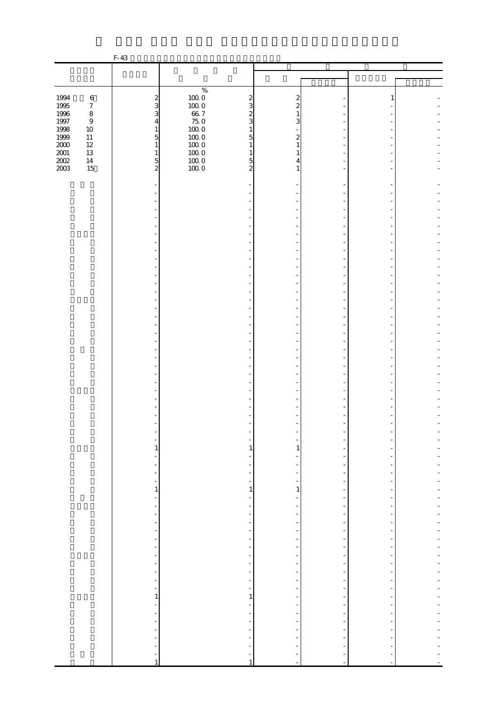|                      |                  | F-43                                                         |                                                      |                          |                                                      |                |  |
|----------------------|------------------|--------------------------------------------------------------|------------------------------------------------------|--------------------------|------------------------------------------------------|----------------|--|
|                      |                  |                                                              |                                                      |                          |                                                      |                |  |
|                      |                  |                                                              |                                                      |                          |                                                      |                |  |
|                      |                  |                                                              | $\%$                                                 |                          |                                                      |                |  |
| 1994                 | $\,6\,$          | $\frac{2}{3}$                                                | $100\;0$<br>$\boldsymbol{z}$                         | 2                        |                                                      | 1              |  |
| $1995\,$             | $\boldsymbol{7}$ |                                                              | $100\;0$<br>3                                        | $\boldsymbol{z}$<br>1    |                                                      |                |  |
| $1996\,$<br>$1997\,$ | $\,8\,$<br>$\,9$ | 3<br>$\overline{4}$                                          | $66\,7$<br>$\boldsymbol{z}$<br>$75.0\,$<br>3         | 3                        |                                                      |                |  |
| 1998                 | $10\,$           | $\mathbf{1}$                                                 | $100\;0$<br>$\mathbf{1}$                             |                          |                                                      |                |  |
| 1999                 | $11\,$           | $\overline{5}$                                               | $100\;0$<br>5                                        | $\mathbf{z}$             |                                                      |                |  |
| $2000\,$             | $12\,$           | $\,1\,$                                                      | $100\;0$<br>$\mathbf{1}$                             | 1                        |                                                      |                |  |
| $2001\,$<br>$200\!$  | $13\,$<br>$14\,$ | $\mathbf{1}$<br>$\overline{5}$                               | $100\;0$<br>1<br>$100\;0$<br>5                       | 1<br>4                   |                                                      |                |  |
| 2003                 | 15               | $\overline{a}$                                               | 1000<br>$\overline{a}$                               | 1                        |                                                      |                |  |
|                      |                  |                                                              |                                                      |                          |                                                      |                |  |
|                      |                  |                                                              |                                                      |                          |                                                      |                |  |
|                      |                  |                                                              |                                                      |                          |                                                      |                |  |
|                      |                  |                                                              |                                                      |                          |                                                      |                |  |
|                      |                  |                                                              |                                                      |                          |                                                      |                |  |
|                      |                  |                                                              |                                                      |                          |                                                      |                |  |
|                      |                  |                                                              |                                                      |                          |                                                      |                |  |
|                      |                  |                                                              |                                                      |                          |                                                      |                |  |
|                      |                  |                                                              |                                                      |                          |                                                      |                |  |
|                      |                  |                                                              |                                                      |                          |                                                      |                |  |
|                      |                  |                                                              |                                                      |                          |                                                      |                |  |
|                      |                  |                                                              |                                                      |                          |                                                      |                |  |
|                      |                  |                                                              |                                                      |                          |                                                      |                |  |
|                      |                  |                                                              |                                                      |                          |                                                      |                |  |
|                      |                  |                                                              |                                                      |                          |                                                      |                |  |
|                      |                  |                                                              |                                                      |                          |                                                      |                |  |
|                      |                  |                                                              |                                                      |                          |                                                      |                |  |
|                      |                  |                                                              |                                                      |                          |                                                      |                |  |
|                      |                  |                                                              |                                                      |                          |                                                      |                |  |
|                      |                  |                                                              |                                                      |                          |                                                      |                |  |
|                      |                  |                                                              |                                                      |                          |                                                      |                |  |
|                      |                  |                                                              |                                                      |                          |                                                      |                |  |
|                      |                  |                                                              |                                                      |                          |                                                      |                |  |
|                      |                  |                                                              |                                                      |                          |                                                      |                |  |
|                      |                  |                                                              |                                                      |                          |                                                      |                |  |
|                      |                  |                                                              |                                                      |                          |                                                      |                |  |
|                      |                  |                                                              |                                                      |                          |                                                      |                |  |
|                      |                  |                                                              |                                                      |                          |                                                      |                |  |
|                      |                  | 1                                                            | 1                                                    | 1                        |                                                      |                |  |
|                      |                  | ÷,                                                           | $\frac{1}{2}$                                        |                          |                                                      |                |  |
|                      |                  | $\overline{\phantom{0}}$                                     | $\overline{\phantom{0}}$                             | -                        | ÷                                                    |                |  |
|                      |                  | $\blacksquare$                                               | $\overline{\phantom{a}}$                             | $\overline{\phantom{0}}$ | ÷                                                    |                |  |
|                      |                  | $\,1\,$                                                      | $\,1\,$                                              | $\,1\,$                  | $\overline{\phantom{a}}$                             | $\overline{a}$ |  |
|                      |                  | $\overline{\phantom{0}}$                                     | $\overline{\phantom{0}}$                             |                          |                                                      |                |  |
|                      |                  | -<br>$\overline{\phantom{a}}$                                | ÷<br>$\overline{\phantom{a}}$                        | -<br>-                   | $\overline{\phantom{a}}$<br>$\overline{\phantom{m}}$ | $\overline{a}$ |  |
|                      |                  | $\overline{\phantom{m}}$                                     | $\overline{\phantom{0}}$                             | ÷                        | $\frac{1}{2}$                                        |                |  |
|                      |                  | $\overline{\phantom{0}}$                                     | $\overline{\phantom{a}}$                             | $\frac{1}{2}$            | $\overline{\phantom{m}}$                             |                |  |
|                      |                  | $\blacksquare$                                               | $\overline{\phantom{a}}$                             | $\frac{1}{2}$            | $\frac{1}{2}$                                        | ÷              |  |
|                      |                  | $\overline{\phantom{a}}$                                     | $\overline{\phantom{a}}$                             | -                        | $\overline{\phantom{a}}$                             |                |  |
|                      |                  | $\qquad \qquad \blacksquare$<br>$\qquad \qquad \blacksquare$ | $\overline{\phantom{a}}$<br>$\overline{\phantom{a}}$ | ÷                        | ٠<br>$\frac{1}{2}$                                   | -              |  |
|                      |                  | $\overline{\phantom{a}}$                                     | $\overline{\phantom{a}}$                             | -                        | $\overline{\phantom{m}}$                             | ۰              |  |
|                      |                  | $\overline{\phantom{a}}$                                     | $\overline{\phantom{a}}$                             | $\frac{1}{2}$            | $\overline{\phantom{m}}$                             | ÷,             |  |
|                      |                  | $\qquad \qquad \blacksquare$                                 | $\frac{1}{\sqrt{2}}$                                 |                          | $\overline{\phantom{a}}$                             |                |  |
|                      |                  | 1                                                            | 1                                                    | $\overline{a}$           | $\overline{a}$                                       |                |  |
|                      |                  | $\blacksquare$                                               | $\overline{\phantom{a}}$                             | $\frac{1}{2}$            | $\overline{\phantom{a}}$                             | $\overline{a}$ |  |
|                      |                  | $\overline{\phantom{0}}$<br>$\frac{1}{2}$                    | $\frac{1}{\sqrt{2}}$<br>$\overline{\phantom{a}}$     | -                        | $\overline{\phantom{m}}$                             |                |  |
|                      |                  | $\overline{\phantom{a}}$                                     | $\overline{\phantom{a}}$                             | -                        | $\overline{\phantom{a}}$                             | ۰              |  |
|                      |                  | $\overline{\phantom{m}}$                                     | $\overline{\phantom{0}}$                             |                          |                                                      |                |  |
|                      |                  | $\qquad \qquad \blacksquare$                                 |                                                      |                          |                                                      |                |  |
|                      |                  | $\mathbf{1}$                                                 | $\mathbf{1}$                                         | -<br>÷                   | $\sim$                                               |                |  |
|                      |                  |                                                              |                                                      |                          |                                                      |                |  |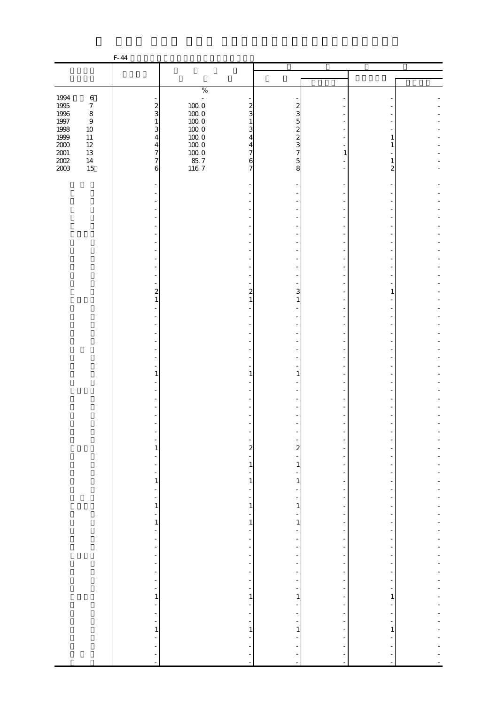|                  |                            | F-44                                      |                                            |                          |                                            |                          |  |
|------------------|----------------------------|-------------------------------------------|--------------------------------------------|--------------------------|--------------------------------------------|--------------------------|--|
|                  |                            |                                           |                                            |                          |                                            |                          |  |
|                  |                            |                                           |                                            |                          |                                            |                          |  |
|                  |                            |                                           | $\%$                                       |                          |                                            |                          |  |
| 1994             | $\,6\,$                    |                                           | $\mathbb{Z}$                               |                          |                                            |                          |  |
| $1995\,$         | $\boldsymbol{7}$           | $\frac{2}{3}$                             | $100\;0$<br>$\boldsymbol{z}$               | $\boldsymbol{z}$         |                                            |                          |  |
| 1996             | $\,8\,$                    |                                           | $100\;0$<br>3                              | 3                        |                                            |                          |  |
| $1997\,$<br>1998 | $\boldsymbol{9}$<br>$10\,$ | $\mathbf{1}$<br>3                         | $100\;0$<br>$\mathbf{1}$<br>$100\;0$<br>3  | 5<br>$\boldsymbol{z}$    |                                            |                          |  |
| 1999             | $11\,$                     | $\overline{4}$                            | $100\;0$<br>4                              | $\overline{c}$           |                                            |                          |  |
| $2000\,$         | $12\,$                     |                                           | $100\;0$<br>$\overline{4}$                 | 3                        |                                            |                          |  |
| $2001\,$         | $13\,$                     | $\frac{4}{7}$                             | $100\;0$<br>$\overline{7}$                 | $\overline{7}$           | 1                                          |                          |  |
| $200\!$          | $14\,$                     | $\boldsymbol{7}$                          | $85.7$<br>116.7<br>6                       | 5                        |                                            | 1                        |  |
| 2003             | 15                         | 6                                         | $\overline{7}$                             | 8                        |                                            | 2                        |  |
|                  |                            |                                           |                                            |                          |                                            |                          |  |
|                  |                            |                                           |                                            |                          |                                            |                          |  |
|                  |                            |                                           |                                            |                          |                                            |                          |  |
|                  |                            |                                           |                                            |                          |                                            |                          |  |
|                  |                            |                                           |                                            |                          |                                            |                          |  |
|                  |                            |                                           |                                            |                          |                                            |                          |  |
|                  |                            |                                           |                                            |                          |                                            |                          |  |
|                  |                            |                                           |                                            |                          |                                            |                          |  |
|                  |                            |                                           |                                            |                          |                                            |                          |  |
|                  |                            |                                           |                                            |                          |                                            |                          |  |
|                  |                            |                                           |                                            |                          |                                            |                          |  |
|                  |                            |                                           |                                            |                          |                                            |                          |  |
|                  |                            | $\overline{\mathbf{c}}$                   | $\overline{c}$                             | 3                        |                                            | 1                        |  |
|                  |                            | 1                                         | 1                                          | 1                        |                                            |                          |  |
|                  |                            |                                           |                                            |                          |                                            |                          |  |
|                  |                            |                                           |                                            |                          |                                            |                          |  |
|                  |                            |                                           |                                            |                          |                                            |                          |  |
|                  |                            |                                           |                                            |                          |                                            |                          |  |
|                  |                            |                                           |                                            |                          |                                            |                          |  |
|                  |                            |                                           |                                            |                          |                                            |                          |  |
|                  |                            |                                           |                                            |                          |                                            |                          |  |
|                  |                            | 1                                         | $\mathbf{1}$                               | 1                        |                                            |                          |  |
|                  |                            |                                           |                                            |                          |                                            |                          |  |
|                  |                            |                                           |                                            |                          |                                            |                          |  |
|                  |                            |                                           |                                            |                          |                                            |                          |  |
|                  |                            |                                           |                                            |                          |                                            |                          |  |
|                  |                            |                                           |                                            |                          |                                            |                          |  |
|                  |                            |                                           |                                            |                          |                                            |                          |  |
|                  |                            | $\overline{\phantom{0}}$                  |                                            |                          |                                            |                          |  |
|                  |                            | $\mathbf{1}$<br>$\overline{\phantom{0}}$  | $\overline{a}$<br>÷                        | $\overline{\mathbf{c}}$  |                                            |                          |  |
|                  |                            | $\overline{\phantom{0}}$                  | $\mathbf{1}$                               | $\,1\,$                  | $\overline{a}$                             |                          |  |
|                  |                            | $\qquad \qquad \blacksquare$              | ÷,                                         | -                        | $\frac{1}{2}$                              |                          |  |
|                  |                            | $\,1$                                     | $\,1\,$                                    | $\,1\,$                  | $\overline{\phantom{a}}$                   |                          |  |
|                  |                            | $\overline{\phantom{0}}$                  | $\overline{\phantom{0}}$                   | $\frac{1}{2}$            | $\overline{\phantom{m}}$                   | $\overline{\phantom{a}}$ |  |
|                  |                            | $\overline{\phantom{0}}$                  | ÷,                                         | Ξ                        | $\overline{\phantom{m}}$                   |                          |  |
|                  |                            | $\mathbf{1}$<br>$\overline{\phantom{a}}$  | $\mathbf{1}$<br>$\overline{\phantom{a}}$   | 1                        | $\overline{a}$<br>$\overline{\phantom{a}}$ | $\overline{a}$           |  |
|                  |                            | $\,1$                                     | $\,1$                                      | -<br>$\mathbf{1}$        |                                            |                          |  |
|                  |                            | $\blacksquare$                            | ÷                                          |                          | $\frac{1}{2}$                              |                          |  |
|                  |                            | $\overline{\phantom{a}}$                  | $\overline{\phantom{a}}$                   | $\overline{\phantom{0}}$ | $\overline{\phantom{m}}$                   | $\overline{a}$           |  |
|                  |                            | $\frac{1}{2}$                             | $\overline{\phantom{0}}$                   | $\frac{1}{2}$            | $\overline{\phantom{m}}$                   |                          |  |
|                  |                            | $\qquad \qquad \blacksquare$              | -                                          | -                        | $\overline{a}$                             |                          |  |
|                  |                            | $\blacksquare$                            | $\overline{\phantom{a}}$                   | $\frac{1}{2}$            | $\overline{\phantom{m}}$                   | ÷                        |  |
|                  |                            | $\overline{\phantom{0}}$<br>$\frac{1}{2}$ | $\overline{\phantom{a}}$<br>$\blacksquare$ | -<br>÷                   | $\overline{\phantom{m}}$<br>$\overline{a}$ | -<br>÷                   |  |
|                  |                            | $\qquad \qquad \blacksquare$              | $\overline{\phantom{0}}$                   | -                        | $\frac{1}{2}$                              |                          |  |
|                  |                            | $\mathbf{1}$                              | $\mathbf{1}$                               | 1                        | $\overline{a}$                             | $\mathbf{1}$             |  |
|                  |                            | $\overline{\phantom{0}}$                  | $\overline{\phantom{a}}$                   | $\overline{\phantom{m}}$ | $\overline{\phantom{m}}$                   | ÷                        |  |
|                  |                            | $\overline{\phantom{0}}$                  | Ĩ,                                         | Ξ                        | $\overline{\phantom{m}}$                   |                          |  |
|                  |                            | $\frac{1}{2}$                             | $\overline{\phantom{a}}$                   | ÷                        | $\frac{1}{2}$                              | -                        |  |
|                  |                            | $\,1\,$                                   | $\,1\,$                                    | $\,1\,$                  | $\overline{\phantom{a}}$                   | $\mathbf{1}$             |  |
|                  |                            | $\qquad \qquad \blacksquare$              |                                            |                          |                                            |                          |  |
|                  |                            | $\blacksquare$<br>÷,                      |                                            | ÷                        |                                            |                          |  |
|                  |                            | ÷,                                        |                                            |                          |                                            |                          |  |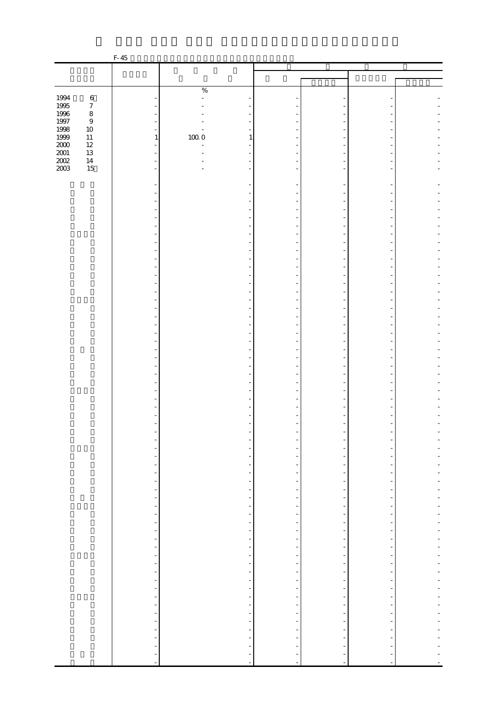|                              |                  | F-45                                |                                                      |                               |                                                      |                |  |
|------------------------------|------------------|-------------------------------------|------------------------------------------------------|-------------------------------|------------------------------------------------------|----------------|--|
|                              |                  |                                     |                                                      |                               |                                                      |                |  |
|                              |                  |                                     |                                                      |                               |                                                      |                |  |
|                              |                  |                                     | $\%$                                                 |                               |                                                      |                |  |
| 1994                         | $\,6\,$          |                                     | $\overline{a}$                                       |                               |                                                      |                |  |
| 1995                         | $\boldsymbol{7}$ |                                     |                                                      |                               |                                                      |                |  |
| 1996<br>1997                 | $\,8\,$          | ä,                                  |                                                      |                               |                                                      |                |  |
|                              | $\,9$            | $\blacksquare$                      |                                                      |                               |                                                      |                |  |
| 1998<br>1999                 | $10\,$           | $\blacksquare$                      |                                                      |                               |                                                      |                |  |
|                              | $11\,$<br>$12\,$ | $\,1\,$<br>$\overline{\phantom{a}}$ | $100\;0$<br>$\mathbf{1}$<br>$\overline{a}$           |                               |                                                      |                |  |
| 2000<br>2001<br>2002<br>2003 | $13\,$           | L,                                  |                                                      |                               |                                                      |                |  |
|                              | $14\,$           | ÷                                   |                                                      |                               |                                                      |                |  |
|                              | 15               | $\overline{\phantom{a}}$            | ٠                                                    |                               |                                                      |                |  |
|                              |                  |                                     |                                                      |                               |                                                      |                |  |
|                              |                  |                                     |                                                      |                               |                                                      |                |  |
|                              |                  |                                     |                                                      |                               |                                                      |                |  |
|                              |                  |                                     |                                                      |                               |                                                      |                |  |
|                              |                  | ÷,                                  |                                                      |                               |                                                      |                |  |
|                              |                  |                                     |                                                      |                               |                                                      |                |  |
|                              |                  |                                     |                                                      |                               |                                                      |                |  |
|                              |                  | Ĭ.                                  |                                                      |                               |                                                      |                |  |
|                              |                  |                                     |                                                      |                               |                                                      |                |  |
|                              |                  |                                     |                                                      |                               |                                                      |                |  |
|                              |                  | ä,                                  |                                                      |                               |                                                      |                |  |
|                              |                  | ä,                                  |                                                      |                               |                                                      |                |  |
|                              |                  |                                     |                                                      |                               |                                                      |                |  |
|                              |                  |                                     |                                                      |                               |                                                      |                |  |
|                              |                  |                                     |                                                      |                               |                                                      |                |  |
|                              |                  |                                     |                                                      |                               |                                                      |                |  |
|                              |                  |                                     |                                                      |                               |                                                      |                |  |
|                              |                  |                                     |                                                      |                               |                                                      |                |  |
|                              |                  |                                     |                                                      |                               |                                                      |                |  |
|                              |                  |                                     |                                                      |                               |                                                      |                |  |
|                              |                  |                                     |                                                      |                               |                                                      |                |  |
|                              |                  |                                     |                                                      |                               |                                                      |                |  |
|                              |                  |                                     |                                                      |                               |                                                      |                |  |
|                              |                  |                                     |                                                      |                               |                                                      |                |  |
|                              |                  |                                     |                                                      |                               |                                                      |                |  |
|                              |                  |                                     |                                                      |                               |                                                      |                |  |
|                              |                  |                                     |                                                      |                               |                                                      |                |  |
|                              |                  |                                     |                                                      |                               |                                                      |                |  |
|                              |                  |                                     |                                                      |                               |                                                      |                |  |
|                              |                  | -                                   |                                                      |                               |                                                      |                |  |
|                              |                  | $\overline{\phantom{a}}$            |                                                      |                               |                                                      |                |  |
|                              |                  | $\qquad \qquad \blacksquare$        | $\overline{\phantom{0}}$                             |                               |                                                      |                |  |
|                              |                  | $\qquad \qquad \blacksquare$        | $\overline{\phantom{a}}$                             |                               | $\frac{1}{2}$                                        |                |  |
|                              |                  | ÷,<br>$\blacksquare$                | $\frac{1}{\sqrt{2}}$<br>$\overline{\phantom{a}}$     | Ξ<br>$\frac{1}{2}$            | $\overline{\phantom{m}}$<br>$\overline{\phantom{m}}$ | ÷              |  |
|                              |                  | $\overline{\phantom{a}}$            | $\overline{\phantom{a}}$                             |                               | $\overline{\phantom{m}}$                             |                |  |
|                              |                  | Ť,                                  | $\overline{\phantom{a}}$                             | -                             | $\overline{a}$                                       |                |  |
|                              |                  | $\overline{\phantom{a}}$            | $\overline{\phantom{a}}$                             | $\frac{1}{2}$                 | $\overline{\phantom{a}}$                             | $\overline{a}$ |  |
|                              |                  | $\overline{\phantom{0}}$            | $\overline{\phantom{a}}$                             |                               |                                                      |                |  |
|                              |                  | $\blacksquare$                      | $\overline{\phantom{a}}$                             | $\overline{\phantom{0}}$      | $\frac{1}{2}$                                        |                |  |
|                              |                  | $\overline{\phantom{a}}$            | $\overline{\phantom{0}}$                             | -                             | $\overline{\phantom{m}}$                             | $\overline{a}$ |  |
|                              |                  | $\blacksquare$                      | $\overline{\phantom{0}}$                             |                               | $\frac{1}{2}$                                        |                |  |
|                              |                  | $\frac{1}{2}$                       | $\overline{\phantom{a}}$<br>$\overline{\phantom{a}}$ | -<br>$\overline{\phantom{0}}$ | $\overline{a}$<br>$\overline{\phantom{m}}$           |                |  |
|                              |                  | $\overline{\phantom{a}}$            | $\overline{\phantom{a}}$                             | -                             | $\frac{1}{2}$                                        | -              |  |
|                              |                  | $\blacksquare$                      | $\overline{\phantom{a}}$                             |                               | $\overline{a}$                                       |                |  |
|                              |                  | $\blacksquare$                      | $\overline{\phantom{a}}$                             | $\overline{\phantom{0}}$      | $\frac{1}{2}$                                        |                |  |
|                              |                  | ÷,                                  | f,                                                   | Ξ                             | $\overline{a}$                                       | -              |  |
|                              |                  | $\blacksquare$                      | $\overline{\phantom{a}}$                             | $\frac{1}{2}$                 | $\overline{\phantom{a}}$                             | ÷              |  |
|                              |                  | $\frac{1}{2}$                       | $\frac{1}{\sqrt{2}}$                                 |                               | $\overline{\phantom{0}}$                             |                |  |
|                              |                  |                                     | $\frac{1}{2}$                                        | $\overline{\phantom{0}}$      | $\frac{1}{2}$                                        | $\overline{a}$ |  |
|                              |                  | $\overline{\phantom{a}}$            | $\overline{\phantom{a}}$                             | $\frac{1}{2}$                 | $\overline{\phantom{a}}$                             |                |  |
|                              |                  | $\frac{1}{2}$<br>$\overline{a}$     |                                                      |                               |                                                      |                |  |
|                              |                  | $\qquad \qquad \blacksquare$        |                                                      |                               |                                                      |                |  |
|                              |                  | $\overline{\phantom{a}}$            | ÷,                                                   | ÷                             |                                                      |                |  |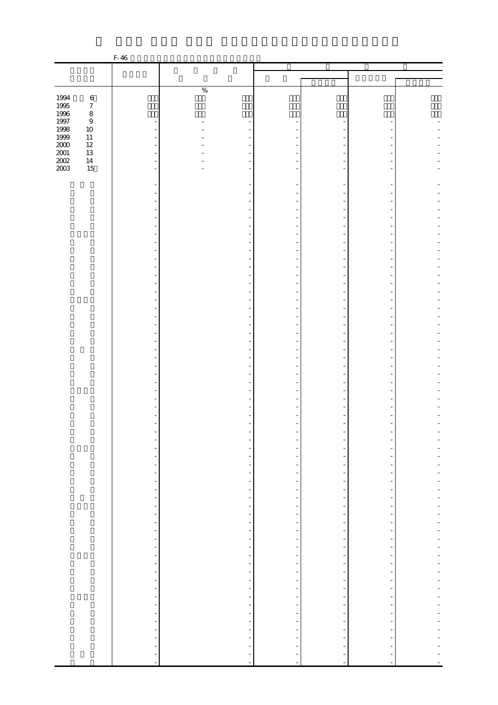|                                            |                  | F-46                                                 |                                                      |                                           |                                                      |                                                      |                |
|--------------------------------------------|------------------|------------------------------------------------------|------------------------------------------------------|-------------------------------------------|------------------------------------------------------|------------------------------------------------------|----------------|
|                                            |                  |                                                      |                                                      |                                           |                                                      |                                                      |                |
|                                            |                  |                                                      |                                                      |                                           |                                                      |                                                      |                |
|                                            |                  |                                                      | $\%$                                                 |                                           |                                                      |                                                      |                |
|                                            | $\,6\,$          |                                                      |                                                      |                                           |                                                      |                                                      |                |
|                                            | $\boldsymbol{7}$ |                                                      |                                                      |                                           |                                                      |                                                      |                |
| 1994<br>1995<br>1996<br>1997               | $\,8\,$          |                                                      |                                                      |                                           |                                                      |                                                      |                |
|                                            | $\boldsymbol{9}$ |                                                      |                                                      |                                           |                                                      |                                                      |                |
| 1998                                       | $10\,$           |                                                      |                                                      |                                           |                                                      |                                                      |                |
|                                            | $11\,$           |                                                      |                                                      |                                           |                                                      |                                                      |                |
|                                            | $12\,$           |                                                      |                                                      |                                           |                                                      |                                                      |                |
| $\frac{1999}{2000}$<br>$\frac{2001}{2002}$ | $13\,$<br>$14\,$ |                                                      |                                                      |                                           |                                                      |                                                      |                |
| $2003\,$                                   | 15               |                                                      |                                                      |                                           |                                                      |                                                      |                |
|                                            |                  |                                                      |                                                      |                                           |                                                      |                                                      |                |
|                                            |                  |                                                      |                                                      |                                           |                                                      |                                                      |                |
|                                            |                  |                                                      |                                                      |                                           |                                                      |                                                      |                |
|                                            |                  |                                                      |                                                      |                                           |                                                      |                                                      |                |
|                                            |                  |                                                      |                                                      |                                           |                                                      |                                                      |                |
|                                            |                  |                                                      |                                                      |                                           |                                                      |                                                      |                |
|                                            |                  |                                                      |                                                      |                                           |                                                      |                                                      |                |
|                                            |                  |                                                      |                                                      |                                           |                                                      |                                                      |                |
|                                            |                  |                                                      |                                                      |                                           |                                                      |                                                      |                |
|                                            |                  |                                                      |                                                      |                                           |                                                      |                                                      |                |
|                                            |                  |                                                      |                                                      |                                           |                                                      |                                                      |                |
|                                            |                  |                                                      |                                                      |                                           |                                                      |                                                      |                |
|                                            |                  |                                                      |                                                      |                                           |                                                      |                                                      |                |
|                                            |                  |                                                      |                                                      |                                           |                                                      |                                                      |                |
|                                            |                  |                                                      |                                                      |                                           |                                                      |                                                      |                |
|                                            |                  |                                                      |                                                      |                                           |                                                      |                                                      |                |
|                                            |                  |                                                      |                                                      |                                           |                                                      |                                                      |                |
|                                            |                  |                                                      |                                                      |                                           |                                                      |                                                      |                |
|                                            |                  |                                                      |                                                      |                                           |                                                      |                                                      |                |
|                                            |                  |                                                      |                                                      |                                           |                                                      |                                                      |                |
|                                            |                  |                                                      |                                                      |                                           |                                                      |                                                      |                |
|                                            |                  |                                                      |                                                      |                                           |                                                      |                                                      |                |
|                                            |                  |                                                      |                                                      |                                           |                                                      |                                                      |                |
|                                            |                  |                                                      |                                                      |                                           |                                                      |                                                      |                |
|                                            |                  |                                                      |                                                      |                                           |                                                      |                                                      |                |
|                                            |                  |                                                      |                                                      |                                           |                                                      |                                                      |                |
|                                            |                  |                                                      |                                                      |                                           |                                                      |                                                      |                |
|                                            |                  |                                                      |                                                      |                                           |                                                      |                                                      |                |
|                                            |                  |                                                      |                                                      |                                           |                                                      |                                                      |                |
|                                            |                  |                                                      |                                                      |                                           |                                                      |                                                      |                |
|                                            |                  |                                                      |                                                      |                                           | -                                                    |                                                      |                |
|                                            |                  |                                                      |                                                      |                                           | $\overline{\phantom{m}}$                             |                                                      |                |
|                                            |                  | $\blacksquare$                                       | $\overline{\phantom{a}}$                             |                                           | $\overline{\phantom{m}}$                             |                                                      |                |
|                                            |                  | $\overline{\phantom{a}}$                             | $\overline{\phantom{a}}$                             | -                                         | $\overline{\phantom{a}}$                             | $\overline{\phantom{a}}$                             |                |
|                                            |                  | $\overline{\phantom{a}}$<br>$\overline{\phantom{a}}$ | $\overline{\phantom{a}}$<br>$\overline{\phantom{a}}$ | $\overline{\phantom{0}}$<br>$\frac{1}{2}$ | $\overline{\phantom{a}}$<br>$\overline{\phantom{a}}$ | $\overline{\phantom{a}}$<br>$\blacksquare$           |                |
|                                            |                  | -                                                    | $\overline{\phantom{a}}$                             |                                           | $\overline{\phantom{0}}$                             | $\overline{\phantom{m}}$                             |                |
|                                            |                  | ÷,                                                   | $\overline{\phantom{a}}$                             | Ξ                                         | $\overline{\phantom{0}}$                             | -                                                    | $\overline{a}$ |
|                                            |                  | f,                                                   | $\overline{\phantom{a}}$                             | Ξ                                         | $\overline{\phantom{a}}$                             | $\overline{\phantom{a}}$                             |                |
|                                            |                  | f                                                    | $\frac{1}{\sqrt{2}}$                                 |                                           | f                                                    | $\overline{\phantom{0}}$                             |                |
|                                            |                  | f                                                    | $\overline{\phantom{a}}$                             |                                           | $\overline{\phantom{a}}$                             | $\overline{\phantom{0}}$                             |                |
|                                            |                  | $\frac{1}{2}$                                        | $\overline{\phantom{a}}$                             | $\frac{1}{2}$                             | $\overline{\phantom{0}}$                             | $\blacksquare$                                       |                |
|                                            |                  | $\overline{\phantom{a}}$                             | $\overline{\phantom{a}}$                             | -                                         | $\overline{\phantom{a}}$                             | $\overline{\phantom{a}}$                             | Ĭ.             |
|                                            |                  | $\overline{\phantom{a}}$                             | $\overline{\phantom{a}}$<br>$\overline{\phantom{a}}$ |                                           | $\overline{\phantom{a}}$                             | -                                                    | $\overline{a}$ |
|                                            |                  | f                                                    | $\overline{\phantom{a}}$                             | -                                         | $\overline{\phantom{a}}$<br>$\overline{\phantom{a}}$ | $\overline{\phantom{a}}$<br>$\overline{\phantom{a}}$ |                |
|                                            |                  | f<br>$\frac{1}{\sqrt{2}}$                            | $\blacksquare$                                       | Ξ<br>-                                    | $\overline{\phantom{a}}$                             | $\overline{\phantom{a}}$                             |                |
|                                            |                  | f                                                    | $\overline{\phantom{a}}$                             |                                           | $\overline{\phantom{a}}$                             | $\overline{a}$                                       |                |
|                                            |                  | $\overline{\phantom{a}}$                             | $\overline{\phantom{a}}$                             | -                                         | $\overline{\phantom{a}}$                             | ۰.                                                   | -              |
|                                            |                  | ÷,                                                   | $\overline{\phantom{a}}$                             | $\frac{1}{2}$                             | $\overline{\phantom{a}}$                             | $\overline{\phantom{a}}$                             |                |
|                                            |                  | f,                                                   | $\overline{\phantom{a}}$                             |                                           | f                                                    | $\overline{a}$                                       |                |
|                                            |                  | ÷                                                    | $\frac{1}{2}$                                        | $\overline{\phantom{0}}$                  | $\overline{\phantom{a}}$                             | $\overline{\phantom{a}}$                             |                |
|                                            |                  | $\overline{\phantom{a}}$                             | $\blacksquare$                                       | $\overline{\phantom{0}}$                  | $\overline{\phantom{a}}$                             | $\overline{\phantom{a}}$                             |                |
|                                            |                  | -                                                    |                                                      |                                           | $\overline{\phantom{a}}$                             |                                                      |                |
|                                            |                  | ÷<br>÷                                               |                                                      |                                           | $\overline{\phantom{m}}$<br>$\frac{1}{\sqrt{2}}$     | $\overline{\phantom{a}}$                             |                |
|                                            |                  | $\overline{a}$                                       | $\Box$                                               | $\frac{1}{2}$                             | $\overline{a}$                                       | $\frac{1}{2}$                                        |                |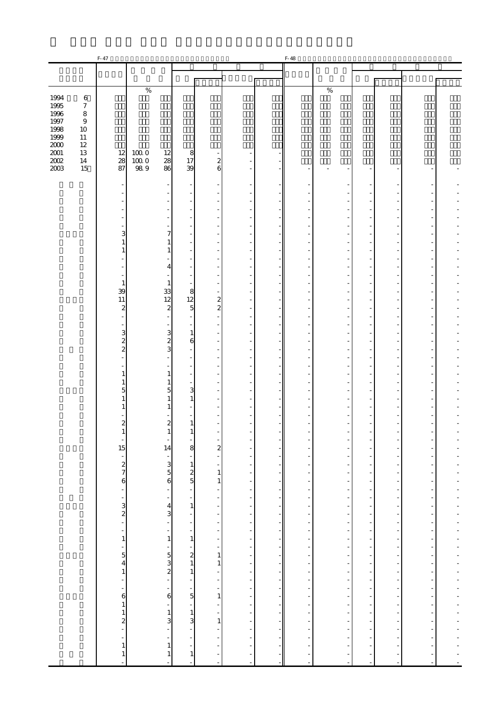|                                                      |                                                            | F-47                                             |                              |                                                                       |                                                 |                                                   |                                           |                                                                              | F-48                                        |                                                                                                                                                                                                                                                                                                                                                                                                                                 |                                                    |                                              |                                                                                                                                                                        |                                                                                                                                                                                                                                      |
|------------------------------------------------------|------------------------------------------------------------|--------------------------------------------------|------------------------------|-----------------------------------------------------------------------|-------------------------------------------------|---------------------------------------------------|-------------------------------------------|------------------------------------------------------------------------------|---------------------------------------------|---------------------------------------------------------------------------------------------------------------------------------------------------------------------------------------------------------------------------------------------------------------------------------------------------------------------------------------------------------------------------------------------------------------------------------|----------------------------------------------------|----------------------------------------------|------------------------------------------------------------------------------------------------------------------------------------------------------------------------|--------------------------------------------------------------------------------------------------------------------------------------------------------------------------------------------------------------------------------------|
|                                                      |                                                            |                                                  |                              |                                                                       |                                                 |                                                   |                                           |                                                                              |                                             |                                                                                                                                                                                                                                                                                                                                                                                                                                 |                                                    |                                              |                                                                                                                                                                        |                                                                                                                                                                                                                                      |
|                                                      |                                                            |                                                  |                              |                                                                       |                                                 |                                                   |                                           |                                                                              |                                             |                                                                                                                                                                                                                                                                                                                                                                                                                                 |                                                    |                                              |                                                                                                                                                                        |                                                                                                                                                                                                                                      |
|                                                      |                                                            |                                                  |                              |                                                                       |                                                 |                                                   |                                           |                                                                              |                                             |                                                                                                                                                                                                                                                                                                                                                                                                                                 |                                                    |                                              |                                                                                                                                                                        |                                                                                                                                                                                                                                      |
| 1994<br>1995<br>1996<br>1997                         | $\,6\,$<br>$\boldsymbol{7}$<br>$\,8\,$<br>$\boldsymbol{9}$ |                                                  | $\%$                         |                                                                       |                                                 |                                                   |                                           |                                                                              |                                             | $\%$                                                                                                                                                                                                                                                                                                                                                                                                                            |                                                    |                                              |                                                                                                                                                                        |                                                                                                                                                                                                                                      |
| 1998<br>1999<br>2000<br>$2001\,$<br>$2002\,$<br>2003 | 10<br>$11\,$<br>$12\,$<br>13<br>14<br>15                   | 12<br>28<br>87                                   | $100\;0$<br>$100\;0$<br>98.9 | 12<br>28<br>86                                                        | 8<br>17<br>39                                   | $\boldsymbol{z}$<br>6                             |                                           |                                                                              |                                             |                                                                                                                                                                                                                                                                                                                                                                                                                                 |                                                    |                                              |                                                                                                                                                                        |                                                                                                                                                                                                                                      |
|                                                      |                                                            |                                                  |                              |                                                                       |                                                 |                                                   |                                           |                                                                              |                                             |                                                                                                                                                                                                                                                                                                                                                                                                                                 |                                                    |                                              |                                                                                                                                                                        |                                                                                                                                                                                                                                      |
|                                                      |                                                            |                                                  |                              |                                                                       |                                                 |                                                   |                                           |                                                                              |                                             |                                                                                                                                                                                                                                                                                                                                                                                                                                 |                                                    |                                              |                                                                                                                                                                        |                                                                                                                                                                                                                                      |
|                                                      |                                                            |                                                  |                              |                                                                       |                                                 |                                                   |                                           |                                                                              |                                             |                                                                                                                                                                                                                                                                                                                                                                                                                                 |                                                    |                                              |                                                                                                                                                                        |                                                                                                                                                                                                                                      |
|                                                      |                                                            | 3                                                |                              | 7                                                                     |                                                 |                                                   |                                           |                                                                              |                                             |                                                                                                                                                                                                                                                                                                                                                                                                                                 |                                                    |                                              |                                                                                                                                                                        |                                                                                                                                                                                                                                      |
|                                                      |                                                            |                                                  |                              | 1                                                                     |                                                 |                                                   |                                           |                                                                              |                                             |                                                                                                                                                                                                                                                                                                                                                                                                                                 |                                                    |                                              |                                                                                                                                                                        |                                                                                                                                                                                                                                      |
|                                                      |                                                            |                                                  |                              | 4                                                                     |                                                 |                                                   |                                           |                                                                              |                                             |                                                                                                                                                                                                                                                                                                                                                                                                                                 |                                                    |                                              |                                                                                                                                                                        |                                                                                                                                                                                                                                      |
|                                                      |                                                            | 1<br>39                                          |                              | 1<br>33                                                               | 8                                               |                                                   |                                           |                                                                              |                                             |                                                                                                                                                                                                                                                                                                                                                                                                                                 |                                                    |                                              |                                                                                                                                                                        |                                                                                                                                                                                                                                      |
|                                                      |                                                            | 11<br>$\boldsymbol{z}$                           |                              | 12<br>$\boldsymbol{z}$                                                | 12<br>$\overline{5}$                            | $\overline{\mathbf{c}}$<br>$\boldsymbol{z}$       |                                           |                                                                              |                                             |                                                                                                                                                                                                                                                                                                                                                                                                                                 |                                                    |                                              |                                                                                                                                                                        |                                                                                                                                                                                                                                      |
|                                                      |                                                            |                                                  |                              |                                                                       |                                                 |                                                   | ä,                                        |                                                                              |                                             |                                                                                                                                                                                                                                                                                                                                                                                                                                 |                                                    |                                              |                                                                                                                                                                        |                                                                                                                                                                                                                                      |
|                                                      |                                                            | 3<br>$\overline{\mathcal{Z}}$                    |                              | $\mathbf{3}$<br>$\overline{\mathcal{L}}$                              | 1<br>6                                          |                                                   |                                           |                                                                              |                                             |                                                                                                                                                                                                                                                                                                                                                                                                                                 |                                                    |                                              |                                                                                                                                                                        |                                                                                                                                                                                                                                      |
|                                                      |                                                            | $\overline{c}$                                   |                              | 3                                                                     |                                                 |                                                   |                                           |                                                                              |                                             |                                                                                                                                                                                                                                                                                                                                                                                                                                 |                                                    |                                              |                                                                                                                                                                        |                                                                                                                                                                                                                                      |
|                                                      |                                                            | 1                                                |                              | 1                                                                     |                                                 |                                                   |                                           |                                                                              |                                             |                                                                                                                                                                                                                                                                                                                                                                                                                                 |                                                    |                                              |                                                                                                                                                                        |                                                                                                                                                                                                                                      |
|                                                      |                                                            | 5                                                |                              | 1<br>5                                                                | 3<br>1                                          |                                                   |                                           |                                                                              |                                             |                                                                                                                                                                                                                                                                                                                                                                                                                                 |                                                    |                                              |                                                                                                                                                                        |                                                                                                                                                                                                                                      |
|                                                      |                                                            |                                                  |                              | 1                                                                     |                                                 |                                                   |                                           |                                                                              |                                             |                                                                                                                                                                                                                                                                                                                                                                                                                                 |                                                    |                                              |                                                                                                                                                                        |                                                                                                                                                                                                                                      |
|                                                      |                                                            | 2                                                |                              | 2<br>Ŧ,                                                               | $\mathbf{r}$                                    |                                                   |                                           |                                                                              |                                             |                                                                                                                                                                                                                                                                                                                                                                                                                                 |                                                    |                                              |                                                                                                                                                                        |                                                                                                                                                                                                                                      |
|                                                      |                                                            | $\overline{\phantom{a}}$<br>15                   |                              | $\blacksquare$<br>14                                                  | $\omega$<br>8                                   | $\sim$<br>$\overline{a}$                          | $\overline{\phantom{a}}$<br>۳             | $\frac{1}{1}$                                                                | $\overline{\phantom{a}}$<br>-               | ÷,                                                                                                                                                                                                                                                                                                                                                                                                                              | $\blacksquare$<br>$\frac{1}{2}$                    | $\equiv$<br>$\blacksquare$                   | $\overline{\phantom{a}}$<br>÷,                                                                                                                                         | ÷                                                                                                                                                                                                                                    |
|                                                      |                                                            | $\frac{1}{2}$ $\frac{2}{7}$ 6                    |                              | $\begin{array}{c} -3 \\ 3 \\ 5 \\ 6 \end{array}$                      | $\begin{array}{c} 1 \\ 1 \\ 2 \\ 5 \end{array}$ | ÷,<br>$\bar{\phantom{a}}$                         | $\overline{\phantom{a}}$<br>$\omega$      |                                                                              | $\frac{1}{2}$                               | $\frac{1}{2}$<br>$\mathbb{Z}^2$                                                                                                                                                                                                                                                                                                                                                                                                 | $\blacksquare$<br>$\mathbb{R}^2$<br>$\mathbb{Z}^2$ | $\equiv$<br>$\overline{\phantom{a}}$         | $\frac{1}{2}$                                                                                                                                                          | $\overline{a}$<br>$\overline{a}$                                                                                                                                                                                                     |
|                                                      |                                                            |                                                  |                              |                                                                       | $\omega$                                        | $\mathbf{1}$<br>$\mathbf{1}$                      | $\frac{1}{2}$                             |                                                                              | $\mathbb{Z}$<br>$\frac{1}{\sqrt{2}}$        |                                                                                                                                                                                                                                                                                                                                                                                                                                 | $\mathbf{L}$<br>$\mathbb{Z}$                       | $\equiv$<br>$\equiv$<br>$\overline{a}$       | $\omega$                                                                                                                                                               | Ĭ.<br>÷<br>$\overline{a}$                                                                                                                                                                                                            |
|                                                      |                                                            | $\frac{1}{2}$ $\frac{1}{2}$ $\frac{1}{2}$        |                              | $\frac{1}{2}$                                                         | $\blacksquare$<br>$\mathbf{1}$                  | $\frac{1}{2}$<br>$\blacksquare$                   | $\overline{\phantom{a}}$                  |                                                                              | $\frac{1}{2}$                               | $\label{eq:2.1} \begin{array}{lllllllllllll} \mathbf{1} & \mathbf{1} & \mathbf{1} & \mathbf{1} & \mathbf{1} & \mathbf{1} & \mathbf{1} & \mathbf{1} & \mathbf{1} & \mathbf{1} & \mathbf{1} & \mathbf{1} & \mathbf{1} & \mathbf{1} & \mathbf{1} & \mathbf{1} & \mathbf{1} & \mathbf{1} & \mathbf{1} & \mathbf{1} & \mathbf{1} & \mathbf{1} & \mathbf{1} & \mathbf{1} & \mathbf{1} & \mathbf{1} & \mathbf{1} & \mathbf{1} & \math$ | $\frac{1}{\sqrt{2}}$                               | $\equiv$<br>$\overline{a}$                   | $\label{eq:2.1} \begin{array}{l} \mathcal{L}_{\mathcal{A}}(\mathcal{A}) = \mathcal{L}_{\mathcal{A}}(\mathcal{A}) = \mathcal{L}_{\mathcal{A}}(\mathcal{A}) \end{array}$ | $\frac{1}{2}$                                                                                                                                                                                                                        |
|                                                      |                                                            |                                                  |                              | $\frac{4}{3}$<br>$\frac{1}{2}$                                        | $\blacksquare$<br>$\frac{1}{\sqrt{2}}$          | $\frac{1}{2}$                                     | $\frac{1}{2}$                             |                                                                              | $\begin{bmatrix} 1 \\ 1 \\ 1 \end{bmatrix}$ |                                                                                                                                                                                                                                                                                                                                                                                                                                 |                                                    | $\overline{a}$<br>$\omega$                   |                                                                                                                                                                        | $\frac{1}{2}$                                                                                                                                                                                                                        |
|                                                      |                                                            | $\mathbf{1}$                                     |                              | 1                                                                     | $\overline{\phantom{a}}$<br>$\,1$               |                                                   | $\frac{1}{\sqrt{2}}$                      | $\begin{array}{c} \begin{array}{c} \hline \end{array} \\ \hline \end{array}$ | ÷,                                          |                                                                                                                                                                                                                                                                                                                                                                                                                                 | $\frac{1}{\sqrt{2}}$                               | $\overline{a}$<br>$\overline{a}$             |                                                                                                                                                                        | $\overline{a}$                                                                                                                                                                                                                       |
|                                                      |                                                            | $\frac{1}{5}$                                    |                              | $\frac{1}{2}$ $\frac{1}{2}$ $\frac{1}{2}$ $\frac{1}{2}$ $\frac{1}{2}$ | $\begin{array}{c} 2 \\ 2 \\ 1 \\ 1 \end{array}$ | $\begin{bmatrix} 1 \\ 1 \\ 1 \end{bmatrix}$       | $\frac{1}{2}$                             |                                                                              | $\frac{1}{2}$                               | $\mathbf{r} = \mathbf{r} - \mathbf{r}$                                                                                                                                                                                                                                                                                                                                                                                          | $\frac{1}{2}$                                      | $\frac{1}{\alpha}$<br>$\overline{a}$         |                                                                                                                                                                        | $\frac{1}{1}$<br>$\ddot{\phantom{0}}$                                                                                                                                                                                                |
|                                                      |                                                            | $\,1\,$                                          |                              |                                                                       |                                                 | $\mathbf{1}$                                      |                                           | $\frac{1}{2}$                                                                |                                             |                                                                                                                                                                                                                                                                                                                                                                                                                                 |                                                    | $\equiv$<br>$\overline{a}$<br>$\overline{a}$ |                                                                                                                                                                        |                                                                                                                                                                                                                                      |
|                                                      |                                                            | $\begin{bmatrix} 1 \\ 1 \\ 0 \\ 1 \end{bmatrix}$ |                              | $\epsilon$                                                            | ÷,<br>$\begin{bmatrix} 1 \\ 5 \end{bmatrix}$    | $\begin{bmatrix} 1 \\ 1 \\ -1 \\ 1 \end{bmatrix}$ | $\frac{1}{2}$<br>$\overline{\phantom{a}}$ | $\frac{1}{2}$                                                                |                                             |                                                                                                                                                                                                                                                                                                                                                                                                                                 | $\frac{1}{2}$                                      | $\equiv$<br>$\overline{a}$                   |                                                                                                                                                                        |                                                                                                                                                                                                                                      |
|                                                      |                                                            |                                                  |                              | $\overline{\phantom{a}}$                                              | $\omega$                                        | $\frac{1}{2}$                                     | $\frac{1}{2}$                             | $\frac{1}{2}$                                                                |                                             | $\label{eq:2.1} \begin{array}{l} \mathcal{L}_{\mathcal{A}}(\mathcal{A}) = \mathcal{L}_{\mathcal{A}}(\mathcal{A}) \mathcal{L}_{\mathcal{A}}(\mathcal{A}) \end{array}$                                                                                                                                                                                                                                                            |                                                    | $\omega$<br>$\sim$                           | - - - - - - - - - - - - -                                                                                                                                              | <b>The contract of the contract of the contract of the contract of the contract of the contract of the contract of the contract of the contract of the contract of the contract of the contract of the contract of the contract </b> |
|                                                      |                                                            | $\begin{bmatrix} 1 \\ 2 \\ - \end{bmatrix}$      |                              | $\frac{1}{3}$<br>$\Box$                                               | $\frac{1}{3}$<br>$\equiv$                       | $1\vert$<br>Î,                                    |                                           | $\overline{a}$                                                               | $\frac{1}{\sqrt{2}}$<br>$\omega$            | $\overline{a}$                                                                                                                                                                                                                                                                                                                                                                                                                  | $\frac{1}{2}$                                      | $\equiv$<br>$\equiv$                         | $\mathbb{Z}^2$                                                                                                                                                         | $\overline{a}$                                                                                                                                                                                                                       |
|                                                      |                                                            | $\,1\,$                                          |                              | $\blacksquare$<br>$\mathbf{1}$                                        | $\blacksquare$<br>$\blacksquare$                |                                                   |                                           | $\overline{\phantom{0}}$                                                     | ÷,<br>$\blacksquare$                        | $\frac{1}{2}$                                                                                                                                                                                                                                                                                                                                                                                                                   | $\frac{1}{2}$                                      | $\omega$<br>$\sim$                           | $\equiv$<br>$\frac{1}{2}$                                                                                                                                              | $\frac{1}{1}$                                                                                                                                                                                                                        |
|                                                      |                                                            | $\mathbf{1}$                                     |                              | $\,1\,$<br>J.                                                         | $\,1\,$<br>$\blacksquare$                       |                                                   |                                           |                                                                              | $\blacksquare$<br>$\overline{\phantom{a}}$  | $\Box$                                                                                                                                                                                                                                                                                                                                                                                                                          | ÷,<br>$\Box$                                       | $\sim$<br>$\omega$                           | $\equiv$<br>$\blacksquare$                                                                                                                                             | $\ddot{\phantom{0}}$<br>$\overline{a}$                                                                                                                                                                                               |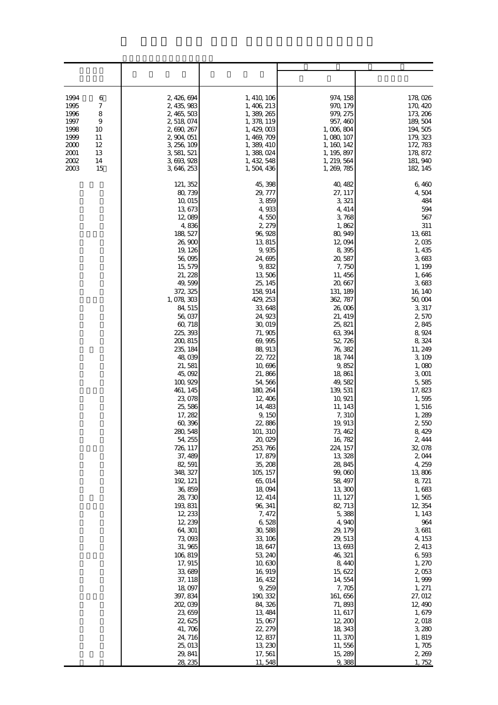| 1994<br>6<br>7<br>1995<br>8<br>1996<br>1997<br>$\boldsymbol{9}$<br>1998<br>10<br>1999<br>11<br>2000<br>12<br>2001<br>13<br>2002<br>14<br>2003<br>15 | 2, 426, 694<br>2, 435, 983<br>2, 465, 503<br>2,518,074<br>2, 690, 267<br>2, 904, 051<br>3, 256, 109<br>3, 581, 521<br>3, 693, 928<br>3, 646, 253                                                                                                                                                                                                                                                                                                                                                                                                                                                                                                                      | 1, 410, 106<br>1, 406, 213<br>1, 389, 265<br>1, 378, 119<br>1, 429, 003<br>1, 469, 709<br>1, 389, 410<br>1,388,024<br>1, 432, 548<br>1,504,436                                                                                                                                                                                                                                                                                                                                                                                                                                                                                          | 974, 158<br>970, 179<br>979, 275<br>957, 460<br>1,006,804<br>1, 080, 107<br>1, 160, 142<br>1, 195, 897<br>1, 219, 564<br>1, 269, 785                                                                                                                                                                                                                                                                                                                                                                                                                                                                                                      | 178,026<br>170, 420<br>173, 206<br>189, 504<br>194, 505<br>179, 323<br>172, 783<br>178, 872<br>181, 940<br>182, 145                                                                                                                                                                                                                                                                                                                                                                                                                                               |
|-----------------------------------------------------------------------------------------------------------------------------------------------------|-----------------------------------------------------------------------------------------------------------------------------------------------------------------------------------------------------------------------------------------------------------------------------------------------------------------------------------------------------------------------------------------------------------------------------------------------------------------------------------------------------------------------------------------------------------------------------------------------------------------------------------------------------------------------|-----------------------------------------------------------------------------------------------------------------------------------------------------------------------------------------------------------------------------------------------------------------------------------------------------------------------------------------------------------------------------------------------------------------------------------------------------------------------------------------------------------------------------------------------------------------------------------------------------------------------------------------|-------------------------------------------------------------------------------------------------------------------------------------------------------------------------------------------------------------------------------------------------------------------------------------------------------------------------------------------------------------------------------------------------------------------------------------------------------------------------------------------------------------------------------------------------------------------------------------------------------------------------------------------|-------------------------------------------------------------------------------------------------------------------------------------------------------------------------------------------------------------------------------------------------------------------------------------------------------------------------------------------------------------------------------------------------------------------------------------------------------------------------------------------------------------------------------------------------------------------|
|                                                                                                                                                     | 121, 352<br>80, 739<br>10,015<br>13,673<br>12,089<br>4,836<br>188, 527<br>26,900<br>19, 126<br>56,095<br>15, 579<br>21, 228<br>49,599<br>372 325<br>1, 078, 303<br>84, 515<br>56,037<br>60, 718<br>225, 393<br>200, 815<br>235, 184<br>48,039<br>21,581<br>45,092<br>100, 929<br>461, 145<br>23,078<br>25,586<br>17, 282<br>60,396<br>280, 548<br>54, 255<br>726, 117<br>37, 489<br>82, 591<br>348, 327<br>192, 121<br>36, 859<br>28, 730<br>193, 831<br>12, 233<br>12, 239<br>64, 301<br>73,093<br>31, 965<br>106, 819<br>17, 915<br>33,689<br>37, 118<br>18,097<br>397, 834<br>202, 039<br>23,659<br>22, 625<br>41, 706<br>24, 716<br>25, 013<br>29, 841<br>28, 235 | 45, 398<br>29, 777<br>3,859<br>4,933<br>4,550<br>2, 279<br>96, 928<br>13,815<br>9,935<br>24,695<br>9,832<br>13,506<br>25, 145<br>158, 914<br>429, 253<br>33,648<br>24, 923<br>30,019<br>71,905<br>69,995<br>88, 913<br>22, 722<br>10,696<br>21,866<br>54, 566<br>180, 264<br>12, 406<br>14, 483<br>9, 150<br>22,886<br>101, 310<br>20,029<br>253, 766<br>17,879<br>35, 208<br>105, 157<br>65, 014<br>18,094<br>12, 414<br>96, 341<br>7, 472<br>6,528<br>30,588<br>33, 106<br>18,647<br>53, 240<br>10,630<br>16, 919<br>16, 432<br>9,259<br>190, 332<br>84, 326<br>13, 484<br>15,067<br>22, 279<br>12,837<br>13, 230<br>17,561<br>11,548 | 40, 482<br>27, 117<br>3, 321<br>4, 414<br>3,768<br>1,862<br>80, 949<br>12,094<br>8,395<br>20, 587<br>7,750<br>11, 456<br>20, 667<br>131, 189<br>362, 787<br>26,006<br>21, 419<br>25, 821<br>63, 394<br>52, 726<br>76, 382<br>18, 744<br>9,852<br>18,861<br>49,582<br>139, 531<br>10, 921<br>11, 143<br>7,310<br>19, 913<br>73, 462<br>16, 782<br>224, 157<br>13, 328<br>28, 845<br>99,060<br>58, 497<br>13,300<br>11, 127<br>82, 713<br>5,388<br>4,940<br>29, 179<br>29, 513<br>13,693<br>46, 321<br>8,440<br>15, 622<br>14, 554<br>7,705<br>161, 656<br>71,893<br>11, 617<br>12, 200<br>18, 343<br>11, 370<br>11,556<br>15, 289<br>9,388 | 6,460<br>4,504<br>484<br>594<br>567<br>311<br>13,681<br>2,035<br>1, 435<br>3,683<br>1, 199<br>1,646<br>3,683<br>16, 140<br>50,004<br>3,317<br>2,570<br>2,845<br>8,924<br>8,324<br>11, 249<br>3, 109<br>1,080<br>3,001<br>5,585<br>17, 823<br>1,595<br>1,516<br>1,289<br>2,550<br>8,429<br>2, 444<br>32,078<br>2,044<br>4, 259<br>13,806<br>8, 721<br>1,683<br>1,565<br>12, 354<br>1, 143<br>964<br>3,681<br>4, 153<br>2, 413<br>6,593<br>1, 270<br>2,053<br>1,999<br>1, 271<br>27, 012<br>12, 490<br>1,679<br>2,018<br>3,280<br>1,819<br>1,705<br>2, 269<br>1,752 |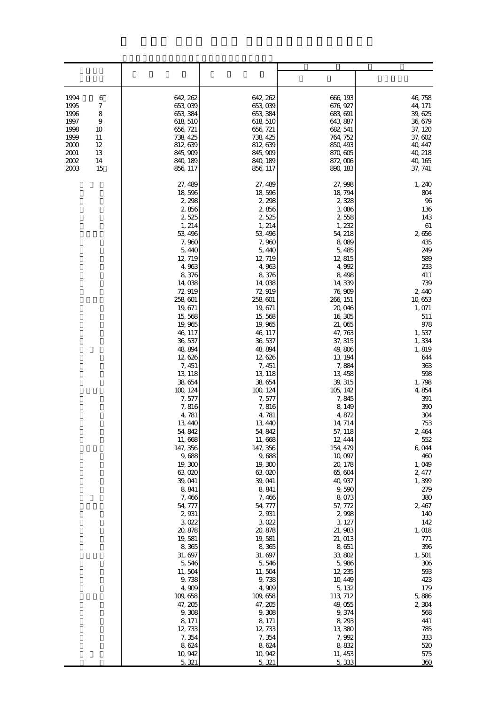| 1994<br>6<br>$\boldsymbol{7}$<br>1995<br>1996<br>8<br>$\boldsymbol{9}$<br>1997<br>1998<br>10<br>1999<br>11<br>2000<br>12<br>2001<br>13<br>2002<br>14<br>2003<br>15 | 642, 262<br>653,039<br>653, 384<br>618, 510<br>656, 721<br>738, 425<br>812, 639<br>845, 909<br>840, 189<br>856, 117                                                                                                                                                                                                                                                                                                                                                                                                                                                                                             | 642, 262<br>653,039<br>653, 384<br>618, 510<br>656, 721<br>738, 425<br>812, 639<br>845, 909<br>840, 189<br>856, 117                                                                                                                                                                                                                                                                                                                                                                                                                                                                                          | 666, 193<br>676, 927<br>683, 691<br>643, 887<br>682, 541<br>764, 752<br>850, 493<br>870, 605<br>872,006<br>890, 183                                                                                                                                                                                                                                                                                                                                                                                                                                                                                                  | 46, 758<br>44, 171<br>39, 625<br>36, 679<br>37, 120<br>37, 602<br>40, 447<br>40, 218<br>40, 165<br>37, 741                                                                                                                                                                                                                                                                                                                                                               |
|--------------------------------------------------------------------------------------------------------------------------------------------------------------------|-----------------------------------------------------------------------------------------------------------------------------------------------------------------------------------------------------------------------------------------------------------------------------------------------------------------------------------------------------------------------------------------------------------------------------------------------------------------------------------------------------------------------------------------------------------------------------------------------------------------|--------------------------------------------------------------------------------------------------------------------------------------------------------------------------------------------------------------------------------------------------------------------------------------------------------------------------------------------------------------------------------------------------------------------------------------------------------------------------------------------------------------------------------------------------------------------------------------------------------------|----------------------------------------------------------------------------------------------------------------------------------------------------------------------------------------------------------------------------------------------------------------------------------------------------------------------------------------------------------------------------------------------------------------------------------------------------------------------------------------------------------------------------------------------------------------------------------------------------------------------|--------------------------------------------------------------------------------------------------------------------------------------------------------------------------------------------------------------------------------------------------------------------------------------------------------------------------------------------------------------------------------------------------------------------------------------------------------------------------|
|                                                                                                                                                                    | 27, 489<br>18,596<br>2, 298<br>2,856<br>2,525<br>1, 214<br>53, 496<br>7,960<br>5,440<br>12, 719<br>4,963<br>8,376<br>14,038<br>72,919<br>258, 601<br>19, 671<br>15,568<br>19,965<br>46, 117<br>36, 537<br>48,894<br>12,626<br>7, 451<br>13, 118<br>38, 654<br>100, 124<br>7,577<br>7,816<br>4,781<br>13, 440<br>54, 842<br>11,668<br>147, 356<br>9,688<br>19,300<br>63,020<br>39, 041<br>8,841<br>7,466<br>54, 777<br>2,931<br>3,022<br>20, 878<br>19, 581<br>8,365<br>31, 697<br>5,546<br>11,504<br>9,738<br>4,909<br>109, 658<br>47, 205<br>9,308<br>8, 171<br>12, 733<br>7,354<br>8,624<br>10, 942<br>5, 321 | 27, 489<br>18,596<br>2, 298<br>2,856<br>2,525<br>1, 214<br>53, 496<br>7,960<br>5,440<br>12, 719<br>4,963<br>8,376<br>14,038<br>72,919<br>258, 601<br>19, 671<br>15,568<br>19,965<br>46, 117<br>36, 537<br>48,894<br>12,626<br>7, 451<br>13, 118<br>38,654<br>100, 124<br>7,577<br>7,816<br>4,781<br>13, 440<br>54, 842<br>11,668<br>147, 356<br>9,688<br>19,300<br>63,020<br>39, 041<br>8,841<br>7,466<br>54, 777<br>2,931<br>3,022<br>20, 878<br>19,581<br>8,365<br>31, 697<br>5,546<br>11,504<br>9,738<br>4,909<br>109, 658<br>47, 205<br>9,308<br>8, 171<br>12, 733<br>7,354<br>8,624<br>10, 942<br>5,321 | 27, 998<br>18, 794<br>2,328<br>3,086<br>2,558<br>1,232<br>54, 218<br>8,089<br>5,485<br>12, 815<br>4,992<br>8,498<br>14,339<br>76, 909<br>266, 151<br>20,046<br>16,305<br>21,065<br>47, 763<br>37, 315<br>49,806<br>13, 194<br>7,884<br>13, 458<br>39, 315<br>105, 142<br>7,845<br>8, 149<br>4,872<br>14, 714<br>57, 118<br>12, 444<br>154, 479<br>10,097<br>20, 178<br>65, 604<br>40, 937<br>9,590<br>8,073<br>57, 772<br>2,998<br>3, 127<br>21, 983<br>21, 013<br>8,651<br>33,802<br>5,986<br>12, 235<br>10, 449<br>5, 132<br>113, 712<br>49,055<br>9,374<br>8, 293<br>13,380<br>7,992<br>8,832<br>11, 453<br>5,333 | 1, 240<br>804<br>96<br>136<br>143<br>61<br>2,656<br>435<br>249<br>589<br>233<br>411<br>739<br>2,440<br>10, 653<br>1, 071<br>511<br>978<br>1,537<br>1,334<br>1,819<br>644<br>363<br>598<br>1,798<br>4,854<br>391<br>390<br>304<br>753<br>2,464<br>552<br>6,044<br>460<br>1,049<br>2, 477<br>1,399<br>279<br>380<br>2, 467<br>140<br>142<br>1, 018<br>$771$<br>396<br>1,501<br>306<br>593<br>423<br>179<br>5,886<br>2,304<br>568<br>441<br>785<br>333<br>520<br>575<br>360 |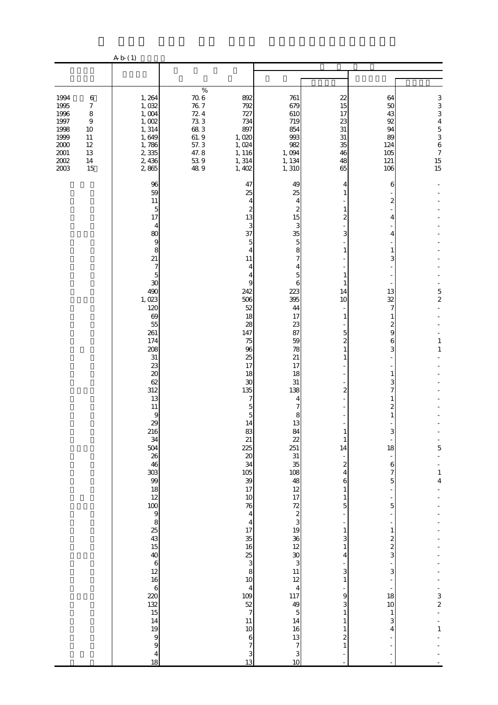|                                                                                          |                                                                                                          | A b (1)                                                                                                                                                                                                                                                                                                                                                                                                                                     |                                                                                                                                    |                                                                                                                                                                                                                                                                                                                                                                                                                                                            |                                                                                                                                                                                                                                                                                                                                                                                                                                                                                  |                                                                                                                                                                                                                                                                                                                                                               |                                                                                                                                                                                                                                                                                      |                                                                                                             |
|------------------------------------------------------------------------------------------|----------------------------------------------------------------------------------------------------------|---------------------------------------------------------------------------------------------------------------------------------------------------------------------------------------------------------------------------------------------------------------------------------------------------------------------------------------------------------------------------------------------------------------------------------------------|------------------------------------------------------------------------------------------------------------------------------------|------------------------------------------------------------------------------------------------------------------------------------------------------------------------------------------------------------------------------------------------------------------------------------------------------------------------------------------------------------------------------------------------------------------------------------------------------------|----------------------------------------------------------------------------------------------------------------------------------------------------------------------------------------------------------------------------------------------------------------------------------------------------------------------------------------------------------------------------------------------------------------------------------------------------------------------------------|---------------------------------------------------------------------------------------------------------------------------------------------------------------------------------------------------------------------------------------------------------------------------------------------------------------------------------------------------------------|--------------------------------------------------------------------------------------------------------------------------------------------------------------------------------------------------------------------------------------------------------------------------------------|-------------------------------------------------------------------------------------------------------------|
|                                                                                          |                                                                                                          |                                                                                                                                                                                                                                                                                                                                                                                                                                             |                                                                                                                                    |                                                                                                                                                                                                                                                                                                                                                                                                                                                            |                                                                                                                                                                                                                                                                                                                                                                                                                                                                                  |                                                                                                                                                                                                                                                                                                                                                               |                                                                                                                                                                                                                                                                                      |                                                                                                             |
| 1994<br>1995<br>1996<br>1997<br>1998<br>1999<br>$2000\,$<br>$2001\,$<br>$2002\,$<br>2003 | $\,6$<br>$\boldsymbol{7}$<br>$\,8\,$<br>$\boldsymbol{9}$<br>10<br>$11\,$<br>$12\,$<br>13<br>$14\,$<br>15 | 1,264<br>1,032<br>1,004<br>1,002<br>1, 314<br>1,649<br>1,786<br>2,335<br>2,436<br>2865                                                                                                                                                                                                                                                                                                                                                      | $\%$<br>$\frac{70.6}{76.7}$<br>72.4<br>$\begin{array}{c} 73.3 \\ 68.3 \end{array}$<br>$61.9$<br>$57.3$<br>47.8<br>$\frac{539}{89}$ | 892<br>792<br>727<br>734<br>897<br>1,020<br>1,024<br>1, 116<br>1, 314<br>1,402                                                                                                                                                                                                                                                                                                                                                                             | 761<br>679<br>610<br>719<br>854<br>993<br>982<br>1,094<br>1, 134<br>1,310                                                                                                                                                                                                                                                                                                                                                                                                        | 22<br>15<br>17<br>23<br>31<br>31<br>35<br>46<br>48<br>65                                                                                                                                                                                                                                                                                                      | 64<br>50<br>43<br>92<br>94<br>89<br>124<br>105<br>121<br>106                                                                                                                                                                                                                         | 33345367<br>$\frac{15}{15}$                                                                                 |
|                                                                                          |                                                                                                          | 96<br>59<br>11<br>5<br>17<br>$\overline{4}$<br>80<br>9<br>8<br>21<br>$\boldsymbol{7}$<br>$\overline{5}$<br>30<br>490<br>1,023<br>120<br>69<br>55<br>261<br>174<br>208<br>31<br>23<br>20<br>62<br>312<br>13<br>$11\,$<br>9<br>29<br>216<br>$\frac{34}{504}$<br>26<br>46<br>$\frac{18}{18}$<br>$\frac{18}{12}$<br>5 2 3 3 4 5 5 5 6 5 5 5 5 8 9 8 9 8 7<br>14<br>19<br>$\begin{array}{c} 9 \\ 9 \end{array}$<br>$\overline{\mathbf{r}}$<br>18 |                                                                                                                                    | 47<br>25<br>$\overline{4}$<br>$\boldsymbol{z}$<br>13<br>3<br>37<br>5<br>4<br>11<br>4<br>4<br>9<br>242<br>506<br>52<br>18<br>28<br>147<br>75<br>96<br>25<br>17<br>18<br>30<br>135<br>7<br>5<br>5<br>14<br>83<br>21<br>225<br>$\infty$<br>34<br>105<br>39<br>17<br>10<br>76<br>$\overline{4}$<br>$\frac{4}{17}$<br>35<br>16<br>$rac{25}{3}$<br>8<br>10<br>$\overline{4}$<br>109<br>$\frac{52}{7}$<br>11<br>10<br>$\,6$<br>$\boldsymbol{7}$<br>$\frac{3}{13}$ | 49<br>25<br>4<br>$\boldsymbol{z}$<br>15<br>3<br>35<br>$\overline{5}$<br>8<br>$\overline{7}$<br>4<br>5<br>6<br>223<br>395<br>44<br>17<br>23<br>87<br>59<br>78<br>21<br>17<br>18<br>$31\,$<br>138<br>4<br>7<br>8<br>13<br>$\frac{84}{22}$<br>251<br>$\begin{array}{c} 31 \\ 35 \\ 108 \\ 12 \end{array}$<br>$\begin{array}{c} 17 \\ 72 \\ 2 \\ 3 \end{array}$<br>$19$ 30 $12$ 30 $3$<br>$\frac{11}{12}$<br>117<br>49<br>$\mathbf 5$<br>14<br>16<br>13<br>$\overline{7}$<br>3<br>10 | 4<br>1<br>1<br>$\overline{2}$<br>3<br>$\mathbf{1}$<br>1<br>1<br>14<br>10<br>1<br>5<br>$\mathbf{z}$<br>1<br>1<br>$\overline{2}$<br>$\mathbf{1}$<br>14<br>$\boldsymbol{z}$<br>4<br>6<br>$\mathbf{1}$<br>$\mathbf{1}$<br>5<br>$\,1\,$<br>3<br>$\,1$<br>4<br>3<br>$\mathbf{1}$<br>9<br>3<br>$\mathbf{1}$<br>$\mathbf{1}$<br>1<br>$\boldsymbol{z}$<br>$\mathbf{1}$ | 6<br>$\mathbf{z}$<br>4<br>4<br>1<br>3<br>13<br>32<br>7<br>$\mathbf{1}$<br>2<br>9<br>6<br>3<br>1<br>3<br>7<br>1<br>2<br>1<br>18<br>$\,$ 6 $\,$<br>$\overline{7}$<br>5<br>5<br>$\,1\,$<br>$\boldsymbol{z}$<br>$\overline{\mathcal{Z}}$<br>3<br>3<br>18<br>10<br>$\mathbf{1}$<br>3<br>4 | $\frac{5}{2}$<br>$\mathbf{1}$<br>$\mathbf{1}$<br>5<br>$\,1\,$<br>$\overline{4}$<br>$\frac{3}{2}$<br>$\,1\,$ |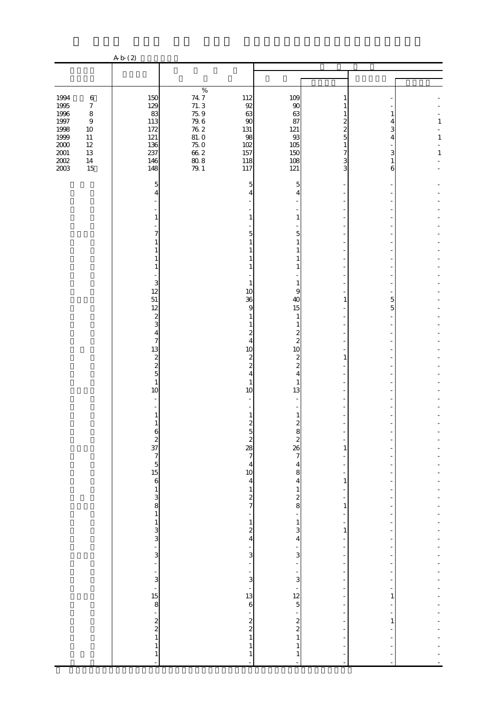|                                                  |                                                                     | A b (2)                                                                                  |                                                                    |                                                                   |                                                              |                            |             |                              |
|--------------------------------------------------|---------------------------------------------------------------------|------------------------------------------------------------------------------------------|--------------------------------------------------------------------|-------------------------------------------------------------------|--------------------------------------------------------------|----------------------------|-------------|------------------------------|
|                                                  |                                                                     |                                                                                          |                                                                    |                                                                   |                                                              |                            |             |                              |
|                                                  |                                                                     |                                                                                          |                                                                    |                                                                   |                                                              |                            |             |                              |
| 1994<br>1995<br>1996<br>$1997\,$<br>1998<br>1999 | $\,6\,$<br>$\boldsymbol{7}$<br>$\,8\,$<br>$\,9$<br>$10\,$<br>$11\,$ | 150<br>129<br>83<br>113<br>172<br>121                                                    | $\%$<br>$74.7$<br>$71.3$<br>$75\,9$<br>$\frac{79.6}{76.2}$<br>81.0 | 112<br>92<br>63<br>$90\,$<br>131<br>98                            | 109<br>$90\,$<br>63<br>87<br>121<br>93                       | 1<br>1<br>1<br>2<br>2<br>5 | 4<br>3<br>4 | $\mathbf{1}$<br>$\mathbf{1}$ |
| $2000\,$<br>$2001\,$<br>$2002\,$<br>2003         | $12\,$<br>$13\,$<br>$14\,$<br>15                                    | 136<br>237<br>146<br>148                                                                 | $75\;0$<br>$66\ 2$<br>80.8<br>79.1                                 | 102<br>157<br>118<br>117                                          | 105<br>150<br>108<br>121                                     | 1<br>7<br>3<br>3           | 3<br>1<br>6 | $\mathbf{1}$                 |
|                                                  |                                                                     | 5<br>$\overline{4}$                                                                      |                                                                    | 5                                                                 | 5<br>4                                                       |                            |             |                              |
|                                                  |                                                                     | 1<br>7                                                                                   |                                                                    | 1<br>5                                                            | 1<br>5                                                       |                            |             |                              |
|                                                  |                                                                     |                                                                                          |                                                                    |                                                                   |                                                              |                            |             |                              |
|                                                  |                                                                     | 1<br>3<br>12                                                                             |                                                                    | -1<br>10                                                          | 1<br>1<br>9                                                  |                            |             |                              |
|                                                  |                                                                     | 51<br>12<br>$\boldsymbol{z}$                                                             |                                                                    | 36<br>9<br>1                                                      | 40<br>15<br>1                                                | 1                          | 5<br>5      |                              |
|                                                  |                                                                     | 3<br>4<br>7<br>13                                                                        |                                                                    | $\overline{c}$<br>4<br>10                                         | 1<br>2<br>$\overline{\mathcal{Z}}$<br>10                     |                            |             |                              |
|                                                  |                                                                     | $\boldsymbol{z}$<br>$\overline{\mathcal{L}}$<br>$\overline{5}$                           |                                                                    | $\boldsymbol{z}$<br>$\overline{\mathcal{Z}}$<br>4                 | $\boldsymbol{z}$<br>$\overline{\mathcal{Z}}$<br>4            | 1                          |             |                              |
|                                                  |                                                                     | $\mathbf{1}$<br>10                                                                       |                                                                    | 1<br>10                                                           | 1<br>13                                                      |                            |             |                              |
|                                                  |                                                                     | 1<br>1<br>Ò                                                                              |                                                                    | $\mathbf{z}$<br>$\circ$                                           | 1<br>$\overline{c}$<br>ŏ                                     |                            |             |                              |
|                                                  |                                                                     | $2 \frac{37}{7} \frac{7}{5} \frac{5}{6} \frac{1}{1} \frac{3}{3} \frac{8}{8} \frac{1}{1}$ |                                                                    | $\begin{array}{c}\n2 \\ 28 \\ 7\n\end{array}$                     | $\overline{\mathcal{L}}$<br>$\frac{26}{7}$<br>$\overline{4}$ | 1                          |             |                              |
|                                                  |                                                                     |                                                                                          |                                                                    | $\begin{array}{c} 4 \\ 10 \end{array}$<br>$\overline{\mathbf{4}}$ | 8<br>$\overline{\mathbf{r}}$<br>$\mathbf{1}$                 | $\,1\,$                    |             |                              |
|                                                  |                                                                     |                                                                                          |                                                                    | $\begin{array}{c} 1 \\ 2 \\ 7 \end{array}$<br>÷<br>$\mathbf{1}$   | $rac{2}{8}$<br>$\overline{\phantom{0}}$<br>$\mathbf{1}$      | 1<br>÷                     |             |                              |
|                                                  |                                                                     | $\frac{1}{3}$ 3                                                                          |                                                                    | $\boldsymbol{z}$<br>$\overline{\mathbf{4}}$<br>÷,                 | 3<br>4                                                       | $\,1\,$                    |             |                              |
|                                                  |                                                                     | ÷,<br>$\frac{1}{3}$                                                                      |                                                                    | $\overline{3}$<br>÷<br>$\frac{1}{3}$                              | 3<br>$\frac{1}{3}$                                           | $\overline{\phantom{a}}$   |             |                              |
|                                                  |                                                                     | $\frac{1}{15}$                                                                           |                                                                    | $\frac{1}{13}$<br>$\mathbf{6}$                                    | $\frac{1}{12}$                                               | ÷                          | 1           |                              |
|                                                  |                                                                     | $\begin{array}{c} 2 \\ 2 \\ 1 \end{array}$                                               |                                                                    | -<br>$\begin{array}{c} 2 \\ 2 \\ 1 \end{array}$                   | $\frac{2}{2}$                                                |                            | 1           |                              |
|                                                  |                                                                     | $\mathbf{1}$<br>$\mathbf{1}$                                                             |                                                                    | 1                                                                 | $\mathbf{1}$<br>1<br>1                                       |                            |             |                              |

 $\mathcal{L}(\mathcal{L}(\mathcal{L}(\mathcal{L}(\mathcal{L}(\mathcal{L}(\mathcal{L}(\mathcal{L}(\mathcal{L}(\mathcal{L}(\mathcal{L}(\mathcal{L}(\mathcal{L}(\mathcal{L}(\mathcal{L}(\mathcal{L}(\mathcal{L}(\mathcal{L}(\mathcal{L}(\mathcal{L}(\mathcal{L}(\mathcal{L}(\mathcal{L}(\mathcal{L}(\mathcal{L}(\mathcal{L}(\mathcal{L}(\mathcal{L}(\mathcal{L}(\mathcal{L}(\mathcal{L}(\mathcal{L}(\mathcal{L}(\mathcal{L}(\mathcal{L}(\mathcal{L}(\mathcal{$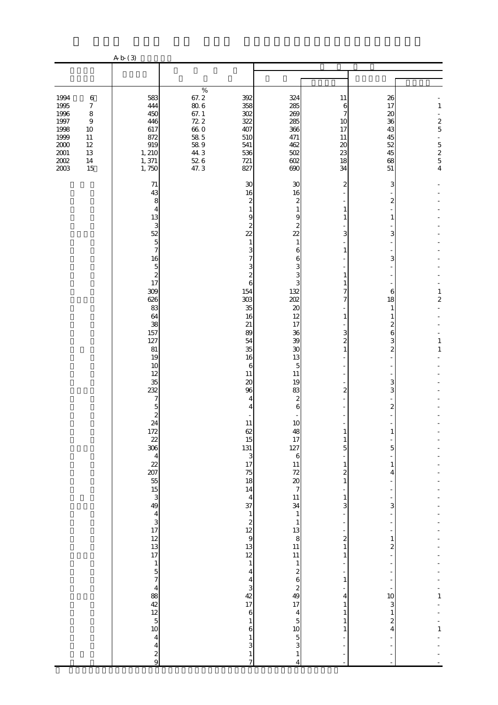|                                                                                          |                                                                                                              | A b (3)                                                                                                                                                                                                                                                                                                                                                                                                                                                                                                                                                                                                                                          |                                                                                                                                 |                                                                                                                                                                                                                                                                                                                                                                                                                                        |                                                                                                                                                                                                                                                                                                                                                                                                                                                                                                                             |                                                                                                                                                                                                                                         |                                                                                                                                                                                                                                      |                                                              |
|------------------------------------------------------------------------------------------|--------------------------------------------------------------------------------------------------------------|--------------------------------------------------------------------------------------------------------------------------------------------------------------------------------------------------------------------------------------------------------------------------------------------------------------------------------------------------------------------------------------------------------------------------------------------------------------------------------------------------------------------------------------------------------------------------------------------------------------------------------------------------|---------------------------------------------------------------------------------------------------------------------------------|----------------------------------------------------------------------------------------------------------------------------------------------------------------------------------------------------------------------------------------------------------------------------------------------------------------------------------------------------------------------------------------------------------------------------------------|-----------------------------------------------------------------------------------------------------------------------------------------------------------------------------------------------------------------------------------------------------------------------------------------------------------------------------------------------------------------------------------------------------------------------------------------------------------------------------------------------------------------------------|-----------------------------------------------------------------------------------------------------------------------------------------------------------------------------------------------------------------------------------------|--------------------------------------------------------------------------------------------------------------------------------------------------------------------------------------------------------------------------------------|--------------------------------------------------------------|
|                                                                                          |                                                                                                              |                                                                                                                                                                                                                                                                                                                                                                                                                                                                                                                                                                                                                                                  |                                                                                                                                 |                                                                                                                                                                                                                                                                                                                                                                                                                                        |                                                                                                                                                                                                                                                                                                                                                                                                                                                                                                                             |                                                                                                                                                                                                                                         |                                                                                                                                                                                                                                      |                                                              |
| 1994<br>1995<br>1996<br>1997<br>1998<br>1999<br>$2000\,$<br>$2001\,$<br>$2002\,$<br>2003 | $\,6$<br>$\boldsymbol{7}$<br>$\,8\,$<br>$\boldsymbol{9}$<br>10<br>$11\,$<br>$12\,$<br>$13\,$<br>$14\,$<br>15 | 583<br>444<br>450<br>446<br>617<br>872<br>919<br>1, 210<br>1,371<br>1,750                                                                                                                                                                                                                                                                                                                                                                                                                                                                                                                                                                        | $\%$<br>67.2<br>$80\;6$<br>$67. \;1$<br>72.2<br>66.O<br>$\begin{array}{c} 58 \\ 58 \\ 9 \end{array}$<br>44.3<br>$52\;6$<br>47.3 | 392<br>358<br>302<br>322<br>407<br>510<br>541<br>536<br>721<br>827                                                                                                                                                                                                                                                                                                                                                                     | 324<br>285<br>269<br>285<br>366<br>471<br>462<br>502<br>602<br>690                                                                                                                                                                                                                                                                                                                                                                                                                                                          | 11<br>$\,$ 6 $\,$<br>7<br>10<br>17<br>11<br>$\boldsymbol{\chi}$<br>23<br>18<br>34                                                                                                                                                       | 26<br>17<br>20<br>36<br>43<br>45<br>52<br>45<br>68<br>51                                                                                                                                                                             | $\,1\,$<br>$rac{2}{5}$<br>÷,<br>$\frac{5}{2}$ $\frac{5}{4}$  |
|                                                                                          |                                                                                                              | 71<br>43<br>8<br>4<br>13<br>3<br>52<br>$\overline{5}$<br>7<br>16<br>$\overline{5}$<br>$\overline{\mathcal{L}}$<br>17<br>309<br>626<br>83<br>64<br>38<br>157<br>127<br>$81\,$<br>19<br>10<br>12<br>35<br>232<br>7<br>5<br>$\overline{\mathcal{Z}}$<br>24<br>$\frac{172}{22}$<br>306<br>$\overline{4}$<br>22<br>207<br>55<br>$\frac{15}{3}$<br>49<br>$\begin{array}{c} 4 \\ 3 \\ 17 \end{array}$<br>$\begin{array}{c} 12 \\ 13 \end{array}$<br>17<br>$\mathbf 1$<br>$\overline{5}$<br>$\overline{7}$<br>$\frac{4}{12}$<br>$\frac{4}{12}$<br>$\frac{4}{5}$<br>$\frac{1}{10}$<br>$\overline{\mathbf{4}}$<br>$\overline{\mathbf{4}}$<br>$\frac{2}{9}$ |                                                                                                                                 | 30<br>16<br>2<br>1<br>9<br>2<br>$\overline{22}$<br>1<br>3<br>2<br>6<br>154<br>303<br>35<br>16<br>21<br>89<br>54<br>35<br>16<br>6<br>11<br>20<br>96<br>4<br>4<br>11<br>62<br>15<br>131<br>3<br>17<br>75<br>18<br>14<br>$\overline{4}$<br>37<br>$\mathbf{1}$<br>$\boldsymbol{z}$<br>12<br>$\boldsymbol{9}$<br>13<br>12<br>$\mathbf{1}$<br>4<br>4<br>3<br>42<br>17<br>$\,6$<br>$\mathbf{1}$<br>$\,$ 6 $\,$<br>1<br>3<br>$\mathbf{1}$<br>7 | 30<br>16<br>2<br>$\mathbf{1}$<br>9<br>2<br>22<br>1<br>6<br>6<br>3<br>3<br>З<br>132<br>202<br>$\boldsymbol{\chi}$<br>12<br>17<br>36<br>39<br>30<br>13<br>5<br>11<br>19<br>83<br>$\mathbf{z}$<br>6<br>10<br>48<br>17<br>127<br>$\boldsymbol{6}$<br>11<br>72<br>$\boldsymbol{\chi}$<br>$\overline{7}$<br>11<br>34<br>$\mathbf{1}$<br>$\mathbf{1}$<br>13<br>8<br>$11\,$<br>11<br>$\mathbf{1}$<br>$\boldsymbol{z}$<br>6<br>$\boldsymbol{z}$<br>49<br>17<br>4<br>$\overline{5}$<br>10<br>$\overline{5}$<br>3<br>$\mathbf{1}$<br>4 | 2<br>1<br>3<br>1<br>1<br>7<br>7<br>1<br>3<br>$\boldsymbol{z}$<br>$\mathbf{1}$<br>$\overline{2}$<br>1<br>5<br>1<br>$\overline{\mathcal{Z}}$<br>1<br>1<br>3<br>÷,<br>÷,<br>$\boldsymbol{z}$<br>$\mathbf{1}$<br>1<br>1<br>4<br>1<br>1<br>1 | 3<br>2<br>1<br>3<br>3<br>6<br>18<br>1<br>$\mathbf{1}$<br>$\overline{\mathcal{Z}}$<br>6<br>3<br>2<br>3<br>3<br>2<br>5<br>1<br>4<br>3<br>$\mathbf{1}$<br>$\mathbf{z}$<br>10<br>3<br>$\mathbf{1}$<br>$\boldsymbol{z}$<br>$\overline{4}$ | 1<br>$\overline{c}$<br>$\,1$<br>$\,1\,$<br>1<br>$\mathbf{1}$ |

注 「上がり込み」とは、昼間または夜間就寝前に屋内に侵入し、金品を強奪するものをいう。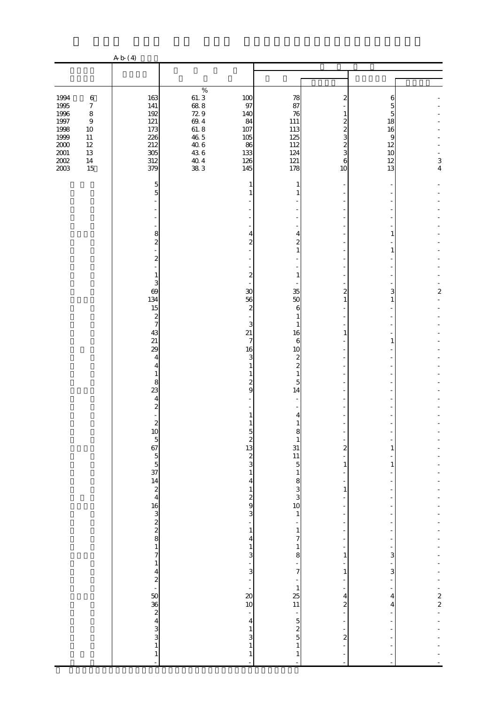|                                                                                                     |                                                                                                         | A b (4)                                                                                                                                                                                                                                                                                                                                                         |                                                                                                            |                                                                                                                                                                                                                                                                                                                                                                                                                                 |                                                                                                                                                                                                                                                                                                                                                                                                                                                                                               |                                                                                                                                           |                                                      |                                                                        |
|-----------------------------------------------------------------------------------------------------|---------------------------------------------------------------------------------------------------------|-----------------------------------------------------------------------------------------------------------------------------------------------------------------------------------------------------------------------------------------------------------------------------------------------------------------------------------------------------------------|------------------------------------------------------------------------------------------------------------|---------------------------------------------------------------------------------------------------------------------------------------------------------------------------------------------------------------------------------------------------------------------------------------------------------------------------------------------------------------------------------------------------------------------------------|-----------------------------------------------------------------------------------------------------------------------------------------------------------------------------------------------------------------------------------------------------------------------------------------------------------------------------------------------------------------------------------------------------------------------------------------------------------------------------------------------|-------------------------------------------------------------------------------------------------------------------------------------------|------------------------------------------------------|------------------------------------------------------------------------|
|                                                                                                     |                                                                                                         |                                                                                                                                                                                                                                                                                                                                                                 |                                                                                                            |                                                                                                                                                                                                                                                                                                                                                                                                                                 |                                                                                                                                                                                                                                                                                                                                                                                                                                                                                               |                                                                                                                                           |                                                      |                                                                        |
| 1994<br>1995<br>1996<br>$1997\,$<br>1998<br>1999<br>$2000\,$<br>$2001\,$<br>$200\mathrm{2}$<br>2003 | $\,6\,$<br>$\boldsymbol{7}$<br>$\,8\,$<br>$\,9$<br>$10\,$<br>$11\,$<br>$12\,$<br>$13\,$<br>$14\,$<br>15 | 163<br>141<br>192<br>121<br>173<br>226<br>212<br>305<br>312<br>379                                                                                                                                                                                                                                                                                              | $\%$<br>$61.3$<br>$68.8$<br>729<br>$69.4\,$<br>$61.8$<br>$46.5$<br>$40\;6$<br>$43\ 6$<br>$\frac{40}{38}$ 3 | 100<br>97<br>140<br>84<br>107<br>105<br>86<br>133<br>126<br>145                                                                                                                                                                                                                                                                                                                                                                 | 78<br>87<br>76<br>111<br>113<br>125<br>112<br>124<br>121<br>178                                                                                                                                                                                                                                                                                                                                                                                                                               | 2<br>1<br>2<br>2<br>3<br>$\overline{c}$<br>3<br>6<br>10                                                                                   | 6<br>5<br>5<br>18<br>16<br>9<br>12<br>10<br>12<br>13 | $\frac{3}{4}$                                                          |
|                                                                                                     |                                                                                                         | 5<br>5<br>8<br>$\boldsymbol{z}$<br>2<br>1<br>3<br>69<br>134<br>15<br>$\boldsymbol{z}$<br>7<br>43<br>21<br>29<br>$\overline{4}$<br>4<br>1<br>8<br>23<br>4<br>$\overline{\mathcal{Z}}$<br>$\overline{\mathcal{Z}}$<br>10 5 6 7 5 $\frac{5}{4}$ 4 2 4<br>$16$ 3<br>2<br>2<br>8<br>1<br>7<br>$\,1\,$<br>$\frac{4}{2}$<br>50 36 2 4 3 3 3 3 4 3 3 4<br>$\,1\,$<br>÷, |                                                                                                            | 1<br>4<br>$\mathbf{z}$<br>$\boldsymbol{z}$<br>30<br>56<br>$\mathbf{z}$<br>3<br>21<br>$\overline{7}$<br>16<br>3<br>$\boldsymbol{z}$<br>9<br>$\circ$<br>$\frac{1}{2}$ $\frac{1}{2}$ $\frac{1}{2}$<br>$\,1\,$<br>$\overline{\mathbf{4}}$<br>$\mathbf 1$<br>$\frac{2}{9}$<br>3<br>÷<br>$\,1\,$<br>4<br>$\mathbf{1}$<br>3<br>3<br>$\infty$<br>10<br>$\frac{1}{\sqrt{2}}$<br>$\overline{4}$<br>$\mathbf{1}$<br>3<br>$\mathbf{1}$<br>1 | 1<br>4<br>$\overline{c}$<br>1<br>1<br>35<br>50<br>6<br>1<br>$\mathbf{1}$<br>16<br>$\boldsymbol{6}$<br>10<br>$\boldsymbol{z}$<br>$\overline{\mathcal{Z}}$<br>1<br>5<br>14<br>4<br>1<br>ŏ<br>$\mathbf{1}$<br>$\begin{array}{c}\n 31 \\  11 \\  5\n \end{array}$<br>$\mathbf{1}$<br>$\begin{array}{c} 8 \\ 3 \\ 3 \end{array}$<br>10<br>$\,1\,$<br>$\,1\,$<br>7<br>$\mathbf{1}$<br>8<br>$\overline{7}$<br>$\mathbf{1}$<br>$\frac{25}{11}$<br>$\frac{1}{5}$<br>$\frac{1}{5}$<br>$\mathbf{1}$<br>1 | 2<br>1<br>1<br>$\overline{\mathbf{c}}$<br>$\,1\,$<br>$\,1\,$<br>1<br>$\,1\,$<br>4<br>$\overline{\mathcal{Z}}$<br>$\overline{\mathcal{L}}$ | 1<br>1<br>3<br>1<br>1<br>1<br>1<br>3<br>3<br>4<br>4  | $\overline{\mathbf{c}}$<br>$\begin{bmatrix} 2 \\ 2 \\ 2 \end{bmatrix}$ |

 $\mathbb{Z} \times \mathbb{Z} \times \mathbb{Z} \times \mathbb{Z} \times \mathbb{Z} \times \mathbb{Z} \times \mathbb{Z} \times \mathbb{Z} \times \mathbb{Z} \times \mathbb{Z} \times \mathbb{Z} \times \mathbb{Z} \times \mathbb{Z} \times \mathbb{Z} \times \mathbb{Z} \times \mathbb{Z} \times \mathbb{Z} \times \mathbb{Z} \times \mathbb{Z} \times \mathbb{Z} \times \mathbb{Z} \times \mathbb{Z} \times \mathbb{Z} \times \mathbb{Z} \times \mathbb{Z} \times \mathbb{Z} \times \mathbb{Z} \times \mathbb$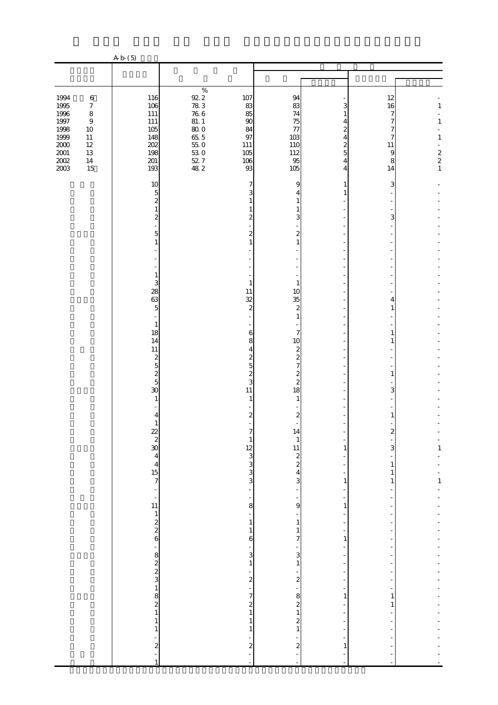|                                                                                                                                                                                                         | A b (5)                                                                                |                                                                                                                           |                                                                  |                                                              |                                                             |                                                                 |                                                                                     |
|---------------------------------------------------------------------------------------------------------------------------------------------------------------------------------------------------------|----------------------------------------------------------------------------------------|---------------------------------------------------------------------------------------------------------------------------|------------------------------------------------------------------|--------------------------------------------------------------|-------------------------------------------------------------|-----------------------------------------------------------------|-------------------------------------------------------------------------------------|
|                                                                                                                                                                                                         |                                                                                        |                                                                                                                           |                                                                  |                                                              |                                                             |                                                                 |                                                                                     |
|                                                                                                                                                                                                         |                                                                                        |                                                                                                                           |                                                                  |                                                              |                                                             |                                                                 |                                                                                     |
| 1994<br>$\,6\,$<br>1995<br>$\boldsymbol{7}$<br>1996<br>$\,8\,$<br>$1997\,$<br>$\,9$<br>1998<br>$10\,$<br>1999<br>$11\,$<br>$2000\,$<br>$12\,$<br>$2001\,$<br>$13\,$<br>$2002\,$<br>$14\,$<br>2003<br>15 | 116<br>106<br>$111\,$<br>$111\,$<br>105<br>148<br>202<br>198<br>$201\,$<br>193         | $\%$<br>$92.2\,$<br>$78\ 3$<br>$76\ 6$<br>$81. \; 1$<br>$800$<br>$655$<br>$550$<br>$\frac{53}{52}$ 0<br>$\frac{52}{48}$ 2 | 107<br>83<br>85<br>90<br>84<br>97<br>$111\,$<br>105<br>106<br>93 | 94<br>83<br>74<br>75<br>77<br>103<br>110<br>112<br>95<br>105 | 3<br>4<br>2<br>4<br>$\overline{\mathcal{Z}}$<br>5<br>4<br>4 | 12<br>16<br>7<br>7<br>7<br>7<br>11<br>$\overline{9}$<br>8<br>14 | $\mathbf{1}$<br>$\mathbf{1}$<br>$1\,$<br>$\begin{array}{c} 2 \\ 2 \\ 1 \end{array}$ |
|                                                                                                                                                                                                         | 10                                                                                     |                                                                                                                           | 7                                                                | 9                                                            | 1                                                           | 3                                                               |                                                                                     |
|                                                                                                                                                                                                         | $\overline{5}$<br>$\overline{\mathcal{L}}$<br>$\mathbf{1}$<br>$\overline{\mathcal{Z}}$ |                                                                                                                           | 2                                                                | 4<br>1<br>1<br>3                                             |                                                             | 3                                                               |                                                                                     |
|                                                                                                                                                                                                         | 5                                                                                      |                                                                                                                           | 2                                                                | 2                                                            |                                                             |                                                                 |                                                                                     |
|                                                                                                                                                                                                         | 1                                                                                      |                                                                                                                           |                                                                  | 1                                                            |                                                             |                                                                 |                                                                                     |
|                                                                                                                                                                                                         |                                                                                        |                                                                                                                           |                                                                  |                                                              |                                                             |                                                                 |                                                                                     |
|                                                                                                                                                                                                         | $\mathbf{1}$<br>3                                                                      |                                                                                                                           | 1                                                                | 1                                                            |                                                             |                                                                 |                                                                                     |
|                                                                                                                                                                                                         | 28<br>63<br>$\overline{5}$                                                             |                                                                                                                           | 11<br>32<br>$\overline{\mathcal{L}}$                             | 10<br>35<br>$\overline{c}$                                   |                                                             | 4                                                               |                                                                                     |
|                                                                                                                                                                                                         | $\mathbf{1}$                                                                           |                                                                                                                           |                                                                  | 1                                                            |                                                             |                                                                 |                                                                                     |
|                                                                                                                                                                                                         | 18<br>14                                                                               |                                                                                                                           | 6<br>8                                                           | 7<br>10                                                      |                                                             |                                                                 |                                                                                     |
|                                                                                                                                                                                                         | $11\,$<br>$\boldsymbol{2}$                                                             |                                                                                                                           | 4<br>2                                                           | $\boldsymbol{z}$<br>$\overline{\mathbf{c}}$                  |                                                             |                                                                 |                                                                                     |
|                                                                                                                                                                                                         | $\overline{5}$                                                                         |                                                                                                                           | 5<br>$\overline{\mathcal{Z}}$                                    | 7<br>$\overline{\mathcal{Z}}$                                |                                                             |                                                                 |                                                                                     |
|                                                                                                                                                                                                         | $\frac{2}{5}$<br>30                                                                    |                                                                                                                           | 3<br>11                                                          | $\overline{c}$<br>18                                         |                                                             | 3                                                               |                                                                                     |
|                                                                                                                                                                                                         | 1                                                                                      |                                                                                                                           | 1                                                                | 1                                                            |                                                             |                                                                 |                                                                                     |
|                                                                                                                                                                                                         | 4<br>$\mathbf{1}$                                                                      |                                                                                                                           | 2                                                                | $\mathbf{z}$                                                 |                                                             |                                                                 |                                                                                     |
|                                                                                                                                                                                                         |                                                                                        |                                                                                                                           |                                                                  | 14<br>$\mathbf{1}$                                           |                                                             |                                                                 |                                                                                     |
|                                                                                                                                                                                                         | $rac{2}{2}$<br>30<br>4<br>4<br>5<br>7                                                  |                                                                                                                           |                                                                  |                                                              | 1                                                           | 3                                                               | $\frac{1}{1}$                                                                       |
|                                                                                                                                                                                                         |                                                                                        |                                                                                                                           | $\begin{array}{c}\n 12 \\  3 \\  3 \\  3\n \end{array}$          | $\begin{array}{c}\n11 \\ 2 \\ 2 \\ 4 \\ 3\n\end{array}$      |                                                             | 1                                                               |                                                                                     |
|                                                                                                                                                                                                         |                                                                                        |                                                                                                                           | $\overline{a}$                                                   |                                                              | $\mathbf{1}$<br>÷,                                          | 1                                                               | $\frac{1}{1}$                                                                       |
|                                                                                                                                                                                                         | $\frac{1}{2}$ $\frac{1}{2}$ $\frac{1}{2}$ $\frac{2}{6}$                                |                                                                                                                           | 8                                                                | 9                                                            | 1                                                           |                                                                 |                                                                                     |
|                                                                                                                                                                                                         |                                                                                        |                                                                                                                           | $\mathbf{1}$                                                     | $\mathbf{1}$                                                 | ł,<br>÷                                                     |                                                                 |                                                                                     |
|                                                                                                                                                                                                         |                                                                                        |                                                                                                                           | $\mathbf{1}$<br>6                                                | $\mathbf{1}$<br>7                                            | ÷<br>$\mathbf{1}$                                           |                                                                 |                                                                                     |
|                                                                                                                                                                                                         |                                                                                        |                                                                                                                           | 3                                                                | $\mathbf{3}$                                                 | ÷                                                           |                                                                 |                                                                                     |
|                                                                                                                                                                                                         |                                                                                        |                                                                                                                           | $\mathbf{1}$                                                     | $\mathbf{1}$                                                 | ł,                                                          |                                                                 |                                                                                     |
|                                                                                                                                                                                                         |                                                                                        |                                                                                                                           | $\frac{1}{2}$                                                    | $\frac{1}{2}$                                                | ÷,<br>f                                                     |                                                                 |                                                                                     |
|                                                                                                                                                                                                         | $\frac{1}{2}$ a $\frac{1}{2}$ a $\frac{1}{2}$ a $\frac{1}{2}$ a $\frac{1}{2}$          |                                                                                                                           | 7<br>$\begin{matrix} 2 \\ 1 \end{matrix}$                        | 8<br>$\begin{smallmatrix}2\1\end{smallmatrix}$               | 1<br>÷,                                                     | 1                                                               |                                                                                     |
|                                                                                                                                                                                                         | $\,1$                                                                                  |                                                                                                                           | $\mathbf{1}$                                                     | $\overline{\mathcal{Z}}$                                     |                                                             |                                                                 |                                                                                     |
|                                                                                                                                                                                                         | $\mathbf 1$                                                                            |                                                                                                                           | 1                                                                | $1\,$                                                        |                                                             |                                                                 |                                                                                     |
|                                                                                                                                                                                                         | $\overline{\mathbf{c}}$<br>$\mathbf{1}$                                                |                                                                                                                           | $\boldsymbol{z}$                                                 | $\boldsymbol{z}$<br>$\bar{\phantom{a}}$                      | 1                                                           |                                                                 |                                                                                     |

「民主な」とは、全国の屋内に侵入し、家人等に発見されて戦争をいう。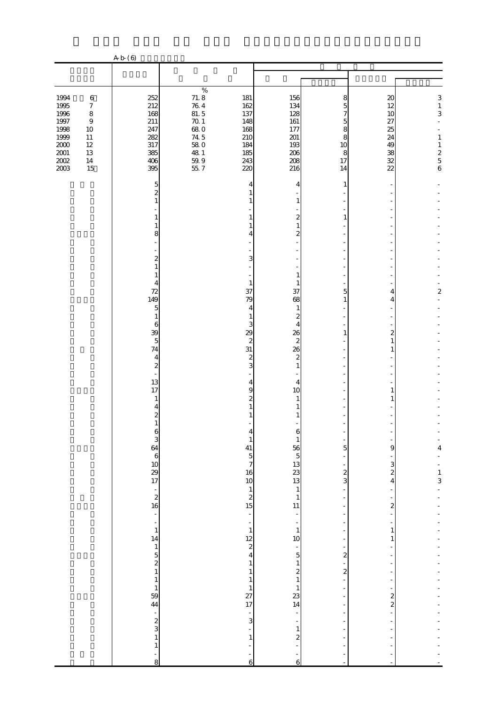|                         |                             | A b (6)                                              |                                             |                                        |                                          |                               |                               |                         |
|-------------------------|-----------------------------|------------------------------------------------------|---------------------------------------------|----------------------------------------|------------------------------------------|-------------------------------|-------------------------------|-------------------------|
|                         |                             |                                                      |                                             |                                        |                                          |                               |                               |                         |
| 1994                    | $\,6\,$                     | 252                                                  | $\%$                                        | 181                                    | 156                                      | 8                             | 20                            | $\,$ 3 $\,$             |
| 1995<br>1996            | $\boldsymbol{7}$<br>$\,8\,$ | 212<br>168                                           | $71.8$<br>$76.4$<br>81.5                    | 162<br>137                             | 134<br>128                               | 5<br>7                        | 12<br>10                      | $\,1$<br>3              |
| $1997\,$<br>1998        | $\boldsymbol{9}$<br>$10\,$  | 211<br>247                                           | $70.1\,$<br>68.O                            | 148<br>168                             | 161<br>177                               | 5<br>8                        | 27<br>25                      |                         |
| 1999                    | $11\,$                      | 282                                                  | 74.5                                        | 210                                    | 201                                      | 8                             | 24                            | $\mathbf{1}$            |
| $2000\,$<br>$2001\,$    | $12\,$<br>$13\,$            | 317<br>385                                           | $58\;0$<br>48 1                             | 184<br>185                             | 193<br>206                               | 10<br>8                       | 49<br>38                      | $\frac{1}{2}$ 5 6       |
| $200\mathrm{2}$<br>2003 | $14\,$<br>15                | 406<br>395                                           | $\begin{array}{c} 59.9 \\ 55.7 \end{array}$ | 243<br>220                             | 208<br>216                               | 17<br>14                      | 32<br>$\overline{22}$         |                         |
|                         |                             | 5<br>2                                               |                                             | 4                                      | 4                                        | 1                             |                               |                         |
|                         |                             | 1                                                    |                                             |                                        | 1                                        |                               |                               |                         |
|                         |                             | 1<br>1                                               |                                             |                                        | $\mathbf{z}$<br>$\mathbf{1}$             | 1                             |                               |                         |
|                         |                             | 8                                                    |                                             | 4                                      | 2                                        |                               |                               |                         |
|                         |                             |                                                      |                                             |                                        |                                          |                               |                               |                         |
|                         |                             | 2<br>1                                               |                                             | 3                                      |                                          |                               |                               |                         |
|                         |                             | 1<br>4                                               |                                             | $\mathbf{1}$                           | $\mathbf{1}$<br>1                        |                               |                               |                         |
|                         |                             | 72<br>149                                            |                                             | 37<br>79                               | 37<br>68                                 | 5<br>1                        | 4<br>4                        | $\overline{\mathbf{c}}$ |
|                         |                             | 5                                                    |                                             | 4                                      | $\mathbf{1}$                             |                               |                               |                         |
|                         |                             | $\mathbf{1}$<br>6                                    |                                             | 1<br>3                                 | $\boldsymbol{2}$<br>$\overline{4}$       |                               |                               |                         |
|                         |                             | 39<br>$\overline{5}$                                 |                                             | 29<br>$\boldsymbol{z}$                 | 26<br>$\boldsymbol{z}$                   | 1                             | 2<br>1                        |                         |
|                         |                             | 74<br>4                                              |                                             | 31<br>$\boldsymbol{z}$                 | 26<br>$\boldsymbol{z}$                   |                               | 1                             |                         |
|                         |                             | $\boldsymbol{z}$                                     |                                             | 3                                      | $\mathbf{1}$                             |                               |                               |                         |
|                         |                             | 13<br>17                                             |                                             | 4<br>9                                 | 4<br>10                                  |                               | 1                             |                         |
|                         |                             | 1                                                    |                                             | 2                                      |                                          |                               |                               |                         |
|                         |                             | 4<br>2                                               |                                             |                                        |                                          |                               |                               |                         |
|                         |                             | $\mathbf{1}$<br>Ò                                    |                                             |                                        | Ò                                        |                               |                               |                         |
|                         |                             | $3460$<br>$1029$<br>$17$                             |                                             | $\mathbf{1}$<br>41                     | $\mathbf{1}$                             | 5                             | 9                             | 4                       |
|                         |                             |                                                      |                                             | $\overline{5}$<br>$\overline{7}$       |                                          |                               | 3                             |                         |
|                         |                             |                                                      |                                             | 16<br>10                               |                                          | $\frac{2}{3}$                 | $\overline{\mathcal{Z}}$<br>4 | $\frac{1}{3}$           |
|                         |                             |                                                      |                                             | $\mathbf{1}$                           | $\mathbf{1}$                             | ÷                             |                               |                         |
|                         |                             | $\begin{array}{c} 2 \\ 2 \\ 16 \end{array}$          |                                             | $\begin{array}{c} 2 \\ 15 \end{array}$ | $\,1\,$<br>11                            |                               | $\overline{\mathbf{c}}$       |                         |
|                         |                             | $\overline{\phantom{a}}$<br>$\overline{\phantom{a}}$ |                                             | ÷<br>$\frac{1}{\sqrt{2}}$              | $\overline{\phantom{a}}$<br>÷,           |                               |                               |                         |
|                         |                             | $\,1\,$<br>14                                        |                                             | $\,1\,$                                | $\mathbf{1}$<br>10                       |                               | $\mathbf{1}$<br>1             |                         |
|                         |                             |                                                      |                                             | $\frac{12}{2}$<br>4                    | $\frac{1}{5}$                            | -<br>$\overline{\mathbf{c}}$  |                               |                         |
|                         |                             | $\frac{1}{2}$ 5<br>2<br>1                            |                                             | $\mathbf{1}$                           | $\mathbf{1}$                             | $\overline{a}$                |                               |                         |
|                         |                             | $\mathbf 1$                                          |                                             | $\,1\,$<br>$\mathbf{1}$                | $\begin{matrix} 2 \\ 1 \end{matrix}$     | $\overline{\mathcal{L}}$<br>÷ |                               |                         |
|                         |                             | $\mathbf{1}$<br>59                                   |                                             | $\mathbf{1}$                           | $\mathbf{1}$                             |                               | $\overline{\mathbf{c}}$       |                         |
|                         |                             | 44<br>$\frac{1}{\sqrt{2}}$                           |                                             | 27<br>17<br>$\frac{1}{\sqrt{2}}$       | $\frac{23}{14}$                          |                               | $\overline{\mathcal{Z}}$      |                         |
|                         |                             | $\frac{2}{3}$                                        |                                             | 3                                      | ÷                                        |                               |                               |                         |
|                         |                             | $\,1\,$                                              |                                             | $\mathbf{1}$                           | $\mathbf{1}$<br>$\overline{\mathcal{L}}$ |                               |                               |                         |
|                         |                             | $\mathbf{1}$<br>-                                    |                                             | -                                      | -                                        |                               |                               |                         |
|                         |                             | 8                                                    |                                             | $\overline{6}$                         | $\mathbf 6$                              |                               |                               |                         |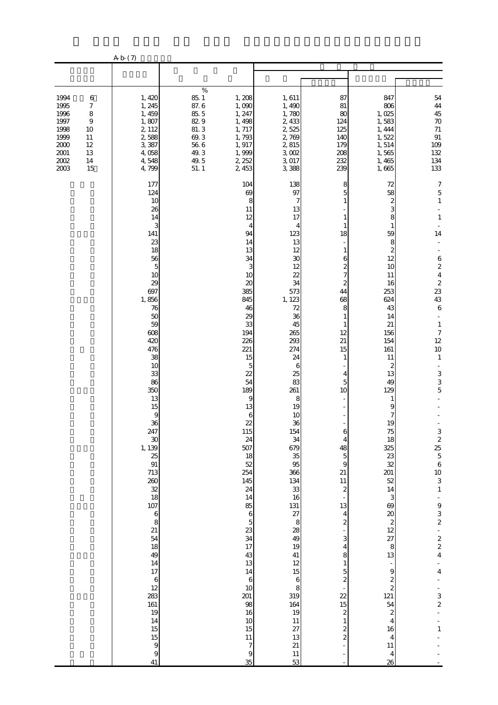|                                                                                                                                                                           | A b (7)                                                                                                                                                                                                                                                                 |                                                                                                                                                                                              |                                                                                                                                                                                                                                                                                                                                                                                                                      |                                                                                                                                                                                                                                                                                                                                                                                             |                                                                                                                                                                                                                                                                                                                                                                                                                                                                       |                                                                                                                                                                                                                                                                                                                                                                                                                                                                                                 |                                                                                                                                                                                                                                                                                                                                                                                                                                                                 |
|---------------------------------------------------------------------------------------------------------------------------------------------------------------------------|-------------------------------------------------------------------------------------------------------------------------------------------------------------------------------------------------------------------------------------------------------------------------|----------------------------------------------------------------------------------------------------------------------------------------------------------------------------------------------|----------------------------------------------------------------------------------------------------------------------------------------------------------------------------------------------------------------------------------------------------------------------------------------------------------------------------------------------------------------------------------------------------------------------|---------------------------------------------------------------------------------------------------------------------------------------------------------------------------------------------------------------------------------------------------------------------------------------------------------------------------------------------------------------------------------------------|-----------------------------------------------------------------------------------------------------------------------------------------------------------------------------------------------------------------------------------------------------------------------------------------------------------------------------------------------------------------------------------------------------------------------------------------------------------------------|-------------------------------------------------------------------------------------------------------------------------------------------------------------------------------------------------------------------------------------------------------------------------------------------------------------------------------------------------------------------------------------------------------------------------------------------------------------------------------------------------|-----------------------------------------------------------------------------------------------------------------------------------------------------------------------------------------------------------------------------------------------------------------------------------------------------------------------------------------------------------------------------------------------------------------------------------------------------------------|
|                                                                                                                                                                           |                                                                                                                                                                                                                                                                         |                                                                                                                                                                                              |                                                                                                                                                                                                                                                                                                                                                                                                                      |                                                                                                                                                                                                                                                                                                                                                                                             |                                                                                                                                                                                                                                                                                                                                                                                                                                                                       |                                                                                                                                                                                                                                                                                                                                                                                                                                                                                                 |                                                                                                                                                                                                                                                                                                                                                                                                                                                                 |
| 1994<br>$\,6$<br>1995<br>$\boldsymbol{7}$<br>1996<br>$\,$ 8 $\,$<br>1997<br>9<br>1998<br>10<br>1999<br>11<br>2000<br>12<br>$2001\,$<br>13<br>$2002\,$<br>14<br>2003<br>15 | 1,420<br>1, 245<br>1, 459<br>1,807<br>2, 112<br>2,588<br>3,387<br>4,058<br>4,548<br>4,799                                                                                                                                                                               | $\%$<br>85.1<br>87.6<br>85.5<br>82.9<br>81.3<br>69.3<br>$56\ 6$<br>49.3<br>49.5<br>51.1                                                                                                      | 1,208<br>1,090<br>1, 247<br>1, 498<br>1, 717<br>1,793<br>1, 917<br>1,999<br>2, 252<br>2,453                                                                                                                                                                                                                                                                                                                          | 1,611<br>1,490<br>1,780<br>2, 433<br>2,525<br>2,769<br>2,815<br>3,002<br>3,017<br>3,388                                                                                                                                                                                                                                                                                                     | 87<br>81<br>80<br>124<br>125<br>140<br>179<br>208<br>232<br>239                                                                                                                                                                                                                                                                                                                                                                                                       | 847<br>806<br>1,025<br>1,583<br>1, 444<br>1,522<br>1,514<br>1,565<br>1,465<br>1,665                                                                                                                                                                                                                                                                                                                                                                                                             | ${\bf 54}$<br>$\bf 44$<br>45<br>$70\,$<br>$71\,$<br>$\, 91$<br>109<br>132<br>134<br>133                                                                                                                                                                                                                                                                                                                                                                         |
|                                                                                                                                                                           | 177<br>124<br>10<br>26<br>141<br>23<br>10<br>29<br>697<br>1,856<br>76<br>50<br>59<br>608<br>420<br>476<br>38<br>10<br>33<br>86<br>350<br>247<br>$\boldsymbol{\mathcal{X}}$<br>1, 139<br>25<br>91<br>713<br>260<br>107<br>21<br>49<br>17<br>12<br>283<br>161<br>14<br>41 | 14<br>3<br>18<br>56<br>$\overline{5}$<br>13<br>15<br>$\theta$<br>36<br>$\frac{32}{18}$<br>$\boldsymbol{6}$<br>8<br>54<br>18<br>14<br>$\boldsymbol{6}$<br>19<br>15<br>15<br>$\mathbf{9}$<br>9 | 104<br>69<br>8<br>11<br>12<br>4<br>94<br>14<br>13<br>34<br>3<br>10<br>20<br>385<br>845<br>46<br>29<br>33<br>194<br>226<br>221<br>15<br>5<br>22<br>54<br>189<br>9<br>13<br>$\boldsymbol{6}$<br>22<br>115<br>24<br>507<br>18<br>52<br>254<br>145<br>24<br>14<br>85<br>$\,$ 6 $\,$<br>$\overline{5}$<br>23<br>34<br>17<br>43<br>13<br>14<br>$\,6$<br>10<br>201<br>98<br>16<br>10<br>15<br>$11\,$<br>7<br>$\Theta$<br>35 | 138<br>97<br>7<br>13<br>17<br>4<br>123<br>13<br>12<br>30<br>12<br>22<br>34<br>573<br>1, 123<br>72<br>36<br>45<br>265<br>293<br>274<br>24<br>6<br>25<br>83<br>261<br>8<br>19<br>10<br>36<br>154<br>34<br>679<br>35<br>95<br>366<br>134<br>33<br>16<br>131<br>27<br>8<br>28<br>49<br>19<br>41<br>12<br>$15\,$<br>$\,$ 6 $\,$<br>8<br>319<br>164<br>19<br>$11\,$<br>27<br>13<br>21<br>11<br>53 | 8<br>5<br>1<br>1<br>1<br>18<br>$\mathbf{1}$<br>6<br>$\boldsymbol{z}$<br>$\overline{7}$<br>$\mathbf{z}$<br>44<br>68<br>8<br>$\mathbf{1}$<br>1<br>12<br>21<br>15<br>1<br>4<br>5<br>10<br>÷,<br>6<br>4<br>48<br>$\overline{5}$<br>$\boldsymbol{9}$<br>21<br>11<br>$\overline{\mathcal{L}}$<br>13<br>$\overline{4}$<br>$\boldsymbol{z}$<br>3<br>4<br>8<br>$1\,$<br>$\frac{5}{2}$<br>$\overline{2}$<br>15<br>$\boldsymbol{z}$<br>$\,1\,$<br>$\frac{2}{2}$<br>$\frac{1}{2}$ | 72<br>58<br>$\boldsymbol{z}$<br>3<br>8<br>1<br>59<br>8<br>$\boldsymbol{z}$<br>12<br>10<br>11<br>16<br>253<br>624<br>43<br>14<br>21<br>156<br>154<br>161<br>11<br>2<br>13<br>49<br>129<br>$\mathbf{1}$<br>9<br>7<br>19<br>75<br>18<br>325<br>23<br>32<br>201<br>52<br>14<br>3<br>69<br>$\infty$<br>$\boldsymbol{z}$<br>12<br>27<br>$\,8\,$<br>13<br>$\frac{1}{2}$<br>9<br>$\frac{2}{2}$<br>121<br>54<br>$\boldsymbol{z}$<br>$\overline{4}$<br>16<br>$\overline{4}$<br>11<br>$\overline{4}$<br>26 | $\boldsymbol{7}$<br>$\mathbf 5$<br>$\,1\,$<br>$\mathbf{1}$<br>14<br>$\boldsymbol{6}$<br>$\boldsymbol{z}$<br>$\bf 4$<br>$\frac{2}{23}$<br>43<br>$\,6\,$<br>$\mathbf{1}$<br>$\boldsymbol{7}$<br>12<br>10<br>$\mathbf{1}$<br>$\frac{3}{3}$<br>5<br>$325$ 5 6 10<br>$\begin{array}{c} 3 \\ 1 \end{array}$<br>$\begin{array}{c} 9 \\ 3 \\ 2 \end{array}$<br>$\begin{array}{c}\n2 \\ 2 \\ 4\n\end{array}$<br>$\overline{\mathbf{4}}$<br>$\frac{3}{2}$<br>$\mathbf{1}$ |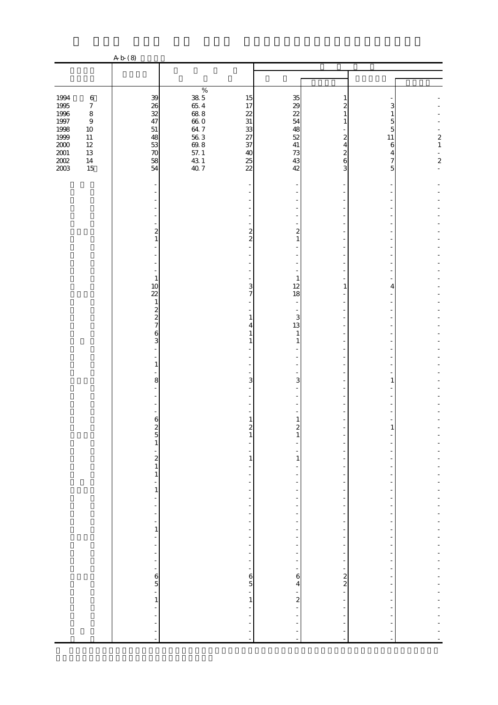|                                             |                             | A b (8)                                      |                                                 |                               |                                  |                  |                                            |
|---------------------------------------------|-----------------------------|----------------------------------------------|-------------------------------------------------|-------------------------------|----------------------------------|------------------|--------------------------------------------|
|                                             |                             |                                              |                                                 |                               |                                  |                  |                                            |
|                                             |                             |                                              |                                                 |                               |                                  |                  |                                            |
| 1994                                        | $\,6$                       | 39                                           | $\%$<br>15                                      | 35                            | 1                                |                  |                                            |
| $\begin{array}{c} 1995 \\ 1996 \end{array}$ | $\boldsymbol{7}$<br>$\,8\,$ | 26<br>32                                     | $\frac{38}{65}$ 4<br>65. 4<br>68. 8<br>17<br>22 | $\frac{29}{22}$               | 2<br>1                           | 3<br>1           |                                            |
| $1997\,$                                    | $\,9$                       | 47                                           | $31\,$                                          | 54                            | 1                                | 5                |                                            |
| 1998<br>1999                                | $10\,$<br>$11\,$            | 51<br>48                                     | $\frac{33}{37}$                                 | 48<br>52                      | 2                                | 5<br>$11\,$      |                                            |
| $2000\,$                                    | $12\,$                      | 53                                           | $660$<br>$647$<br>$563$<br>$698$                | $41\,$                        | 4                                | $\boldsymbol{6}$ | $\begin{smallmatrix}2\\1\end{smallmatrix}$ |
| $2001\,$                                    | 13<br>$14\,$                | $\boldsymbol{\pi}$<br>58                     | 40<br>25                                        | 73<br>43                      | $\overline{\mathcal{Z}}$<br>6    | 4<br>7           | ÷,<br>$\overline{\mathcal{L}}$             |
| $\frac{2002}{2003}$                         | 15                          | 54                                           | $\frac{57.1}{43.1}$<br>$\overline{22}$          | 42                            | 3                                | 5                | $\overline{a}$                             |
|                                             |                             |                                              |                                                 |                               |                                  |                  |                                            |
|                                             |                             |                                              |                                                 |                               |                                  |                  |                                            |
|                                             |                             |                                              |                                                 |                               |                                  |                  |                                            |
|                                             |                             |                                              |                                                 |                               |                                  |                  |                                            |
|                                             |                             | $\overline{\mathbf{c}}$                      | $\overline{\mathbf{c}}$                         | $\overline{\mathbf{c}}$       |                                  |                  |                                            |
|                                             |                             | 1                                            | $\overline{\mathcal{L}}$                        | $\mathbf{1}$                  |                                  |                  |                                            |
|                                             |                             |                                              |                                                 |                               |                                  |                  |                                            |
|                                             |                             |                                              |                                                 |                               |                                  |                  |                                            |
|                                             |                             | $\mathbf{1}$                                 |                                                 | $\mathbf{1}$                  |                                  |                  |                                            |
|                                             |                             | 10<br>$\overline{2}$                         | 3<br>$\overline{7}$                             | 12<br>18                      | 1                                | 4                |                                            |
|                                             |                             | $\mathbf{1}$                                 |                                                 |                               |                                  |                  |                                            |
|                                             |                             | $\frac{2}{7}$                                | $\mathbf{1}$                                    | 3                             |                                  |                  |                                            |
|                                             |                             | 6                                            | 4<br>$\mathbf{1}$                               | 13<br>$\mathbf{1}$            |                                  |                  |                                            |
|                                             |                             | $\overline{\mathbf{3}}$                      | 1                                               | $\mathbf{1}$                  |                                  |                  |                                            |
|                                             |                             |                                              |                                                 |                               |                                  |                  |                                            |
|                                             |                             | $\mathbf{1}$                                 |                                                 |                               |                                  |                  |                                            |
|                                             |                             | 8                                            | 3                                               | 3                             |                                  | 1                |                                            |
|                                             |                             |                                              |                                                 |                               |                                  |                  |                                            |
|                                             |                             |                                              |                                                 |                               |                                  |                  |                                            |
|                                             |                             | 6                                            | $\mathbf{1}$                                    | 1                             |                                  |                  |                                            |
|                                             |                             | $\mathbf{z}$                                 | $\boldsymbol{z}$                                | $\mathbf{z}$                  |                                  | 1                |                                            |
|                                             |                             | 5<br>1                                       | 1                                               | 1                             |                                  |                  |                                            |
|                                             |                             |                                              | $\frac{1}{2}$                                   |                               |                                  |                  |                                            |
|                                             |                             | $\begin{smallmatrix} 2\\1 \end{smallmatrix}$ | $\mathbf{1}$<br>$\overline{\phantom{a}}$        | $\mathbf{1}$                  | $\overline{a}$<br>$\overline{a}$ |                  |                                            |
|                                             |                             | $\mathbf{1}$                                 | $\overline{\phantom{a}}$                        | $\overline{\phantom{a}}$      | $\overline{\phantom{a}}$         |                  |                                            |
|                                             |                             | -<br>1                                       | $\overline{a}$<br>$\overline{a}$                |                               | -                                |                  |                                            |
|                                             |                             | ÷,                                           | $\overline{\phantom{a}}$                        | ÷                             | $\overline{\phantom{0}}$         |                  |                                            |
|                                             |                             | ÷<br>$\overline{a}$                          | $\overline{\phantom{m}}$<br>$\frac{1}{2}$       | $\overline{\phantom{m}}$      | -<br>$\overline{\phantom{a}}$    |                  |                                            |
|                                             |                             | -<br>$\mathbf{1}$                            | $\overline{\phantom{a}}$<br>$\frac{1}{2}$       | -<br>$\overline{\phantom{m}}$ | -<br>$\overline{\phantom{a}}$    | $\overline{a}$   |                                            |
|                                             |                             | $\overline{\phantom{a}}$                     | $\overline{\phantom{a}}$                        | -                             | $\overline{a}$                   | $\overline{a}$   |                                            |
|                                             |                             | ÷<br>÷                                       | $\overline{\phantom{a}}$<br>÷                   | $\qquad \qquad \blacksquare$  | $\overline{\phantom{a}}$         |                  |                                            |
|                                             |                             | $\overline{a}$                               | $\overline{\phantom{a}}$                        |                               | $\overline{\phantom{0}}$         |                  |                                            |
|                                             |                             | ÷                                            | $\frac{1}{2}$                                   | ÷<br>$\epsilon$               | $\overline{\phantom{a}}$         |                  |                                            |
|                                             |                             | $6\overline{5}$                              | 6 <sub>5</sub>                                  | $\overline{4}$                | $\frac{2}{2}$                    |                  |                                            |
|                                             |                             | $\mathbf{1}$                                 | ÷,<br>$\mathbf 1$                               | $\frac{1}{2}$                 | ÷<br>$\overline{\phantom{a}}$    |                  |                                            |
|                                             |                             | ÷,                                           | $\overline{\phantom{a}}$                        |                               |                                  |                  |                                            |
|                                             |                             |                                              |                                                 |                               |                                  |                  |                                            |
|                                             |                             |                                              |                                                 |                               |                                  |                  |                                            |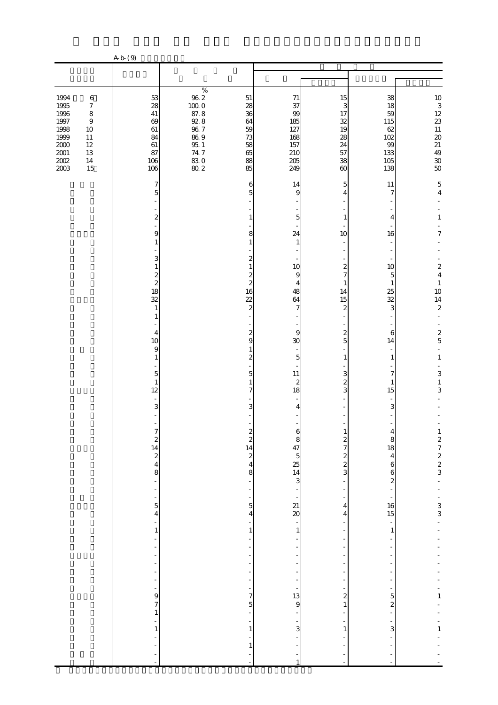|                                                                                                                                                                                                              | A b (9)                                                                                                                                                                                                                                                                                                                               |                                                                                                                                                                                                                                                                                                                                                             |                                                                                                                                                                                                                                                                                                                                                                                                                                                                                                |                                                                                                                                                                                                                                                                                                     |                                                                                                                                                                                                                                                                                            |                                                                                                                                                                                                                                                                                                                                          |
|--------------------------------------------------------------------------------------------------------------------------------------------------------------------------------------------------------------|---------------------------------------------------------------------------------------------------------------------------------------------------------------------------------------------------------------------------------------------------------------------------------------------------------------------------------------|-------------------------------------------------------------------------------------------------------------------------------------------------------------------------------------------------------------------------------------------------------------------------------------------------------------------------------------------------------------|------------------------------------------------------------------------------------------------------------------------------------------------------------------------------------------------------------------------------------------------------------------------------------------------------------------------------------------------------------------------------------------------------------------------------------------------------------------------------------------------|-----------------------------------------------------------------------------------------------------------------------------------------------------------------------------------------------------------------------------------------------------------------------------------------------------|--------------------------------------------------------------------------------------------------------------------------------------------------------------------------------------------------------------------------------------------------------------------------------------------|------------------------------------------------------------------------------------------------------------------------------------------------------------------------------------------------------------------------------------------------------------------------------------------------------------------------------------------|
|                                                                                                                                                                                                              |                                                                                                                                                                                                                                                                                                                                       |                                                                                                                                                                                                                                                                                                                                                             |                                                                                                                                                                                                                                                                                                                                                                                                                                                                                                |                                                                                                                                                                                                                                                                                                     |                                                                                                                                                                                                                                                                                            |                                                                                                                                                                                                                                                                                                                                          |
| 1994<br>$\,6$<br>1995<br>$\boldsymbol{7}$<br>1996<br>$\,8\,$<br>$1997\,$<br>$\boldsymbol{9}$<br>1998<br>$10\,$<br>1999<br>$11\,$<br>$2000\,$<br>$12\,$<br>$2001\,$<br>13<br>$2002\,$<br>$14\,$<br>2003<br>15 | 53<br>28<br>41<br>69<br>61<br>84<br>61<br>87<br>106<br>106                                                                                                                                                                                                                                                                            | $\%$<br>$96\ 2$<br>$51\,$<br>$100\;0$<br>28<br>87.8<br>36<br>$92.8\,$<br>64<br>$96\ 7$<br>59<br>$86\ 9$<br>$73\,$<br>$95\,$ $1\,$<br>58<br>$74\,7$<br>65<br>$\frac{830}{802}$<br>88<br>85                                                                                                                                                                   | $71\,$<br>37<br>99<br>185<br>127<br>168<br>157<br>210<br>$205\,$<br>249                                                                                                                                                                                                                                                                                                                                                                                                                        | 15<br>3<br>17<br>32<br>19<br>28<br>24<br>57<br>38<br>$\omega$                                                                                                                                                                                                                                       | 38<br>18<br>59<br>115<br>62<br>102<br>99<br>133<br>105<br>138                                                                                                                                                                                                                              | $\frac{10}{3}$<br>$\frac{12}{23}$<br>11<br>$\infty$<br>$\begin{array}{c} 21 \\ 49 \end{array}$<br>$30\,$<br>50                                                                                                                                                                                                                           |
|                                                                                                                                                                                                              | 7<br>5<br>$\boldsymbol{z}$<br>9<br>1<br>3<br>1<br>$\frac{2}{2}$<br>18<br>32<br>$\mathbf{1}$<br>$\mathbf{1}$<br>$\overline{4}$<br>10<br>9<br>$\mathbf{1}$<br>$\overline{5}$<br>$\mathbf{1}$<br>12<br>3<br>$\begin{array}{c}\n2 \\ 2 \\ 3\n\end{array}$<br>÷,<br>$\frac{5}{4}$<br>÷<br>$\,1$<br>÷,<br>$\frac{9}{7}$<br>$\,1$<br>$\,1\,$ | $\mathbf{1}$<br>$\mathbf{1}$<br>$\mathbf{1}$<br>16<br>$\overline{22}$<br>$\overline{\mathcal{L}}$<br>$\overline{\mathcal{L}}$<br>$\mathbf{1}$<br>$\overline{\mathcal{Z}}$<br>$\mathbf{1}$<br>$\begin{array}{c}\n 2 \\  2 \\  4\n \end{array}$<br>L,<br>$\,1\,$<br>÷<br>÷<br>$\overline{a}$<br>÷<br>$\mathbf 1$<br>$\,1\,$<br>÷,<br>$\overline{\phantom{a}}$ | 14<br>6<br>5<br>9<br>-<br>$\overline{5}$<br>8<br>24<br>$\mathbf{1}$<br>2<br>10<br>$\overline{\mathcal{Z}}$<br>$\overline{9}$<br>$\overline{\mathcal{Z}}$<br>$\overline{4}$<br>48<br>64<br>7<br>9<br>9<br>30<br>$\overline{5}$<br>$\overline{5}$<br>$11\,$<br>$\overline{\mathcal{L}}$<br>7<br>18<br>3<br>4<br>$\frac{1}{2}$<br>8<br>$\frac{5}{4}$<br>$\frac{1}{1}$<br>÷<br>÷<br>$\frac{1}{5}$<br>$\begin{array}{c} 1 \ \ 1 \ \ 1 \ \ 9 \end{array}$<br>$\frac{1}{3}$<br>-<br>÷<br>$\mathbf{1}$ | 5<br>4<br>1<br>10<br>$\boldsymbol{z}$<br>$\overline{7}$<br>1<br>14<br>15<br>2<br>$\overline{\mathcal{Z}}$<br>5<br>1<br>3<br>$\overline{\mathcal{Z}}$<br>3<br>T<br>$\frac{2}{7}$<br>$\frac{2}{3}$<br>4<br>$\overline{4}$<br>$\overline{\mathbf{c}}$<br>$\,$ 1 $\,$<br>$\mathbf{1}$<br>$\overline{a}$ | 11<br>$\overline{7}$<br>4<br>16<br>10<br>5<br>$\mathbf{1}$<br>25<br>32<br>3<br>6<br>14<br>$\mathbf{1}$<br>7<br>1<br>15<br>3<br>8<br>18<br>$\overline{\mathbf{4}}$<br>$\,$ 6 $\,$<br>6<br>$\overline{\mathcal{L}}$<br>$\frac{16}{15}$<br>$\mathbf{1}$<br>5<br>$\overline{\mathcal{Z}}$<br>3 | 5<br>$\overline{4}$<br>$\mathbf{1}$<br>7<br>$\boldsymbol{2}$<br>$\overline{4}$<br>$\,1\,$<br>10<br>14<br>$\boldsymbol{2}$<br>$\sim$<br>$\boldsymbol{2}$<br>$\mathbf 5$<br>$\blacksquare$<br>$\,1\,$<br>$\mathbf{3}$<br>$\mathbf{1}$<br>3<br>12722<br>$\overline{a}$<br>$\frac{1}{3}$<br>$\overline{a}$<br>$\frac{1}{1}$<br>$\frac{1}{1}$ |

注 「おびき出し、金品を装けておびき出し、金品を装けておびき出し、金品を装けておびき出し、金品を装けておびき出し、金品を装けておびき出し、金品をいう。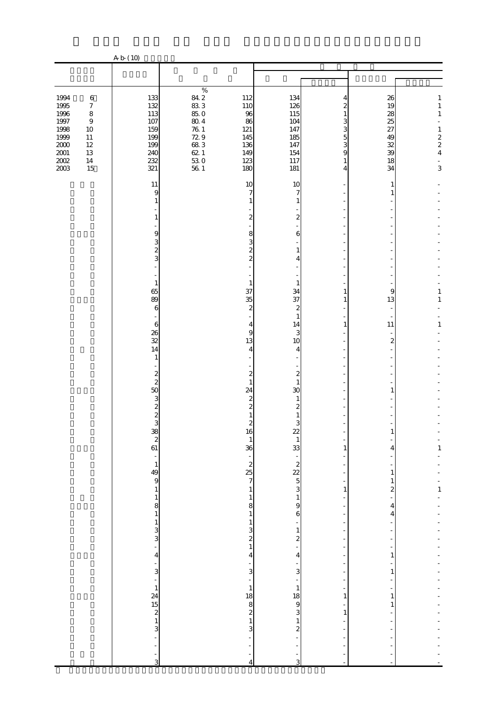|                     |                             | A b (10)                                                                   |                    |                                              |                                             |              |                          |                                                 |
|---------------------|-----------------------------|----------------------------------------------------------------------------|--------------------|----------------------------------------------|---------------------------------------------|--------------|--------------------------|-------------------------------------------------|
|                     |                             |                                                                            |                    |                                              |                                             |              |                          |                                                 |
|                     |                             |                                                                            | $\%$               |                                              |                                             |              |                          |                                                 |
| 1994<br>1995        | $\,6\,$<br>$\boldsymbol{7}$ | 133<br>132                                                                 | 84.2<br>$83\;3$    | 112<br>110                                   | 134<br>126                                  | 4<br>2       | 26<br>19                 | 1<br>$\,1\,$                                    |
| 1996<br>$1997\,$    | $\,8\,$<br>$\,9$            | 113<br>107                                                                 | 85.0<br>$80\ 4$    | 96<br>86                                     | 115<br>104                                  | 1<br>3       | 28<br>25                 | $\,1$                                           |
| 1998<br>1999        | $10\,$<br>$11\,$            | 159<br>199                                                                 | $76\ 1$<br>$72\;9$ | 121<br>145                                   | 147<br>185                                  | 3<br>5       | 27<br>49                 |                                                 |
| $2000\,$            | $12\,$                      | 199                                                                        | $68\ 3$            | 136                                          | 147                                         | 3            | 32                       | $\begin{array}{c} 1 \\ 2 \\ 2 \\ 4 \end{array}$ |
| $2001\,$<br>$200\!$ | $13\,$<br>$14\,$            | 240<br>232                                                                 | $62.1\,$           | 149<br>123                                   | 154<br>117                                  | 9<br>1       | 39<br>18                 | $\blacksquare$                                  |
| 2003                | 15                          | 321                                                                        | $\frac{53}{56}$ 1  | 180                                          | 181                                         | 4            | 34                       | $\overline{3}$                                  |
|                     |                             | 11<br>9                                                                    |                    | 10<br>$\overline{7}$                         | 10<br>7                                     |              | 1<br>1                   |                                                 |
|                     |                             | 1                                                                          |                    |                                              | 1                                           |              |                          |                                                 |
|                     |                             | 1                                                                          |                    | $\mathbf{z}$                                 | $\boldsymbol{z}$                            |              |                          |                                                 |
|                     |                             | 9                                                                          |                    | 8                                            | 6                                           |              |                          |                                                 |
|                     |                             | 3                                                                          |                    | 3                                            |                                             |              |                          |                                                 |
|                     |                             | $\overline{\mathcal{Z}}$<br>3                                              |                    | $\boldsymbol{z}$<br>$\overline{\mathcal{L}}$ | $\mathbf{1}$<br>4                           |              |                          |                                                 |
|                     |                             |                                                                            |                    |                                              |                                             |              |                          |                                                 |
|                     |                             | $\mathbf{1}$                                                               |                    | $\mathbf{1}$                                 | 1                                           |              |                          |                                                 |
|                     |                             | 65<br>89                                                                   |                    | 37<br>35                                     | 34<br>37                                    | 1<br>1       | 9<br>13                  | 1<br>$\mathbf{1}$                               |
|                     |                             | 6                                                                          |                    | $\overline{\mathcal{Z}}$                     | $\boldsymbol{z}$<br>$\mathbf{1}$            |              |                          |                                                 |
|                     |                             | $\boldsymbol{6}$                                                           |                    | 4                                            | 14                                          | $\mathbf{1}$ | 11                       | $\mathbf{1}$                                    |
|                     |                             | 26<br>32                                                                   |                    | $\overline{9}$<br>13                         | 3<br>10                                     |              | $\overline{\mathcal{Z}}$ |                                                 |
|                     |                             | 14<br>$\mathbf{1}$                                                         |                    | 4                                            | 4                                           |              |                          |                                                 |
|                     |                             |                                                                            |                    |                                              |                                             |              |                          |                                                 |
|                     |                             | $\boldsymbol{z}$<br>$\overline{c}$                                         |                    | $\boldsymbol{z}$<br>$\mathbf{1}$             | $\overline{\mathcal{L}}$<br>$\mathbf{1}$    |              |                          |                                                 |
|                     |                             | 50<br>3                                                                    |                    | 24<br>$\boldsymbol{z}$                       | 30<br>1                                     |              | 1                        |                                                 |
|                     |                             | $\overline{\mathcal{L}}$                                                   |                    | $\overline{\mathcal{Z}}$                     | $\boldsymbol{z}$<br>1                       |              |                          |                                                 |
|                     |                             | $\frac{2}{3}$                                                              |                    | $\mathbf{z}$                                 | 3                                           |              |                          |                                                 |
|                     |                             | $\begin{array}{c}\n 38 \\  2 \\  61\n \end{array}$                         |                    | 16<br>$\mathbf{1}$                           | $\mu$<br>$\mathbf{1}$                       |              |                          |                                                 |
|                     |                             |                                                                            |                    | 36                                           | 33                                          | 1            | 4                        | $\mathbf{1}$                                    |
|                     |                             | $\frac{1}{49}$                                                             |                    | $225$ 7                                      | $\begin{array}{c} 0.25 \\ 0.25 \end{array}$ |              |                          |                                                 |
|                     |                             |                                                                            |                    |                                              |                                             |              | 1<br>1                   |                                                 |
|                     |                             | $\mathbf 1$                                                                |                    | $\mathbf{1}$                                 |                                             | $\,1\,$      | $\overline{\mathcal{Z}}$ | $\mathbf{1}$                                    |
|                     |                             | $\mathbf{1}$<br>$\begin{array}{c} 8 \\ 1 \end{array}$                      |                    | $\mathbf{1}$<br>8                            | $\mathbf{1}$<br>9                           |              | 4                        |                                                 |
|                     |                             |                                                                            |                    | $\mathbf{1}$<br>$\mathbf{1}$                 | 6                                           |              | 4                        |                                                 |
|                     |                             | $\frac{1}{3}$                                                              |                    |                                              | $\mathbf 1$                                 |              |                          |                                                 |
|                     |                             | ÷,                                                                         |                    | $\frac{3}{1}$                                | $\boldsymbol{z}$                            |              |                          |                                                 |
|                     |                             | 4<br>÷                                                                     |                    | 4                                            | 4                                           |              | 1                        |                                                 |
|                     |                             | 3                                                                          |                    | 3                                            | $\mathbf{3}$                                |              | 1                        |                                                 |
|                     |                             | $\overline{a}$<br>$\mathbf{1}$                                             |                    | $\mathbf{1}$                                 | $\mathbf 1$                                 |              |                          |                                                 |
|                     |                             |                                                                            |                    | 18                                           | $\begin{array}{c} 18 \\ 9 \end{array}$      | 1            | 1<br>1                   |                                                 |
|                     |                             | $\begin{array}{c}\n 24 \\  \hline\n 15 \\  \hline\n 2 \\  3\n \end{array}$ |                    | $\begin{array}{c} 8 \\ 2 \\ 3 \end{array}$   | $\mathbf{3}$                                | $\mathbf{1}$ |                          |                                                 |
|                     |                             |                                                                            |                    |                                              | $\mathbf{1}$<br>$\overline{\mathcal{L}}$    |              |                          |                                                 |
|                     |                             | ÷                                                                          |                    |                                              |                                             |              |                          |                                                 |
|                     |                             | ÷,<br>3                                                                    |                    |                                              |                                             |              |                          |                                                 |
|                     |                             |                                                                            |                    | $\overline{4}$                               | 3                                           |              |                          |                                                 |

注 「自動車強盗」とは、自動車に乗車中の者から自動車又は金品を強奪するものをいう。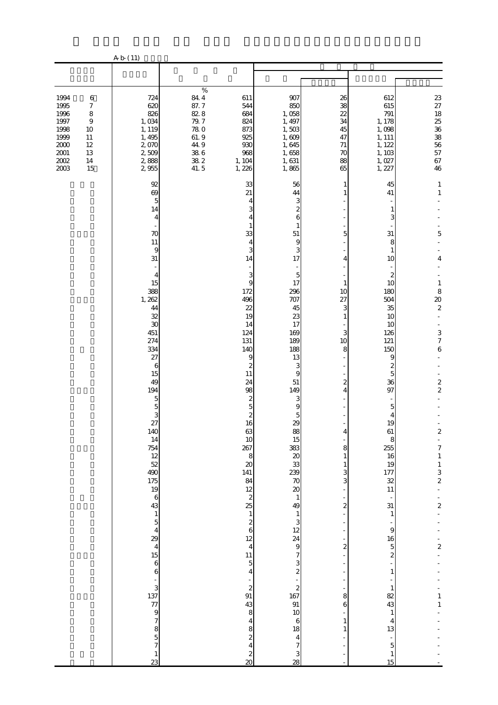|                                                                                                                                                                                                  | A b (11)                                                                                                                                                                                                                                                                                                                                                                                                                                                                                                                                                                     |                                                                                                                                                                         |                                                                                                                                                                                                                                                                                                                                                                                                                                                                                                                                                                                                                                                                                                                                                                                                                                                                           |                                                                                                                                                       |                                                                                                                                                                                                                                                                                                                                                                                                                         |                                                                                                                                                                                                                                                                                                                                               |
|--------------------------------------------------------------------------------------------------------------------------------------------------------------------------------------------------|------------------------------------------------------------------------------------------------------------------------------------------------------------------------------------------------------------------------------------------------------------------------------------------------------------------------------------------------------------------------------------------------------------------------------------------------------------------------------------------------------------------------------------------------------------------------------|-------------------------------------------------------------------------------------------------------------------------------------------------------------------------|---------------------------------------------------------------------------------------------------------------------------------------------------------------------------------------------------------------------------------------------------------------------------------------------------------------------------------------------------------------------------------------------------------------------------------------------------------------------------------------------------------------------------------------------------------------------------------------------------------------------------------------------------------------------------------------------------------------------------------------------------------------------------------------------------------------------------------------------------------------------------|-------------------------------------------------------------------------------------------------------------------------------------------------------|-------------------------------------------------------------------------------------------------------------------------------------------------------------------------------------------------------------------------------------------------------------------------------------------------------------------------------------------------------------------------------------------------------------------------|-----------------------------------------------------------------------------------------------------------------------------------------------------------------------------------------------------------------------------------------------------------------------------------------------------------------------------------------------|
|                                                                                                                                                                                                  |                                                                                                                                                                                                                                                                                                                                                                                                                                                                                                                                                                              |                                                                                                                                                                         |                                                                                                                                                                                                                                                                                                                                                                                                                                                                                                                                                                                                                                                                                                                                                                                                                                                                           |                                                                                                                                                       |                                                                                                                                                                                                                                                                                                                                                                                                                         |                                                                                                                                                                                                                                                                                                                                               |
| 1994<br>$\,6$<br>1995<br>$\boldsymbol{7}$<br>1996<br>$\,$ 8 $\,$<br>1997<br>$\boldsymbol{9}$<br>1998<br>10<br>1999<br>11<br>2000<br>$12\,$<br>$2001\,$<br>13<br>$2002\,$<br>$14\,$<br>2003<br>15 | 724<br>620<br>826<br>1,034<br>1, 119<br>1,495<br>2,070<br>2,509<br>2,888<br>2,955                                                                                                                                                                                                                                                                                                                                                                                                                                                                                            | $\%$<br>84.4<br>611<br>87.7<br>544<br>82.8<br>684<br>79.7<br>824<br><b>780</b><br>873<br>61.9<br>925<br>44.9<br>930<br>$38\ 6$<br>968<br>382<br>1, 104<br>41.5<br>1,226 | 907<br>850<br>1,058<br>1, 497<br>1,503<br>1,609<br>1,645<br>1,658<br>1,631<br>1,865                                                                                                                                                                                                                                                                                                                                                                                                                                                                                                                                                                                                                                                                                                                                                                                       | 26<br>38<br>22<br>34<br>45<br>47<br>$71\,$<br>70<br>88<br>65                                                                                          | 612<br>615<br>791<br>1, 178<br>1,098<br>1, 111<br>1, 122<br>1, 103<br>1,027<br>1, 227                                                                                                                                                                                                                                                                                                                                   | 23 27 18 25 36 38 56 57<br>67<br>46                                                                                                                                                                                                                                                                                                           |
|                                                                                                                                                                                                  | 92<br>69<br>$\overline{5}$<br>14<br>4<br>70<br>11<br>9<br>31<br>4<br>15<br>388<br>1, 262<br>44<br>32<br>30<br>451<br>274<br>334<br>27<br>6<br>15<br>49<br>194<br>$\mathbf 5$<br>$\overline{5}$<br>3<br>27<br>140<br>14<br>754<br>12<br>52<br>490<br>$\frac{175}{19}$<br>$\,$ 6 $\,$<br>43<br>$\,1\,$<br>$\overline{5}$<br>$\overline{\mathbf{r}}$<br>29<br>$\overline{\mathbf{4}}$<br>$\begin{array}{c} 15 \\ 6 \end{array}$<br>6<br>$\begin{array}{c} 3 \\ 3 \\ 137 \\ 77 \end{array}$<br>$\frac{9}{7}$<br>$\begin{array}{c} 8 \\ 5 \\ 7 \end{array}$<br>$\mathbf{1}$<br>23 | 33<br>21<br>14<br>172<br>496<br>22<br>19<br>14<br>124<br>131<br>140<br>11<br>24<br>98<br>63<br>10<br>267<br>20<br>141<br>84<br>12<br>25<br>11<br>91<br>43               | 56<br>44<br>3<br>4<br>$\boldsymbol{2}$<br>3<br>6<br>4<br>1<br>1<br>33<br>51<br>9<br>4<br>3<br>3<br>17<br>3<br>$\overline{5}$<br>17<br>9<br>296<br>707<br>45<br>23<br>17<br>169<br>189<br>188<br>9<br>13<br>$\boldsymbol{z}$<br>3<br>9<br>51<br>149<br>3<br>$\mathbf{z}$<br>$\overline{5}$<br>9<br>$\boldsymbol{z}$<br>5<br>29<br>16<br>88<br>15<br>383<br>20<br>8<br>33<br>239<br>$\infty$<br>$\infty$<br>$\overline{\mathcal{L}}$<br>$\,1\,$<br>49<br>$\,1\,$<br>$\,1\,$<br>3<br>$\frac{2}{6}$<br>12<br>$\begin{array}{c} 24 \\ 9 \end{array}$<br>12<br>$\overline{4}$<br>$\overline{7}$<br>3<br>$\overline{5}$<br>$\boldsymbol{z}$<br>4<br>÷,<br>$\begin{array}{c}\n2 \\ 167\n\end{array}$<br>$\boldsymbol{z}$<br>91<br>8<br>10<br>$\,$ 6 $\,$<br>4<br>8<br>18<br>$\overline{\mathcal{L}}$<br>$\overline{\mathbf{4}}$<br>7<br>$\overline{4}$<br>$rac{2}{20}$<br>3<br>28 | 1<br>5<br>4<br>1<br>10<br>27<br>3<br>1<br>3<br>10<br>8<br>$\boldsymbol{z}$<br>4<br>4<br>8<br>1<br>3<br>3<br>2<br>$\boldsymbol{2}$<br>8<br>6<br>1<br>1 | 45<br>41<br>1<br>3<br>31<br>8<br>1<br>10<br>2<br>10<br>180<br>504<br>35<br>10<br>10<br>126<br>121<br>150<br>9<br>2<br>5<br>36<br>97<br>5<br>4<br>19<br>$61\,$<br>8<br>255<br>16<br>19<br>177<br>32<br>11<br>31<br>$\mathbf{1}$<br>9<br>16<br>$\overline{5}$<br>$\overline{\mathbf{c}}$<br>$\mathbf{1}$<br>$\mathbf{1}$<br>82<br>43<br>$\mathbf{1}$<br>4<br>13<br>$\overline{a}$<br>$\overline{5}$<br>$\mathbf{1}$<br>15 | $\mathbf{1}$<br>$\mathbf{1}$<br>5<br>4<br>$\mathbf{1}$<br>8<br>$\infty$<br>$\overline{\mathcal{L}}$<br>$\sim$<br>÷,<br>$\frac{3}{7}$<br>$\,$ 6 $\,$<br>$\frac{2}{2}$<br>$\boldsymbol{z}$<br>$\overline{7}$<br>$\,1\,$<br>$\begin{array}{c} 1 \\ 3 \\ 2 \end{array}$<br>$\overline{\mathbf{c}}$<br>$\boldsymbol{2}$<br>$\mathbf{1}$<br>$\,1\,$ |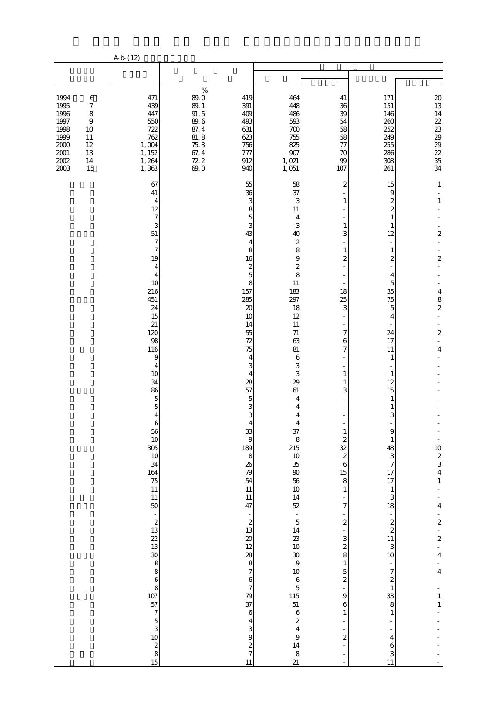|                                                                                         |                                                                                                                    | A b (12)                                                                                                                                                                                                                                                                                                                                                                                                                                                                                                                                                                                       |                                                                                                        |                                                                                                                                                                                                                                                                                                                                                                                                                                                                                                                                                                         |                                                                                                                                                                                                                                                                                                                                                                                               |                                                                                                                                                                                                                                                                                                                   |                                                                                                                                                                                                                                                                                                                                                                                                                         |                                                                                                                                                                                                                                                                                                                                 |
|-----------------------------------------------------------------------------------------|--------------------------------------------------------------------------------------------------------------------|------------------------------------------------------------------------------------------------------------------------------------------------------------------------------------------------------------------------------------------------------------------------------------------------------------------------------------------------------------------------------------------------------------------------------------------------------------------------------------------------------------------------------------------------------------------------------------------------|--------------------------------------------------------------------------------------------------------|-------------------------------------------------------------------------------------------------------------------------------------------------------------------------------------------------------------------------------------------------------------------------------------------------------------------------------------------------------------------------------------------------------------------------------------------------------------------------------------------------------------------------------------------------------------------------|-----------------------------------------------------------------------------------------------------------------------------------------------------------------------------------------------------------------------------------------------------------------------------------------------------------------------------------------------------------------------------------------------|-------------------------------------------------------------------------------------------------------------------------------------------------------------------------------------------------------------------------------------------------------------------------------------------------------------------|-------------------------------------------------------------------------------------------------------------------------------------------------------------------------------------------------------------------------------------------------------------------------------------------------------------------------------------------------------------------------------------------------------------------------|---------------------------------------------------------------------------------------------------------------------------------------------------------------------------------------------------------------------------------------------------------------------------------------------------------------------------------|
|                                                                                         |                                                                                                                    |                                                                                                                                                                                                                                                                                                                                                                                                                                                                                                                                                                                                |                                                                                                        |                                                                                                                                                                                                                                                                                                                                                                                                                                                                                                                                                                         |                                                                                                                                                                                                                                                                                                                                                                                               |                                                                                                                                                                                                                                                                                                                   |                                                                                                                                                                                                                                                                                                                                                                                                                         |                                                                                                                                                                                                                                                                                                                                 |
| 1994<br>1995<br>1996<br>1997<br>1998<br>1999<br>$2000\,$<br>$2001\,$<br>$200\!$<br>2003 | $\,6\,$<br>$\boldsymbol{7}$<br>$\,$ 8 $\,$<br>$\boldsymbol{9}$<br>10<br>$11\,$<br>$12\,$<br>$13\,$<br>$14\,$<br>15 | 471<br>439<br>447<br>550<br>722<br>762<br>1,004<br>1, 152<br>1, 264<br>1,363                                                                                                                                                                                                                                                                                                                                                                                                                                                                                                                   | %<br>89.0<br>$89.1\,$<br>91.5<br>$89.6\,$<br>$87.4\,$<br>$81.8$<br>75.3<br>67.4<br>$\frac{72}{69}$ . 0 | 419<br>391<br>409<br>493<br>631<br>623<br>756<br>777<br>912<br>940                                                                                                                                                                                                                                                                                                                                                                                                                                                                                                      | 464<br>448<br>486<br>593<br>700<br>755<br>825<br>907<br>1,021<br>1,051                                                                                                                                                                                                                                                                                                                        | 41<br>36<br>39<br>54<br>58<br>58<br>77<br>70<br>99<br>107                                                                                                                                                                                                                                                         | 171<br>151<br>146<br>260<br>252<br>249<br>255<br>286<br>308<br>261                                                                                                                                                                                                                                                                                                                                                      | 20<br>13<br>$14\,$<br>223888<br>35<br>34                                                                                                                                                                                                                                                                                        |
|                                                                                         |                                                                                                                    | 67<br>41<br>4<br>12<br>7<br>3<br>51<br>7<br>7<br>19<br>4<br>4<br>10<br>216<br>451<br>24<br>15<br>21<br>120<br>98<br>116<br>9<br>4<br>10<br>34<br>86<br>5<br>5<br>4<br>6<br>56<br>10<br>36<br>10<br>36<br>10<br>36<br>10<br>36<br>10<br>36<br>10<br>36<br>10<br>36<br>10<br>36<br>10<br>36<br>10<br>36<br>10<br>36<br>10<br>36<br>20<br>36<br>20<br>36<br>20<br>36<br>20<br>38 36 36 36 38 36 36 35 20<br>30<br>20<br>$\begin{array}{c} 11 \\ 50 \end{array}$<br>to was a was doo waxay ta waxay ta waxay ka waa mida waxa waa waxa waay dagaalka waxa waxa waxa waxa waxa waxa<br>Waxaa Google |                                                                                                        | 55<br>36<br>3<br>8<br>5<br>3<br>43<br>4<br>8<br>16<br>$\overline{\mathcal{L}}$<br>$\overline{5}$<br>8<br>157<br>285<br>$\boldsymbol{\chi}$<br>10<br>14<br>55<br>72<br>75<br>4<br>3<br>4<br>28<br>57<br>5<br>3<br>3<br>$\overline{4}$<br>$\begin{bmatrix} 33 \\ 9 \\ 189 \end{bmatrix}$<br>8<br>$\frac{26}{79}$ 54<br>11<br>11<br>47<br>$\begin{array}{c} 2 \\ 2 \\ 13 \end{array}$<br>$\frac{20}{12}$<br>$\begin{array}{c}\n 28 \\  8 \\  7\n \end{array}$<br>$\frac{6}{7}$<br>79<br>37<br>$\,$ 6 $\,$<br>$\overline{\mathbf{4}}$<br>$\frac{3}{9}$<br>$rac{2}{7}$<br>11 | 58<br>37<br>3<br>11<br>4<br>3<br>40<br>$\overline{\mathcal{L}}$<br>8<br>$\overline{9}$<br>$\boldsymbol{z}$<br>8<br>11<br>183<br>297<br>18<br>12<br>11<br>$71\,$<br>63<br>81<br>6<br>3<br>3<br>29<br>61<br>4<br>4<br>4<br>$\overline{4}$<br>$\begin{array}{c} 37 \\ 8 \\ 215 \end{array}$<br>0888524558885<br>10 6 5 115 51 51 51 6 2 4<br>9<br>$\begin{array}{c}\n14 \\ 8 \\ 21\n\end{array}$ | 2<br>3<br>$\mathbf{1}$<br>$\boldsymbol{z}$<br>18<br>25<br>3<br>7<br>6<br>7<br>1<br>1<br>3<br>$\begin{array}{c} 2 \\ 2 \\ 2 \end{array}$<br>$\overline{6}$<br>15<br>8<br>$\mathbf{1}$<br>7<br>$\overline{\mathcal{L}}$<br>3<br>$rac{2}{8}$<br>$1\,$<br>$\frac{5}{2}$<br>9<br>6<br>$\mathbf{1}$<br>$\boldsymbol{z}$ | 15<br>9<br>$\boldsymbol{z}$<br>2<br>1<br>1<br>12<br>$\mathbf{1}$<br>$\mathbf{z}$<br>4<br>5<br>35<br>75<br>5<br>4<br>24<br>17<br>11<br>1<br>1<br>12<br>15<br>1<br>3<br>1<br>48<br>3<br>$\overline{7}$<br>17<br>17<br>$\,1$<br>3<br>18<br>$\overline{\phantom{a}}$<br>$\frac{2}{2}$<br>$\begin{array}{c} 11 \\ 3 \end{array}$<br>10<br>$\overline{7}$<br>$\boldsymbol{z}$<br>$\,1\,$<br>33<br>8<br>1<br>4<br>6<br>3<br>11 | $\mathbf{1}$<br>$\mathbf{1}$<br>$\mathbf 2$<br>$\mathbf{z}$<br>$\overline{\mathbf{4}}$<br>$\begin{array}{c} 8 \\ 2 \end{array}$<br>$\boldsymbol{2}$<br>4<br>$\frac{10}{2}$<br>$\frac{2}{3}$<br>$\frac{4}{1}$<br>4<br>$\overline{\mathcal{L}}$<br>$\frac{1}{2}$<br>4<br>$\overline{\mathbf{4}}$<br>$\frac{1}{1}$<br>$\mathbf{1}$ |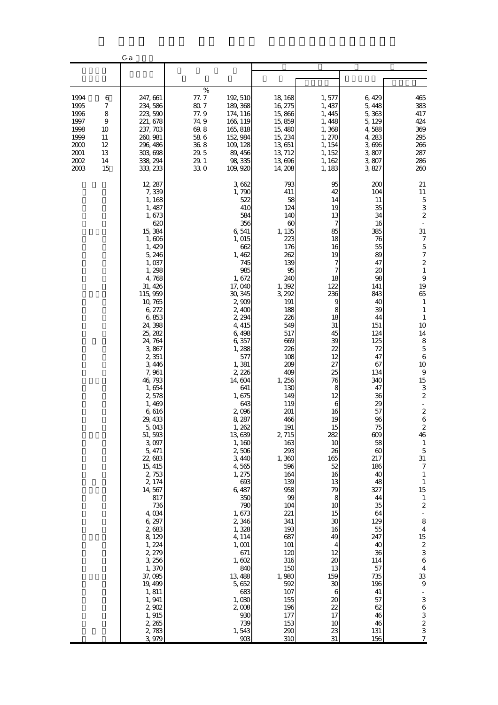|                                                                              |                                                           | C a                                                                                                                                                                                                                                                                                                                                                                                                                                                                                                                                                                                |                                                                                        |                                                                                                                                                                                                                                                                                                                                                                                                                                                                                                                           |                                                                                                                                                                                                                                                                                                                                                                                                                                       |                                                                                                                                                                                                                                                                                                                                                           |                                                                                                                                                                                                                                                                                                                                                                                     |                                                                                                                                                                                                                                                                                                                                                                                                                                                                                                                                                                                                                                                                               |
|------------------------------------------------------------------------------|-----------------------------------------------------------|------------------------------------------------------------------------------------------------------------------------------------------------------------------------------------------------------------------------------------------------------------------------------------------------------------------------------------------------------------------------------------------------------------------------------------------------------------------------------------------------------------------------------------------------------------------------------------|----------------------------------------------------------------------------------------|---------------------------------------------------------------------------------------------------------------------------------------------------------------------------------------------------------------------------------------------------------------------------------------------------------------------------------------------------------------------------------------------------------------------------------------------------------------------------------------------------------------------------|---------------------------------------------------------------------------------------------------------------------------------------------------------------------------------------------------------------------------------------------------------------------------------------------------------------------------------------------------------------------------------------------------------------------------------------|-----------------------------------------------------------------------------------------------------------------------------------------------------------------------------------------------------------------------------------------------------------------------------------------------------------------------------------------------------------|-------------------------------------------------------------------------------------------------------------------------------------------------------------------------------------------------------------------------------------------------------------------------------------------------------------------------------------------------------------------------------------|-------------------------------------------------------------------------------------------------------------------------------------------------------------------------------------------------------------------------------------------------------------------------------------------------------------------------------------------------------------------------------------------------------------------------------------------------------------------------------------------------------------------------------------------------------------------------------------------------------------------------------------------------------------------------------|
|                                                                              |                                                           |                                                                                                                                                                                                                                                                                                                                                                                                                                                                                                                                                                                    |                                                                                        |                                                                                                                                                                                                                                                                                                                                                                                                                                                                                                                           |                                                                                                                                                                                                                                                                                                                                                                                                                                       |                                                                                                                                                                                                                                                                                                                                                           |                                                                                                                                                                                                                                                                                                                                                                                     |                                                                                                                                                                                                                                                                                                                                                                                                                                                                                                                                                                                                                                                                               |
| 1994<br>1995<br>1996<br>1997<br>1998<br>1999<br>2000<br>2001<br>2002<br>2003 | 6<br>$\tau$<br>8<br>9<br>10<br>11<br>12<br>13<br>14<br>15 | 247, 661<br>234, 586<br>223, 590<br>221, 678<br>237, 703<br>260, 981<br>296, 486<br>303,698<br>338, 294<br>333, 233                                                                                                                                                                                                                                                                                                                                                                                                                                                                | $\%$<br>77.7<br>80.7<br>77.9<br>74.9<br>69.8<br>58 6<br>$36\ 8$<br>29.5<br>29.1<br>330 | 192, 510<br>189, 368<br>174, 116<br>166, 119<br>165, 818<br>152, 984<br>109, 128<br>89, 456<br>98, 335<br>109, 920                                                                                                                                                                                                                                                                                                                                                                                                        | 18, 168<br>16, 275<br>15,866<br>15,859<br>15, 480<br>15, 234<br>13,651<br>13, 712<br>13,696<br>14, 208                                                                                                                                                                                                                                                                                                                                | 1,577<br>1, 437<br>1, 445<br>1, 448<br>1,368<br>1, 270<br>1, 154<br>1, 152<br>1, 162<br>1, 183                                                                                                                                                                                                                                                            | 6,429<br>5,448<br>5,363<br>5, 129<br>4,588<br>4,283<br>3,696<br>3,807<br>3,807<br>3,827                                                                                                                                                                                                                                                                                             | 465<br>383<br>417<br>424<br>369<br>295<br>266<br>287<br>286<br>260                                                                                                                                                                                                                                                                                                                                                                                                                                                                                                                                                                                                            |
|                                                                              |                                                           | 12, 287<br>7,339<br>1, 168<br>1, 487<br>1,673<br>620<br>15, 384<br>1,606<br>1, 429<br>5,246<br>1,037<br>1,298<br>4,768<br>31, 426<br>115, 959<br>10, 765<br>6,272<br>6,853<br>24, 398<br>25, 282<br>24, 764<br>3,867<br>2,351<br>3,446<br>7,961<br>46, 793<br>1,654<br>2,578<br>1,469<br>6,616<br>29, 433<br>5,043<br>51, 593<br>3,097<br>5, 471<br>22,683<br>15, 415<br>2,753<br>2, 174<br>14,567<br>817<br>736<br>4,034<br>6,297<br>2,683<br>8, 129<br>1, 224<br>2, 279<br>3, 256<br>1,370<br>37,095<br>19, 499<br>1,811<br>1,941<br>2,902<br>1, 915<br>2, 265<br>2,783<br>3.979 |                                                                                        | 3,662<br>1,790<br>522<br>410<br>584<br>356<br>6,541<br>1, 015<br>662<br>1,462<br>745<br>985<br>1,672<br>17,040<br>30, 345<br>2,909<br>2,400<br>2, 294<br>4, 415<br>6,498<br>6,357<br>1,288<br>577<br>1,381<br>2, 226<br>14,604<br>641<br>1,675<br>643<br>2,096<br>8, 287<br>1,262<br>13, 639<br>1,160<br>2,506<br>3,440<br>4,565<br>1, 275<br>693<br>6,487<br>350<br>790<br>1,673<br>2,346<br>1,328<br>4, 114<br>$1,001$<br>671<br>1,602<br>840<br>13,488<br>5,652<br>683<br>1,030<br>2,008<br>930<br>739<br>1,543<br>903 | 793<br>411<br>58<br>124<br>140<br>60<br>1, 135<br>223<br>176<br>262<br>139<br>95<br>240<br>1,392<br>3, 292<br>191<br>188<br>226<br>549<br>517<br>669<br>226<br>108<br>209<br>409<br>1,256<br>130<br>149<br>119<br>201<br>466<br>191<br>2,715<br>163<br>293<br>1,360<br>596<br>164<br>139<br>958<br>99<br>104<br>221<br>341<br>193<br>687<br>101<br>120<br>316<br>150<br>1,980<br>592<br>107<br>155<br>196<br>177<br>153<br>290<br>310 | 95<br>42<br>14<br>19<br>13<br>7<br>85<br>18<br>16<br>19<br>7<br>7<br>18<br>122<br>236<br>9<br>8<br>18<br>31<br>45<br>39<br>22<br>12<br>27<br>25<br>76<br>8<br>12<br>6<br>16<br>19<br>15<br>282<br>10<br>26<br>165<br>52<br>16<br>13<br>79<br>8<br>10<br>15<br>30<br>16<br>49<br>4<br>12<br>20<br>13<br>159<br>30<br>6<br>20<br>22<br>17<br>10<br>23<br>31 | 200<br>104<br>11<br>35<br>34<br>16<br>385<br>76<br>55<br>89<br>47<br>20<br>98<br>141<br>843<br>40<br>39<br>44<br>151<br>124<br>125<br>72<br>47<br>67<br>134<br>340<br>47<br>36<br>29<br>57<br>96<br>75<br>609<br>58<br>60<br>217<br>186<br>40<br>48<br>327<br>44<br>35<br>64<br>129<br>55<br>247<br>40<br>36<br>114<br>57<br>735<br>196<br>41<br>57<br>62<br>46<br>46<br>131<br>156 | 21<br>11<br>$\mathbf 5$<br>$\,$ 3 $\,$<br>$\boldsymbol{2}$<br>31<br>7<br>$\overline{5}$<br>$\boldsymbol{7}$<br>$\boldsymbol{2}$<br>$\mathbf{1}$<br>$\boldsymbol{9}$<br>19<br>65<br>$\mathbf{1}$<br>$\mathbf{1}$<br>$\mathbf{1}$<br>10<br>14<br>$\,8\,$<br>$\mathbf 5$<br>$\,6$<br>10<br>$\boldsymbol{9}$<br>15<br>3<br>2<br>$\boldsymbol{z}$<br>6<br>2<br>46<br>$\mathbf{1}$<br>$\mathbf 5$<br>$31\,$<br>$\tau$<br>$\mathbf{1}$<br>$\mathbf{1}$<br>15<br>$\mathbf{1}$<br>$\boldsymbol{z}$<br>$\,$ 8 $\,$<br>$\bf 4$<br>15<br>$\boldsymbol{2}$<br>$\,$ 3 $\,$<br>$\,6$<br>$\overline{4}$<br>33<br>$\boldsymbol{9}$<br>3<br>$\,$ 6 $\,$<br>$\frac{3}{2}$<br>3<br>$\overline{7}$ |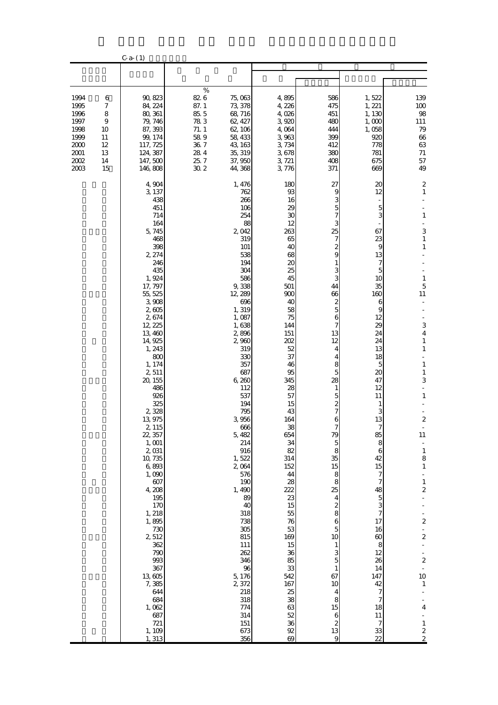|                                                                                      |                                                                     | $C-a- (1)$                                                                                                                                                                                                                                                                                                                                                                                                                                                                                                             |                                                                                       |                                                                                                                                                                                                                                                                                                                                                                                                                                                              |                                                                                                                                                                                                                                                                                                                                                                                        |                                                                                                                                                                                                                                                                                                                                                                                                          |                                                                                                                                                                                                                                                                                                                                                                                                |                                                                                                                                                                                                                                                                                                                                                                                                                                                                                                                                                |
|--------------------------------------------------------------------------------------|---------------------------------------------------------------------|------------------------------------------------------------------------------------------------------------------------------------------------------------------------------------------------------------------------------------------------------------------------------------------------------------------------------------------------------------------------------------------------------------------------------------------------------------------------------------------------------------------------|---------------------------------------------------------------------------------------|--------------------------------------------------------------------------------------------------------------------------------------------------------------------------------------------------------------------------------------------------------------------------------------------------------------------------------------------------------------------------------------------------------------------------------------------------------------|----------------------------------------------------------------------------------------------------------------------------------------------------------------------------------------------------------------------------------------------------------------------------------------------------------------------------------------------------------------------------------------|----------------------------------------------------------------------------------------------------------------------------------------------------------------------------------------------------------------------------------------------------------------------------------------------------------------------------------------------------------------------------------------------------------|------------------------------------------------------------------------------------------------------------------------------------------------------------------------------------------------------------------------------------------------------------------------------------------------------------------------------------------------------------------------------------------------|------------------------------------------------------------------------------------------------------------------------------------------------------------------------------------------------------------------------------------------------------------------------------------------------------------------------------------------------------------------------------------------------------------------------------------------------------------------------------------------------------------------------------------------------|
|                                                                                      |                                                                     |                                                                                                                                                                                                                                                                                                                                                                                                                                                                                                                        |                                                                                       |                                                                                                                                                                                                                                                                                                                                                                                                                                                              |                                                                                                                                                                                                                                                                                                                                                                                        |                                                                                                                                                                                                                                                                                                                                                                                                          |                                                                                                                                                                                                                                                                                                                                                                                                |                                                                                                                                                                                                                                                                                                                                                                                                                                                                                                                                                |
| 1994<br>1995<br>1996<br>1997<br>1998<br>1999<br>2000<br>$2001\,$<br>$2002\,$<br>2003 | 6<br>$\boldsymbol{7}$<br>8<br>9<br>10<br>11<br>12<br>13<br>14<br>15 | 90, 823<br>84, 224<br>80, 361<br>79, 746<br>87, 393<br>99, 174<br>117, 725<br>124, 387<br>147,500<br>146,808                                                                                                                                                                                                                                                                                                                                                                                                           | $\%$<br>82 6<br>87.1<br>85.5<br>783<br>71.1<br>589<br>36.7<br>$28\ 4$<br>25.7<br>30 2 | 75,063<br>73, 378<br>68,716<br>62, 427<br>62, 106<br>58, 433<br>43, 163<br>35, 319<br>37, 950<br>44, 368                                                                                                                                                                                                                                                                                                                                                     | 4,895<br>4,226<br>4,026<br>3,920<br>4,064<br>3,963<br>3,734<br>3,678<br>3, 721<br>3,776                                                                                                                                                                                                                                                                                                | 586<br>475<br>451<br>480<br>444<br>399<br>412<br>380<br>408<br>371                                                                                                                                                                                                                                                                                                                                       | 1,522<br>1, 221<br>1, 130<br>1,000<br>1,058<br>920<br>778<br>781<br>675<br>669                                                                                                                                                                                                                                                                                                                 | 139<br>100<br>$9\!8$<br>111<br>79<br>$66\,$<br>$63\,$<br>$71\,$<br>57<br>49                                                                                                                                                                                                                                                                                                                                                                                                                                                                    |
|                                                                                      |                                                                     | 4,904<br>3, 137<br>438<br>451<br>714<br>164<br>5,745<br>468<br>398<br>2, 274<br>246<br>435<br>1,924<br>17, 797<br>55, 525<br>3,908<br>2,605<br>2,674<br>12, 225<br>13,460<br>14, 925<br>1, 243<br>800<br>1, 174<br>2,511<br>20, 155<br>486<br>926<br>325<br>2,328<br>13,975<br>2, 115<br>22, 357<br>1, 001<br>2,031<br>10,735<br>6,893<br>1,090<br>607<br>4,208<br>195<br>170<br>1, 218<br>1,895<br>730<br>2512<br>362<br>790<br>993<br>367<br>13,605<br>7,385<br>644<br>684<br>1,062<br>687<br>721<br>1, 109<br>1,313 |                                                                                       | 1, 476<br>762<br>266<br>106<br>254<br>88<br>2,042<br>319<br>101<br>538<br>194<br>304<br>586<br>9,338<br>12, 289<br>696<br>1, 319<br>1,087<br>1,638<br>2,896<br>2,960<br>319<br>330<br>357<br>687<br>6,260<br>112<br>537<br>194<br>795<br>3,956<br>666<br>5,482<br>214<br>916<br>1,522<br>2,064<br>576<br>190<br>1,490<br>89<br>40<br>318<br>738<br>305<br>815<br>111<br>262<br>346<br>96<br>5, 176<br>2,372<br>218<br>318<br>774<br>314<br>151<br>673<br>356 | 180<br>93<br>16<br>29<br>30<br>12<br>263<br>65<br>40<br>68<br>20<br>25<br>45<br>501<br>900<br>40<br>58<br>75<br>144<br>151<br>202<br>52<br>37<br>46<br>95<br>345<br>28<br>57<br>15<br>43<br>164<br>38<br>654<br>34<br>82<br>314<br>152<br>44<br>28<br>222<br>$23\,$<br>15<br>55<br>76<br>53<br>169<br>15<br>36<br>85<br>33<br>542<br>167<br>25<br>38<br>63<br>52<br>36<br>$92\,$<br>69 | 27<br>9<br>3<br>5<br>7<br>25<br>7<br>2<br>9<br>1<br>3<br>3<br>44<br>66<br>$\boldsymbol{z}$<br>5<br>6<br>7<br>13<br>12<br>4<br>4<br>8<br>5<br>28<br>1<br>5<br>2<br>6<br>79<br>5<br>8<br>35<br>15<br>8<br>$\bf8$<br>25<br>4<br>$\boldsymbol{z}$<br>8<br>6<br>$\overline{5}$<br>10<br>$\mathbf{1}$<br>3<br>5<br>$\mathbf{1}$<br>67<br>10<br>4<br>8<br>15<br>$\boldsymbol{6}$<br>$\boldsymbol{z}$<br>13<br>9 | 20<br>12<br>$\overline{5}$<br>3<br>67<br>23<br>9<br>13<br>7<br>$\overline{5}$<br>10<br>35<br>160<br>6<br>9<br>12<br>29<br>24<br>24<br>13<br>18<br>5<br>20<br>47<br>12<br>11<br>1<br>3<br>13<br>85<br>8<br>6<br>42<br>15<br>7<br>7<br>48<br>$\overline{5}$<br>3<br>$\overline{7}$<br>17<br>16<br>60<br>8<br>12<br>26<br>14<br>147<br>42<br>7<br>7<br>18<br>11<br>$\overline{7}$<br>$33\,$<br>22 | $\mathbf 2$<br>$\mathbf{1}$<br>$\mathbf{1}$<br>3<br>$\,1\,$<br>$\mathbf{1}$<br>$\,1\,$<br>5<br>11<br>3<br>$\overline{4}$<br>$\mathbf{1}$<br>$\mathbf{1}$<br>$\,1\,$<br>$\mathbf{1}$<br>3<br>$\mathbf{1}$<br>$\boldsymbol{2}$<br>$\overline{\phantom{a}}$<br>11<br>$\frac{1}{8}$<br>$\,1$<br>÷<br>$\mathbf{1}$<br>$\overline{\mathbf{c}}$<br>$\overline{\mathcal{L}}$<br>÷<br>$\overline{\mathbf{c}}$<br>÷,<br>$\frac{1}{2}$<br>$\overline{\mathcal{L}}$<br>10<br>$1\,$<br>$\overline{\mathbf{4}}$<br>$\frac{1}{2}$<br>$\,1\,$<br>$\frac{2}{2}$ |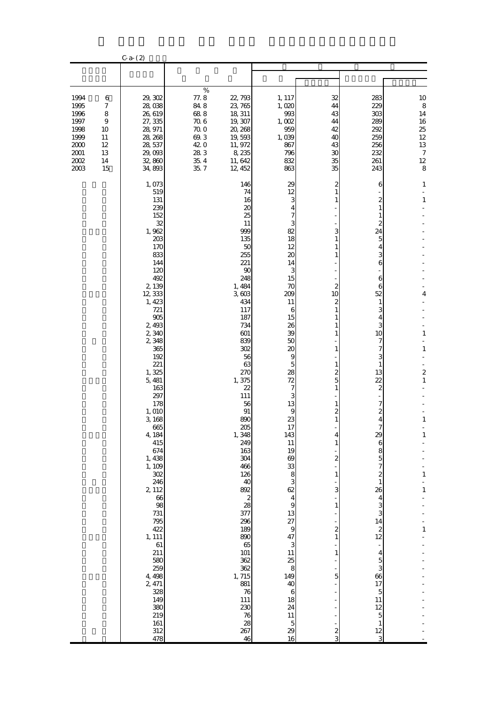|                                                                                  |                                                                     | $C-a- (2)$                                                                                                                                                                                                                                                                                                                                                                                                                                                                          |                                                                                       |                                                                                                                                                                                                                                                                                                                                                                                                                                                                |                                                                                                                                                                                                                                                                                                                                                                                                                                                                                       |                                                                                                                                                                                                              |                                                                                                                                                                                                                                                                                                                                                                                                                                                                        |                                                                                                                                                 |
|----------------------------------------------------------------------------------|---------------------------------------------------------------------|-------------------------------------------------------------------------------------------------------------------------------------------------------------------------------------------------------------------------------------------------------------------------------------------------------------------------------------------------------------------------------------------------------------------------------------------------------------------------------------|---------------------------------------------------------------------------------------|----------------------------------------------------------------------------------------------------------------------------------------------------------------------------------------------------------------------------------------------------------------------------------------------------------------------------------------------------------------------------------------------------------------------------------------------------------------|---------------------------------------------------------------------------------------------------------------------------------------------------------------------------------------------------------------------------------------------------------------------------------------------------------------------------------------------------------------------------------------------------------------------------------------------------------------------------------------|--------------------------------------------------------------------------------------------------------------------------------------------------------------------------------------------------------------|------------------------------------------------------------------------------------------------------------------------------------------------------------------------------------------------------------------------------------------------------------------------------------------------------------------------------------------------------------------------------------------------------------------------------------------------------------------------|-------------------------------------------------------------------------------------------------------------------------------------------------|
|                                                                                  |                                                                     |                                                                                                                                                                                                                                                                                                                                                                                                                                                                                     |                                                                                       |                                                                                                                                                                                                                                                                                                                                                                                                                                                                |                                                                                                                                                                                                                                                                                                                                                                                                                                                                                       |                                                                                                                                                                                                              |                                                                                                                                                                                                                                                                                                                                                                                                                                                                        |                                                                                                                                                 |
| 1994<br>1995<br>1996<br>1997<br>1998<br>1999<br>2000<br>$2001\,$<br>2002<br>2003 | 6<br>$\boldsymbol{7}$<br>8<br>9<br>10<br>11<br>12<br>13<br>14<br>15 | 29, 302<br>28,038<br>26,619<br>27, 335<br>28, 971<br>28, 268<br>28, 537<br>29,093<br>32,860<br>34, 893                                                                                                                                                                                                                                                                                                                                                                              | $\%$<br>77.8<br>848<br>688<br>$70\;6$<br>70.0<br>69.3<br>42.0<br>28 3<br>35.4<br>35.7 | 22, 793<br>23, 765<br>18, 311<br>19, 307<br>20, 268<br>19,593<br>11, 972<br>8,235<br>11, 642<br>12, 452                                                                                                                                                                                                                                                                                                                                                        | 1, 117<br>1,020<br>993<br>1,002<br>959<br>1,039<br>867<br>796<br>832<br>863                                                                                                                                                                                                                                                                                                                                                                                                           | 32<br>44<br>43<br>44<br>42<br>40<br>43<br>30<br>35<br>35                                                                                                                                                     | 283<br>229<br>303<br>289<br>292<br>259<br>256<br>232<br>261<br>243                                                                                                                                                                                                                                                                                                                                                                                                     | 10<br>$\,8\,$<br>14<br>16<br>25<br>$12\,$<br>$13\,$<br>$\boldsymbol{7}$<br>$12\,$<br>8                                                          |
|                                                                                  |                                                                     | 1,073<br>519<br>131<br>239<br>152<br>32<br>1,962<br>203<br>170<br>833<br>144<br>120<br>492<br>2, 139<br>12, 333<br>1, 423<br>721<br>905<br>2,493<br>2,340<br>2,348<br>365<br>192<br>221<br>1,325<br>5,481<br>163<br>297<br>178<br>1,010<br>3, 168<br>665<br>4, 184<br>415<br>674<br>1, 438<br>1, 109<br>$302\,$<br>246<br>2, 112<br>66<br>98<br>$731\,$<br>795<br>422<br>1, 111<br>$61\,$<br>211<br>580<br>259<br>4, 498<br>2, 471<br>328<br>149<br>380<br>219<br>161<br>312<br>478 |                                                                                       | 146<br>74<br>16<br>20<br>25<br>11<br>999<br>135<br>50<br>255<br>221<br>90<br>248<br>1,484<br>3,603<br>434<br>117<br>187<br>734<br>601<br>839<br>302<br>56<br>63<br>270<br>1,375<br>22<br>111<br>56<br>91<br>890<br>205<br>1,348<br>249<br>163<br>304<br>466<br>126<br>40<br>892<br>$\begin{array}{c} 2 \\ 28 \end{array}$<br>377<br>296<br>189<br>890<br>65<br>101<br>362<br>362<br>1,715<br>881<br>76<br>111<br>230<br>$76\,$<br>28<br>267<br>$\overline{46}$ | 29<br>12<br>3<br>$\overline{\mathbf{4}}$<br>7<br>3<br>82<br>18<br>12<br>20<br>14<br>3<br>15<br>70<br>209<br>11<br>6<br>15<br>26<br>39<br>50<br>20<br>9<br>5<br>28<br>72<br>$\boldsymbol{7}$<br>3<br>13<br>$\overline{9}$<br>23<br>17<br>143<br>$11\,$<br>19<br>83838<br>$\overline{\mathbf{4}}$<br>$\overline{9}$<br>13<br>$27$<br>$9$<br>$9$<br>$3$<br>$\begin{array}{c} 11 \\ 25 \\ 8 \end{array}$<br>149<br>40<br>$\,6$<br>18<br>24<br>$11\,$<br>$\overline{5}$<br>$\frac{29}{16}$ | 2<br>3<br>2<br>10<br>2<br>1<br>2<br>5<br>2<br>$\mathbf{1}$<br>4<br>$\mathbf{1}$<br>$\overline{\mathcal{Z}}$<br>$\mathbf{1}$<br>3<br>$\mathbf{1}$<br>$\frac{2}{1}$<br>$\mathbf{1}$<br>5<br>-<br>$\frac{2}{3}$ | 6<br>$\mathbf{z}$<br>1<br>1<br>2<br>24<br>5<br>4<br>3<br>6<br>6<br>6<br>52<br>1<br>3<br>4<br>3<br>10<br>7<br>7<br>3<br>1<br>13<br>$\overline{22}$<br>2<br>7<br>2<br>4<br>7<br>29<br>$\boldsymbol{6}$<br>8<br>$\overline{5}$<br>$\overline{7}$<br>$\boldsymbol{z}$<br>$\mathbf{1}$<br>26<br>$\overline{4}$<br>3<br>3<br>14<br>$\boldsymbol{z}$<br>12<br>$\overline{4}$<br>$\overline{5}$<br>3<br>66<br>17<br>$\overline{5}$<br>11<br>12<br>5<br>$\mathbf{1}$<br>12<br>3 | 1<br>$\mathbf{1}$<br>4<br>$\mathbf{1}$<br>$\mathbf{1}$<br>$\boldsymbol{z}$<br>1<br>$\mathbf{1}$<br>1<br>$\,1\,$<br>÷<br>$\mathbf{1}$<br>$\,1\,$ |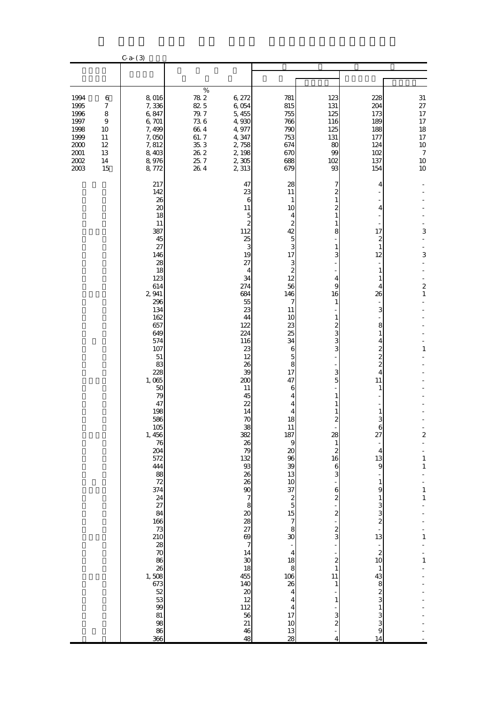|                                                                                      |                                                                                              | $C - a - (3)$                                                                                                                                                                                                                                                                                                                                                                                                                                            |                                                                                            |                                                                                                                                                                                                                                                                                                                                                                                                                                                                                                     |                                                                                                                                                                                                                                                                                                                                                                                                                                                                                                                                                  |                                                                                                                                                                                                                                                                                                                                                              |                                                                                                                                                                                                                                                                                                                                                                                                                                                          |                                                                                                                                                                                                                |
|--------------------------------------------------------------------------------------|----------------------------------------------------------------------------------------------|----------------------------------------------------------------------------------------------------------------------------------------------------------------------------------------------------------------------------------------------------------------------------------------------------------------------------------------------------------------------------------------------------------------------------------------------------------|--------------------------------------------------------------------------------------------|-----------------------------------------------------------------------------------------------------------------------------------------------------------------------------------------------------------------------------------------------------------------------------------------------------------------------------------------------------------------------------------------------------------------------------------------------------------------------------------------------------|--------------------------------------------------------------------------------------------------------------------------------------------------------------------------------------------------------------------------------------------------------------------------------------------------------------------------------------------------------------------------------------------------------------------------------------------------------------------------------------------------------------------------------------------------|--------------------------------------------------------------------------------------------------------------------------------------------------------------------------------------------------------------------------------------------------------------------------------------------------------------------------------------------------------------|----------------------------------------------------------------------------------------------------------------------------------------------------------------------------------------------------------------------------------------------------------------------------------------------------------------------------------------------------------------------------------------------------------------------------------------------------------|----------------------------------------------------------------------------------------------------------------------------------------------------------------------------------------------------------------|
|                                                                                      |                                                                                              |                                                                                                                                                                                                                                                                                                                                                                                                                                                          |                                                                                            |                                                                                                                                                                                                                                                                                                                                                                                                                                                                                                     |                                                                                                                                                                                                                                                                                                                                                                                                                                                                                                                                                  |                                                                                                                                                                                                                                                                                                                                                              |                                                                                                                                                                                                                                                                                                                                                                                                                                                          |                                                                                                                                                                                                                |
| 1994<br>1995<br>1996<br>1997<br>1998<br>1999<br>2000<br>$2001\,$<br>$2002\,$<br>2003 | 6<br>$\boldsymbol{7}$<br>$\,$ 8 $\,$<br>$\boldsymbol{9}$<br>10<br>11<br>12<br>13<br>14<br>15 | 8,016<br>7,336<br>6,847<br>6, 701<br>7,499<br>7,050<br>7,812<br>8,403<br>8,976<br>8,772                                                                                                                                                                                                                                                                                                                                                                  | $\%$<br>$78\ 2$<br>82 5<br>79.7<br>736<br>$66\ 4$<br>61.7<br>35, 3<br>26.2<br>25.7<br>26.4 | 6, 272<br>6,054<br>5, 455<br>4,930<br>4,977<br>4,347<br>2,758<br>2, 198<br>$2,305$<br>2 3 13                                                                                                                                                                                                                                                                                                                                                                                                        | 781<br>815<br>755<br>766<br>790<br>753<br>674<br>670<br>688<br>679                                                                                                                                                                                                                                                                                                                                                                                                                                                                               | 123<br>131<br>125<br>116<br>125<br>131<br>80<br>99<br>102<br>93                                                                                                                                                                                                                                                                                              | 228<br>204<br>173<br>189<br>188<br>177<br>124<br>102<br>137<br>154                                                                                                                                                                                                                                                                                                                                                                                       | $31\,$<br>$27\,$<br>17<br>17<br>18<br>$17\,$<br>$10\,$<br>$\boldsymbol{7}$<br>$10$<br>10                                                                                                                       |
|                                                                                      |                                                                                              | 217<br>142<br>26<br>20<br>18<br>11<br>387<br>45<br>27<br>146<br>28<br>18<br>123<br>614<br>2,941<br>296<br>134<br>162<br>657<br>649<br>574<br>107<br>$51\,$<br>83<br>228<br>1,065<br>50<br>79<br>47<br>198<br>586<br>$\frac{105}{1,456}$<br>76<br>204<br>572<br>444<br>88<br>72<br>374<br>24<br>27<br>84<br>166<br>$\frac{73}{210}$<br>28<br>70<br>86<br>26<br>1,508<br>673<br>$\begin{array}{c} 52 \\ 53 \end{array}$<br>99<br>$81\,$<br>98<br>86<br>366 |                                                                                            | 47<br>23<br>6<br>11<br>$\overline{5}$<br>$\overline{\mathcal{Z}}$<br>112<br>25<br>3<br>19<br>27<br>4<br>34<br>274<br>684<br>55<br>23<br>44<br>122<br>224<br>116<br>23<br>12<br>26<br>39<br>200<br>11<br>45<br>22<br>14<br>$70$<br>38<br>382<br>26<br>79<br>132<br>93<br>26<br>26<br>$\begin{array}{c}\n 9 \\  20 \\  8\n \end{array}$<br>28/7<br>14<br>$\begin{array}{c} 30 \\ 18 \end{array}$<br>455<br>140<br>$\begin{array}{c} 20 \\ 12 \end{array}$<br>112<br>56<br>21<br>46<br>$\overline{48}$ | 28<br>11<br>$\mathbf{1}$<br>10<br>4<br>$\boldsymbol{z}$<br>42<br>$\overline{5}$<br>3<br>17<br>3<br>$\boldsymbol{z}$<br>12<br>56<br>146<br>7<br>11<br>10<br>23<br>25<br>34<br>6<br>5<br>8<br>17<br>47<br>6<br>4<br>4<br>4<br>18<br>$\frac{11}{187}$<br>$\,9$<br>$\boldsymbol{\chi}$<br>96<br>39<br>13<br>$\begin{array}{c} 10 \\ 37 \\ 2 \\ 5 \\ 15 \end{array}$<br>$\begin{array}{c} 7 \\ 8 \end{array}$<br>30<br>$\frac{1}{4}$<br>18<br>8<br>106<br>26<br>$\overline{4}$<br>$\overline{4}$<br>$\overline{\mathbf{4}}$<br>17<br>$10$<br>13<br>28 | 7<br>2<br>1<br>2<br>8<br>1<br>3<br>4<br>9<br>16<br>$\mathbf{1}$<br>2<br>3<br>3<br>3<br>3<br>5<br>2<br>28<br>$\mathbf{1}$<br>$\boldsymbol{z}$<br>16<br>6<br>3<br>6<br>$\overline{\mathcal{Z}}$<br>$\overline{\mathcal{Z}}$<br>$\overline{\mathcal{Z}}$<br>3<br>$\overline{\mathcal{Z}}$<br>$\mathbf{1}$<br>11<br>1<br>1<br>3<br>$\overline{\mathcal{Z}}$<br>4 | 4<br>4<br>17<br>2<br>$\mathbf{1}$<br>12<br>1<br>1<br>4<br>26<br>3<br>8<br>1<br>4<br>$\overline{\mathcal{Z}}$<br>$\overline{\mathcal{Z}}$<br>$\overline{c}$<br>$\overline{4}$<br>11<br>1<br>1<br>3<br>27<br>$\overline{4}$<br>13<br>$\overline{9}$<br>$\mathbf{1}$<br>9<br>$\mathbf{1}$<br>$\frac{3}{3}$<br>$\overline{\mathcal{L}}$<br>13<br>$\boldsymbol{z}$<br>10<br>$\mathbf{1}$<br>43<br>$\frac{8}{3}$<br>$\frac{1}{3}$<br>3<br>$\overline{9}$<br>14 | 3<br>3<br>$\overline{\mathbf{c}}$<br>$\mathbf{1}$<br>$\,1\,$<br>$\overline{\mathbf{c}}$<br>$\frac{1}{2}$<br>$\mathbf{1}$<br>$\mathbf 1$<br>$\frac{1}{2}$<br>$\mathbf{1}$<br>$\,1\,$<br>$\mathbf{1}$<br>$\,1\,$ |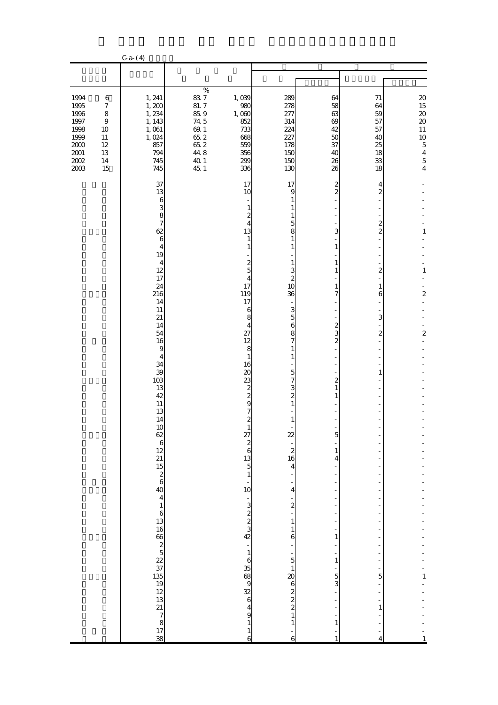|                                                                                          |                                                                                                  | $C - a - (4)$                                                                                                                                                                                                                                                                                                                      |                                                                                     |                                                                                                                                                                                                                                                                                                                                                                                        |                                                                                                                                                                                                                                                                                                                                                                                                                                                                                                                                      |                                                                                                                                                                                                                                                                                                                                                    |                                                                                                                                                                                                                |                                                                                                                                                   |
|------------------------------------------------------------------------------------------|--------------------------------------------------------------------------------------------------|------------------------------------------------------------------------------------------------------------------------------------------------------------------------------------------------------------------------------------------------------------------------------------------------------------------------------------|-------------------------------------------------------------------------------------|----------------------------------------------------------------------------------------------------------------------------------------------------------------------------------------------------------------------------------------------------------------------------------------------------------------------------------------------------------------------------------------|--------------------------------------------------------------------------------------------------------------------------------------------------------------------------------------------------------------------------------------------------------------------------------------------------------------------------------------------------------------------------------------------------------------------------------------------------------------------------------------------------------------------------------------|----------------------------------------------------------------------------------------------------------------------------------------------------------------------------------------------------------------------------------------------------------------------------------------------------------------------------------------------------|----------------------------------------------------------------------------------------------------------------------------------------------------------------------------------------------------------------|---------------------------------------------------------------------------------------------------------------------------------------------------|
|                                                                                          |                                                                                                  |                                                                                                                                                                                                                                                                                                                                    |                                                                                     |                                                                                                                                                                                                                                                                                                                                                                                        |                                                                                                                                                                                                                                                                                                                                                                                                                                                                                                                                      |                                                                                                                                                                                                                                                                                                                                                    |                                                                                                                                                                                                                |                                                                                                                                                   |
| 1994<br>1995<br>1996<br>1997<br>1998<br>1999<br>$2000\,$<br>$2001\,$<br>$2002\,$<br>2003 | $\,6$<br>$\boldsymbol{7}$<br>$\,8\,$<br>$\boldsymbol{9}$<br>10<br>11<br>$12\,$<br>13<br>14<br>15 | 1, 241<br>1,200<br>1, 234<br>1, 143<br>$1,\,061$<br>1,024<br>857<br>794<br>745<br>745                                                                                                                                                                                                                                              | $\%$<br>837<br>81.7<br>85.9<br>74.5<br>69.1<br>65.2<br>65.2<br>44.8<br>40.1<br>45.1 | 1,039<br>980<br>1,000<br>852<br>733<br>668<br>559<br>356<br>299<br>336                                                                                                                                                                                                                                                                                                                 | 289<br>278<br>277<br>314<br>224<br>227<br>178<br>150<br>150<br>130                                                                                                                                                                                                                                                                                                                                                                                                                                                                   | 64<br>58<br>63<br>69<br>42<br>50<br>37<br>40<br>26<br>26                                                                                                                                                                                                                                                                                           | 71<br>64<br>59<br>57<br>57<br>40<br>25<br>18<br>33<br>18                                                                                                                                                       | $2\hskip-2pt 0$<br>15<br>$20\,$<br>$\infty$<br>$11\,$<br>10<br>$\overline{5}$<br>$\begin{array}{c} 4 \\ 5 \end{array}$<br>$\overline{\mathbf{4}}$ |
|                                                                                          |                                                                                                  | 37<br>13<br>$\,$ 6 $\,$<br>3<br>8<br>$\boldsymbol{7}$<br>62<br>$\mathbf 6$<br>$\overline{4}$<br>19<br>4<br>12<br>17<br>24<br>216<br>14<br>11<br>21<br>14<br>54<br>16<br>$\overline{9}$<br>$\overline{4}$<br>34<br>39<br>103<br>13<br>42<br>11<br>13<br>14<br>10<br>$\%$ ងប $\approx$ 2 ដូច្នាងនិងនិងស្នាក់ 8 ដែលមានស្នាក់ 2 ដូច្នា |                                                                                     | 17<br>10<br>$\mathbf{1}$<br>$\overline{\mathcal{Z}}$<br>4<br>13<br>$\mathbf{1}$<br>$\mathbf{1}$<br>$\overline{\mathcal{Z}}$<br>$\overline{5}$<br>4<br>17<br>119<br>17<br>6<br>8<br>4<br>27<br>12<br>8<br>$1\,$<br>16<br>20<br>23<br>$\frac{2}{2}$<br>9<br>7<br>$\mathbf{z}$<br>$27$ $2$ $6$ $13$ $5$ $1$ $-$ 10<br>2222<br>$-16368988649$<br>$\,1\,$<br>$\mathbf{1}$<br>$\overline{6}$ | 17<br>$\overline{9}$<br>$\mathbf{1}$<br>$\mathbf{1}$<br>$\mathbf{1}$<br>$\overline{5}$<br>8<br>$\mathbf{1}$<br>$\mathbf{1}$<br>$\frac{1}{2}$<br>$\,1$<br>3<br>$\overline{\mathcal{Z}}$<br>10<br>36<br>$\frac{3}{5}$<br>$\,$ 6 $\,$<br>$\frac{8}{7}$<br>$\mathbf{1}$<br>$\mathbf{1}$<br>$\overline{5}$<br>7<br>3<br>$\overline{\mathbf{c}}$<br>$\mathbf{1}$<br>$\mathbf{1}$<br>$22 - 216$<br>$16$<br>$4$<br>$\frac{1}{4}$<br>$\begin{array}{c} -2 \\ 2 \\ 1 \end{array}$<br>$\begin{array}{c} 1 \\ 6 \end{array}$<br>$\,$ 1 $\,$<br>6 | $\overline{\mathbf{c}}$<br>$\overline{\mathcal{Z}}$<br>3<br>$\mathbf{1}$<br>$\mathbf{1}$<br>$\mathbf{1}$<br>1<br>7<br>$\overline{\mathcal{L}}$<br>3<br>$\overline{\mathcal{Z}}$<br>$\overline{a}$<br>$\mathbf{1}$<br>1<br>5<br>$\mathbf{1}$<br>$\overline{4}$<br>Ξ<br>÷<br>1<br>$\mathbf{1}$<br>÷<br>$\frac{5}{3}$<br>$\mathbf{1}$<br>$\mathbf{1}$ | 4<br>$\boldsymbol{z}$<br>$\boldsymbol{z}$<br>$\overline{a}$<br>ł,<br>$\boldsymbol{z}$<br>1<br>6<br>3<br>$\boldsymbol{z}$<br>$\mathbf{1}$<br>f,<br>f<br>f<br>÷,<br>f<br>$\frac{1}{1}$<br>5<br>$\mathbf{1}$<br>4 | 1<br>$\,1\,$<br>$\overline{\mathbf{c}}$<br>$\overline{\mathcal{Z}}$<br>$\mathbf{1}$<br>$\mathbf{1}$                                               |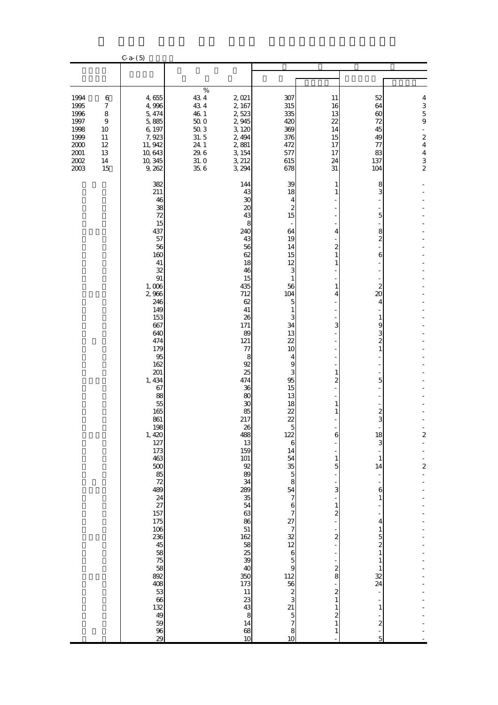|                                                                                        |                                                                                    | $C-a- (5)$                                                                                                                                                                                                                                                                                                                                                                                                                                                                             |                                                                                              |                                                                                                                                                                                                                                                                                                                                                                                                |                                                                                                                                                                                                                                                                                                                                                                                                                                     |                                                                                                                                                                                                                                                                                                                                              |                                                                                                                                                                                                                                                                                                                                                                                                                                                   |                                                                                                                                                             |
|----------------------------------------------------------------------------------------|------------------------------------------------------------------------------------|----------------------------------------------------------------------------------------------------------------------------------------------------------------------------------------------------------------------------------------------------------------------------------------------------------------------------------------------------------------------------------------------------------------------------------------------------------------------------------------|----------------------------------------------------------------------------------------------|------------------------------------------------------------------------------------------------------------------------------------------------------------------------------------------------------------------------------------------------------------------------------------------------------------------------------------------------------------------------------------------------|-------------------------------------------------------------------------------------------------------------------------------------------------------------------------------------------------------------------------------------------------------------------------------------------------------------------------------------------------------------------------------------------------------------------------------------|----------------------------------------------------------------------------------------------------------------------------------------------------------------------------------------------------------------------------------------------------------------------------------------------------------------------------------------------|---------------------------------------------------------------------------------------------------------------------------------------------------------------------------------------------------------------------------------------------------------------------------------------------------------------------------------------------------------------------------------------------------------------------------------------------------|-------------------------------------------------------------------------------------------------------------------------------------------------------------|
|                                                                                        |                                                                                    |                                                                                                                                                                                                                                                                                                                                                                                                                                                                                        |                                                                                              |                                                                                                                                                                                                                                                                                                                                                                                                |                                                                                                                                                                                                                                                                                                                                                                                                                                     |                                                                                                                                                                                                                                                                                                                                              |                                                                                                                                                                                                                                                                                                                                                                                                                                                   |                                                                                                                                                             |
| 1994<br>1995<br>1996<br>1997<br>1998<br>1999<br>$2000$<br>$2001\,$<br>$2002\,$<br>2003 | 6<br>$\boldsymbol{7}$<br>8<br>$\boldsymbol{9}$<br>10<br>11<br>12<br>13<br>14<br>15 | 4,655<br>4,996<br>5, 474<br>5,885<br>6,197<br>7,923<br>11, 942<br>10,643<br>10, 345<br>9, 262                                                                                                                                                                                                                                                                                                                                                                                          | $\%$<br>$43\ 4$<br>434<br>46 1<br>$50\;0$<br>$50\,3$<br>31.5<br>24.1<br>29.6<br>31.0<br>35.6 | 2,021<br>2, 167<br>2,523<br>2,945<br>3,120<br>2, 494<br>2,881<br>3,154<br>3, 212<br>3, 294                                                                                                                                                                                                                                                                                                     | 307<br>315<br>335<br>420<br>369<br>376<br>472<br>577<br>615<br>678                                                                                                                                                                                                                                                                                                                                                                  | 11<br>16<br>13<br>22<br>14<br>15<br>17<br>17<br>24<br>31                                                                                                                                                                                                                                                                                     | 52<br>64<br>$\infty$<br>72<br>45<br>49<br>77<br>83<br>137<br>104                                                                                                                                                                                                                                                                                                                                                                                  | $\overline{4}$<br>3<br>$\overline{5}$<br>$\overline{9}$<br>$\frac{1}{2}$<br>$\overline{\mathcal{L}}$<br>$\bf 4$<br>$\overline{\mathbf{4}}$<br>$\frac{3}{2}$ |
|                                                                                        |                                                                                    | 382<br>211<br>46<br>38<br>72<br>15<br>437<br>57<br>56<br>160<br>41<br>32<br>91<br>1,006<br>2,966<br>246<br>149<br>153<br>667<br>640<br>474<br>179<br>95<br>162<br>201<br>1, 434<br>67<br>88<br>55<br>165<br>861<br>198<br>1,420<br>127<br>173<br>463<br>$500$<br>85<br>72<br>489<br>24<br>27<br>$\begin{array}{c} 157 \\ 175 \end{array}$<br>106<br><b>236</b><br>$\begin{array}{c} 45 \\ 58 \end{array}$<br>75<br>58<br>892<br>$\frac{408}{53}$<br>66<br>$\frac{132}{49}$<br>96<br>29 |                                                                                              | 144<br>43<br>30<br>20<br>43<br>8<br>240<br>43<br>56<br>62<br>18<br>46<br>15<br>435<br>712<br>62<br>41<br>26<br>171<br>89<br>121<br>77<br>8<br>92<br>25<br>474<br>36<br>80<br>30<br>85<br>217<br>26<br>488<br>13<br>159<br>101<br>92<br>89<br>$\frac{34}{289}$<br>35<br>54<br>$\frac{63}{86}$<br>$\frac{51}{162}$<br>38<br>39<br>40<br>350<br>173<br>$11\,$<br>23<br>$\frac{43}{8}$<br>68<br>10 | 39<br>18<br>4<br>$\boldsymbol{z}$<br>15<br>64<br>19<br>14<br>15<br>12<br>3<br>1<br>56<br>104<br>5<br>1<br>3<br>34<br>13<br>22<br>10<br>$\overline{\mathcal{L}}$<br>$\overline{9}$<br>3<br>95<br>15<br>13<br>18<br>22<br>22<br>$\overline{5}$<br>122<br>$\,$ 6 $\,$<br>14<br>$\begin{array}{c} 54 \\ 35 \\ 5 \\ 8 \end{array}$<br>B<br>A<br>7<br>3<br>7<br>3<br>2<br>5<br>2<br>5<br>2<br>3<br>2<br>5<br>2<br><br><br><br><br>5<br>10 | 1<br>1<br>4<br>$\overline{\mathcal{Z}}$<br>$\mathbf{1}$<br>1<br>1<br>4<br>3<br>1<br>$\overline{2}$<br>1<br>6<br>$\mathbf{1}$<br>$\overline{5}$<br>3<br>$\,1\,$<br>$\boldsymbol{z}$<br>$\overline{\mathbf{c}}$<br>$\frac{2}{8}$<br>$\overline{\mathcal{L}}$<br>$\,1\,$<br>$\mathbf{1}$<br>$\overline{\mathcal{Z}}$<br>$\,1\,$<br>$\mathbf{1}$ | 8<br>3<br>$\overline{5}$<br>8<br>$\overline{\mathcal{L}}$<br>$\boldsymbol{6}$<br>$\overline{2}$<br>20<br>4<br>$\mathbf{1}$<br>$\overline{9}$<br>3<br>$\overline{\mathcal{L}}$<br>$\mathbf{1}$<br>5<br>$\boldsymbol{z}$<br>3<br>18<br>3<br>$\mathbf{1}$<br>14<br>$\frac{1}{1}$<br>6<br>$\mathbf{1}$<br>÷<br>$\overline{4}$<br>$\mathbf{1}$<br>$\frac{5}{2}$<br>$\mathbf{1}$<br>1<br>1<br>32<br>24<br>$\mathbf{1}$<br>$\overline{\mathcal{L}}$<br>5 | $\overline{\mathbf{c}}$<br>$\frac{1}{2}$<br>$\frac{1}{2}$<br>$\overline{\mathcal{L}}$                                                                       |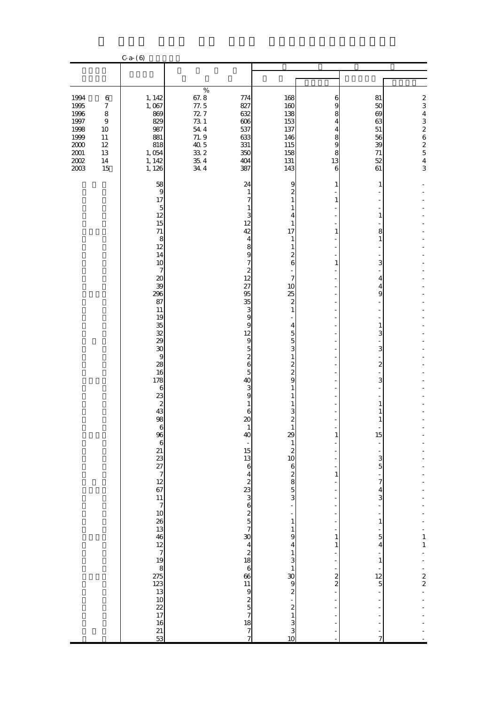|                                                                                          |                                                                                                | $C - a - (6)$                                                                                                                                                                                                                                                                                                               |                                                                                     |                                                                                                                                                                                                                                                                                                                                                    |                                                                                                                                                                                                                                                                                                                                                                                                                                                                                                       |                                                                                      |                                                                                                                                                                                                                                                                                                     |                                                                                                                                                            |
|------------------------------------------------------------------------------------------|------------------------------------------------------------------------------------------------|-----------------------------------------------------------------------------------------------------------------------------------------------------------------------------------------------------------------------------------------------------------------------------------------------------------------------------|-------------------------------------------------------------------------------------|----------------------------------------------------------------------------------------------------------------------------------------------------------------------------------------------------------------------------------------------------------------------------------------------------------------------------------------------------|-------------------------------------------------------------------------------------------------------------------------------------------------------------------------------------------------------------------------------------------------------------------------------------------------------------------------------------------------------------------------------------------------------------------------------------------------------------------------------------------------------|--------------------------------------------------------------------------------------|-----------------------------------------------------------------------------------------------------------------------------------------------------------------------------------------------------------------------------------------------------------------------------------------------------|------------------------------------------------------------------------------------------------------------------------------------------------------------|
|                                                                                          |                                                                                                |                                                                                                                                                                                                                                                                                                                             |                                                                                     |                                                                                                                                                                                                                                                                                                                                                    |                                                                                                                                                                                                                                                                                                                                                                                                                                                                                                       |                                                                                      |                                                                                                                                                                                                                                                                                                     |                                                                                                                                                            |
| 1994<br>1995<br>1996<br>1997<br>1998<br>1999<br>$2000\,$<br>$2001\,$<br>$2002\,$<br>2003 | 6<br>$\boldsymbol{7}$<br>$\,8\,$<br>$\boldsymbol{9}$<br>$10$<br>$11\,$<br>12<br>13<br>14<br>15 | 1, 142<br>1,067<br>869<br>829<br>987<br>881<br>818<br>1,054<br>1, 142<br>1, 126                                                                                                                                                                                                                                             | $\%$<br>67.8<br>77.5<br>727<br>73 1<br>54 4<br>71.9<br>40.5<br>33 2<br>35.4<br>34.4 | 774<br>827<br>632<br>606<br>537<br>633<br>331<br>350<br>404<br>387                                                                                                                                                                                                                                                                                 | 168<br>160<br>138<br>153<br>137<br>146<br>115<br>158<br>131<br>143                                                                                                                                                                                                                                                                                                                                                                                                                                    | 6<br>9<br>8<br>4<br>4<br>8<br>9<br>8<br>13<br>6                                      | 81<br>50<br>69<br>63<br>$51\,$<br>56<br>39<br>71<br>52<br>61                                                                                                                                                                                                                                        | $\begin{array}{c} 2 \\ 3 \end{array}$<br>$\overline{\mathbf{4}}$<br>3<br>$\begin{array}{c}\n2 \\ 6 \\ 2 \\ 5\n\end{array}$<br>$\overline{\mathbf{4}}$<br>3 |
|                                                                                          |                                                                                                | 58<br>$\overline{9}$<br>17<br>$\overline{5}$<br>12<br>15<br>71<br>8<br>12<br>14<br>10<br>$\overline{7}$<br>20<br>39<br>296<br>87<br>11<br>19<br>35<br>32<br>29<br>30<br>$\overline{9}$<br>28<br>16<br>178<br>$\boldsymbol{6}$<br>23<br>$\overline{\mathbf{c}}$<br>43<br>98<br>$\begin{array}{c} 16 \\ 21 \\ 53 \end{array}$ |                                                                                     | 24<br>$\mathbf{1}$<br>7<br>$\mathbf{1}$<br>3<br>12<br>42<br>4<br>8<br>9<br>7<br>$\begin{array}{c} 2 \\ 12 \end{array}$<br>27<br>95<br>35<br>3<br>9<br>9<br>12<br>$\overline{9}$<br>$\overline{5}$<br>$\frac{2}{6}$<br>$\overline{5}$<br>40<br>3<br>9<br>$\mathbf{1}$<br>6<br>20<br>40<br>15 13 6 4 2 23 3 6 2 5 7 30 4 2 18 6 66 11 9 2 5 7 18 7 7 | 9<br>$\overline{\mathbf{c}}$<br>$\mathbf{1}$<br>$\mathbf{1}$<br>4<br>$\mathbf{1}$<br>17<br>$\mathbf{1}$<br>$\mathbf{1}$<br>$\frac{2}{6}$<br>$\boldsymbol{7}$<br>10<br>25<br>$\boldsymbol{z}$<br>$\mathbf{1}$<br>$\overline{4}$<br>$\frac{5}{3}$<br>$\frac{1}{2}$ $\frac{2}{9}$<br>1<br>1<br>1<br>$^3$ $^3$<br>$\mathbf{1}$<br>29<br>$\,1\,$<br>$\begin{array}{c}\n2 \\ 10 \\ 3\n\end{array}$<br>$\frac{1}{1}$<br>$\frac{1}{9}$<br>$\overline{4}$<br>$\begin{array}{c}\n1 \\ 3 \\ 1 \\ 0\n\end{array}$ | 1<br>$\mathbf{1}$<br>1<br>$\mathbf{1}$<br>1<br>$1\,$<br>1<br>1<br>-<br>$\frac{2}{2}$ | 1<br>1<br>8<br>$\mathbf{1}$<br>3<br>4<br>4<br>9<br>$\mathbf{1}$<br>3<br>3<br>$\boldsymbol{z}$<br>L<br>3<br>1<br>1<br>1<br>15<br>$3\over 5$<br>$\boldsymbol{7}$<br>4<br>3<br>$\mathbf{1}$<br>5<br>$\overline{\mathbf{4}}$<br>$\mathbf{1}$<br>$\frac{12}{5}$<br>f<br>$\overline{a}$<br>$\overline{7}$ | $\frac{1}{1}$<br>$\frac{1}{2}$<br>$\frac{1}{2}$                                                                                                            |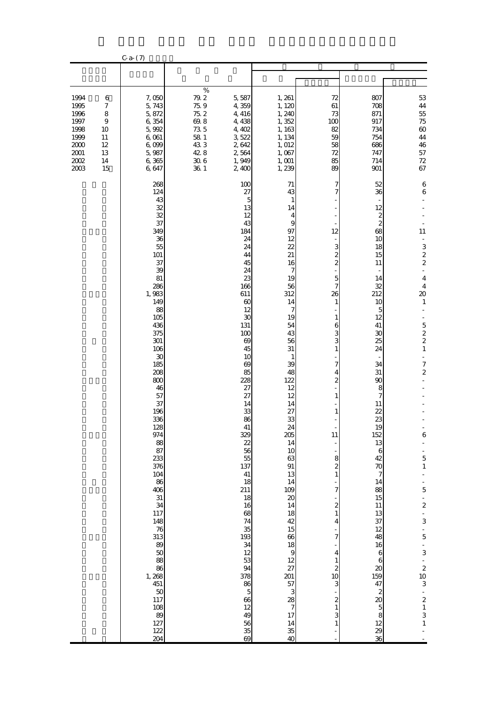|                                                                                      |                                                                     | $C-a-$ (7)                                                                                                                                                                                                                                                                                                                                                                                                                                       |                                                                                                       |                                                                                                                                                                                                                                                                                                                                                                                                          |                                                                                                                                                                                                                                                                                                                                                                                                                                                                       |                                                                                                                                                                                                                                                                                                                                                                                                                                                                   |                                                                                                                                                                                                                                                                                                                                                                                                                                   |                                                                                                                                                                                                                                                                                                                                                                                                                                                                   |
|--------------------------------------------------------------------------------------|---------------------------------------------------------------------|--------------------------------------------------------------------------------------------------------------------------------------------------------------------------------------------------------------------------------------------------------------------------------------------------------------------------------------------------------------------------------------------------------------------------------------------------|-------------------------------------------------------------------------------------------------------|----------------------------------------------------------------------------------------------------------------------------------------------------------------------------------------------------------------------------------------------------------------------------------------------------------------------------------------------------------------------------------------------------------|-----------------------------------------------------------------------------------------------------------------------------------------------------------------------------------------------------------------------------------------------------------------------------------------------------------------------------------------------------------------------------------------------------------------------------------------------------------------------|-------------------------------------------------------------------------------------------------------------------------------------------------------------------------------------------------------------------------------------------------------------------------------------------------------------------------------------------------------------------------------------------------------------------------------------------------------------------|-----------------------------------------------------------------------------------------------------------------------------------------------------------------------------------------------------------------------------------------------------------------------------------------------------------------------------------------------------------------------------------------------------------------------------------|-------------------------------------------------------------------------------------------------------------------------------------------------------------------------------------------------------------------------------------------------------------------------------------------------------------------------------------------------------------------------------------------------------------------------------------------------------------------|
|                                                                                      |                                                                     |                                                                                                                                                                                                                                                                                                                                                                                                                                                  |                                                                                                       |                                                                                                                                                                                                                                                                                                                                                                                                          |                                                                                                                                                                                                                                                                                                                                                                                                                                                                       |                                                                                                                                                                                                                                                                                                                                                                                                                                                                   |                                                                                                                                                                                                                                                                                                                                                                                                                                   |                                                                                                                                                                                                                                                                                                                                                                                                                                                                   |
| 1994<br>1995<br>1996<br>1997<br>1998<br>1999<br>$2000\,$<br>$2001\,$<br>2002<br>2003 | 6<br>$\boldsymbol{7}$<br>8<br>9<br>10<br>11<br>12<br>13<br>14<br>15 | 7,050<br>5,743<br>5,872<br>6,354<br>5,992<br>6,061<br>6,099<br>5,987<br>6,365<br>6,647                                                                                                                                                                                                                                                                                                                                                           | $\%$<br>79.2<br>75.9<br>75.2<br>$69.8\,$<br>$73\ 5$<br>$58\,$ $1\,$<br>433<br>42.8<br>$30\;6$<br>36 1 | 5,587<br>4,359<br>4, 416<br>4,438<br>4, 402<br>3,522<br>2,642<br>2,564<br>1,949<br>2,400                                                                                                                                                                                                                                                                                                                 | 1, 261<br>1, 120<br>1, 240<br>1,352<br>1, 163<br>1, 134<br>1,012<br>1,067<br>$1,001$<br>1, 239                                                                                                                                                                                                                                                                                                                                                                        | 72<br>61<br>73<br>100<br>82<br>59<br>58<br>72<br>85<br>89                                                                                                                                                                                                                                                                                                                                                                                                         | 807<br>708<br>871<br>917<br>734<br>754<br>686<br>747<br>714<br>901                                                                                                                                                                                                                                                                                                                                                                | $5\!3$<br>44<br>$55\,$<br>75<br>$\boldsymbol{\omega}$<br>44<br>46<br>$57\,$<br>$72\,$<br>67                                                                                                                                                                                                                                                                                                                                                                       |
|                                                                                      |                                                                     | 268<br>124<br>43<br>32<br>32<br>37<br>349<br>36<br>55<br>101<br>37<br>39<br>81<br>286<br>1,983<br>149<br>88<br>105<br>436<br>375<br>$301\,$<br>106<br>30<br>185<br>208<br>800<br>46<br>57<br>37<br>196<br>336<br>128<br>974<br>88<br>87<br>233<br>376<br>104<br>86<br>406<br>31<br>34<br>117<br>148<br>$\frac{76}{313}$<br>89<br>50<br>88<br>$86$<br>1, 268<br>451<br>$\begin{array}{c} 50 \\ 117 \end{array}$<br>108<br>89<br>127<br>122<br>204 |                                                                                                       | 100<br>27<br>5<br>13<br>12<br>43<br>184<br>24<br>24<br>44<br>45<br>24<br>23<br>166<br>611<br>$\infty$<br>12<br>$\infty$<br>$131\,$<br>100<br>69<br>45<br>10<br>69<br>85<br>228<br>27<br>27<br>14<br>33<br>86<br>41<br>329<br>22<br>56<br>55<br>137<br>$41\,$<br>18<br>211<br>18<br>16<br>68<br>74<br>$\frac{35}{193}$<br>34<br>12<br>53<br>94<br>378<br>86<br>$rac{5}{66}$<br>12<br>49<br>56<br>35<br>69 | 71<br>43<br>$\mathbf{1}$<br>14<br>4<br>9<br>97<br>12<br>22<br>21<br>16<br>7<br>19<br>56<br>312<br>14<br>7<br>19<br>54<br>43<br>56<br>31<br>$\mathbf{1}$<br>39<br>48<br>122<br>12<br>12<br>14<br>27<br>33<br>$\frac{24}{205}$<br>14<br>10<br>63<br>$\rm 91$<br>13<br>14<br>$\frac{109}{20}$<br>14<br>18<br>42<br>15<br>$\frac{66}{18}$<br>$\begin{bmatrix} 12 \\ 27 \\ 201 \end{bmatrix}$<br>$\begin{array}{c} 57 \\ 3 \\ 28 \\ 7 \end{array}$<br>17<br>14<br>35<br>40 | 7<br>7<br>12<br>3<br>$\frac{2}{2}$<br>$\overline{5}$<br>7<br>26<br>$\mathbf{1}$<br>$\mathbf{1}$<br>6<br>3<br>3<br>$\mathbf{1}$<br>7<br>4<br>$\overline{\mathbf{c}}$<br>$\mathbf{1}$<br>1<br>11<br>$\frac{8}{2}$<br>$1\,$<br>7<br>$\begin{smallmatrix}2\\1\end{smallmatrix}$<br>4<br>$\overline{7}$<br>$\overline{\mathbf{4}}$<br>$\mathbf{1}$<br>$\begin{array}{c}\n2 \\ 10\n\end{array}$<br>3<br>$\begin{smallmatrix}2\\1\end{smallmatrix}$<br>3<br>$\mathbf{1}$ | 52<br>36<br>12<br>$\boldsymbol{z}$<br>$\mathbf{z}$<br>68<br>10<br>18<br>15<br>11<br>14<br>32<br>212<br>10<br>5<br>12<br>41<br>30<br>25<br>24<br>34<br>31<br>90<br>8<br>7<br>11<br>22<br>23<br>19<br>152<br>13<br>6<br>42<br>70<br>7<br>14<br>88<br>15<br>$11\,$<br>13<br>37<br>12<br>48<br>16<br>$\boldsymbol{6}$<br>6<br>20<br>159<br>47<br>$\boldsymbol{z}$<br>$\boldsymbol{\chi}$<br>$\mathbf 5$<br>8<br>12<br>$\frac{29}{36}$ | 6<br>$\,$ 6 $\,$<br>11<br>÷,<br>3<br>$\frac{2}{2}$<br>÷,<br>$\overline{4}$<br>4<br>$\infty$<br>$\,1\,$<br>$\overline{\phantom{0}}$<br>$\begin{array}{c} 5 \\ 2 \\ 2 \end{array}$<br>$\,1\,$<br>÷,<br>$\boldsymbol{7}$<br>$\boldsymbol{2}$<br>6<br>L,<br>$\frac{1}{5}$<br>÷<br>$\frac{1}{5}$<br>$\frac{2}{1}$<br>3<br>$\frac{1}{5}$<br>$\frac{1}{3}$<br>$\begin{array}{c}\n2 \\ 2 \\ 10 \\ 3\n\end{array}$<br>$\begin{array}{c} 2 \\ 2 \\ 1 \\ 3 \\ 1 \end{array}$ |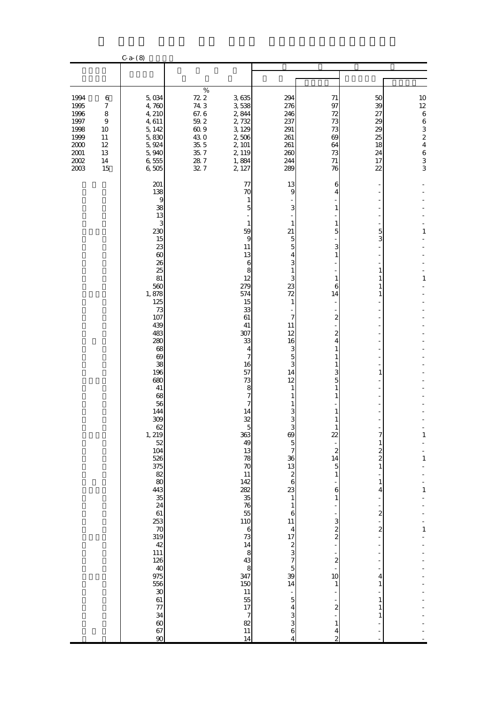|                                                                                        |                                                                                    | $C - a - (8)$                                                                                                                                                                                                                                                                                                                                                                                                                                                        |                                                                                                       |                                                                                                                                                                                                                                                                                                                                                                                                                                                                    |                                                                                                                                                                                                                                                                                                                                                                                                                                                  |                                                                                                                                                                                                                                                                                                                       |                                                                                                                                                                                                                                               |                                                                                                            |
|----------------------------------------------------------------------------------------|------------------------------------------------------------------------------------|----------------------------------------------------------------------------------------------------------------------------------------------------------------------------------------------------------------------------------------------------------------------------------------------------------------------------------------------------------------------------------------------------------------------------------------------------------------------|-------------------------------------------------------------------------------------------------------|--------------------------------------------------------------------------------------------------------------------------------------------------------------------------------------------------------------------------------------------------------------------------------------------------------------------------------------------------------------------------------------------------------------------------------------------------------------------|--------------------------------------------------------------------------------------------------------------------------------------------------------------------------------------------------------------------------------------------------------------------------------------------------------------------------------------------------------------------------------------------------------------------------------------------------|-----------------------------------------------------------------------------------------------------------------------------------------------------------------------------------------------------------------------------------------------------------------------------------------------------------------------|-----------------------------------------------------------------------------------------------------------------------------------------------------------------------------------------------------------------------------------------------|------------------------------------------------------------------------------------------------------------|
|                                                                                        |                                                                                    |                                                                                                                                                                                                                                                                                                                                                                                                                                                                      |                                                                                                       |                                                                                                                                                                                                                                                                                                                                                                                                                                                                    |                                                                                                                                                                                                                                                                                                                                                                                                                                                  |                                                                                                                                                                                                                                                                                                                       |                                                                                                                                                                                                                                               |                                                                                                            |
| 1994<br>1995<br>1996<br>1997<br>1998<br>1999<br>$2000$<br>$2001\,$<br>$2002\,$<br>2003 | 6<br>$\boldsymbol{7}$<br>8<br>$\boldsymbol{9}$<br>10<br>11<br>12<br>13<br>14<br>15 | 5,034<br>4,760<br>4, 210<br>4,611<br>5, 142<br>5,830<br>5,924<br>5,940<br>6,555<br>6,505                                                                                                                                                                                                                                                                                                                                                                             | $\%$<br>72.2<br>74 3<br>67.6<br>$59.2\,$<br>$60.9$<br>43.0<br>$35\,$ $5\,$<br>35.7<br>$28\ 7$<br>32 7 | 3,635<br>3,538<br>2,844<br>2,732<br>3, 129<br>2,506<br>2, 101<br>2, 119<br>1,884<br>2, 127                                                                                                                                                                                                                                                                                                                                                                         | 294<br>276<br>246<br>237<br>291<br>261<br>261<br>260<br>244<br>289                                                                                                                                                                                                                                                                                                                                                                               | 71<br>97<br>72<br>73<br>73<br>69<br>64<br>73<br>71<br>76                                                                                                                                                                                                                                                              | 50<br>39<br>27<br>29<br>29<br>25<br>18<br>24<br>17<br>22                                                                                                                                                                                      | 10<br>$12\,$<br>$\,$ 6 $\,$<br>$\,6$<br>$\frac{3}{2}$<br>$\overline{4}$<br>$\overline{6}$<br>$\frac{3}{3}$ |
|                                                                                        |                                                                                    | 201<br>138<br>9<br>38<br>13<br>3<br>230<br>15<br>23<br>$\infty$<br>26<br>25<br>81<br>560<br>1,878<br>125<br>73<br>107<br>439<br>483<br>280<br>68<br>69<br>38<br>196<br>680<br>41<br>68<br>56<br>144<br>309<br>$62$<br>1, 219<br>$\frac{52}{104}$<br>526<br>375<br>$\begin{array}{c} 82 \\ 80 \end{array}$<br>443<br>$\frac{35}{24}$<br>61<br>$\frac{253}{70}$<br>319<br>42<br>111<br>126<br>$\frac{40}{975}$<br>556<br>30<br>61<br>77<br>34<br>$\frac{60}{67}$<br>90 |                                                                                                       | 77<br>70<br>1<br>$\overline{5}$<br>$\mathbf{1}$<br>59<br>$\overline{9}$<br>11<br>13<br>6<br>8<br>12<br>279<br>574<br>15<br>33<br>61<br>41<br>307<br>33<br>4<br>7<br>16<br>57<br>73<br>8<br>7<br>7<br>14<br>32<br>$\approx$<br>363<br>49<br>13<br>78<br>70<br>11<br>142<br>282<br>35<br>76<br>55<br>110<br>$rac{6}{73}$<br>14<br>$\frac{1}{8}$<br>347<br>150<br>$\begin{array}{c} 11 \\ 55 \\ 17 \end{array}$<br>$\begin{array}{c} 7 \\ 82 \end{array}$<br>11<br>14 | 13<br>$\overline{9}$<br>3<br>$\mathbf{1}$<br>21<br>$\frac{5}{5}$<br>$\overline{\mathbf{4}}$<br>3<br>$\mathbf{1}$<br>3<br>23<br>72<br>$\mathbf{1}$<br>7<br>11<br>12<br>16<br>3<br>$\overline{5}$<br>3<br>14<br>12<br>$\mathbf{1}$<br>1<br>1<br>3<br>3<br>Ŕ<br>$rac{69}{5}$<br>$\begin{array}{c} 36 \\ 13 \\ 2 \\ 6 \end{array}$<br>23<br>$\mathbf{1}$<br>$\,1\,$<br>$\boldsymbol{6}$<br>11<br>$\frac{4}{17}$<br>39<br>39<br>14<br>$543$ $43$<br>4 | 6<br>4<br>1<br>1<br>5<br>3<br>1<br>1<br>6<br>14<br>$\boldsymbol{z}$<br>2<br>4<br>1<br>3<br>5<br>1<br>22<br>$\overline{\mathcal{L}}$<br>$\frac{14}{5}$<br>$\mathbf{1}$<br>6<br>$\,1\,$<br>$\sim$ $\infty$ $\infty$<br>$\frac{2}{1}$<br>10<br>$\mathbf{1}$<br>$\overline{\mathcal{Z}}$<br>$\mathbf{1}$<br>$\frac{4}{2}$ | 5<br>3<br>1<br>1<br>1<br>1<br>1<br>7<br>$\mathbf{1}$<br>$\frac{2}{2}$<br>$\,1\,$<br>$\mathbf{1}$<br>4<br>$\overline{\mathcal{L}}$<br>$\overline{\mathcal{L}}$<br>$\overline{a}$<br>f<br>÷<br>4<br>$\mathbf{1}$<br>$\mathbf{1}$<br>1<br>1<br>÷ | 1<br>$\,1\,$<br>$\mathbf{1}$<br>$\,1\,$<br>$\mathbf{1}$<br>$\,1\,$                                         |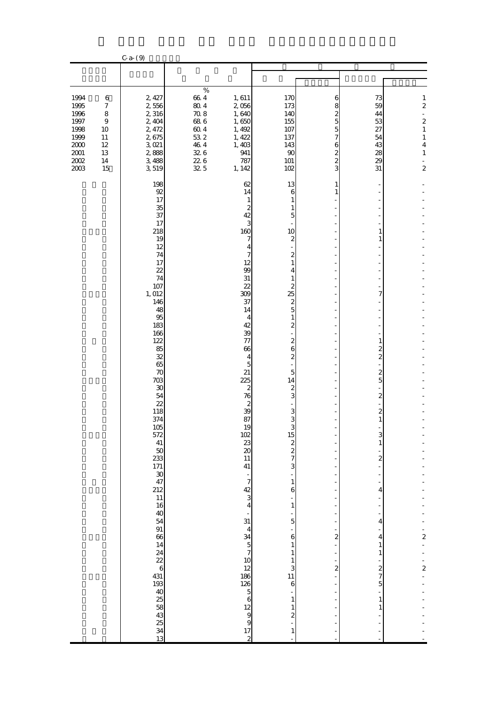|                                                                                              |                                                                                                                 | $C - a - (9)$                                                                                                                                                                                                                                                                                                                                                                                           |                                                                                                   |                                                                                                                                                                                                                                                                                                                                                                                                                                                                                                                                                                                               |                                                                                                                                                                                                                                                                                                                                                                                                                                                                                                                                                                                                                                                                                                |                                                                                                           |                                                                                                                                                                                                                                                                                                                  |                                                                                                                                                               |
|----------------------------------------------------------------------------------------------|-----------------------------------------------------------------------------------------------------------------|---------------------------------------------------------------------------------------------------------------------------------------------------------------------------------------------------------------------------------------------------------------------------------------------------------------------------------------------------------------------------------------------------------|---------------------------------------------------------------------------------------------------|-----------------------------------------------------------------------------------------------------------------------------------------------------------------------------------------------------------------------------------------------------------------------------------------------------------------------------------------------------------------------------------------------------------------------------------------------------------------------------------------------------------------------------------------------------------------------------------------------|------------------------------------------------------------------------------------------------------------------------------------------------------------------------------------------------------------------------------------------------------------------------------------------------------------------------------------------------------------------------------------------------------------------------------------------------------------------------------------------------------------------------------------------------------------------------------------------------------------------------------------------------------------------------------------------------|-----------------------------------------------------------------------------------------------------------|------------------------------------------------------------------------------------------------------------------------------------------------------------------------------------------------------------------------------------------------------------------------------------------------------------------|---------------------------------------------------------------------------------------------------------------------------------------------------------------|
|                                                                                              |                                                                                                                 |                                                                                                                                                                                                                                                                                                                                                                                                         |                                                                                                   |                                                                                                                                                                                                                                                                                                                                                                                                                                                                                                                                                                                               |                                                                                                                                                                                                                                                                                                                                                                                                                                                                                                                                                                                                                                                                                                |                                                                                                           |                                                                                                                                                                                                                                                                                                                  |                                                                                                                                                               |
| 1994<br>1995<br>1996<br>$1997\,$<br>1998<br>1999<br>$2000\,$<br>$2001\,$<br>$2002\,$<br>2003 | $\boldsymbol{6}$<br>$\boldsymbol{7}$<br>$\,8\,$<br>$\boldsymbol{9}$<br>10<br>$11\,$<br>12<br>13<br>$14\,$<br>15 | 2, 427<br>2,556<br>2,316<br>2, 404<br>2, 472<br>2,675<br>$3,021$<br>2,888<br>3,488<br>3,519                                                                                                                                                                                                                                                                                                             | $\%$<br>$66\ 4$<br>$80\;4$<br>$70.8\,$<br>68 6<br>$60.4$<br>53 2<br>$46\ 4$<br>326<br>226<br>32 5 | 1,611<br>2,056<br>1,640<br>1,650<br>1, 492<br>1, 422<br>1,403<br>941<br>787<br>1, 142                                                                                                                                                                                                                                                                                                                                                                                                                                                                                                         | 170<br>173<br>140<br>155<br>107<br>137<br>143<br>90<br>101<br>102                                                                                                                                                                                                                                                                                                                                                                                                                                                                                                                                                                                                                              | 6<br>8<br>$\overline{c}$<br>5<br>5<br>7<br>6<br>$\overline{\mathcal{Z}}$<br>$\overline{\mathcal{Z}}$<br>3 | 73<br>59<br>44<br>53<br>27<br>54<br>43<br>28<br>29<br>31                                                                                                                                                                                                                                                         | $\mathbf{1}$<br>$\overline{\mathcal{L}}$<br>$\frac{1}{2}$<br>$\overline{\mathcal{L}}$<br>$\,1\,$<br>$\,1$<br>$\overline{4}$<br>$\mathbf{1}$<br>$\overline{a}$ |
|                                                                                              |                                                                                                                 | 198<br>92<br>17<br>35<br>37<br>17<br>218<br>19<br>12<br>74<br>17<br>22<br>74<br>107<br>1,012<br>146<br>48<br>95<br>183<br>166<br>122<br>85<br>32<br>65<br>70<br>703<br>$30\,$<br>54<br>22<br>118<br>374<br>$\frac{105}{572}$<br>$41\,$<br>$\frac{50}{233}$<br>$171\,$<br>30<br>47<br>212<br>$11\,$<br>16<br>40<br>$\overline{5}4$<br>91<br>66<br>14<br>$\frac{24}{22}$<br>431<br>193<br>$88888$<br>$13$ |                                                                                                   | 62<br>14<br>$\mathbf{1}$<br>$\overline{\mathcal{Z}}$<br>42<br>3<br>160<br>7<br>4<br>7<br>12<br>99<br>31<br>$\overline{22}$<br>309<br>37<br>14<br>4<br>42<br>39<br>77<br>66<br>$\overline{4}$<br>$\overline{5}$<br>21<br>225<br>$\boldsymbol{z}$<br>76<br>$\begin{array}{c}\n2 \\ 39\n\end{array}$<br>87<br>$\begin{array}{c}\n19 \\ 102 \\ 23 \\ 20\n\end{array}$<br>11<br>41<br>÷<br>$\overline{7}$<br>$\begin{array}{c} 42 \\ 3 \\ 4 \end{array}$<br>$\blacksquare$<br>31<br>4 A 5 7 10 2 3 2 3 4 2 9 9 9 9 9 1 2 3 4 2 9 1 2 9 9 1 2 3 4 2 9 1 2 3 4 2 5 2 8 4 2 9 2 2 4 2 5 2 8 4 2 5 2 5 | 13<br>6<br>1<br>1<br>$\overline{5}$<br>10<br>$\boldsymbol{z}$<br>$\boldsymbol{z}$<br>$\,1\,$<br>$\overline{\mathbf{4}}$<br>$\mathbf{1}$<br>$\frac{2}{5}$ $\frac{2}{5}$<br>$\,1\,$<br>$\overline{\mathbf{c}}$<br>$\frac{2}{6}$<br>$\overline{\mathcal{L}}$<br>$\overline{5}$<br>14<br>$\frac{2}{3}$<br>$\frac{3}{3}$<br>$\begin{array}{c}\n\mathbf{1} & \mathbf{1} \\ \mathbf{2} & \mathbf{2} \\ \mathbf{3} & \mathbf{4}\n\end{array}$<br>$\frac{1}{1}$<br>$\frac{6}{1}$<br>$\,1$<br>$\frac{1}{5}$<br>$\begin{array}{c} 6 \\ 1 \end{array}$<br>$\,1\,$<br>$\begin{array}{c} 1 \\ 3 \\ 11 \end{array}$<br>$\boldsymbol{6}$<br>$\,1\,$<br>$\,$ 1 $\,$<br>$\overline{\mathcal{L}}$<br>$\mathbf{1}$ | 1<br>1<br>$\frac{1}{2}$<br>÷,<br>÷,<br>÷<br>$\frac{1}{2}$<br>$\frac{1}{2}$                                | ۰<br>1<br>1<br>÷,<br>7<br>÷,<br>$\mathbf{1}$<br>2<br>$\overline{\mathcal{Z}}$<br>$\boldsymbol{z}$<br>5<br>$\boldsymbol{z}$<br>$\boldsymbol{z}$<br>$\mathbf{1}$<br>3<br>$\mathbf{1}$<br>$\overline{\mathcal{Z}}$<br>÷,<br>÷<br>4<br>4<br>4<br>$\mathbf{1}$<br>$\mathbf{1}$<br>$rac{2}{7}$<br>5<br>÷<br>$1\,$<br>1 | $\frac{1}{2}$<br>$\frac{1}{2}$                                                                                                                                |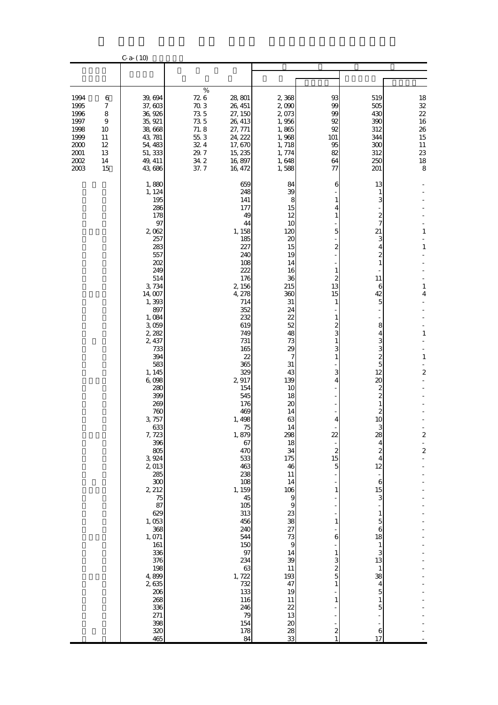|                                                                              |                                                                     | $C - a - (10)$                                                                                                                                                                                                                                                                                                                                                                                                                                                            |                                                                                       |                                                                                                                                                                                                                                                                                                                                                                                                                                          |                                                                                                                                                                                                                                                                                                                                                                                                     |                                                                                                                                                                                                                                                                                                                                                                                              |                                                                                                                                                                                                                                                                                                                                                                      |                                                                                                                                                            |
|------------------------------------------------------------------------------|---------------------------------------------------------------------|---------------------------------------------------------------------------------------------------------------------------------------------------------------------------------------------------------------------------------------------------------------------------------------------------------------------------------------------------------------------------------------------------------------------------------------------------------------------------|---------------------------------------------------------------------------------------|------------------------------------------------------------------------------------------------------------------------------------------------------------------------------------------------------------------------------------------------------------------------------------------------------------------------------------------------------------------------------------------------------------------------------------------|-----------------------------------------------------------------------------------------------------------------------------------------------------------------------------------------------------------------------------------------------------------------------------------------------------------------------------------------------------------------------------------------------------|----------------------------------------------------------------------------------------------------------------------------------------------------------------------------------------------------------------------------------------------------------------------------------------------------------------------------------------------------------------------------------------------|----------------------------------------------------------------------------------------------------------------------------------------------------------------------------------------------------------------------------------------------------------------------------------------------------------------------------------------------------------------------|------------------------------------------------------------------------------------------------------------------------------------------------------------|
|                                                                              |                                                                     |                                                                                                                                                                                                                                                                                                                                                                                                                                                                           |                                                                                       |                                                                                                                                                                                                                                                                                                                                                                                                                                          |                                                                                                                                                                                                                                                                                                                                                                                                     |                                                                                                                                                                                                                                                                                                                                                                                              |                                                                                                                                                                                                                                                                                                                                                                      |                                                                                                                                                            |
| 1994<br>1995<br>1996<br>1997<br>1998<br>1999<br>2000<br>2001<br>2002<br>2003 | 6<br>$\boldsymbol{7}$<br>8<br>9<br>10<br>11<br>12<br>13<br>14<br>15 | 39,694<br>37,603<br>36, 926<br>35, 921<br>38,668<br>43, 781<br>54, 483<br>51, 333<br>49, 411<br>43,686                                                                                                                                                                                                                                                                                                                                                                    | $\%$<br>726<br>70.3<br>73 5<br>73 5<br>71.8<br>$55\ 3$<br>324<br>29.7<br>34 2<br>37.7 | 28, 801<br>26, 451<br>27, 150<br>26, 413<br>27, 771<br>24, 222<br>17,670<br>15, 235<br>16,897<br>16, 472                                                                                                                                                                                                                                                                                                                                 | 2,368<br>2,090<br>2,073<br>1,956<br>1,865<br>1,968<br>1,718<br>1,774<br>1,648<br>1,588                                                                                                                                                                                                                                                                                                              | 93<br>99<br>99<br>92<br>92<br>101<br>95<br>82<br>64<br>77                                                                                                                                                                                                                                                                                                                                    | 519<br>505<br>430<br>390<br>312<br>344<br>300<br>312<br>250<br>201                                                                                                                                                                                                                                                                                                   | 18<br>$32\,$<br>22<br>16<br>$2\!6$<br>15<br>$11\,$<br>23<br>18<br>8                                                                                        |
|                                                                              |                                                                     | 1,880<br>1, 124<br>195<br>286<br>178<br>97<br>2,062<br>257<br>283<br>557<br>202<br>249<br>514<br>3, 734<br>14,007<br>1,393<br>897<br>1,084<br>3,059<br>2, 282<br>2, 437<br>733<br>394<br>583<br>1, 145<br>6,098<br>280<br>399<br>269<br>760<br>3, 757<br>633<br>7, 723<br>396<br>805<br>3,924<br>2,013<br>285<br>300<br>2, 212<br>75<br>87<br>629<br>1,053<br>368<br>1,071<br>161<br>336<br>376<br>198<br>4,899<br>2,635<br>206<br>268<br>336<br>271<br>398<br>320<br>465 |                                                                                       | 659<br>248<br>141<br>177<br>49<br>44<br>1, 158<br>185<br>227<br>240<br>108<br>222<br>176<br>2, 156<br>4, 278<br>714<br>352<br>232<br>619<br>749<br>731<br>165<br>22<br>365<br>329<br>2,917<br>154<br>545<br>176<br>469<br>1, 498<br>75<br>1,879<br>67<br>470<br>533<br>463<br>238<br>108<br>1, 159<br>45<br>105<br>313<br>456<br>240<br>544<br>150<br>$97\,$<br>234<br>63<br>1,722<br>732<br>133<br>116<br>246<br>79<br>154<br>178<br>84 | 84<br>39<br>8<br>15<br>12<br>10<br>120<br>20<br>15<br>19<br>14<br>16<br>36<br>215<br>360<br>31<br>24<br>22<br>52<br>48<br>73<br>29<br>7<br>31<br>43<br>139<br>10<br>18<br>20<br>14<br>63<br>14<br>298<br>18<br>34<br>175<br>46<br>11<br>14<br>106<br>$\overline{9}$<br>9<br>23<br>38<br>27<br>73<br>$\overline{9}$<br>14<br>39<br>$11\,$<br>193<br>47<br>19<br>11<br>22<br>13<br>$20\,$<br>28<br>33 | 6<br>1<br>4<br>5<br>$\overline{c}$<br>1<br>$\overline{\mathcal{Z}}$<br>13<br>15<br>1<br>$\mathbf{1}$<br>$\overline{c}$<br>3<br>1<br>3<br>$\mathbf{1}$<br>3<br>4<br>$\overline{4}$<br>22<br>$\boldsymbol{z}$<br>15<br>$\overline{5}$<br>1<br>$\mathbf{1}$<br>6<br>$\mathbf{1}$<br>3<br>$\overline{\mathcal{Z}}$<br>5<br>$\mathbf{1}$<br>$\mathbf{1}$<br>-<br>$\boldsymbol{z}$<br>$\mathbf{1}$ | 13<br>1<br>3<br>$\mathbf{z}$<br>7<br>21<br>3<br>4<br>2<br>1<br>11<br>6<br>42<br>5<br>8<br>4<br>3<br>3<br>$\boldsymbol{z}$<br>5<br>12<br>20<br>2<br>$\mathbf{z}$<br>$\mathbf{1}$<br>2<br>10<br>28<br>4<br>2<br>4<br>12<br>$\boldsymbol{6}$<br>15<br>3<br>$\mathbf{1}$<br>5<br>6<br>18<br>$\mathbf{1}$<br>3<br>13<br>$\mathbf{1}$<br>38<br>4<br>5<br>1<br>5<br>6<br>17 | 1<br>$\,1\,$<br>1<br>4<br>$\mathbf{1}$<br>$\,1\,$<br>÷,<br>$\boldsymbol{z}$<br>$\overline{\mathbf{c}}$<br>÷,<br>$\overline{\mathcal{L}}$<br>$\overline{a}$ |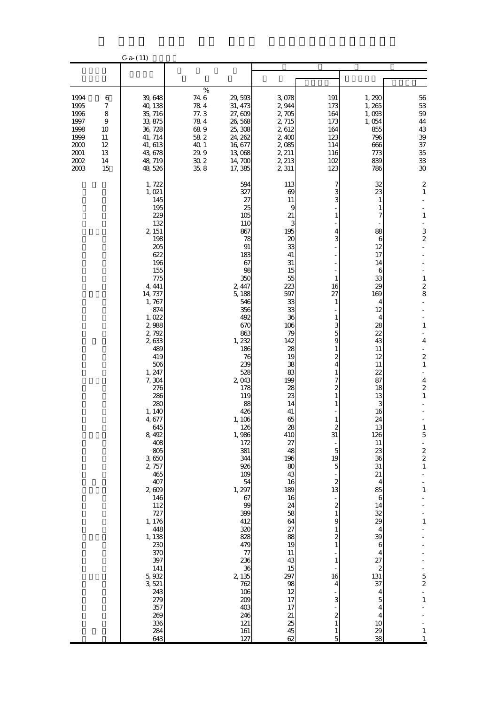|                                                                              |                                                                                    | $C-a- (11)$                                                                                                                                                                                                                                                                                                                                                                                                                                                                     |                                                                                                                                                                                                                                                                                                                                                                                                                                         |                                                                                                                                                                                                                                                                                                                                                                             |                                                                                                                                                                                                                                                                                                                                                                                                                                                            |                                                                                                                                                                                                                                                                                                                                                        |                                                                                                                                                                                                                                                                                                                                                                                         |
|------------------------------------------------------------------------------|------------------------------------------------------------------------------------|---------------------------------------------------------------------------------------------------------------------------------------------------------------------------------------------------------------------------------------------------------------------------------------------------------------------------------------------------------------------------------------------------------------------------------------------------------------------------------|-----------------------------------------------------------------------------------------------------------------------------------------------------------------------------------------------------------------------------------------------------------------------------------------------------------------------------------------------------------------------------------------------------------------------------------------|-----------------------------------------------------------------------------------------------------------------------------------------------------------------------------------------------------------------------------------------------------------------------------------------------------------------------------------------------------------------------------|------------------------------------------------------------------------------------------------------------------------------------------------------------------------------------------------------------------------------------------------------------------------------------------------------------------------------------------------------------------------------------------------------------------------------------------------------------|--------------------------------------------------------------------------------------------------------------------------------------------------------------------------------------------------------------------------------------------------------------------------------------------------------------------------------------------------------|-----------------------------------------------------------------------------------------------------------------------------------------------------------------------------------------------------------------------------------------------------------------------------------------------------------------------------------------------------------------------------------------|
|                                                                              |                                                                                    |                                                                                                                                                                                                                                                                                                                                                                                                                                                                                 |                                                                                                                                                                                                                                                                                                                                                                                                                                         |                                                                                                                                                                                                                                                                                                                                                                             |                                                                                                                                                                                                                                                                                                                                                                                                                                                            |                                                                                                                                                                                                                                                                                                                                                        |                                                                                                                                                                                                                                                                                                                                                                                         |
| 1994<br>1995<br>1996<br>1997<br>1998<br>1999<br>2000<br>2001<br>2002<br>2003 | 6<br>$\boldsymbol{7}$<br>8<br>$\boldsymbol{9}$<br>10<br>11<br>12<br>13<br>14<br>15 | 39, 648<br>40, 138<br>35, 716<br>33, 875<br>36, 728<br>41, 714<br>41, 613<br>43,678<br>48, 719<br>48,526                                                                                                                                                                                                                                                                                                                                                                        | $\%$<br>74 6<br>29, 593<br>784<br>31, 473<br>77.3<br>27,609<br>784<br>26,568<br>689<br>25, 308<br>58 2<br>24, 262<br>40.1<br>16,677<br>29.9<br>13,068<br>$30\;2$<br>14,700<br>35, 8<br>17,385                                                                                                                                                                                                                                           | 3,078<br>2,944<br>2,705<br>2, 715<br>2,612<br>2,400<br>2,085<br>2, 211<br>2, 213<br>2,311                                                                                                                                                                                                                                                                                   | 191<br>173<br>164<br>173<br>164<br>123<br>114<br>116<br>102<br>123                                                                                                                                                                                                                                                                                                                                                                                         | 1,290<br>1,265<br>1,093<br>1,054<br>855<br>796<br>666<br>773<br>839<br>786                                                                                                                                                                                                                                                                             | 56<br>$5\!3$<br>$5\!9$<br>$44\,$<br>43<br>39<br>37<br>35<br>$3\!$<br>30                                                                                                                                                                                                                                                                                                                 |
|                                                                              |                                                                                    | 1, 722<br>1, 021<br>145<br>195<br>229<br>132<br>2, 151<br>198<br>205<br>622<br>196<br>155<br>775<br>4, 441<br>14, 737<br>1,767<br>874<br>1,022<br>2,988<br>2,792<br>2,633<br>489<br>419<br>506<br>1, 247<br>7,304<br>276<br>286<br>280<br>1, 140<br>4,677<br>645<br>8,492<br>408<br>805<br>3,650<br>2, 757<br>465<br>407<br>2609<br>146<br>112<br>727<br>1, 176<br>448<br>1, 138<br>230<br>370<br>397<br>141<br>5,932<br>3,521<br>243<br>279<br>357<br>269<br>336<br>284<br>643 | 594<br>327<br>27<br>25<br>105<br>110<br>867<br>78<br>$91\,$<br>183<br>67<br>98<br>350<br>2, 447<br>5,188<br>546<br>356<br>492<br>670<br>863<br>1, 232<br>186<br>76<br>239<br>528<br>2,043<br>178<br>119<br>88<br>426<br>1, 106<br>126<br>1,986<br>172<br>381<br>344<br>926<br>109<br>54<br>1, 297<br>67<br>$99$<br>399<br>412<br>320<br>828<br>479<br>77<br>236<br>36<br>2, 135<br>762<br>106<br>209<br>403<br>246<br>121<br>161<br>127 | 113<br>69<br>11<br>9<br>21<br>3<br>195<br>20<br>33<br>41<br>31<br>15<br>55<br>223<br>597<br>33<br>33<br>36<br>106<br>79<br>142<br>28<br>19<br>38<br>83<br>199<br>28<br>23<br>14<br>41<br>65<br>28<br>410<br>27<br>48<br>196<br>80<br>43<br>16<br>189<br>16<br>24<br>58<br>64<br>27<br>88<br>19<br>$11\,$<br>43<br>15<br>297<br>98<br>12<br>17<br>17<br>21<br>25<br>45<br>62 | 7<br>3<br>3<br>1<br>4<br>3<br>$\mathbf{1}$<br>16<br>27<br>1<br>1<br>3<br>5<br>9<br>1<br>2<br>4<br>1<br>7<br>2<br>1<br>1<br>$\overline{c}$<br>31<br>$\overline{\phantom{a}}$<br>$\overline{5}$<br>19<br>5<br>$\boldsymbol{2}$<br>13<br>÷<br>$\overline{\mathcal{Z}}$<br>$\,1$<br>9<br>$\mathbf{1}$<br>$\overline{\mathbf{c}}$<br>$\mathbf{1}$<br>$\mathbf{1}$<br>16<br>$\overline{4}$<br>3<br>$\overline{\mathcal{Z}}$<br>$\mathbf{1}$<br>$\mathbf{1}$<br>5 | 32<br>23<br>1<br>1<br>7<br>88<br>6<br>12<br>17<br>14<br>6<br>33<br>29<br>169<br>4<br>12<br>4<br>28<br>22<br>43<br>11<br>12<br>11<br>22<br>87<br>18<br>13<br>3<br>16<br>24<br>13<br>126<br>11<br>23<br>36<br>31<br>21<br>$\overline{4}$<br>85<br>6<br>14<br>32<br>29<br>4<br>39<br>6<br>4<br>27<br>2<br>131<br>37<br>4<br>5<br>4<br>4<br>10<br>29<br>38 | $\mathbf 2$<br>$\mathbf{1}$<br>$\mathbf{1}$<br>3<br>$\overline{\mathcal{Z}}$<br>$\,1\,$<br>$\overline{\mathbf{c}}$<br>8<br>$\,1\,$<br>$\overline{\mathbf{4}}$<br>$\blacksquare$<br>$\boldsymbol{z}$<br>$\,1$<br>4<br>$\boldsymbol{z}$<br>$\mathbf{1}$<br>$\mathbf{1}$<br>5<br>÷,<br>$\frac{2}{2}$<br>$\,1\,$<br>1<br>$\,1$<br>$\frac{5}{2}$<br>$\frac{1}{1}$<br>$\,1\,$<br>$\mathbf{1}$ |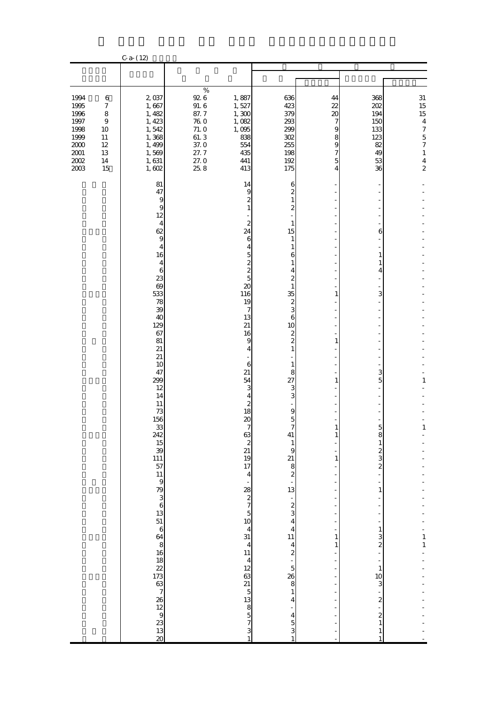|                                                                                          |                                                                                              | $C-a- (12)$                                                                                                                                                                                                                                                                          |                                                                                            |                                                                                                                                                                                                                                                                                                                                                                                                                                                                                   |                                                                                                                                                                                                                                                                                                                                                                                                                                             |                                                                  |                                                                                                                                                                                                                                  |                                                                                                                                             |
|------------------------------------------------------------------------------------------|----------------------------------------------------------------------------------------------|--------------------------------------------------------------------------------------------------------------------------------------------------------------------------------------------------------------------------------------------------------------------------------------|--------------------------------------------------------------------------------------------|-----------------------------------------------------------------------------------------------------------------------------------------------------------------------------------------------------------------------------------------------------------------------------------------------------------------------------------------------------------------------------------------------------------------------------------------------------------------------------------|---------------------------------------------------------------------------------------------------------------------------------------------------------------------------------------------------------------------------------------------------------------------------------------------------------------------------------------------------------------------------------------------------------------------------------------------|------------------------------------------------------------------|----------------------------------------------------------------------------------------------------------------------------------------------------------------------------------------------------------------------------------|---------------------------------------------------------------------------------------------------------------------------------------------|
|                                                                                          |                                                                                              |                                                                                                                                                                                                                                                                                      |                                                                                            |                                                                                                                                                                                                                                                                                                                                                                                                                                                                                   |                                                                                                                                                                                                                                                                                                                                                                                                                                             |                                                                  |                                                                                                                                                                                                                                  |                                                                                                                                             |
| 1994<br>1995<br>1996<br>1997<br>1998<br>1999<br>$2000\,$<br>$2001\,$<br>$2002\,$<br>2003 | 6<br>$\boldsymbol{7}$<br>$\,8\,$<br>$\boldsymbol{9}$<br>10<br>$11\,$<br>12<br>13<br>14<br>15 | 2,037<br>1,667<br>1, 482<br>1, 423<br>1,542<br>1,368<br>1, 499<br>1,569<br>1,631<br>1,602                                                                                                                                                                                            | $\%$<br>92 6<br>91.6<br>87.7<br><b>760</b><br>71.0<br>61.3<br>37.0<br>27.7<br>27.0<br>25.8 | 1,887<br>1,527<br>1,300<br>1,082<br>1,095<br>838<br>554<br>435<br>441<br>413                                                                                                                                                                                                                                                                                                                                                                                                      | 636<br>423<br>379<br>293<br>299<br>$302\,$<br>255<br>198<br>192<br>175                                                                                                                                                                                                                                                                                                                                                                      | 44<br>22<br>20<br>7<br>9<br>8<br>9<br>7<br>5<br>4                | 368<br>202<br>194<br>150<br>133<br>123<br>82<br>49<br>53<br>36                                                                                                                                                                   | $31\,$<br>15<br>15<br>$\overline{4}$<br>$\boldsymbol{7}$<br>$\overline{5}$<br>$\boldsymbol{7}$<br>$\mathbf{1}$<br>$\bf 4$<br>$\overline{c}$ |
|                                                                                          |                                                                                              | 81<br>47<br>9<br>9<br>12<br>$\overline{4}$<br>62<br>$\overline{9}$<br>$\overline{4}$<br>16<br>4<br>$\boldsymbol{6}$<br>23<br>69<br>533<br>78<br>39<br>40<br>129<br>67<br>81<br>21<br>$21\,$<br>10<br>47<br>299<br>12<br>14<br>11<br>73<br>156<br>$\frac{33}{242}$<br>$\frac{15}{39}$ |                                                                                            | 14<br>9<br>$\overline{\mathcal{Z}}$<br>$\mathbf{1}$<br>$\boldsymbol{z}$<br>24<br>6<br>4<br>5<br>$\begin{array}{c} 2 \\ 2 \\ 5 \end{array}$<br>$\boldsymbol{\mathsf{20}}$<br>116<br>19<br>7<br>13<br>21<br>16<br>9<br>4<br>6<br>21<br>54<br>3<br>4<br>$\boldsymbol{z}$<br>18<br>$20\,$<br>7<br>$rac{63}{21}$<br>$rac{21}{17}$<br>$\overline{\mathbf{4}}$<br>$\overline{\phantom{0}}$<br>$28$<br>$27$<br>$5$<br>$10$<br>$4$<br>31<br>$\overline{4}$<br>11 4 12 63 21 5 13 8 5 7 3 1 | 6<br>$\boldsymbol{z}$<br>$\mathbf{1}$<br>$\overline{\mathcal{Z}}$<br>1<br>15<br>1<br>1<br>6<br>1<br>4<br>$\boldsymbol{z}$<br>1<br>35<br>$\frac{2}{3}$<br>$\,$ 6 $\,$<br>10<br>$\frac{2}{2}$<br>$\mathbf{1}$<br>$\mathbf{1}$<br>8<br>27<br>3<br>3<br>9<br>$\frac{5}{7}$<br>41<br>$\mathbf{1}$<br>$\overline{9}$<br>21 8 2 - 13 - 2 3 4 4 4 11 4 2 - 5 26 8<br>$\,1$<br>$\overline{\mathbf{r}}$<br>$\begin{array}{c} 4 \\ 5 \\ 3 \end{array}$ | 1<br>1<br>1<br>1<br>$\mathbf{1}$<br>-<br>1<br>$\mathbf{1}$<br>Ē, | 6<br>1<br>1<br>4<br>3<br>3<br>5<br>8<br>$\,1$<br>$\sim$ $\sim$ $\infty$ $\infty$<br>$\mathbf{1}$<br>$\,1\,$<br>$\frac{3}{2}$<br>$\overline{\phantom{a}}$<br>$\mathbf{1}$<br>10<br>3<br>$\sim$ $\sim$ $\sim$ $\sim$<br>$\,1$<br>1 | 1<br>$\begin{array}{c} 1 \\ 1 \end{array}$                                                                                                  |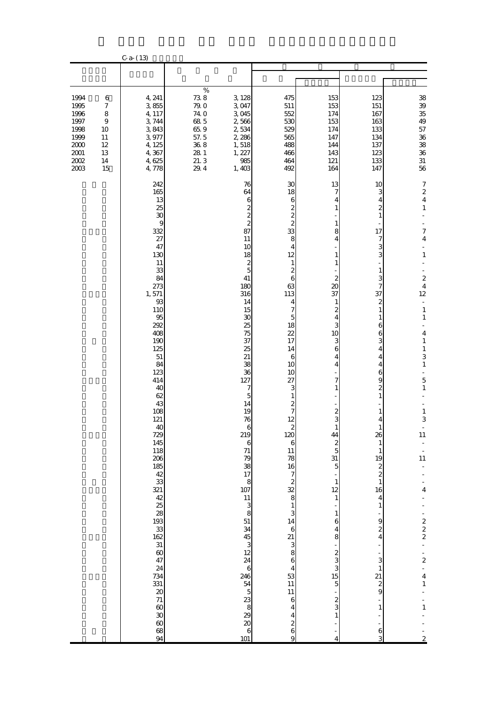|                                                                                          |                                                                                    | $C - a - (13)$                                                                                                                                                                                                                                                                                                                                                                                                                                                                    |                                                                                     |                                                                                                                                                                                                                                                                                                                                                                                                                                                         |                                                                                                                                                                                                                                                                                                                                                                                                                                                                                                                                                                                                                                                                             |                                                                                                                                                                                                                                                                                                                                                                                     |                                                                                                                                                                                                                                                                                                                                                                                                                                                                                                                                  |                                                                                                                                                                                                                                                                                                                                                                                                                                                                                                                                                                                                     |
|------------------------------------------------------------------------------------------|------------------------------------------------------------------------------------|-----------------------------------------------------------------------------------------------------------------------------------------------------------------------------------------------------------------------------------------------------------------------------------------------------------------------------------------------------------------------------------------------------------------------------------------------------------------------------------|-------------------------------------------------------------------------------------|---------------------------------------------------------------------------------------------------------------------------------------------------------------------------------------------------------------------------------------------------------------------------------------------------------------------------------------------------------------------------------------------------------------------------------------------------------|-----------------------------------------------------------------------------------------------------------------------------------------------------------------------------------------------------------------------------------------------------------------------------------------------------------------------------------------------------------------------------------------------------------------------------------------------------------------------------------------------------------------------------------------------------------------------------------------------------------------------------------------------------------------------------|-------------------------------------------------------------------------------------------------------------------------------------------------------------------------------------------------------------------------------------------------------------------------------------------------------------------------------------------------------------------------------------|----------------------------------------------------------------------------------------------------------------------------------------------------------------------------------------------------------------------------------------------------------------------------------------------------------------------------------------------------------------------------------------------------------------------------------------------------------------------------------------------------------------------------------|-----------------------------------------------------------------------------------------------------------------------------------------------------------------------------------------------------------------------------------------------------------------------------------------------------------------------------------------------------------------------------------------------------------------------------------------------------------------------------------------------------------------------------------------------------------------------------------------------------|
|                                                                                          |                                                                                    |                                                                                                                                                                                                                                                                                                                                                                                                                                                                                   |                                                                                     |                                                                                                                                                                                                                                                                                                                                                                                                                                                         |                                                                                                                                                                                                                                                                                                                                                                                                                                                                                                                                                                                                                                                                             |                                                                                                                                                                                                                                                                                                                                                                                     |                                                                                                                                                                                                                                                                                                                                                                                                                                                                                                                                  |                                                                                                                                                                                                                                                                                                                                                                                                                                                                                                                                                                                                     |
| 1994<br>1995<br>1996<br>1997<br>1998<br>1999<br>$2000\,$<br>$2001\,$<br>$2002\,$<br>2003 | 6<br>$\boldsymbol{7}$<br>8<br>$\boldsymbol{9}$<br>10<br>11<br>12<br>13<br>14<br>15 | 4, 241<br>3,855<br>4, 117<br>3,744<br>3,843<br>3,977<br>4, 125<br>4,367<br>4,625<br>4,778                                                                                                                                                                                                                                                                                                                                                                                         | $\%$<br>738<br>79.0<br>74.0<br>68 5<br>65.9<br>57.5<br>36.8<br>28 1<br>21.3<br>29.4 | 3, 128<br>3,047<br>3,045<br>2,566<br>2,534<br>2,286<br>1,518<br>1, 227<br>985<br>1,403                                                                                                                                                                                                                                                                                                                                                                  | 475<br>511<br>552<br>530<br>529<br>565<br>488<br>466<br>464<br>492                                                                                                                                                                                                                                                                                                                                                                                                                                                                                                                                                                                                          | 153<br>153<br>174<br>153<br>174<br>147<br>144<br>143<br>121<br>164                                                                                                                                                                                                                                                                                                                  | 123<br>151<br>167<br>163<br>133<br>134<br>137<br>123<br>133<br>147                                                                                                                                                                                                                                                                                                                                                                                                                                                               | 38<br>39<br>35<br>49<br>57<br>$36\,$<br>${\bf 38}$<br>$36\,$<br>$31\,$<br>56                                                                                                                                                                                                                                                                                                                                                                                                                                                                                                                        |
|                                                                                          |                                                                                    | 242<br>165<br>13<br>25<br>30<br>$\overline{9}$<br>332<br>27<br>47<br>130<br>11<br>33<br>84<br>273<br>1,571<br>93<br>110<br>95<br>292<br>408<br>190<br>125<br>$51\,$<br>84<br>123<br>414<br>40<br>62<br>43<br>108<br>121<br>40<br>729<br>145<br>118<br>206<br>185<br>$\frac{42}{33}$<br>321<br>$\frac{1}{2}$<br>38<br>38<br>38<br>$\frac{33}{162}$<br>$\frac{31}{60}$<br>24<br>734<br>331<br>$\pmb{20}$<br>$71$<br>$\begin{array}{c} 60 \\ 30 \end{array}$<br>$\infty$<br>68<br>94 |                                                                                     | 76<br>64<br>6<br>$\frac{2}{2}$<br>87<br>11<br>10<br>18<br>$rac{2}{5}$<br>41<br>180<br>316<br>14<br>15<br>30<br>25<br>75<br>37<br>25<br>21<br>38<br>36<br>127<br>7<br>5<br>14<br>19<br>76<br>6<br>219<br>$\boldsymbol{6}$<br>71<br>79<br>38<br>17<br>$\frac{8}{107}$<br>$\begin{array}{c} 11 \\ 3 \\ 8 \end{array}$<br>$51\,$<br>34<br>45 $\overline{3}$ 32<br>24<br>$\mathbf 6$<br>246<br>54 56 56 56 56 56<br>$\begin{bmatrix} 6 \\ 101 \end{bmatrix}$ | 30<br>18<br>6<br>$\overline{\mathcal{L}}$<br>$\frac{2}{2}$<br>33<br>8<br>$\overline{4}$<br>12<br>$\mathbf{1}$<br>$\boldsymbol{z}$<br>6<br>63<br>113<br>4<br>$\overline{7}$<br>$\overline{5}$<br>18<br>22<br>17<br>14<br>6<br>10<br>10<br>27<br>3<br>$\mathbf{1}$<br>$\overline{\mathcal{Z}}$<br>$\overline{7}$<br>12<br>$\overline{\mathcal{L}}$<br>120<br>$\overline{6}$<br>$\frac{11}{78}$<br>$\frac{16}{7}$ $\frac{7}{8}$ $\frac{2}{8}$<br>$\begin{array}{c} 1 \\ 3 \\ 14 \end{array}$<br>$\begin{array}{c} 6 \\ 8 \\ 8 \end{array}$<br>$\overline{4}$<br>53<br>11<br>11<br>$\boldsymbol{6}$<br>$\overline{\mathbf{4}}$<br>$\overline{\mathbf{r}}$<br>$\frac{2}{6}$<br>9 | 13<br>7<br>4<br>1<br>1<br>8<br>4<br>1<br>$\mathbf{1}$<br>$\mathbf{z}$<br>20<br>37<br>$\mathbf{1}$<br>$\overline{\mathcal{Z}}$<br>4<br>3<br>10<br>3<br>6<br>4<br>4<br>7<br>1<br>$\overline{\mathcal{Z}}$<br>3<br>44<br>$\boldsymbol{z}$<br>$\overline{5}$<br>31<br>5<br>$\mathbf{1}$<br>12<br>$1\,$<br>$\,1$<br>6<br>4<br>8<br>$\frac{2}{3}$<br>$\frac{15}{5}$<br>$\frac{2}{3}$<br>4 | 10<br>3<br>4<br>$\boldsymbol{z}$<br>$\mathbf{1}$<br>17<br>7<br>3<br>3<br>$\mathbf{1}$<br>3<br>7<br>37<br>$\boldsymbol{z}$<br>1<br>1<br>6<br>6<br>3<br>$\overline{4}$<br>4<br>4<br>6<br>9<br>$\boldsymbol{z}$<br>$\mathbf{1}$<br>$\mathbf{1}$<br>$\overline{4}$<br>26<br>$\mathbf{1}$<br>1<br>19<br>$\boldsymbol{z}$<br>$\overline{\mathcal{L}}$<br>$\mathbf{1}$<br>16<br>$\overline{4}$<br>$\mathbf{1}$<br>9<br>$\boldsymbol{z}$<br>4<br>3<br>$\mathbf{1}$<br>21<br>$\boldsymbol{z}$<br>$\overline{9}$<br>$\mathbf{1}$<br>6<br>3 | $\boldsymbol{7}$<br>$\overline{\mathcal{L}}$<br>$\overline{4}$<br>$\mathbf{1}$<br>$\overline{7}$<br>$\overline{4}$<br>$\blacksquare$<br>$\,1\,$<br>$\frac{1}{2}$<br>$\overline{\mathcal{L}}$<br>$\overline{\mathbf{4}}$<br>12<br>$\Box$<br>$\,1\,$<br>$\,1\,$<br>$\blacksquare$<br>$\overline{4}$<br>$\,1\,$<br>$\,1\,$<br>3<br>$\mathbf{1}$<br>5<br>$\,1\,$<br>$\,1\,$<br>3<br>$\overline{\phantom{a}}$<br>11<br>$\begin{array}{c} \frac{1}{2} \\ 11 \end{array}$<br>$\overline{\mathbf{4}}$<br>$\begin{array}{c} 2 \\ 2 \\ 2 \end{array}$<br>÷,<br>$2 - 4$<br>4<br>1<br>$\,1\,$<br>$\overline{c}$ |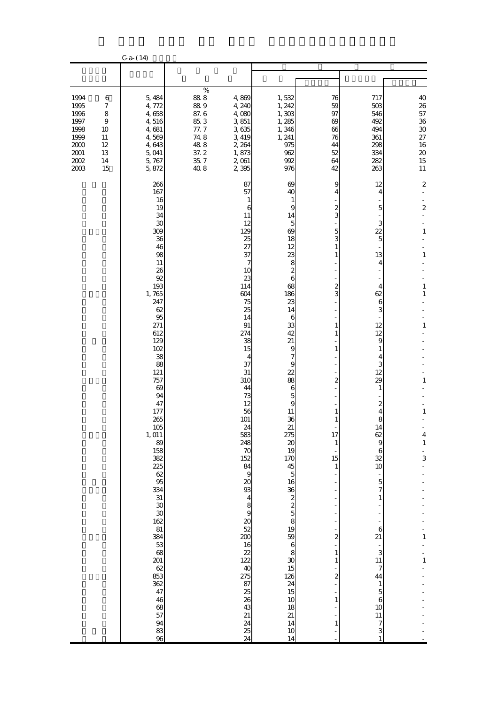|                                                                                          |                                                                                    | $C - a - (14)$                                                                                                                                                                                                                                                                                                                                                                                                   |                                                                                    |                                                                                                                                                                                                                                                                                                                                                                                                                                                                 |                                                                                                                                                                                                                                                                                                                                                                                                                                                                                                                                         |                                                                                                                                                                                                                                                                                          |                                                                                                                                                                                                                                                                                                                                                                                                        |                                                                                                                                                                                                                                            |
|------------------------------------------------------------------------------------------|------------------------------------------------------------------------------------|------------------------------------------------------------------------------------------------------------------------------------------------------------------------------------------------------------------------------------------------------------------------------------------------------------------------------------------------------------------------------------------------------------------|------------------------------------------------------------------------------------|-----------------------------------------------------------------------------------------------------------------------------------------------------------------------------------------------------------------------------------------------------------------------------------------------------------------------------------------------------------------------------------------------------------------------------------------------------------------|-----------------------------------------------------------------------------------------------------------------------------------------------------------------------------------------------------------------------------------------------------------------------------------------------------------------------------------------------------------------------------------------------------------------------------------------------------------------------------------------------------------------------------------------|------------------------------------------------------------------------------------------------------------------------------------------------------------------------------------------------------------------------------------------------------------------------------------------|--------------------------------------------------------------------------------------------------------------------------------------------------------------------------------------------------------------------------------------------------------------------------------------------------------------------------------------------------------------------------------------------------------|--------------------------------------------------------------------------------------------------------------------------------------------------------------------------------------------------------------------------------------------|
|                                                                                          |                                                                                    |                                                                                                                                                                                                                                                                                                                                                                                                                  |                                                                                    |                                                                                                                                                                                                                                                                                                                                                                                                                                                                 |                                                                                                                                                                                                                                                                                                                                                                                                                                                                                                                                         |                                                                                                                                                                                                                                                                                          |                                                                                                                                                                                                                                                                                                                                                                                                        |                                                                                                                                                                                                                                            |
| 1994<br>1995<br>1996<br>1997<br>1998<br>1999<br>$2000\,$<br>$2001\,$<br>$2002\,$<br>2003 | 6<br>$\boldsymbol{7}$<br>8<br>$\boldsymbol{9}$<br>10<br>11<br>12<br>13<br>14<br>15 | 5,484<br>4,772<br>4,658<br>4,516<br>4,681<br>4,569<br>4,643<br>5,041<br>5,767<br>5,872                                                                                                                                                                                                                                                                                                                           | $\%$<br>888<br>889<br>87.6<br>85.3<br>77.7<br>74.8<br>488<br>37.2<br>35, 7<br>40.8 | 4,869<br>4, 240<br>4,080<br>3,851<br>3,635<br>3, 419<br>2, 264<br>1,873<br>2,061<br>2 3 9 5                                                                                                                                                                                                                                                                                                                                                                     | 1,532<br>1, 242<br>1,303<br>1,285<br>1,346<br>1, 241<br>975<br>962<br>992<br>976                                                                                                                                                                                                                                                                                                                                                                                                                                                        | 76<br>59<br>97<br>69<br>66<br>76<br>44<br>52<br>64<br>42                                                                                                                                                                                                                                 | 717<br>503<br>546<br>492<br>494<br>361<br>298<br>334<br>282<br>263                                                                                                                                                                                                                                                                                                                                     | 40<br>$26\,$<br>57<br>$3\!6$<br>$\rm 30$<br>$27\,$<br>16<br>$20\,$<br>15<br>11                                                                                                                                                             |
|                                                                                          |                                                                                    | 266<br>167<br>16<br>19<br>34<br>30<br>309<br>36<br>46<br>98<br>11<br>26<br>92<br>193<br>1,765<br>247<br>62<br>95<br>271<br>612<br>129<br>102<br>38<br>88<br>121<br>757<br>69<br>94<br>47<br>177<br>265<br>$\frac{105}{1,011}$<br>89<br>158<br>382<br>225<br>62<br>95<br>334<br>$31\,$<br>30<br>$\infty$<br>162<br>$81\,$<br>384<br>53<br>68<br>201<br>62<br>853<br>362<br>47<br>46<br>68<br>57<br>94<br>83<br>96 |                                                                                    | 87<br>57<br>$\mathbf{1}$<br>6<br>11<br>12<br>129<br>25<br>27<br>37<br>7<br>10<br>23<br>114<br>604<br>75<br>25<br>14<br>91<br>274<br>38<br>15<br>4<br>37<br>31<br>310<br>44<br>73<br>12<br>56<br>101<br>$\frac{24}{583}$<br>248<br>70<br>152<br>84<br>$\overline{9}$<br>20<br>93<br>$\begin{array}{c} 4 \\ 8 \\ 9 \end{array}$<br>$\begin{array}{c} 20 \\ 52 \end{array}$<br>200<br>$\frac{16}{22}$<br>40<br>275<br>87<br>25<br>26<br>43<br>21<br>24<br>25<br>24 | 69<br>40<br>$\mathbf{1}$<br>9<br>14<br>5<br>69<br>18<br>12<br>23<br>8<br>$\overline{\mathcal{L}}$<br>6<br>68<br>186<br>23<br>14<br>6<br>33<br>42<br>21<br>$\boldsymbol{9}$<br>$\overline{\phantom{a}}$<br>9<br>22<br>88<br>$\boldsymbol{6}$<br>$\frac{5}{9}$<br>11<br>36<br>$\frac{21}{275}$<br>$\infty$<br>19<br>170<br>$\begin{array}{c} 45 \\ 5 \end{array}$<br>16<br>$\frac{36}{19}$ & $\frac{2}{5}$ & $\frac{2}{5}$<br>59<br>$\boldsymbol{6}$<br>8<br>$\infty$<br>15<br>126<br>$\frac{24}{15}$<br>10<br>18<br>21<br>14<br>10<br>14 | 9<br>4<br>$\overline{\mathcal{Z}}$<br>3<br>5<br>3<br>$\mathbf{1}$<br>1<br>2<br>3<br>1<br>1<br>1<br>$\overline{c}$<br>1<br>$\mathbf{1}$<br>17<br>$\mathbf{1}$<br>15<br>$\mathbf{1}$<br>$\overline{\mathbf{c}}$<br>$\,1$<br>$\mathbf{1}$<br>$\overline{c}$<br>$\mathbf{1}$<br>$\mathbf{1}$ | 12<br>4<br>$\overline{5}$<br>3<br>$\overline{22}$<br>$\overline{5}$<br>13<br>4<br>4<br>62<br>6<br>3<br>12<br>12<br>9<br>1<br>4<br>3<br>12<br>29<br>1<br>$\boldsymbol{z}$<br>$\overline{4}$<br>8<br>14<br>62<br>$\overline{9}$<br>6<br>32<br>10<br>$\overline{5}$<br>7<br>$\mathbf{1}$<br>$\boldsymbol{6}$<br>21<br>3<br>11<br>7<br>44<br>1<br>$\overline{5}$<br>$\boldsymbol{6}$<br>10<br>11<br>7<br>3 | $\mathbf 2$<br>$\overline{\mathcal{L}}$<br>$\frac{1}{2}$<br>$\mathbf{1}$<br>$\,1\,$<br>$\mathbf{1}$<br>$\mathbf{1}$<br>$\,1\,$<br>1<br>$\,1\,$<br>$\overline{\mathcal{L}}$<br>$\mathbf 1$<br>$\frac{1}{3}$<br>L,<br>$\mathbf 1$<br>$\,1\,$ |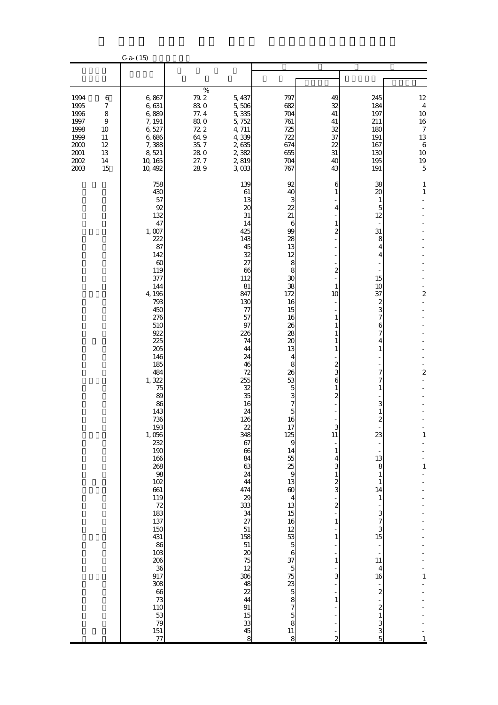|                                                                                          |                                                                                    | $C - a - (15)$                                                                                                                                                                                                                                                                                                                                                                                                                                                     |                                                                                    |                                                                                                                                                                                                                                                                                                                                                                                                          |                                                                                                                                                                                                                                                                                                                                                                                                             |                                                                                                                                                                                                                                                                                                                                                                           |                                                                                                                                                                                                                                                                                                                                                                                                                                                                                                      |                                                                                                                      |
|------------------------------------------------------------------------------------------|------------------------------------------------------------------------------------|--------------------------------------------------------------------------------------------------------------------------------------------------------------------------------------------------------------------------------------------------------------------------------------------------------------------------------------------------------------------------------------------------------------------------------------------------------------------|------------------------------------------------------------------------------------|----------------------------------------------------------------------------------------------------------------------------------------------------------------------------------------------------------------------------------------------------------------------------------------------------------------------------------------------------------------------------------------------------------|-------------------------------------------------------------------------------------------------------------------------------------------------------------------------------------------------------------------------------------------------------------------------------------------------------------------------------------------------------------------------------------------------------------|---------------------------------------------------------------------------------------------------------------------------------------------------------------------------------------------------------------------------------------------------------------------------------------------------------------------------------------------------------------------------|------------------------------------------------------------------------------------------------------------------------------------------------------------------------------------------------------------------------------------------------------------------------------------------------------------------------------------------------------------------------------------------------------------------------------------------------------------------------------------------------------|----------------------------------------------------------------------------------------------------------------------|
|                                                                                          |                                                                                    |                                                                                                                                                                                                                                                                                                                                                                                                                                                                    |                                                                                    |                                                                                                                                                                                                                                                                                                                                                                                                          |                                                                                                                                                                                                                                                                                                                                                                                                             |                                                                                                                                                                                                                                                                                                                                                                           |                                                                                                                                                                                                                                                                                                                                                                                                                                                                                                      |                                                                                                                      |
| 1994<br>1995<br>1996<br>1997<br>1998<br>1999<br>$2000\,$<br>$2001\,$<br>$2002\,$<br>2003 | 6<br>$\boldsymbol{7}$<br>8<br>$\boldsymbol{9}$<br>10<br>11<br>12<br>13<br>14<br>15 | 6,867<br>6,631<br>6,889<br>7, 191<br>6,527<br>6,686<br>7,388<br>8,521<br>10, 165<br>10, 492                                                                                                                                                                                                                                                                                                                                                                        | $\%$<br>79.2<br>830<br>77.4<br>80.0<br>72.2<br>64.9<br>35.7<br>28.0<br>27.7<br>289 | 5, 437<br>5,506<br>5,335<br>5,752<br>4,711<br>4,339<br>2,635<br>2,382<br>2,819<br>3,033                                                                                                                                                                                                                                                                                                                  | 797<br>682<br>704<br>761<br>725<br>722<br>674<br>655<br>704<br>767                                                                                                                                                                                                                                                                                                                                          | 49<br>32<br>41<br>41<br>32<br>37<br>22<br>31<br>40<br>43                                                                                                                                                                                                                                                                                                                  | 245<br>184<br>197<br>211<br>180<br>191<br>167<br>130<br>195<br>191                                                                                                                                                                                                                                                                                                                                                                                                                                   | $12\,$<br>$\overline{4}$<br>$10$<br>16<br>$\boldsymbol{7}$<br>13<br>$\,6$<br>$10$<br>$19\,$<br>5                     |
|                                                                                          |                                                                                    | 758<br>430<br>57<br>92<br>132<br>47<br>1,007<br>222<br>87<br>142<br>60<br>119<br>377<br>144<br>4, 196<br>793<br>450<br>276<br>510<br>922<br>225<br>205<br>146<br>185<br>484<br>1,322<br>75<br>89<br>86<br>143<br>736<br>193<br>$\frac{1,056}{232}$<br>190<br>166<br>268<br>98<br>102<br>661<br>119<br>$\frac{72}{183}$<br>137<br>150<br>431<br>86<br>$103$<br>206<br>36<br>917<br>$308\,$<br>66<br>73<br><b>110</b><br>53<br>79<br>151<br>$\overline{\mathcal{U}}$ |                                                                                    | 139<br>$61\,$<br>13<br>20<br>31<br>14<br>425<br>143<br>45<br>32<br>27<br>66<br>112<br>81<br>847<br>130<br>77<br>57<br>97<br>226<br>74<br>44<br>24<br>46<br>72<br>255<br>32<br>35<br>16<br>24<br>126<br>22<br>348<br>67<br>66<br>84<br>63<br>24<br>44<br>474<br>29<br>333<br>34<br>27<br>51<br>158<br>51<br>$\boldsymbol{\alpha}$<br>75<br>12<br>306<br>48<br>22<br>44<br>$\rm 91$<br>15<br>33<br>45<br>8 | 92<br>40<br>3<br>22<br>21<br>6<br>99<br>28<br>13<br>12<br>8<br>8<br>30<br>38<br>172<br>16<br>15<br>16<br>26<br>28<br>$\infty$<br>13<br>$\overline{4}$<br>8<br>26<br>53<br>5375<br>16<br>17<br>$\frac{125}{9}$<br>14<br>$\begin{array}{c} 55 \\ 25 \\ 9 \end{array}$<br>13<br>$\begin{array}{c}\n\text{60} \\ 4\n\end{array}$<br>$\frac{13}{15}$<br>16<br><u>ន ១ ១ ១ ៦ ៦ ៦ ១ ១ ១ ១ ១ ១</u><br>$\frac{11}{8}$ | 6<br>$\mathbf{1}$<br>4<br>1<br>$\overline{c}$<br>$\overline{\mathcal{Z}}$<br>1<br>10<br>$\mathbf{1}$<br>1<br>1<br>1<br>1<br>$rac{2}{3}$<br>6<br>1<br>$\overline{\mathcal{Z}}$<br>$\equiv$<br>3<br>11<br>$\mathbf{1}$<br>$\overline{4}$<br>3<br>$\mathbf{1}$<br>$\frac{2}{3}$<br>$\frac{2}{1}$<br>$\mathbf{1}$<br>1<br>$\mathbf{1}$<br>3<br>$\mathbf{1}$<br>$\overline{c}$ | 38<br>20<br>1<br>5<br>12<br>31<br>8<br>4<br>4<br>15<br>10<br>37<br>$\boldsymbol{z}$<br>3<br>7<br>6<br>7<br>4<br>$\mathbf{1}$<br>$\overline{\phantom{a}}$<br>7<br>$\mathbf{1}$<br>3<br>$\mathbf{1}$<br>$\overline{\mathcal{Z}}$<br>23<br>$\overline{\phantom{a}}$<br>13<br>8<br>$\mathbf{1}$<br>$\mathbf{1}$<br>14<br>$\mathbf{1}$<br>3<br>$\overline{\phantom{a}}$<br>3<br>15<br>$\frac{1}{2}$<br>11<br>$\overline{4}$<br>16<br>$\overline{\mathcal{Z}}$<br>$\boldsymbol{z}$<br>$\,1$<br>3<br>3<br>5 | $\mathbf{1}$<br>$1\,$<br>$\overline{\mathbf{c}}$<br>$\boldsymbol{z}$<br>$\mathbf{1}$<br>$\,1\,$<br>$\mathbf{1}$<br>1 |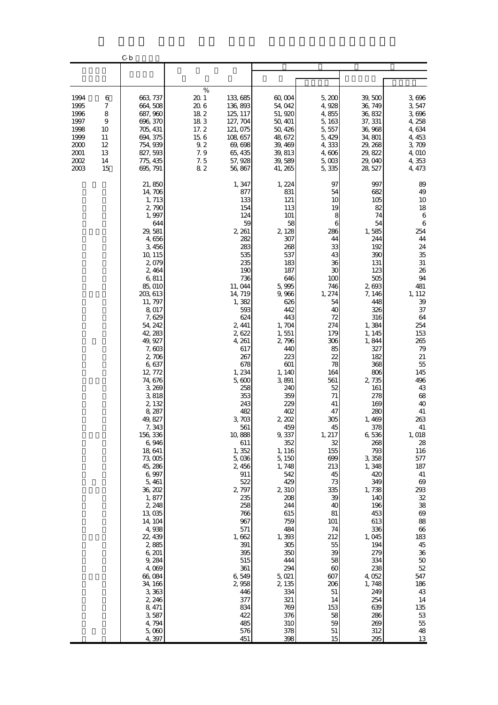|                                                                              |                                                      | C b                                                                                                                                                                                                                                                                                                                                                                                                                                                                                                                                                                                            |                                                                                  |                                                                                                                                                                                                                                                                                                                                                                                                                                                                            |                                                                                                                                                                                                                                                                                                                                                                                                                                                                    |                                                                                                                                                                                                                                                                                                                                                                                              |                                                                                                                                                                                                                                                                                                                                                                                                                                                        |                                                                                                                                                                                                                                                                                                                                                                                                                    |
|------------------------------------------------------------------------------|------------------------------------------------------|------------------------------------------------------------------------------------------------------------------------------------------------------------------------------------------------------------------------------------------------------------------------------------------------------------------------------------------------------------------------------------------------------------------------------------------------------------------------------------------------------------------------------------------------------------------------------------------------|----------------------------------------------------------------------------------|----------------------------------------------------------------------------------------------------------------------------------------------------------------------------------------------------------------------------------------------------------------------------------------------------------------------------------------------------------------------------------------------------------------------------------------------------------------------------|--------------------------------------------------------------------------------------------------------------------------------------------------------------------------------------------------------------------------------------------------------------------------------------------------------------------------------------------------------------------------------------------------------------------------------------------------------------------|----------------------------------------------------------------------------------------------------------------------------------------------------------------------------------------------------------------------------------------------------------------------------------------------------------------------------------------------------------------------------------------------|--------------------------------------------------------------------------------------------------------------------------------------------------------------------------------------------------------------------------------------------------------------------------------------------------------------------------------------------------------------------------------------------------------------------------------------------------------|--------------------------------------------------------------------------------------------------------------------------------------------------------------------------------------------------------------------------------------------------------------------------------------------------------------------------------------------------------------------------------------------------------------------|
|                                                                              |                                                      |                                                                                                                                                                                                                                                                                                                                                                                                                                                                                                                                                                                                |                                                                                  |                                                                                                                                                                                                                                                                                                                                                                                                                                                                            |                                                                                                                                                                                                                                                                                                                                                                                                                                                                    |                                                                                                                                                                                                                                                                                                                                                                                              |                                                                                                                                                                                                                                                                                                                                                                                                                                                        |                                                                                                                                                                                                                                                                                                                                                                                                                    |
| 1994<br>1995<br>1996<br>1997<br>1998<br>1999<br>2000<br>2001<br>2002<br>2003 | 6<br>7<br>8<br>9<br>10<br>11<br>12<br>13<br>14<br>15 | 663 737<br>664, 508<br>687, 960<br>696, 370<br>705, 431<br>694, 375<br>754, 939<br>827, 593<br>775, 435<br>695, 791                                                                                                                                                                                                                                                                                                                                                                                                                                                                            | %<br>$20\,1$<br>20.6<br>182<br>183<br>17.2<br>$15\ 6$<br>9.2<br>7.9<br>7.5<br>82 | 133,685<br>136, 893<br>125, 117<br>127, 704<br>121, 075<br>108, 657<br>69, 698<br>65, 435<br>57, 928<br>56, 867                                                                                                                                                                                                                                                                                                                                                            | 60,004<br>54,042<br>51, 920<br>50, 401<br>50, 426<br>48, 672<br>39, 469<br>39, 813<br>39,589<br>41, 265                                                                                                                                                                                                                                                                                                                                                            | 5,200<br>4,928<br>4,855<br>5, 163<br>5,557<br>5, 429<br>4,333<br>4,606<br>5,003<br>5,335                                                                                                                                                                                                                                                                                                     | 39, 500<br>36, 749<br>36, 832<br>37, 331<br>36,968<br>34,801<br>29, 268<br>29, 822<br>29,040<br>28, 527                                                                                                                                                                                                                                                                                                                                                | 3,696<br>3,547<br>3,696<br>4, 258<br>4,634<br>4, 453<br>3,709<br>4,010<br>4,353<br>4, 473                                                                                                                                                                                                                                                                                                                          |
|                                                                              |                                                      | 21,850<br>14,706<br>1, 713<br>2,790<br>1,997<br>644<br>29,581<br>4,656<br>3,456<br>10, 115<br>2,079<br>2, 464<br>6,811<br>85,010<br>203, 613<br>11, 797<br>8,017<br>7,629<br>54, 242<br>42, 283<br>49, 927<br>7,603<br>2,706<br>6,637<br>12, 772<br>74, 676<br>3,269<br>3,818<br>2, 132<br>8, 287<br>49, 827<br>7,343<br>156, 336<br>6,946<br>18,641<br>73,005<br>45, 286<br>6,997<br>5, 461<br>36, 202<br>1,877<br>2, 248<br>13,035<br>14, 104<br>4,938<br>22, 439<br>2,885<br>6, 201<br>9,284<br>4,009<br>66,084<br>34, 166<br>3,363<br>2, 246<br>8, 471<br>3,587<br>4,794<br>5,000<br>4,397 |                                                                                  | 1, 347<br>877<br>133<br>154<br>124<br>59<br>2, 261<br>282<br>283<br>535<br>235<br>190<br>736<br>11,044<br>14, 719<br>1,382<br>593<br>624<br>2, 441<br>2,622<br>4, 261<br>617<br>267<br>678<br>1,234<br>5,600<br>258<br>353<br>243<br>482<br>3,703<br>561<br>10,888<br>611<br>1,352<br>5,036<br>2,456<br>911<br>522<br>2,797<br>235<br>258<br>766<br>967<br>571<br>1,662<br>391<br>395<br>515<br>$361\,$<br>6,549<br>2,958<br>446<br>377<br>834<br>422<br>485<br>576<br>451 | 1, 224<br>831<br>121<br>113<br>101<br>58<br>2,128<br>307<br>268<br>537<br>183<br>187<br>646<br>5,995<br>9,966<br>626<br>442<br>443<br>1,704<br>1,551<br>2,796<br>440<br>223<br>601<br>1, 140<br>3,891<br>240<br>359<br>229<br>402<br>2, 202<br>459<br>9,337<br>352<br>1, 116<br>5, 150<br>1,748<br>542<br>429<br>2,310<br>208<br>244<br>615<br>759<br>484<br>1,393<br>305<br>350<br>444<br>294<br>5,021<br>2, 135<br>334<br>321<br>769<br>376<br>310<br>378<br>398 | 97<br>54<br>10<br>19<br>8<br>6<br>286<br>44<br>33<br>43<br>36<br>30<br>100<br>746<br>1, 274<br>54<br>40<br>72<br>274<br>179<br>306<br>85<br>22<br>78<br>164<br>561<br>52<br>71<br>41<br>47<br>305<br>45<br>1, 217<br>32<br>155<br>699<br>213<br>45<br>73<br>335<br>39<br>40<br>81<br>101<br>74<br>212<br>55<br>39<br>58<br>$\infty$<br>607<br>206<br>51<br>14<br>153<br>58<br>59<br>51<br>15 | 997<br>682<br>105<br>82<br>74<br>54<br>1,585<br>244<br>192<br>390<br>131<br>123<br>505<br>2,693<br>7, 146<br>448<br>326<br>316<br>1,384<br>1, 145<br>1,844<br>327<br>182<br>368<br>806<br>2 735<br>161<br>278<br>169<br>280<br>1,469<br>378<br>6,536<br>268<br>793<br>3,358<br>1,348<br>420<br>349<br>1,738<br>140<br>196<br>453<br>613<br>336<br>1,045<br>194<br>279<br>334<br>238<br>4,052<br>1,748<br>249<br>254<br>639<br>286<br>269<br>312<br>295 | 89<br>49<br>10<br>18<br>$\boldsymbol{6}$<br>6<br>254<br>44<br>24<br>35<br>31<br>26<br>94<br>481<br>1, 112<br>39<br>37<br>64<br>254<br>153<br>265<br>79<br>$21\,$<br>55<br>145<br>496<br>43<br>68<br>40<br>41<br>263<br>41<br>1,018<br>28<br>116<br>577<br>187<br>41<br>69<br>293<br>32<br>38<br>69<br>88<br>66<br>183<br>45<br>$36\,$<br>$50\,$<br>52<br>547<br>186<br>43<br>14<br>135<br>$5\!3$<br>55<br>48<br>13 |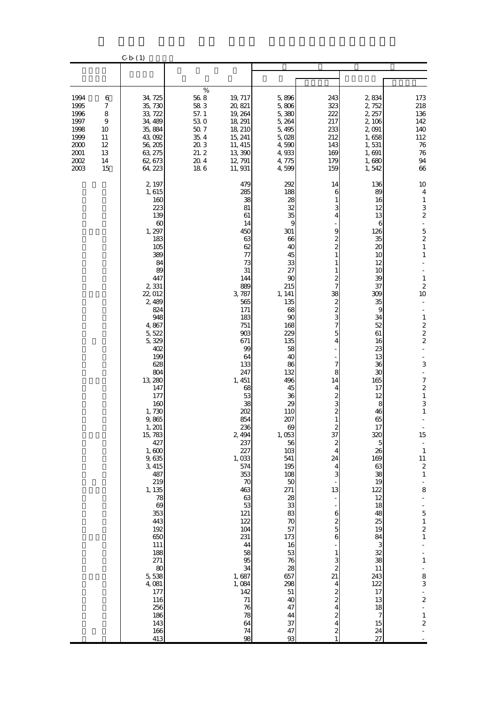|                                                                                  |                                                                     | $C-b(1)$                                                                                                                                                                                                                                                                                                                                                                                                                                                               |                                                                                            |                                                                                                                                                                                                                                                                                                                                                                                                                                 |                                                                                                                                                                                                                                                                                                                                                                                                                          |                                                                                                                                                                                                                                                                                                                                                                                                                                                                                                           |                                                                                                                                                                                                                                                                                                                                                                   |                                                                                                                                                                                                                                                                                                                                                                                                                                                                                                                                                                                                                                                                             |
|----------------------------------------------------------------------------------|---------------------------------------------------------------------|------------------------------------------------------------------------------------------------------------------------------------------------------------------------------------------------------------------------------------------------------------------------------------------------------------------------------------------------------------------------------------------------------------------------------------------------------------------------|--------------------------------------------------------------------------------------------|---------------------------------------------------------------------------------------------------------------------------------------------------------------------------------------------------------------------------------------------------------------------------------------------------------------------------------------------------------------------------------------------------------------------------------|--------------------------------------------------------------------------------------------------------------------------------------------------------------------------------------------------------------------------------------------------------------------------------------------------------------------------------------------------------------------------------------------------------------------------|-----------------------------------------------------------------------------------------------------------------------------------------------------------------------------------------------------------------------------------------------------------------------------------------------------------------------------------------------------------------------------------------------------------------------------------------------------------------------------------------------------------|-------------------------------------------------------------------------------------------------------------------------------------------------------------------------------------------------------------------------------------------------------------------------------------------------------------------------------------------------------------------|-----------------------------------------------------------------------------------------------------------------------------------------------------------------------------------------------------------------------------------------------------------------------------------------------------------------------------------------------------------------------------------------------------------------------------------------------------------------------------------------------------------------------------------------------------------------------------------------------------------------------------------------------------------------------------|
|                                                                                  |                                                                     |                                                                                                                                                                                                                                                                                                                                                                                                                                                                        |                                                                                            |                                                                                                                                                                                                                                                                                                                                                                                                                                 |                                                                                                                                                                                                                                                                                                                                                                                                                          |                                                                                                                                                                                                                                                                                                                                                                                                                                                                                                           |                                                                                                                                                                                                                                                                                                                                                                   |                                                                                                                                                                                                                                                                                                                                                                                                                                                                                                                                                                                                                                                                             |
| 1994<br>1995<br>1996<br>1997<br>1998<br>1999<br>2000<br>$2001\,$<br>2002<br>2003 | 6<br>$\boldsymbol{7}$<br>8<br>9<br>10<br>11<br>12<br>13<br>14<br>15 | 34, 725<br>35, 730<br>33, 722<br>34, 489<br>35, 884<br>43,092<br>56, 205<br>63, 275<br>62, 673<br>64, 223                                                                                                                                                                                                                                                                                                                                                              | $\%$<br>$56\ 8$<br>58 3<br>57.1<br>530<br>$50\ 7$<br>35.4<br>203<br>21.2<br>$20\ 4$<br>186 | 19, 717<br>20, 821<br>19, 264<br>18, 291<br>18, 210<br>15, 241<br>11, 415<br>13,390<br>12, 791<br>11, 931                                                                                                                                                                                                                                                                                                                       | 5,896<br>5,806<br>5,380<br>5,264<br>5,495<br>5,028<br>4,590<br>4,933<br>4,775<br>4,599                                                                                                                                                                                                                                                                                                                                   | 243<br>323<br>222<br>217<br>233<br>212<br>143<br>169<br>179<br>159                                                                                                                                                                                                                                                                                                                                                                                                                                        | 2,834<br>2,752<br>2, 257<br>2, 106<br>2,091<br>1,658<br>1,531<br>1,691<br>1,680<br>1,542                                                                                                                                                                                                                                                                          | 173<br>218<br>136<br>142<br>140<br>112<br>76<br>$76\,$<br>94<br>66                                                                                                                                                                                                                                                                                                                                                                                                                                                                                                                                                                                                          |
|                                                                                  |                                                                     | 2, 197<br>1,615<br>160<br>223<br>139<br>60<br>1, 297<br>183<br>105<br>389<br>84<br>89<br>447<br>2,331<br>22,012<br>2,489<br>824<br>948<br>4,867<br>5, 522<br>5,329<br>402<br>199<br>628<br>804<br>13, 280<br>147<br>177<br>160<br>1,730<br>9,865<br>1, 201<br>15, 783<br>427<br>1,600<br>9,635<br>3, 415<br>487<br>219<br>1, 135<br>78<br>69<br>353<br>443<br>192<br>650<br>111<br>188<br>271<br>80<br>5,538<br>4,081<br>177<br>116<br>256<br>186<br>143<br>166<br>413 |                                                                                            | 479<br>285<br>38<br>81<br>61<br>14<br>450<br>63<br>62<br>77<br>73<br>31<br>144<br>889<br>3,787<br>565<br>171<br>183<br>751<br>903<br>671<br>99<br>64<br>133<br>247<br>1, 451<br>68<br>53<br>38<br>202<br>854<br>236<br>2, 494<br>237<br>227<br>1,033<br>574<br>353<br>$\boldsymbol{70}$<br>463<br>63<br>53<br>121<br>122<br>104<br>231<br>44<br>58<br>95<br>34<br>1,687<br>1,084<br>142<br>71<br>76<br>78<br>64<br>$74\,$<br>98 | 292<br>188<br>28<br>32<br>35<br>$\overline{9}$<br>301<br>66<br>40<br>45<br>33<br>27<br>90<br>215<br>1, 141<br>135<br>68<br>90<br>168<br>229<br>135<br>58<br>40<br>86<br>132<br>496<br>45<br>36<br>29<br>110<br>207<br>69<br>1,053<br>56<br>103<br>541<br>195<br>108<br>$50\,$<br>271<br>$\frac{28}{33}$<br>83<br>70<br>57<br>173<br>16<br>53<br>76<br>28<br>657<br>298<br>$51\,$<br>40<br>47<br>44<br>$37\,$<br>47<br>93 | 14<br>6<br>3<br>4<br>9<br>$\overline{\mathcal{Z}}$<br>$\overline{\mathcal{Z}}$<br>7<br>38<br>$\frac{2}{3}$<br>7<br>5<br>4<br>$\overline{\mathcal{U}}$<br>8<br>14<br>4<br>2<br>3<br>$\overline{\mathcal{Z}}$<br>$\mathbf{1}$<br>$\frac{2}{37}$<br>$\boldsymbol{z}$<br>$\overline{4}$<br>24<br>$\overline{4}$<br>3<br>13<br>$\mathbf{6}$<br>$\frac{2}{5}$<br>6<br>$\mathbf{1}$<br>$\frac{3}{2}$<br>21<br>$\overline{4}$<br>$\frac{2}{2}$<br>$\overline{4}$<br>$\overline{\mathcal{Z}}$<br>4<br>$\mathbf{z}$ | 136<br>89<br>16<br>12<br>13<br>6<br>126<br>35<br>20<br>10<br>12<br>10<br>39<br>37<br>309<br>35<br>9<br>34<br>52<br>61<br>16<br>23<br>13<br>36<br>30<br>165<br>17<br>12<br>8<br>46<br>65<br>17<br>320<br>5<br>26<br>169<br>63<br>38<br>19<br>122<br>12<br>18<br>48<br>25<br>19<br>84<br>3<br>32<br>38<br>11<br>243<br>122<br>17<br>13<br>18<br>7<br>15<br>24<br>27 | 10<br>$\overline{4}$<br>$\mathbf{1}$<br>3<br>$\boldsymbol{2}$<br>$\blacksquare$<br>5<br>$\overline{\mathcal{L}}$<br>$\,1\,$<br>$\mathbf{1}$<br>$\,1\,$<br>$\overline{\mathbf{c}}$<br>10<br>$\mathbf{1}$<br>$\begin{array}{c} 2 \\ 2 \end{array}$<br>$\overline{\mathcal{Z}}$<br>3<br>$\blacksquare$<br>$\overline{\mathcal{I}}$<br>$\overline{\mathcal{L}}$<br>$\,1\,$<br>3<br>$\mathbf{1}$<br>$\overline{\phantom{a}}$<br>15<br>$\frac{1}{1}$<br>$11\,$<br>$\boldsymbol{2}$<br>$\,1\,$<br>÷,<br>8<br>$\blacksquare$<br>$\frac{1}{5}$<br>$\begin{array}{c} 1 \\ 2 \\ 1 \end{array}$<br>$\,1\,$<br>$\frac{8}{3}$<br>$\frac{1}{2}$<br>Ê,<br>$\,1$<br>$\overline{\mathcal{L}}$ |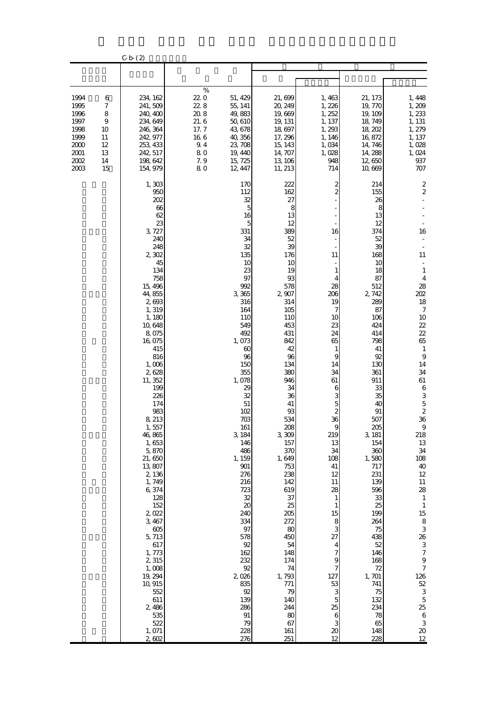|                                                                                  |                                                                     | $C-b(2)$                                                                                                                                                                                                                                                                                                                                                                                                                                                                                                        |                                                                               |                                                                                                                                                                                                                                                                                                                                                                                                                       |                                                                                                                                                                                                                                                                                                                                                                                                           |                                                                                                                                                                                                                                                                                                                                                                                                                                                 |                                                                                                                                                                                                                                                                                                                                                                                                            |                                                                                                                                                                                                                                                                                                                                                                                                                                                                                                                                                             |
|----------------------------------------------------------------------------------|---------------------------------------------------------------------|-----------------------------------------------------------------------------------------------------------------------------------------------------------------------------------------------------------------------------------------------------------------------------------------------------------------------------------------------------------------------------------------------------------------------------------------------------------------------------------------------------------------|-------------------------------------------------------------------------------|-----------------------------------------------------------------------------------------------------------------------------------------------------------------------------------------------------------------------------------------------------------------------------------------------------------------------------------------------------------------------------------------------------------------------|-----------------------------------------------------------------------------------------------------------------------------------------------------------------------------------------------------------------------------------------------------------------------------------------------------------------------------------------------------------------------------------------------------------|-------------------------------------------------------------------------------------------------------------------------------------------------------------------------------------------------------------------------------------------------------------------------------------------------------------------------------------------------------------------------------------------------------------------------------------------------|------------------------------------------------------------------------------------------------------------------------------------------------------------------------------------------------------------------------------------------------------------------------------------------------------------------------------------------------------------------------------------------------------------|-------------------------------------------------------------------------------------------------------------------------------------------------------------------------------------------------------------------------------------------------------------------------------------------------------------------------------------------------------------------------------------------------------------------------------------------------------------------------------------------------------------------------------------------------------------|
|                                                                                  |                                                                     |                                                                                                                                                                                                                                                                                                                                                                                                                                                                                                                 |                                                                               |                                                                                                                                                                                                                                                                                                                                                                                                                       |                                                                                                                                                                                                                                                                                                                                                                                                           |                                                                                                                                                                                                                                                                                                                                                                                                                                                 |                                                                                                                                                                                                                                                                                                                                                                                                            |                                                                                                                                                                                                                                                                                                                                                                                                                                                                                                                                                             |
| 1994<br>1995<br>1996<br>1997<br>1998<br>1999<br>2000<br>$2001\,$<br>2002<br>2003 | 6<br>$\boldsymbol{7}$<br>8<br>9<br>10<br>11<br>12<br>13<br>14<br>15 | 234, 162<br>241, 509<br>240, 400<br>234, 649<br>246, 364<br>242, 977<br>253, 433<br>242, 517<br>198,642<br>154, 979                                                                                                                                                                                                                                                                                                                                                                                             | $\%$<br>220<br>22.8<br>20.8<br>21.6<br>17.7<br>16 6<br>9.4<br>80<br>7.9<br>80 | 51, 429<br>55, 141<br>49,883<br>50, 610<br>43, 678<br>40, 356<br>23, 708<br>19, 440<br>15, 725<br>12, 447                                                                                                                                                                                                                                                                                                             | 21,699<br>20, 249<br>19,669<br>19, 131<br>18,697<br>17, 296<br>15, 143<br>14, 707<br>13, 106<br>11, 213                                                                                                                                                                                                                                                                                                   | 1,463<br>1,226<br>1, 252<br>1, 137<br>1,293<br>1, 146<br>1,034<br>1,028<br>948<br>714                                                                                                                                                                                                                                                                                                                                                           | 21, 173<br>19, 770<br>19, 109<br>18, 749<br>18, 202<br>16,872<br>14, 746<br>14, 288<br>12,650<br>10,669                                                                                                                                                                                                                                                                                                    | 1, 448<br>1,209<br>1,233<br>1, 131<br>1, 279<br>1, 137<br>1,028<br>1,024<br>937<br>707                                                                                                                                                                                                                                                                                                                                                                                                                                                                      |
|                                                                                  |                                                                     | 1,303<br>950<br>202<br>66<br>62<br>23<br>3, 727<br>240<br>248<br>2,302<br>45<br>134<br>758<br>15, 496<br>44,855<br>2,693<br>1,319<br>1, 180<br>10,648<br>8,075<br>16,075<br>415<br>816<br>1,006<br>2,628<br>11, 352<br>199<br>226<br>174<br>983<br>8, 213<br>1,557<br>46,865<br>1,653<br>5,870<br>21,650<br>13,807<br>2,136<br>1,749<br>6,374<br>128<br>152<br>2,022<br>3, 467<br>$605$<br>5,713<br>617<br>1,773<br>2,315<br>1,008<br>19, 294<br>10, 915<br>552<br>611<br>2,486<br>535<br>522<br>1,071<br>2,602 |                                                                               | 170<br>112<br>32<br>5<br>16<br>5<br>331<br>34<br>32<br>135<br>10<br>23<br>97<br>992<br>3,365<br>316<br>164<br>110<br>549<br>492<br>1,073<br>60<br>96<br>150<br>355<br>1,078<br>29<br>32<br>$51\,$<br>102<br>703<br>161<br>3, 184<br>146<br>486<br>1, 159<br>$901$<br>276<br>216<br>723<br>32<br>20<br>240<br>334<br>97<br>578<br>92<br>162<br>232<br>92<br>2,026<br>835<br>92<br>139<br>286<br>91<br>79<br>228<br>276 | 222<br>162<br>27<br>8<br>13<br>12<br>389<br>52<br>39<br>176<br>10<br>19<br>93<br>578<br>2,907<br>314<br>105<br>110<br>453<br>431<br>842<br>42<br>96<br>134<br>380<br>946<br>34<br>36<br>41<br>93<br>534<br>208<br>3,309<br>157<br>370<br>1,649<br>753<br>238<br>142<br>619<br>37<br>25<br>205<br>272<br>80<br>450<br>54<br>148<br>174<br>74<br>1,793<br>771<br>79<br>140<br>244<br>80<br>67<br>161<br>251 | 2<br>$\overline{c}$<br>16<br>11<br>1<br>4<br>28<br>206<br>19<br>7<br>10<br>23<br>24<br>65<br>$\mathbf{1}$<br>$\overline{9}$<br>14<br>34<br>61<br>6<br>3<br>5<br>$\overline{c}$<br>36<br>219<br>13<br>34<br>108<br>41<br>12<br>11<br>28<br>$\mathbf{1}$<br>$\mathbf{1}$<br>15<br>8<br>3<br>27<br>4<br>$\overline{\phantom{a}}$<br>9<br>$\overline{\phantom{a}}$<br>127<br>53<br>3<br>$\overline{5}$<br>25<br>6<br>3<br>$\boldsymbol{\chi}$<br>12 | 214<br>155<br>26<br>8<br>13<br>12<br>374<br>52<br>39<br>168<br>10<br>18<br>87<br>512<br>2, 742<br>289<br>87<br>106<br>424<br>414<br>798<br>41<br>92<br>130<br>361<br>911<br>33<br>35<br>40<br>91<br>507<br>205<br>3, 181<br>154<br>360<br>1,580<br>717<br>231<br>139<br>596<br>33<br>25<br>199<br>264<br>75<br>438<br>52<br>146<br>168<br>72<br>1,701<br>741<br>75<br>132<br>234<br>78<br>65<br>148<br>228 | 2<br>$\boldsymbol{2}$<br>16<br>11<br>$\mathbf{1}$<br>$\overline{4}$<br>28<br>202<br>18<br>$\boldsymbol{7}$<br>10<br>$2\!2$<br>22<br>65<br>$\mathbf{1}$<br>$\boldsymbol{9}$<br>14<br>34<br>61<br>$\,6$<br>3<br>$\overline{5}$<br>$\overline{\mathcal{L}}$<br>36<br>9<br>218<br>$13\,$<br>$3\!4$<br>108<br>$40$<br>$12\,$<br>$11\,$<br>28<br>$\mathbf{1}$<br>$\mathbf{1}$<br>15<br>$\,$ 8 $\,$<br>$\,$ 3 $\,$<br>26<br>3<br>$\boldsymbol{7}$<br>$\theta$<br>$\boldsymbol{7}$<br>126<br>$5\!2$<br>$\,3$<br>$\mathbf 5$<br>25<br>$\,6$<br>$\,3$<br>$20\,$<br>12 |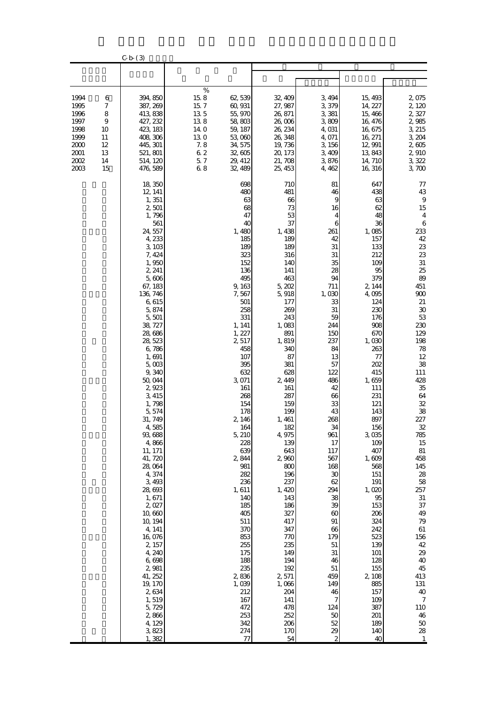|                                                                                  |                                                                     | $C-b(3)$                                                                                                                                                                                                                                                                                                                                                                                                                                                                                                                                                                               |                                                                                    |                                                                                                                                                                                                                                                                                                                                                                                                                                                   |                                                                                                                                                                                                                                                                                                                                                                                                                                              |                                                                                                                                                                                                                                                                                                                                                                                                  |                                                                                                                                                                                                                                                                                                                                                                                                                                      |                                                                                                                                                                                                                                                                                                                                                                                                                                                                                |
|----------------------------------------------------------------------------------|---------------------------------------------------------------------|----------------------------------------------------------------------------------------------------------------------------------------------------------------------------------------------------------------------------------------------------------------------------------------------------------------------------------------------------------------------------------------------------------------------------------------------------------------------------------------------------------------------------------------------------------------------------------------|------------------------------------------------------------------------------------|---------------------------------------------------------------------------------------------------------------------------------------------------------------------------------------------------------------------------------------------------------------------------------------------------------------------------------------------------------------------------------------------------------------------------------------------------|----------------------------------------------------------------------------------------------------------------------------------------------------------------------------------------------------------------------------------------------------------------------------------------------------------------------------------------------------------------------------------------------------------------------------------------------|--------------------------------------------------------------------------------------------------------------------------------------------------------------------------------------------------------------------------------------------------------------------------------------------------------------------------------------------------------------------------------------------------|--------------------------------------------------------------------------------------------------------------------------------------------------------------------------------------------------------------------------------------------------------------------------------------------------------------------------------------------------------------------------------------------------------------------------------------|--------------------------------------------------------------------------------------------------------------------------------------------------------------------------------------------------------------------------------------------------------------------------------------------------------------------------------------------------------------------------------------------------------------------------------------------------------------------------------|
|                                                                                  |                                                                     |                                                                                                                                                                                                                                                                                                                                                                                                                                                                                                                                                                                        |                                                                                    |                                                                                                                                                                                                                                                                                                                                                                                                                                                   |                                                                                                                                                                                                                                                                                                                                                                                                                                              |                                                                                                                                                                                                                                                                                                                                                                                                  |                                                                                                                                                                                                                                                                                                                                                                                                                                      |                                                                                                                                                                                                                                                                                                                                                                                                                                                                                |
| 1994<br>1995<br>1996<br>1997<br>1998<br>1999<br>2000<br>2001<br>$2002\,$<br>2003 | 6<br>$\boldsymbol{7}$<br>8<br>9<br>10<br>11<br>12<br>13<br>14<br>15 | 394, 850<br>387, 269<br>413 838<br>427, 232<br>423, 183<br>408, 306<br>445, 301<br>521, 801<br>514, 120<br>476 589                                                                                                                                                                                                                                                                                                                                                                                                                                                                     | $\%$<br>15.8<br>15.7<br>135<br>138<br>14 O<br>130<br>7.8<br>$6\ 2$<br>$5\,7$<br>68 | 62,539<br>60, 931<br>55, 970<br>58,803<br>59, 187<br>53,060<br>34, 575<br>32,605<br>29, 412<br>32, 489                                                                                                                                                                                                                                                                                                                                            | 32, 409<br>27, 987<br>26, 871<br>26,006<br>26, 234<br>26, 348<br>19,736<br>20, 173<br>21, 708<br>25, 453                                                                                                                                                                                                                                                                                                                                     | 3, 494<br>3,379<br>3,381<br>3,809<br>4,031<br>4,071<br>3, 156<br>3,409<br>3,876<br>4, 462                                                                                                                                                                                                                                                                                                        | 15, 493<br>14, 227<br>15,466<br>16, 476<br>16,675<br>16, 271<br>12, 991<br>13,843<br>14, 710<br>16, 316                                                                                                                                                                                                                                                                                                                              | 2,075<br>2,120<br>2,327<br>2,985<br>3, 215<br>3, 204<br>2,605<br>2,910<br>3,322<br>3,700                                                                                                                                                                                                                                                                                                                                                                                       |
|                                                                                  |                                                                     | 18,350<br>12, 141<br>1, 351<br>2,501<br>1,796<br>561<br>24,557<br>4,233<br>3,103<br>7, 424<br>1,950<br>2, 241<br>5,606<br>67, 183<br>136, 746<br>6,615<br>5,874<br>5,501<br>38, 727<br>28,686<br>28, 523<br>6,786<br>1,691<br>5,003<br>9,340<br>50,044<br>2,923<br>3, 415<br>1,798<br>5,574<br>31, 749<br>4,585<br>93, 688<br>4,866<br>11, 171<br>41, 720<br>28,064<br>4,374<br>3,493<br>28, 693<br>1,671<br>2,027<br>10,660<br>10, 194<br>4, 141<br>16 076<br>2, 157<br>4, 240<br>6,698<br>2,981<br>41, 252<br>19, 170<br>2,634<br>1,519<br>5,729<br>2,866<br>4,129<br>3,823<br>1,382 |                                                                                    | 698<br>480<br>63<br>68<br>47<br>40<br>1,480<br>185<br>189<br>323<br>152<br>136<br>495<br>9,163<br>7,567<br>501<br>258<br>331<br>1, 141<br>1, 227<br>2,517<br>458<br>107<br>395<br>632<br>3,071<br>161<br>268<br>154<br>178<br>2, 146<br>164<br>5, 210<br>228<br>639<br>2,844<br>981<br>282<br>236<br>1,611<br>140<br>185<br>405<br>511<br>370<br>853<br>255<br>175<br>188<br>235<br>2836<br>1,039<br>212<br>167<br>472<br>253<br>342<br>274<br>77 | 710<br>481<br>66<br>73<br>53<br>37<br>1,438<br>189<br>189<br>316<br>140<br>141<br>463<br>5,202<br>5,918<br>177<br>269<br>243<br>1,083<br>891<br>1,819<br>340<br>87<br>381<br>628<br>2,449<br>161<br>287<br>159<br>199<br>1,461<br>182<br>4, 975<br>139<br>643<br>2,960<br>800<br>196<br>237<br>1,420<br>143<br>186<br>327<br>417<br>347<br>770<br>235<br>149<br>194<br>192<br>2,571<br>1,066<br>204<br>141<br>478<br>252<br>206<br>170<br>54 | 81<br>46<br>9<br>16<br>4<br>6<br>261<br>42<br>31<br>31<br>35<br>28<br>94<br>711<br>1,030<br>33<br>31<br>59<br>244<br>150<br>237<br>84<br>13<br>57<br>122<br>486<br>42<br>66<br>33<br>43<br>268<br>34<br>961<br>17<br>117<br>567<br>168<br>30<br>62<br>294<br>38<br>39<br>60<br>91<br>66<br>179<br>51<br>$31\,$<br>46<br>$51\,$<br>459<br>149<br>46<br>7<br>124<br>50<br>52<br>29<br>$\mathbf{z}$ | 647<br>438<br>63<br>62<br>48<br>36<br>1,085<br>157<br>133<br>212<br>109<br>95<br>379<br>2, 144<br>4,095<br>124<br>230<br>176<br>908<br>670<br>1,030<br>263<br>77<br>202<br>415<br>1,659<br>111<br>231<br>121<br>143<br>897<br>156<br>3,035<br>109<br>407<br>1,609<br>568<br>151<br>191<br>1,020<br>95<br>153<br>206<br>324<br>242<br>523<br>139<br>101<br>128<br>155<br>2,108<br>885<br>157<br>109<br>387<br>201<br>189<br>140<br>40 | 77<br>43<br>$\, 9$<br>15<br>$\overline{4}$<br>6<br>233<br>42<br>$23\,$<br>23<br>31<br>25<br>89<br>451<br>900<br>$21\,$<br>30<br>$53\,$<br>230<br>129<br>198<br>$78\,$<br>12<br>38<br>111<br>428<br>$35\,$<br>64<br>32<br>38<br>227<br>$3\!2$<br>785<br>$15\,$<br>$81\,$<br>458<br>145<br>$2\!8$<br>$58\,$<br>257<br>$31\,$<br>$37\,$<br>49<br>$7\!9$<br>$61\,$<br>156<br>$4\!$<br>29<br>40<br>45<br>413<br>131<br>40<br>$\boldsymbol{7}$<br>$110\,$<br>46<br>$50\,$<br>28<br>1 |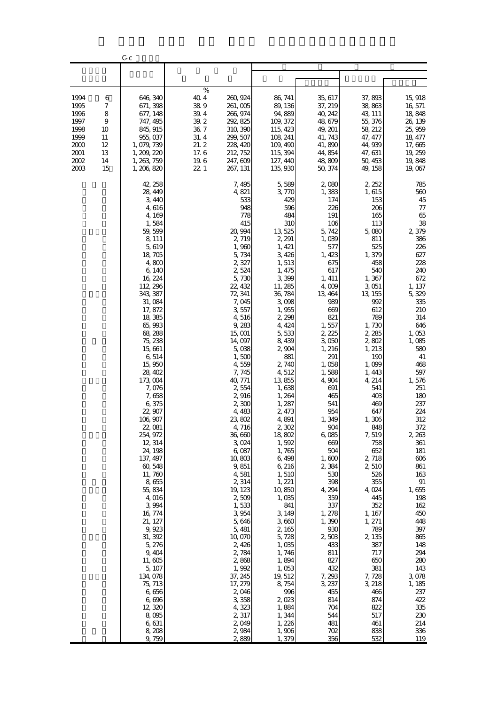|                                                                              |                                                      | Cс                                                                                                                                                                                                                                                                                                                                                                                                                                                                                                                                                                                                                  |                                                                                    |                                                                                                                                                                                                                                                                                                                                                                                                                                                                                                                                                                  |                                                                                                                                                                                                                                                                                                                                                                                                                                                                                                                                                       |                                                                                                                                                                                                                                                                                                                                                                                                                                                                                      |                                                                                                                                                                                                                                                                                                                                                                                                                                                                                      |                                                                                                                                                                                                                                                                                                                                                                                                                                                      |
|------------------------------------------------------------------------------|------------------------------------------------------|---------------------------------------------------------------------------------------------------------------------------------------------------------------------------------------------------------------------------------------------------------------------------------------------------------------------------------------------------------------------------------------------------------------------------------------------------------------------------------------------------------------------------------------------------------------------------------------------------------------------|------------------------------------------------------------------------------------|------------------------------------------------------------------------------------------------------------------------------------------------------------------------------------------------------------------------------------------------------------------------------------------------------------------------------------------------------------------------------------------------------------------------------------------------------------------------------------------------------------------------------------------------------------------|-------------------------------------------------------------------------------------------------------------------------------------------------------------------------------------------------------------------------------------------------------------------------------------------------------------------------------------------------------------------------------------------------------------------------------------------------------------------------------------------------------------------------------------------------------|--------------------------------------------------------------------------------------------------------------------------------------------------------------------------------------------------------------------------------------------------------------------------------------------------------------------------------------------------------------------------------------------------------------------------------------------------------------------------------------|--------------------------------------------------------------------------------------------------------------------------------------------------------------------------------------------------------------------------------------------------------------------------------------------------------------------------------------------------------------------------------------------------------------------------------------------------------------------------------------|------------------------------------------------------------------------------------------------------------------------------------------------------------------------------------------------------------------------------------------------------------------------------------------------------------------------------------------------------------------------------------------------------------------------------------------------------|
|                                                                              |                                                      |                                                                                                                                                                                                                                                                                                                                                                                                                                                                                                                                                                                                                     |                                                                                    |                                                                                                                                                                                                                                                                                                                                                                                                                                                                                                                                                                  |                                                                                                                                                                                                                                                                                                                                                                                                                                                                                                                                                       |                                                                                                                                                                                                                                                                                                                                                                                                                                                                                      |                                                                                                                                                                                                                                                                                                                                                                                                                                                                                      |                                                                                                                                                                                                                                                                                                                                                                                                                                                      |
| 1994<br>1995<br>1996<br>1997<br>1998<br>1999<br>2000<br>2001<br>2002<br>2003 | 6<br>7<br>8<br>9<br>10<br>11<br>12<br>13<br>14<br>15 | 646, 340<br>671, 398<br>677, 148<br>747, 495<br>845, 915<br>955, 037<br>1, 079, 739<br>1, 209, 220<br>1, 263, 759<br>1, 206, 820                                                                                                                                                                                                                                                                                                                                                                                                                                                                                    | $\%$<br>40.4<br>389<br>39.4<br>39.2<br>36.7<br>31.4<br>21.2<br>17.6<br>19.6<br>221 | 260, 924<br>261,005<br>266, 974<br>292, 825<br>310, 390<br>299, 507<br>228, 420<br>212, 752<br>247, 609<br>267, 131                                                                                                                                                                                                                                                                                                                                                                                                                                              | 86, 741<br>89, 136<br>94,889<br>109, 372<br>115, 423<br>108, 241<br>109, 490<br>115, 394<br>127, 440<br>135, 930                                                                                                                                                                                                                                                                                                                                                                                                                                      | 35, 617<br>37, 219<br>40, 242<br>48, 679<br>49, 201<br>41, 743<br>41,890<br>44, 854<br>48,809<br>50, 374                                                                                                                                                                                                                                                                                                                                                                             | 37,893<br>38,863<br>43, 111<br>55, 376<br>58, 212<br>47, 477<br>44,939<br>47, 631<br>50, 453<br>49, 158                                                                                                                                                                                                                                                                                                                                                                              | 15, 918<br>16, 571<br>18,848<br>26, 139<br>25, 959<br>18, 477<br>17,665<br>19, 259<br>19,848<br>19,067                                                                                                                                                                                                                                                                                                                                               |
|                                                                              |                                                      | 42, 258<br>28, 449<br>3,440<br>4,616<br>4,169<br>1,584<br>59, 599<br>8, 111<br>5,619<br>18, 705<br>4,800<br>6, 140<br>16, 224<br>112, 296<br>343, 387<br>31,084<br>17, 872<br>18,385<br>65,993<br>68, 288<br>75, 238<br>15,661<br>6,514<br>15,950<br>28, 402<br>173, 004<br>7,076<br>7,658<br>6,375<br>22, 907<br>106,907<br>22, OSI<br>254, 972<br>12, 314<br>24, 198<br>137, 497<br>60,548<br>11,760<br>8,655<br>55,834<br>4,016<br>3,994<br>16, 774<br>21, 127<br>9,923<br>31, 392<br>5, 276<br>9,404<br>11,605<br>5, 107<br>134, 078<br>75, 713<br>6,656<br>6,696<br>12,320<br>8,095<br>6,631<br>8,208<br>9,759 |                                                                                    | 7, 495<br>4,821<br>533<br>948<br>778<br>415<br>20, 994<br>2,719<br>1,960<br>5,734<br>2,327<br>2,524<br>5,730<br>22, 432<br>72, 341<br>7,045<br>3,557<br>4,516<br>9, 283<br>15, 001<br>14,097<br>5,038<br>1,500<br>4,559<br>7,745<br>40, 771<br>2,554<br>2,916<br>2,300<br>4,483<br>23,802<br>4, 716<br>36,660<br>3,024<br>6,087<br>10,803<br>9,851<br>4,581<br>2,314<br>19, 123<br>2,509<br>1,533<br>3,954<br>5,646<br>5, 481<br>10,070<br>2,426<br>2,784<br>2,868<br>1,992<br>37, 245<br>17, 279<br>2,046<br>3,358<br>4,323<br>2,317<br>2,049<br>2,984<br>2,889 | 5,589<br>3,770<br>429<br>596<br>484<br>310<br>13,525<br>2, 291<br>1, 421<br>3,426<br>1,513<br>1, 475<br>3,399<br>11, 285<br>36, 784<br>3,098<br>1,955<br>2, 298<br>4, 424<br>5,533<br>8,439<br>2,904<br>881<br>2,740<br>4,512<br>13,855<br>1,638<br>1,264<br>1, 287<br>2, 473<br>4 891<br>2,302<br>18,802<br>1,592<br>1,765<br>6,498<br>6,216<br>1,510<br>1, 221<br>10,850<br>1,035<br>841<br>3, 149<br>3,660<br>2, 165<br>5,728<br>1,035<br>1,746<br>1,894<br>1,053<br>19, 512<br>8,754<br>996<br>2,023<br>1,884<br>1,344<br>1,226<br>1,906<br>1,379 | 2,080<br>1,383<br>174<br>226<br>191<br>106<br>5,742<br>1,039<br>577<br>1, 423<br>675<br>617<br>1, 411<br>4,009<br>13, 464<br>989<br>669<br>821<br>1,557<br>2, 225<br>3,050<br>1, 216<br>291<br>1,058<br>1,588<br>4,904<br>691<br>465<br>541<br>954<br>1,349<br>904<br>6,085<br>669<br>504<br>1,600<br>2,384<br>530<br>398<br>4, 294<br>359<br>337<br>1, 278<br>1,390<br>930<br>2503<br>433<br>811<br>827<br>432<br>7, 293<br>3, 237<br>455<br>814<br>704<br>544<br>481<br>702<br>356 | 2, 252<br>1,615<br>153<br>206<br>165<br>113<br>5,080<br>811<br>525<br>1,379<br>458<br>540<br>1,367<br>3,051<br>13, 155<br>992<br>612<br>789<br>1,730<br>2, 285<br>2,802<br>1, 213<br>190<br>1,099<br>1, 443<br>4, 214<br>541<br>403<br>469<br>647<br>1,306<br>848<br>7,519<br>758<br>652<br>2,718<br>2,510<br>526<br>355<br>4,024<br>445<br>352<br>1, 167<br>1, 271<br>789<br>2,135<br>387<br>717<br>650<br>381<br>7, 728<br>3, 218<br>466<br>874<br>822<br>517<br>461<br>838<br>532 | 785<br>560<br>$45$<br>$77\,$<br>65<br>38<br>2,379<br>386<br>226<br>627<br>228<br>240<br>672<br>1, 137<br>5,329<br>335<br>210<br>314<br>646<br>1,053<br>1,085<br>580<br>41<br>468<br>597<br>1,576<br>251<br>180<br>237<br>224<br>312<br>372<br>2, 263<br>361<br>181<br>606<br>861<br>163<br>$\,91$<br>1,655<br>198<br>162<br>450<br>448<br>397<br>865<br>148<br>294<br>280<br>143<br>3,078<br>1, 185<br>237<br>422<br>335<br>230<br>214<br>336<br>119 |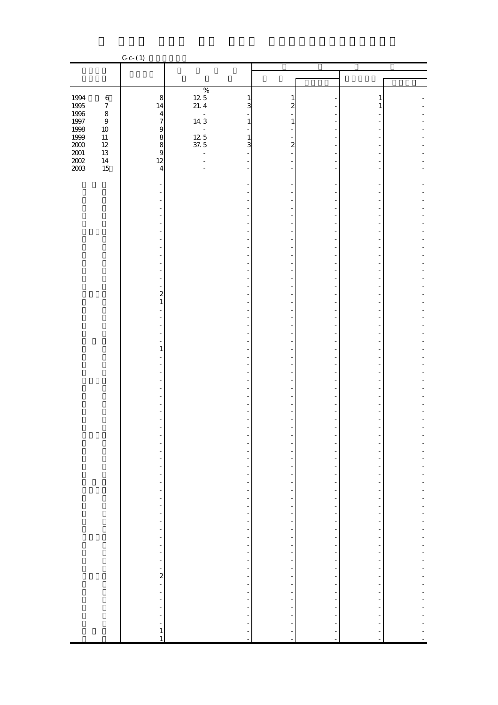|                                              |                             | $C-c- (1)$                                                   |                                                      |                         |                                                    |                                                      |                          |
|----------------------------------------------|-----------------------------|--------------------------------------------------------------|------------------------------------------------------|-------------------------|----------------------------------------------------|------------------------------------------------------|--------------------------|
|                                              |                             |                                                              |                                                      |                         |                                                    |                                                      |                          |
|                                              |                             |                                                              | $\%$                                                 |                         |                                                    |                                                      |                          |
|                                              | $\,6\,$                     | $\,8\,$                                                      | 125<br>$\frac{1}{3}$                                 | 1                       |                                                    | 1                                                    |                          |
| 1994<br>1995<br>1996                         | $\boldsymbol{7}$<br>$\,8\,$ | 14                                                           | 21.4<br>$\omega$                                     | $\overline{\mathbf{c}}$ |                                                    | $\mathbf{1}$                                         |                          |
| $1997\,$<br>1998                             | $\boldsymbol{9}$<br>$10\,$  | $\frac{4}{7}$                                                | 143<br>$\,1\,$<br>÷,<br>÷,                           | $\mathbf{1}$            |                                                    |                                                      |                          |
|                                              | $11\,$                      |                                                              | $\frac{12}{37}$ . 5<br>$\,1\,$                       |                         |                                                    |                                                      |                          |
| 1556<br>1999<br>2000<br>2001<br>2002<br>2003 | $12\,$<br>13                | 9889                                                         | $\overline{3}$<br>$\overline{\phantom{a}}$           | $\overline{\mathbf{c}}$ |                                                    |                                                      |                          |
|                                              | $14\,$<br>15                | 12<br>$\overline{4}$                                         | L.                                                   |                         |                                                    |                                                      |                          |
|                                              |                             |                                                              |                                                      |                         |                                                    |                                                      |                          |
|                                              |                             |                                                              |                                                      |                         |                                                    |                                                      |                          |
|                                              |                             |                                                              |                                                      |                         |                                                    |                                                      |                          |
|                                              |                             |                                                              |                                                      |                         |                                                    | ٠                                                    |                          |
|                                              |                             |                                                              |                                                      |                         | $\overline{a}$                                     |                                                      |                          |
|                                              |                             |                                                              |                                                      |                         |                                                    | ٠                                                    |                          |
|                                              |                             |                                                              |                                                      |                         | ÷,<br>Ē,                                           |                                                      |                          |
|                                              |                             |                                                              |                                                      |                         | L,<br>۰                                            |                                                      |                          |
|                                              |                             |                                                              |                                                      |                         |                                                    | ٠                                                    |                          |
|                                              |                             | $\overline{\mathbf{c}}$                                      |                                                      |                         | $\overline{a}$                                     |                                                      |                          |
|                                              |                             | $\mathbf{1}$                                                 |                                                      |                         |                                                    |                                                      |                          |
|                                              |                             |                                                              |                                                      |                         | $\bar{a}$                                          | ٠                                                    |                          |
|                                              |                             |                                                              |                                                      |                         | Ē,                                                 | ٠                                                    |                          |
|                                              |                             |                                                              |                                                      |                         | L,                                                 | ٠                                                    |                          |
|                                              |                             | $\mathbf{1}$                                                 |                                                      |                         | L.                                                 |                                                      |                          |
|                                              |                             |                                                              |                                                      |                         | L,                                                 | ٠                                                    |                          |
|                                              |                             |                                                              |                                                      |                         | $\overline{a}$                                     | ٠                                                    |                          |
|                                              |                             |                                                              |                                                      |                         |                                                    |                                                      |                          |
|                                              |                             |                                                              |                                                      |                         |                                                    |                                                      |                          |
|                                              |                             |                                                              |                                                      |                         | $\blacksquare$                                     |                                                      |                          |
|                                              |                             |                                                              |                                                      |                         | -                                                  |                                                      |                          |
|                                              |                             |                                                              | ÷<br>$\overline{\phantom{a}}$                        |                         | $\overline{\phantom{a}}$                           | ÷                                                    |                          |
|                                              |                             | $\frac{1}{\sqrt{2}}$<br>۳                                    | $\overline{\phantom{a}}$                             | ÷                       |                                                    | ÷                                                    |                          |
|                                              |                             | $\qquad \qquad \blacksquare$<br>$\frac{1}{2}$                | $\overline{\phantom{a}}$<br>$\overline{\phantom{0}}$ | ÷,<br>$\frac{1}{2}$     |                                                    | $\overline{\phantom{0}}$<br>$\frac{1}{\sqrt{2}}$     |                          |
|                                              |                             | $\overline{\phantom{0}}$                                     | $\overline{a}$                                       | ÷                       |                                                    | ÷                                                    | $\overline{\phantom{0}}$ |
|                                              |                             | $\overline{\phantom{0}}$<br>÷                                |                                                      | $\frac{1}{2}$           |                                                    | -<br>$\overline{\phantom{0}}$                        | ÷,                       |
|                                              |                             | f<br>$\qquad \qquad \blacksquare$                            |                                                      | $\frac{1}{2}$           |                                                    | f<br>$\overline{\phantom{0}}$                        | ÷,<br>÷                  |
|                                              |                             | ÷,                                                           |                                                      |                         |                                                    | $\overline{\phantom{0}}$                             | ÷                        |
|                                              |                             | Ť,<br>÷,                                                     | $\frac{1}{\sqrt{2}}$<br>$\overline{\phantom{0}}$     | $\frac{1}{2}$           |                                                    | $\overline{\phantom{a}}$<br>$\overline{\phantom{0}}$ | ÷<br>-                   |
|                                              |                             | $\qquad \qquad \blacksquare$<br>$\qquad \qquad \blacksquare$ | $\overline{a}$<br>L,                                 | ÷<br>÷,                 |                                                    | $\frac{1}{\sqrt{2}}$<br>÷,                           | ÷                        |
|                                              |                             |                                                              |                                                      | $\frac{1}{2}$           |                                                    | $\frac{1}{\sqrt{2}}$                                 | ÷                        |
|                                              |                             | $\frac{1}{2}$                                                | $\frac{1}{2}$                                        | $\frac{1}{2}$           | 医皮肤病 医内皮性皮炎 医内皮炎 医内皮炎 医内皮炎 医内皮炎 医内皮炎 医内皮炎 医内皮炎 医心包 | $\overline{\phantom{0}}$<br>-                        | ÷,<br>$\overline{a}$     |
|                                              |                             |                                                              |                                                      |                         |                                                    | ÷                                                    | ÷                        |
|                                              |                             |                                                              | $\frac{1}{2}$                                        | $\frac{1}{2}$           |                                                    | $\overline{\phantom{0}}$<br>÷                        | ÷                        |
|                                              |                             | -                                                            | $\overline{a}$<br>Ĭ.                                 | ÷                       |                                                    | ÷,<br>÷                                              |                          |
|                                              |                             |                                                              | ÷,                                                   |                         |                                                    | ÷                                                    |                          |
|                                              |                             | $\mathbf{1}$<br>$\mathbf{1}$                                 | Ĩ.                                                   |                         |                                                    | ŕ                                                    |                          |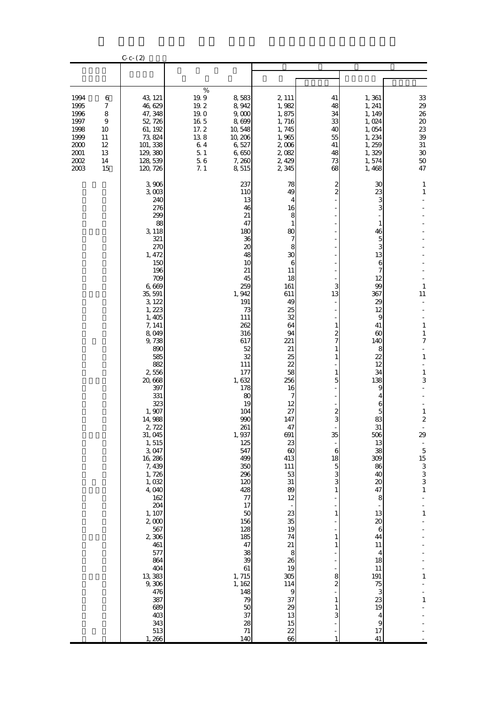|                                                                              |                                                                     | $C - C - (2)$                                                                                                                                                                                                                                                                                                                                                                                                                                                                                         |                                                                                               |                                                                                                                                                                                                                                                                                                                                                                                                                  |                                                                                                                                                                                                                                                                                                                                                                                                                            |                                                                                                                                                                                               |                                                                                                                                                                                                                                                                                                                                                                           |                                                                                                                                                                                                                                                                                                                   |
|------------------------------------------------------------------------------|---------------------------------------------------------------------|-------------------------------------------------------------------------------------------------------------------------------------------------------------------------------------------------------------------------------------------------------------------------------------------------------------------------------------------------------------------------------------------------------------------------------------------------------------------------------------------------------|-----------------------------------------------------------------------------------------------|------------------------------------------------------------------------------------------------------------------------------------------------------------------------------------------------------------------------------------------------------------------------------------------------------------------------------------------------------------------------------------------------------------------|----------------------------------------------------------------------------------------------------------------------------------------------------------------------------------------------------------------------------------------------------------------------------------------------------------------------------------------------------------------------------------------------------------------------------|-----------------------------------------------------------------------------------------------------------------------------------------------------------------------------------------------|---------------------------------------------------------------------------------------------------------------------------------------------------------------------------------------------------------------------------------------------------------------------------------------------------------------------------------------------------------------------------|-------------------------------------------------------------------------------------------------------------------------------------------------------------------------------------------------------------------------------------------------------------------------------------------------------------------|
|                                                                              |                                                                     |                                                                                                                                                                                                                                                                                                                                                                                                                                                                                                       |                                                                                               |                                                                                                                                                                                                                                                                                                                                                                                                                  |                                                                                                                                                                                                                                                                                                                                                                                                                            |                                                                                                                                                                                               |                                                                                                                                                                                                                                                                                                                                                                           |                                                                                                                                                                                                                                                                                                                   |
| 1994<br>1995<br>1996<br>1997<br>1998<br>1999<br>2000<br>2001<br>2002<br>2003 | 6<br>$\boldsymbol{7}$<br>8<br>9<br>10<br>11<br>12<br>13<br>14<br>15 | 43, 121<br>46,629<br>47, 348<br>52, 726<br>61, 192<br>73, 824<br>101, 338<br>129, 380<br>128, 539<br>120, 726                                                                                                                                                                                                                                                                                                                                                                                         | $\%$<br>19.9<br>19.2<br>19. O<br>$16\ 5$<br>17.2<br>138<br>64<br>$5\,$ $1\,$<br>$5\;6$<br>7.1 | 8,583<br>8,942<br>9,000<br>8,699<br>10, 548<br>10, 206<br>6,527<br>6,650<br>7,260<br>8,515                                                                                                                                                                                                                                                                                                                       | 2, 111<br>1,982<br>1,875<br>1,716<br>1,745<br>1,965<br>2,006<br>2,082<br>2,429<br>2 3 4 5                                                                                                                                                                                                                                                                                                                                  | 41<br>48<br>34<br>33<br>40<br>55<br>41<br>48<br>73<br>68                                                                                                                                      | 1,361<br>1, 241<br>1, 149<br>1,024<br>1,054<br>1,234<br>1,259<br>1,329<br>1,574<br>1,468                                                                                                                                                                                                                                                                                  | 33<br>$2\hskip -3pt 9$<br>26<br>$2\hskip-2pt 0$<br>$2\!3$<br>39<br>$31\,$<br>$30\,$<br>$5\hskip-2pt 0$<br>47                                                                                                                                                                                                      |
|                                                                              |                                                                     | 3,906<br>3003<br>240<br>276<br>299<br>88<br>3, 118<br>321<br>270<br>1, 472<br>150<br>196<br>709<br>6,669<br>35, 591<br>3, 122<br>1, 223<br>1,405<br>7, 141<br>8,049<br>9,738<br>890<br>585<br>882<br>2,556<br>20,668<br>397<br>331<br>323<br>1,907<br>14,988<br>2,722<br>31,045<br>1,515<br>3,047<br>16, 286<br>7, 439<br>1,726<br>1,032<br>4,040<br>162<br>204<br>1, 107<br>2,000<br>567<br>2,306<br>461<br>577<br>864<br>404<br>13, 383<br>9,306<br>476<br>387<br>689<br>403<br>343<br>513<br>1,266 |                                                                                               | 237<br>110<br>13<br>46<br>21<br>47<br>180<br>36<br>20<br>48<br>10<br>21<br>45<br>259<br>1, 942<br>191<br>73<br>111<br>262<br>316<br>617<br>52<br>32<br>111<br>177<br>1,632<br>178<br>80<br>19<br>104<br>990<br>261<br>1,937<br>125<br>547<br>499<br>350<br>296<br>120<br>428<br>$77$<br>17<br>50<br>156<br>128<br>185<br>47<br>38<br>39<br>$61\,$<br>1,715<br>1, 162<br>148<br>79<br>50<br>37<br>28<br>71<br>140 | 78<br>49<br>4<br>16<br>8<br>1<br>80<br>7<br>8<br>30<br>6<br>11<br>18<br>161<br>611<br>49<br>25<br>32<br>64<br>94<br>221<br>21<br>25<br>22<br>58<br>256<br>16<br>7<br>12<br>27<br>147<br>47<br>691<br>23<br>$\boldsymbol{\omega}$<br>413<br>111<br>53<br>31<br>89<br>12<br>23<br>35<br>19<br>74<br>21<br>8<br>26<br>19<br>305<br>114<br>$\boldsymbol{9}$<br>37<br>29<br>13<br>15<br>$\begin{array}{c} 22 \\ 66 \end{array}$ | 2<br>$\mathbf{z}$<br>3<br>13<br>1<br>2<br>5<br>$\boldsymbol{z}$<br>3<br>35<br>6<br>18<br>$\overline{5}$<br>3<br>3<br>1<br>$\mathbf{1}$<br>1<br>1<br>8<br>$\boldsymbol{z}$<br>1<br>1<br>3<br>1 | 30<br>23<br>3<br>3<br>1<br>46<br>5<br>3<br>13<br>6<br>7<br>12<br>99<br>367<br>29<br>12<br>9<br>41<br>60<br>140<br>8<br>22<br>12<br>34<br>138<br>9<br>4<br>6<br>5<br>83<br>31<br>506<br>13<br>38<br>309<br>86<br>40<br>$\boldsymbol{\chi}$<br>47<br>8<br>13<br>20<br>6<br>44<br>11<br>4<br>18<br>$11\,$<br>191<br>75<br>3<br>23<br>19<br>4<br>$\boldsymbol{9}$<br>17<br>41 | 1<br>$\mathbf{1}$<br>$\mathbf{1}$<br>11<br>$\,1$<br>$\mathbf{1}$<br>$\boldsymbol{7}$<br>÷<br>$\mathbf{1}$<br>$\,1\,$<br>3<br>$\,1$<br>$\boldsymbol{2}$<br>29<br>$\overline{\phantom{a}}$<br>$\begin{array}{c} 5 \\ 15 \\ 3 \\ 3 \end{array}$<br>3<br>$\mathbf{1}$<br>$\frac{1}{2}$<br>$\mathbf 1$<br>1<br>$\,1\,$ |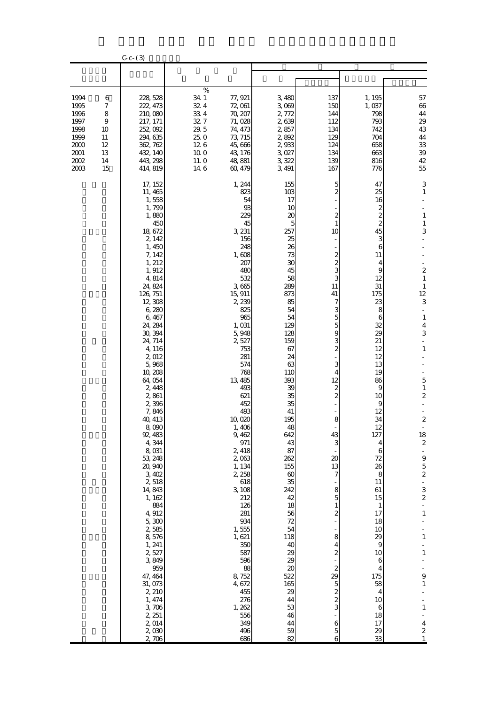|                                                                              |                                                                     | $C - C - (3)$                                                                                                                                                                                                                                                                                                                                                                                                                                                                                                                                                                               |                                                                                    |                                                                                                                                                                                                                                                                                                                                                                                                                                                                                |                                                                                                                                                                                                                                                                                                                                                                                                      |                                                                                                                                                                                                                                                                                                                                                     |                                                                                                                                                                                                                                                                                                                                                                     |                                                                                                                                                                                                                                                                                                                                                                                                                                                                                 |
|------------------------------------------------------------------------------|---------------------------------------------------------------------|---------------------------------------------------------------------------------------------------------------------------------------------------------------------------------------------------------------------------------------------------------------------------------------------------------------------------------------------------------------------------------------------------------------------------------------------------------------------------------------------------------------------------------------------------------------------------------------------|------------------------------------------------------------------------------------|--------------------------------------------------------------------------------------------------------------------------------------------------------------------------------------------------------------------------------------------------------------------------------------------------------------------------------------------------------------------------------------------------------------------------------------------------------------------------------|------------------------------------------------------------------------------------------------------------------------------------------------------------------------------------------------------------------------------------------------------------------------------------------------------------------------------------------------------------------------------------------------------|-----------------------------------------------------------------------------------------------------------------------------------------------------------------------------------------------------------------------------------------------------------------------------------------------------------------------------------------------------|---------------------------------------------------------------------------------------------------------------------------------------------------------------------------------------------------------------------------------------------------------------------------------------------------------------------------------------------------------------------|---------------------------------------------------------------------------------------------------------------------------------------------------------------------------------------------------------------------------------------------------------------------------------------------------------------------------------------------------------------------------------------------------------------------------------------------------------------------------------|
|                                                                              |                                                                     |                                                                                                                                                                                                                                                                                                                                                                                                                                                                                                                                                                                             |                                                                                    |                                                                                                                                                                                                                                                                                                                                                                                                                                                                                |                                                                                                                                                                                                                                                                                                                                                                                                      |                                                                                                                                                                                                                                                                                                                                                     |                                                                                                                                                                                                                                                                                                                                                                     |                                                                                                                                                                                                                                                                                                                                                                                                                                                                                 |
| 1994<br>1995<br>1996<br>1997<br>1998<br>1999<br>2000<br>2001<br>2002<br>2003 | 6<br>$\boldsymbol{7}$<br>8<br>9<br>10<br>11<br>12<br>13<br>14<br>15 | 228, 528<br>222, 473<br>210,080<br>217, 171<br>252, 092<br>294, 635<br>362, 762<br>432, 140<br>443, 298<br>414, 819                                                                                                                                                                                                                                                                                                                                                                                                                                                                         | $\%$<br>34.1<br>32.4<br>334<br>32.7<br>29.5<br>25.0<br>126<br>10.0<br>11.0<br>14.6 | 77, 921<br>72,061<br>70, 207<br>71,028<br>74, 473<br>73, 715<br>45,666<br>43, 176<br>48, 881<br>60, 479                                                                                                                                                                                                                                                                                                                                                                        | 3,480<br>3,069<br>2,772<br>2,639<br>2,857<br>2,892<br>2,933<br>3,027<br>3,322<br>3, 491                                                                                                                                                                                                                                                                                                              | 137<br>150<br>144<br>112<br>134<br>129<br>124<br>134<br>139<br>167                                                                                                                                                                                                                                                                                  | 1, 195<br>1,037<br>798<br>793<br>742<br>704<br>658<br>663<br>816<br>776                                                                                                                                                                                                                                                                                             | 57<br>$66\,$<br>44<br>29<br>43<br>44<br>$3\!$<br>$3\hskip-2pt 9$<br>$42\,$<br>55                                                                                                                                                                                                                                                                                                                                                                                                |
|                                                                              |                                                                     | 17, 152<br>11, 465<br>1,558<br>1,799<br>1,880<br>450<br>18, 672<br>2, 142<br>1, 450<br>7, 142<br>1, 212<br>1, 912<br>4,814<br>24, 824<br>126, 751<br>12, 308<br>6,280<br>6,467<br>24, 284<br>30, 394<br>24, 714<br>4, 116<br>2,012<br>5,968<br>10, 208<br>64,054<br>2,448<br>2,861<br>2,396<br>7,846<br>40, 413<br>8,090<br>92, 483<br>4,344<br>8,031<br>53, 248<br>20,940<br>3,402<br>2,518<br>14, 843<br>1, 162<br>884<br>4,912<br>$5,300$<br>2,585<br>8,576<br>1, 241<br>2,527<br>3,849<br>959<br>47, 464<br>31, 073<br>2, 210<br>1, 474<br>$3,706$<br>2, 251<br>2,014<br>2,030<br>2,706 |                                                                                    | 1, 244<br>823<br>54<br>93<br>229<br>45<br>3, 231<br>156<br>248<br>1,608<br>207<br>480<br>532<br>3,665<br>15, 911<br>2,239<br>825<br>965<br>1,031<br>5,948<br>2,527<br>753<br>281<br>574<br>768<br>13,485<br>493<br>621<br>452<br>493<br>10,020<br>1,406<br>9, 462<br>971<br>2, 418<br>2,063<br>1, 134<br>2, 258<br>618<br>3,108<br>212<br>126<br>281<br>934<br>1,555<br>1,621<br>350<br>587<br>596<br>88<br>8,752<br>4,672<br>455<br>276<br>1, 262<br>556<br>349<br>496<br>686 | 155<br>$103$<br>17<br>10<br>20<br>5<br>257<br>25<br>26<br>73<br>30<br>45<br>58<br>289<br>873<br>85<br>54<br>54<br>129<br>128<br>159<br>67<br>24<br>63<br>110<br>393<br>39<br>35<br>35<br>41<br>195<br>48<br>642<br>43<br>87<br>262<br>155<br>$\boldsymbol{\omega}$<br>35<br>242<br>42<br>18<br>56<br>72<br>54<br>118<br>40<br>29<br>29<br>20<br>522<br>165<br>29<br>44<br>53<br>46<br>44<br>59<br>82 | 5<br>2<br>2<br>10<br>$\overline{\mathcal{Z}}$<br>$\overline{\mathcal{Z}}$<br>3<br>3<br>11<br>41<br>7<br>3<br>5<br>5<br>9<br>3<br>$\overline{c}$<br>3<br>4<br>12<br>2<br>2<br>8<br>43<br>3<br>20<br>13<br>7<br>8<br>5<br>2<br>8<br>4<br>2<br>$\boldsymbol{z}$<br>29<br>5<br>$\overline{\mathcal{Z}}$<br>$\overline{\mathcal{Z}}$<br>3<br>6<br>5<br>6 | 47<br>25<br>16<br>2<br>$\mathbf{z}$<br>$\mathbf{z}$<br>45<br>3<br>6<br>11<br>4<br>9<br>12<br>31<br>175<br>23<br>8<br>6<br>32<br>29<br>21<br>12<br>12<br>13<br>19<br>86<br>9<br>10<br>9<br>12<br>34<br>12<br>127<br>4<br>6<br>72<br>26<br>8<br>11<br>61<br>15<br>1<br>17<br>18<br>10<br>29<br>9<br>10<br>6<br>4<br>175<br>58<br>4<br>10<br>6<br>18<br>17<br>29<br>33 | 3<br>$\mathbf{1}$<br>$\mathbf{1}$<br>$\,1\,$<br>3<br>$\overline{\mathcal{L}}$<br>$\mathbf{1}$<br>1<br>12<br>3<br>$\mathbf{1}$<br>$\overline{\mathbf{4}}$<br>3<br>$\mathbf{1}$<br>5<br>$\mathbf{1}$<br>2<br>$\boldsymbol{2}$<br>18<br>$\boldsymbol{2}$<br>$\overline{\phantom{a}}$<br>$\overline{9}$<br>$\frac{5}{2}$<br>÷<br>3<br>$\overline{\mathcal{L}}$<br>÷<br>$\,1\,$<br>$\mathbf{1}$<br>$\,1\,$<br>9<br>$\,1\,$<br>$\,1\,$<br>$\overline{\mathbf{4}}$<br>$\boldsymbol{z}$ |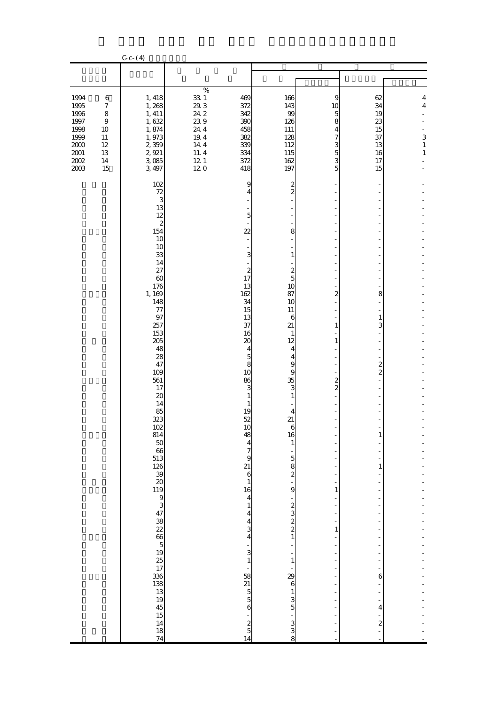|                                                                                          |                                                                                                | $C - C - (4)$                                                                                                                                                                                                                                                                                                                                                               |                                                                                            |                                                                                                                                                                                                                                                                                                                                                                                                                                                                                                                                                                                                                                           |                                                                                                                                                                                                                                                                                                                                                                                                                    |                                                                               |                                                                                                |                                                |
|------------------------------------------------------------------------------------------|------------------------------------------------------------------------------------------------|-----------------------------------------------------------------------------------------------------------------------------------------------------------------------------------------------------------------------------------------------------------------------------------------------------------------------------------------------------------------------------|--------------------------------------------------------------------------------------------|-------------------------------------------------------------------------------------------------------------------------------------------------------------------------------------------------------------------------------------------------------------------------------------------------------------------------------------------------------------------------------------------------------------------------------------------------------------------------------------------------------------------------------------------------------------------------------------------------------------------------------------------|--------------------------------------------------------------------------------------------------------------------------------------------------------------------------------------------------------------------------------------------------------------------------------------------------------------------------------------------------------------------------------------------------------------------|-------------------------------------------------------------------------------|------------------------------------------------------------------------------------------------|------------------------------------------------|
|                                                                                          |                                                                                                |                                                                                                                                                                                                                                                                                                                                                                             |                                                                                            |                                                                                                                                                                                                                                                                                                                                                                                                                                                                                                                                                                                                                                           |                                                                                                                                                                                                                                                                                                                                                                                                                    |                                                                               |                                                                                                |                                                |
| 1994<br>1995<br>1996<br>1997<br>1998<br>1999<br>$2000\,$<br>$2001\,$<br>$2002\,$<br>2003 | $\,6\,$<br>$\boldsymbol{7}$<br>$\,8\,$<br>$\boldsymbol{9}$<br>10<br>11<br>12<br>13<br>14<br>15 | 1, 418<br>1, 268<br>1,411<br>1,632<br>1,874<br>1,973<br>2,359<br>2, 921<br>3,085<br>3, 497                                                                                                                                                                                                                                                                                  | $\%$<br>$33\ 1$<br>29.3<br>24 2<br>23.9<br>24.4<br>19.4<br>14.4<br>11.4<br>$12.1\,$<br>120 | 469<br>372<br>342<br>390<br>458<br>382<br>339<br>334<br>372<br>418                                                                                                                                                                                                                                                                                                                                                                                                                                                                                                                                                                        | 166<br>143<br>99<br>126<br>111<br>128<br>112<br>115<br>162<br>197                                                                                                                                                                                                                                                                                                                                                  | 9<br>10<br>5<br>8<br>4<br>7<br>3<br>5<br>3<br>5                               | 62<br>34<br>19<br>23<br>15<br>37<br>13<br>16<br>17<br>15                                       | 4<br>$\overline{4}$<br>3<br>$\,1\,$<br>$\,1\,$ |
|                                                                                          |                                                                                                | 102<br>72<br>3<br>13<br>12<br>$\boldsymbol{z}$<br>154<br>10<br>10<br>33<br>14<br>27<br>$\infty$<br>176<br>1, 169<br>148<br>77<br>97<br>257<br>153<br>205<br>48<br>28<br>47<br>109<br>561<br>17<br>20<br>14<br>85<br>323<br>102<br>814<br>50<br>66<br>513<br>$\frac{126}{39}$<br>8500033888500038<br>17<br>336<br>138<br>13<br>19<br>45<br>15<br>14<br>18<br>$\overline{74}$ |                                                                                            | 9<br>4<br>$\mathbf 5$<br>$\overline{22}$<br>$\blacksquare$<br>$\overline{\phantom{a}}$<br>3<br>$\blacksquare$<br>$\overline{\mathcal{L}}$<br>17<br>13<br>162<br>34<br>15<br>13<br>37<br>16<br>$\boldsymbol{\chi}$<br>$\overline{4}$<br>$\overline{5}$<br>8<br>10<br>86<br>3<br>$\,1\,$<br>$\mathbf{1}$<br>19<br>52<br>10<br>48<br>$\frac{4}{7}$<br>$\frac{9}{21}$<br>$\overline{6}$<br>$\,1\,$<br>16<br>$\overline{\mathbf{4}}$<br>$\,$ 1 $\,$<br>$\overline{\mathbf{4}}$<br>$\begin{array}{c} 4 \\ 3 \\ 4 \end{array}$<br>$\frac{1}{3}$<br>$\,1\,$<br>÷<br>58<br>21<br>$\begin{array}{c} 5 \\ 5 \\ 6 \end{array}$<br>$\frac{1}{2}$<br>14 | $\frac{2}{2}$<br>L,<br>÷<br>÷<br>÷<br>8<br>÷<br>$\frac{1}{2}$<br>$\,1$<br>÷,<br>$rac{2}{5}$<br>10<br>87<br>10<br>11<br>6<br>21<br>$\mathbf{1}$<br>12<br>4<br>4<br>$\overline{9}$<br>$\boldsymbol{9}$<br>35<br>3<br>$\mathbf{1}$<br>4<br>21<br>6<br>16<br>$\,1\,$<br>÷<br>$\frac{5}{2}$<br>9<br>-<br>2322<br>$\frac{1}{1}$<br>$\mathbf{1}$<br>÷<br>29<br>$\boldsymbol{6}$<br>$\mathbf{1}$<br>$\frac{3}{5}$<br>8 ധ പ | 2<br>1<br>1<br>$\overline{\mathbf{c}}$<br>$\overline{c}$<br>1<br>$\mathbf{1}$ | ٠<br>8<br>$\mathbf{1}$<br>3<br>$\frac{2}{2}$<br>-<br>1<br>1<br>÷<br>6<br>4<br>$\boldsymbol{z}$ |                                                |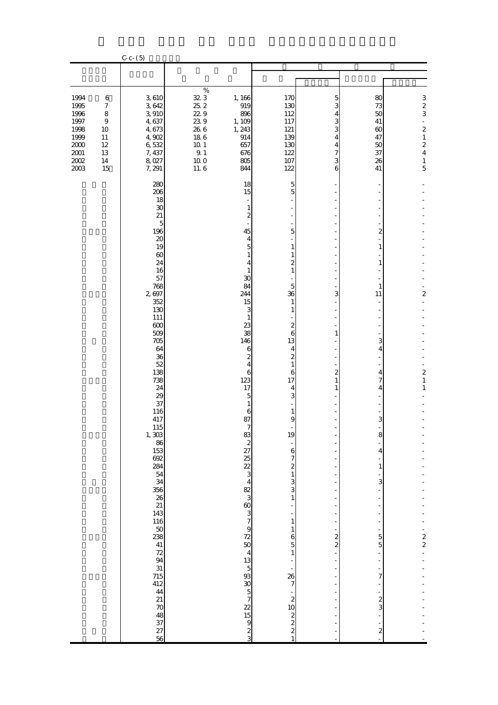|                                                                                          |                                                                                          | $C - C - (5)$                                                                                                                                                                                                                                                                                                                                                                                                                                       |                                                                                                                 |                                                                                                                                                                                                                                                                                                                                                                     |                                                                                                                                                                                                                                                                                                                                                                                                                                                                                                                                                  |                                                                                    |                                                                                                                                                                                                                                                                    |                                                                                                                  |
|------------------------------------------------------------------------------------------|------------------------------------------------------------------------------------------|-----------------------------------------------------------------------------------------------------------------------------------------------------------------------------------------------------------------------------------------------------------------------------------------------------------------------------------------------------------------------------------------------------------------------------------------------------|-----------------------------------------------------------------------------------------------------------------|---------------------------------------------------------------------------------------------------------------------------------------------------------------------------------------------------------------------------------------------------------------------------------------------------------------------------------------------------------------------|--------------------------------------------------------------------------------------------------------------------------------------------------------------------------------------------------------------------------------------------------------------------------------------------------------------------------------------------------------------------------------------------------------------------------------------------------------------------------------------------------------------------------------------------------|------------------------------------------------------------------------------------|--------------------------------------------------------------------------------------------------------------------------------------------------------------------------------------------------------------------------------------------------------------------|------------------------------------------------------------------------------------------------------------------|
|                                                                                          |                                                                                          |                                                                                                                                                                                                                                                                                                                                                                                                                                                     |                                                                                                                 |                                                                                                                                                                                                                                                                                                                                                                     |                                                                                                                                                                                                                                                                                                                                                                                                                                                                                                                                                  |                                                                                    |                                                                                                                                                                                                                                                                    |                                                                                                                  |
| 1994<br>1995<br>1996<br>1997<br>1998<br>1999<br>$2000\,$<br>$2001\,$<br>$2002\,$<br>2003 | $\boldsymbol{6}$<br>$\boldsymbol{7}$<br>$\,8\,$<br>9<br>10<br>11<br>12<br>13<br>14<br>15 | 3,610<br>3,642<br>3 910<br>4,637<br>4,673<br>4,902<br>6,532<br>7, 437<br>8,027<br>7, 291                                                                                                                                                                                                                                                                                                                                                            | $\%$<br>32 3<br>$25\ 2$<br>229<br>239<br>$26\ 6$<br>$18\ 6$<br>$10.1\,$<br>$9\!\!.$ $1\!\!$<br>$10.0\,$<br>11.6 | 1, 166<br>919<br>896<br>1, 109<br>1, 243<br>914<br>657<br>676<br>805<br>844                                                                                                                                                                                                                                                                                         | 170<br>130<br>112<br>117<br>121<br>139<br>130<br>122<br>107<br>122                                                                                                                                                                                                                                                                                                                                                                                                                                                                               | 5<br>3<br>4<br>3<br>3<br>4<br>4<br>$\overline{7}$<br>3<br>6                        | 80<br>73<br>50<br>41<br>$\infty$<br>47<br>50<br>37<br>26<br>41                                                                                                                                                                                                     | $\frac{3}{2}$<br>÷,<br>$\overline{\mathcal{L}}$<br>$\,1\,$<br>$\boldsymbol{z}$<br>$\overline{4}$<br>$\,1\,$<br>5 |
|                                                                                          |                                                                                          | 280<br>206<br>18<br>30<br>21<br>$\overline{5}$<br>196<br>20<br>19<br>$\infty$<br>24<br>16<br>57<br>768<br>2697<br>352<br>130<br>111<br>600<br>509<br>705<br>64<br>36<br>52<br>138<br>738<br>24<br>29<br>37<br>116<br>417<br>115<br>$1, \overline{303}$<br>153<br>692<br>284<br>54<br>34<br>356<br>$\frac{26}{21}$<br>143<br>116<br>$\frac{50}{238}$<br>41<br>72<br>94<br>31<br>715<br>412<br>44<br>21<br>$\boldsymbol{\pi}$<br>48<br>37<br>27<br>56 |                                                                                                                 | 18<br>15<br>$\overline{\phantom{a}}$<br>$1\,$<br>$\boldsymbol{z}$<br>45<br>4<br>$\overline{5}$<br>$\mathbf{1}$<br>$\overline{4}$<br>$\mathbf{1}$<br>30<br>84<br>244<br>15<br>3<br>$\mathbf{1}$<br>23<br>38<br>146<br>6<br>$\boldsymbol{z}$<br>$\overline{4}$<br>$\sqrt{6}$<br>123<br>17<br>5<br>$1\,$<br>6<br>87<br>៶៰៶៰៰៑៲៶ឨៜ៶៲៰ៜៜ៰៲ឨៜៜ៰៴៰៴ៜ៰៲ឨ៵៶៰ឨឨ៶ឨៜ៶៰ <b>ឨ</b> | $\frac{5}{5}$<br>÷<br>÷,<br>$\frac{1}{2}$<br>5<br>$\mathbf{1}$<br>$\mathbf{1}$<br>$\overline{\mathcal{L}}$<br>$\,1$<br>5<br>36<br>$\mathbf{1}$<br>$\mathbf{1}$<br>$\boldsymbol{z}$<br>$\overline{6}$<br>13<br>$\overline{4}$<br>$\overline{\mathbf{c}}$<br>$\mathbf{1}$<br>$\mathbf 6$<br>17<br>$\overline{4}$<br>3<br>$\mathbf{1}$<br>$\Theta$<br>19<br>$672133$<br>3<br>3<br>3<br>3<br>$\frac{1}{2}$<br>$\,1$<br>$\mathbf{1}$<br>$\frac{6}{5}$<br>$\,1\,$<br>$\frac{1}{7}$<br>$\frac{1}{2}$<br>$\frac{1}{2}$<br>$\frac{1}{2}$<br>$\frac{1}{2}$ | 3<br>$\mathbf{1}$<br>$\boldsymbol{2}$<br>1<br>1<br>$\overline{a}$<br>$\frac{2}{2}$ | ÷,<br>$\overline{\mathbf{c}}$<br>$\mathbf{1}$<br>$\mathbf{1}$<br>1<br>11<br>3<br>$\overline{4}$<br>4<br>7<br>4<br>3<br>8<br>$\overline{4}$<br>$\mathbf{1}$<br>3<br>÷<br>Ī<br>÷<br>5<br>$\overline{5}$<br>÷,<br>$\overline{7}$<br>$\frac{1}{3}$<br>$\boldsymbol{z}$ | $\overline{a}$<br>$\overline{\phantom{m}}$<br>$\frac{2}{1}$<br>$\,1\,$<br>$\frac{1}{2}$                          |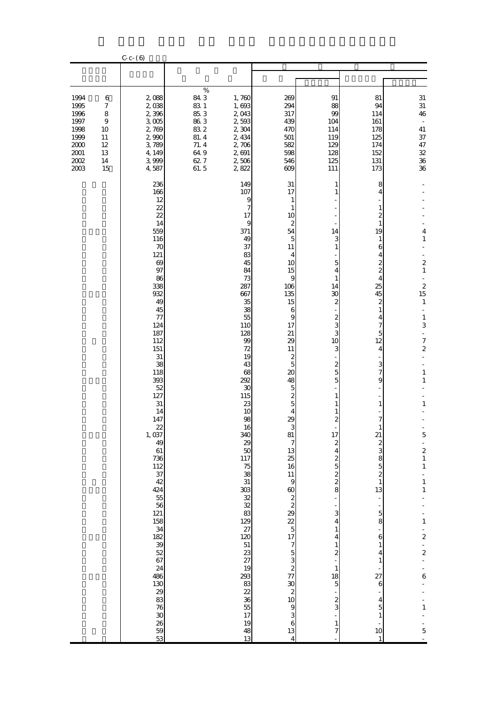|                                                                                      |                                                                               | $C - C - (6)$                                                                                                                                                                                                                                                                                                                                                                                                                                        |                                                                                    |                                                                                                                                                                                                                                                                                                                                                                         |                                                                                                                                                                                                                                                                                                                                               |                                                                                                                                                                                                                                                                                                                                                                           |                                                                                                                                                                                                                                                                                                                                                                                          |                                                                                                                                                                                                                                                                                                                                                                                                                 |
|--------------------------------------------------------------------------------------|-------------------------------------------------------------------------------|------------------------------------------------------------------------------------------------------------------------------------------------------------------------------------------------------------------------------------------------------------------------------------------------------------------------------------------------------------------------------------------------------------------------------------------------------|------------------------------------------------------------------------------------|-------------------------------------------------------------------------------------------------------------------------------------------------------------------------------------------------------------------------------------------------------------------------------------------------------------------------------------------------------------------------|-----------------------------------------------------------------------------------------------------------------------------------------------------------------------------------------------------------------------------------------------------------------------------------------------------------------------------------------------|---------------------------------------------------------------------------------------------------------------------------------------------------------------------------------------------------------------------------------------------------------------------------------------------------------------------------------------------------------------------------|------------------------------------------------------------------------------------------------------------------------------------------------------------------------------------------------------------------------------------------------------------------------------------------------------------------------------------------------------------------------------------------|-----------------------------------------------------------------------------------------------------------------------------------------------------------------------------------------------------------------------------------------------------------------------------------------------------------------------------------------------------------------------------------------------------------------|
|                                                                                      |                                                                               |                                                                                                                                                                                                                                                                                                                                                                                                                                                      |                                                                                    |                                                                                                                                                                                                                                                                                                                                                                         |                                                                                                                                                                                                                                                                                                                                               |                                                                                                                                                                                                                                                                                                                                                                           |                                                                                                                                                                                                                                                                                                                                                                                          |                                                                                                                                                                                                                                                                                                                                                                                                                 |
| 1994<br>1995<br>1996<br>1997<br>1998<br>1999<br>2000<br>$2001\,$<br>$2002\,$<br>2003 | 6<br>$\boldsymbol{7}$<br>$\,$ 8 $\,$<br>9<br>10<br>11<br>12<br>13<br>14<br>15 | 2,088<br>2,038<br>2,396<br>$3\;005$<br>2,769<br>2,990<br>3,789<br>4, 149<br>3,999<br>4,587                                                                                                                                                                                                                                                                                                                                                           | $\%$<br>843<br>83 1<br>85.3<br>86.3<br>83.2<br>81.4<br>71.4<br>64.9<br>627<br>61.5 | 1,760<br>1,693<br>2,043<br>2,593<br>2,304<br>2, 434<br>2,706<br>2,691<br>2,506<br>2,822                                                                                                                                                                                                                                                                                 | 269<br>294<br>317<br>439<br>470<br>501<br>582<br>598<br>546<br>609                                                                                                                                                                                                                                                                            | 91<br>88<br>99<br>104<br>114<br>119<br>129<br>128<br>125<br>111                                                                                                                                                                                                                                                                                                           | 81<br>94<br>114<br>161<br>178<br>125<br>174<br>152<br>131<br>173                                                                                                                                                                                                                                                                                                                         | $31\,$<br>$31\,$<br>46<br>$\overline{\phantom{a}}$<br>$41\,$<br>37<br>47<br>$32\,$<br>$36\,$<br>36                                                                                                                                                                                                                                                                                                              |
|                                                                                      |                                                                               | 236<br>166<br>12<br>22<br>22<br>14<br>559<br>116<br>70<br>121<br>69<br>97<br>86<br>338<br>932<br>49<br>45<br>77<br>124<br>187<br>112<br>151<br>$31\,$<br>38<br>118<br>393<br>52<br>127<br>$31\,$<br>14<br>147<br>$\frac{22}{1,037}$<br>49<br>61<br>$736$<br>$112$<br>$37$<br>42<br>424<br>$\begin{array}{c} 55 \\ 56 \end{array}$<br>121<br>158<br>34<br>32<br>52<br>67<br>$\frac{24}{486}$<br>$\frac{130}{29}$<br>76<br>$\frac{30}{26}$<br>59<br>53 |                                                                                    | 149<br>107<br>9<br>7<br>17<br>9<br>371<br>49<br>37<br>83<br>45<br>84<br>73<br>287<br>667<br>35<br>38<br>55<br>110<br>128<br>99<br>72<br>19<br>43<br>68<br>292<br>30<br>115<br>23<br>10<br>98<br>16<br>340<br>29<br>50<br>117<br>$\begin{array}{c} 75 \\ 38 \end{array}$<br>31<br>38 % % % 8 % 10<br>23<br>27<br>$\frac{19}{293}$<br>35 38 39 39<br>17<br>19<br>48<br>13 | 31<br>17<br>1<br>1<br>10<br>$\boldsymbol{z}$<br>54<br>5<br>11<br>4<br>10<br>15<br>9<br>106<br>135<br>15<br>6<br>9<br>17<br>21<br>29<br>11<br>$\boldsymbol{z}$<br>5<br>20<br>48<br>$\begin{array}{c} 5 \\ 2 \\ 5 \end{array}$<br>4<br>29<br>3<br>81<br>$\overline{7}$<br>$\begin{array}{c} 13 \\ 25 \\ 16 \end{array}$<br>13<br>$\overline{4}$ | 1<br>14<br>3<br>1<br>5<br>4<br>1<br>14<br>30<br>$\boldsymbol{z}$<br>$\boldsymbol{z}$<br>3<br>3<br>10<br>З<br>$\overline{\mathcal{Z}}$<br>5<br>5<br>2<br>17<br>$\boldsymbol{z}$<br>4<br>$\frac{2}{3}$ to $\frac{2}{3}$<br>3<br>4<br>$\,1\,$<br>4<br>$\mathbf{1}$<br>$\overline{\mathcal{L}}$<br>$\mathbf{1}$<br>18<br>$\overline{5}$<br>$\frac{2}{3}$<br>$\mathbf{1}$<br>7 | 8<br>4<br>1<br>2<br>1<br>19<br>1<br>6<br>4<br>$\boldsymbol{z}$<br>$\overline{\mathcal{L}}$<br>4<br>25<br>45<br>2<br>$\mathbf{1}$<br>4<br>7<br>5<br>12<br>4<br>3<br>$\overline{7}$<br>9<br>1<br>7<br>21<br>200000<br>$\,1$<br>13<br>$\frac{1}{2}$ 5 5<br>$\epsilon$<br>$\mathbf{1}$<br>4<br>$\mathbf{1}$<br>$\frac{1}{27}$<br>$\boldsymbol{6}$<br>$\overline{\mathbf{4}}$<br>5<br>1<br>10 | 4<br>$\,1\,$<br>$\overline{\mathcal{L}}$<br>$\,1\,$<br>$\begin{array}{c} 2 \\ 15 \end{array}$<br>$\,1\,$<br>$\mathbf{1}$<br>$\,$ 3 $\,$<br>$\blacksquare$<br>$\overline{7}$<br>$\overline{\mathcal{L}}$<br>$\,1\,$<br>1<br>$\,1\,$<br>$5 - 21$<br>$\begin{array}{c} 1 \\ 1 \\ 1 \end{array}$<br>$\mathbf 1$<br>$\frac{1}{2}$ - 2<br>÷,<br>$\frac{1}{2}$<br>$\ddot{\mathbf{6}}$<br>÷<br>$\,1\,$<br>$\frac{1}{5}$ |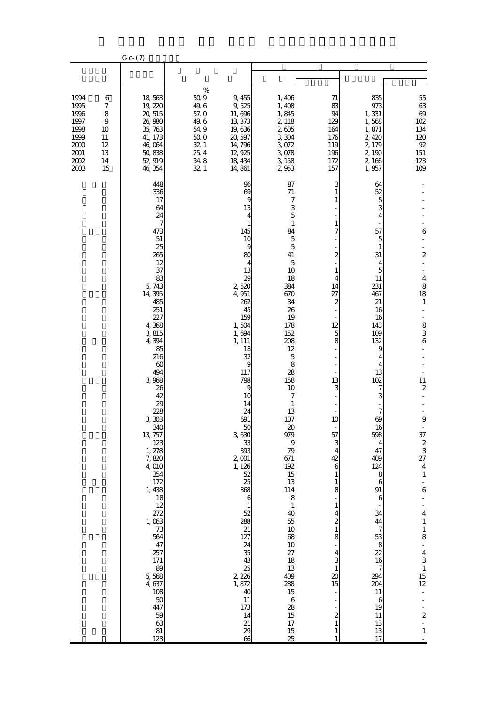|                                                                                      |                                                                     | $C - C - (7)$                                                                                                                                                                                                                                                                                                                                                                                                                                     |                                                                                              |                                                                                                                                                                                                                                                                                                                                                                                                                                                                                      |                                                                                                                                                                                                                                                                                                                                                                                                                                           |                                                                                                                                                                                                                 |                                                                                                                                                                                                                                                                                                                                                                  |                                                                                                                                                                                                                                                                                                                                                                                                                                               |
|--------------------------------------------------------------------------------------|---------------------------------------------------------------------|---------------------------------------------------------------------------------------------------------------------------------------------------------------------------------------------------------------------------------------------------------------------------------------------------------------------------------------------------------------------------------------------------------------------------------------------------|----------------------------------------------------------------------------------------------|--------------------------------------------------------------------------------------------------------------------------------------------------------------------------------------------------------------------------------------------------------------------------------------------------------------------------------------------------------------------------------------------------------------------------------------------------------------------------------------|-------------------------------------------------------------------------------------------------------------------------------------------------------------------------------------------------------------------------------------------------------------------------------------------------------------------------------------------------------------------------------------------------------------------------------------------|-----------------------------------------------------------------------------------------------------------------------------------------------------------------------------------------------------------------|------------------------------------------------------------------------------------------------------------------------------------------------------------------------------------------------------------------------------------------------------------------------------------------------------------------------------------------------------------------|-----------------------------------------------------------------------------------------------------------------------------------------------------------------------------------------------------------------------------------------------------------------------------------------------------------------------------------------------------------------------------------------------------------------------------------------------|
|                                                                                      |                                                                     |                                                                                                                                                                                                                                                                                                                                                                                                                                                   |                                                                                              |                                                                                                                                                                                                                                                                                                                                                                                                                                                                                      |                                                                                                                                                                                                                                                                                                                                                                                                                                           |                                                                                                                                                                                                                 |                                                                                                                                                                                                                                                                                                                                                                  |                                                                                                                                                                                                                                                                                                                                                                                                                                               |
| 1994<br>1995<br>1996<br>1997<br>1998<br>1999<br>$2000\,$<br>$2001\,$<br>2002<br>2003 | 6<br>$\boldsymbol{7}$<br>8<br>9<br>10<br>11<br>12<br>13<br>14<br>15 | 18,563<br>19, 220<br>20, 515<br>26,980<br>35, 763<br>41, 173<br>46,064<br>50,838<br>52, 919<br>46, 354                                                                                                                                                                                                                                                                                                                                            | $\%$<br>$50\;9$<br>49.6<br>57.0<br>49.6<br>$54\;9$<br>$50\;0$<br>32 1<br>25.4<br>348<br>32 1 | 9, 455<br>9,525<br>11,696<br>13, 373<br>19,636<br>20, 597<br>14,796<br>12, 925<br>18, 434<br>14,861                                                                                                                                                                                                                                                                                                                                                                                  | 1,406<br>1,408<br>1,845<br>2, 118<br>2,605<br>3,304<br>3,072<br>3,078<br>3,158<br>2953                                                                                                                                                                                                                                                                                                                                                    | 71<br>83<br>94<br>129<br>164<br>176<br>119<br>196<br>172<br>157                                                                                                                                                 | 835<br>973<br>1,331<br>1,568<br>1,871<br>2,420<br>2, 179<br>2, 190<br>2,166<br>1,957                                                                                                                                                                                                                                                                             | $5\!$<br>$63\,$<br>$69$<br>102<br>134<br>120<br>$9\!$<br>$151\,$<br>123<br>109                                                                                                                                                                                                                                                                                                                                                                |
|                                                                                      |                                                                     | 448<br>336<br>17<br>64<br>24<br>7<br>473<br>51<br>25<br>265<br>12<br>37<br>83<br>5, 743<br>14, 395<br>485<br>251<br>227<br>4,368<br>3,815<br>4,394<br>85<br>216<br>60<br>494<br>3,968<br>26<br>42<br>29<br>228<br>3,303<br>340<br>13, 757<br>123<br>1, 278<br>7,820<br>4,010<br>354<br>172<br>1,438<br>18<br>12<br>272<br>1,063<br>$73\,$<br>564<br>47<br>257<br>171<br>89<br>5,568<br>4,637<br>108<br>$50\,$<br>447<br>59<br>63<br>$81\,$<br>123 |                                                                                              | 96<br>69<br>$\overline{9}$<br>13<br>4<br>$\mathbf{1}$<br>145<br>10<br>$\overline{9}$<br>80<br>4<br>13<br>29<br>2520<br>4, 951<br>262<br>45<br>159<br>1,504<br>1,694<br>1, 111<br>18<br>32<br>$\overline{9}$<br>117<br>798<br>9<br>10<br>14<br>24<br>691<br>50<br>3,630<br>33<br>393<br>$2\,001$<br>1, 126<br>52<br>25<br>368<br>$\boldsymbol{6}$<br>$\mathbf{1}$<br>52<br>288<br>$21\,$<br>127<br>24<br>35<br>43<br>25<br>2, 226<br>1,872<br>40<br>11<br>173<br>14<br>21<br>29<br>66 | 87<br>$71\,$<br>7<br>3<br>$\overline{5}$<br>$\mathbf{1}$<br>84<br>$\overline{5}$<br>$\overline{5}$<br>41<br>5<br>10<br>18<br>384<br>670<br>34<br>26<br>19<br>178<br>152<br>208<br>12<br>5<br>8<br>28<br>158<br>10<br>7<br>13<br>107<br>20<br>979<br>9<br>79<br>671<br>192<br>15<br>13<br>114<br>8<br>$\mathbf{1}$<br>40<br>55<br>10<br>68<br>10<br>27<br>18<br>13<br>409<br>288<br>15<br>$\,6$<br>28<br>15<br>17<br>15<br>$\overline{25}$ | 3<br>2<br>14<br>27<br>2<br>12<br>5<br>8<br>13<br>З<br>10<br>57<br>3<br>4<br>42<br>6<br>1<br>8<br>1<br>4<br>$\overline{\mathcal{Z}}$<br>1<br>8<br>4<br>3<br>$\mathbf{1}$<br>20<br>15<br>$\overline{\mathcal{Z}}$ | 64<br>52<br>5<br>3<br>4<br>57<br>5<br>1<br>31<br>4<br>5<br>11<br>231<br>467<br>21<br>16<br>16<br>143<br>109<br>132<br>9<br>4<br>4<br>13<br>102<br>7<br>3<br>7<br>69<br>16<br>598<br>4<br>47<br>409<br>124<br>8<br>$\boldsymbol{6}$<br>91<br>$\boldsymbol{6}$<br>34<br>44<br>7<br>53<br>8<br>22<br>16<br>7<br>294<br>204<br>11<br>6<br>19<br>11<br>13<br>13<br>17 | 6<br>$\overline{\mathcal{L}}$<br>$\overline{\mathbf{4}}$<br>8<br>18<br>$\mathbf{1}$<br>$\begin{array}{c} 8 \\ 3 \end{array}$<br>6<br>11<br>$\overline{c}$<br>$\boldsymbol{9}$<br>$37\,$<br>$\frac{2}{3}$<br>27<br>$\bf 4$<br>$\,1\,$<br>6<br>$\frac{1}{4}$<br>$\,1\,$<br>$\begin{array}{c} 1 \\ 8 \end{array}$<br>$\begin{array}{c} 4 \\ 4 \\ 3 \\ 1 \end{array}$<br>15<br>12<br>$\blacksquare$<br>$\frac{1}{2}$<br>$\mathbb{Z}^d$<br>$\,1\,$ |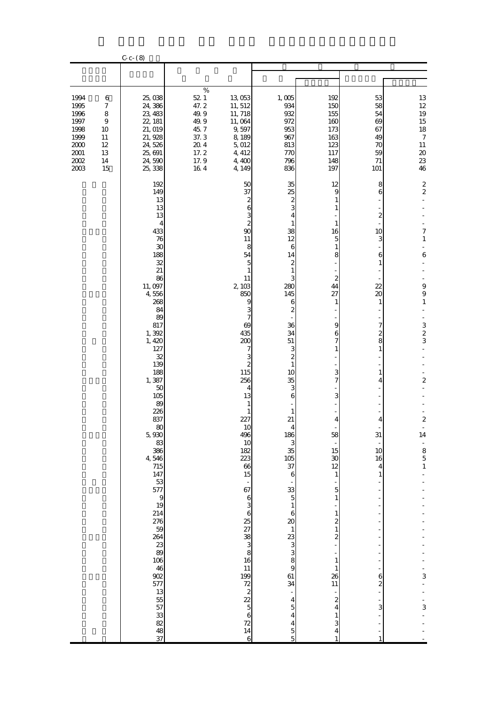| $C - C - (8)$                                                                            |                                                                     |                                                                                                                                                                                                                                                                                                                                                                                                                                                                       |                                                                                                |                                                                                                                                                                                                                                                                                                                                                                                                                             |                                                                                                                                                                                                                                                                                                                                                                                                                                                                                                                                                                                   |                                                                                                                                                                                                                                                                                                                                                              |                                                                                                                                                                                                                    |                                                                                                                                                                                                                                                                              |
|------------------------------------------------------------------------------------------|---------------------------------------------------------------------|-----------------------------------------------------------------------------------------------------------------------------------------------------------------------------------------------------------------------------------------------------------------------------------------------------------------------------------------------------------------------------------------------------------------------------------------------------------------------|------------------------------------------------------------------------------------------------|-----------------------------------------------------------------------------------------------------------------------------------------------------------------------------------------------------------------------------------------------------------------------------------------------------------------------------------------------------------------------------------------------------------------------------|-----------------------------------------------------------------------------------------------------------------------------------------------------------------------------------------------------------------------------------------------------------------------------------------------------------------------------------------------------------------------------------------------------------------------------------------------------------------------------------------------------------------------------------------------------------------------------------|--------------------------------------------------------------------------------------------------------------------------------------------------------------------------------------------------------------------------------------------------------------------------------------------------------------------------------------------------------------|--------------------------------------------------------------------------------------------------------------------------------------------------------------------------------------------------------------------|------------------------------------------------------------------------------------------------------------------------------------------------------------------------------------------------------------------------------------------------------------------------------|
|                                                                                          |                                                                     |                                                                                                                                                                                                                                                                                                                                                                                                                                                                       |                                                                                                |                                                                                                                                                                                                                                                                                                                                                                                                                             |                                                                                                                                                                                                                                                                                                                                                                                                                                                                                                                                                                                   |                                                                                                                                                                                                                                                                                                                                                              |                                                                                                                                                                                                                    |                                                                                                                                                                                                                                                                              |
| 1994<br>1995<br>1996<br>1997<br>1998<br>1999<br>$2000\,$<br>$2001\,$<br>$2002\,$<br>2003 | 6<br>$\boldsymbol{7}$<br>8<br>9<br>10<br>11<br>12<br>13<br>14<br>15 | 25,038<br>24,386<br>23, 483<br>22, 181<br>21, 019<br>21, 928<br>24,526<br>25, 691<br>24,590<br>25, 338                                                                                                                                                                                                                                                                                                                                                                | $\%$<br>$52\,$ $1\,$<br>47.2<br>49.9<br>49.9<br>45.7<br>37.3<br>$20\;4$<br>17.2<br>17.9<br>164 | 13,053<br>11, 512<br>11, 718<br>11,064<br>9,597<br>8,189<br>5,012<br>4, 412<br>4,400<br>4, 149                                                                                                                                                                                                                                                                                                                              | 1,005<br>934<br>932<br>972<br>953<br>967<br>813<br>770<br>796<br>836                                                                                                                                                                                                                                                                                                                                                                                                                                                                                                              | 192<br>150<br>155<br>160<br>173<br>163<br>123<br>117<br>148<br>197                                                                                                                                                                                                                                                                                           | 53<br>58<br>54<br>69<br>67<br>49<br>70<br>59<br>71<br>101                                                                                                                                                          | 13<br>$12\,$<br>19<br>$15\,$<br>18<br>$\boldsymbol{7}$<br>$11\,$<br>$20\,$<br>$2\!$<br>46                                                                                                                                                                                    |
|                                                                                          |                                                                     | 192<br>149<br>13<br>13<br>13<br>4<br>433<br>76<br>30<br>188<br>32<br>21<br>86<br>11,097<br>4,556<br>268<br>84<br>89<br>817<br>1,392<br>1,420<br>127<br>32<br>139<br>188<br>1,387<br>50<br>105<br>89<br>226<br>837<br>$80$<br>5,930<br>83<br>386<br>4,546<br>715<br>147<br>53<br>577<br>$\theta$<br>19<br>214<br>276<br>$\frac{59}{264}$<br>23<br>89<br>106<br>46<br>902<br>$\begin{array}{c}\n 577 \\  13 \\  55 \\  57\n \end{array}$<br>$\frac{33}{82}$<br>48<br>37 |                                                                                                | 50<br>37<br>$\boldsymbol{z}$<br>6<br>$\frac{3}{2}$<br>90<br>11<br>8<br>54<br>$\overline{5}$<br>1<br>11<br>2,103<br>850<br>9<br>3<br>7<br>69<br>435<br>200<br>7<br>3<br>$\overline{\mathcal{Z}}$<br>115<br>256<br>4<br>13<br>1<br>1<br>227<br>10<br>496<br>10<br>182<br>223<br>66<br>15<br>$\frac{1}{67}$<br>.<br>16 ග ශ ශී XX<br>18 ග ග ග<br>$\frac{11}{199}$<br>$\frac{72}{5}$ $\frac{2}{5}$<br>72<br>14<br>$\overline{6}$ | 35<br>25<br>$^2$ 3<br>4<br>1<br>38<br>12<br>6<br>14<br>$\boldsymbol{z}$<br>$\mathbf{1}$<br>3<br>280<br>145<br>6<br>2<br>36<br>34<br>51<br>3<br>$\overline{\mathcal{L}}$<br>$\mathbf{1}$<br>10<br>35<br>3<br>$\mathbf{6}$<br>$\mathbf{1}$<br>21<br>$\begin{array}{c}\n 186 \\  3 \\  35\n \end{array}$<br>$\frac{105}{37}$<br>$\mathbf{6}$<br>$\begin{array}{c}\n 33 \\  5 \\  1\n \end{array}$<br>$rac{6}{20}$<br>$\begin{array}{c}\n1 \\ 23 \\ 3 \\ 8\n\end{array}$<br>61<br>34<br>÷<br>$\begin{array}{c} 4 \\ 5 \\ 4 \end{array}$<br>$\begin{array}{c} 4 \\ 5 \\ 5 \end{array}$ | 12<br>9<br>16<br>5<br>1<br>8<br>$\boldsymbol{2}$<br>44<br>27<br>1<br>9<br>6<br>7<br>1<br>3<br>7<br>З<br>4<br>58<br>15<br>$\boldsymbol{\mathcal{S}}$<br>12<br>$\mathbf{1}$<br>5<br>$\,1\,$<br>$\mathbf{1}$<br>$\overline{\mathcal{Z}}$<br>$1\,$<br>$\overline{\mathbf{c}}$<br>$\mathbf{1}$<br>$\mathbf{1}$<br>26<br>$11\,$<br>$\boldsymbol{z}$<br>4<br>3<br>4 | 8<br>$\sqrt{6}$<br>$\boldsymbol{2}$<br>10<br>3<br>6<br>1<br>22<br>20<br>1<br>7<br>$\boldsymbol{z}$<br>8<br>1<br>1<br>4<br>4<br>31<br>10<br>16<br>4<br>$\mathbf{1}$<br>$\overline{a}$<br>6<br>$\boldsymbol{z}$<br>3 | $\mathbf 2$<br>$\overline{\mathcal{L}}$<br>$\overline{7}$<br>$\,1\,$<br>÷,<br>$\overline{6}$<br>9<br>9<br>$\,1\,$<br>$\begin{array}{c} 3 \\ 2 \\ 3 \end{array}$<br>$\overline{a}$<br>$\overline{\mathcal{L}}$<br>14<br>$\begin{array}{c} -8 \\ 5 \\ 1 \end{array}$<br>3<br>3 |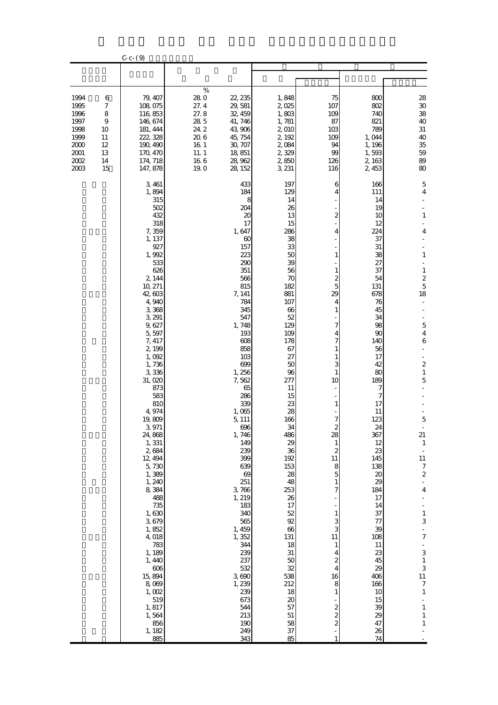|                                                                              |                                                                     | $C - C - (9)$                                                                                                                                                                                                                                                                                                                                                                                                                                                                                                                         |                                                                                    |                                                                                                                                                                                                                                                                                                                                                                                                                                                     |                                                                                                                                                                                                                                                                                                                                                                                          |                                                                                                                                                                                                                                                                        |                                                                                                                                                                                                                                                                                                                                                                             |                                                                                                                                                                                                                                                                                                                                                                                                                                |
|------------------------------------------------------------------------------|---------------------------------------------------------------------|---------------------------------------------------------------------------------------------------------------------------------------------------------------------------------------------------------------------------------------------------------------------------------------------------------------------------------------------------------------------------------------------------------------------------------------------------------------------------------------------------------------------------------------|------------------------------------------------------------------------------------|-----------------------------------------------------------------------------------------------------------------------------------------------------------------------------------------------------------------------------------------------------------------------------------------------------------------------------------------------------------------------------------------------------------------------------------------------------|------------------------------------------------------------------------------------------------------------------------------------------------------------------------------------------------------------------------------------------------------------------------------------------------------------------------------------------------------------------------------------------|------------------------------------------------------------------------------------------------------------------------------------------------------------------------------------------------------------------------------------------------------------------------|-----------------------------------------------------------------------------------------------------------------------------------------------------------------------------------------------------------------------------------------------------------------------------------------------------------------------------------------------------------------------------|--------------------------------------------------------------------------------------------------------------------------------------------------------------------------------------------------------------------------------------------------------------------------------------------------------------------------------------------------------------------------------------------------------------------------------|
|                                                                              |                                                                     |                                                                                                                                                                                                                                                                                                                                                                                                                                                                                                                                       |                                                                                    |                                                                                                                                                                                                                                                                                                                                                                                                                                                     |                                                                                                                                                                                                                                                                                                                                                                                          |                                                                                                                                                                                                                                                                        |                                                                                                                                                                                                                                                                                                                                                                             |                                                                                                                                                                                                                                                                                                                                                                                                                                |
| 1994<br>1995<br>1996<br>1997<br>1998<br>1999<br>2000<br>2001<br>2002<br>2003 | 6<br>$\boldsymbol{7}$<br>8<br>9<br>10<br>11<br>12<br>13<br>14<br>15 | 79, 407<br>108,075<br>116,853<br>146, 674<br>181, 444<br>222, 328<br>190, 490<br>170, 470<br>174, 718<br>147, 878                                                                                                                                                                                                                                                                                                                                                                                                                     | $\%$<br>280<br>27.4<br>27.8<br>28 5<br>24.2<br>20.6<br>16 1<br>11.1<br>166<br>19.0 | 22, 235<br>29, 581<br>32, 459<br>41, 746<br>43,906<br>45, 754<br>30, 707<br>18,851<br>28, 962<br>28, 152                                                                                                                                                                                                                                                                                                                                            | 1,848<br>2,025<br>1,803<br>1,781<br>2,010<br>2, 192<br>2,084<br>2,329<br>2,850<br>3, 231                                                                                                                                                                                                                                                                                                 | 75<br>107<br>109<br>87<br>103<br>109<br>94<br>99<br>126<br>116                                                                                                                                                                                                         | 800<br>802<br>740<br>821<br>789<br>1,044<br>1, 196<br>1,593<br>2,163<br>2,453                                                                                                                                                                                                                                                                                               | 28<br>$\rm 30$<br>38<br>40<br>$31\,$<br>$40$<br>$35\,$<br>$5\!9$<br>89<br>80                                                                                                                                                                                                                                                                                                                                                   |
|                                                                              |                                                                     | 3, 461<br>1,894<br>315<br>502<br>432<br>318<br>7,359<br>1, 137<br>927<br>1,992<br>533<br>626<br>2, 144<br>10, 271<br>42, 603<br>4,940<br>3,368<br>3, 291<br>9,627<br>5,597<br>7, 417<br>2,199<br>1,092<br>1,736<br>3,336<br>31,020<br>873<br>583<br>810<br>4,974<br>19,809<br>3,971<br>24,868<br>1, 331<br>2,684<br>12, 494<br>5,730<br>1,389<br>1, 240<br>8,384<br>488<br>735<br>1,630<br>3,679<br>1,852<br>4,018<br>783<br>1, 189<br>1, 440<br>$606\,$<br>15,894<br>8,069<br>1,002<br>519<br>1,817<br>1,564<br>856<br>1, 182<br>885 |                                                                                    | 433<br>184<br>8<br>204<br>20<br>17<br>1,647<br>60<br>157<br>223<br>290<br>351<br>566<br>815<br>7, 141<br>784<br>345<br>547<br>1,748<br>193<br>608<br>858<br>103<br>699<br>1,256<br>7,562<br>65<br>286<br>339<br>1,065<br>5, 111<br>696<br>1,746<br>149<br>239<br>399<br>639<br>69<br>251<br>3,766<br>1, 219<br>183<br>340<br>565<br>1, 459<br>1,352<br>344<br>239<br>237<br>532<br>3,690<br>1, 239<br>239<br>673<br>544<br>213<br>190<br>249<br>343 | 197<br>129<br>14<br>26<br>13<br>15<br>286<br>38<br>33<br>50<br>39<br>56<br>70<br>182<br>881<br>107<br>66<br>52<br>129<br>109<br>178<br>67<br>27<br>50<br>96<br>277<br>11<br>15<br>23<br>28<br>166<br>34<br>486<br>29<br>36<br>192<br>153<br>28<br>48<br>253<br>26<br>17<br>52<br>92<br>66<br>131<br>18<br>$31\,$<br>50<br>32<br>538<br>212<br>18<br>20<br>57<br>$51\,$<br>58<br>37<br>85 | 6<br>2<br>4<br>1<br>1<br>$\overline{c}$<br>5<br>29<br>4<br>1<br>7<br>3<br>10<br>1<br>7<br>2<br>28<br>$\mathbf{1}$<br>2<br>11<br>8<br>5<br>1<br>7<br>1<br>3<br>3<br>11<br>1<br>4<br>2<br>4<br>16<br>8<br>1<br>$\overline{\mathcal{Z}}$<br>2<br>$\overline{\mathcal{Z}}$ | 166<br>111<br>14<br>19<br>10<br>12<br>224<br>37<br>31<br>38<br>27<br>37<br>54<br>131<br>678<br>76<br>45<br>34<br>98<br>90<br>140<br>56<br>17<br>42<br>80<br>189<br>7<br>7<br>17<br>11<br>123<br>24<br>367<br>12<br>23<br>145<br>138<br>20<br>29<br>184<br>17<br>14<br>37<br>77<br>39<br>108<br>11<br>23<br>45<br>29<br>406<br>166<br>10<br>15<br>39<br>29<br>47<br>26<br>74 | 5<br>$\overline{4}$<br>$\mathbf{1}$<br>4<br>$\,1\,$<br>$\,1\,$<br>$rac{2}{5}$<br>18<br>$\overline{5}$<br>$\overline{\mathbf{4}}$<br>$\mathbf 6$<br>$\overline{\mathcal{L}}$<br>$\,1\,$<br>5<br>$\overline{5}$<br>21<br>$\mathbf{1}$<br>$11\,$<br>$\begin{array}{c} 7 \end{array}$<br>$\boldsymbol{z}$<br>÷<br>4<br>$\,1\,$<br>3<br>7<br>÷<br>3<br>$\,1\,$<br>3<br>11<br>$\boldsymbol{7}$<br>$1\,$<br>$\,1\,$<br>$\,1$<br>$1\,$ |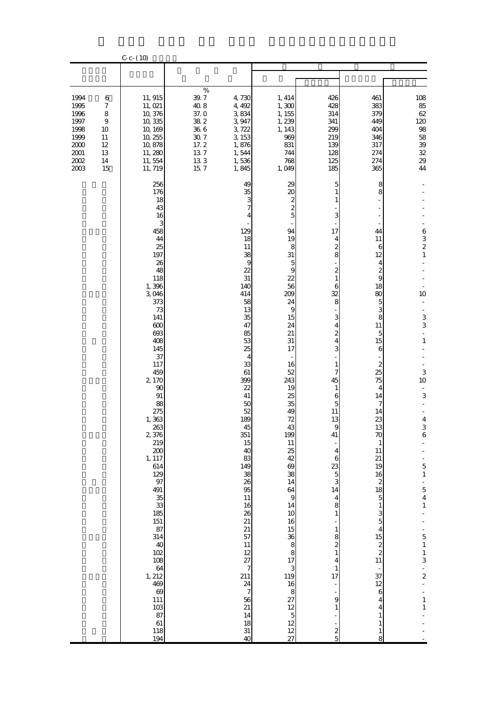|                                                                                          |                                                                                    | $C - C - (10)$                                                                                                                                                                                                                                                                                                                                                                                                                            |                                                                                                |                                                                                                                                                                                                                                                                                                                                                                                                                                 |                                                                                                                                                                                                                                                                                                                                                                                                                                                                        |                                                                                                                                                                                                                                                                                                                                                                                                                                           |                                                                                                                                                                                                                                                                                                                                                                                                                                |                                                                                                                                                                                                                                                                                                                                               |  |
|------------------------------------------------------------------------------------------|------------------------------------------------------------------------------------|-------------------------------------------------------------------------------------------------------------------------------------------------------------------------------------------------------------------------------------------------------------------------------------------------------------------------------------------------------------------------------------------------------------------------------------------|------------------------------------------------------------------------------------------------|---------------------------------------------------------------------------------------------------------------------------------------------------------------------------------------------------------------------------------------------------------------------------------------------------------------------------------------------------------------------------------------------------------------------------------|------------------------------------------------------------------------------------------------------------------------------------------------------------------------------------------------------------------------------------------------------------------------------------------------------------------------------------------------------------------------------------------------------------------------------------------------------------------------|-------------------------------------------------------------------------------------------------------------------------------------------------------------------------------------------------------------------------------------------------------------------------------------------------------------------------------------------------------------------------------------------------------------------------------------------|--------------------------------------------------------------------------------------------------------------------------------------------------------------------------------------------------------------------------------------------------------------------------------------------------------------------------------------------------------------------------------------------------------------------------------|-----------------------------------------------------------------------------------------------------------------------------------------------------------------------------------------------------------------------------------------------------------------------------------------------------------------------------------------------|--|
|                                                                                          |                                                                                    |                                                                                                                                                                                                                                                                                                                                                                                                                                           |                                                                                                |                                                                                                                                                                                                                                                                                                                                                                                                                                 |                                                                                                                                                                                                                                                                                                                                                                                                                                                                        |                                                                                                                                                                                                                                                                                                                                                                                                                                           |                                                                                                                                                                                                                                                                                                                                                                                                                                |                                                                                                                                                                                                                                                                                                                                               |  |
| 1994<br>1995<br>1996<br>1997<br>1998<br>1999<br>$2000\,$<br>$2001\,$<br>$2002\,$<br>2003 | 6<br>$\boldsymbol{7}$<br>8<br>$\boldsymbol{9}$<br>10<br>11<br>12<br>13<br>14<br>15 | 11, 915<br>11, 021<br>10,376<br>10,335<br>10, 169<br>10, 255<br>10,878<br>11, 280<br>11,554<br>11, 719                                                                                                                                                                                                                                                                                                                                    | $\%$<br>39.7<br>$40\;8$<br>37.0<br>$38\ 2$<br>$36\ 6$<br>$30\ 7$<br>17.2<br>137<br>133<br>15.7 | 4,730<br>4, 492<br>3,834<br>3,947<br>3,722<br>3, 153<br>1,876<br>1,544<br>1,536<br>1,845                                                                                                                                                                                                                                                                                                                                        | 1, 414<br>1, 300<br>1, 155<br>1,239<br>1, 143<br>969<br>831<br>744<br>768<br>1,049                                                                                                                                                                                                                                                                                                                                                                                     | 426<br>428<br>314<br>341<br>299<br>219<br>139<br>128<br>125<br>185                                                                                                                                                                                                                                                                                                                                                                        | 461<br>383<br>379<br>449<br>404<br>346<br>317<br>274<br>274<br>365                                                                                                                                                                                                                                                                                                                                                             | 108<br>85<br>62<br>120<br>$9\!8$<br>58<br>$3\hskip-2pt 9$<br>$32\,$<br>$29\,$<br>44                                                                                                                                                                                                                                                           |  |
|                                                                                          |                                                                                    | 256<br>176<br>18<br>43<br>16<br>3<br>458<br>44<br>25<br>197<br>26<br>48<br>118<br>1,396<br>3,046<br>373<br>73<br>141<br>600<br>693<br>408<br>145<br>37<br>117<br>459<br>2, 170<br>90<br>91<br>88<br>275<br>1,363<br>$\frac{263}{2,376}$<br>219<br>200<br>1, 117<br>614<br>129<br>97<br>491<br>35<br>33<br>185<br>$151\,$<br>87<br>314<br>40<br>$102$<br>108<br>64<br>1,212<br>469<br>$69$<br>$111\,$<br>103<br>87<br>$61\,$<br>118<br>194 |                                                                                                | 49<br>35<br>3<br>7<br>4<br>129<br>18<br>11<br>38<br>$\overline{9}$<br>22<br>31<br>140<br>414<br>58<br>13<br>35<br>47<br>85<br>53<br>25<br>$\overline{4}$<br>33<br>61<br>399<br>22<br>41<br>50<br>52<br>189<br>45<br>351<br>15<br>40<br>83<br>149<br>38<br>26<br>95<br>$11\,$<br>16<br>26<br>21<br>21<br>57<br>11<br>12<br>27<br>$\overline{\phantom{a}}$<br>211<br>24<br>$\overline{7}$<br>56<br>21<br>14<br>18<br>$31\,$<br>40 | 29<br>$\infty$<br>$\frac{2}{2}$<br>$\overline{5}$<br>94<br>19<br>8<br>31<br>5<br>9<br>22<br>56<br>209<br>24<br>9<br>15<br>24<br>21<br>31<br>17<br>16<br>52<br>243<br>19<br>25<br>35<br>49<br>72<br>43<br>199<br>11<br>$rac{25}{42}$<br>69<br>38<br>14<br>64<br>$\overline{9}$<br>14<br>10<br>16<br>15<br>$\begin{array}{c}\n 36 \\  8 \\  17\n \end{array}$<br>$\begin{array}{c} 3 \\ 3 \end{array}$<br>16<br>8<br>27<br>$\frac{12}{5}$<br>12<br>12<br>$\overline{27}$ | 5<br>3<br>17<br>4<br>$\overline{\mathcal{Z}}$<br>8<br>$\overline{c}$<br>$\mathbf{1}$<br>6<br>32<br>8<br>3<br>4<br>2<br>4<br>3<br>1<br>7<br>45<br>$\mathbf{1}$<br>6<br>5<br>11<br>13<br>$\boldsymbol{9}$<br>41<br>4<br>6<br>23<br>$\overline{5}$<br>3<br>14<br>$\overline{\mathbf{4}}$<br>8<br>$1\,$<br>$1\,$<br>8<br>$\overline{\mathcal{Z}}$<br>$\mathbf 1$<br>$\overline{4}$<br>$\mathbf{1}$<br>17<br>÷,<br>9<br>$1\,$<br>$\frac{2}{5}$ | 8<br>8<br>44<br>11<br>6<br>12<br>4<br>$\boldsymbol{z}$<br>9<br>18<br>80<br>5<br>3<br>8<br>11<br>5<br>15<br>6<br>2<br>25<br>75<br>4<br>14<br>7<br>14<br>23<br>13<br>70<br>$\mathbf{1}$<br>11<br>21<br>19<br>16<br>$\boldsymbol{z}$<br>18<br>$\overline{5}$<br>$\mathbf{1}$<br>3<br>$\overline{5}$<br>$\overline{4}$<br>15<br>$\frac{2}{2}$<br>11<br>$rac{1}{37}$<br>12<br>6<br>4<br>4<br>$\mathbf{1}$<br>1<br>$\mathbf{1}$<br>8 | 6<br>$\frac{3}{2}$<br>$\,1\,$<br>10<br>3<br>3<br>Ξ<br>$\mathbf{1}$<br>3<br>10<br>3<br>$\boldsymbol{4}$<br>$\begin{array}{c} 3 \\ 6 \end{array}$<br>$\blacksquare$<br>$\frac{1}{\sqrt{2}}$<br>$\overline{5}$<br>$\mathbf 1$<br>$\frac{1}{5}$<br>$\,1\,$<br>$\Box$<br>$-511$<br>3<br>$\frac{1}{2}$<br>$\frac{1}{2}$<br>$\frac{1}{1}$<br>$\,1\,$ |  |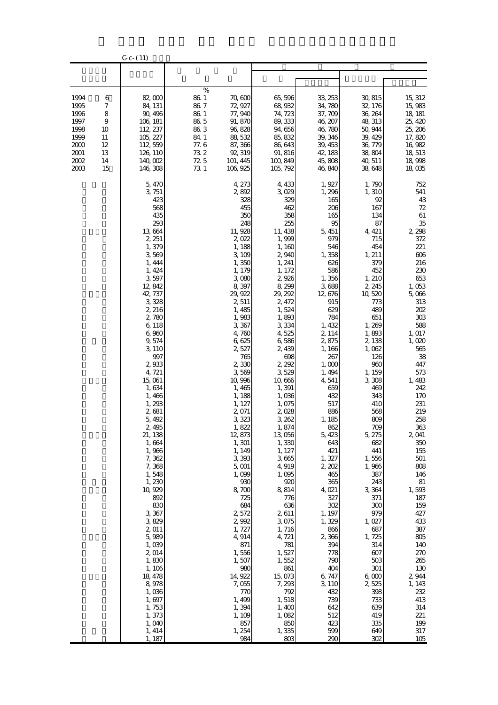|                                                                              |                                                      | $C-c-(11)$                                                                                                                                                                                                                                                                                                                                                                                                                                                                                                                                           |                                                                                   |                                                                                                                                                                                                                                                                                                                                                                                                                                                                                                                                        |                                                                                                                                                                                                                                                                                                                                                                                                                                                                                                                                       |                                                                                                                                                                                                                                                                                                                                                                                                                                                                                        |                                                                                                                                                                                                                                                                                                                                                                                                                                                                             |                                                                                                                                                                                                                                                                                                                                                                                                                                                |
|------------------------------------------------------------------------------|------------------------------------------------------|------------------------------------------------------------------------------------------------------------------------------------------------------------------------------------------------------------------------------------------------------------------------------------------------------------------------------------------------------------------------------------------------------------------------------------------------------------------------------------------------------------------------------------------------------|-----------------------------------------------------------------------------------|----------------------------------------------------------------------------------------------------------------------------------------------------------------------------------------------------------------------------------------------------------------------------------------------------------------------------------------------------------------------------------------------------------------------------------------------------------------------------------------------------------------------------------------|---------------------------------------------------------------------------------------------------------------------------------------------------------------------------------------------------------------------------------------------------------------------------------------------------------------------------------------------------------------------------------------------------------------------------------------------------------------------------------------------------------------------------------------|----------------------------------------------------------------------------------------------------------------------------------------------------------------------------------------------------------------------------------------------------------------------------------------------------------------------------------------------------------------------------------------------------------------------------------------------------------------------------------------|-----------------------------------------------------------------------------------------------------------------------------------------------------------------------------------------------------------------------------------------------------------------------------------------------------------------------------------------------------------------------------------------------------------------------------------------------------------------------------|------------------------------------------------------------------------------------------------------------------------------------------------------------------------------------------------------------------------------------------------------------------------------------------------------------------------------------------------------------------------------------------------------------------------------------------------|
|                                                                              |                                                      |                                                                                                                                                                                                                                                                                                                                                                                                                                                                                                                                                      |                                                                                   |                                                                                                                                                                                                                                                                                                                                                                                                                                                                                                                                        |                                                                                                                                                                                                                                                                                                                                                                                                                                                                                                                                       |                                                                                                                                                                                                                                                                                                                                                                                                                                                                                        |                                                                                                                                                                                                                                                                                                                                                                                                                                                                             |                                                                                                                                                                                                                                                                                                                                                                                                                                                |
| 1994<br>1995<br>1996<br>1997<br>1998<br>1999<br>2000<br>2001<br>2002<br>2003 | 6<br>7<br>8<br>9<br>10<br>11<br>12<br>13<br>14<br>15 | 82,000<br>84, 131<br>90, 496<br>106, 181<br>112, 237<br>105, 227<br>112, 559<br>126, 110<br>140,002<br>146, 308                                                                                                                                                                                                                                                                                                                                                                                                                                      | %<br>86 1<br>86.7<br>$86\ 1$<br>86 5<br>863<br>84.1<br>77.6<br>732<br>72 5<br>731 | 70,600<br>72, 927<br>77,940<br>91, 870<br>96, 828<br>88, 532<br>87, 366<br>92, 319<br>101, 445<br>106, 925                                                                                                                                                                                                                                                                                                                                                                                                                             | 65,596<br>68, 932<br>74, 723<br>89, 333<br>94,656<br>85, 832<br>86, 643<br>91, 816<br>100,849<br>105, 792                                                                                                                                                                                                                                                                                                                                                                                                                             | 33, 253<br>34,780<br>37, 709<br>46, 207<br>46,780<br>39, 346<br>39, 453<br>42, 183<br>45,808<br>46,840                                                                                                                                                                                                                                                                                                                                                                                 | 30, 815<br>32, 176<br>36, 264<br>48, 313<br>50, 944<br>39, 429<br>36, 779<br>38,804<br>40, 511<br>38,648                                                                                                                                                                                                                                                                                                                                                                    | 15, 312<br>15,983<br>18, 181<br>25, 420<br>25, 206<br>17,820<br>16,982<br>18, 513<br>18,998<br>18,035                                                                                                                                                                                                                                                                                                                                          |
|                                                                              |                                                      | 5,470<br>3, 751<br>423<br>568<br>435<br>293<br>13,664<br>2, 251<br>1,379<br>3,569<br>1, 444<br>1, 424<br>3,597<br>12,842<br>42 737<br>3,328<br>2, 216<br>2,780<br>6,118<br>6,960<br>9,574<br>3, 110<br>997<br>2,933<br>4,721<br>15,061<br>1,634<br>1,466<br>1,293<br>2,681<br>5,492<br>2,495<br>21, 138<br>1,664<br>1,966<br>7,362<br>7,368<br>1,548<br>1,230<br>10, 929<br>892<br>830<br>3,367<br>3,829<br>2,011<br>5,989<br>1,039<br>2,014<br>1,830<br>1, 106<br>18, 478<br>8,978<br>1,036<br>1,697<br>1,753<br>1,373<br>1,040<br>1, 414<br>1, 187 |                                                                                   | 4, 273<br>2,892<br>328<br>455<br>350<br>248<br>11, 928<br>2,022<br>1,188<br>3,109<br>1,350<br>1, 179<br>3,080<br>8,397<br>29, 922<br>2,511<br>1,485<br>1,983<br>3,367<br>4,760<br>6,625<br>2,527<br>765<br>2,330<br>3,569<br>10, 996<br>1,465<br>1, 188<br>1, 127<br>2 071<br>3,323<br>1,822<br>12,873<br>1, 301<br>1, 149<br>3,393<br>5,001<br>1,099<br>930<br>8,700<br>725<br>684<br>2,572<br>2,992<br>1,727<br>4,914<br>871<br>1,556<br>1,507<br>980<br>14, 922<br>7,055<br>770<br>1,499<br>1,394<br>1, 109<br>857<br>1, 254<br>984 | 4, 433<br>3,029<br>329<br>462<br>358<br>255<br>11, 438<br>1,999<br>1, 160<br>2,940<br>1, 241<br>1, 172<br>2,926<br>8,299<br>29, 292<br>2, 472<br>1,524<br>1,893<br>3,334<br>4,525<br>6,586<br>2,439<br>698<br>2, 292<br>3,529<br>10,666<br>1,391<br>1,036<br>1,075<br>2,028<br>3, 262<br>1,874<br>13,056<br>1,330<br>1, 127<br>3,665<br>4,919<br>1,095<br>920<br>8,814<br>776<br>636<br>2,611<br>3,075<br>1,716<br>4, 721<br>781<br>1,527<br>1,552<br>861<br>15,073<br>7,293<br>792<br>1,518<br>1,400<br>1,082<br>850<br>1,335<br>803 | 1, 927<br>1,296<br>165<br>206<br>165<br>95<br>5, 451<br>979<br>546<br>1,358<br>626<br>586<br>1,356<br>3,688<br>12, 676<br>915<br>629<br>784<br>1, 432<br>2, 114<br>2,875<br>1, 166<br>267<br>1,000<br>1, 494<br>4, 541<br>659<br>432<br>517<br>886<br>1, 185<br>862<br>5, 423<br>643<br>421<br>1,327<br>2, 202<br>465<br>365<br>4,021<br>327<br>302<br>1, 197<br>1,329<br>866<br>2,366<br>394<br>778<br>790<br>404<br>6,747<br>3, 110<br>432<br>739<br>642<br>512<br>423<br>599<br>290 | 1, 790<br>1, 310<br>92<br>167<br>134<br>87<br>4, 421<br>715<br>454<br>1, 211<br>379<br>452<br>1, 210<br>2, 245<br>10,520<br>773<br>489<br>651<br>1,269<br>1,893<br>2, 138<br>1,062<br>126<br>960<br>1, 159<br>3,308<br>469<br>343<br>410<br>568<br>809<br>709<br>5, 275<br>682<br>441<br>1,556<br>1,966<br>387<br>243<br>3,364<br>371<br>300<br>979<br>1,027<br>687<br>1,725<br>314<br>607<br>503<br>301<br>6,000<br>2,525<br>398<br>733<br>639<br>419<br>335<br>649<br>302 | 752<br>541<br>43<br>72<br>61<br>35<br>2, 298<br>372<br>221<br>606<br>216<br>230<br>653<br>1,053<br>5,066<br>313<br>202<br>303<br>588<br>1, 017<br>1,020<br>565<br>38<br>447<br>573<br>1,483<br>242<br>170<br>231<br>219<br>258<br>363<br>2 041<br>350<br>155<br>501<br>808<br>146<br>$81\,$<br>1,593<br>187<br>159<br>427<br>433<br>387<br>805<br>140<br>270<br>265<br>130<br>2,944<br>1, 143<br>232<br>413<br>314<br>221<br>199<br>317<br>105 |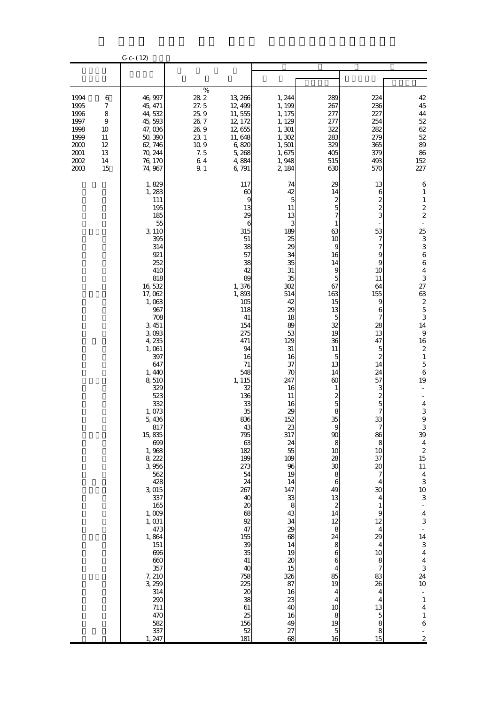|                                                                                      |                                                                     | $C - (12)$                                                                                                                                                                                                                                                                                                                                                                                                                                                                                    |                                                                                     |                                                                                                                                                                                                                                                                                                                                                                                                                         |                                                                                                                                                                                                                                                                                                                                                                                                     |                                                                                                                                                                                                                                                                                                                                                                                                                                                              |                                                                                                                                                                                                                                                                                                                                                                                                                                                                                           |                                                                                                                                                                                                                                                                                                                                                                                                                                                                                                                                                                                                                                                                                                                                              |
|--------------------------------------------------------------------------------------|---------------------------------------------------------------------|-----------------------------------------------------------------------------------------------------------------------------------------------------------------------------------------------------------------------------------------------------------------------------------------------------------------------------------------------------------------------------------------------------------------------------------------------------------------------------------------------|-------------------------------------------------------------------------------------|-------------------------------------------------------------------------------------------------------------------------------------------------------------------------------------------------------------------------------------------------------------------------------------------------------------------------------------------------------------------------------------------------------------------------|-----------------------------------------------------------------------------------------------------------------------------------------------------------------------------------------------------------------------------------------------------------------------------------------------------------------------------------------------------------------------------------------------------|--------------------------------------------------------------------------------------------------------------------------------------------------------------------------------------------------------------------------------------------------------------------------------------------------------------------------------------------------------------------------------------------------------------------------------------------------------------|-------------------------------------------------------------------------------------------------------------------------------------------------------------------------------------------------------------------------------------------------------------------------------------------------------------------------------------------------------------------------------------------------------------------------------------------------------------------------------------------|----------------------------------------------------------------------------------------------------------------------------------------------------------------------------------------------------------------------------------------------------------------------------------------------------------------------------------------------------------------------------------------------------------------------------------------------------------------------------------------------------------------------------------------------------------------------------------------------------------------------------------------------------------------------------------------------------------------------------------------------|
|                                                                                      |                                                                     |                                                                                                                                                                                                                                                                                                                                                                                                                                                                                               |                                                                                     |                                                                                                                                                                                                                                                                                                                                                                                                                         |                                                                                                                                                                                                                                                                                                                                                                                                     |                                                                                                                                                                                                                                                                                                                                                                                                                                                              |                                                                                                                                                                                                                                                                                                                                                                                                                                                                                           |                                                                                                                                                                                                                                                                                                                                                                                                                                                                                                                                                                                                                                                                                                                                              |
| 1994<br>1995<br>1996<br>1997<br>1998<br>1999<br>2000<br>$2001\,$<br>$2002\,$<br>2003 | 6<br>$\boldsymbol{7}$<br>8<br>9<br>10<br>11<br>12<br>13<br>14<br>15 | 46,997<br>45, 471<br>44,532<br>45,593<br>47,036<br>50,390<br>62, 746<br>70, 244<br>76, 170<br>74, 967                                                                                                                                                                                                                                                                                                                                                                                         | $\%$<br>28 2<br>27.5<br>25.9<br>$26\ 7$<br>26.9<br>23 1<br>10.9<br>7.5<br>64<br>9.1 | 13, 266<br>12, 499<br>11,555<br>12, 172<br>12,655<br>11,648<br>6,820<br>5,268<br>4,884<br>6,791                                                                                                                                                                                                                                                                                                                         | 1, 244<br>1, 199<br>1, 175<br>1, 129<br>1, 301<br>1,302<br>1,501<br>1,675<br>1,948<br>2, 184                                                                                                                                                                                                                                                                                                        | 289<br>267<br>277<br>277<br>322<br>283<br>329<br>405<br>515<br>630                                                                                                                                                                                                                                                                                                                                                                                           | 224<br>236<br>227<br>254<br>282<br>279<br>365<br>379<br>493<br>570                                                                                                                                                                                                                                                                                                                                                                                                                        | $42\,$<br>45<br>$\bf 44$<br>$5\!2$<br>$62\,$<br>$5\!2$<br>89<br>86<br>152<br>227                                                                                                                                                                                                                                                                                                                                                                                                                                                                                                                                                                                                                                                             |
|                                                                                      |                                                                     | 1,829<br>1,283<br>111<br>195<br>185<br>55<br>3, 110<br>395<br>314<br>921<br>252<br>410<br>818<br>16,532<br>17,062<br>1,063<br>967<br>708<br>3, 451<br>3,093<br>4,235<br>1,061<br>397<br>647<br>1, 440<br>8,510<br>329<br>523<br>332<br>1,073<br>5,436<br>817<br>15,835<br>699<br>1,968<br>8, 222<br>3,956<br>562<br>428<br>3,015<br>337<br>165<br>$1,009$<br>1,031<br>473<br>1,864<br>151<br>696<br>660<br>357<br>7, 210<br>3, 259<br>314<br>290<br>$711\,$<br>470<br>582<br>337<br>247<br>1. |                                                                                     | 117<br>$\boldsymbol{\omega}$<br>9<br>13<br>29<br>6<br>315<br>51<br>38<br>57<br>38<br>42<br>89<br>1,376<br>1,893<br>105<br>118<br>41<br>154<br>275<br>471<br>94<br>16<br>71<br>548<br>1, 115<br>32<br>136<br>33<br>35<br>836<br>43<br>795<br>63<br>182<br>199<br>273<br>54<br>24<br>267<br>40<br>$\infty$<br>68<br>92<br>47<br>155<br>39<br>35<br>41<br>40<br>758<br>225<br>20<br>38<br>$61\,$<br>25<br>156<br>52<br>181 | 74<br>42<br>$\overline{5}$<br>11<br>13<br>3<br>189<br>25<br>29<br>34<br>35<br>31<br>35<br>302<br>514<br>42<br>29<br>18<br>89<br>53<br>129<br>31<br>16<br>37<br>70<br>247<br>16<br>11<br>16<br>29<br>152<br>23<br>317<br>24<br>55<br>109<br>96<br>19<br>14<br>147<br>33<br>8<br>43<br>34<br>29<br>68<br>14<br>19<br>$\boldsymbol{\chi}$<br>15<br>326<br>87<br>16<br>23<br>40<br>16<br>49<br>27<br>68 | 29<br>14<br>$rac{2}{5}$<br>7<br>1<br>63<br>10<br>9<br>16<br>14<br>9<br>$\overline{5}$<br>67<br>163<br>15<br>13<br>5<br>32<br>19<br>36<br>11<br>$\overline{5}$<br>13<br>14<br>60<br>1<br>$rac{2}{5}$<br>8<br>35<br>90<br>8<br>10<br>28<br>30<br>8<br>$\boldsymbol{6}$<br>49<br>13<br>$\boldsymbol{z}$<br>14<br>12<br>8<br>24<br>8<br>$\overline{6}$<br>6<br>$\overline{4}$<br>85<br>19<br>$\overline{4}$<br>$\overline{4}$<br>10<br>8<br>19<br>$\frac{5}{16}$ | 13<br>6<br>$\boldsymbol{z}$<br>$\overline{\mathcal{Z}}$<br>3<br>53<br>7<br>7<br>9<br>9<br>10<br>11<br>64<br>155<br>9<br>6<br>7<br>28<br>13<br>47<br>5<br>$\mathbf{z}$<br>14<br>24<br>57<br>3<br>$\overline{\mathcal{Z}}$<br>5<br>7<br>33<br>$\tilde{ }$<br>86<br>$\,$ 8 $\,$<br>10<br>37<br>$\infty$<br>7<br>4<br>30<br>$\overline{4}$<br>$\mathbf{1}$<br>$\mathbf{9}$<br>12<br>4<br>29<br>4<br>10<br>8<br>$\boldsymbol{7}$<br>83<br>26<br>4<br>4<br>13<br>$\overline{5}$<br>8<br>8<br>15 | 6<br>$\mathbf{1}$<br>$\mathbf{1}$<br>$\boldsymbol{2}$<br>$\overline{\mathcal{L}}$<br>25<br>3<br>3<br>$\boldsymbol{6}$<br>$\,$ 6 $\,$<br>$\boldsymbol{4}$<br>3<br>27<br>63<br>$\begin{array}{c} 2 \\ 5 \end{array}$<br>3<br>14<br>$\boldsymbol{9}$<br>16<br>$\boldsymbol{2}$<br>$\mathbf 1$<br>$\mathbf 5$<br>$\,$ 6 $\,$<br>19<br>$\overline{\mathbf{4}}$<br>$\,$ 3 $\,$<br>$\hbox{9}$<br>$\ensuremath{\mathsf{3}}$<br>39<br>$\overline{\mathbf{4}}$<br>$\begin{array}{c} 2 \\ 15 \end{array}$<br>$11\,$<br>$\overline{4}$<br>3<br>10<br>3<br>$\frac{1}{4}$<br>3<br>÷<br>14<br>3<br>$\boldsymbol{4}$<br>$\overline{\mathbf{4}}$<br>$\frac{3}{24}$<br>$10\,$<br>÷<br>$\mathbf 1$<br>$\bf 4$<br>$\,1\,$<br>$\mathbf 6$<br>÷,<br>$\overline{c}$ |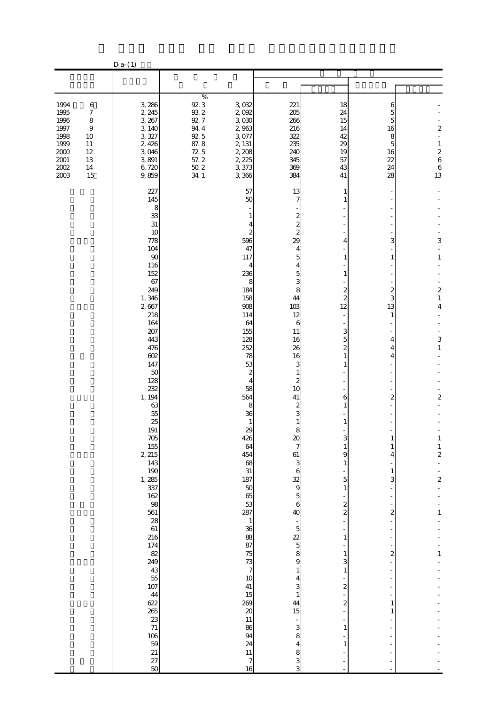|                                                                                                                                                                                                      | $D a-(1)$                                                                                                                                                                                                                                                                                                                                                                                                                                                                                                      |                                                                                                                                                                                                                                                                                                                                                        |                                                                                                                                                                                                                                                                                                                                                                                                                                                                                                                                                                                                            |                                                                                                                                                                                                                                                                                         |                                                                                                                                 |                                                                                                                                                                  |
|------------------------------------------------------------------------------------------------------------------------------------------------------------------------------------------------------|----------------------------------------------------------------------------------------------------------------------------------------------------------------------------------------------------------------------------------------------------------------------------------------------------------------------------------------------------------------------------------------------------------------------------------------------------------------------------------------------------------------|--------------------------------------------------------------------------------------------------------------------------------------------------------------------------------------------------------------------------------------------------------------------------------------------------------------------------------------------------------|------------------------------------------------------------------------------------------------------------------------------------------------------------------------------------------------------------------------------------------------------------------------------------------------------------------------------------------------------------------------------------------------------------------------------------------------------------------------------------------------------------------------------------------------------------------------------------------------------------|-----------------------------------------------------------------------------------------------------------------------------------------------------------------------------------------------------------------------------------------------------------------------------------------|---------------------------------------------------------------------------------------------------------------------------------|------------------------------------------------------------------------------------------------------------------------------------------------------------------|
|                                                                                                                                                                                                      |                                                                                                                                                                                                                                                                                                                                                                                                                                                                                                                |                                                                                                                                                                                                                                                                                                                                                        |                                                                                                                                                                                                                                                                                                                                                                                                                                                                                                                                                                                                            |                                                                                                                                                                                                                                                                                         |                                                                                                                                 |                                                                                                                                                                  |
|                                                                                                                                                                                                      |                                                                                                                                                                                                                                                                                                                                                                                                                                                                                                                |                                                                                                                                                                                                                                                                                                                                                        |                                                                                                                                                                                                                                                                                                                                                                                                                                                                                                                                                                                                            |                                                                                                                                                                                                                                                                                         |                                                                                                                                 |                                                                                                                                                                  |
| 1994<br>$\,6$<br>1995<br>$\boldsymbol{7}$<br>1996<br>$\,8\,$<br>1997<br>$\boldsymbol{9}$<br>1998<br>10<br>1999<br>$11\,$<br>$2000\,$<br>$12\,$<br>$2001\,$<br>13<br>$2002\,$<br>$14\,$<br>2003<br>15 | 3,286<br>2, 245<br>3, 267<br>3, 140<br>3,327<br>2,426<br>3,046<br>3,891<br>6,720<br>9,859                                                                                                                                                                                                                                                                                                                                                                                                                      | $\%$<br>$\frac{92}{93}$ $\frac{3}{2}$<br>3,032<br>2,092<br>92.7<br>3,030<br>$94\ 4$<br>2,963<br>92.5<br>3,077<br>87.8<br>2, 131<br>72.5<br>2, 208<br>57.2<br>2, 225<br>$\frac{50}{34}$ 2<br>3,373<br>3,366                                                                                                                                             | 221<br>205<br>266<br>216<br>322<br>235<br>240<br>345<br>369<br>384                                                                                                                                                                                                                                                                                                                                                                                                                                                                                                                                         | 18<br>24<br>15<br>14<br>42<br>29<br>19<br>57<br>43<br>41                                                                                                                                                                                                                                | 6<br>5<br>5<br>16<br>8<br>5<br>16<br>22<br>24<br>28                                                                             | $\overline{\mathcal{L}}$<br>$\overline{\phantom{a}}$<br>$\,1$<br>$\begin{array}{c} 2 \\ 6 \end{array}$<br>$\begin{array}{c} 6 \\ 13 \end{array}$                 |
|                                                                                                                                                                                                      | 227<br>145<br>8<br>33<br>31<br>10<br>778<br>104<br>90<br>116<br>152<br>67<br>249<br>1,346<br>2,667<br>218<br>164<br>207<br>443<br>476<br>602<br>147<br>50<br>128<br>232<br>1, 194<br>63<br>55<br>25<br>191<br>705<br>$\frac{155}{2}$<br>143<br>190<br>1, 285<br>337<br>162<br>98<br>561<br>$\begin{array}{c} 28 \\ 61 \end{array}$<br>216<br>174<br>82<br>249<br>$\begin{array}{c} 43 \\ 55 \\ 107 \end{array}$<br>$\frac{44}{622}$<br>23<br>71<br>$\begin{array}{c} 106 \\ 59 \end{array}$<br>$\frac{21}{27}$ | 57<br>50<br>596<br>47<br>117<br>236<br>184<br>158<br>908<br>114<br>64<br>155<br>128<br>252<br>78<br>53<br>58<br>564<br>36<br>29<br>426<br>64<br>454<br>68<br>31<br>187<br>$\begin{array}{c} 50 \\ 65 \end{array}$<br>53<br>287<br>36<br>88<br>87<br>75<br>73<br>10<br>41<br>15<br>269<br>$\boldsymbol{\alpha}$<br>$11\,$<br>86<br>94<br>24<br>11<br>16 | 13<br>7<br>$\boldsymbol{z}$<br>-1<br>$\overline{\mathcal{L}}$<br>4<br>$\overline{c}$<br>$\overline{\mathcal{Z}}$<br>29<br>4<br>5<br>4<br>4<br>5<br>3<br>8<br>8<br>44<br>103<br>12<br>6<br>11<br>16<br>26<br>16<br>3<br>$\boldsymbol{z}$<br>1<br>$\boldsymbol{z}$<br>4<br>10<br>41<br>8<br>$\boldsymbol{z}$<br>3<br>$\mathbf{1}$<br>1<br>8<br>$\infty$<br>7<br>61<br>3<br>6<br>$\frac{32}{9}$<br>$\overline{5}$<br>6<br>40<br>$\mathbf{1}$<br>$\overline{5}$<br>22<br>$\overline{5}$<br>8<br>9<br>$\overline{7}$<br>1<br>4<br>3<br>$\mathbf{1}$<br>44<br>15<br>3<br>8<br>4<br>8<br>$\overline{7}$<br>3<br>3 | 1<br>1<br>4<br>$\mathbf{1}$<br>1<br>$\boldsymbol{z}$<br>2<br>12<br>3<br>5<br>$\mathbf{z}$<br>1<br>1<br>6<br>1<br>$\mathbf{1}$<br>9<br>1<br>5<br>$\mathbf{1}$<br>$\boldsymbol{z}$<br>$\overline{a}$<br>$\mathbf{1}$<br>1<br>3<br>$\mathbf{1}$<br>$\overline{\mathcal{Z}}$<br>2<br>1<br>1 | 3<br>$\mathbf{1}$<br>2<br>3<br>13<br>$\mathbf{1}$<br>4<br>4<br>4<br>2<br>4<br>1<br>3<br>2<br>$\overline{\mathcal{Z}}$<br>1<br>1 | 3<br>$\,1\,$<br>$\boldsymbol{z}$<br>$\mathbf{1}$<br>4<br>3<br>$\,1$<br>$\overline{\mathbf{c}}$<br>$\frac{1}{2}$<br>$\overline{\mathcal{L}}$<br>1<br>$\mathbf{1}$ |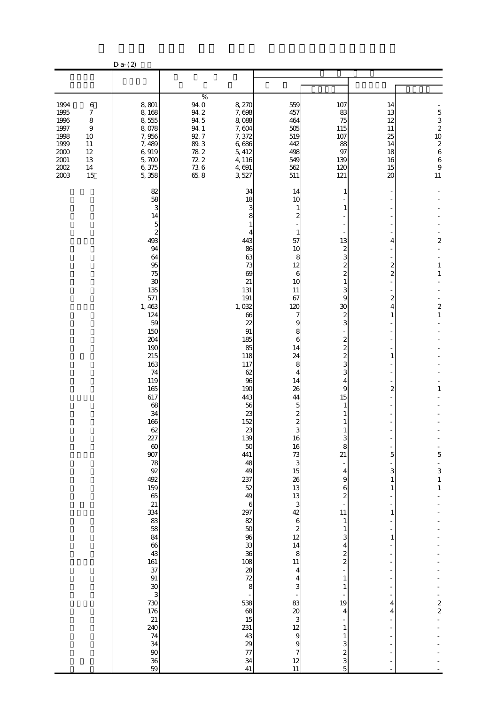|                                                        |                                                    | $D$ a- $(2)$                                                      |                                                     |                                                     |                                                                         |                                                                                   |                                                           |                                                        |
|--------------------------------------------------------|----------------------------------------------------|-------------------------------------------------------------------|-----------------------------------------------------|-----------------------------------------------------|-------------------------------------------------------------------------|-----------------------------------------------------------------------------------|-----------------------------------------------------------|--------------------------------------------------------|
|                                                        |                                                    |                                                                   |                                                     |                                                     |                                                                         |                                                                                   |                                                           |                                                        |
| 1994<br>1995<br>1996<br>1997                           | $\,6$<br>$\boldsymbol{7}$<br>8<br>$\boldsymbol{9}$ | 8,801<br>8,168<br>8,555<br>8,078                                  | $\%$<br>$94.0\,$ $94.2$<br>94.5<br>94.1             | 8,270<br>7,698<br>8,088<br>7,604                    | 559<br>457<br>464<br>505                                                | 107<br>83<br>75<br>115                                                            | 14<br>13<br>12<br>11                                      | $\begin{array}{c} 5 \\ 3 \\ 2 \end{array}$             |
| 1998<br>1999<br>$2000$<br>$2001\,$<br>$2002\,$<br>2003 | 10<br>11<br>12<br>13<br>$14\,$<br>15               | 7,956<br>7,489<br>6,919<br>5,700<br>6,375<br>5,358                | 92.7<br>$89.3\,$<br>$78\ 2$<br>72.2<br>$736$<br>658 | 7,372<br>6,686<br>5, 412<br>4,116<br>4,691<br>3,527 | 519<br>442<br>498<br>549<br>562<br>511                                  | 107<br>88<br>97<br>139<br>120<br>121                                              | 25<br>14<br>18<br>16<br>15<br>20                          | 10<br>$\boldsymbol{z}$<br>6<br>6<br>$\mathbf{9}$<br>11 |
|                                                        |                                                    | 82<br>58<br>3<br>14<br>5                                          |                                                     | 34<br>18<br>З<br>8                                  | 14<br>10<br>1<br>2                                                      |                                                                                   |                                                           |                                                        |
|                                                        |                                                    | $\mathbf{z}$<br>493<br>94<br>64<br>95<br>75                       |                                                     | 443<br>86<br>63<br>73<br>69                         | $\mathbf{1}$<br>57<br>10<br>8<br>12<br>6                                | 13<br>2<br>3<br>$\overline{\mathcal{Z}}$<br>$\overline{\mathcal{Z}}$              | 4<br>$\overline{\mathcal{Z}}$<br>$\overline{\mathcal{Z}}$ | $\overline{\mathbf{c}}$<br>$\,1\,$<br>$\,1\,$          |
|                                                        |                                                    | 30<br>135<br>571<br>1,463<br>124                                  |                                                     | 21<br>131<br>191<br>1,032<br>66                     | 10<br>11<br>67<br>120<br>7                                              | 3<br>9<br>30<br>2                                                                 | 2<br>4<br>$\mathbf{1}$                                    | $\overline{\mathbf{c}}$<br>$\mathbf{1}$                |
|                                                        |                                                    | 59<br>150<br>204<br>190<br>215<br>163                             |                                                     | 22<br>91<br>185<br>85<br>118<br>117                 | 9<br>8<br>6<br>14<br>24<br>8                                            | 3<br>2<br>$\overline{\mathcal{Z}}$<br>$\overline{\mathcal{Z}}$<br>3               | 1                                                         |                                                        |
|                                                        |                                                    | 74<br>119<br>165<br>617<br>68<br>34                               |                                                     | 62<br>96<br>190<br>443<br>56<br>23                  | 4<br>14<br>26<br>44<br>5<br>$\boldsymbol{z}$                            | 3<br>4<br>9<br>15                                                                 | 2                                                         | 1                                                      |
|                                                        |                                                    | 166<br>62<br>227<br>$60$<br>907                                   |                                                     | 152<br>23<br>139<br>50<br>441                       | $\boldsymbol{z}$<br>3<br>16<br>16<br>73                                 | 1<br>8<br>21                                                                      | 5                                                         | 5                                                      |
|                                                        |                                                    | $\begin{array}{c} 78 \\ 92 \end{array}$<br>492<br>159<br>65<br>21 |                                                     | 48<br>49<br>237<br>52<br>49<br>$\,6$                | 3<br>15<br>26<br>13<br>13<br>$\mathbf{3}$                               | $\overline{\phantom{m}}$<br>4<br>$\Theta$<br>6<br>$\overline{\mathcal{Z}}$        | 3<br>1<br>1                                               | $\frac{1}{3}$<br>$\mathbf 1$                           |
|                                                        |                                                    | 334<br>83<br>58<br>84<br>66                                       |                                                     | 297<br>82<br>$50\,$<br>96<br>33                     | 42<br>$\,$ 6 $\,$<br>$\boldsymbol{z}$<br>12<br>14                       | 11<br>$\mathbf{1}$<br>1<br>3<br>4                                                 | 1<br>1                                                    |                                                        |
|                                                        |                                                    | 43<br>161<br>37<br>91<br>$\frac{30}{3}$                           |                                                     | 36<br>108<br>28<br>72<br>8                          | $\bf8$<br>11<br>$\overline{\mathbf{4}}$<br>$\overline{\mathbf{4}}$<br>3 | $\overline{\mathcal{Z}}$<br>$\overline{c}$<br>$\overline{a}$<br>$\mathbf{1}$<br>1 |                                                           |                                                        |
|                                                        |                                                    | 730<br>176<br>21<br>240<br>74                                     |                                                     | 538<br>68<br>15<br>231<br>43                        | 83<br>20<br>$\ensuremath{\mathsf{3}}$<br>12<br>$\overline{9}$           | 19<br>4<br>1<br>1                                                                 | 4<br>4                                                    | $\frac{2}{2}$                                          |
|                                                        |                                                    | 34<br>$90\,$<br>36<br>59                                          |                                                     | 29<br>$77$<br>34<br>41                              | $\theta$<br>$\boldsymbol{7}$<br>12<br>11                                | 3<br>$\frac{2}{3}$<br>5                                                           |                                                           |                                                        |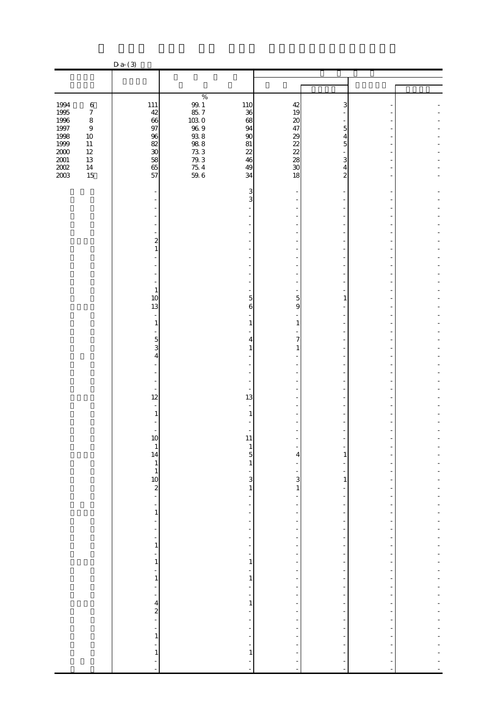|                                                                 |                             | $D a-(3)$                             |                                                                                  |                                                              |                                                           |  |
|-----------------------------------------------------------------|-----------------------------|---------------------------------------|----------------------------------------------------------------------------------|--------------------------------------------------------------|-----------------------------------------------------------|--|
|                                                                 |                             |                                       |                                                                                  |                                                              |                                                           |  |
|                                                                 |                             |                                       |                                                                                  |                                                              |                                                           |  |
| 1994                                                            | $\,6\,$<br>$\boldsymbol{7}$ | 111<br>42                             | $\%$<br>$\frac{99.1}{85.7}$<br>103.0<br>110<br>36                                | 42<br>19                                                     | 3                                                         |  |
| $\begin{array}{c} 1995 \\ 1996 \end{array}$<br>$1997\,$<br>1998 | $\,8\,$<br>$\,9$<br>$10\,$  | 66<br>97<br>96                        | 68<br>94<br>$90\,$                                                               | 20<br>47                                                     | 5<br>4                                                    |  |
| 1999<br>$2000\,$<br>$2001\,$                                    | $11\,$<br>$12\,$<br>13      | 82<br>$\overline{30}$                 | 96.9<br>93.8<br>93.8<br>73.3<br>79.7<br>59.6<br>81<br>22<br>46                   | 38888                                                        | 5<br>3                                                    |  |
| $\frac{2002}{2003}$                                             | $14\,$<br>15                | $\frac{58}{65}$<br>57                 | 49<br>34                                                                         | 18                                                           | 4<br>$\overline{a}$                                       |  |
|                                                                 |                             |                                       | 3<br>3                                                                           |                                                              |                                                           |  |
|                                                                 |                             |                                       |                                                                                  |                                                              |                                                           |  |
|                                                                 |                             | $\overline{\mathbf{c}}$<br>1          |                                                                                  |                                                              |                                                           |  |
|                                                                 |                             |                                       |                                                                                  |                                                              |                                                           |  |
|                                                                 |                             | $\mathbf{1}$<br>10<br>13              | 5<br>6                                                                           | 5<br>9                                                       | 1                                                         |  |
|                                                                 |                             | 1                                     | $\mathbf{1}$                                                                     | $\mathbf{1}$                                                 |                                                           |  |
|                                                                 |                             | $\mathbf 5$<br>3<br>4                 | 4<br>1                                                                           | 7<br>1                                                       |                                                           |  |
|                                                                 |                             |                                       |                                                                                  |                                                              |                                                           |  |
|                                                                 |                             | 12                                    | 13                                                                               |                                                              |                                                           |  |
|                                                                 |                             | 1                                     | 1                                                                                |                                                              |                                                           |  |
|                                                                 |                             | 1C<br>$\mathbf{1}$<br>14              | 11<br>$\mathbf{1}$<br>5                                                          | 4                                                            | $\mathbf{1}$                                              |  |
|                                                                 |                             | $\begin{array}{c} 1 \\ 1 \end{array}$ | $\,1\,$<br>$\overline{\phantom{a}}$                                              | $\overline{\phantom{0}}$<br>3<br>$\mathbf{3}$                | $\overline{\phantom{0}}$<br>$\mathbf{1}$                  |  |
|                                                                 |                             | $\frac{10}{2}$<br>÷                   | $\,1\,$<br>$\blacksquare$<br>÷                                                   | $\,1\,$<br>÷,                                                | -<br>$\overline{\phantom{a}}$                             |  |
|                                                                 |                             | 1<br>÷<br>÷                           | $\overline{\phantom{0}}$<br>$\overline{\phantom{a}}$<br>÷                        | -<br>$\overline{\phantom{a}}$                                | $\overline{\phantom{0}}$<br>$\overline{\phantom{a}}$<br>- |  |
|                                                                 |                             | -<br>$\,$ 1 $\,$                      | $\overline{\phantom{a}}$<br>÷                                                    | $\overline{\phantom{0}}$<br>$\overline{\phantom{a}}$         | f<br>÷<br>$\overline{\phantom{a}}$                        |  |
|                                                                 |                             | $\frac{1}{1}$<br>÷<br>$\,$ 1 $\,$     | $\frac{1}{\sqrt{2}}$<br>$\mathbf{1}$<br>$\overline{\phantom{a}}$<br>$\,1\,$      | -<br>$\overline{\phantom{m}}$                                | $\overline{\phantom{0}}$<br>÷                             |  |
|                                                                 |                             | ÷<br>÷                                | $\overline{\phantom{a}}$<br>$\overline{\phantom{a}}$<br>$\mathbf{1}$             | $\qquad \qquad \blacksquare$<br>$\qquad \qquad \blacksquare$ | $\overline{\phantom{0}}$<br>$\overline{\phantom{a}}$<br>f |  |
|                                                                 |                             | $\frac{4}{2}$                         | $\overline{\phantom{a}}$<br>$\overline{\phantom{m}}$                             | -<br>$\qquad \qquad \blacksquare$                            | $\overline{\phantom{0}}$<br>$\overline{\phantom{a}}$      |  |
|                                                                 |                             | ÷<br>$\mathbf{1}$                     | $\overline{\phantom{a}}$<br>$\overline{\phantom{a}}$<br>$\overline{\phantom{0}}$ |                                                              | $\overline{a}$<br>÷<br>$\overline{a}$                     |  |
|                                                                 |                             | $\mathbf{1}$                          | $\mathbf{1}$<br>÷,                                                               | ÷,<br>$\blacksquare$                                         | ٠<br>÷,                                                   |  |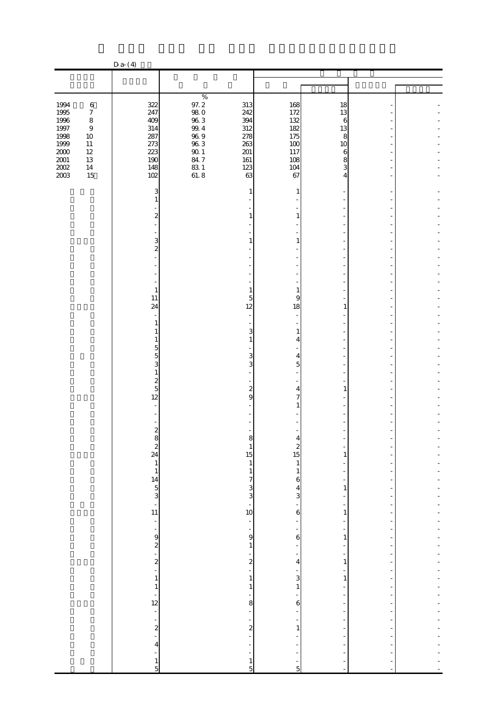|                              |                                       | $D a-(4)$                                                                                                  |                                                           |                                                                   |                                                 |  |
|------------------------------|---------------------------------------|------------------------------------------------------------------------------------------------------------|-----------------------------------------------------------|-------------------------------------------------------------------|-------------------------------------------------|--|
|                              |                                       |                                                                                                            |                                                           |                                                                   |                                                 |  |
|                              |                                       |                                                                                                            |                                                           |                                                                   |                                                 |  |
| 1994<br>1995                 | $\,6$<br>$\boldsymbol{7}$             | 322<br>247                                                                                                 | $\%$<br>97.2<br>313<br>$98\ 0$<br>242                     | 168<br>172                                                        | 18<br>13                                        |  |
| 1996<br>$1997\,$<br>1998     | $\,8\,$<br>$\boldsymbol{9}$<br>$10\,$ | 409<br>314<br>287                                                                                          | $96\ 3$<br>394<br>$9\!.4$<br>312<br>$96\ 9$<br>278        | 132<br>182<br>175                                                 | 6<br>13                                         |  |
| 1999<br>$2000\,$<br>$2001\,$ | $11\,$<br>$12\,$<br>13                | 273<br>223<br>190                                                                                          | $96\;3$<br>263<br>$90\,$ $1\,$<br>201<br>84.7<br>$161\,$  | 100<br>117<br>108                                                 | 8<br>10<br>$\boldsymbol{6}$<br>8                |  |
| $2002\,$<br>2003             | $14\,$<br>15                          | 148<br>102                                                                                                 | $\frac{83}{61}$ . 8<br>123<br>63                          | 104<br>67                                                         | 3<br>4                                          |  |
|                              |                                       | 3<br>1                                                                                                     | 1                                                         | 1                                                                 |                                                 |  |
|                              |                                       | $\overline{\mathcal{Z}}$                                                                                   | 1                                                         | 1                                                                 |                                                 |  |
|                              |                                       | 3<br>$\overline{\mathcal{Z}}$                                                                              | 1                                                         | 1                                                                 |                                                 |  |
|                              |                                       |                                                                                                            |                                                           |                                                                   |                                                 |  |
|                              |                                       | $\mathbf{1}$<br>11                                                                                         | $\mathbf{1}$<br>5                                         | $\mathbf{1}$<br>9                                                 |                                                 |  |
|                              |                                       | 24<br>1                                                                                                    | 12                                                        | 18                                                                | 1                                               |  |
|                              |                                       | 1<br>5                                                                                                     | 3<br>$\mathbf{1}$                                         | $\mathbf{1}$<br>4                                                 |                                                 |  |
|                              |                                       | 5<br>3<br>$\mathbf{1}$                                                                                     | 3                                                         | $\overline{4}$<br>3<br>$\overline{5}$                             |                                                 |  |
|                              |                                       | $\frac{2}{5}$<br>12                                                                                        | $\boldsymbol{z}$<br>9                                     | $\overline{4}$<br>$\overline{7}$                                  | 1                                               |  |
|                              |                                       |                                                                                                            |                                                           |                                                                   |                                                 |  |
|                              |                                       | $\boldsymbol{z}$<br>8                                                                                      | ŏ<br>$\mathbf{1}$                                         |                                                                   |                                                 |  |
|                              |                                       | $24$<br>$14$<br>$14$<br>$14$<br>$11$<br><br>11<br><br><br><br><br><br><br><br><br><br><br><br><br><br><br> | 15<br>$\begin{array}{c} 1 \\ 1 \end{array}$               | $\begin{array}{c} 2 \\ 15 \end{array}$<br>$\mathbf{1}$<br>$\,1\,$ | $\mathbf{1}$<br>$\overline{a}$                  |  |
|                              |                                       |                                                                                                            | $7^3$<br>$3^3$<br>$-10$                                   | $\mathbf{6}$<br>$\frac{4}{3}$                                     | -<br>$\,1\,$                                    |  |
|                              |                                       |                                                                                                            |                                                           | 6                                                                 | $\overline{\phantom{m}}$<br>1                   |  |
|                              |                                       | $\frac{1}{\sqrt{2}}$                                                                                       | $\frac{1}{\sqrt{2}}$<br>$\frac{1}{9}$                     | $\overline{\phantom{0}}$<br>÷,<br>$\boldsymbol{6}$                | $\overline{\phantom{0}}$<br>-<br>$\,1\,$        |  |
|                              |                                       | $-2$ $-2$                                                                                                  | $\,1\,$<br>$\frac{1}{2}$                                  | -<br>÷<br>4                                                       | ÷<br>$\overline{\phantom{a}}$<br>$\mathbf{1}$   |  |
|                              |                                       | $\mathbf{1}$<br>$\mathbf{1}$                                                                               | $\mathbf{1}$<br>$\,1\,$                                   | $\frac{1}{3}$<br>$\,1\,$                                          | -<br>$\,1\,$<br>-                               |  |
|                              |                                       | $\frac{1}{12}$<br>÷,                                                                                       | -<br>$\overline{\phantom{a}}$                             | 8<br>6<br>$\qquad \qquad \blacksquare$                            | f<br>$\overline{a}$<br>$\overline{\phantom{m}}$ |  |
|                              |                                       | $\frac{1}{2}$                                                                                              | ÷,<br>$\overline{\mathcal{L}}$<br>÷,                      | $\mathbf{1}$                                                      | $\overline{a}$<br>$\overline{a}$                |  |
|                              |                                       | $\overline{\mathbf{r}}$<br>÷<br>$\frac{1}{5}$                                                              | $\frac{1}{2}$<br>$\overline{\phantom{0}}$<br>$\mathbf{1}$ | ÷                                                                 |                                                 |  |
|                              |                                       |                                                                                                            | $\overline{5}$                                            | $\overline{5}$                                                    |                                                 |  |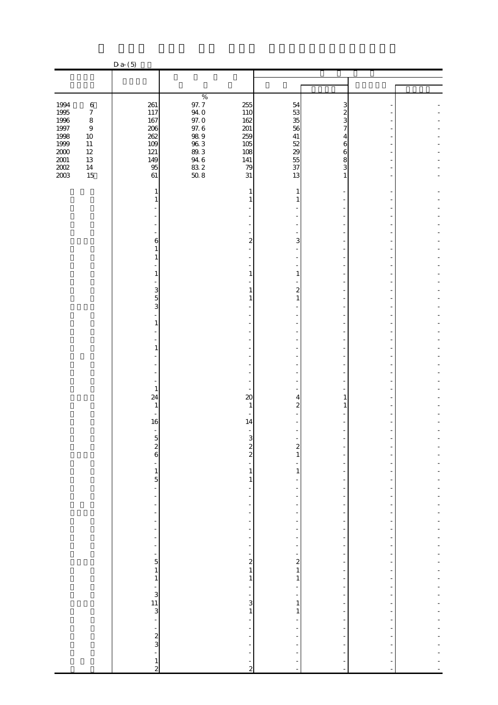|                              |                            | $D a-(5)$                                  |                                                                                  |                                                                                      |                                                                        |                |  |
|------------------------------|----------------------------|--------------------------------------------|----------------------------------------------------------------------------------|--------------------------------------------------------------------------------------|------------------------------------------------------------------------|----------------|--|
|                              |                            |                                            |                                                                                  |                                                                                      |                                                                        |                |  |
|                              |                            |                                            |                                                                                  |                                                                                      |                                                                        |                |  |
| 1994<br>1995                 | $\,6$<br>$\boldsymbol{7}$  | 261<br>117                                 | $\%$<br>$97.7\,$<br>255<br>94.0<br>110                                           | 54<br>53                                                                             | 3<br>$\boldsymbol{z}$                                                  |                |  |
| 1996<br>$1997\,$<br>1998     | $\,8\,$<br>$\,9$<br>$10\,$ | 167<br>206<br>262                          | $97.0\,$<br>162<br>$97.6\,$<br>201<br>259                                        | 35<br>56<br>$41\,$                                                                   | 3<br>7<br>4                                                            |                |  |
| 1999<br>$2000\,$<br>$2001\,$ | $11\,$<br>$12\,$<br>13     | 109<br>121<br>149                          | $989$<br>$963$<br>$89.3$<br>105<br>108<br>141                                    | 52<br>$\begin{array}{c} 29 \\ 55 \end{array}$                                        | 6<br>6<br>8                                                            |                |  |
| $200\!$<br>2003              | $14\,$<br>15               | 95<br>61                                   | $946$<br>83 2<br>50 8<br>79<br>31                                                | 37<br>13                                                                             | 3<br>$\mathbf{1}$                                                      |                |  |
|                              |                            | 1<br>1                                     | 1<br>$\mathbf{1}$                                                                | 1<br>1                                                                               |                                                                        |                |  |
|                              |                            |                                            |                                                                                  |                                                                                      |                                                                        |                |  |
|                              |                            | 6<br>1<br>1                                |                                                                                  | $\overline{\mathbf{c}}$<br>3                                                         |                                                                        |                |  |
|                              |                            | 1                                          | $\mathbf{1}$                                                                     | $\mathbf{1}$                                                                         |                                                                        |                |  |
|                              |                            | 3<br>5<br>3                                | $\mathbf{1}$<br>1                                                                | $\boldsymbol{z}$<br>$\mathbf{1}$                                                     |                                                                        |                |  |
|                              |                            | 1                                          |                                                                                  |                                                                                      |                                                                        |                |  |
|                              |                            | 1                                          |                                                                                  |                                                                                      |                                                                        |                |  |
|                              |                            |                                            |                                                                                  |                                                                                      |                                                                        |                |  |
|                              |                            | $\mathbf{1}$<br>24<br>$\mathbf{1}$         | $\infty$<br>$\mathbf{1}$                                                         | 4<br>$\boldsymbol{2}$                                                                | 1<br>$\mathbf{1}$                                                      |                |  |
|                              |                            | 16                                         | 14                                                                               |                                                                                      |                                                                        |                |  |
|                              |                            | $\frac{2}{6}$                              |                                                                                  | 3<br>$\frac{2}{2}$<br>$\boldsymbol{z}$<br>1                                          |                                                                        |                |  |
|                              |                            | ÷,<br>$\frac{1}{5}$                        | ÷                                                                                | $\,1\,$<br>$\mathbf{1}$<br>$1\,$<br>$\overline{\phantom{m}}$                         | ۰<br>$\overline{\phantom{0}}$<br>÷                                     |                |  |
|                              |                            | $\blacksquare$<br>÷                        | $\frac{1}{2}$<br>$\frac{1}{2}$<br>÷                                              | $\qquad \qquad \blacksquare$<br>$\overline{\phantom{a}}$                             | $\overline{\phantom{0}}$<br>$\overline{\phantom{a}}$<br>÷              | $\overline{a}$ |  |
|                              |                            | -<br>÷,<br>÷                               | $\overline{\phantom{a}}$<br>$\overline{\phantom{0}}$<br>$\overline{\phantom{a}}$ | -<br>$\frac{1}{2}$<br>$\frac{1}{2}$                                                  | $\overline{a}$<br>$\overline{\phantom{0}}$<br>÷                        |                |  |
|                              |                            | ÷<br>$\frac{1}{\sqrt{2}}$<br>$\frac{1}{5}$ | $\overline{\phantom{0}}$<br>$\overline{\phantom{0}}$                             | $\overline{\phantom{m}}$<br>$\frac{1}{2}$                                            | ÷<br>÷<br>$\overline{\phantom{a}}$                                     |                |  |
|                              |                            | $\mathbf{1}$<br>$\mathbf{1}$               |                                                                                  | $\begin{array}{c} 2 \\ 2 \\ 1 \end{array}$<br>$\frac{1}{2}$<br>$\mathbf{1}$<br>$\,1$ | $\overline{a}$<br>$\overline{\phantom{a}}$<br>$\overline{\phantom{a}}$ |                |  |
|                              |                            | $\begin{array}{c} 1 \ 3 \end{array}$       | $\overline{\phantom{a}}$<br>$\overline{\phantom{a}}$                             | $\qquad \qquad \blacksquare$<br>-<br>3<br>$\mathbf{1}$                               | $\overline{\phantom{a}}$<br>f<br>$\overline{a}$                        | ÷,             |  |
|                              |                            |                                            | $\overline{\phantom{0}}$<br>$\overline{\phantom{a}}$                             | $\,1\,$<br>$\mathbf{1}$<br>$\overline{\phantom{0}}$                                  | $\overline{\phantom{a}}$<br>$\frac{1}{2}$                              |                |  |
|                              |                            | $\frac{1}{2}$<br>$\overline{a}$            | $\overline{\phantom{a}}$<br>$\frac{1}{2}$<br>÷,                                  | $\frac{1}{2}$                                                                        | ÷                                                                      |                |  |
|                              |                            | $\frac{1}{2}$                              | -                                                                                | ÷,<br>$\overline{c}$<br>$\blacksquare$                                               | ÷,                                                                     |                |  |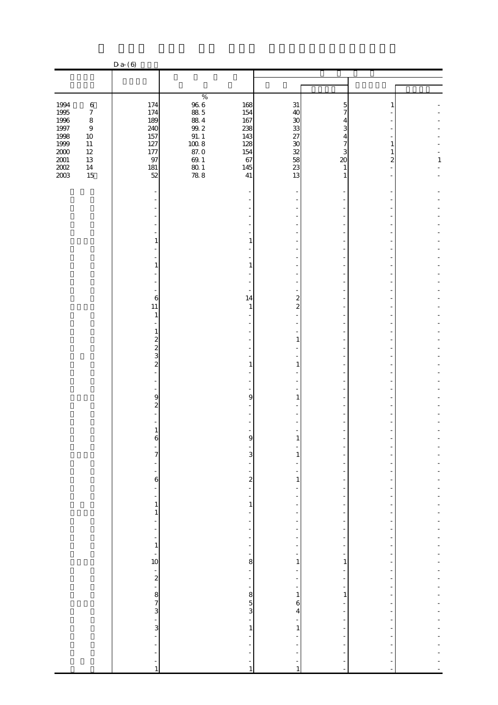|                                 |                                                 | $D$ a- $(6)$                               |                                                                   |                                                      |                                                                      |        |              |
|---------------------------------|-------------------------------------------------|--------------------------------------------|-------------------------------------------------------------------|------------------------------------------------------|----------------------------------------------------------------------|--------|--------------|
|                                 |                                                 |                                            |                                                                   |                                                      |                                                                      |        |              |
|                                 |                                                 |                                            |                                                                   |                                                      |                                                                      |        |              |
| 1994                            | $\,6$                                           | 174                                        | $\%$<br>$\frac{96}{88}$ 6<br>168                                  | 31                                                   | 5                                                                    | 1      |              |
| $1995\,$<br>1996<br>$1997\,$    | $\boldsymbol{7}$<br>$\,8\,$<br>$\boldsymbol{9}$ | 174<br>189<br>240                          | 154<br>$88\ 4$<br>167<br>238                                      | 40<br>30<br>33                                       | 7<br>4<br>3                                                          |        |              |
| 1998<br>1999                    | $10\,$<br>$11\,$                                | 157<br>127                                 | $99.2$<br>$91.1$<br>$100.8$<br>143<br>128                         |                                                      | 4<br>$\overline{7}$                                                  | 1      |              |
| $2000\,$<br>$\frac{2001}{2002}$ | $12\,$<br>13<br>$14\,$                          | 177<br>97<br>181                           | 87.0<br>154<br>$69.1\,$<br>67<br>145                              | 27<br>30<br>38<br>38<br>33                           | 3<br>$\infty$<br>$\mathbf{1}$                                        | 1<br>2 | $\mathbf{1}$ |
|                                 | 15                                              | 52                                         | $\frac{80}{78}$ 8<br>41                                           | 13                                                   | $\mathbf{1}$                                                         |        |              |
|                                 |                                                 |                                            |                                                                   |                                                      |                                                                      |        |              |
|                                 |                                                 |                                            |                                                                   |                                                      |                                                                      |        |              |
|                                 |                                                 | 1                                          | 1                                                                 |                                                      |                                                                      |        |              |
|                                 |                                                 | 1                                          | 1                                                                 |                                                      |                                                                      |        |              |
|                                 |                                                 |                                            |                                                                   |                                                      |                                                                      |        |              |
|                                 |                                                 | $\epsilon$<br>11                           | 14<br>$\mathbf{1}$                                                | $\overline{\mathbf{c}}$<br>$\overline{a}$            |                                                                      |        |              |
|                                 |                                                 | 1                                          |                                                                   |                                                      |                                                                      |        |              |
|                                 |                                                 | 1<br>$\overline{\mathcal{Z}}$              |                                                                   | $\mathbf{1}$                                         |                                                                      |        |              |
|                                 |                                                 | $\frac{2}{3}$<br>$\overline{\mathcal{Z}}$  | $\mathbf{1}$                                                      | 1                                                    |                                                                      |        |              |
|                                 |                                                 |                                            |                                                                   |                                                      |                                                                      |        |              |
|                                 |                                                 | 9<br>$\overline{\mathcal{Z}}$              | 9                                                                 | 1                                                    |                                                                      |        |              |
|                                 |                                                 | 1                                          |                                                                   |                                                      |                                                                      |        |              |
|                                 |                                                 | 6<br>-<br>7                                | A                                                                 |                                                      |                                                                      |        |              |
|                                 |                                                 | $\overline{\phantom{0}}$<br>÷              | 3<br>$\overline{\phantom{m}}$<br>$\overline{\phantom{a}}$         | 1                                                    | ÷<br>$\overline{a}$<br>-                                             |        |              |
|                                 |                                                 | $\boldsymbol{6}$<br>÷                      | $\boldsymbol{z}$<br>÷                                             | $\mathbf{1}$                                         | ÷<br>-                                                               |        |              |
|                                 |                                                 | -<br>$\,$ 1 $\,$<br>1                      | $\overline{\phantom{0}}$<br>$1\,$<br>$\qquad \qquad \blacksquare$ | $\overline{\phantom{m}}$<br>-                        | $\overline{\phantom{a}}$<br>f<br>$\overline{a}$                      |        |              |
|                                 |                                                 | ÷<br>÷,                                    | $\frac{1}{2}$<br>$\frac{1}{2}$                                    | $\overline{\phantom{m}}$                             | $\overline{\phantom{a}}$<br>÷                                        |        |              |
|                                 |                                                 | ÷<br>$\mathbf{1}$<br>÷,                    | $\overline{\phantom{a}}$<br>$\overline{\phantom{a}}$              | $\overline{\phantom{m}}$<br>$\overline{\phantom{0}}$ | $\overline{\phantom{a}}$<br>$\overline{\phantom{a}}$                 |        | ÷            |
|                                 |                                                 | 10                                         | $\overline{\phantom{0}}$<br>8<br>$\frac{1}{\sqrt{2}}$             | $\frac{1}{2}$<br>1                                   | ÷<br>$\mathbf{1}$<br>÷                                               |        |              |
|                                 |                                                 | $\frac{1}{2}$                              | $\frac{1}{\sqrt{2}}$<br>$\overline{\phantom{0}}$                  | ÷<br>÷                                               | $\overline{\phantom{0}}$<br>÷                                        |        |              |
|                                 |                                                 | $\begin{array}{c} 8 \\ 7 \\ 3 \end{array}$ | 350                                                               | $\,1$<br>6<br>4                                      | $\mathbf{1}$<br>$\overline{\phantom{0}}$<br>$\overline{\phantom{a}}$ |        |              |
|                                 |                                                 |                                            | $\frac{1}{2}$<br>$\,1\,$                                          | $\mathbf{1}$                                         | -<br>$\frac{1}{2}$                                                   |        |              |
|                                 |                                                 | L,                                         | $\overline{\phantom{a}}$<br>÷,                                    |                                                      | $\overline{\phantom{m}}$<br>$\overline{a}$                           |        |              |
|                                 |                                                 | ÷<br>1                                     | $\overline{\phantom{0}}$<br>1                                     | ÷<br>$\mathbf{1}$                                    | $\overline{a}$<br>$\blacksquare$                                     |        |              |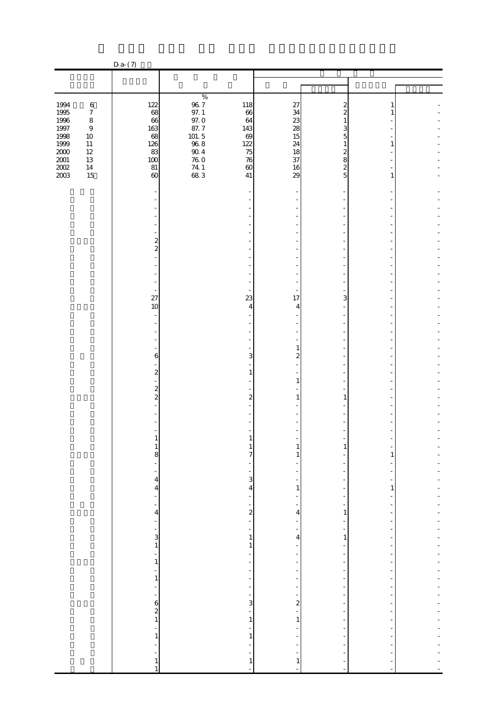|                              |                                           | $D$ a- $(7)$                                                           |                                             |                                                              |                                    |                                                              |              |  |
|------------------------------|-------------------------------------------|------------------------------------------------------------------------|---------------------------------------------|--------------------------------------------------------------|------------------------------------|--------------------------------------------------------------|--------------|--|
|                              |                                           |                                                                        |                                             |                                                              |                                    |                                                              |              |  |
|                              |                                           |                                                                        |                                             |                                                              |                                    |                                                              |              |  |
| 1994<br>$1995\,$             | $\,6$<br>$\boldsymbol{7}$                 | 122<br>68                                                              | $\%$<br>$\frac{96}{97}$ . 1                 | 118<br>66                                                    | 27<br>34                           | 2<br>$\overline{c}$                                          |              |  |
| $1996\,$<br>$1997\,$<br>1998 | $\,$ 8 $\,$<br>$\boldsymbol{9}$<br>$10\,$ | 66<br>163<br>68                                                        | $97.0\,$<br>$\frac{87.7}{101.5}$            | 64<br>143<br>69                                              | 23<br>28<br>15                     | 3<br>5                                                       |              |  |
| 1999<br>$2000\,$<br>$2001\,$ | $11\,$<br>$12\,$<br>13                    | 126<br>83<br>100                                                       | $90\ 4$<br>$76\ 0$                          | 122<br>75<br>76                                              | 24<br>18<br>37                     | $\overline{\mathcal{Z}}$<br>8                                | 1            |  |
| $\frac{2002}{2003}$          | $14\,$<br>15                              | $8\!1$<br>$\omega$                                                     | $\begin{array}{c} 74.1 \\ 68.3 \end{array}$ | $\boldsymbol{\omega}$<br>41                                  | 16<br>29                           | $\overline{\mathcal{Z}}$<br>5                                | 1            |  |
|                              |                                           |                                                                        |                                             |                                                              |                                    |                                                              |              |  |
|                              |                                           |                                                                        |                                             |                                                              |                                    |                                                              |              |  |
|                              |                                           | $\frac{2}{2}$                                                          |                                             |                                                              |                                    |                                                              |              |  |
|                              |                                           |                                                                        |                                             |                                                              |                                    |                                                              |              |  |
|                              |                                           | ٠<br>27<br>10                                                          |                                             | 23<br>4                                                      | 17<br>4                            | 3                                                            |              |  |
|                              |                                           | $\overline{a}$                                                         |                                             |                                                              |                                    |                                                              |              |  |
|                              |                                           | 6                                                                      |                                             | 3                                                            | 1<br>2                             |                                                              |              |  |
|                              |                                           | $\boldsymbol{z}$                                                       |                                             | 1                                                            | $\mathbf{1}$                       |                                                              |              |  |
|                              |                                           | $\boldsymbol{z}$<br>$\overline{c}$                                     |                                             | 2                                                            | 1                                  | 1                                                            |              |  |
|                              |                                           |                                                                        |                                             |                                                              |                                    |                                                              |              |  |
|                              |                                           | $\mathbf{1}$<br>8                                                      |                                             | 1<br>7                                                       | $\mathbf{1}$<br>1                  |                                                              | $\mathbf{1}$ |  |
|                              |                                           | $\overline{\phantom{a}}$<br>÷,<br>$\overline{\mathbf{r}}$              |                                             | 3                                                            |                                    | ÷,                                                           |              |  |
|                              |                                           | $\overline{\mathbf{4}}$<br>$\frac{1}{2}$<br>$\frac{1}{2}$              |                                             | $\overline{4}$<br>$\overline{\phantom{m}}$<br>$\overline{a}$ | $1\,$                              | $\overline{a}$<br>$\overline{\phantom{m}}$<br>÷              | $\mathbf{1}$ |  |
|                              |                                           | 4<br>$\frac{1}{2}$<br>-                                                |                                             | $\overline{\mathbf{c}}$<br>÷,<br>$\overline{a}$              | 4<br>÷,                            | 1<br>÷<br>÷                                                  |              |  |
|                              |                                           | $\mathbf{3}$<br>$\,1\,$<br>-                                           |                                             | $1\,$<br>$\mathbf{1}$                                        | 4<br>÷<br>÷                        | $\mathbf{1}$<br>÷<br>$\overline{a}$                          |              |  |
|                              |                                           | 1<br>$\frac{1}{2}$<br>$\,1\,$                                          |                                             | ۰<br>$\overline{\phantom{m}}$<br>-                           | -<br>÷<br>$\overline{\phantom{0}}$ | ÷<br>-<br>÷                                                  |              |  |
|                              |                                           | ÷,<br>$\frac{1}{2}$                                                    |                                             | $\overline{a}$<br>$\overline{\mathbf{3}}$                    | ÷<br>$\overline{\mathbf{c}}$       | ÷<br>-<br>-                                                  |              |  |
|                              |                                           | $\begin{array}{c} 6 \\ 2 \\ 1 \end{array}$<br>$\overline{\phantom{a}}$ |                                             | $\overline{\phantom{a}}$<br>$\mathbf{1}$                     | ÷<br>$\frac{1}{2}$                 | $\overline{\phantom{0}}$<br>$\overline{a}$<br>$\overline{a}$ |              |  |
|                              |                                           | $\,1\,$                                                                |                                             | $\mathbf{1}$                                                 |                                    | $\overline{a}$                                               |              |  |
|                              |                                           | $\mathbf{1}$                                                           |                                             |                                                              | $\mathbf{1}$                       |                                                              |              |  |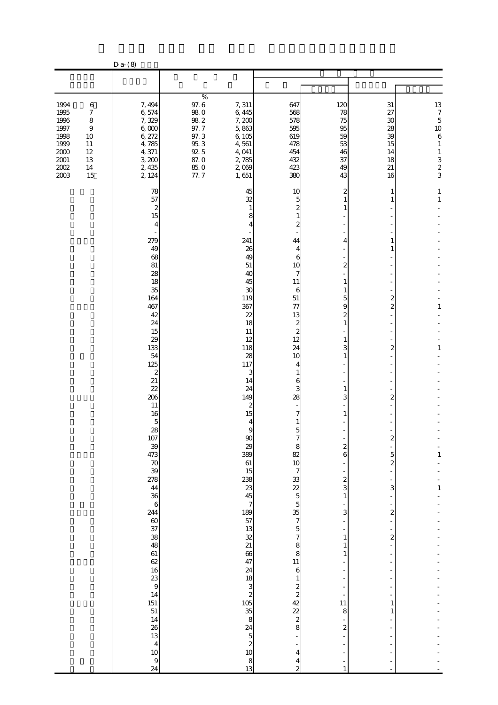|                                                                                                                                                                                        | $D a-(8)$                                                                                                                                                                                                                                                      |                                                                                                |                                                                                                                                                                                                                                                                                                                                                   |                                                                                                                                                                                                                                                               |                                                                                                                                                                            |                                                                            |                                                                                                                                           |
|----------------------------------------------------------------------------------------------------------------------------------------------------------------------------------------|----------------------------------------------------------------------------------------------------------------------------------------------------------------------------------------------------------------------------------------------------------------|------------------------------------------------------------------------------------------------|---------------------------------------------------------------------------------------------------------------------------------------------------------------------------------------------------------------------------------------------------------------------------------------------------------------------------------------------------|---------------------------------------------------------------------------------------------------------------------------------------------------------------------------------------------------------------------------------------------------------------|----------------------------------------------------------------------------------------------------------------------------------------------------------------------------|----------------------------------------------------------------------------|-------------------------------------------------------------------------------------------------------------------------------------------|
|                                                                                                                                                                                        |                                                                                                                                                                                                                                                                |                                                                                                |                                                                                                                                                                                                                                                                                                                                                   |                                                                                                                                                                                                                                                               |                                                                                                                                                                            |                                                                            |                                                                                                                                           |
|                                                                                                                                                                                        |                                                                                                                                                                                                                                                                |                                                                                                |                                                                                                                                                                                                                                                                                                                                                   |                                                                                                                                                                                                                                                               |                                                                                                                                                                            |                                                                            |                                                                                                                                           |
| 1994<br>$\boldsymbol{6}$<br>1995<br>$\boldsymbol{7}$<br>1996<br>8<br>1997<br>$\,9$<br>1998<br>10<br>1999<br>11<br>$2000\,$<br>12<br>$2001\,$<br>13<br>$2002\,$<br>$14\,$<br>2003<br>15 | 7,494<br>6,574<br>7,329<br>6,000<br>6, 272<br>4,785<br>4,371<br>3,200<br>2, 435<br>2, 124                                                                                                                                                                      | $\%$<br>97.6<br>98.0<br>$98\ 2$<br>97.7<br>97.3<br>$95.3\,$<br>92.5<br>87.0<br>$85\ 0$<br>77.7 | 7, 311<br>6,445<br>7,200<br>5,863<br>6,105<br>4,561<br>4,041<br>2,785<br>2,089<br>1,651                                                                                                                                                                                                                                                           | 647<br>568<br>578<br>595<br>619<br>478<br>454<br>432<br>423<br>380                                                                                                                                                                                            | 120<br>78<br>75<br>95<br>59<br>53<br>46<br>37<br>49<br>43                                                                                                                  | 31<br>27<br>30<br>28<br>39<br>15<br>14<br>18<br>$21\,$<br>16               | $\begin{array}{c} 13 \\ 7 \end{array}$<br>$\overline{5}$<br>10<br>$\,6\,$<br>$1\,$<br>$1\,$<br>$\begin{array}{c} 3 \\ 2 \\ 3 \end{array}$ |
|                                                                                                                                                                                        | 78<br>57<br>2<br>15<br>4<br>279<br>49<br>68<br>81<br>28<br>18<br>35<br>164<br>467<br>42<br>24<br>15<br>29<br>133<br>54<br>125<br>2<br>21<br>22                                                                                                                 |                                                                                                | 45<br>32<br>1<br>8<br>∠<br>241<br>26<br>49<br>51<br>40<br>45<br>30<br>119<br>367<br>22<br>18<br>11<br>12<br>118<br>28<br>117<br>3<br>14<br>24                                                                                                                                                                                                     | 10<br>5<br>$\boldsymbol{z}$<br>1<br>2<br>44<br>4<br>6<br>10<br>7<br>11<br>6<br>51<br>77<br>13<br>$\boldsymbol{z}$<br>$\mathbf{z}$<br>12<br>24<br>10<br>4<br>1<br>6<br>3                                                                                       | 2<br>1<br>1<br>4<br>$\overline{\mathcal{Z}}$<br>1<br>1<br>5<br>9<br>2<br>$\mathbf{1}$<br>1<br>3<br>1<br>1                                                                  | 1<br>1<br>1<br>1<br>2<br>$\overline{2}$<br>$\overline{c}$                  | 1<br>$\mathbf{1}$<br>1<br>1                                                                                                               |
|                                                                                                                                                                                        | 206<br>11<br>16<br>5<br>28<br>107<br>39<br>473<br>70<br>39<br>278<br>44<br>36<br>$\mathbf 6$<br>244<br>60<br>37<br>38<br>48<br>61<br>$rac{62}{16}$<br>$\frac{23}{9}$<br>14<br>$\frac{151}{51}$<br>14<br>26<br>13<br>$\overline{4}$<br>10<br>$\mathbf{9}$<br>24 |                                                                                                | 149<br>2<br>15<br>4<br>9<br>$\infty$<br>29<br>389<br>61<br>15<br>$\begin{array}{c} 238 \\ 23 \\ 45 \end{array}$<br>$\boldsymbol{7}$<br>$\frac{189}{57}$<br>$\frac{13}{32}$<br>$\frac{32}{21}$<br>66<br>47<br>24<br>18<br>3<br>$\overline{\mathcal{L}}$<br>$\begin{array}{c}\n105 \\ 35 \\ 8\n\end{array}$<br>24<br>$\frac{5}{2}$<br>10<br>8<br>13 | 28<br>7<br>1<br>5<br>8<br>82<br>10<br>$\overline{7}$<br>$32255$<br>$5537$<br>$\overline{5}$<br>$\overline{7}$<br>8<br>$\bf{8}$<br>11<br>$\,$ 6 $\,$<br>$\mathbf{1}$<br>$\frac{2}{2}$<br>42<br>$\frac{22}{2}$<br>$\bf 8$<br>4<br>4<br>$\overline{\mathcal{Z}}$ | 3<br>1<br>$\boldsymbol{z}$<br>6<br>$\overline{\mathcal{L}}$<br>3<br>$1\,$<br>3<br>$\mathbf{1}$<br>1<br>$\mathbf{1}$<br>11<br>8<br>$\overline{\mathcal{Z}}$<br>$\mathbf{1}$ | 2<br>5<br>$\overline{\mathcal{Z}}$<br>3<br>2<br>$\boldsymbol{z}$<br>1<br>1 | 1<br>$\mathbf{1}$                                                                                                                         |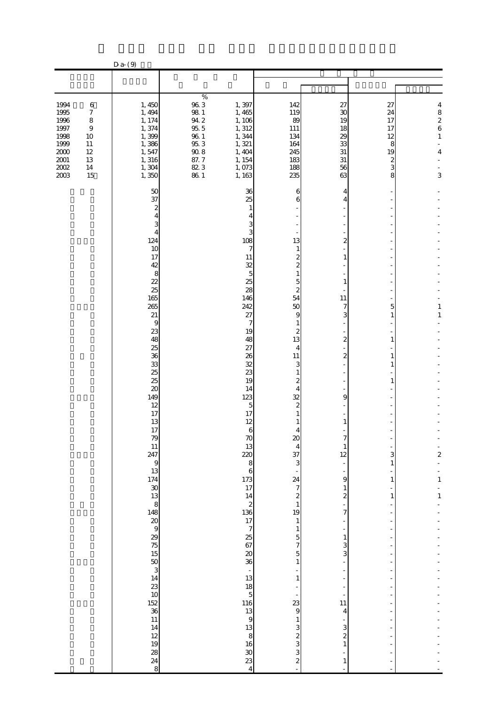|                                                                                          |                                                                                                                | $D$ a- $(9)$                                                                                                                                                                                                                                                                                                                                                                                                                                                 |                                                                                                                 |                                                                                                                                                                                                                                                                                                                                                                                                                                                                                       |                                                                                                                                                                                                                                                                                                                                                                                                                                                           |                                                                                                                                                                                                                                |                                                      |                                                                      |
|------------------------------------------------------------------------------------------|----------------------------------------------------------------------------------------------------------------|--------------------------------------------------------------------------------------------------------------------------------------------------------------------------------------------------------------------------------------------------------------------------------------------------------------------------------------------------------------------------------------------------------------------------------------------------------------|-----------------------------------------------------------------------------------------------------------------|---------------------------------------------------------------------------------------------------------------------------------------------------------------------------------------------------------------------------------------------------------------------------------------------------------------------------------------------------------------------------------------------------------------------------------------------------------------------------------------|-----------------------------------------------------------------------------------------------------------------------------------------------------------------------------------------------------------------------------------------------------------------------------------------------------------------------------------------------------------------------------------------------------------------------------------------------------------|--------------------------------------------------------------------------------------------------------------------------------------------------------------------------------------------------------------------------------|------------------------------------------------------|----------------------------------------------------------------------|
|                                                                                          |                                                                                                                |                                                                                                                                                                                                                                                                                                                                                                                                                                                              |                                                                                                                 |                                                                                                                                                                                                                                                                                                                                                                                                                                                                                       |                                                                                                                                                                                                                                                                                                                                                                                                                                                           |                                                                                                                                                                                                                                |                                                      |                                                                      |
|                                                                                          |                                                                                                                |                                                                                                                                                                                                                                                                                                                                                                                                                                                              |                                                                                                                 |                                                                                                                                                                                                                                                                                                                                                                                                                                                                                       |                                                                                                                                                                                                                                                                                                                                                                                                                                                           |                                                                                                                                                                                                                                |                                                      |                                                                      |
| 1994<br>1995<br>1996<br>1997<br>1998<br>1999<br>$2000\,$<br>$2001\,$<br>$2002\,$<br>2003 | $\,6\,$<br>$\boldsymbol{7}$<br>$\,$ 8 $\,$<br>$\boldsymbol{9}$<br>10<br>11<br>$12\,$<br>$13\,$<br>$14\,$<br>15 | 1, 450<br>1, 494<br>1, 174<br>1,374<br>1,399<br>1,386<br>1,547<br>1,316<br>1,304<br>1,350                                                                                                                                                                                                                                                                                                                                                                    | $\%$<br>$96\ 3$<br>$98\,$ $1\,$<br>$94\ 2$<br>$95\,5$<br>$96\ 1$<br>$95.3\,$<br>$90.8\,$<br>87.7<br>82 3<br>861 | 1,397<br>1,465<br>1, 106<br>1, 312<br>1,344<br>1,321<br>1, 404<br>1, 154<br>1,073<br>1, 163                                                                                                                                                                                                                                                                                                                                                                                           | 142<br>119<br>89<br>111<br>134<br>164<br>245<br>183<br>188<br>235                                                                                                                                                                                                                                                                                                                                                                                         | 27<br>30<br>19<br>18<br>29<br>33<br>$31\,$<br>31<br>56<br>63                                                                                                                                                                   | 27<br>24<br>17<br>17<br>12<br>8<br>19<br>2<br>3<br>8 | 4<br>$\begin{array}{c} 8 \\ 2 \\ 6 \end{array}$<br>$\,1\,$<br>4<br>3 |
|                                                                                          |                                                                                                                | 50<br>37<br>2<br>4<br>З<br>$\overline{4}$<br>124<br>10<br>17<br>42<br>8<br>22<br>25<br>165<br>265<br>21<br>$\overline{9}$<br>23<br>48<br>25<br>36<br>33<br>25<br>25<br>$\infty$<br>149<br>12<br>17<br>13<br>17<br>79<br>11<br>247<br>$\begin{array}{c} 9 \\ 13 \end{array}$<br>174 30 13 8 148 20 30 30 30 30 30 30 40 50 15<br>$\begin{array}{c}\n 50 \\  3 \\  14 \\  23\n \end{array}$<br>10<br>$\frac{152}{36}$<br>11<br>14<br>12<br>19<br>28<br>24<br>8 |                                                                                                                 | 36<br>25<br>1<br>3<br>3<br>108<br>7<br>11<br>32<br>5<br>25<br>28<br>146<br>242<br>27<br>7<br>19<br>48<br>27<br>26<br>32<br>23<br>19<br>14<br>123<br>5<br>17<br>12<br>$\,$ 6 $\,$<br>70<br>13<br>220<br>8<br>$\mathbf{6}$<br>$\frac{173}{17}$<br>$\begin{array}{c}\n 2 \\  136 \\  17 \\  7\n \end{array}$<br>25<br>67<br>$\boldsymbol{20}$<br>36<br>$\frac{1}{13}$<br>18<br>$\overline{5}$<br>116<br>13<br>$\mathbf{9}$<br>13<br>8<br>16<br>$\boldsymbol{30}$<br>23<br>$\overline{4}$ | 6<br>6<br>13<br>1<br>2<br>$\overline{c}$<br>1<br>5<br>2<br>54<br>50<br>9<br>1<br>2<br>13<br>4<br>11<br>3<br>1<br>2<br>4<br>32<br>$\overline{c}$<br>4<br>$\alpha$<br>$\overline{4}$<br>37<br>3<br>24<br>$\overline{7}$<br>$\begin{matrix} 2 \\ 1 \end{matrix}$<br>19<br>$\,1\,$<br>$\mathbf{1}$<br>5<br>$\overline{7}$<br>5<br>1<br>$\mathbf{1}$<br>23<br>$\mathbf{9}$<br>$\mathbf{1}$<br>$\overline{3}$<br>$\frac{2}{3}$<br>3<br>$\overline{\mathcal{L}}$ | 4<br>2<br>1<br>1<br>11<br>7<br>3<br>2<br>2<br>9<br>1<br>12<br>9<br>$\mathbf{1}$<br>$\overline{\mathcal{Z}}$<br>7<br>$\mathbf{1}$<br>3<br>3<br>11<br>$\overline{4}$<br>3<br>$\overline{\mathcal{Z}}$<br>$\,1\,$<br>$\mathbf{1}$ | 5<br>1<br>1<br>1<br>1<br>1<br>3<br>1<br>1<br>1       | 1<br>$\mathbf{1}$<br>$\overline{\mathbf{c}}$<br>$\,1\,$<br>$\,1\,$   |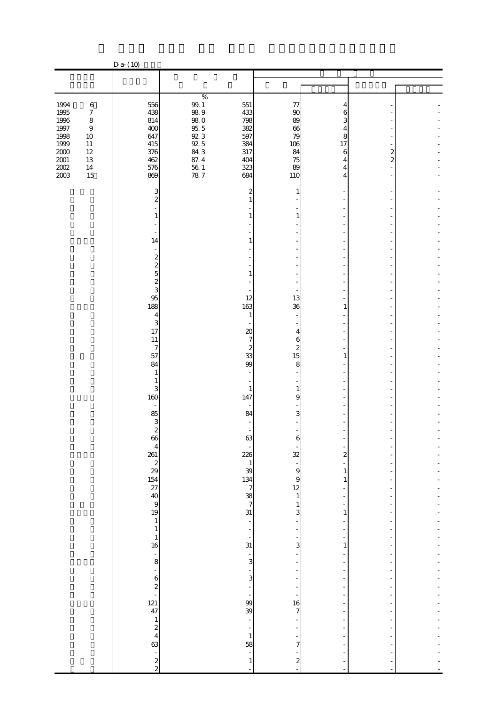|                                                                                                                                                | $D a - (10)$                                                                  |                                                                                                                                                 |                                                 |                                              |                          |  |
|------------------------------------------------------------------------------------------------------------------------------------------------|-------------------------------------------------------------------------------|-------------------------------------------------------------------------------------------------------------------------------------------------|-------------------------------------------------|----------------------------------------------|--------------------------|--|
|                                                                                                                                                |                                                                               |                                                                                                                                                 |                                                 |                                              |                          |  |
|                                                                                                                                                |                                                                               |                                                                                                                                                 |                                                 |                                              |                          |  |
| 1994<br>$\,6$<br>1995<br>$\boldsymbol{7}$<br>1996<br>$\,8\,$<br>1997<br>$\boldsymbol{9}$<br>1998<br>10<br>1999<br>$11\,$<br>$2000\,$<br>$12\,$ | 556<br>438<br>814<br>400<br>647<br>415<br>376                                 | $\%$<br>$\begin{array}{c} 99.1 \\ 98.9 \end{array}$<br>551<br>433<br>$98\ 0$<br>798<br>95.5<br>92.3<br>92.5<br>84.3<br>382<br>597<br>384<br>317 | 77<br>90<br>89<br>66<br>79<br>106<br>84         | 4<br>6<br>3<br>4<br>8<br>17<br>6             | $\overline{\mathcal{Z}}$ |  |
| $2001\,$<br>13<br>$200\!$<br>14<br>2003<br>15                                                                                                  | 462<br>576<br>869                                                             | 87.4<br>404<br>$\frac{56}{78}$ 1<br>323<br>684                                                                                                  | 75<br>89<br>110                                 | 4<br>4<br>4                                  | $\overline{c}$           |  |
|                                                                                                                                                | 3<br>$\overline{c}$<br>1                                                      | 2<br>1                                                                                                                                          | 1<br>1                                          |                                              |                          |  |
|                                                                                                                                                | 14<br>$\sim$                                                                  | 1                                                                                                                                               | ÷,                                              |                                              |                          |  |
|                                                                                                                                                | ე<br>მიათო                                                                    | 1<br>12                                                                                                                                         | ä,<br>٠<br>÷,<br>13                             |                                              |                          |  |
|                                                                                                                                                | 188<br>$\overline{\mathbf{4}}$<br>3<br>17                                     | 163<br>$\mathbf{1}$<br>$20\,$                                                                                                                   | 36<br>٠<br>4                                    | 1                                            |                          |  |
|                                                                                                                                                | 11<br>$\overline{7}$<br>57<br>84<br>$\mathbf{1}$                              | $\overline{7}$<br>$\boldsymbol{z}$<br>33<br>99<br>$\blacksquare$                                                                                | 6<br>$\boldsymbol{2}$<br>15<br>8                | $\mathbf{1}$                                 |                          |  |
|                                                                                                                                                | 1<br>3<br>160<br>$\overline{\phantom{a}}$                                     | ÷,<br>$\mathbf{1}$<br>147<br>$\overline{\phantom{a}}$                                                                                           | ٠<br>$\mathbf{1}$<br>9                          |                                              |                          |  |
|                                                                                                                                                | 85<br>3<br>2<br>2<br>66                                                       | 84<br>$\blacksquare$<br>63                                                                                                                      | 3                                               |                                              |                          |  |
|                                                                                                                                                | $\begin{array}{c}\n 4 \\  26 \\  14 \\  28 \\  36 \\  40 \\  9\n \end{array}$ | 226                                                                                                                                             | 32<br>$\frac{1}{9}$<br>9                        | $\overline{\mathbf{c}}$<br>$\mathbf{1}$<br>1 |                          |  |
|                                                                                                                                                |                                                                               | $\begin{array}{c}\n1 \\ 39 \\ 134 \\ 7 \\ 8\n\end{array}$                                                                                       | 12<br>$\mathbf 1$<br>$\mathbf{1}$<br>3          | 1                                            |                          |  |
|                                                                                                                                                | $\begin{array}{c} 1 \\ 16 \end{array}$                                        | ÷,<br>÷<br>$\frac{1}{31}$                                                                                                                       | ÷<br>3                                          | 1                                            |                          |  |
|                                                                                                                                                | $-8$<br>12<br>12<br>47                                                        | $\frac{1}{3}$<br>$\frac{1}{3}$<br>Ē,                                                                                                            |                                                 |                                              |                          |  |
|                                                                                                                                                |                                                                               | ÷,<br>99<br>39<br>$\blacksquare$                                                                                                                | ÷<br>16<br>7                                    |                                              |                          |  |
|                                                                                                                                                | $\begin{array}{c} 1 \\ 2 \\ 4 \\ 63 \end{array}$<br>$\frac{1}{2}$             | $\overline{\phantom{a}}$<br>$\mathbf{1}$<br>58<br>÷<br>$\mathbf{1}$                                                                             | 7<br>$\overline{\mathcal{L}}$<br>$\overline{a}$ |                                              |                          |  |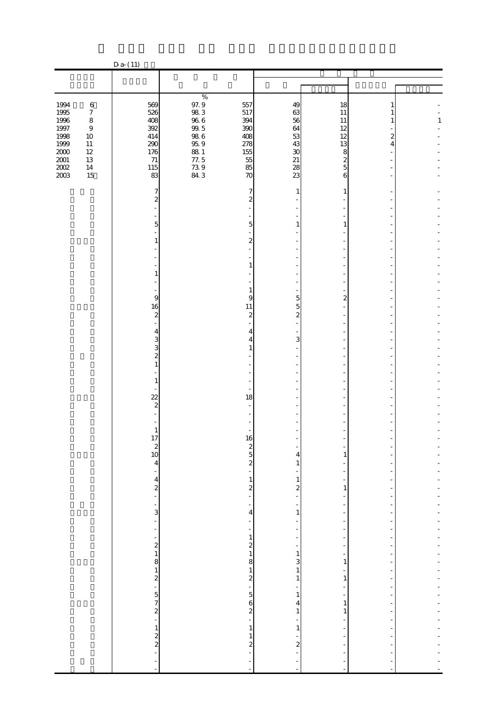|                                      |                                                | $D a - (11)$                                                   |                                        |                                                                                                   |                                                     |                                                                             |                                    |                          |
|--------------------------------------|------------------------------------------------|----------------------------------------------------------------|----------------------------------------|---------------------------------------------------------------------------------------------------|-----------------------------------------------------|-----------------------------------------------------------------------------|------------------------------------|--------------------------|
|                                      |                                                |                                                                |                                        |                                                                                                   |                                                     |                                                                             |                                    |                          |
|                                      |                                                |                                                                |                                        |                                                                                                   |                                                     |                                                                             |                                    |                          |
| 1994<br>1995<br>1996                 | $\,6$<br>$\boldsymbol{7}$<br>$\,8\,$           | 569<br>526<br>408                                              | $\%$<br>$\frac{97.9}{98.3}$<br>$96\ 6$ | 557<br>517<br>394                                                                                 | 49<br>63<br>56                                      | 18<br>$11\,$<br>11                                                          | 1<br>1<br>1                        | $\mathbf{1}$             |
| $1997\,$<br>1998<br>1999<br>$2000\,$ | $\boldsymbol{9}$<br>$10\,$<br>$11\,$<br>$12\,$ | 392<br>414<br>290<br>176                                       | $99.5$<br>$98.6$<br>$95.9$<br>$88\ 1$  | 390<br>408<br>278<br>155                                                                          | 64<br>53<br>43<br>$30\,$                            | 12<br>12<br>13<br>8                                                         | $\boldsymbol{2}$<br>$\overline{4}$ |                          |
| $2001\,$<br>$200\!$<br>2003          | 13<br>$14\,$<br>15                             | 71<br>115<br>83                                                | 77.5<br>$73.9$<br>84.3                 | 55<br>85<br>70                                                                                    | 21<br>28<br>23                                      | $\overline{\mathcal{L}}$<br>5<br>6                                          |                                    |                          |
|                                      |                                                | 7<br>$\overline{\mathcal{Z}}$                                  |                                        | 7<br>$\overline{\mathcal{Z}}$                                                                     | 1                                                   | 1                                                                           |                                    |                          |
|                                      |                                                | $\overline{5}$<br>1                                            |                                        | 5<br>$\overline{\mathbf{c}}$                                                                      | $\mathbf{1}$                                        | $\mathbf{1}$                                                                |                                    |                          |
|                                      |                                                | 1                                                              |                                        | 1                                                                                                 |                                                     |                                                                             |                                    |                          |
|                                      |                                                | 9                                                              |                                        | $\mathbf{1}$<br>9                                                                                 | 5                                                   | $\overline{\mathbf{c}}$                                                     |                                    |                          |
|                                      |                                                | 16<br>$\boldsymbol{z}$<br>4                                    |                                        | 11<br>$\boldsymbol{z}$<br>4                                                                       | 5<br>$\overline{\mathcal{L}}$                       |                                                                             |                                    |                          |
|                                      |                                                | 3<br>3<br>$\overline{\mathcal{Z}}$<br>1                        |                                        | 4<br>1                                                                                            | 3                                                   |                                                                             |                                    |                          |
|                                      |                                                | 1                                                              |                                        |                                                                                                   |                                                     |                                                                             |                                    |                          |
|                                      |                                                | $\overline{22}$<br>$\overline{\mathcal{Z}}$                    |                                        | 18                                                                                                |                                                     |                                                                             |                                    |                          |
|                                      |                                                | 1<br>$\frac{1}{2}$<br>$\begin{array}{c}\n2 \\ 10\n\end{array}$ |                                        |                                                                                                   | $\overline{\phantom{0}}$                            | ÷,                                                                          |                                    |                          |
|                                      |                                                | $\overline{\mathbf{4}}$<br>$\overline{a}$                      |                                        | $\frac{16}{2}$<br>$\frac{2}{2}$<br>$\frac{16}{2}$                                                 | 4<br>$\mathbf{1}$                                   | $\mathbf{1}$<br>$\overline{a}$<br>÷<br>÷                                    |                                    | -                        |
|                                      |                                                | $\frac{4}{2}$<br>$\frac{1}{3}$                                 |                                        | $\begin{array}{c} 1 \\ 2 \\ - \end{array}$<br>$\overline{\phantom{0}}$<br>$\overline{\mathbf{r}}$ | $\frac{1}{2}$<br>-<br>$\mathbf{1}$                  | $\,1\,$<br>÷<br>f                                                           | $\overline{a}$                     | -<br>-<br>$\overline{a}$ |
|                                      |                                                | ÷,                                                             |                                        | $\overline{\phantom{a}}$<br>$\overline{\phantom{a}}$                                              | $\overline{\phantom{m}}$<br>$\overline{a}$          | $\overline{a}$<br>$\overline{\phantom{a}}$<br>÷<br>$\overline{\phantom{a}}$ | $\overline{a}$                     | $\frac{1}{2}$            |
|                                      |                                                |                                                                |                                        | $\begin{array}{c} 1 \\ 2 \\ 1 \end{array}$                                                        | $\frac{1}{2}$<br>$\,1$<br>$\overline{3}$<br>$\,1\,$ | $\overline{\phantom{a}}$<br>÷<br>$\mathbf{1}$                               |                                    | -                        |
|                                      |                                                | - 2 - 2 - 5 7 2 - 5 7 2                                        |                                        |                                                                                                   | $\,1$<br>$\,1$                                      | ÷<br>$\,1\,$<br>÷<br>$\overline{\phantom{a}}$                               | ÷<br>÷                             | -<br>÷<br>$\overline{a}$ |
|                                      |                                                |                                                                |                                        | $\,1\,$                                                                                           | 4<br>$\,1\,$<br>$\,1\,$                             | $\mathbf{1}$<br>$\,1\,$<br>÷,<br>$\frac{1}{2}$                              | $\overline{a}$                     | $\overline{a}$<br>÷      |
|                                      |                                                | $\frac{1}{2}$<br>$\overline{a}$                                |                                        | $\mathbf{1}$<br>$\overline{\mathcal{L}}$<br>$\overline{a}$                                        | $\overline{\mathcal{L}}$<br>÷                       | $\frac{1}{2}$<br>$\overline{a}$                                             |                                    | -                        |
|                                      |                                                |                                                                |                                        | ÷<br>$\overline{a}$                                                                               | -<br>÷,                                             | $\blacksquare$                                                              |                                    |                          |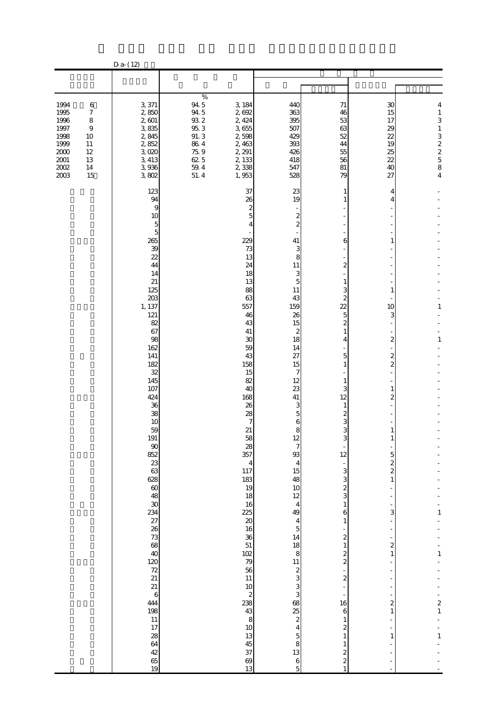|                                                                                          |                                                                                            | $D a - (12)$                                                                                                                                                                                                                                                                                                                                                                                                                                                                                                       |                                                                                                   |                                                                                                                                                                                                                                                                                                                                                                                                       |                                                                                                                                                                                                                                                                                                                                                                                                                                                                                                                |                                                                                                                                                                                                                                                                                                                                                                                                                                                                |                                                                                                                                                                                                                                    |                                                                        |
|------------------------------------------------------------------------------------------|--------------------------------------------------------------------------------------------|--------------------------------------------------------------------------------------------------------------------------------------------------------------------------------------------------------------------------------------------------------------------------------------------------------------------------------------------------------------------------------------------------------------------------------------------------------------------------------------------------------------------|---------------------------------------------------------------------------------------------------|-------------------------------------------------------------------------------------------------------------------------------------------------------------------------------------------------------------------------------------------------------------------------------------------------------------------------------------------------------------------------------------------------------|----------------------------------------------------------------------------------------------------------------------------------------------------------------------------------------------------------------------------------------------------------------------------------------------------------------------------------------------------------------------------------------------------------------------------------------------------------------------------------------------------------------|----------------------------------------------------------------------------------------------------------------------------------------------------------------------------------------------------------------------------------------------------------------------------------------------------------------------------------------------------------------------------------------------------------------------------------------------------------------|------------------------------------------------------------------------------------------------------------------------------------------------------------------------------------------------------------------------------------|------------------------------------------------------------------------|
|                                                                                          |                                                                                            |                                                                                                                                                                                                                                                                                                                                                                                                                                                                                                                    |                                                                                                   |                                                                                                                                                                                                                                                                                                                                                                                                       |                                                                                                                                                                                                                                                                                                                                                                                                                                                                                                                |                                                                                                                                                                                                                                                                                                                                                                                                                                                                |                                                                                                                                                                                                                                    |                                                                        |
| 1994<br>1995<br>1996<br>1997<br>1998<br>1999<br>$2000\,$<br>$2001\,$<br>$2002\,$<br>2003 | $\,6$<br>$\boldsymbol{7}$<br>8<br>$\boldsymbol{9}$<br>10<br>11<br>12<br>13<br>$14\,$<br>15 | 3,371<br>2,850<br>2,601<br>3,835<br>2,845<br>2,852<br>3,020<br>3, 413<br>3,936<br>3,802                                                                                                                                                                                                                                                                                                                                                                                                                            | $\%$<br>94.5<br>94.5<br>$93\ 2$<br>$95.3\,$<br>91.3<br>86.4<br>$75\,9$<br>62 5<br>$59\ 4$<br>51.4 | 3, 184<br>2,692<br>2, 424<br>3,655<br>2,598<br>2,463<br>2, 291<br>2,133<br>2,338<br>1,953                                                                                                                                                                                                                                                                                                             | 440<br>363<br>395<br>507<br>429<br>393<br>426<br>418<br>547<br>528                                                                                                                                                                                                                                                                                                                                                                                                                                             | 71<br>46<br>53<br>63<br>52<br>44<br>55<br>56<br>$81\,$<br>79                                                                                                                                                                                                                                                                                                                                                                                                   | 30<br>15<br>17<br>29<br>22<br>19<br>25<br>22<br>40<br>27                                                                                                                                                                           | 4<br>$\,1\,$<br>3<br>$\,1\,$<br>32258<br>4                             |
|                                                                                          |                                                                                            | 123<br>94<br>9<br>10<br>5<br>$\overline{5}$<br>265<br>39<br>22<br>44<br>14<br>21<br>125<br>203<br>1, 137<br>121<br>82<br>67<br>98<br>162<br>141<br>182<br>32<br>145<br>107<br>424<br>36<br>38<br>10<br>59<br>191<br>$90\,$<br>$\frac{852}{23}$<br>628<br>$\frac{1}{60}$<br>30<br>$\frac{234}{27}$<br>$\frac{27}{26}$<br>$\frac{28}{25}$<br>40<br>$\frac{120}{72}$<br>21<br>21<br>$\,6\,$<br>444<br>198<br>$11\,$<br>17<br>$\begin{array}{c} 28 \\ 64 \end{array}$<br>$\begin{array}{c} 42 \\ 65 \end{array}$<br>19 |                                                                                                   | 37<br>26<br>2<br>5<br>4<br>229<br>73<br>13<br>24<br>18<br>13<br>88<br>63<br>557<br>46<br>43<br>41<br>30<br>59<br>43<br>158<br>15<br>82<br>40<br>168<br>26<br>28<br>7<br>21<br>58<br>28<br>357<br>$\overline{4}$<br>117<br>183<br>19<br>18<br>16<br>225<br>$\infty$<br>16<br>36<br>51<br>102<br>79<br>56<br>$11\,$<br>$10$<br>$\boldsymbol{z}$<br>238<br>43<br>8<br>$10$<br>13<br>45<br>37<br>69<br>13 | 23<br>19<br>$\boldsymbol{z}$<br>$\overline{\mathcal{Z}}$<br>41<br>3<br>8<br>11<br>3<br>5<br>11<br>43<br>159<br>26<br>15<br>2<br>18<br>14<br>27<br>15<br>7<br>12<br>23<br>41<br>3<br>$\overline{5}$<br>6<br>8<br>12<br>7<br>93<br>$\overline{4}$<br>15<br>48<br>10<br>12<br>$\overline{4}$<br>49<br>$\overline{\mathbf{4}}$<br>$\mathbf 5$<br>14<br>18<br>$\bf 8$<br>11<br>$\frac{2}{3}$<br>3<br>3<br>68<br>$rac{25}{2}$<br>$\overline{\mathbf{4}}$<br>$\overline{5}$<br>8<br>13<br>$\,$ 6 $\,$<br>$\mathbf{5}$ | 1<br>6<br>$\overline{c}$<br>3<br>$\overline{c}$<br>$\overline{2}$<br>5<br>$\overline{\mathcal{Z}}$<br>1<br>4<br>5<br>1<br>3<br>12<br>2<br>3<br>3<br>12<br>$\overline{a}$<br>3<br>3<br>$\overline{\mathcal{Z}}$<br>3<br>1<br>6<br>$\mathbf{1}$<br>$\boldsymbol{2}$<br>1<br>$\frac{2}{2}$<br>$\overline{a}$<br>$\overline{\mathcal{L}}$<br>16<br>$\boldsymbol{6}$<br>1<br>$\mathbf{z}$<br>1<br>1<br>$\boldsymbol{z}$<br>$\overline{\mathcal{L}}$<br>$\mathbf{1}$ | 4<br>4<br>1<br>1<br>10<br>З<br>2<br>2<br>$\overline{\mathcal{Z}}$<br>1<br>2<br>$\mathbf{1}$<br>5<br>$\overline{\mathcal{L}}$<br>$\overline{\mathcal{L}}$<br>$\mathbf{1}$<br>3<br>2<br>$\overline{\mathbf{c}}$<br>$\mathbf{1}$<br>1 | 1<br>$\mathbf{1}$<br>1<br>$\mathbf{1}$<br>$\frac{2}{1}$<br>$\mathbf 1$ |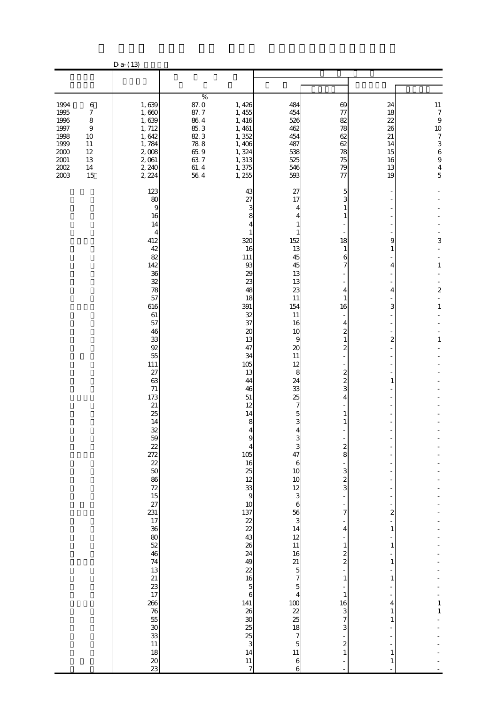|                                                                                          |                                                                                                      | $D a - (13)$                                                                                                                                                                                                                                                                                                                                                                                                                                                                                                          |                                                                                              |                                                                                                                                                                                                                                                                                                                                 |                                                                                                                                                                                                                                                                                                                                                                                                    |                                                                                                                                                                                                                                                                                                                                                                  |                                                                                                                                                                                      |                                                                                                                                                      |
|------------------------------------------------------------------------------------------|------------------------------------------------------------------------------------------------------|-----------------------------------------------------------------------------------------------------------------------------------------------------------------------------------------------------------------------------------------------------------------------------------------------------------------------------------------------------------------------------------------------------------------------------------------------------------------------------------------------------------------------|----------------------------------------------------------------------------------------------|---------------------------------------------------------------------------------------------------------------------------------------------------------------------------------------------------------------------------------------------------------------------------------------------------------------------------------|----------------------------------------------------------------------------------------------------------------------------------------------------------------------------------------------------------------------------------------------------------------------------------------------------------------------------------------------------------------------------------------------------|------------------------------------------------------------------------------------------------------------------------------------------------------------------------------------------------------------------------------------------------------------------------------------------------------------------------------------------------------------------|--------------------------------------------------------------------------------------------------------------------------------------------------------------------------------------|------------------------------------------------------------------------------------------------------------------------------------------------------|
|                                                                                          |                                                                                                      |                                                                                                                                                                                                                                                                                                                                                                                                                                                                                                                       |                                                                                              |                                                                                                                                                                                                                                                                                                                                 |                                                                                                                                                                                                                                                                                                                                                                                                    |                                                                                                                                                                                                                                                                                                                                                                  |                                                                                                                                                                                      |                                                                                                                                                      |
|                                                                                          |                                                                                                      |                                                                                                                                                                                                                                                                                                                                                                                                                                                                                                                       |                                                                                              |                                                                                                                                                                                                                                                                                                                                 |                                                                                                                                                                                                                                                                                                                                                                                                    |                                                                                                                                                                                                                                                                                                                                                                  |                                                                                                                                                                                      |                                                                                                                                                      |
| 1994<br>1995<br>1996<br>1997<br>1998<br>1999<br>$2000\,$<br>$2001\,$<br>$2002\,$<br>2003 | $\,6$<br>$\boldsymbol{7}$<br>$\,8\,$<br>$\boldsymbol{9}$<br>10<br>11<br>$12\,$<br>13<br>$14\,$<br>15 | 1,639<br>1,660<br>1,639<br>1, 712<br>1,642<br>1,784<br>2,008<br>2,061<br>2, 240<br>2, 224                                                                                                                                                                                                                                                                                                                                                                                                                             | $\%$<br>87.0<br>87.7<br>$86\ 4$<br>85.3<br>823<br>$78\;8$<br>65.9<br>63.7<br>$61.4\,$<br>564 | 1, 426<br>1, 455<br>1, 416<br>1,461<br>1,352<br>1,406<br>1,324<br>1, 313<br>1,375<br>1,255                                                                                                                                                                                                                                      | 484<br>454<br>526<br>462<br>454<br>487<br>538<br>525<br>546<br>593                                                                                                                                                                                                                                                                                                                                 | 69<br>77<br>82<br>78<br>62<br>62<br>78<br>75<br>79<br>77                                                                                                                                                                                                                                                                                                         | 24<br>18<br>22<br>26<br>21<br>14<br>15<br>16<br>13<br>19                                                                                                                             | $11\,$<br>$\boldsymbol{7}$<br>$\boldsymbol{9}$<br>10<br>$\boldsymbol{7}$<br>$\begin{array}{c} 3 \\ 6 \end{array}$<br>$\overline{9}$<br>$\frac{4}{5}$ |
|                                                                                          |                                                                                                      | 123<br>80<br>9<br>16<br>14<br>4<br>412<br>42<br>82<br>142<br>36<br>32<br>78<br>57<br>616<br>61<br>57<br>46<br>33<br>92<br>55<br>111<br>27<br>63<br>71<br>173<br>21<br>25<br>14<br>32<br>59<br>$\begin{array}{l} 2.75\,\\ 8.75\,\\ 8.75\,\\ 8.75\,\\ 8.75\,\\ 8.75\,\\ 8.75\,\\ 8.75\,\\ 8.75\,\\ 8.75\,\\ 8.75\,\\ 8.75\,\\ 8.75\,\\ 8.75\,\\ 8.75\,\\ 8.75\,\\ 8.75\,\\ 8.75\,\\ 8.75\,\\ 8.75\,\\ 8.75\,\\ 8.75\,\\ 8.75\,\\ 8.75\,\\ 8.75\,\\ 8.75\,\\ 8.75$<br>266<br>76<br>53<br>30<br>33<br>11<br>8<br>20<br>33 |                                                                                              | 43<br>27<br>3<br>8<br>4<br>1<br>320<br>16<br>111<br>$93\,$<br>29<br>23<br>48<br>18<br>391<br>32<br>37<br>20<br>13<br>47<br>34<br>105<br>13<br>44<br>46<br>51<br>12<br>14<br>8<br>$\overline{4}$<br>$\overline{4}$<br>105<br>៰ ៰ ៑ ន ន ង ន ន ង ន ន ន ជ ៑ ៰ ន ដ ន ន ត<br>141<br>38 38 39 39 30 31<br>14<br>11<br>$\boldsymbol{7}$ | 27<br>17<br>4<br>4<br>1<br>152<br>13<br>45<br>45<br>13<br>13<br>23<br>11<br>154<br>11<br>16<br>10<br>9<br>20<br>11<br>12<br>8<br>24<br>33<br>25<br>7<br>5<br>3<br>4<br>$\Omega$<br>$\frac{3}{47}$<br>$\boldsymbol{6}$<br>10<br>$\frac{10}{12}$ 3 6<br>56 3 4 12 13 14 12 15 7<br>$\frac{5}{4}$<br>$\frac{100}{22}$<br>$\frac{22}{18}$<br>$\frac{7}{15}$<br>$\frac{5}{11}$<br>$\boldsymbol{6}$<br>6 | 5<br>3<br>1<br>1<br>18<br>1<br>6<br>7<br>4<br>1<br>16<br>4<br>2<br>$\mathbf{1}$<br>2<br>2<br>$\overline{\mathcal{Z}}$<br>3<br>4<br>1<br>$\boldsymbol{z}$<br>8<br>3<br>$\boldsymbol{z}$<br>3<br>÷,<br>7<br>$\overline{4}$<br>$\mathbf{1}$<br>$\frac{2}{2}$<br>$\,1$<br>$\mathbf{1}$<br>16<br>3<br>$\overline{7}$<br>3<br>$\overline{\mathcal{L}}$<br>$\mathbf{1}$ | 9<br>1<br>4<br>4<br>3<br>$\mathbf{z}$<br>1<br>$\overline{\mathbf{c}}$<br>$\mathbf{1}$<br>$\mathbf{1}$<br>1<br>$\mathbf{1}$<br>4<br>$\mathbf{1}$<br>1<br>$\mathbf{1}$<br>$\mathbf{1}$ | 3<br>$\mathbf{1}$<br>$\boldsymbol{z}$<br>$\overline{a}$<br>1<br>$\mathbf{1}$<br>$\mathbf{1}$<br>$\mathbf 1$                                          |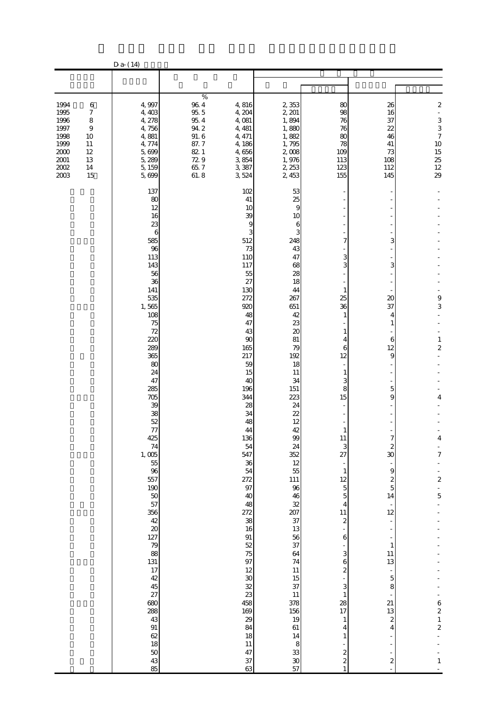|                                                                                  |                                                          | $D a-(14)$                                                                                                                                                                                                                                                                                                                                                                                                                                                                                                                                |                                                                                            |                                                                                                                                                                                                                                                                                                                                                                                                          |                                                                                                                                                                                                                                                                                                                                                                                                         |                                                                                                                                                                                                                                                                                                                                                                                                                               |                                                                                                                                                                                                                                                                 |                                                                                                                                                                                                 |
|----------------------------------------------------------------------------------|----------------------------------------------------------|-------------------------------------------------------------------------------------------------------------------------------------------------------------------------------------------------------------------------------------------------------------------------------------------------------------------------------------------------------------------------------------------------------------------------------------------------------------------------------------------------------------------------------------------|--------------------------------------------------------------------------------------------|----------------------------------------------------------------------------------------------------------------------------------------------------------------------------------------------------------------------------------------------------------------------------------------------------------------------------------------------------------------------------------------------------------|---------------------------------------------------------------------------------------------------------------------------------------------------------------------------------------------------------------------------------------------------------------------------------------------------------------------------------------------------------------------------------------------------------|-------------------------------------------------------------------------------------------------------------------------------------------------------------------------------------------------------------------------------------------------------------------------------------------------------------------------------------------------------------------------------------------------------------------------------|-----------------------------------------------------------------------------------------------------------------------------------------------------------------------------------------------------------------------------------------------------------------|-------------------------------------------------------------------------------------------------------------------------------------------------------------------------------------------------|
|                                                                                  |                                                          |                                                                                                                                                                                                                                                                                                                                                                                                                                                                                                                                           |                                                                                            |                                                                                                                                                                                                                                                                                                                                                                                                          |                                                                                                                                                                                                                                                                                                                                                                                                         |                                                                                                                                                                                                                                                                                                                                                                                                                               |                                                                                                                                                                                                                                                                 |                                                                                                                                                                                                 |
| 1994<br>1995<br>1996<br>1997<br>1998<br>1999<br>2000<br>2001<br>$2002\,$<br>2003 | $\,6$<br>7<br>8<br>9<br>10<br>11<br>12<br>13<br>14<br>15 | 4,997<br>4,403<br>4, 278<br>4,756<br>4,881<br>4,774<br>5,699<br>5, 289<br>5, 159<br>5,699                                                                                                                                                                                                                                                                                                                                                                                                                                                 | %<br>$96\ 4$<br>95.5<br>$95\ 4$<br>$94.2\,$<br>91.6<br>87.7<br>82 1<br>729<br>65.7<br>61.8 | 4,816<br>4, 204<br>4,081<br>4, 481<br>4, 471<br>4,186<br>4,656<br>3,854<br>3,387<br>3,524                                                                                                                                                                                                                                                                                                                | 2,353<br>2, 201<br>1,894<br>1,880<br>1,882<br>1,795<br>2,008<br>1,976<br>2, 253<br>2, 453                                                                                                                                                                                                                                                                                                               | 80<br>98<br>76<br>76<br>80<br>78<br>109<br>113<br>123<br>155                                                                                                                                                                                                                                                                                                                                                                  | 26<br>16<br>37<br>22<br>46<br>41<br>73<br>108<br>112<br>145                                                                                                                                                                                                     | $\boldsymbol{z}$<br>÷,<br>$\frac{3}{3}$<br>$\overline{7}$<br>$10$<br>$15$<br>$25$<br>$12$<br>$29$                                                                                               |
|                                                                                  |                                                          | 137<br>80<br>12<br>16<br>23<br>6<br>585<br>96<br>113<br>143<br>56<br>36<br>141<br>535<br>1,565<br>108<br>$75\,$<br>72<br>220<br>289<br>365<br>80<br>24<br>47<br>285<br>705<br>39<br>38<br>52<br>$77\,$<br>425<br>$74$<br>1, 005<br>55<br>96<br>557<br>$\begin{array}{c} 190 \\ 50 \\ 57 \end{array}$<br>356<br>42<br>20<br>$\begin{bmatrix} 127 \\ 79 \\ 88 \end{bmatrix}$<br>131<br>$\begin{array}{c} 17 \\ 42 \end{array}$<br>$45\,$<br>$\frac{27}{28}$<br>43<br>$\frac{91}{62}$<br>18<br>$\begin{array}{c} 50 \\ 43 \\ 85 \end{array}$ |                                                                                            | 102<br>41<br>10<br>39<br>9<br>512<br>73<br>110<br>117<br>55<br>27<br>130<br>272<br>920<br>48<br>47<br>43<br>90<br>165<br>217<br>59<br>15<br>40<br>196<br>344<br>28<br>34<br>48<br>44<br>136<br>54<br>547<br>36<br>54<br>272<br>97<br>40<br>48<br>272<br>38<br>16<br>91<br>52<br>75<br>97<br>12<br>$\infty$<br>$\overline{\mathcal{Z}}$<br>23<br>458<br>169<br>29<br>84<br>18<br>$11\,$<br>47<br>37<br>63 | 53<br>25<br>9<br>10<br>6<br>3<br>248<br>43<br>47<br>68<br>28<br>18<br>44<br>267<br>651<br>42<br>23<br>20<br>81<br>79<br>192<br>18<br>11<br>34<br>151<br>223<br>24<br>22<br>12<br>42<br>99<br>24<br>352<br>12<br>55<br>$111\,$<br>96<br>46<br>32<br>207<br>37<br>13<br>56<br>37<br>64<br>74<br>$11\,$<br>$15\,$<br>37<br>$11\,$<br>378<br>156<br>19<br>$61\,$<br>14<br>$\,$ 8 $\,$<br>33<br>$30\,$<br>57 | 7<br>3<br>3<br>1<br>25<br>36<br>1<br>4<br>6<br>12<br>1<br>3<br>8<br>15<br>$\mathbf{1}$<br>11<br>$rac{3}{27}$<br>÷,<br>$\mathbf{1}$<br>12<br>$\overline{5}$<br>$\overline{5}$<br>$\overline{4}$<br>11<br>$\boldsymbol{z}$<br>$\,$ 6 $\,$<br>$\ensuremath{\mathsf{3}}$<br>6<br>$\boldsymbol{z}$<br>3<br>$\mathbf{1}$<br>28<br>17<br>$\mathbf{1}$<br>4<br>$\mathbf{1}$<br>$\boldsymbol{z}$<br>$\boldsymbol{z}$<br>$\overline{1}$ | 3<br>3<br>$\infty$<br>37<br>4<br>1<br>6<br>12<br>9<br>5<br>9<br>2<br>30<br>$\Theta$<br>$\boldsymbol{z}$<br>$\overline{5}$<br>14<br>12<br>$\mathbf{1}$<br>$11\,$<br>13<br>$\mathbf 5$<br>8<br>21<br>13<br>$\boldsymbol{z}$<br>$\overline{4}$<br>$\boldsymbol{z}$ | 9<br>3<br>$\,1$<br>$\overline{\mathcal{Z}}$<br>4<br>$\overline{7}$<br>$\overline{\phantom{0}}$<br>$\frac{2}{1}$<br>$\overline{5}$<br>$\begin{array}{c} 6 \\ 2 \\ 1 \\ 2 \end{array}$<br>$\,1\,$ |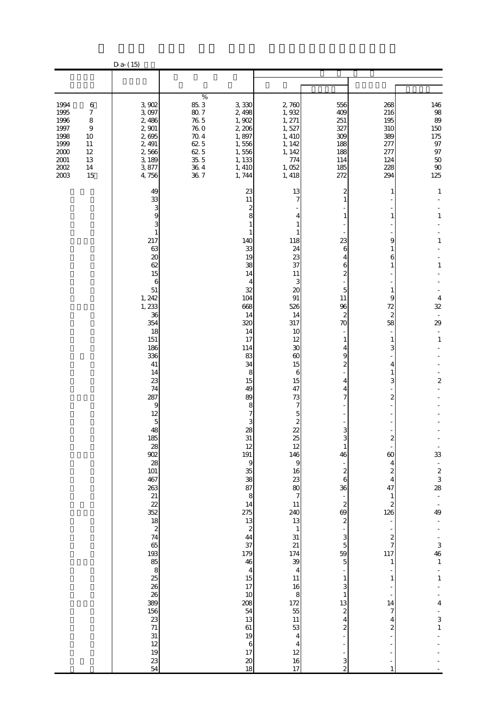|                                                                                          |                                                                                           | $D a-(15)$                                                                                                                                                                                                                                                                                                                                              |                                                                                                       |                                                                                                                                                                                                                                                                                                                                                                                                                                                         |                                                                                                                                                                                                                                                                                                                                                                                                                                                                                                                |                                                                                                                                                                                                                                                                                                                                                                                                                                                   |                                                                                                                                                                                                                                                                                                                                                                        |                                                                                                                                                                                                                                                                                   |
|------------------------------------------------------------------------------------------|-------------------------------------------------------------------------------------------|---------------------------------------------------------------------------------------------------------------------------------------------------------------------------------------------------------------------------------------------------------------------------------------------------------------------------------------------------------|-------------------------------------------------------------------------------------------------------|---------------------------------------------------------------------------------------------------------------------------------------------------------------------------------------------------------------------------------------------------------------------------------------------------------------------------------------------------------------------------------------------------------------------------------------------------------|----------------------------------------------------------------------------------------------------------------------------------------------------------------------------------------------------------------------------------------------------------------------------------------------------------------------------------------------------------------------------------------------------------------------------------------------------------------------------------------------------------------|---------------------------------------------------------------------------------------------------------------------------------------------------------------------------------------------------------------------------------------------------------------------------------------------------------------------------------------------------------------------------------------------------------------------------------------------------|------------------------------------------------------------------------------------------------------------------------------------------------------------------------------------------------------------------------------------------------------------------------------------------------------------------------------------------------------------------------|-----------------------------------------------------------------------------------------------------------------------------------------------------------------------------------------------------------------------------------------------------------------------------------|
|                                                                                          |                                                                                           |                                                                                                                                                                                                                                                                                                                                                         |                                                                                                       |                                                                                                                                                                                                                                                                                                                                                                                                                                                         |                                                                                                                                                                                                                                                                                                                                                                                                                                                                                                                |                                                                                                                                                                                                                                                                                                                                                                                                                                                   |                                                                                                                                                                                                                                                                                                                                                                        |                                                                                                                                                                                                                                                                                   |
| 1994<br>1995<br>1996<br>1997<br>1998<br>1999<br>$2000\,$<br>$2001\,$<br>$2002\,$<br>2003 | $\,6$<br>$\boldsymbol{7}$<br>$\,$ 8 $\,$<br>9<br>10<br>11<br>$12\,$<br>13<br>$14\,$<br>15 | 3,902<br>3,097<br>2,486<br>2,901<br>2,695<br>2, 491<br>2,566<br>3, 189<br>3,877<br>4,756                                                                                                                                                                                                                                                                | $\%$<br>85.3<br>$80.7\,$<br>$76\ 5$<br>76.0<br>$70.4\,$<br>62 5<br>62 5<br>$35.5\,$<br>$36\ 4$<br>367 | 3,330<br>2,498<br>1,902<br>2,206<br>1,897<br>1,556<br>1,556<br>1, 133<br>1, 410<br>1,744                                                                                                                                                                                                                                                                                                                                                                | 2,760<br>1,932<br>1, 271<br>1,527<br>1, 410<br>1, 142<br>1, 142<br>774<br>1,052<br>1,418                                                                                                                                                                                                                                                                                                                                                                                                                       | 556<br>409<br>251<br>327<br>309<br>188<br>188<br>114<br>185<br>272                                                                                                                                                                                                                                                                                                                                                                                | 268<br>216<br>195<br>310<br>389<br>277<br>277<br>124<br>228<br>294                                                                                                                                                                                                                                                                                                     | 146<br>$\frac{98}{89}$<br>150<br>175<br>$97\,$<br>$97\,$<br>$50\,$<br>$90\,$<br>125                                                                                                                                                                                               |
|                                                                                          |                                                                                           | 49<br>33<br>3<br>9<br>3<br>$\mathbf{1}$<br>217<br>63<br>20<br>62<br>15<br>6<br>51<br>1, 242<br>1, 233<br>36<br>354<br>18<br>151<br>186<br>336<br>41<br>14<br>23<br>74<br>287<br>9<br>12<br>$\overline{5}$<br>48<br>185<br>$28$<br>902<br>28<br>101<br>467<br>$\begin{array}{c} 263 \\ 21 \\ 22 \end{array}$<br>$\frac{12}{352}$ 18<br>$\frac{2}{74}$ 65 |                                                                                                       | 23<br>11<br>$\boldsymbol{z}$<br>8<br>140<br>33<br>19<br>38<br>14<br>4<br>32<br>104<br>668<br>14<br>320<br>14<br>17<br>114<br>83<br>34<br>8<br>15<br>49<br>89<br>8<br>3<br>28<br>31<br>12<br>191<br>9<br>38<br>87<br>$\begin{array}{c} 8 \\ 14 \end{array}$<br>$275$<br>13<br>2<br>44<br>37<br>179<br>46<br>$\begin{array}{c} 4 \\ 15 \\ 17 \end{array}$<br>10<br>208<br>$\overline{5}4$<br>13<br>61<br>19<br>$\boldsymbol{6}$<br>17<br>$\pmb{20}$<br>18 | 13<br>118<br>24<br>23<br>37<br>11<br>3<br>20<br>91<br>526<br>14<br>317<br>10<br>12<br>30<br>60<br>15<br>6<br>15<br>47<br>73<br>7<br>5<br>$\overline{\mathcal{L}}$<br>22<br>$\frac{25}{12}$<br>146<br>$\mathbf{9}$<br>16<br>$\begin{array}{c}\n 23 \\  80 \\  7\n \end{array}$<br>11<br><b>240</b><br>13<br>$\,$ 1<br>$\begin{array}{c} 31 \\ 21 \end{array}$<br>$\frac{174}{39}$<br>11<br>16<br>8<br>$\begin{array}{c} 172 \\ 55 \end{array}$<br>$11\,$<br>$\frac{53}{4}$<br>$\frac{4}{12}$<br>$\frac{16}{17}$ | 2<br>1<br>23<br>6<br>4<br>6<br>$\overline{\mathcal{Z}}$<br>5<br>11<br>96<br>$\boldsymbol{z}$<br>70<br>1<br>4<br>9<br>$\overline{\mathcal{Z}}$<br>4<br>4<br>7<br>3<br>$\mathbf{1}$<br>46<br>$\boldsymbol{z}$<br>$\,$ 6 $\,$<br>36<br>$\boldsymbol{z}$<br>69<br>$\boldsymbol{2}$<br>3<br>$\overline{5}$<br>59<br>5<br>$\mathbf{1}$<br>3<br>$\mathbf{1}$<br>13<br>$\overline{\mathcal{L}}$<br>4<br>$\boldsymbol{z}$<br>3<br>$\overline{\mathcal{Z}}$ | 1<br>1<br>9<br>1<br>6<br>1<br>1<br>9<br>72<br>$\mathbf{z}$<br>58<br>$\mathbf{1}$<br>3<br>4<br>1<br>3<br>2<br>$\omega$<br>$\overline{\mathbf{4}}$<br>$\overline{\mathcal{L}}$<br>$\overline{4}$<br>47<br>$\mathbf{1}$<br>$\overline{\mathcal{Z}}$<br>126<br>f<br>$rac{2}{7}$<br>117<br>$\mathbf{1}$<br>$\mathbf{1}$<br>14<br>7<br>4<br>$\boldsymbol{z}$<br>$\mathbf{1}$ | $\mathbf{1}$<br>$\mathbf{1}$<br>1<br>$\mathbf{1}$<br>4<br>32<br>29<br>$\overline{\phantom{a}}$<br>$\,1\,$<br>$\overline{\mathcal{L}}$<br>33<br>$\frac{2}{3}$<br>$\frac{3}{28}$<br>$\frac{1}{49}$<br>$\frac{3}{46}$<br>$\frac{1}{1}$<br>4<br>$\begin{array}{c} 3 \\ 1 \end{array}$ |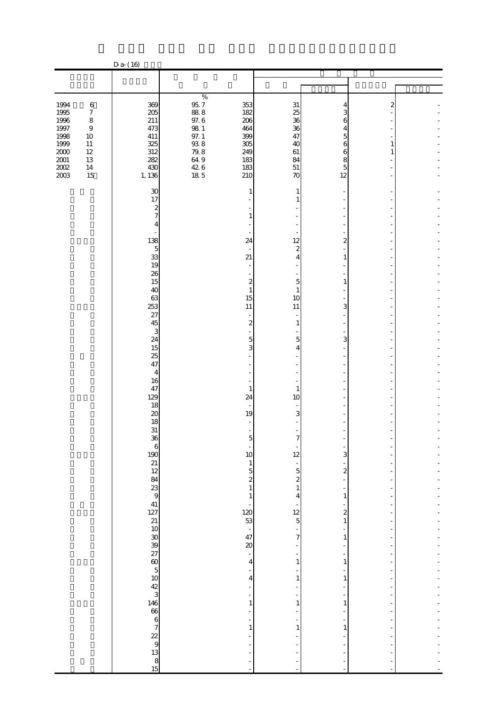|                                                                                             |                                                                                                              | D a- (16)                                                             |                                                                                                                  |                                                                                                   |                                                                  |                                                              |             |  |
|---------------------------------------------------------------------------------------------|--------------------------------------------------------------------------------------------------------------|-----------------------------------------------------------------------|------------------------------------------------------------------------------------------------------------------|---------------------------------------------------------------------------------------------------|------------------------------------------------------------------|--------------------------------------------------------------|-------------|--|
|                                                                                             |                                                                                                              |                                                                       |                                                                                                                  |                                                                                                   |                                                                  |                                                              |             |  |
|                                                                                             |                                                                                                              |                                                                       |                                                                                                                  |                                                                                                   |                                                                  |                                                              |             |  |
| 1994<br>1995<br>1996<br>$1997\,$<br>1998<br>1999<br>$2000\,$<br>$2001\,$<br>$200\!$<br>2003 | $\,6$<br>$\boldsymbol{7}$<br>$\,8\,$<br>$\boldsymbol{9}$<br>$10\,$<br>$11\,$<br>$12\,$<br>13<br>$14\,$<br>15 | 369<br>205<br>211<br>473<br>411<br>325<br>312<br>282<br>430<br>1, 136 | $\%$<br>$\frac{95}{88}$ $\frac{7}{8}$<br>97.6<br>$98\ 1$<br>$97.1$<br>$93.8$<br>$79.8$<br>$64.9$<br>$426$<br>185 | 353<br>182<br>206<br>464<br>399<br>305<br>249<br>183<br>183<br>210                                | 31<br>25<br>36<br>36<br>47<br>40<br>$61\,$<br>84<br>$51\,$<br>70 | 4<br>3<br>6<br>4<br>5<br>6<br>6<br>8<br>$\mathbf 5$<br>12    | 2<br>1<br>1 |  |
|                                                                                             |                                                                                                              | 30<br>17<br>$\boldsymbol{z}$<br>7<br>4                                |                                                                                                                  | 1<br>1                                                                                            | 1<br>1                                                           |                                                              |             |  |
|                                                                                             |                                                                                                              | 138<br>$\overline{5}$<br>33<br>19<br>26                               |                                                                                                                  | 24<br>21                                                                                          | 12<br>$\overline{\mathcal{L}}$<br>$\overline{4}$                 | $\overline{a}$<br>$\mathbf{1}$                               |             |  |
|                                                                                             |                                                                                                              | 15<br>40<br>63<br>253<br>27<br>45                                     |                                                                                                                  | $\boldsymbol{z}$<br>$\mathbf{1}$<br>15<br>11<br>$\overline{\mathcal{L}}$                          | $\overline{5}$<br>$\mathbf{1}$<br>10<br>11<br>$\mathbf{1}$       | $\mathbf{1}$<br>3                                            |             |  |
|                                                                                             |                                                                                                              | 3<br>24<br>15<br>25<br>47<br>$\overline{4}$                           |                                                                                                                  | $\overline{5}$<br>3                                                                               | $\overline{5}$<br>$\overline{4}$                                 | 3                                                            |             |  |
|                                                                                             |                                                                                                              | 16<br>47<br>129<br>18<br>20<br>18                                     |                                                                                                                  | $\mathbf{1}$<br>24<br>$\sim$<br>19                                                                | $\mathbf{1}$<br>10<br>3                                          |                                                              |             |  |
|                                                                                             |                                                                                                              | 31<br>36                                                              |                                                                                                                  | $\qquad \qquad \blacksquare$<br>5<br>10<br>$\mathbf{1}$<br>$\overline{5}$                         | 12<br>$\frac{1}{5}$<br>$\boldsymbol{z}$                          | 3<br>$\overline{\mathcal{L}}$                                |             |  |
|                                                                                             |                                                                                                              |                                                                       |                                                                                                                  | $\begin{array}{c} 2 \\ 1 \end{array}$<br>$\mathbf{1}$<br>$\begin{array}{c} 120 \\ 53 \end{array}$ | $\,1\,$<br>4<br>$\begin{array}{c} 12 \\ 5 \end{array}$           | ÷<br>$\mathbf{1}$<br>$\overline{\mathbf{c}}$<br>$\mathbf{1}$ |             |  |
|                                                                                             |                                                                                                              |                                                                       |                                                                                                                  | $\frac{1}{47}$<br>$\infty$<br>$\overline{\phantom{a}}$<br>4<br>-<br>$\overline{4}$                | $\overline{7}$<br>÷<br>1<br>$\mathbf{1}$                         | $\mathbf{1}$<br>$\mathbf{1}$<br>$\,1\,$                      |             |  |
|                                                                                             |                                                                                                              |                                                                       |                                                                                                                  | ÷<br>1<br>-<br>$\mathbf{1}$                                                                       | 1<br>$\mathbf{1}$                                                | 1<br>÷<br>$\mathbf{1}$                                       |             |  |
|                                                                                             |                                                                                                              |                                                                       |                                                                                                                  |                                                                                                   |                                                                  |                                                              |             |  |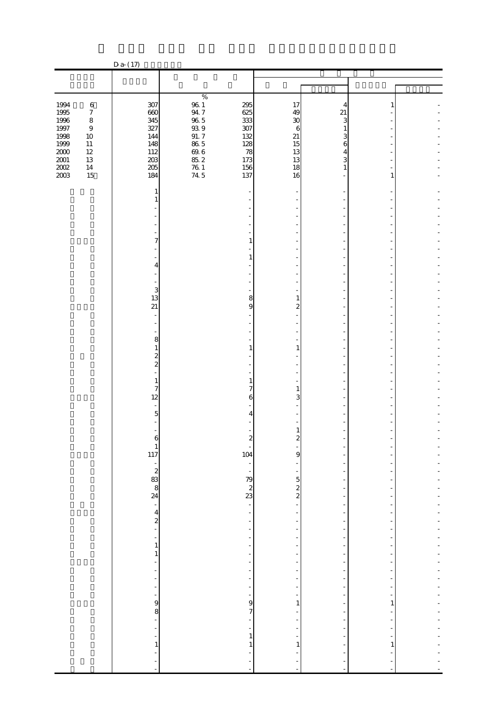|                             |                             | $Da-(17)$                                              |                                          |                                                  |                |                   |   |  |
|-----------------------------|-----------------------------|--------------------------------------------------------|------------------------------------------|--------------------------------------------------|----------------|-------------------|---|--|
|                             |                             |                                                        |                                          |                                                  |                |                   |   |  |
|                             |                             |                                                        |                                          |                                                  |                |                   |   |  |
| 1994                        | $\,6\,$                     | 307                                                    | $\%$<br>$96\ 1$                          | 295                                              | 17             | 4                 | 1 |  |
| 1995<br>1996                | $\boldsymbol{7}$<br>$\,8\,$ | 660<br>345                                             | $94\,7$<br>$96\ 5$                       | 625<br>333                                       | 49<br>30       | 21<br>3           |   |  |
| $1997\,$<br>1998            | $\,9$<br>$10\,$             | 327<br>144                                             | $9\!\!3\,9$<br>$91.\,7$                  | 307<br>132                                       | 6<br>$21\,$    | $\mathbf{1}$<br>3 |   |  |
| 1999<br>$2000\,$            | $11\,$<br>$12\,$<br>13      | 148<br>112<br>203                                      | $86\ 5$<br>$\frac{69}{85}$ $\frac{6}{2}$ | 128<br>78<br>173                                 | 15<br>13<br>13 | 6<br>4<br>3       |   |  |
| $\frac{2001}{2002}$<br>2003 | $14\,$<br>15                | $205\,$<br>184                                         | $\frac{76}{74}$ 5                        | 156<br>137                                       | 18<br>16       | $\mathbf{1}$      | 1 |  |
|                             |                             | 1                                                      |                                          |                                                  |                |                   |   |  |
|                             |                             | 1                                                      |                                          |                                                  |                |                   |   |  |
|                             |                             |                                                        |                                          |                                                  |                |                   |   |  |
|                             |                             | 7                                                      |                                          | 1                                                |                |                   |   |  |
|                             |                             |                                                        |                                          | $\mathbf{1}$                                     |                |                   |   |  |
|                             |                             | 4                                                      |                                          |                                                  |                |                   |   |  |
|                             |                             | 3<br>13                                                |                                          | 8                                                | 1              |                   |   |  |
|                             |                             | $\overline{21}$                                        |                                          | 9                                                | 2              |                   |   |  |
|                             |                             |                                                        |                                          |                                                  |                |                   |   |  |
|                             |                             | $\,8\,$<br>1                                           |                                          | 1                                                | 1              |                   |   |  |
|                             |                             | $\frac{2}{2}$                                          |                                          |                                                  |                |                   |   |  |
|                             |                             | 1                                                      |                                          | $\mathbf{1}$<br>$\overline{7}$                   |                |                   |   |  |
|                             |                             | $\overline{7}$<br>12                                   |                                          | 6                                                | 1<br>3         |                   |   |  |
|                             |                             | 5                                                      |                                          | 4                                                |                |                   |   |  |
|                             |                             | 6                                                      |                                          |                                                  | ۷              |                   |   |  |
|                             |                             | $\begin{array}{c} 1 \\ 117 \end{array}$                |                                          | 104                                              | 9              |                   |   |  |
|                             |                             | $\begin{array}{c}\n 2 \\  2 \\  8 \\  8\n \end{array}$ |                                          | $\overline{\phantom{a}}$<br>$\frac{1}{\sqrt{2}}$ |                |                   |   |  |
|                             |                             |                                                        |                                          | $\begin{array}{c} 79 \\ 2 \\ 23 \end{array}$     | $\frac{5}{2}$  | ÷<br>÷            |   |  |
|                             |                             |                                                        |                                          | ÷,<br>$\overline{\phantom{a}}$                   |                | ٠                 |   |  |
|                             |                             | $\frac{4}{2}$                                          |                                          | $\frac{1}{2}$<br>÷,                              |                | ÷,                |   |  |
|                             |                             | ÷<br>$\mathbf{1}$                                      |                                          | ÷<br>$\overline{\phantom{a}}$                    |                | ÷<br>٠            |   |  |
|                             |                             | $\mathbf{1}$<br>Ĭ.                                     |                                          | $\overline{a}$                                   |                | ٠                 |   |  |
|                             |                             | L,                                                     |                                          | ÷<br>۰                                           |                | ÷<br>÷            |   |  |
|                             |                             | ÷                                                      |                                          | ÷,<br>÷                                          |                | ÷                 |   |  |
|                             |                             | 9<br>8<br>$\overline{a}$                               |                                          | 9<br>7                                           | 1              | ٠                 | 1 |  |
|                             |                             | L,                                                     |                                          | ÷,<br>÷,<br>$\mathbf{1}$                         |                |                   |   |  |
|                             |                             | 1                                                      |                                          | 1                                                | 1              |                   | 1 |  |
|                             |                             |                                                        |                                          |                                                  | -              |                   |   |  |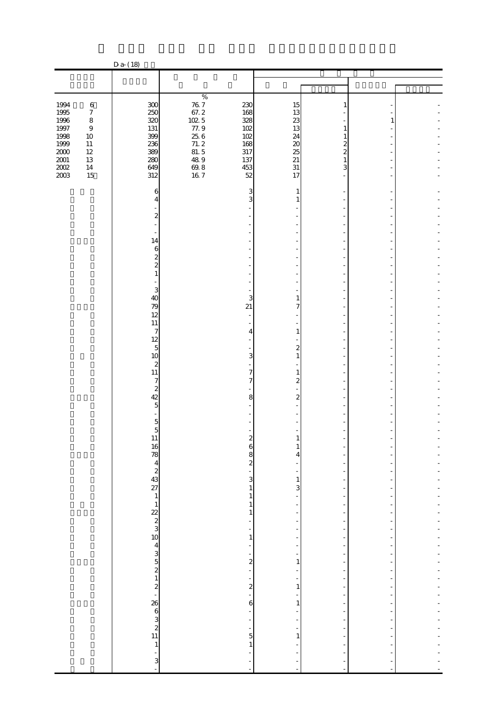|                  |                        | $D a - (18)$             |                                                         |                                   |                          |                                            |    |  |
|------------------|------------------------|--------------------------|---------------------------------------------------------|-----------------------------------|--------------------------|--------------------------------------------|----|--|
|                  |                        |                          |                                                         |                                   |                          |                                            |    |  |
|                  |                        |                          |                                                         |                                   |                          |                                            |    |  |
|                  |                        |                          | $\%$                                                    |                                   |                          |                                            |    |  |
| 1994             | $\,6$                  | 300                      | $\begin{array}{r} 76.7 \\ 67.2 \\ 102.5 \\ \end{array}$ | 230                               | 15                       | 1                                          |    |  |
| 1995             | $\boldsymbol{7}$       | 250                      |                                                         | 168                               | 13                       |                                            |    |  |
| 1996             | $\,8\,$                | 320                      |                                                         | 328                               | 23                       |                                            | 1  |  |
| $1997\,$<br>1998 | $\boldsymbol{9}$<br>10 | 131<br>399               | 77.9<br>$25\;6$                                         | 102<br>102                        | 13<br>24                 | 1<br>1                                     |    |  |
| 1999             | $11\,$                 | 236                      |                                                         | 168                               | $\boldsymbol{\chi}$      | $\mathbf{z}$                               |    |  |
| $2000\,$         | $12\,$                 | 389                      | $71.2$<br>81.5                                          | 317                               | 25                       | $\overline{\mathcal{Z}}$                   |    |  |
| $2001\,$         | 13                     | 280                      | 48.9                                                    | 137                               | 21                       | 1                                          |    |  |
| $2002\,$         | $14\,$                 | 649                      | $\frac{69.8}{16.7}$                                     | 453                               | $31\,$                   | 3                                          |    |  |
| 2003             | 15                     | 312                      |                                                         | 52                                | 17                       |                                            |    |  |
|                  |                        |                          |                                                         | 3                                 | 1                        |                                            |    |  |
|                  |                        | 6<br>4                   |                                                         | 3                                 | 1                        |                                            |    |  |
|                  |                        |                          |                                                         |                                   |                          |                                            |    |  |
|                  |                        | $\overline{\mathcal{Z}}$ |                                                         |                                   |                          |                                            |    |  |
|                  |                        |                          |                                                         |                                   |                          |                                            |    |  |
|                  |                        |                          |                                                         |                                   |                          |                                            |    |  |
|                  |                        | 14                       |                                                         |                                   |                          |                                            |    |  |
|                  |                        | $\,$ 6 $\,$              |                                                         |                                   |                          |                                            |    |  |
|                  |                        | $\frac{2}{2}$            |                                                         |                                   |                          |                                            |    |  |
|                  |                        | $\,1\,$                  |                                                         |                                   |                          |                                            |    |  |
|                  |                        |                          |                                                         |                                   |                          |                                            |    |  |
|                  |                        | 3                        |                                                         |                                   |                          |                                            |    |  |
|                  |                        | 40                       |                                                         | 3                                 | 1                        |                                            |    |  |
|                  |                        | 79                       |                                                         | 21                                | 7                        |                                            |    |  |
|                  |                        | 12                       |                                                         |                                   |                          |                                            |    |  |
|                  |                        | $11\,$                   |                                                         |                                   | Ξ                        |                                            |    |  |
|                  |                        | 7<br>12                  |                                                         | 4                                 | $\mathbf{1}$             |                                            |    |  |
|                  |                        | $\overline{5}$           |                                                         |                                   | $\boldsymbol{2}$         |                                            |    |  |
|                  |                        | 10                       |                                                         | 3                                 | $\mathbf{1}$             |                                            |    |  |
|                  |                        | $\boldsymbol{z}$         |                                                         |                                   |                          |                                            |    |  |
|                  |                        | 11                       |                                                         | 7                                 | $\mathbf{1}$             |                                            |    |  |
|                  |                        | $\overline{7}$           |                                                         | 7                                 | $\overline{\mathcal{Z}}$ |                                            |    |  |
|                  |                        | $\boldsymbol{z}$         |                                                         |                                   |                          |                                            |    |  |
|                  |                        | 42                       |                                                         | 8                                 | $\overline{c}$           |                                            |    |  |
|                  |                        | $\overline{5}$           |                                                         |                                   |                          |                                            |    |  |
|                  |                        |                          |                                                         |                                   |                          |                                            |    |  |
|                  |                        | $5\,$ $5\,$              |                                                         |                                   |                          |                                            |    |  |
|                  |                        |                          |                                                         | $\epsilon$                        |                          |                                            |    |  |
|                  |                        |                          |                                                         |                                   | $\mathbf{1}$             |                                            |    |  |
|                  |                        |                          |                                                         |                                   | 4                        | $\overline{a}$                             |    |  |
|                  |                        |                          |                                                         |                                   |                          |                                            |    |  |
|                  |                        |                          |                                                         |                                   | -                        | $\overline{\phantom{a}}$                   |    |  |
|                  |                        |                          |                                                         |                                   | $\frac{1}{3}$            | $\overline{a}$<br>$\frac{1}{2}$            |    |  |
|                  |                        |                          |                                                         | $60000$ $200000$                  | $\overline{a}$           | $\overline{\phantom{a}}$                   |    |  |
|                  |                        |                          |                                                         | $\mathbf 1$                       | ÷                        |                                            |    |  |
|                  |                        |                          |                                                         | 1                                 | -                        | $\overline{\phantom{0}}$                   |    |  |
|                  |                        |                          |                                                         | f                                 | ÷                        | -                                          |    |  |
|                  |                        |                          |                                                         | -                                 | ÷                        | $\overline{a}$                             |    |  |
|                  |                        |                          |                                                         | $\,1\,$                           | -                        | $\overline{a}$                             |    |  |
|                  |                        |                          |                                                         | ÷,                                | ÷                        | $\overline{a}$<br>$\overline{\phantom{m}}$ |    |  |
|                  |                        |                          |                                                         |                                   | $\frac{1}{1}$            | $\qquad \qquad \blacksquare$               |    |  |
|                  |                        |                          |                                                         | $\sim$ 2 $\sim$ 2 $\sim$ 2 $\sim$ | ÷                        | $\overline{a}$                             |    |  |
|                  |                        |                          |                                                         |                                   | $\overline{a}$           | $\frac{1}{2}$                              |    |  |
|                  |                        |                          |                                                         |                                   | $\,1\,$                  | $\overline{\phantom{a}}$                   | ÷, |  |
|                  |                        |                          |                                                         |                                   | -                        | $\overline{a}$                             |    |  |
|                  |                        |                          |                                                         | 6                                 | 1                        | $\overline{\phantom{0}}$                   |    |  |
|                  |                        |                          |                                                         | ÷                                 | ÷,                       | $\overline{\phantom{a}}$                   | ÷  |  |
|                  |                        |                          |                                                         | $\frac{1}{1}$ 5                   |                          | $\frac{1}{2}$                              |    |  |
|                  |                        |                          |                                                         |                                   | ÷<br>$\mathbf 1$         | $\blacksquare$                             |    |  |
|                  |                        |                          |                                                         |                                   |                          |                                            |    |  |
|                  |                        |                          |                                                         | L,                                | ÷                        |                                            |    |  |
|                  |                        | $\frac{1}{3}$            |                                                         | ÷                                 | $\overline{a}$           | $\overline{\phantom{m}}$                   |    |  |
|                  |                        |                          |                                                         | ÷,                                | $\overline{a}$           | $\overline{a}$                             |    |  |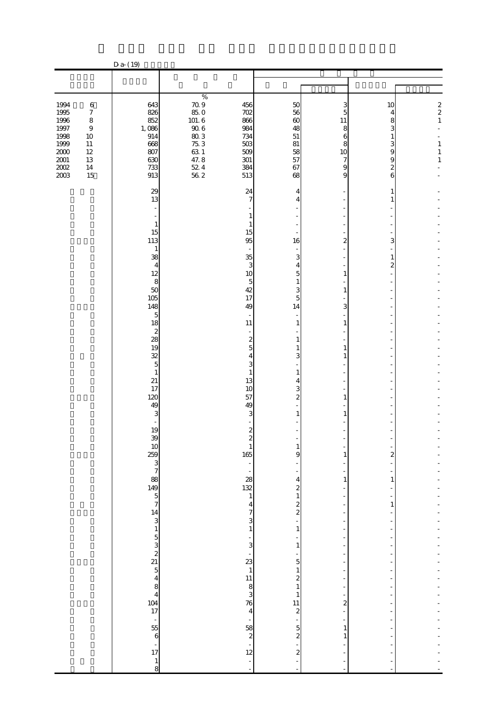|                                                                                             |                                                                                                              | D a- (19)                                                                                                                                                                                                                                                                                                                                                                            |                                                                                                                                                                                         |                                                                                                                                                                                                                                                                                                                                                                                                                                                                                                                                                                                                                                                                                                                                                                                                                                                                                    |                                                                                                                                                         |                                                                                   |                                                                                |
|---------------------------------------------------------------------------------------------|--------------------------------------------------------------------------------------------------------------|--------------------------------------------------------------------------------------------------------------------------------------------------------------------------------------------------------------------------------------------------------------------------------------------------------------------------------------------------------------------------------------|-----------------------------------------------------------------------------------------------------------------------------------------------------------------------------------------|------------------------------------------------------------------------------------------------------------------------------------------------------------------------------------------------------------------------------------------------------------------------------------------------------------------------------------------------------------------------------------------------------------------------------------------------------------------------------------------------------------------------------------------------------------------------------------------------------------------------------------------------------------------------------------------------------------------------------------------------------------------------------------------------------------------------------------------------------------------------------------|---------------------------------------------------------------------------------------------------------------------------------------------------------|-----------------------------------------------------------------------------------|--------------------------------------------------------------------------------|
|                                                                                             |                                                                                                              |                                                                                                                                                                                                                                                                                                                                                                                      |                                                                                                                                                                                         |                                                                                                                                                                                                                                                                                                                                                                                                                                                                                                                                                                                                                                                                                                                                                                                                                                                                                    |                                                                                                                                                         |                                                                                   |                                                                                |
|                                                                                             |                                                                                                              |                                                                                                                                                                                                                                                                                                                                                                                      |                                                                                                                                                                                         |                                                                                                                                                                                                                                                                                                                                                                                                                                                                                                                                                                                                                                                                                                                                                                                                                                                                                    |                                                                                                                                                         |                                                                                   |                                                                                |
| 1994<br>1995<br>1996<br>$1997\,$<br>1998<br>1999<br>$2000\,$<br>$2001\,$<br>$200\!$<br>2003 | $\,6$<br>$\boldsymbol{7}$<br>$\,8\,$<br>$\boldsymbol{9}$<br>$10\,$<br>$11\,$<br>$12\,$<br>13<br>$14\,$<br>15 | 643<br>826<br>852<br>1,086<br>914<br>668<br>807<br>630<br>733<br>913                                                                                                                                                                                                                                                                                                                 | $\%$<br>$70.9$<br>85.0<br>456<br>702<br>101.6<br>866<br>$90.6$<br>$80.3$<br>$75.3$<br>984<br>734<br>503<br>$63\ 1$<br>509<br>$47.8$<br>$52.4$<br>$56.2$<br>301<br>384<br>513            | 50<br>56<br>$\infty$<br>48<br>$51\,$<br>81<br>58<br>57<br>67<br>68                                                                                                                                                                                                                                                                                                                                                                                                                                                                                                                                                                                                                                                                                                                                                                                                                 | 3<br>5<br>11<br>8<br>6<br>8<br>10<br>7<br>9<br>9                                                                                                        | 10<br>4<br>8<br>3<br>$\mathbf{1}$<br>3<br>9<br>9<br>$\overline{\mathcal{Z}}$<br>6 | $\begin{array}{c} 2 \\ 2 \\ 1 \end{array}$<br>$\,1\,$<br>$\,1$<br>$\mathbf{1}$ |
|                                                                                             |                                                                                                              | 29<br>13<br>$\mathbf{1}$<br>15<br>113<br>$\mathbf{1}$<br>38<br>4<br>12<br>8<br>50<br>105<br>148<br>$\overline{5}$<br>18<br>$\boldsymbol{z}$<br>28<br>19<br>32<br>5<br>$\mathbf{1}$<br>21<br>17<br>120<br>49<br>3<br>19<br>39<br>10<br>25<br>3<br>3<br>3<br>3<br>3<br>3<br>3<br>3<br>3<br>3<br>3<br>3<br>3<br>3<br>$\begin{array}{c}\n14 \\ 3 \\ 1\n\end{array}$<br>$\mathbf 6$<br>17 | 24<br>15<br>95<br>35<br>10<br>42<br>17<br>49<br>11<br>13<br>10<br>57<br>49<br>$\frac{1}{165}$<br>$\begin{array}{c}\n 28 \\  132 \\  1\n\end{array}$<br>23<br>76<br>$\frac{58}{2}$<br>12 | 4<br>$\overline{7}$<br>4<br>1<br>$\mathbf{1}$<br>16<br>3<br>3<br>4<br>$\overline{5}$<br>$\overline{5}$<br>$\mathbf{1}$<br>3<br>5<br>14<br>$\sim$<br>1<br>$\overline{\mathcal{L}}$<br>$\mathbf{1}$<br>$\overline{5}$<br>1<br>3<br>$\overline{4}$<br>3<br>$\mathbf{1}$<br>$\mathbf{1}$<br>4<br>3<br>$\overline{\mathbf{c}}$<br>3<br>$\mathbf{1}$<br>$\boldsymbol{z}$<br>$\overline{\mathcal{L}}$<br>$\mathbf{1}$<br>9<br>÷,<br>$\overline{\mathbf{4}}$<br>$\frac{2}{1}$<br>$\frac{2}{2}$<br>$\overline{\mathbf{r}}$<br>$\overline{7}$<br>3<br>$\mathbf 1$<br>$\mathbf{1}$<br>$\frac{1}{3}$<br>$\mathbf{1}$<br>f<br>5<br>$\,1\,$<br>$\mathbf{1}$<br>$\begin{array}{c} 11 \\ 8 \\ 3 \end{array}$<br>$\boldsymbol{z}$<br>$\mathbf{1}$<br>$\mathbf{1}$<br>11<br>$\boldsymbol{z}$<br>$\overline{4}$<br>$\overline{\phantom{a}}$<br>$\overline{5}$<br>$\boldsymbol{z}$<br>$\boldsymbol{z}$ | $\overline{a}$<br>1<br>$\mathbf{1}$<br>3<br>$\mathbf{1}$<br>1<br>$\mathbf{1}$<br>1<br>1<br>1<br>1<br>$\overline{\mathbf{c}}$<br>÷,<br>$\mathbf{1}$<br>1 | 1<br>1<br>3<br>1<br>$\mathbf{z}$<br>$\overline{\mathbf{c}}$<br>1<br>1             |                                                                                |
|                                                                                             |                                                                                                              | $\mathbf{1}$<br>8                                                                                                                                                                                                                                                                                                                                                                    |                                                                                                                                                                                         | ÷                                                                                                                                                                                                                                                                                                                                                                                                                                                                                                                                                                                                                                                                                                                                                                                                                                                                                  |                                                                                                                                                         |                                                                                   |                                                                                |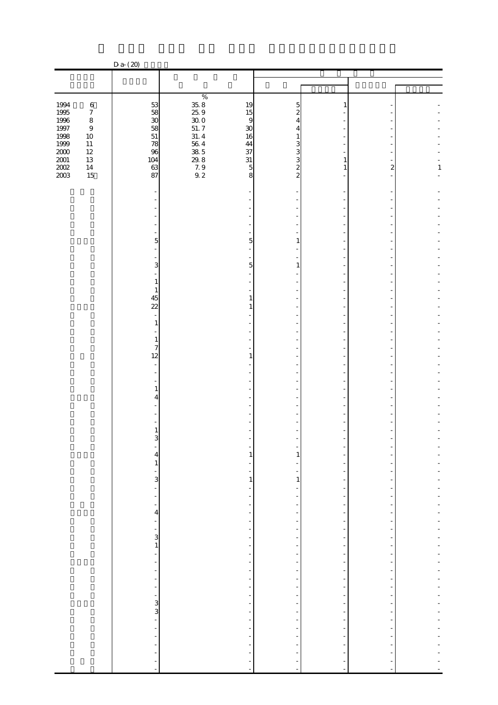|                                                              |                             | $D a - (20)$                                                   |                                                      |                         |                                                      |                  |              |
|--------------------------------------------------------------|-----------------------------|----------------------------------------------------------------|------------------------------------------------------|-------------------------|------------------------------------------------------|------------------|--------------|
|                                                              |                             |                                                                |                                                      |                         |                                                      |                  |              |
|                                                              |                             |                                                                |                                                      |                         |                                                      |                  |              |
|                                                              |                             |                                                                |                                                      |                         |                                                      |                  |              |
| 1994                                                         | $\,6\,$                     |                                                                | 19                                                   | 5                       | -1                                                   |                  |              |
| 1995<br>1997<br>1997<br>1998<br>1999<br>2002<br>2002<br>2003 | $\boldsymbol{7}$<br>$\,8\,$ | 53 53 53 53 53 53                                              | 15<br>$\overline{9}$                                 | 2<br>4                  |                                                      |                  |              |
|                                                              | $\boldsymbol{9}$            |                                                                | 30                                                   | 4                       |                                                      |                  |              |
|                                                              | $10\,$                      |                                                                | 16                                                   | 1                       |                                                      |                  |              |
|                                                              | $11\,$                      |                                                                | 44                                                   | 3                       |                                                      |                  |              |
|                                                              | $12\,$<br>$13\,$            | 96<br>104                                                      | 37<br>$31\,$                                         | $\frac{3}{3}$           | 1                                                    |                  |              |
|                                                              | $14\,$                      | 63                                                             | $\frac{29.8}{7.9}$<br>9.2<br>$\overline{5}$          | $\overline{\mathbf{c}}$ | 1                                                    | $\boldsymbol{z}$ | $\mathbf{1}$ |
|                                                              | 15                          | 87                                                             | 8                                                    | $\overline{a}$          |                                                      |                  |              |
|                                                              |                             |                                                                |                                                      |                         |                                                      |                  |              |
|                                                              |                             |                                                                |                                                      |                         |                                                      |                  |              |
|                                                              |                             |                                                                |                                                      |                         |                                                      |                  |              |
|                                                              |                             |                                                                |                                                      |                         |                                                      |                  |              |
|                                                              |                             |                                                                |                                                      |                         |                                                      |                  |              |
|                                                              |                             | 5                                                              | 5                                                    | 1                       |                                                      |                  |              |
|                                                              |                             |                                                                |                                                      |                         |                                                      |                  |              |
|                                                              |                             |                                                                |                                                      |                         |                                                      |                  |              |
|                                                              |                             | 3                                                              | 5                                                    |                         |                                                      |                  |              |
|                                                              |                             | 1                                                              |                                                      |                         |                                                      |                  |              |
|                                                              |                             | 1                                                              |                                                      |                         |                                                      |                  |              |
|                                                              |                             | 45                                                             | 1                                                    |                         |                                                      |                  |              |
|                                                              |                             | $\overline{22}$                                                | 1                                                    |                         |                                                      |                  |              |
|                                                              |                             | 1                                                              |                                                      |                         |                                                      |                  |              |
|                                                              |                             |                                                                |                                                      |                         |                                                      |                  |              |
|                                                              |                             | 1                                                              |                                                      |                         |                                                      |                  |              |
|                                                              |                             | $\overline{7}$                                                 |                                                      |                         |                                                      |                  |              |
|                                                              |                             | 12                                                             | $\mathbf{1}$                                         |                         |                                                      |                  |              |
|                                                              |                             |                                                                |                                                      |                         |                                                      |                  |              |
|                                                              |                             |                                                                |                                                      |                         |                                                      |                  |              |
|                                                              |                             | 1<br>4                                                         |                                                      |                         |                                                      |                  |              |
|                                                              |                             |                                                                |                                                      |                         |                                                      |                  |              |
|                                                              |                             |                                                                |                                                      |                         |                                                      |                  |              |
|                                                              |                             |                                                                |                                                      |                         |                                                      |                  |              |
|                                                              |                             | 3                                                              |                                                      |                         |                                                      |                  |              |
|                                                              |                             |                                                                |                                                      |                         |                                                      |                  |              |
|                                                              |                             | 4                                                              | 1                                                    | 1                       |                                                      |                  |              |
|                                                              |                             | $\mathbf{1}$                                                   |                                                      |                         |                                                      |                  |              |
|                                                              |                             | ÷<br>3                                                         | $\mathbf{1}$                                         | 1                       | $\overline{a}$                                       |                  |              |
|                                                              |                             | $\overline{a}$                                                 | Ξ                                                    |                         | -                                                    |                  |              |
|                                                              |                             | ÷                                                              | -                                                    |                         | $\overline{\phantom{a}}$                             |                  |              |
|                                                              |                             |                                                                | Ξ                                                    |                         | -                                                    |                  |              |
|                                                              |                             | 4<br>÷                                                         | -<br>$\overline{\phantom{a}}$                        |                         | $\overline{\phantom{a}}$<br>$\overline{\phantom{a}}$ |                  |              |
|                                                              |                             |                                                                | -                                                    |                         |                                                      |                  |              |
|                                                              |                             | $\frac{1}{3}$                                                  | $\overline{\phantom{a}}$                             |                         | $\overline{\phantom{a}}$                             |                  |              |
|                                                              |                             | $\mathbf{1}% _{T}=\mathbf{1}_{T}\left  \mathbf{1}\right $<br>÷ | $\overline{\phantom{a}}$                             |                         | $\overline{\phantom{a}}$<br>$\overline{\phantom{a}}$ |                  |              |
|                                                              |                             | $\overline{a}$                                                 | -<br>$\overline{\phantom{0}}$                        |                         | $\overline{\phantom{a}}$                             |                  |              |
|                                                              |                             | ÷                                                              | $\overline{\phantom{a}}$                             |                         | $\overline{\phantom{a}}$                             |                  |              |
|                                                              |                             | ÷,                                                             | $\overline{\phantom{a}}$                             |                         | $\overline{\phantom{a}}$                             |                  |              |
|                                                              |                             | ÷<br>$\overline{\phantom{0}}$                                  | $\blacksquare$<br>$\frac{1}{2}$                      |                         | $\overline{\phantom{a}}$<br>$\overline{\phantom{a}}$ |                  |              |
|                                                              |                             |                                                                | -                                                    |                         | $\overline{\phantom{a}}$                             |                  |              |
|                                                              |                             | .<br>ა ვ                                                       | $\overline{\phantom{a}}$                             |                         | $\overline{\phantom{a}}$                             |                  |              |
|                                                              |                             |                                                                | $\overline{a}$                                       |                         | $\overline{\phantom{a}}$                             |                  |              |
|                                                              |                             | ÷,<br>$\overline{a}$                                           | $\overline{\phantom{0}}$<br>$\overline{\phantom{m}}$ |                         | $\overline{\phantom{a}}$<br>$\overline{\phantom{a}}$ |                  |              |
|                                                              |                             |                                                                |                                                      |                         |                                                      |                  |              |
|                                                              |                             |                                                                |                                                      |                         |                                                      |                  |              |
|                                                              |                             |                                                                |                                                      |                         |                                                      |                  |              |
|                                                              |                             |                                                                |                                                      |                         |                                                      |                  |              |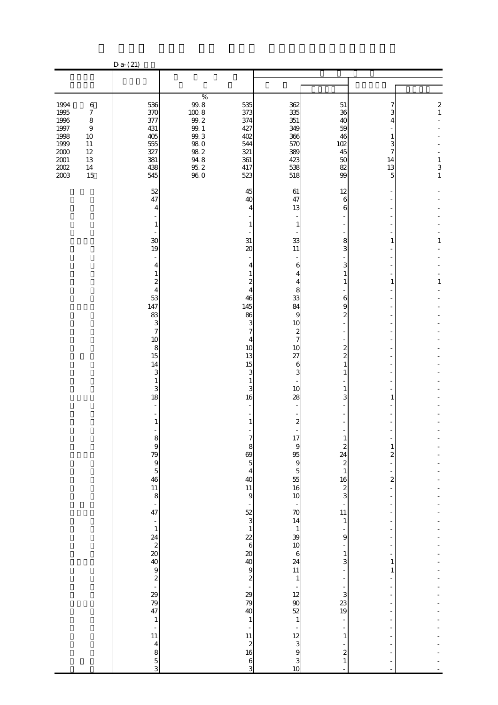|                                                                                                                                                                                                              | $D a - (21)$                                                                                                                                                                                                                                                                                                                                                              |                                                                                                                                                                                                                                                                                                                                                                       |                                                                                                                                                                                                                                                                                                                                                                                                                                                      |                                                                                                                                                                                                                                                                                                                                                                                                                                                                                                       |                                                                                                                                                   |                                                                                              |
|--------------------------------------------------------------------------------------------------------------------------------------------------------------------------------------------------------------|---------------------------------------------------------------------------------------------------------------------------------------------------------------------------------------------------------------------------------------------------------------------------------------------------------------------------------------------------------------------------|-----------------------------------------------------------------------------------------------------------------------------------------------------------------------------------------------------------------------------------------------------------------------------------------------------------------------------------------------------------------------|------------------------------------------------------------------------------------------------------------------------------------------------------------------------------------------------------------------------------------------------------------------------------------------------------------------------------------------------------------------------------------------------------------------------------------------------------|-------------------------------------------------------------------------------------------------------------------------------------------------------------------------------------------------------------------------------------------------------------------------------------------------------------------------------------------------------------------------------------------------------------------------------------------------------------------------------------------------------|---------------------------------------------------------------------------------------------------------------------------------------------------|----------------------------------------------------------------------------------------------|
|                                                                                                                                                                                                              |                                                                                                                                                                                                                                                                                                                                                                           |                                                                                                                                                                                                                                                                                                                                                                       |                                                                                                                                                                                                                                                                                                                                                                                                                                                      |                                                                                                                                                                                                                                                                                                                                                                                                                                                                                                       |                                                                                                                                                   |                                                                                              |
|                                                                                                                                                                                                              |                                                                                                                                                                                                                                                                                                                                                                           |                                                                                                                                                                                                                                                                                                                                                                       |                                                                                                                                                                                                                                                                                                                                                                                                                                                      |                                                                                                                                                                                                                                                                                                                                                                                                                                                                                                       |                                                                                                                                                   |                                                                                              |
| 1994<br>$\,6$<br>1995<br>$\boldsymbol{7}$<br>1996<br>$\,8\,$<br>$1997\,$<br>$\boldsymbol{9}$<br>1998<br>$10\,$<br>1999<br>$11\,$<br>$2000\,$<br>$12\,$<br>$2001\,$<br>13<br>$2002\,$<br>$14\,$<br>2003<br>15 | 536<br>370<br>377<br>431<br>405<br>555<br>327<br>381<br>438<br>545                                                                                                                                                                                                                                                                                                        | $\%$<br>$99.8$<br>535<br>1008<br>373<br>99.2<br>374<br>$99. \;1$<br>427<br>99.3<br>402<br>$98\ 0$<br>544<br>$98\ 2$<br>321<br>94.8<br>361<br>$\frac{95.2}{96.0}$<br>417<br>523                                                                                                                                                                                        | 362<br>335<br>351<br>349<br>366<br>570<br>389<br>423<br>538<br>518                                                                                                                                                                                                                                                                                                                                                                                   | $51\,$<br>36<br>40<br>59<br>46<br>102<br>45<br>50<br>82<br>99                                                                                                                                                                                                                                                                                                                                                                                                                                         | 7<br>3<br>4<br>$\mathbf{1}$<br>3<br>7<br>14<br>13<br>5                                                                                            | $\begin{smallmatrix}2\\1\end{smallmatrix}$<br>$\,1$<br>$\begin{array}{c} 3 \\ 1 \end{array}$ |
|                                                                                                                                                                                                              | 52<br>47<br>4<br>1<br>30<br>19<br>4<br>1<br>$\overline{\mathcal{Z}}$<br>$\overline{4}$<br>53<br>147<br>83<br>3<br>$\overline{7}$<br>10<br>$\,8\,$<br>15<br>14<br>3<br>1<br>3<br>18<br>1<br>ŏ<br>9<br>79<br>9<br>5<br>46<br>$\begin{array}{c} 11 \\ 8 \\ \hline \end{array}$<br>$\frac{1}{1}$<br>$\,1\,$<br>$\frac{1}{11}$<br>$\begin{array}{c}\n4 \\ 8 \\ 5\n\end{array}$ | 45<br>40<br>$\mathbf{1}$<br>31<br>$\boldsymbol{\alpha}$<br>46<br>145<br>86<br>10<br>13<br>15<br>1<br>16<br>-1<br>$\frac{8}{69}$<br>$\begin{array}{c} 4 \\ 40 \end{array}$<br>$\begin{array}{c} 11 \\ 9 \end{array}$<br>$\overline{\phantom{a}}$<br>$\frac{52}{3}$ $\frac{1}{22}$ 6<br>88999889<br>$\,1\,$<br>$\frac{1}{11}$<br>$\begin{array}{c} 2 \\ 16 \end{array}$ | 61<br>47<br>13<br>$\overline{4}$<br>$\mathbf{1}$<br>33<br>11<br>6<br>4<br>4<br>$\mathbf{z}$<br>4<br>8<br>$\overline{4}$<br>33<br>84<br>9<br>3<br>10<br>7<br>$\boldsymbol{z}$<br>$\boldsymbol{7}$<br>4<br>10<br>27<br>6<br>3<br>3<br>3<br>10<br>28<br>$\boldsymbol{z}$<br>÷,<br>17<br>$\overline{5}$<br>$\frac{70}{14}$<br>$\frac{1}{39}$<br>$\frac{1}{10}$<br>$6$<br>24<br>11<br>$\,1$<br>$-129$<br>3<br>3<br>3<br>3<br>3<br>3<br>3<br>$\frac{6}{3}$ | 12<br>$\boldsymbol{6}$<br>6<br>8<br>3<br>3<br>$\mathbf{1}$<br>$\mathbf{1}$<br>6<br>9<br>$\boldsymbol{z}$<br>$\overline{\mathcal{L}}$<br>$\overline{\mathcal{Z}}$<br>$\mathbf{1}$<br>$\mathbf{1}$<br>1<br>3<br>$\mathbf{I}$<br>$\begin{array}{c}\n2 \\ 24 \\ 2 \\ 1\n\end{array}$<br>$\begin{array}{c} 16 \\ 2 \\ 3 \end{array}$<br>$\frac{1}{11}$<br>$\,1\,$<br>-<br>9<br>÷<br>$\,1$<br>3<br>÷<br>÷<br>÷<br>3<br>23<br>19<br>$\frac{1}{\sqrt{2}}$<br>÷<br>$\,1\,$<br>-<br>$\boldsymbol{z}$<br>$\,1\,$ | $\mathbf{1}$<br>$\mathbf{1}$<br>1<br>$\mathbf{1}$<br>$\overline{\mathbf{c}}$<br>$\boldsymbol{z}$<br>$\overline{a}$<br>۰<br>÷<br>1<br>$\mathbf{1}$ | 1<br>$\mathbf{1}$                                                                            |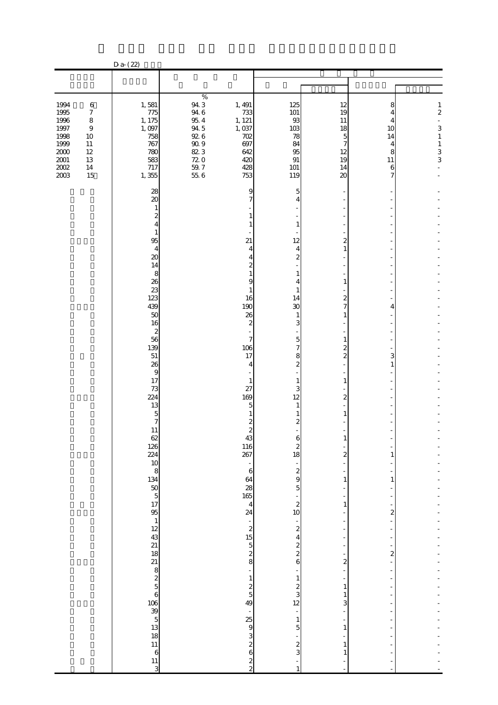|                                                                                                                                                                                                     | $D a - (22)$                                                                                                                                                                                                                                                                                                                                                                                                                                  |                                                                                                           |                                                                                                                                                                                                                                                                                                                                                                                                                                                                                                       |                                                                                                                                                                                                                                                                                                                                                                                                                                                                                 |                                                                                 |                                                   |                                                                                      |
|-----------------------------------------------------------------------------------------------------------------------------------------------------------------------------------------------------|-----------------------------------------------------------------------------------------------------------------------------------------------------------------------------------------------------------------------------------------------------------------------------------------------------------------------------------------------------------------------------------------------------------------------------------------------|-----------------------------------------------------------------------------------------------------------|-------------------------------------------------------------------------------------------------------------------------------------------------------------------------------------------------------------------------------------------------------------------------------------------------------------------------------------------------------------------------------------------------------------------------------------------------------------------------------------------------------|---------------------------------------------------------------------------------------------------------------------------------------------------------------------------------------------------------------------------------------------------------------------------------------------------------------------------------------------------------------------------------------------------------------------------------------------------------------------------------|---------------------------------------------------------------------------------|---------------------------------------------------|--------------------------------------------------------------------------------------|
|                                                                                                                                                                                                     |                                                                                                                                                                                                                                                                                                                                                                                                                                               |                                                                                                           |                                                                                                                                                                                                                                                                                                                                                                                                                                                                                                       |                                                                                                                                                                                                                                                                                                                                                                                                                                                                                 |                                                                                 |                                                   |                                                                                      |
|                                                                                                                                                                                                     |                                                                                                                                                                                                                                                                                                                                                                                                                                               |                                                                                                           |                                                                                                                                                                                                                                                                                                                                                                                                                                                                                                       |                                                                                                                                                                                                                                                                                                                                                                                                                                                                                 |                                                                                 |                                                   |                                                                                      |
| 1994<br>$\,6\,$<br>1995<br>$\boldsymbol{7}$<br>1996<br>8<br>$1997\,$<br>$\boldsymbol{9}$<br>1998<br>$10\,$<br>1999<br>$11\,$<br>$2000\,$<br>12<br>$2001\,$<br>13<br>$200\!$<br>$14\,$<br>2003<br>15 | 1,581<br>775<br>1, 175<br>1,097<br>758<br>767<br>780<br>583<br>717<br>1,355                                                                                                                                                                                                                                                                                                                                                                   | $\%$<br>94.3<br>$94\ 6$<br>$95\ 4$<br>94.5<br>$92\;6$<br>$90\;9$<br>823<br>$72\ 0$<br>$\frac{59.7}{55.6}$ | 1, 491<br>733<br>1, 121<br>1,037<br>702<br>697<br>642<br>420<br>428<br>753                                                                                                                                                                                                                                                                                                                                                                                                                            | 125<br>$101\,$<br>93<br>103<br>78<br>84<br>95<br>$\, 91$<br>$101\,$<br>119                                                                                                                                                                                                                                                                                                                                                                                                      | 12<br>19<br>11<br>18<br>5<br>7<br>12<br>19<br>14<br>$\boldsymbol{\mathsf{20}}$  | 8<br>4<br>4<br>10<br>14<br>4<br>8<br>11<br>6<br>7 | $\mathbf{1}$<br>$\overline{\mathcal{L}}$<br>3<br>$\,1\,$<br>$\,1\,$<br>$\frac{3}{3}$ |
|                                                                                                                                                                                                     | 28<br>$\boldsymbol{\chi}$<br>1<br>$\mathbf{z}$<br>4<br>1<br>95<br>$\overline{4}$<br>$\infty$<br>14<br>8<br>26<br>23<br>123<br>439<br>50<br>16<br>$\boldsymbol{z}$<br>56<br>139<br>51<br>26<br>9<br>17<br>73<br>224<br>13<br>5<br>7<br>11<br>62<br>126<br>224<br>$10800000$ $124000000$ $12400000$<br>18<br>21<br>$8\,$ s $\,$<br>$\overline{6}$<br>$\frac{106}{39}$<br>$\frac{5}{13}$<br>$\frac{13}{18}$<br>11<br>$\boldsymbol{6}$<br>11<br>3 |                                                                                                           | 9<br>21<br>4<br>4<br>2<br>9<br>16<br>190<br>26<br>$\mathbf{z}$<br>7<br>106<br>17<br>4<br>1<br>27<br>169<br>5<br>$\boldsymbol{z}$<br>43<br>116<br>267<br>-<br>$\boldsymbol{6}$<br>64<br>28<br>165<br>$\overline{4}$<br>24<br>$\overline{\phantom{0}}$<br>$\frac{2}{15}$<br>$\overline{5}$<br>$\boldsymbol{z}$<br>8<br>$\mathbf{1}$<br>$\overline{\mathcal{L}}$<br>$\overline{5}$<br>49<br>$\overline{\phantom{a}}$<br>25<br>$\overline{9}$<br>3<br>$\boldsymbol{z}$<br>$\overline{6}$<br>$\frac{2}{2}$ | 5<br>4<br>$\mathbf{1}$<br>12<br>4<br>$\boldsymbol{z}$<br>$\mathbf{1}$<br>4<br>1<br>14<br>30<br>1<br>3<br>5<br>7<br>8<br>$\mathbf{z}$<br>1<br>3<br>12<br>1<br>2<br>18<br>$\boldsymbol{z}$<br>$\overline{9}$<br>$\overline{5}$<br>$\boldsymbol{z}$<br>10<br>$\boldsymbol{z}$<br>$\overline{4}$<br>$\boldsymbol{z}$<br>$\overline{\mathcal{L}}$<br>6<br>$\mathbf{1}$<br>$\frac{2}{3}$<br>12<br>$\overline{\phantom{m}}$<br>$\mathbf{1}$<br>5<br>$\overline{\mathcal{L}}$<br>3<br>1 | 2<br>1<br>2<br>7<br>1<br>2<br>$\overline{c}$<br>2<br>2<br>1<br>1<br>2<br>3<br>1 | 4<br>З<br>1<br>2<br>2                             |                                                                                      |